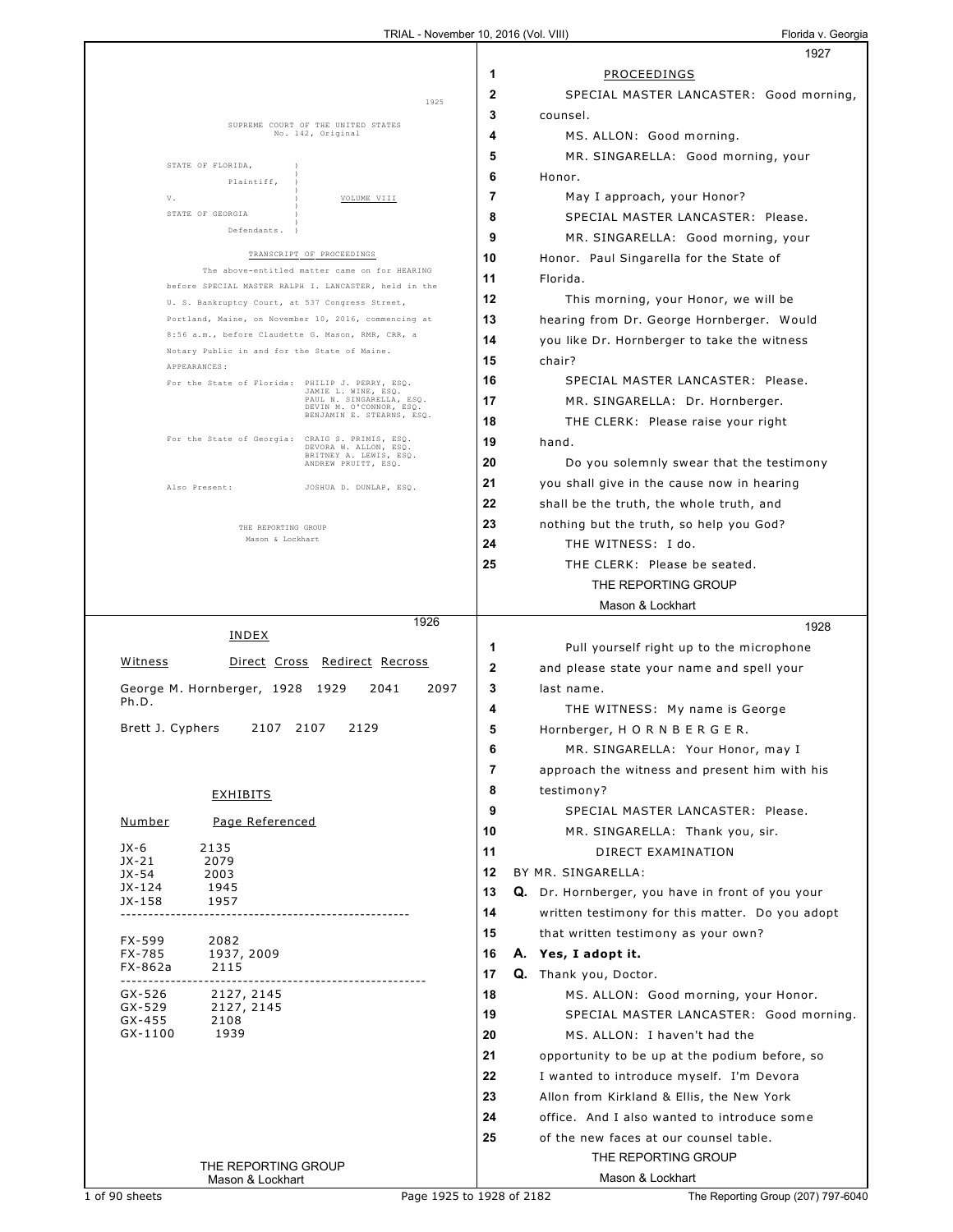|                                                                                                        | 1927                                                                                           |
|--------------------------------------------------------------------------------------------------------|------------------------------------------------------------------------------------------------|
|                                                                                                        | 1<br>PROCEEDINGS                                                                               |
| 1925                                                                                                   | $\overline{2}$<br>SPECIAL MASTER LANCASTER: Good morning,                                      |
|                                                                                                        | 3<br>counsel.                                                                                  |
| SUPREME COURT OF THE UNITED STATES<br>No. 142, Original                                                | 4<br>MS. ALLON: Good morning.                                                                  |
| STATE OF FLORIDA,                                                                                      | 5<br>MR. SINGARELLA: Good morning, your                                                        |
| Plaintiff,                                                                                             | 6<br>Honor.                                                                                    |
| V.<br>VOLUME VIII                                                                                      | 7<br>May I approach, your Honor?                                                               |
| STATE OF GEORGIA                                                                                       | 8<br>SPECIAL MASTER LANCASTER: Please.                                                         |
| Defendants.                                                                                            | 9<br>MR. SINGARELLA: Good morning, your                                                        |
| TRANSCRIPT OF PROCEEDINGS                                                                              | 10<br>Honor. Paul Singarella for the State of                                                  |
| The above-entitled matter came on for HEARING<br>before SPECIAL MASTER RALPH I. LANCASTER, held in the | 11<br>Florida.                                                                                 |
| U. S. Bankruptcy Court, at 537 Congress Street,                                                        | 12<br>This morning, your Honor, we will be                                                     |
| Portland, Maine, on November 10, 2016, commencing at                                                   | 13<br>hearing from Dr. George Hornberger. Would                                                |
| 8:56 a.m., before Claudette G. Mason, RMR, CRR, a                                                      | 14<br>you like Dr. Hornberger to take the witness                                              |
| Notary Public in and for the State of Maine.<br>APPEARANCES:                                           | 15<br>chair?                                                                                   |
| For the State of Florida: PHILIP J. PERRY, ESQ.<br>JAMIE L. WINE, ESQ.                                 | SPECIAL MASTER LANCASTER: Please.<br>16                                                        |
| PAUL N. SINGARELLA, ESQ.<br>DEVIN M. O'CONNOR, ESQ.                                                    | 17<br>MR. SINGARELLA: Dr. Hornberger.                                                          |
| BENJAMIN E. STEARNS, ESQ.                                                                              | 18<br>THE CLERK: Please raise your right                                                       |
| For the State of Georgia: CRAIG S. PRIMIS, ESQ.<br>DEVORA W. ALLON, ESQ.                               | 19<br>hand.                                                                                    |
| BRITNEY A. LEWIS, ESQ.<br>ANDREW PRUITT, ESQ.                                                          | 20<br>Do you solemnly swear that the testimony                                                 |
| Also Present:<br>JOSHUA D. DUNLAP, ESQ.                                                                | 21<br>you shall give in the cause now in hearing                                               |
|                                                                                                        | 22<br>shall be the truth, the whole truth, and                                                 |
| THE REPORTING GROUP                                                                                    | 23<br>nothing but the truth, so help you God?                                                  |
| Mason & Lockhart                                                                                       | 24<br>THE WITNESS: I do.                                                                       |
|                                                                                                        | 25<br>THE CLERK: Please be seated.                                                             |
|                                                                                                        | THE REPORTING GROUP                                                                            |
|                                                                                                        | Mason & Lockhart                                                                               |
| 1926                                                                                                   |                                                                                                |
| INDEX                                                                                                  | 1928                                                                                           |
|                                                                                                        | 1<br>Pull yourself right up to the microphone                                                  |
| <u>Witness</u><br><u>Direct Cross Redirect Recross</u>                                                 | $\mathbf{2}$<br>and please state your name and spell your                                      |
| George M. Hornberger, 1928<br>2041<br>2097<br>1929                                                     | 3<br>last name.                                                                                |
| Ph.D.                                                                                                  | 4<br>THE WITNESS: My name is George                                                            |
| Brett J. Cyphers<br>2107 2107<br>2129                                                                  | 5<br>Hornberger, H O R N B E R G E R.                                                          |
|                                                                                                        | MR. SINGARELLA: Your Honor, may I<br>6                                                         |
|                                                                                                        | 7<br>approach the witness and present him with his                                             |
| <b>EXHIBITS</b>                                                                                        | 8<br>testimony?                                                                                |
| Page Referenced<br>Number                                                                              | 9<br>SPECIAL MASTER LANCASTER: Please.                                                         |
|                                                                                                        | 10<br>MR. SINGARELLA: Thank you, sir.                                                          |
| $JX-6$<br>2135<br>$JX-21$<br>2079                                                                      | 11<br>DIRECT EXAMINATION                                                                       |
| JX-54<br>2003                                                                                          | 12<br>BY MR. SINGARELLA:                                                                       |
| JX-124<br>1945<br>JX-158<br>1957                                                                       | 13<br>Q. Dr. Hornberger, you have in front of you your                                         |
|                                                                                                        | 14<br>written testimony for this matter. Do you adopt                                          |
| 2082<br>FX-599                                                                                         | 15<br>that written testimony as your own?                                                      |
| FX-785<br>1937, 2009<br>FX-862a<br>2115                                                                | 16<br>A. Yes, I adopt it.                                                                      |
| -----------------------------<br>------------------                                                    | 17<br>Q. Thank you, Doctor.                                                                    |
| GX-526<br>2127, 2145<br>GX-529<br>2127, 2145                                                           | 18<br>MS. ALLON: Good morning, your Honor.                                                     |
| $GX-455$<br>2108                                                                                       | 19<br>SPECIAL MASTER LANCASTER: Good morning.                                                  |
| 1939<br>GX-1100                                                                                        | 20<br>MS. ALLON: I haven't had the                                                             |
|                                                                                                        | 21<br>opportunity to be up at the podium before, so                                            |
|                                                                                                        | 22<br>I wanted to introduce myself. I'm Devora<br>23                                           |
|                                                                                                        | Allon from Kirkland & Ellis, the New York<br>24<br>office. And I also wanted to introduce some |
|                                                                                                        | 25<br>of the new faces at our counsel table.                                                   |
| THE REPORTING GROUP                                                                                    | THE REPORTING GROUP                                                                            |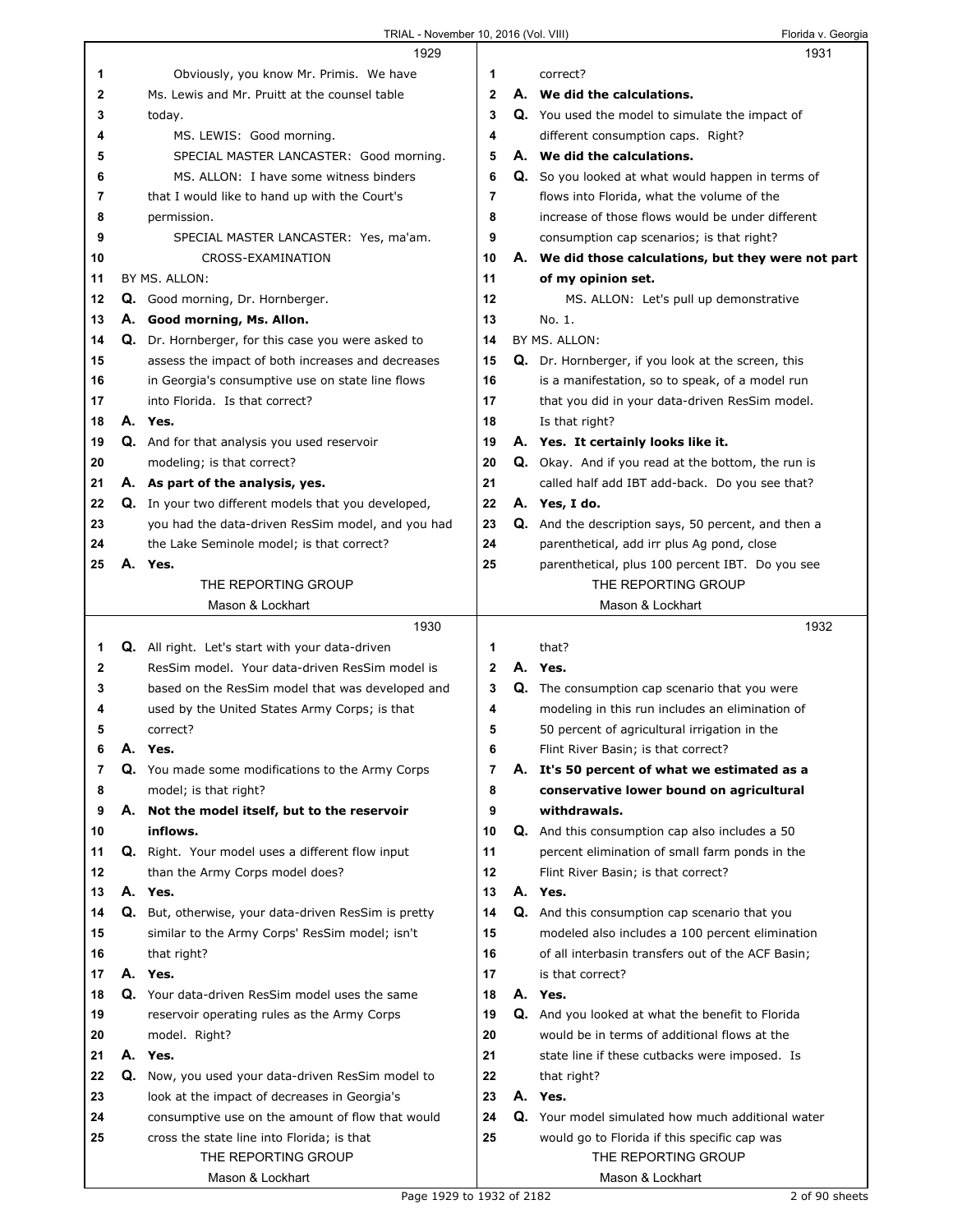|    | 1929                                                                      |              | 1931                                                       |
|----|---------------------------------------------------------------------------|--------------|------------------------------------------------------------|
| 1  | Obviously, you know Mr. Primis. We have                                   | 1            | correct?                                                   |
| 2  | Ms. Lewis and Mr. Pruitt at the counsel table                             | $\mathbf{2}$ | A. We did the calculations.                                |
| 3  | today.                                                                    | 3            | Q. You used the model to simulate the impact of            |
| 4  | MS. LEWIS: Good morning.                                                  | 4            | different consumption caps. Right?                         |
| 5  | SPECIAL MASTER LANCASTER: Good morning.                                   | 5            | A. We did the calculations.                                |
| 6  | MS. ALLON: I have some witness binders                                    | 6            | Q. So you looked at what would happen in terms of          |
| 7  | that I would like to hand up with the Court's                             | 7            | flows into Florida, what the volume of the                 |
| 8  | permission.                                                               | 8            | increase of those flows would be under different           |
| 9  | SPECIAL MASTER LANCASTER: Yes, ma'am.                                     | 9            | consumption cap scenarios; is that right?                  |
| 10 | CROSS-EXAMINATION                                                         | 10           | A. We did those calculations, but they were not part       |
| 11 | BY MS. ALLON:                                                             | 11           | of my opinion set.                                         |
| 12 | Q. Good morning, Dr. Hornberger.                                          | 12           | MS. ALLON: Let's pull up demonstrative                     |
| 13 | A. Good morning, Ms. Allon.                                               | 13           | No. 1.                                                     |
| 14 | Q. Dr. Hornberger, for this case you were asked to                        | 14           | BY MS. ALLON:                                              |
| 15 | assess the impact of both increases and decreases                         | 15           | Q. Dr. Hornberger, if you look at the screen, this         |
| 16 | in Georgia's consumptive use on state line flows                          | 16           | is a manifestation, so to speak, of a model run            |
| 17 | into Florida. Is that correct?                                            | 17           | that you did in your data-driven ResSim model.             |
| 18 | A. Yes.                                                                   | 18           | Is that right?                                             |
| 19 | Q. And for that analysis you used reservoir                               | 19           | A. Yes. It certainly looks like it.                        |
| 20 | modeling; is that correct?                                                | 20           | Q. Okay. And if you read at the bottom, the run is         |
| 21 | A. As part of the analysis, yes.                                          | 21           | called half add IBT add-back. Do you see that?             |
| 22 | Q. In your two different models that you developed,                       | 22           | A. Yes, I do.                                              |
| 23 | you had the data-driven ResSim model, and you had                         | 23           | <b>Q.</b> And the description says, 50 percent, and then a |
| 24 | the Lake Seminole model; is that correct?                                 | 24           | parenthetical, add irr plus Ag pond, close                 |
| 25 | A. Yes.                                                                   | 25           | parenthetical, plus 100 percent IBT. Do you see            |
|    | THE REPORTING GROUP                                                       |              | THE REPORTING GROUP                                        |
|    | Mason & Lockhart                                                          |              | Mason & Lockhart                                           |
|    |                                                                           |              |                                                            |
|    | 1930                                                                      |              | 1932                                                       |
| 1  | Q. All right. Let's start with your data-driven                           | 1            | that?                                                      |
| 2  | ResSim model. Your data-driven ResSim model is                            | $\mathbf{2}$ | A. Yes.                                                    |
| 3  | based on the ResSim model that was developed and                          | 3            | <b>Q.</b> The consumption cap scenario that you were       |
| 4  | used by the United States Army Corps; is that                             | 4            | modeling in this run includes an elimination of            |
| 5  | correct?                                                                  | 5            | 50 percent of agricultural irrigation in the               |
| 6  | A. Yes.                                                                   | 6            | Flint River Basin; is that correct?                        |
| 7  |                                                                           | 7            | A. It's 50 percent of what we estimated as a               |
| 8  | Q. You made some modifications to the Army Corps<br>model; is that right? | 8            | conservative lower bound on agricultural                   |
| 9  | A. Not the model itself, but to the reservoir                             | 9            | withdrawals.                                               |
| 10 | inflows.                                                                  | 10           | <b>Q.</b> And this consumption cap also includes a 50      |
| 11 | <b>Q.</b> Right. Your model uses a different flow input                   | 11           | percent elimination of small farm ponds in the             |
| 12 | than the Army Corps model does?                                           | 12           | Flint River Basin; is that correct?                        |
| 13 | A. Yes.                                                                   | 13           | A. Yes.                                                    |
| 14 | Q. But, otherwise, your data-driven ResSim is pretty                      | 14           | Q. And this consumption cap scenario that you              |
| 15 | similar to the Army Corps' ResSim model; isn't                            | 15           | modeled also includes a 100 percent elimination            |
| 16 | that right?                                                               | 16           | of all interbasin transfers out of the ACF Basin;          |
| 17 | A. Yes.                                                                   | 17           | is that correct?                                           |
| 18 | Q. Your data-driven ResSim model uses the same                            | 18           | A. Yes.                                                    |
| 19 | reservoir operating rules as the Army Corps                               | 19           | <b>Q.</b> And you looked at what the benefit to Florida    |
| 20 | model. Right?                                                             | 20           | would be in terms of additional flows at the               |
| 21 | A. Yes.                                                                   | 21           | state line if these cutbacks were imposed. Is              |
| 22 | Q. Now, you used your data-driven ResSim model to                         | 22           | that right?                                                |
| 23 | look at the impact of decreases in Georgia's                              | 23           | A. Yes.                                                    |
| 24 | consumptive use on the amount of flow that would                          | 24           | Q. Your model simulated how much additional water          |
| 25 | cross the state line into Florida; is that                                | 25           | would go to Florida if this specific cap was               |
|    | THE REPORTING GROUP                                                       |              | THE REPORTING GROUP                                        |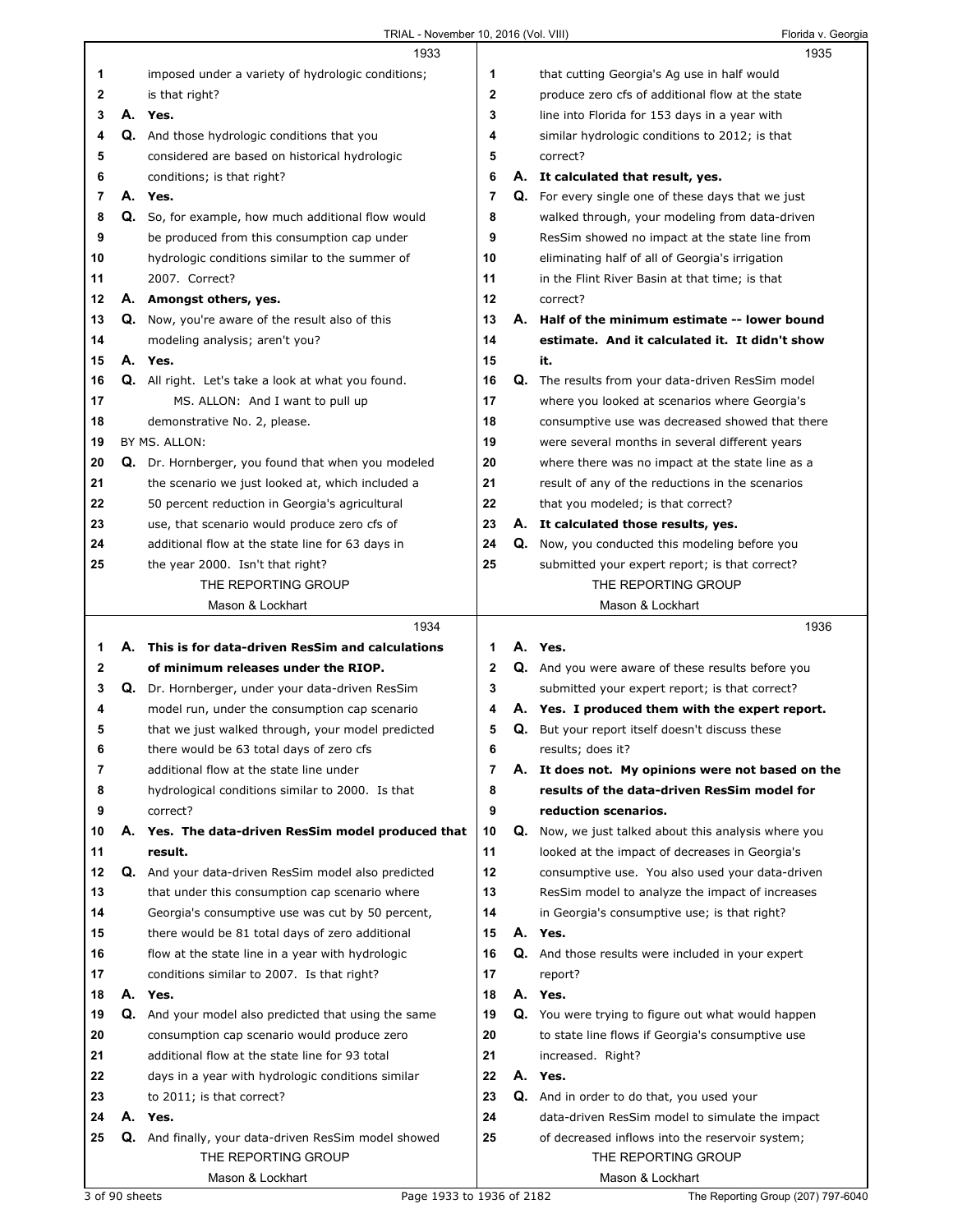TRIAL - November 10, 2016 (Vol. VIII) CHANGE CONTRIBUTE: Florida v. Georgia

|          |    | 1933                                                                                                  |             |    | 1935                                                                   |  |
|----------|----|-------------------------------------------------------------------------------------------------------|-------------|----|------------------------------------------------------------------------|--|
| 1        |    | imposed under a variety of hydrologic conditions;                                                     | 1           |    | that cutting Georgia's Ag use in half would                            |  |
| 2        |    | is that right?                                                                                        | $\mathbf 2$ |    | produce zero cfs of additional flow at the state                       |  |
| 3        |    | A. Yes.                                                                                               | 3           |    | line into Florida for 153 days in a year with                          |  |
| 4        |    | Q. And those hydrologic conditions that you                                                           | 4           |    | similar hydrologic conditions to 2012; is that                         |  |
| 5        |    | considered are based on historical hydrologic                                                         | 5           |    | correct?                                                               |  |
| 6        |    | conditions; is that right?                                                                            | 6           |    | A. It calculated that result, yes.                                     |  |
| 7        |    | A. Yes.                                                                                               | 7           |    | Q. For every single one of these days that we just                     |  |
| 8        | Q. | So, for example, how much additional flow would                                                       | 8           |    | walked through, your modeling from data-driven                         |  |
| 9        |    | be produced from this consumption cap under                                                           | 9           |    | ResSim showed no impact at the state line from                         |  |
| 10       |    | hydrologic conditions similar to the summer of                                                        | 10          |    | eliminating half of all of Georgia's irrigation                        |  |
| 11       |    | 2007. Correct?                                                                                        | 11          |    | in the Flint River Basin at that time; is that                         |  |
| 12       |    | A. Amongst others, yes.                                                                               | 12          |    | correct?                                                               |  |
| 13       |    | Q. Now, you're aware of the result also of this                                                       | 13          | А. | Half of the minimum estimate -- lower bound                            |  |
| 14       |    | modeling analysis; aren't you?                                                                        | 14          |    | estimate. And it calculated it. It didn't show                         |  |
| 15       |    | A. Yes.                                                                                               | 15          |    | it.                                                                    |  |
| 16       |    | Q. All right. Let's take a look at what you found.                                                    | 16          |    | <b>Q.</b> The results from your data-driven ResSim model               |  |
| 17       |    | MS. ALLON: And I want to pull up                                                                      | 17          |    | where you looked at scenarios where Georgia's                          |  |
| 18       |    | demonstrative No. 2, please.                                                                          | 18          |    | consumptive use was decreased showed that there                        |  |
| 19       |    | BY MS. ALLON:                                                                                         | 19          |    | were several months in several different years                         |  |
| 20       |    | Q. Dr. Hornberger, you found that when you modeled                                                    | 20          |    | where there was no impact at the state line as a                       |  |
| 21       |    | the scenario we just looked at, which included a                                                      | 21          |    | result of any of the reductions in the scenarios                       |  |
| 22       |    | 50 percent reduction in Georgia's agricultural                                                        | 22          |    | that you modeled; is that correct?                                     |  |
| 23       |    | use, that scenario would produce zero cfs of                                                          | 23          |    | A. It calculated those results, yes.                                   |  |
| 24       |    | additional flow at the state line for 63 days in                                                      | 24          | Q. | Now, you conducted this modeling before you                            |  |
| 25       |    | the year 2000. Isn't that right?                                                                      | 25          |    | submitted your expert report; is that correct?                         |  |
|          |    | THE REPORTING GROUP                                                                                   |             |    | THE REPORTING GROUP                                                    |  |
|          |    | Mason & Lockhart                                                                                      |             |    | Mason & Lockhart                                                       |  |
|          |    |                                                                                                       |             |    |                                                                        |  |
|          |    |                                                                                                       |             |    |                                                                        |  |
|          |    | 1934<br>A. This is for data-driven ResSim and calculations                                            | 1           |    | 1936<br>A. Yes.                                                        |  |
| 1.       |    | of minimum releases under the RIOP.                                                                   |             |    |                                                                        |  |
| 2<br>3   |    |                                                                                                       | $\mathbf 2$ |    | Q. And you were aware of these results before you                      |  |
| 4        | Q. | Dr. Hornberger, under your data-driven ResSim                                                         | 3<br>4      |    | submitted your expert report; is that correct?                         |  |
| 5        |    | model run, under the consumption cap scenario                                                         | 5           |    | A. Yes. I produced them with the expert report.                        |  |
|          |    | that we just walked through, your model predicted                                                     |             |    | <b>Q.</b> But your report itself doesn't discuss these                 |  |
| 6<br>7   |    | there would be 63 total days of zero cfs<br>additional flow at the state line under                   | 6<br>7      | А. | results; does it?                                                      |  |
|          |    |                                                                                                       |             |    | It does not. My opinions were not based on the                         |  |
| 8        |    | hydrological conditions similar to 2000. Is that<br>correct?                                          | 8<br>9      |    | results of the data-driven ResSim model for<br>reduction scenarios.    |  |
| 9<br>10  |    |                                                                                                       | 10          | Q. | Now, we just talked about this analysis where you                      |  |
|          |    | A. Yes. The data-driven ResSim model produced that                                                    |             |    |                                                                        |  |
| 11       |    | result.                                                                                               | 11<br>12    |    | looked at the impact of decreases in Georgia's                         |  |
| 12<br>13 |    | Q. And your data-driven ResSim model also predicted<br>that under this consumption cap scenario where | 13          |    | consumptive use. You also used your data-driven                        |  |
| 14       |    |                                                                                                       |             |    | ResSim model to analyze the impact of increases                        |  |
| 15       |    | Georgia's consumptive use was cut by 50 percent,                                                      | 14<br>15    |    | in Georgia's consumptive use; is that right?<br>A. Yes.                |  |
|          |    | there would be 81 total days of zero additional                                                       |             |    |                                                                        |  |
| 16<br>17 |    | flow at the state line in a year with hydrologic                                                      | 16<br>17    |    | Q. And those results were included in your expert<br>report?           |  |
| 18       |    | conditions similar to 2007. Is that right?<br>A. Yes.                                                 | 18          |    | A. Yes.                                                                |  |
| 19       |    |                                                                                                       | 19          |    |                                                                        |  |
| 20       |    | Q. And your model also predicted that using the same                                                  | 20          |    | Q. You were trying to figure out what would happen                     |  |
|          |    | consumption cap scenario would produce zero                                                           |             |    | to state line flows if Georgia's consumptive use                       |  |
| 21       |    | additional flow at the state line for 93 total                                                        | 21<br>22    |    | increased. Right?                                                      |  |
| 22       |    | days in a year with hydrologic conditions similar                                                     |             |    | A. Yes.                                                                |  |
| 23<br>24 | А. | to 2011; is that correct?                                                                             | 23          |    | Q. And in order to do that, you used your                              |  |
| 25       |    | Yes.                                                                                                  | 24<br>25    |    | data-driven ResSim model to simulate the impact                        |  |
|          |    | Q. And finally, your data-driven ResSim model showed<br>THE REPORTING GROUP                           |             |    | of decreased inflows into the reservoir system;<br>THE REPORTING GROUP |  |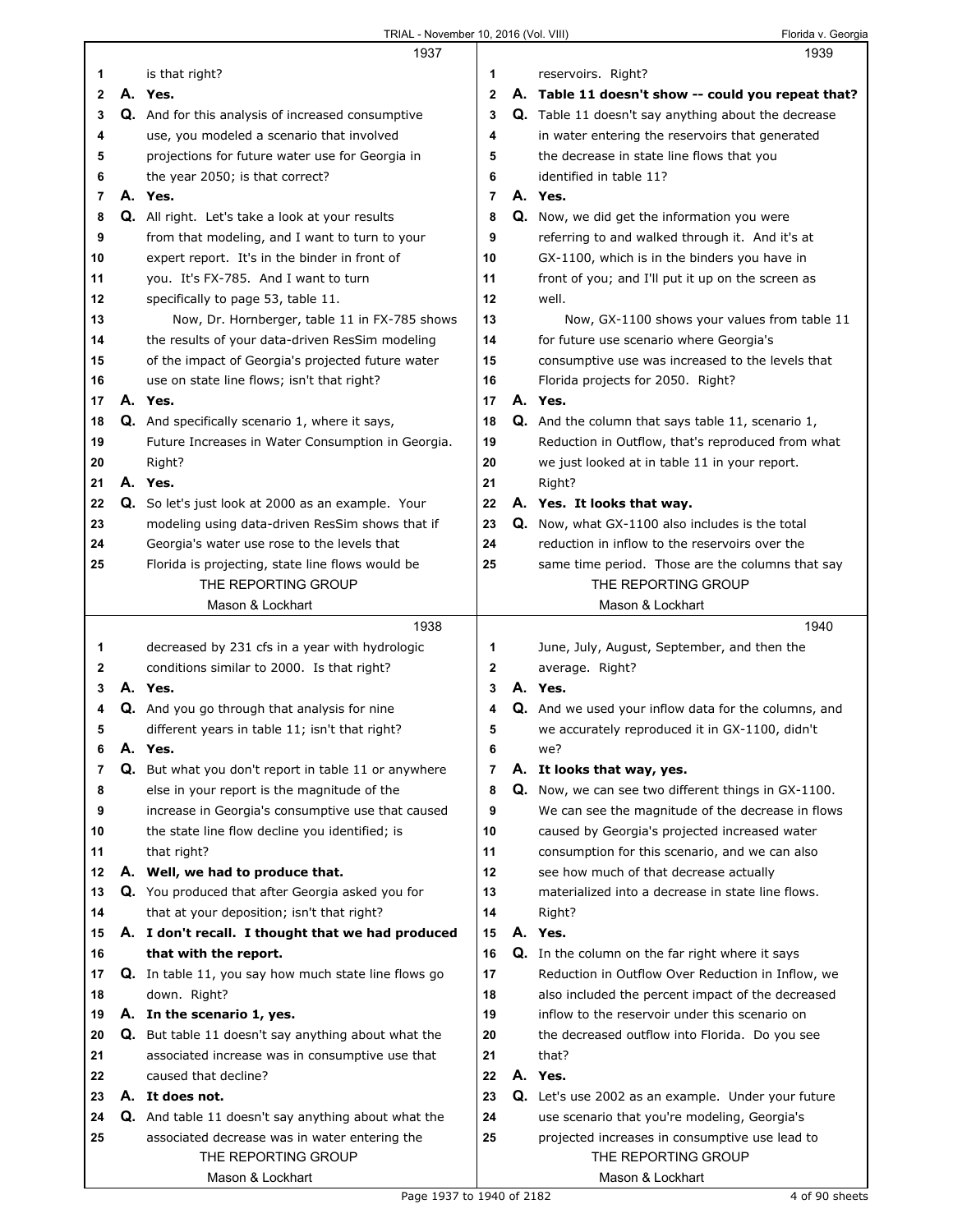|                   | 1937                                                                                                |                   | 1939                                                                                                     |
|-------------------|-----------------------------------------------------------------------------------------------------|-------------------|----------------------------------------------------------------------------------------------------------|
| 1                 | is that right?                                                                                      | 1                 | reservoirs. Right?                                                                                       |
| 2                 | A. Yes.                                                                                             | $\mathbf 2$       | A. Table 11 doesn't show -- could you repeat that?                                                       |
| 3                 | Q. And for this analysis of increased consumptive                                                   | 3                 | <b>Q.</b> Table 11 doesn't say anything about the decrease                                               |
| 4                 | use, you modeled a scenario that involved                                                           | 4                 | in water entering the reservoirs that generated                                                          |
| 5                 | projections for future water use for Georgia in                                                     | 5                 | the decrease in state line flows that you                                                                |
| 6                 | the year 2050; is that correct?                                                                     | 6                 | identified in table 11?                                                                                  |
| $\overline{7}$    | A. Yes.                                                                                             | $\overline{7}$    | A. Yes.                                                                                                  |
| 8                 | Q. All right. Let's take a look at your results                                                     | 8                 | Q. Now, we did get the information you were                                                              |
| 9                 | from that modeling, and I want to turn to your                                                      | 9                 | referring to and walked through it. And it's at                                                          |
| 10                | expert report. It's in the binder in front of                                                       | 10                | GX-1100, which is in the binders you have in                                                             |
| 11                | you. It's FX-785. And I want to turn                                                                | 11                | front of you; and I'll put it up on the screen as                                                        |
| 12                | specifically to page 53, table 11.                                                                  | 12                | well.                                                                                                    |
| 13                | Now, Dr. Hornberger, table 11 in FX-785 shows                                                       | 13                | Now, GX-1100 shows your values from table 11                                                             |
| 14                | the results of your data-driven ResSim modeling                                                     | 14                | for future use scenario where Georgia's                                                                  |
| 15                | of the impact of Georgia's projected future water                                                   | 15                | consumptive use was increased to the levels that                                                         |
| 16                | use on state line flows; isn't that right?                                                          | 16                | Florida projects for 2050. Right?                                                                        |
| 17                | A. Yes.                                                                                             | 17                | A. Yes.                                                                                                  |
| 18                | Q. And specifically scenario 1, where it says,                                                      | 18                | <b>Q.</b> And the column that says table 11, scenario 1,                                                 |
| 19                | Future Increases in Water Consumption in Georgia.                                                   | 19                | Reduction in Outflow, that's reproduced from what                                                        |
| 20                | Right?                                                                                              | 20                | we just looked at in table 11 in your report.                                                            |
| 21                | A. Yes.                                                                                             | 21                | Right?                                                                                                   |
| 22                | Q. So let's just look at 2000 as an example. Your                                                   | 22                | A. Yes. It looks that way.                                                                               |
| 23                | modeling using data-driven ResSim shows that if                                                     | 23                | <b>Q.</b> Now, what GX-1100 also includes is the total                                                   |
| 24                | Georgia's water use rose to the levels that                                                         | 24                | reduction in inflow to the reservoirs over the                                                           |
| 25                | Florida is projecting, state line flows would be                                                    | 25                | same time period. Those are the columns that say                                                         |
|                   | THE REPORTING GROUP                                                                                 |                   | THE REPORTING GROUP                                                                                      |
|                   | Mason & Lockhart                                                                                    |                   | Mason & Lockhart                                                                                         |
|                   |                                                                                                     |                   |                                                                                                          |
|                   |                                                                                                     |                   |                                                                                                          |
|                   | 1938                                                                                                |                   | 1940                                                                                                     |
| 1<br>$\mathbf{2}$ | decreased by 231 cfs in a year with hydrologic                                                      | 1<br>$\mathbf{2}$ | June, July, August, September, and then the                                                              |
| 3                 | conditions similar to 2000. Is that right?<br>A. Yes.                                               | 3                 | average. Right?<br>A. Yes.                                                                               |
| 4                 | <b>Q.</b> And you go through that analysis for nine                                                 | 4                 |                                                                                                          |
| 5                 |                                                                                                     | 5                 | Q. And we used your inflow data for the columns, and                                                     |
| 6                 | different years in table 11; isn't that right?<br>A. Yes.                                           | 6                 | we accurately reproduced it in GX-1100, didn't<br>we?                                                    |
| 7                 |                                                                                                     | $\overline{7}$    | A. It looks that way, yes.                                                                               |
| 8                 | Q. But what you don't report in table 11 or anywhere<br>else in your report is the magnitude of the | 8                 |                                                                                                          |
| 9                 | increase in Georgia's consumptive use that caused                                                   | 9                 | Q. Now, we can see two different things in GX-1100.<br>We can see the magnitude of the decrease in flows |
| 10                | the state line flow decline you identified; is                                                      | 10                | caused by Georgia's projected increased water                                                            |
| 11                | that right?                                                                                         | 11                | consumption for this scenario, and we can also                                                           |
| 12                | A. Well, we had to produce that.                                                                    | 12                | see how much of that decrease actually                                                                   |
| 13                | Q. You produced that after Georgia asked you for                                                    | 13                | materialized into a decrease in state line flows.                                                        |
| 14                | that at your deposition; isn't that right?                                                          | 14                | Right?                                                                                                   |
| 15                | A. I don't recall. I thought that we had produced                                                   | 15                | A. Yes.                                                                                                  |
| 16                | that with the report.                                                                               | 16                | <b>Q.</b> In the column on the far right where it says                                                   |
| 17                | Q. In table 11, you say how much state line flows go                                                | 17                | Reduction in Outflow Over Reduction in Inflow, we                                                        |
| 18                | down. Right?                                                                                        | 18                | also included the percent impact of the decreased                                                        |
| 19                | A. In the scenario 1, yes.                                                                          | 19                | inflow to the reservoir under this scenario on                                                           |
| 20                | <b>Q.</b> But table 11 doesn't say anything about what the                                          | 20                | the decreased outflow into Florida. Do you see                                                           |
| 21                | associated increase was in consumptive use that                                                     | 21                | that?                                                                                                    |
| 22                | caused that decline?                                                                                | 22                | A. Yes.                                                                                                  |
| 23                | A. It does not.                                                                                     | 23                | Q. Let's use 2002 as an example. Under your future                                                       |
| 24                | Q. And table 11 doesn't say anything about what the                                                 | 24                | use scenario that you're modeling, Georgia's                                                             |
| 25                | associated decrease was in water entering the                                                       | 25                | projected increases in consumptive use lead to                                                           |
|                   | THE REPORTING GROUP                                                                                 |                   | THE REPORTING GROUP                                                                                      |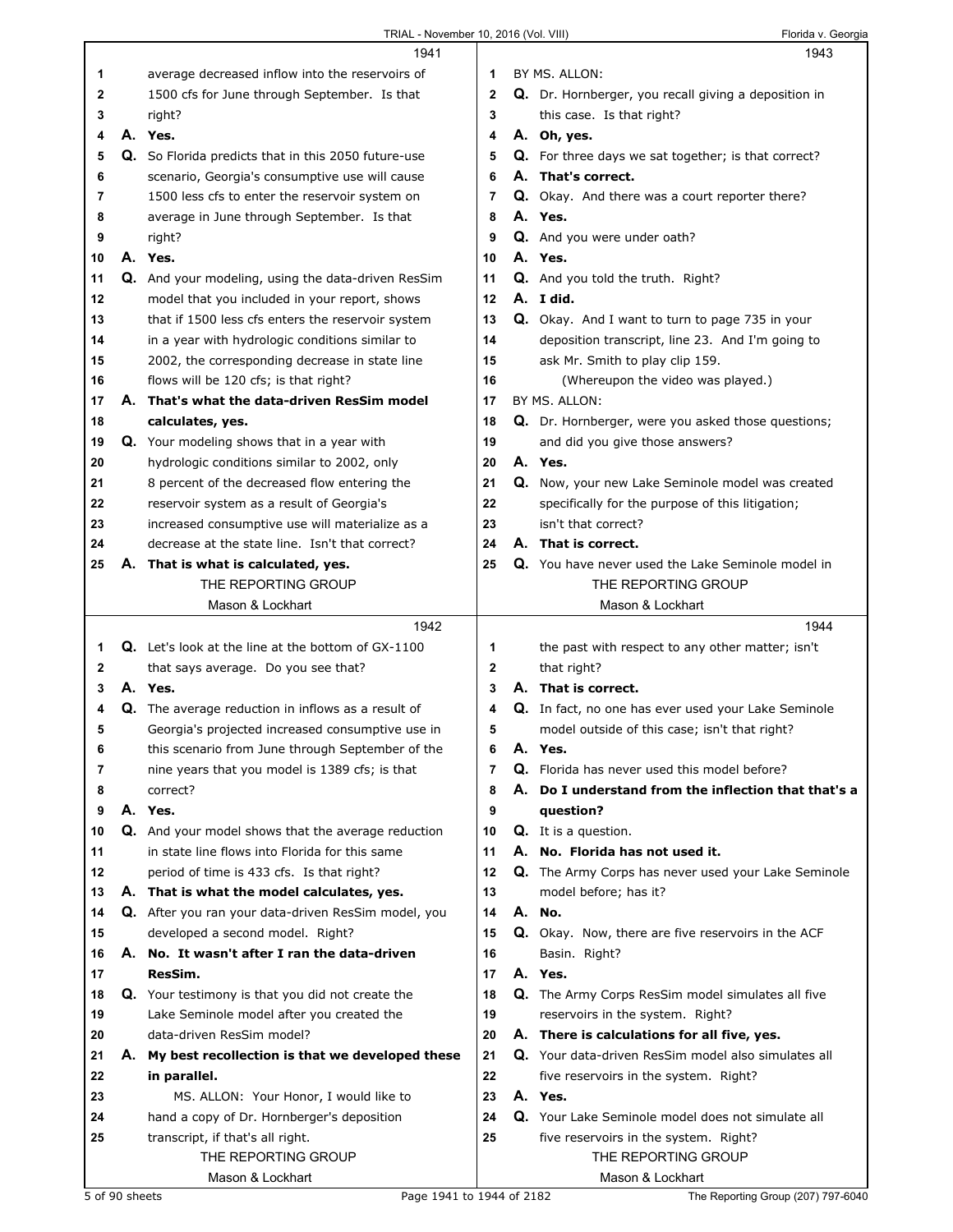|    | 1941                                                      |             | 1943                                                 |
|----|-----------------------------------------------------------|-------------|------------------------------------------------------|
| 1  | average decreased inflow into the reservoirs of           | 1           | BY MS. ALLON:                                        |
| 2  | 1500 cfs for June through September. Is that              | $\mathbf 2$ | Q. Dr. Hornberger, you recall giving a deposition in |
| 3  | right?                                                    | 3           | this case. Is that right?                            |
| 4  | A. Yes.                                                   | 4           | A. Oh, yes.                                          |
| 5  | Q. So Florida predicts that in this 2050 future-use       | 5           | Q. For three days we sat together; is that correct?  |
| 6  | scenario, Georgia's consumptive use will cause            | 6           | A. That's correct.                                   |
| 7  | 1500 less cfs to enter the reservoir system on            | 7           | Q. Okay. And there was a court reporter there?       |
| 8  | average in June through September. Is that                | 8           | A. Yes.                                              |
| 9  | right?                                                    | 9           | Q. And you were under oath?                          |
| 10 | A. Yes.                                                   | 10          | A. Yes.                                              |
| 11 | Q. And your modeling, using the data-driven ResSim        | 11          | Q. And you told the truth. Right?                    |
| 12 | model that you included in your report, shows             | 12          | A. I did.                                            |
| 13 | that if 1500 less cfs enters the reservoir system         | 13          | Q. Okay. And I want to turn to page 735 in your      |
| 14 | in a year with hydrologic conditions similar to           | 14          | deposition transcript, line 23. And I'm going to     |
| 15 | 2002, the corresponding decrease in state line            | 15          | ask Mr. Smith to play clip 159.                      |
| 16 | flows will be 120 cfs; is that right?                     | 16          | (Whereupon the video was played.)                    |
| 17 | A. That's what the data-driven ResSim model               | 17          | BY MS. ALLON:                                        |
| 18 | calculates, yes.                                          | 18          | Q. Dr. Hornberger, were you asked those questions;   |
| 19 | Q. Your modeling shows that in a year with                | 19          | and did you give those answers?                      |
| 20 | hydrologic conditions similar to 2002, only               | 20          | A. Yes.                                              |
| 21 | 8 percent of the decreased flow entering the              | 21          | Q. Now, your new Lake Seminole model was created     |
| 22 | reservoir system as a result of Georgia's                 | 22          | specifically for the purpose of this litigation;     |
| 23 | increased consumptive use will materialize as a           | 23          | isn't that correct?                                  |
| 24 | decrease at the state line. Isn't that correct?           | 24          | A. That is correct.                                  |
| 25 | A. That is what is calculated, yes.                       | 25          | Q. You have never used the Lake Seminole model in    |
|    | THE REPORTING GROUP                                       |             | THE REPORTING GROUP                                  |
|    | Mason & Lockhart                                          |             | Mason & Lockhart                                     |
|    | 1942                                                      |             | 1944                                                 |
| 1. | <b>Q.</b> Let's look at the line at the bottom of GX-1100 |             |                                                      |
|    |                                                           | 1           | the past with respect to any other matter; isn't     |
| 2  | that says average. Do you see that?                       | 2           | that right?                                          |
| 3  | A. Yes.                                                   | 3           | A. That is correct.                                  |
| 4  | <b>Q.</b> The average reduction in inflows as a result of | 4           | Q. In fact, no one has ever used your Lake Seminole  |
| 5  | Georgia's projected increased consumptive use in          | 5           | model outside of this case; isn't that right?        |
| 6  | this scenario from June through September of the          | 6           | A. Yes.                                              |
| 7  | nine years that you model is 1389 cfs; is that            | 7           | Q. Florida has never used this model before?         |
| 8  | correct?                                                  | 8           | A. Do I understand from the inflection that that's a |
| 9  | A. Yes.                                                   | 9           | question?                                            |
| 10 | Q. And your model shows that the average reduction        | 10          | Q. It is a question.                                 |
| 11 | in state line flows into Florida for this same            | 11          | A. No. Florida has not used it.                      |
| 12 | period of time is 433 cfs. Is that right?                 | 12          | Q. The Army Corps has never used your Lake Seminole  |
| 13 | A. That is what the model calculates, yes.                | 13          | model before; has it?                                |
| 14 | Q. After you ran your data-driven ResSim model, you       | 14          | A. No.                                               |
| 15 | developed a second model. Right?                          | 15          | Q. Okay. Now, there are five reservoirs in the ACF   |
| 16 | A. No. It wasn't after I ran the data-driven              | 16          | Basin. Right?                                        |
| 17 | ResSim.                                                   | 17          | A. Yes.                                              |
| 18 | Q. Your testimony is that you did not create the          | 18          | Q. The Army Corps ResSim model simulates all five    |
| 19 | Lake Seminole model after you created the                 | 19          | reservoirs in the system. Right?                     |
| 20 | data-driven ResSim model?                                 | 20          | A. There is calculations for all five, yes.          |
| 21 | A. My best recollection is that we developed these        | 21          | Q. Your data-driven ResSim model also simulates all  |
| 22 | in parallel.                                              | 22          | five reservoirs in the system. Right?                |
| 23 | MS. ALLON: Your Honor, I would like to                    | 23          | A. Yes.                                              |
| 24 | hand a copy of Dr. Hornberger's deposition                | 24          | Q. Your Lake Seminole model does not simulate all    |
| 25 | transcript, if that's all right.                          | 25          | five reservoirs in the system. Right?                |
|    | THE REPORTING GROUP<br>Mason & Lockhart                   |             | THE REPORTING GROUP<br>Mason & Lockhart              |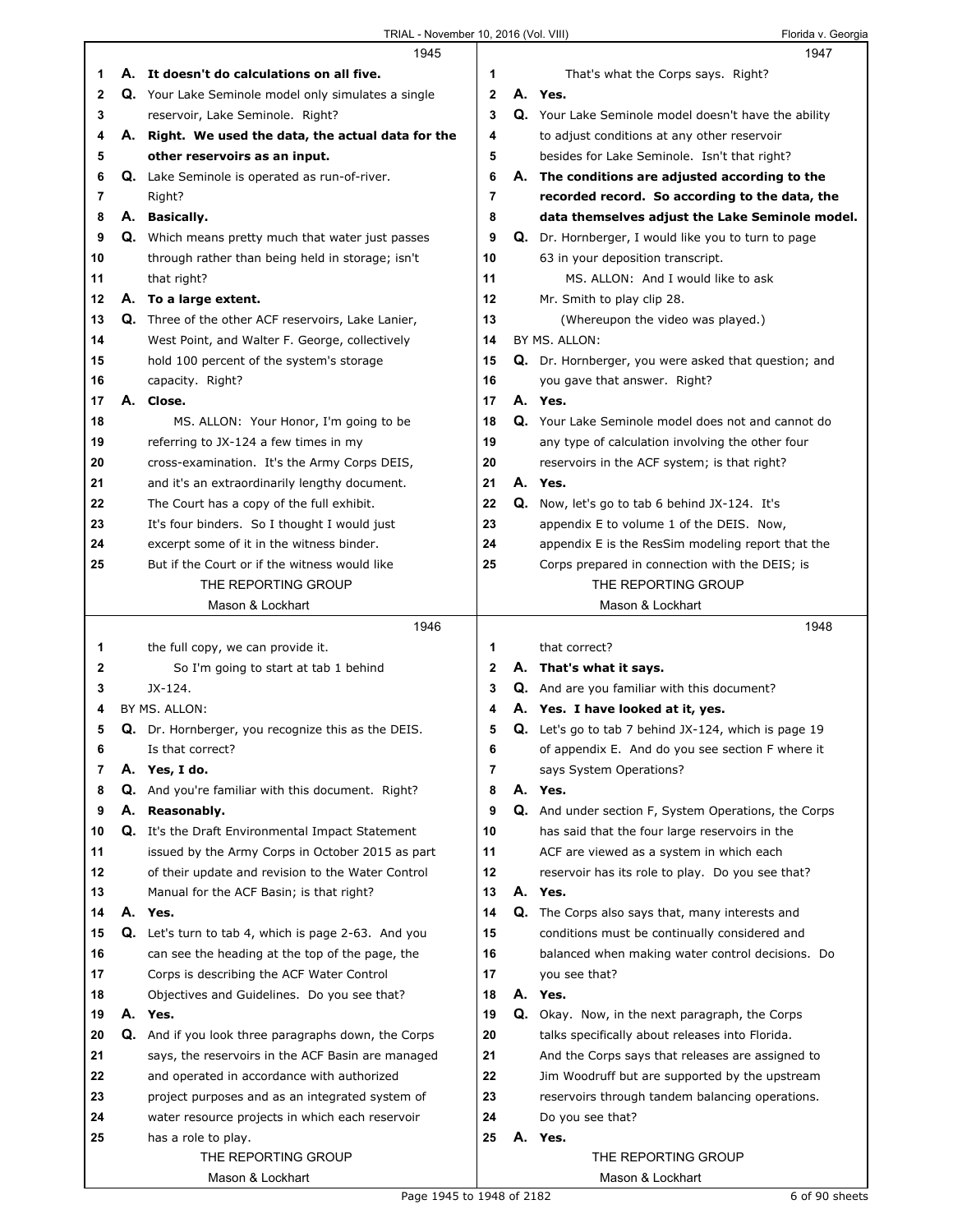|    |    | 1945                                                      |              | 1947                                                           |
|----|----|-----------------------------------------------------------|--------------|----------------------------------------------------------------|
| 1  |    | A. It doesn't do calculations on all five.                | 1            | That's what the Corps says. Right?                             |
| 2  |    | Q. Your Lake Seminole model only simulates a single       | $\mathbf{2}$ | A. Yes.                                                        |
| 3  |    | reservoir, Lake Seminole. Right?                          | 3            | Q. Your Lake Seminole model doesn't have the ability           |
| 4  |    | A. Right. We used the data, the actual data for the       | 4            | to adjust conditions at any other reservoir                    |
| 5  |    | other reservoirs as an input.                             | 5            | besides for Lake Seminole. Isn't that right?                   |
| 6  |    | Q. Lake Seminole is operated as run-of-river.             | 6            | A. The conditions are adjusted according to the                |
| 7  |    | Right?                                                    | 7            | recorded record. So according to the data, the                 |
| 8  |    | A. Basically.                                             | 8            | data themselves adjust the Lake Seminole model.                |
| 9  |    | <b>Q.</b> Which means pretty much that water just passes  | 9            | Q. Dr. Hornberger, I would like you to turn to page            |
| 10 |    | through rather than being held in storage; isn't          | 10           | 63 in your deposition transcript.                              |
| 11 |    | that right?                                               | 11           | MS. ALLON: And I would like to ask                             |
| 12 |    | A. To a large extent.                                     | 12           | Mr. Smith to play clip 28.                                     |
| 13 |    | <b>Q.</b> Three of the other ACF reservoirs, Lake Lanier, | 13           | (Whereupon the video was played.)                              |
| 14 |    | West Point, and Walter F. George, collectively            | 14           | BY MS. ALLON:                                                  |
| 15 |    | hold 100 percent of the system's storage                  | 15           | Q. Dr. Hornberger, you were asked that question; and           |
| 16 |    | capacity. Right?                                          | 16           | you gave that answer. Right?                                   |
| 17 | А. | Close.                                                    | 17           | A. Yes.                                                        |
| 18 |    | MS. ALLON: Your Honor, I'm going to be                    | 18           | Q. Your Lake Seminole model does not and cannot do             |
| 19 |    | referring to JX-124 a few times in my                     | 19           | any type of calculation involving the other four               |
| 20 |    | cross-examination. It's the Army Corps DEIS,              | 20           | reservoirs in the ACF system; is that right?                   |
| 21 |    |                                                           | 21           | A. Yes.                                                        |
|    |    | and it's an extraordinarily lengthy document.             |              |                                                                |
| 22 |    | The Court has a copy of the full exhibit.                 | 22           | Q. Now, let's go to tab 6 behind JX-124. It's                  |
| 23 |    | It's four binders. So I thought I would just              | 23           | appendix E to volume 1 of the DEIS. Now,                       |
| 24 |    | excerpt some of it in the witness binder.                 | 24           | appendix E is the ResSim modeling report that the              |
| 25 |    | But if the Court or if the witness would like             | 25           | Corps prepared in connection with the DEIS; is                 |
|    |    | THE REPORTING GROUP                                       |              | THE REPORTING GROUP                                            |
|    |    | Mason & Lockhart                                          |              | Mason & Lockhart                                               |
|    |    |                                                           |              |                                                                |
|    |    | 1946                                                      |              | 1948                                                           |
| 1  |    | the full copy, we can provide it.                         | 1            | that correct?                                                  |
| 2  |    | So I'm going to start at tab 1 behind                     | 2            | A. That's what it says.                                        |
| 3  |    | JX-124.                                                   | 3            | <b>Q.</b> And are you familiar with this document?             |
| 4  |    | BY MS. ALLON:                                             | 4            | A. Yes. I have looked at it, yes.                              |
| 5  |    | Q. Dr. Hornberger, you recognize this as the DEIS.        | 5            | <b>Q.</b> Let's go to tab 7 behind $JX-124$ , which is page 19 |
| 6  |    | Is that correct?                                          | 6            | of appendix E. And do you see section F where it               |
| 7  |    | A. Yes, I do.                                             | 7            | says System Operations?                                        |
| 8  |    | Q. And you're familiar with this document. Right?         | 8            | A. Yes.                                                        |
| 9  | А. | Reasonably.                                               | 9            | Q. And under section F, System Operations, the Corps           |
| 10 | Q. | It's the Draft Environmental Impact Statement             | 10           | has said that the four large reservoirs in the                 |
| 11 |    | issued by the Army Corps in October 2015 as part          | 11           | ACF are viewed as a system in which each                       |
| 12 |    | of their update and revision to the Water Control         | 12           | reservoir has its role to play. Do you see that?               |
| 13 |    | Manual for the ACF Basin; is that right?                  | 13           | A. Yes.                                                        |
| 14 | А. | Yes.                                                      | 14           | Q. The Corps also says that, many interests and                |
| 15 |    | Q. Let's turn to tab 4, which is page 2-63. And you       | 15           | conditions must be continually considered and                  |
| 16 |    | can see the heading at the top of the page, the           | 16           | balanced when making water control decisions. Do               |
| 17 |    | Corps is describing the ACF Water Control                 | 17           | you see that?                                                  |
| 18 |    | Objectives and Guidelines. Do you see that?               | 18           | A. Yes.                                                        |
| 19 |    | A. Yes.                                                   | 19           | Q. Okay. Now, in the next paragraph, the Corps                 |
| 20 | Q. | And if you look three paragraphs down, the Corps          | 20           | talks specifically about releases into Florida.                |
| 21 |    | says, the reservoirs in the ACF Basin are managed         | 21           | And the Corps says that releases are assigned to               |
| 22 |    | and operated in accordance with authorized                | 22           | Jim Woodruff but are supported by the upstream                 |
| 23 |    | project purposes and as an integrated system of           | 23           | reservoirs through tandem balancing operations.                |
| 24 |    | water resource projects in which each reservoir           | 24           | Do you see that?                                               |
| 25 |    | has a role to play.                                       | 25           | A. Yes.                                                        |
|    |    | THE REPORTING GROUP                                       |              | THE REPORTING GROUP                                            |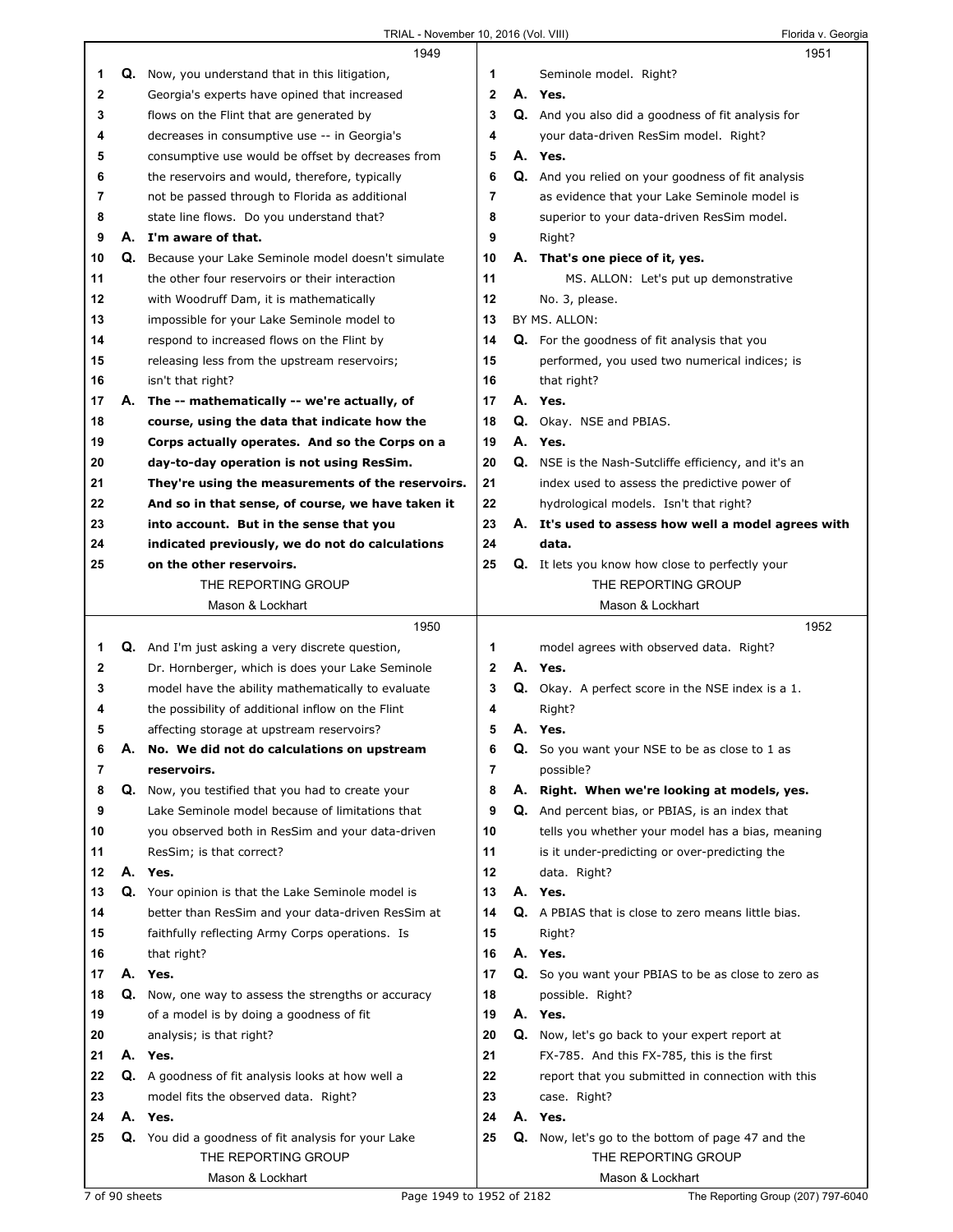|    |    | 1949                                                    |              |    | 1951                                                        |
|----|----|---------------------------------------------------------|--------------|----|-------------------------------------------------------------|
| 1  |    | Q. Now, you understand that in this litigation,         | 1            |    | Seminole model. Right?                                      |
| 2  |    | Georgia's experts have opined that increased            | $\mathbf{2}$ |    | A. Yes.                                                     |
| 3  |    | flows on the Flint that are generated by                | 3            |    | Q. And you also did a goodness of fit analysis for          |
| 4  |    | decreases in consumptive use -- in Georgia's            | 4            |    | your data-driven ResSim model. Right?                       |
| 5  |    | consumptive use would be offset by decreases from       | 5            |    | A. Yes.                                                     |
| 6  |    | the reservoirs and would, therefore, typically          | 6            |    | Q. And you relied on your goodness of fit analysis          |
| 7  |    | not be passed through to Florida as additional          | 7            |    | as evidence that your Lake Seminole model is                |
| 8  |    | state line flows. Do you understand that?               | 8            |    | superior to your data-driven ResSim model.                  |
| 9  |    | A. I'm aware of that.                                   | 9            |    | Right?                                                      |
| 10 |    | Q. Because your Lake Seminole model doesn't simulate    | 10           |    | A. That's one piece of it, yes.                             |
| 11 |    | the other four reservoirs or their interaction          | 11           |    | MS. ALLON: Let's put up demonstrative                       |
| 12 |    | with Woodruff Dam, it is mathematically                 | 12           |    | No. 3, please.                                              |
| 13 |    | impossible for your Lake Seminole model to              | 13           |    | BY MS. ALLON:                                               |
| 14 |    | respond to increased flows on the Flint by              | 14           |    | <b>Q.</b> For the goodness of fit analysis that you         |
| 15 |    | releasing less from the upstream reservoirs;            | 15           |    | performed, you used two numerical indices; is               |
| 16 |    | isn't that right?                                       | 16           |    | that right?                                                 |
| 17 | А. | The -- mathematically -- we're actually, of             | 17           |    | A. Yes.                                                     |
| 18 |    | course, using the data that indicate how the            | 18           |    | Q. Okay. NSE and PBIAS.                                     |
| 19 |    | Corps actually operates. And so the Corps on a          | 19           |    | A. Yes.                                                     |
| 20 |    | day-to-day operation is not using ResSim.               | 20           |    | <b>Q.</b> NSE is the Nash-Sutcliffe efficiency, and it's an |
| 21 |    | They're using the measurements of the reservoirs.       | 21           |    | index used to assess the predictive power of                |
| 22 |    | And so in that sense, of course, we have taken it       | 22           |    | hydrological models. Isn't that right?                      |
| 23 |    | into account. But in the sense that you                 | 23           |    | A. It's used to assess how well a model agrees with         |
| 24 |    | indicated previously, we do not do calculations         | 24           |    | data.                                                       |
| 25 |    | on the other reservoirs.                                | 25           |    | <b>Q.</b> It lets you know how close to perfectly your      |
|    |    | THE REPORTING GROUP                                     |              |    | THE REPORTING GROUP                                         |
|    |    | Mason & Lockhart                                        |              |    | Mason & Lockhart                                            |
|    |    | 1950                                                    |              |    |                                                             |
|    |    |                                                         |              |    | 1952                                                        |
| 1  |    | <b>Q.</b> And I'm just asking a very discrete question, | 1            |    | model agrees with observed data. Right?                     |
| 2  |    | Dr. Hornberger, which is does your Lake Seminole        | $\mathbf{2}$ |    | A. Yes.                                                     |
| 3  |    | model have the ability mathematically to evaluate       | 3            |    | Q. Okay. A perfect score in the NSE index is a 1.           |
| 4  |    | the possibility of additional inflow on the Flint       | 4            |    | Right?                                                      |
| 5  |    | affecting storage at upstream reservoirs?               | 5            |    | A. Yes.                                                     |
| 6  |    | A. No. We did not do calculations on upstream           | 6            |    | <b>Q.</b> So you want your NSE to be as close to 1 as       |
| 7  |    | reservoirs.                                             | 7            |    | possible?                                                   |
| 8  |    | Q. Now, you testified that you had to create your       | 8            | А. | Right. When we're looking at models, yes.                   |
| 9  |    | Lake Seminole model because of limitations that         | 9            |    | Q. And percent bias, or PBIAS, is an index that             |
| 10 |    | you observed both in ResSim and your data-driven        | 10           |    | tells you whether your model has a bias, meaning            |
| 11 |    | ResSim; is that correct?                                | 11           |    | is it under-predicting or over-predicting the               |
| 12 |    | A. Yes.                                                 | 12           |    | data. Right?                                                |
| 13 |    | Q. Your opinion is that the Lake Seminole model is      | 13           |    | A. Yes.                                                     |
| 14 |    | better than ResSim and your data-driven ResSim at       | 14           |    | Q. A PBIAS that is close to zero means little bias.         |
| 15 |    | faithfully reflecting Army Corps operations. Is         | 15           |    | Right?                                                      |
| 16 |    | that right?                                             | 16           |    | A. Yes.                                                     |
| 17 | А. | Yes.                                                    | 17           |    | Q. So you want your PBIAS to be as close to zero as         |
| 18 |    | Q. Now, one way to assess the strengths or accuracy     | 18           |    | possible. Right?                                            |
| 19 |    | of a model is by doing a goodness of fit                | 19           |    | A. Yes.                                                     |
| 20 |    | analysis; is that right?                                | 20           | Q. | Now, let's go back to your expert report at                 |
| 21 |    | A. Yes.                                                 | 21           |    | FX-785. And this FX-785, this is the first                  |
| 22 |    | Q. A goodness of fit analysis looks at how well a       | 22           |    | report that you submitted in connection with this           |
| 23 |    | model fits the observed data. Right?                    | 23           |    | case. Right?                                                |
| 24 |    | A. Yes.                                                 | 24           |    | A. Yes.                                                     |
| 25 |    | Q. You did a goodness of fit analysis for your Lake     | 25           |    | Q. Now, let's go to the bottom of page 47 and the           |
|    |    | THE REPORTING GROUP<br>Mason & Lockhart                 |              |    | THE REPORTING GROUP<br>Mason & Lockhart                     |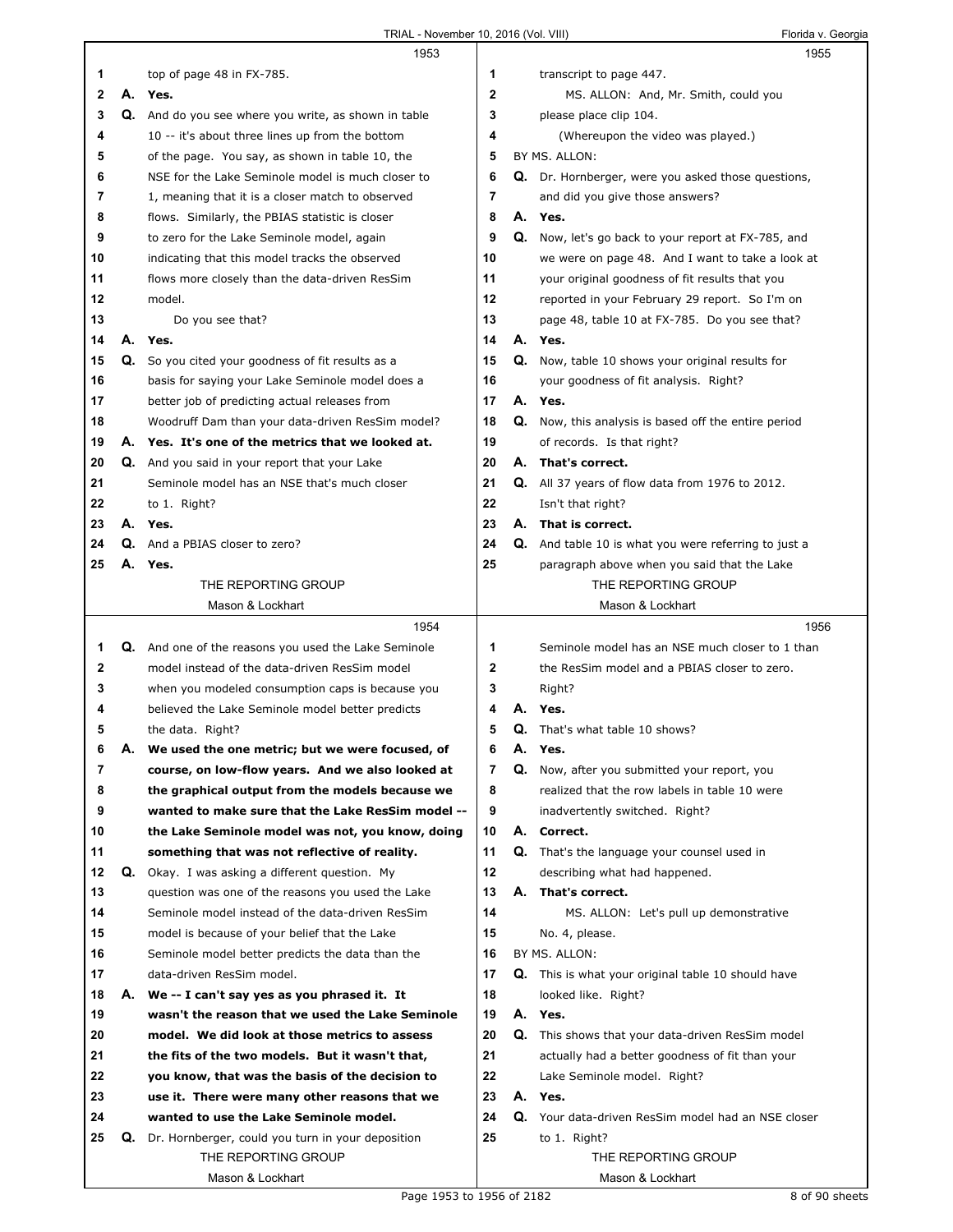$\Gamma$ 

|    |    | 1953                                                 |              |    | 1955                                                        |
|----|----|------------------------------------------------------|--------------|----|-------------------------------------------------------------|
| 1  |    | top of page 48 in FX-785.                            | 1            |    | transcript to page 447.                                     |
| 2  | А. | Yes.                                                 | 2            |    | MS. ALLON: And, Mr. Smith, could you                        |
| 3  |    | Q. And do you see where you write, as shown in table | 3            |    | please place clip 104.                                      |
| 4  |    | 10 -- it's about three lines up from the bottom      | 4            |    | (Whereupon the video was played.)                           |
| 5  |    | of the page. You say, as shown in table 10, the      | 5            |    | BY MS. ALLON:                                               |
| 6  |    | NSE for the Lake Seminole model is much closer to    | 6            |    | Q. Dr. Hornberger, were you asked those questions,          |
| 7  |    | 1, meaning that it is a closer match to observed     | 7            |    | and did you give those answers?                             |
| 8  |    | flows. Similarly, the PBIAS statistic is closer      | 8            |    | A. Yes.                                                     |
| 9  |    | to zero for the Lake Seminole model, again           | 9            |    | Q. Now, let's go back to your report at FX-785, and         |
| 10 |    | indicating that this model tracks the observed       | 10           |    | we were on page 48. And I want to take a look at            |
| 11 |    | flows more closely than the data-driven ResSim       | 11           |    | your original goodness of fit results that you              |
| 12 |    | model.                                               | 12           |    | reported in your February 29 report. So I'm on              |
| 13 |    | Do you see that?                                     | 13           |    | page 48, table 10 at FX-785. Do you see that?               |
| 14 | А. | Yes.                                                 | 14           |    | A. Yes.                                                     |
| 15 | Q. | So you cited your goodness of fit results as a       | 15           |    | Q. Now, table 10 shows your original results for            |
| 16 |    | basis for saying your Lake Seminole model does a     | 16           |    | your goodness of fit analysis. Right?                       |
| 17 |    | better job of predicting actual releases from        | 17           |    | A. Yes.                                                     |
| 18 |    | Woodruff Dam than your data-driven ResSim model?     | 18           |    | <b>Q.</b> Now, this analysis is based off the entire period |
| 19 |    | A. Yes. It's one of the metrics that we looked at.   | 19           |    | of records. Is that right?                                  |
| 20 |    | Q. And you said in your report that your Lake        | 20           |    | A. That's correct.                                          |
| 21 |    | Seminole model has an NSE that's much closer         | 21           |    | Q. All 37 years of flow data from 1976 to 2012.             |
| 22 |    | to 1. Right?                                         | 22           |    | Isn't that right?                                           |
| 23 |    | A. Yes.                                              | 23           |    | A. That is correct.                                         |
| 24 |    | <b>Q.</b> And a PBIAS closer to zero?                | 24           |    |                                                             |
|    |    |                                                      | 25           |    | <b>Q.</b> And table 10 is what you were referring to just a |
| 25 | А. | Yes.                                                 |              |    | paragraph above when you said that the Lake                 |
|    |    | THE REPORTING GROUP                                  |              |    | THE REPORTING GROUP                                         |
|    |    | Mason & Lockhart<br>1954                             |              |    | Mason & Lockhart                                            |
| 1  |    | Q. And one of the reasons you used the Lake Seminole |              |    | 1956                                                        |
|    |    |                                                      |              |    |                                                             |
|    |    |                                                      | 1            |    | Seminole model has an NSE much closer to 1 than             |
| 2  |    | model instead of the data-driven ResSim model        | $\mathbf{2}$ |    | the ResSim model and a PBIAS closer to zero.                |
| 3  |    | when you modeled consumption caps is because you     | 3            |    | Right?                                                      |
| 4  |    | believed the Lake Seminole model better predicts     | 4            |    | Yes.                                                        |
| 5  |    | the data. Right?                                     | 5            | Q. | That's what table 10 shows?                                 |
| 6  | А. | We used the one metric; but we were focused, of      | 6            | А. | Yes.                                                        |
| 7  |    | course, on low-flow years. And we also looked at     | 7            |    | Q. Now, after you submitted your report, you                |
| 8  |    | the graphical output from the models because we      | 8            |    | realized that the row labels in table 10 were               |
| 9  |    | wanted to make sure that the Lake ResSim model --    | 9            |    | inadvertently switched. Right?                              |
| 10 |    | the Lake Seminole model was not, you know, doing     | 10           |    | A. Correct.                                                 |
| 11 |    | something that was not reflective of reality.        | 11           |    | <b>Q.</b> That's the language your counsel used in          |
| 12 |    | Q. Okay. I was asking a different question. My       | 12           |    | describing what had happened.                               |
| 13 |    | question was one of the reasons you used the Lake    | 13           |    | A. That's correct.                                          |
| 14 |    | Seminole model instead of the data-driven ResSim     | 14           |    | MS. ALLON: Let's pull up demonstrative                      |
| 15 |    | model is because of your belief that the Lake        | 15           |    | No. 4, please.                                              |
| 16 |    | Seminole model better predicts the data than the     | 16           |    | BY MS. ALLON:                                               |
| 17 |    | data-driven ResSim model.                            | 17           |    | <b>Q.</b> This is what your original table 10 should have   |
| 18 | А. | We -- I can't say yes as you phrased it. It          | 18           |    | looked like. Right?                                         |
| 19 |    | wasn't the reason that we used the Lake Seminole     | 19           |    | A. Yes.                                                     |
| 20 |    | model. We did look at those metrics to assess        | 20           |    | Q. This shows that your data-driven ResSim model            |
| 21 |    | the fits of the two models. But it wasn't that,      | 21           |    | actually had a better goodness of fit than your             |
| 22 |    | you know, that was the basis of the decision to      | 22           |    | Lake Seminole model. Right?                                 |
| 23 |    | use it. There were many other reasons that we        | 23           |    | A. Yes.                                                     |
| 24 |    | wanted to use the Lake Seminole model.               | 24           |    | Q. Your data-driven ResSim model had an NSE closer          |
| 25 |    | Q. Dr. Hornberger, could you turn in your deposition | 25           |    | to 1. Right?                                                |
|    |    | THE REPORTING GROUP<br>Mason & Lockhart              |              |    | THE REPORTING GROUP<br>Mason & Lockhart                     |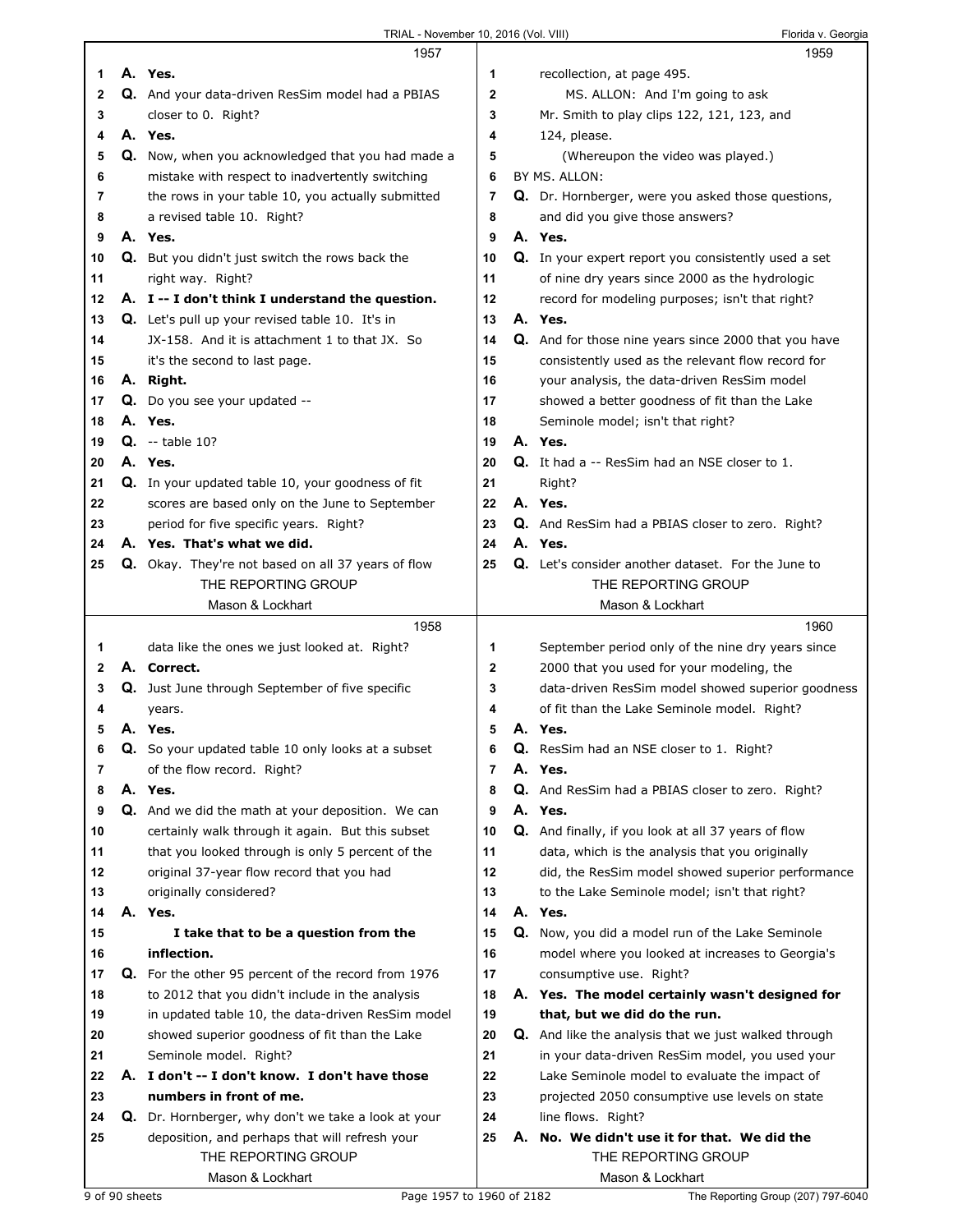|    |    | 1957                                                                  |                |    | 1959                                                        |
|----|----|-----------------------------------------------------------------------|----------------|----|-------------------------------------------------------------|
| 1  |    | A. Yes.                                                               | 1              |    | recollection, at page 495.                                  |
| 2  |    | Q. And your data-driven ResSim model had a PBIAS                      | $\overline{2}$ |    | MS. ALLON: And I'm going to ask                             |
| 3  |    | closer to 0. Right?                                                   | 3              |    | Mr. Smith to play clips 122, 121, 123, and                  |
| 4  |    | A. Yes.                                                               | 4              |    | 124, please.                                                |
|    |    | Q. Now, when you acknowledged that you had made a                     | 5              |    |                                                             |
| 5  |    |                                                                       |                |    | (Whereupon the video was played.)                           |
| 6  |    | mistake with respect to inadvertently switching                       | 6              |    | BY MS. ALLON:                                               |
| 7  |    | the rows in your table 10, you actually submitted                     | 7              |    | Q. Dr. Hornberger, were you asked those questions,          |
| 8  |    | a revised table 10. Right?                                            | 8              |    | and did you give those answers?                             |
| 9  |    | A. Yes.                                                               | 9              |    | A. Yes.                                                     |
| 10 |    | Q. But you didn't just switch the rows back the                       | 10             |    | Q. In your expert report you consistently used a set        |
| 11 |    | right way. Right?                                                     | 11             |    | of nine dry years since 2000 as the hydrologic              |
| 12 |    | A. I -- I don't think I understand the question.                      | 12             |    | record for modeling purposes; isn't that right?             |
| 13 |    | <b>Q.</b> Let's pull up your revised table 10. It's in                | 13             |    | A. Yes.                                                     |
| 14 |    | JX-158. And it is attachment 1 to that JX. So                         | 14             |    | Q. And for those nine years since 2000 that you have        |
| 15 |    | it's the second to last page.                                         | 15             |    | consistently used as the relevant flow record for           |
| 16 |    | A. Right.                                                             | 16             |    | your analysis, the data-driven ResSim model                 |
|    |    |                                                                       |                |    |                                                             |
| 17 |    | Q. Do you see your updated --                                         | 17             |    | showed a better goodness of fit than the Lake               |
| 18 |    | A. Yes.                                                               | 18             |    | Seminole model; isn't that right?                           |
| 19 |    | $Q. -$ table 10?                                                      | 19             |    | A. Yes.                                                     |
| 20 |    | A. Yes.                                                               | 20             |    | Q. It had a -- ResSim had an NSE closer to 1.               |
| 21 |    | Q. In your updated table 10, your goodness of fit                     | 21             |    | Right?                                                      |
| 22 |    | scores are based only on the June to September                        | 22             |    | A. Yes.                                                     |
| 23 |    | period for five specific years. Right?                                | 23             |    | Q. And ResSim had a PBIAS closer to zero. Right?            |
| 24 |    | A. Yes. That's what we did.                                           | 24             |    | A. Yes.                                                     |
| 25 |    | Q. Okay. They're not based on all 37 years of flow                    | 25             |    | <b>Q.</b> Let's consider another dataset. For the June to   |
|    |    | THE REPORTING GROUP                                                   |                |    | THE REPORTING GROUP                                         |
|    |    | Mason & Lockhart                                                      |                |    | Mason & Lockhart                                            |
|    |    |                                                                       |                |    |                                                             |
|    |    | 1958                                                                  |                |    | 1960                                                        |
|    |    |                                                                       |                |    |                                                             |
| 1. |    | data like the ones we just looked at. Right?                          | 1              |    | September period only of the nine dry years since           |
| 2  |    | A. Correct.                                                           | $\mathbf{2}$   |    | 2000 that you used for your modeling, the                   |
| 3  |    | Q. Just June through September of five specific                       | 3              |    | data-driven ResSim model showed superior goodness           |
| 4  |    | years.                                                                | 4              |    | of fit than the Lake Seminole model. Right?                 |
| 5  |    | A. Yes.                                                               | 5              |    | A. Yes.                                                     |
| 6  | Q. | So your updated table 10 only looks at a subset                       | 6              | Q. | ResSim had an NSE closer to 1. Right?                       |
| 7  |    | of the flow record. Right?                                            | $\overline{7}$ |    | A. Yes.                                                     |
| 8  |    | A. Yes.                                                               | 8              |    | Q. And ResSim had a PBIAS closer to zero. Right?            |
| 9  |    | Q. And we did the math at your deposition. We can                     | 9              |    | A. Yes.                                                     |
| 10 |    | certainly walk through it again. But this subset                      | 10             |    | Q. And finally, if you look at all 37 years of flow         |
| 11 |    | that you looked through is only 5 percent of the                      | 11             |    | data, which is the analysis that you originally             |
| 12 |    | original 37-year flow record that you had                             | 12             |    | did, the ResSim model showed superior performance           |
| 13 |    | originally considered?                                                | 13             |    | to the Lake Seminole model; isn't that right?               |
| 14 |    | A. Yes.                                                               | 14             |    | A. Yes.                                                     |
| 15 |    | I take that to be a question from the                                 | 15             |    | Q. Now, you did a model run of the Lake Seminole            |
| 16 |    | inflection.                                                           | 16             |    | model where you looked at increases to Georgia's            |
| 17 |    | Q. For the other 95 percent of the record from 1976                   | 17             |    | consumptive use. Right?                                     |
| 18 |    | to 2012 that you didn't include in the analysis                       | 18             |    | A. Yes. The model certainly wasn't designed for             |
| 19 |    | in updated table 10, the data-driven ResSim model                     | 19             |    | that, but we did do the run.                                |
| 20 |    | showed superior goodness of fit than the Lake                         | 20             |    | <b>Q.</b> And like the analysis that we just walked through |
| 21 |    | Seminole model. Right?                                                | 21             |    | in your data-driven ResSim model, you used your             |
| 22 |    | A. I don't -- I don't know. I don't have those                        | 22             |    | Lake Seminole model to evaluate the impact of               |
| 23 |    | numbers in front of me.                                               | 23             |    | projected 2050 consumptive use levels on state              |
| 24 |    |                                                                       | 24             |    | line flows. Right?                                          |
| 25 |    | Q. Dr. Hornberger, why don't we take a look at your                   | 25             |    | A. No. We didn't use it for that. We did the                |
|    |    | deposition, and perhaps that will refresh your<br>THE REPORTING GROUP |                |    | THE REPORTING GROUP                                         |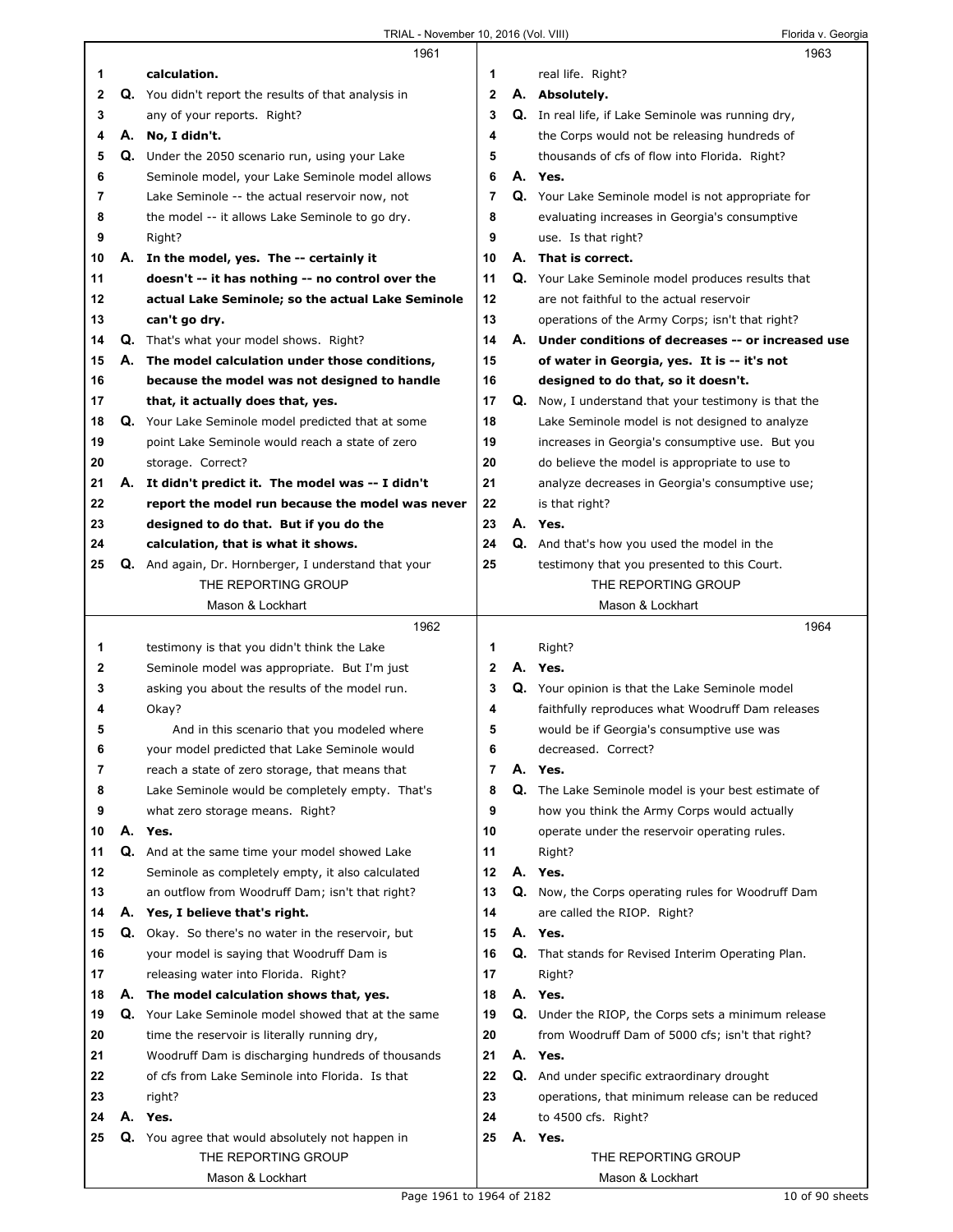|          |    | 1961                                                                                                 |                |    | 1963                                                                                           |  |
|----------|----|------------------------------------------------------------------------------------------------------|----------------|----|------------------------------------------------------------------------------------------------|--|
| 1        |    | calculation.                                                                                         | 1              |    | real life. Right?                                                                              |  |
| 2        |    | <b>Q.</b> You didn't report the results of that analysis in                                          | $\mathbf{2}$   |    | A. Absolutely.                                                                                 |  |
| 3        |    | any of your reports. Right?                                                                          | 3              |    | Q. In real life, if Lake Seminole was running dry,                                             |  |
| 4        | А. | No, I didn't.                                                                                        | 4              |    | the Corps would not be releasing hundreds of                                                   |  |
| 5        | Q. | Under the 2050 scenario run, using your Lake                                                         | 5              |    | thousands of cfs of flow into Florida. Right?                                                  |  |
| 6        |    | Seminole model, your Lake Seminole model allows                                                      | 6              |    | A. Yes.                                                                                        |  |
| 7        |    | Lake Seminole -- the actual reservoir now, not                                                       | 7              |    | <b>Q.</b> Your Lake Seminole model is not appropriate for                                      |  |
| 8        |    | the model -- it allows Lake Seminole to go dry.                                                      | 8              |    | evaluating increases in Georgia's consumptive                                                  |  |
| 9        |    | Right?                                                                                               | 9              |    | use. Is that right?                                                                            |  |
| 10       | А. | In the model, yes. The -- certainly it                                                               | 10             |    | A. That is correct.                                                                            |  |
| 11       |    | doesn't -- it has nothing -- no control over the                                                     | 11             |    | Q. Your Lake Seminole model produces results that                                              |  |
| 12       |    | actual Lake Seminole; so the actual Lake Seminole                                                    | 12             |    | are not faithful to the actual reservoir                                                       |  |
| 13       |    | can't go dry.                                                                                        | 13             |    | operations of the Army Corps; isn't that right?                                                |  |
| 14       |    | <b>Q.</b> That's what your model shows. Right?                                                       | 14             |    | A. Under conditions of decreases -- or increased use                                           |  |
| 15       | А. | The model calculation under those conditions,                                                        | 15             |    | of water in Georgia, yes. It is -- it's not                                                    |  |
| 16       |    | because the model was not designed to handle                                                         | 16             |    | designed to do that, so it doesn't.                                                            |  |
| 17       |    | that, it actually does that, yes.                                                                    | 17             |    | <b>Q.</b> Now, I understand that your testimony is that the                                    |  |
| 18       |    | Q. Your Lake Seminole model predicted that at some                                                   | 18             |    | Lake Seminole model is not designed to analyze                                                 |  |
| 19       |    | point Lake Seminole would reach a state of zero                                                      | 19             |    | increases in Georgia's consumptive use. But you                                                |  |
| 20       |    | storage. Correct?                                                                                    | 20             |    | do believe the model is appropriate to use to                                                  |  |
| 21       | А. | It didn't predict it. The model was -- I didn't                                                      | 21             |    | analyze decreases in Georgia's consumptive use;                                                |  |
| 22       |    | report the model run because the model was never                                                     | 22             |    | is that right?                                                                                 |  |
| 23       |    | designed to do that. But if you do the                                                               | 23             |    | A. Yes.                                                                                        |  |
| 24       |    | calculation, that is what it shows.                                                                  | 24             |    | Q. And that's how you used the model in the                                                    |  |
| 25       | Q. | And again, Dr. Hornberger, I understand that your                                                    | 25             |    | testimony that you presented to this Court.                                                    |  |
|          |    | THE REPORTING GROUP                                                                                  |                |    | THE REPORTING GROUP                                                                            |  |
|          |    | Mason & Lockhart                                                                                     |                |    | Mason & Lockhart                                                                               |  |
|          |    |                                                                                                      |                |    |                                                                                                |  |
|          |    | 1962                                                                                                 |                |    | 1964                                                                                           |  |
| 1        |    | testimony is that you didn't think the Lake                                                          | 1              |    | Right?                                                                                         |  |
| 2        |    | Seminole model was appropriate. But I'm just                                                         | $\overline{2}$ | А. | Yes.                                                                                           |  |
| 3        |    | asking you about the results of the model run.                                                       | 3              |    | Q. Your opinion is that the Lake Seminole model                                                |  |
| 4        |    | Okay?                                                                                                | 4              |    | faithfully reproduces what Woodruff Dam releases                                               |  |
| 5        |    | And in this scenario that you modeled where                                                          | 5              |    | would be if Georgia's consumptive use was                                                      |  |
| 6        |    | your model predicted that Lake Seminole would                                                        | 6              |    | decreased. Correct?                                                                            |  |
| 7        |    | reach a state of zero storage, that means that                                                       | 7              |    | A. Yes.                                                                                        |  |
| 8        |    | Lake Seminole would be completely empty. That's                                                      | 8              |    | Q. The Lake Seminole model is your best estimate of                                            |  |
| 9        |    | what zero storage means. Right?                                                                      | 9              |    | how you think the Army Corps would actually                                                    |  |
| 10       |    | A. Yes.                                                                                              | 10             |    | operate under the reservoir operating rules.                                                   |  |
| 11       |    | Q. And at the same time your model showed Lake                                                       | 11             |    | Right?                                                                                         |  |
| 12       |    | Seminole as completely empty, it also calculated                                                     | 12             |    | A. Yes.                                                                                        |  |
| 13       |    | an outflow from Woodruff Dam; isn't that right?                                                      | 13             |    | Q. Now, the Corps operating rules for Woodruff Dam                                             |  |
| 14       | А. | Yes, I believe that's right.                                                                         | 14             |    | are called the RIOP. Right?                                                                    |  |
| 15       |    | <b>Q.</b> Okay. So there's no water in the reservoir, but                                            | 15             |    | A. Yes.                                                                                        |  |
| 16       |    | your model is saying that Woodruff Dam is                                                            | 16             |    | Q. That stands for Revised Interim Operating Plan.                                             |  |
| 17<br>18 |    | releasing water into Florida. Right?                                                                 | 17<br>18       |    | Right?<br>A. Yes.                                                                              |  |
| 19       | Q. | A. The model calculation shows that, yes.<br>Your Lake Seminole model showed that at the same        | 19             |    |                                                                                                |  |
| 20       |    |                                                                                                      | 20             |    | Q. Under the RIOP, the Corps sets a minimum release                                            |  |
| 21       |    | time the reservoir is literally running dry,                                                         | 21             |    | from Woodruff Dam of 5000 cfs; isn't that right?<br>A. Yes.                                    |  |
| 22       |    | Woodruff Dam is discharging hundreds of thousands<br>of cfs from Lake Seminole into Florida. Is that | 22             |    |                                                                                                |  |
| 23       |    | right?                                                                                               | 23             |    | Q. And under specific extraordinary drought<br>operations, that minimum release can be reduced |  |
| 24       |    | A. Yes.                                                                                              | 24             |    | to 4500 cfs. Right?                                                                            |  |
| 25       | Q. | You agree that would absolutely not happen in                                                        | 25             |    | A. Yes.                                                                                        |  |
|          |    | THE REPORTING GROUP                                                                                  |                |    | THE REPORTING GROUP                                                                            |  |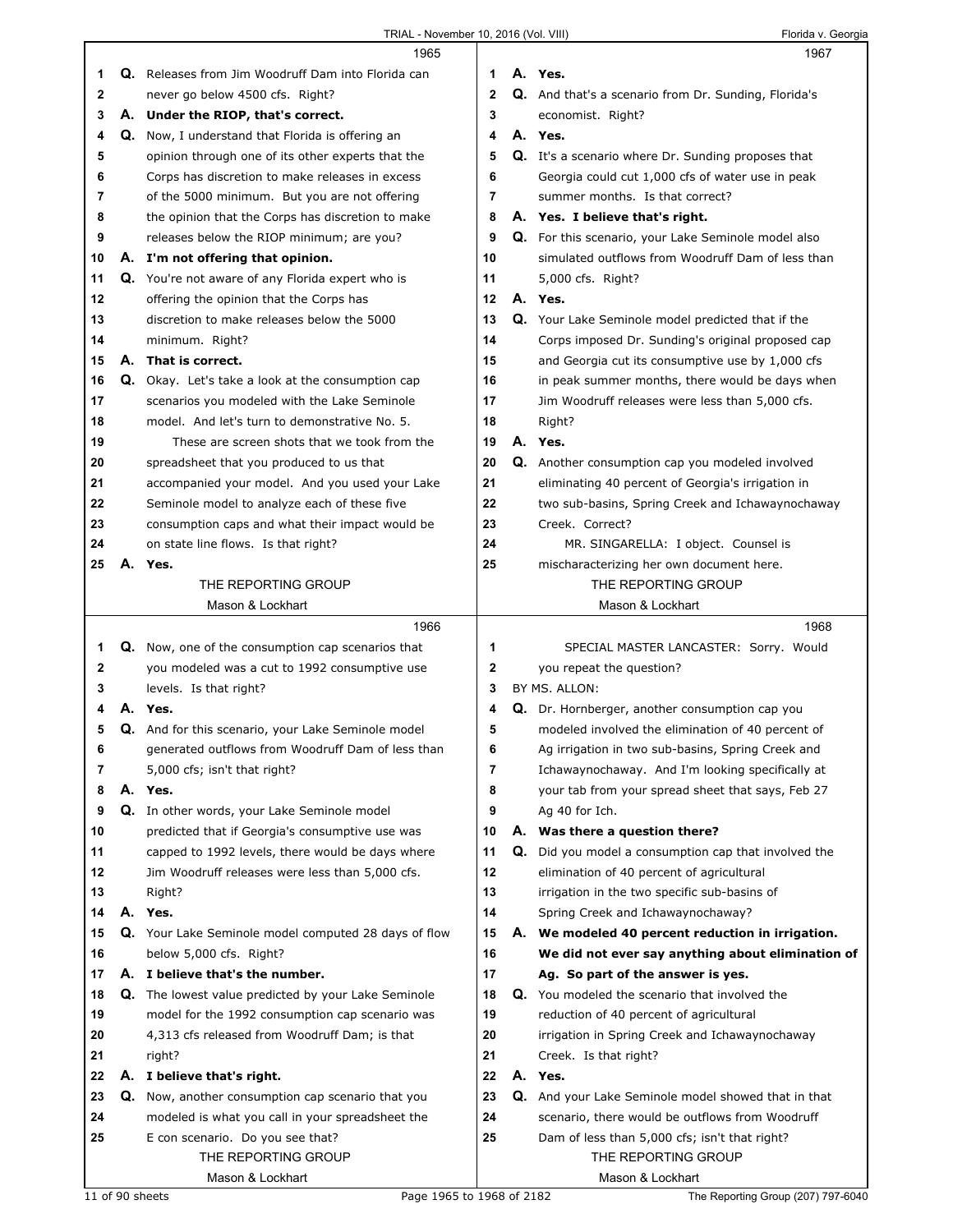|          |    | 1965                                                       |              |    | 1967                                                      |
|----------|----|------------------------------------------------------------|--------------|----|-----------------------------------------------------------|
| 1.       |    | Q. Releases from Jim Woodruff Dam into Florida can         | 1            |    | A. Yes.                                                   |
| 2        |    | never go below 4500 cfs. Right?                            | $\mathbf{2}$ |    | Q. And that's a scenario from Dr. Sunding, Florida's      |
| 3        |    | A. Under the RIOP, that's correct.                         | 3            |    | economist. Right?                                         |
| 4        |    | <b>Q.</b> Now, I understand that Florida is offering an    | 4            |    | A. Yes.                                                   |
| 5        |    | opinion through one of its other experts that the          | 5            |    | <b>Q.</b> It's a scenario where Dr. Sunding proposes that |
| 6        |    | Corps has discretion to make releases in excess            | 6            |    | Georgia could cut 1,000 cfs of water use in peak          |
| 7        |    | of the 5000 minimum. But you are not offering              | 7            |    | summer months. Is that correct?                           |
| 8        |    | the opinion that the Corps has discretion to make          | 8            |    | A. Yes. I believe that's right.                           |
| 9        |    | releases below the RIOP minimum; are you?                  | 9            |    | Q. For this scenario, your Lake Seminole model also       |
| 10       |    | A. I'm not offering that opinion.                          | 10           |    | simulated outflows from Woodruff Dam of less than         |
| 11       | Q. | You're not aware of any Florida expert who is              | 11           |    | 5,000 cfs. Right?                                         |
| 12       |    | offering the opinion that the Corps has                    | 12           |    | A. Yes.                                                   |
| 13       |    | discretion to make releases below the 5000                 | 13           |    | Q. Your Lake Seminole model predicted that if the         |
| 14       |    | minimum. Right?                                            | 14           |    | Corps imposed Dr. Sunding's original proposed cap         |
| 15       | А. | That is correct.                                           | 15           |    | and Georgia cut its consumptive use by 1,000 cfs          |
| 16       | Q. | Okay. Let's take a look at the consumption cap             | 16           |    | in peak summer months, there would be days when           |
| 17       |    | scenarios you modeled with the Lake Seminole               | 17           |    | Jim Woodruff releases were less than 5,000 cfs.           |
| 18       |    | model. And let's turn to demonstrative No. 5.              | 18           |    | Right?                                                    |
| 19       |    | These are screen shots that we took from the               | 19           |    | A. Yes.                                                   |
| 20       |    | spreadsheet that you produced to us that                   | 20           |    | <b>Q.</b> Another consumption cap you modeled involved    |
|          |    | accompanied your model. And you used your Lake             | 21           |    | eliminating 40 percent of Georgia's irrigation in         |
| 21<br>22 |    | Seminole model to analyze each of these five               | 22           |    | two sub-basins, Spring Creek and Ichawaynochaway          |
|          |    |                                                            |              |    |                                                           |
| 23       |    | consumption caps and what their impact would be            | 23           |    | Creek. Correct?                                           |
| 24       |    | on state line flows. Is that right?                        | 24           |    | MR. SINGARELLA: I object. Counsel is                      |
| 25       |    | A. Yes.                                                    | 25           |    | mischaracterizing her own document here.                  |
|          |    | THE REPORTING GROUP                                        |              |    | THE REPORTING GROUP                                       |
|          |    | Mason & Lockhart                                           |              |    | Mason & Lockhart                                          |
|          |    |                                                            |              |    |                                                           |
|          |    | 1966                                                       |              |    | 1968                                                      |
| 1        |    | <b>Q.</b> Now, one of the consumption cap scenarios that   | 1            |    | SPECIAL MASTER LANCASTER: Sorry. Would                    |
| 2        |    | you modeled was a cut to 1992 consumptive use              | 2            |    | you repeat the question?                                  |
| 3        |    | levels. Is that right?                                     | 3            |    | BY MS. ALLON:                                             |
| 4        |    | A. Yes.                                                    | 4            |    | Q. Dr. Hornberger, another consumption cap you            |
| 5        |    | Q. And for this scenario, your Lake Seminole model         | 5            |    | modeled involved the elimination of 40 percent of         |
| 6        |    | generated outflows from Woodruff Dam of less than          | 6            |    | Ag irrigation in two sub-basins, Spring Creek and         |
| 7        |    | 5,000 cfs; isn't that right?                               | 7            |    | Ichawaynochaway. And I'm looking specifically at          |
| 8        |    | A. Yes.                                                    | 8            |    | your tab from your spread sheet that says, Feb 27         |
| 9        |    | Q. In other words, your Lake Seminole model                | 9            |    | Ag 40 for Ich.                                            |
| 10       |    | predicted that if Georgia's consumptive use was            | 10           |    | A. Was there a question there?                            |
| 11       |    | capped to 1992 levels, there would be days where           | 11           | Q. | Did you model a consumption cap that involved the         |
| 12       |    | Jim Woodruff releases were less than 5,000 cfs.            | 12           |    | elimination of 40 percent of agricultural                 |
| 13       |    | Right?                                                     | 13           |    | irrigation in the two specific sub-basins of              |
| 14       |    | A. Yes.                                                    | 14           |    | Spring Creek and Ichawaynochaway?                         |
| 15       |    | Q. Your Lake Seminole model computed 28 days of flow       | 15           |    | A. We modeled 40 percent reduction in irrigation.         |
| 16       |    | below 5,000 cfs. Right?                                    | 16           |    | We did not ever say anything about elimination of         |
| 17       |    | A. I believe that's the number.                            | 17           |    | Ag. So part of the answer is yes.                         |
| 18       |    | <b>Q.</b> The lowest value predicted by your Lake Seminole | 18           |    | Q. You modeled the scenario that involved the             |
| 19       |    | model for the 1992 consumption cap scenario was            | 19           |    | reduction of 40 percent of agricultural                   |
| 20       |    | 4,313 cfs released from Woodruff Dam; is that              | 20           |    | irrigation in Spring Creek and Ichawaynochaway            |
| 21       |    | right?                                                     | 21           |    | Creek. Is that right?                                     |
| 22       |    | A. I believe that's right.                                 | 22           |    | A. Yes.                                                   |
| 23       | Q. | Now, another consumption cap scenario that you             | 23           |    | Q. And your Lake Seminole model showed that in that       |
| 24       |    | modeled is what you call in your spreadsheet the           | 24           |    | scenario, there would be outflows from Woodruff           |
| 25       |    | E con scenario. Do you see that?                           | 25           |    | Dam of less than 5,000 cfs; isn't that right?             |
|          |    | THE REPORTING GROUP<br>Mason & Lockhart                    |              |    | THE REPORTING GROUP<br>Mason & Lockhart                   |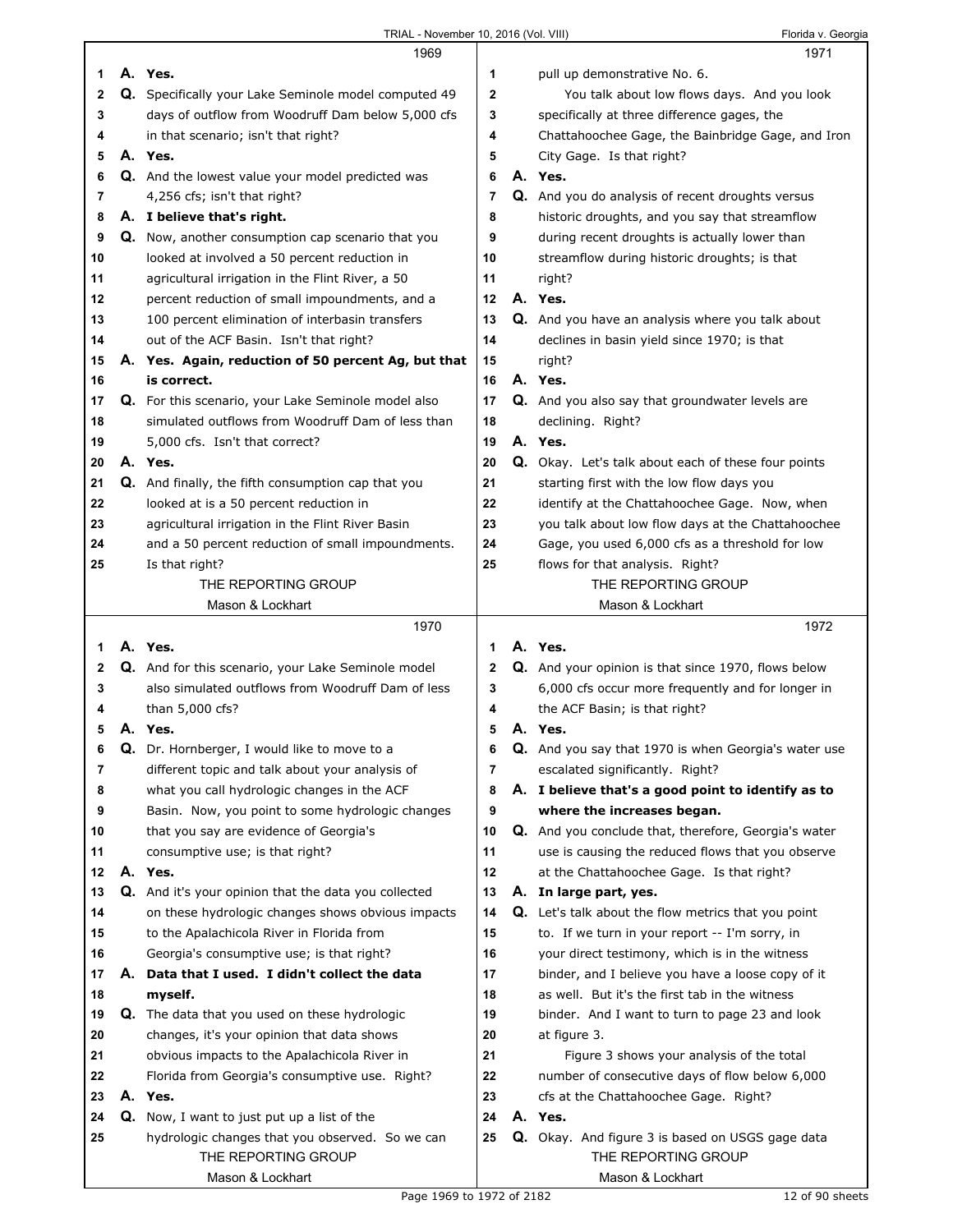|    | 1969                                                        |             | 1971                                                       |  |
|----|-------------------------------------------------------------|-------------|------------------------------------------------------------|--|
| 1  | A. Yes.                                                     | 1           | pull up demonstrative No. 6.                               |  |
| 2  | <b>Q.</b> Specifically your Lake Seminole model computed 49 | $\mathbf 2$ | You talk about low flows days. And you look                |  |
| 3  | days of outflow from Woodruff Dam below 5,000 cfs           | 3           | specifically at three difference gages, the                |  |
| 4  | in that scenario; isn't that right?                         | 4           | Chattahoochee Gage, the Bainbridge Gage, and Iron          |  |
| 5  | A. Yes.                                                     | 5           | City Gage. Is that right?                                  |  |
| 6  | Q. And the lowest value your model predicted was            | 6           | A. Yes.                                                    |  |
| 7  | 4,256 cfs; isn't that right?                                | 7           | Q. And you do analysis of recent droughts versus           |  |
| 8  | A. I believe that's right.                                  | 8           | historic droughts, and you say that streamflow             |  |
| 9  | Q. Now, another consumption cap scenario that you           | 9           | during recent droughts is actually lower than              |  |
| 10 | looked at involved a 50 percent reduction in                | 10          | streamflow during historic droughts; is that               |  |
| 11 | agricultural irrigation in the Flint River, a 50            | 11          | right?                                                     |  |
| 12 | percent reduction of small impoundments, and a              | 12          | A. Yes.                                                    |  |
| 13 | 100 percent elimination of interbasin transfers             | 13          | Q. And you have an analysis where you talk about           |  |
| 14 | out of the ACF Basin. Isn't that right?                     | 14          | declines in basin yield since 1970; is that                |  |
| 15 | A. Yes. Again, reduction of 50 percent Ag, but that         | 15          | right?                                                     |  |
| 16 | is correct.                                                 | 16          | A. Yes.                                                    |  |
| 17 | Q. For this scenario, your Lake Seminole model also         | 17          | Q. And you also say that groundwater levels are            |  |
| 18 | simulated outflows from Woodruff Dam of less than           | 18          | declining. Right?                                          |  |
| 19 | 5,000 cfs. Isn't that correct?                              | 19          | A. Yes.                                                    |  |
| 20 | A. Yes.                                                     | 20          | Q. Okay. Let's talk about each of these four points        |  |
| 21 | Q. And finally, the fifth consumption cap that you          | 21          | starting first with the low flow days you                  |  |
| 22 | looked at is a 50 percent reduction in                      | 22          | identify at the Chattahoochee Gage. Now, when              |  |
| 23 | agricultural irrigation in the Flint River Basin            | 23          | you talk about low flow days at the Chattahoochee          |  |
| 24 | and a 50 percent reduction of small impoundments.           | 24          | Gage, you used 6,000 cfs as a threshold for low            |  |
| 25 | Is that right?                                              | 25          | flows for that analysis. Right?                            |  |
|    | THE REPORTING GROUP                                         |             | THE REPORTING GROUP                                        |  |
|    | Mason & Lockhart                                            |             | Mason & Lockhart                                           |  |
|    |                                                             |             |                                                            |  |
|    |                                                             |             |                                                            |  |
|    | 1970                                                        |             | 1972                                                       |  |
| 1. | A. Yes.                                                     | 1           | A. Yes.                                                    |  |
| 2  | Q. And for this scenario, your Lake Seminole model          | 2           | Q. And your opinion is that since 1970, flows below        |  |
| 3  | also simulated outflows from Woodruff Dam of less           | 3           | 6,000 cfs occur more frequently and for longer in          |  |
| 4  | than 5,000 cfs?                                             | 4           | the ACF Basin; is that right?                              |  |
| 5  | A. Yes.                                                     | 5           | A. Yes.                                                    |  |
| 6  | Q. Dr. Hornberger, I would like to move to a                | 6           | Q. And you say that 1970 is when Georgia's water use       |  |
| 7  | different topic and talk about your analysis of             | 7           | escalated significantly. Right?                            |  |
| 8  | what you call hydrologic changes in the ACF                 | 8           | A. I believe that's a good point to identify as to         |  |
| 9  | Basin. Now, you point to some hydrologic changes            | 9           | where the increases began.                                 |  |
| 10 | that you say are evidence of Georgia's                      | 10          | Q. And you conclude that, therefore, Georgia's water       |  |
| 11 | consumptive use; is that right?                             | 11          | use is causing the reduced flows that you observe          |  |
| 12 | A. Yes.                                                     | 12          | at the Chattahoochee Gage. Is that right?                  |  |
| 13 | Q. And it's your opinion that the data you collected        | 13          | A. In large part, yes.                                     |  |
| 14 | on these hydrologic changes shows obvious impacts           | 14          | <b>Q.</b> Let's talk about the flow metrics that you point |  |
| 15 | to the Apalachicola River in Florida from                   | 15          | to. If we turn in your report -- I'm sorry, in             |  |
| 16 | Georgia's consumptive use; is that right?                   | 16          | your direct testimony, which is in the witness             |  |
| 17 | A. Data that I used. I didn't collect the data              | 17          | binder, and I believe you have a loose copy of it          |  |
| 18 | myself.                                                     | 18          | as well. But it's the first tab in the witness             |  |
| 19 | Q. The data that you used on these hydrologic               | 19          | binder. And I want to turn to page 23 and look             |  |
| 20 | changes, it's your opinion that data shows                  | 20          | at figure 3.                                               |  |
| 21 | obvious impacts to the Apalachicola River in                | 21          | Figure 3 shows your analysis of the total                  |  |
| 22 | Florida from Georgia's consumptive use. Right?              | 22          | number of consecutive days of flow below 6,000             |  |
| 23 | A. Yes.                                                     | 23          | cfs at the Chattahoochee Gage. Right?                      |  |
| 24 | <b>Q.</b> Now, I want to just put up a list of the          | 24          | A. Yes.                                                    |  |
| 25 | hydrologic changes that you observed. So we can             | 25          | Q. Okay. And figure 3 is based on USGS gage data           |  |
|    | THE REPORTING GROUP<br>Mason & Lockhart                     |             | THE REPORTING GROUP<br>Mason & Lockhart                    |  |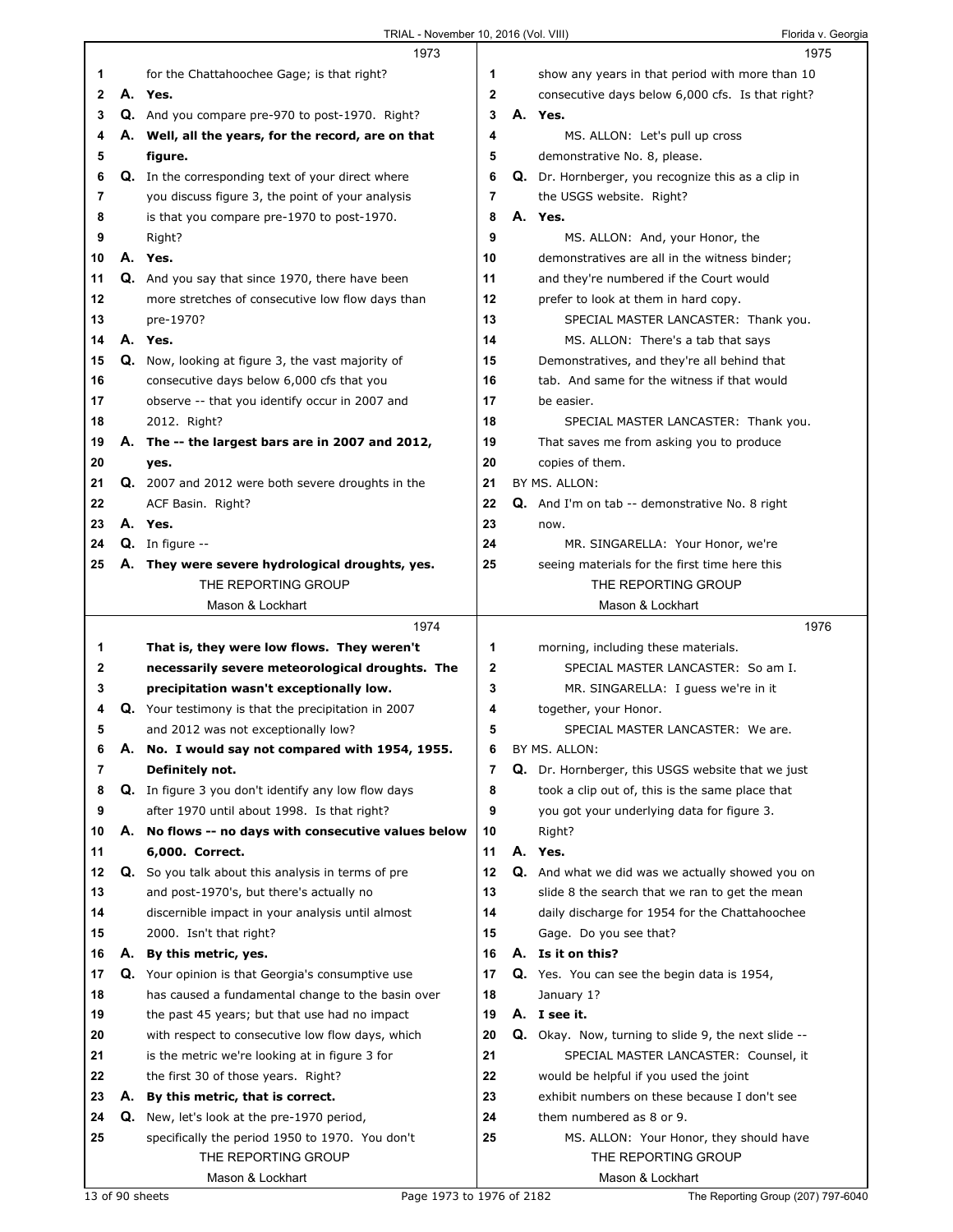|        |    | 1973                                                      |             | 1975                                                  |  |
|--------|----|-----------------------------------------------------------|-------------|-------------------------------------------------------|--|
| 1      |    | for the Chattahoochee Gage; is that right?                | 1           | show any years in that period with more than 10       |  |
| 2      |    | A. Yes.                                                   | $\mathbf 2$ | consecutive days below 6,000 cfs. Is that right?      |  |
| 3      |    | Q. And you compare pre-970 to post-1970. Right?           | 3           | A. Yes.                                               |  |
| 4      |    | A. Well, all the years, for the record, are on that       | 4           | MS. ALLON: Let's pull up cross                        |  |
| 5      |    | figure.                                                   | 5           | demonstrative No. 8, please.                          |  |
| 6      |    | <b>Q.</b> In the corresponding text of your direct where  | 6           | Q. Dr. Hornberger, you recognize this as a clip in    |  |
| 7      |    |                                                           | 7           |                                                       |  |
|        |    | you discuss figure 3, the point of your analysis          |             | the USGS website. Right?                              |  |
| 8      |    | is that you compare pre-1970 to post-1970.                | 8           | A. Yes.                                               |  |
| 9      |    | Right?                                                    | 9           | MS. ALLON: And, your Honor, the                       |  |
| 10     |    | A. Yes.                                                   | 10          | demonstratives are all in the witness binder;         |  |
| 11     |    | Q. And you say that since 1970, there have been           | 11          | and they're numbered if the Court would               |  |
| 12     |    | more stretches of consecutive low flow days than          | 12          | prefer to look at them in hard copy.                  |  |
| 13     |    | pre-1970?                                                 | 13          | SPECIAL MASTER LANCASTER: Thank you.                  |  |
| 14     |    | A. Yes.                                                   | 14          | MS. ALLON: There's a tab that says                    |  |
| 15     |    | Q. Now, looking at figure 3, the vast majority of         | 15          | Demonstratives, and they're all behind that           |  |
| 16     |    | consecutive days below 6,000 cfs that you                 | 16          | tab. And same for the witness if that would           |  |
| 17     |    | observe -- that you identify occur in 2007 and            | 17          | be easier.                                            |  |
| 18     |    | 2012. Right?                                              | 18          | SPECIAL MASTER LANCASTER: Thank you.                  |  |
| 19     |    | A. The -- the largest bars are in 2007 and 2012,          | 19          | That saves me from asking you to produce              |  |
| 20     |    | yes.                                                      | 20          | copies of them.                                       |  |
| 21     |    |                                                           | 21          | BY MS. ALLON:                                         |  |
|        |    | Q. 2007 and 2012 were both severe droughts in the         |             |                                                       |  |
| 22     |    | ACF Basin. Right?                                         | 22          | <b>Q.</b> And I'm on tab -- demonstrative No. 8 right |  |
| 23     |    | A. Yes.                                                   | 23          | now.                                                  |  |
| 24     |    | $Q.$ In figure $-$                                        | 24          | MR. SINGARELLA: Your Honor, we're                     |  |
| 25     |    | A. They were severe hydrological droughts, yes.           | 25          | seeing materials for the first time here this         |  |
|        |    | THE REPORTING GROUP                                       |             | THE REPORTING GROUP                                   |  |
|        |    | Mason & Lockhart                                          |             | Mason & Lockhart                                      |  |
|        |    |                                                           |             |                                                       |  |
|        |    | 1974                                                      |             | 1976                                                  |  |
| 1      |    | That is, they were low flows. They weren't                | 1           | morning, including these materials.                   |  |
| 2      |    | necessarily severe meteorological droughts. The           | $\mathbf 2$ | SPECIAL MASTER LANCASTER: So am I.                    |  |
| 3      |    | precipitation wasn't exceptionally low.                   | 3           | MR. SINGARELLA: I guess we're in it                   |  |
| 4      |    | Q. Your testimony is that the precipitation in 2007       | 4           | together, your Honor.                                 |  |
| 5      |    | and 2012 was not exceptionally low?                       | 5           | SPECIAL MASTER LANCASTER: We are.                     |  |
|        |    |                                                           | 6           |                                                       |  |
| 6<br>7 | Α. | No. I would say not compared with 1954, 1955.             | 7           | BY MS. ALLON:                                         |  |
|        |    | Definitely not.                                           |             | Q. Dr. Hornberger, this USGS website that we just     |  |
| 8      |    | Q. In figure 3 you don't identify any low flow days       | 8           | took a clip out of, this is the same place that       |  |
| 9      |    | after 1970 until about 1998. Is that right?               | 9           | you got your underlying data for figure 3.            |  |
| 10     |    | A. No flows -- no days with consecutive values below      | 10          | Right?                                                |  |
| 11     |    | 6,000. Correct.                                           | 11          | A. Yes.                                               |  |
| 12     |    | <b>Q.</b> So you talk about this analysis in terms of pre | 12          | Q. And what we did was we actually showed you on      |  |
| 13     |    | and post-1970's, but there's actually no                  | 13          | slide 8 the search that we ran to get the mean        |  |
| 14     |    | discernible impact in your analysis until almost          | 14          | daily discharge for 1954 for the Chattahoochee        |  |
| 15     |    | 2000. Isn't that right?                                   | 15          | Gage. Do you see that?                                |  |
| 16     |    | A. By this metric, yes.                                   | 16          | A. Is it on this?                                     |  |
| 17     |    | Q. Your opinion is that Georgia's consumptive use         | 17          | Q. Yes. You can see the begin data is 1954,           |  |
| 18     |    | has caused a fundamental change to the basin over         | 18          | January 1?                                            |  |
| 19     |    | the past 45 years; but that use had no impact             | 19          | A. I see it.                                          |  |
| 20     |    | with respect to consecutive low flow days, which          | 20          | Q. Okay. Now, turning to slide 9, the next slide --   |  |
| 21     |    | is the metric we're looking at in figure 3 for            | 21          | SPECIAL MASTER LANCASTER: Counsel, it                 |  |
| 22     |    | the first 30 of those years. Right?                       | 22          | would be helpful if you used the joint                |  |
| 23     |    | A. By this metric, that is correct.                       | 23          | exhibit numbers on these because I don't see          |  |
| 24     |    |                                                           | 24          | them numbered as 8 or 9.                              |  |
|        |    | <b>Q.</b> New, let's look at the pre-1970 period,         |             |                                                       |  |
| 25     |    | specifically the period 1950 to 1970. You don't           | 25          | MS. ALLON: Your Honor, they should have               |  |
|        |    | THE REPORTING GROUP<br>Mason & Lockhart                   |             | THE REPORTING GROUP<br>Mason & Lockhart               |  |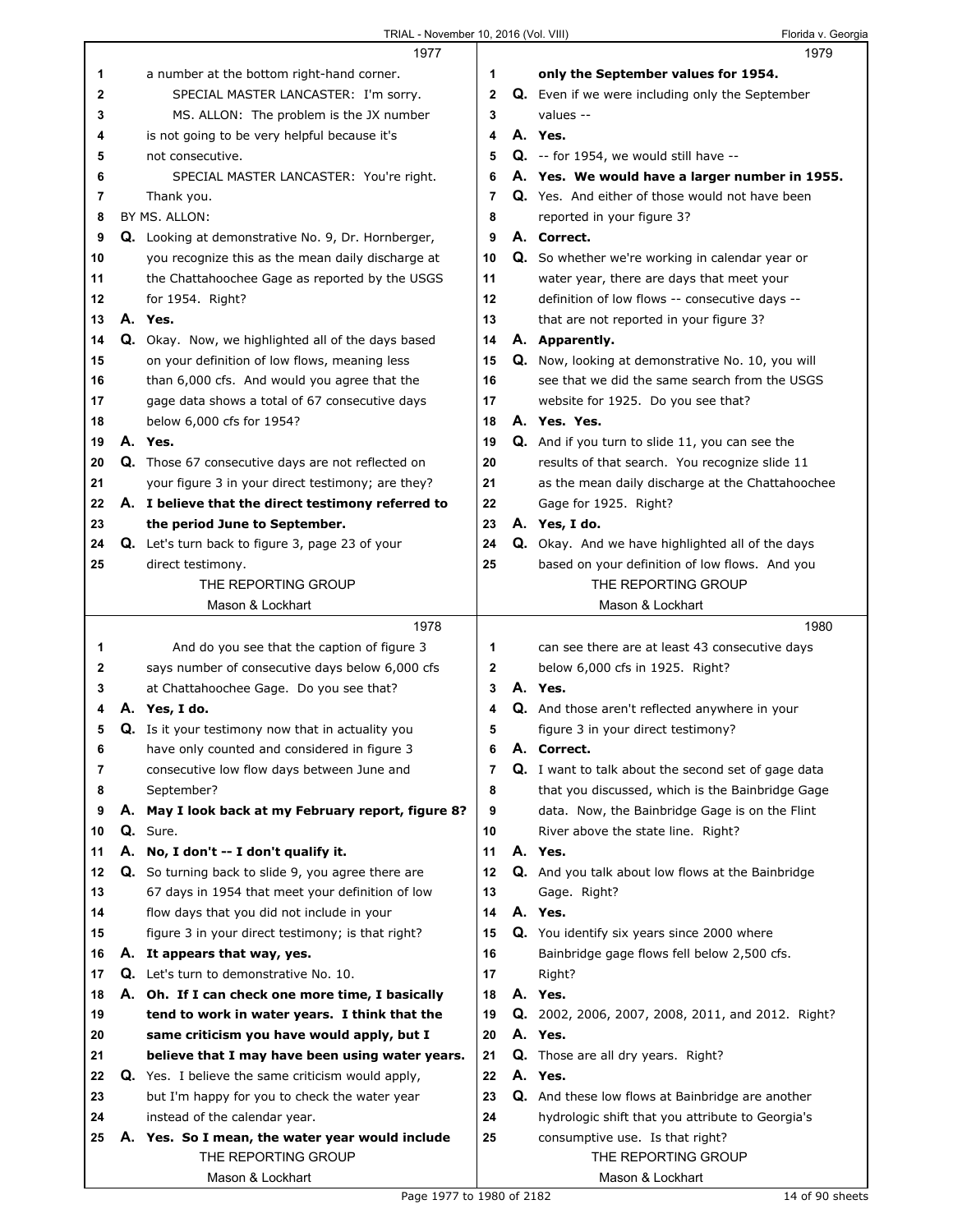|              | 1977                                                     |    | 1979                                                       |
|--------------|----------------------------------------------------------|----|------------------------------------------------------------|
| 1            | a number at the bottom right-hand corner.                | 1  | only the September values for 1954.                        |
| $\mathbf{2}$ | SPECIAL MASTER LANCASTER: I'm sorry.                     | 2  | Q. Even if we were including only the September            |
| 3            | MS. ALLON: The problem is the JX number                  | 3  | values --                                                  |
| 4            | is not going to be very helpful because it's             | 4  | A. Yes.                                                    |
| 5            | not consecutive.                                         | 5  | $Q. -$ for 1954, we would still have $-$                   |
| 6            | SPECIAL MASTER LANCASTER: You're right.                  | 6  | A. Yes. We would have a larger number in 1955.             |
| 7            | Thank you.                                               | 7  | Q. Yes. And either of those would not have been            |
| 8            | BY MS. ALLON:                                            | 8  | reported in your figure 3?                                 |
| 9            | Q. Looking at demonstrative No. 9, Dr. Hornberger,       | 9  | A. Correct.                                                |
| 10           | you recognize this as the mean daily discharge at        | 10 | Q. So whether we're working in calendar year or            |
| 11           | the Chattahoochee Gage as reported by the USGS           | 11 | water year, there are days that meet your                  |
| 12           | for 1954. Right?                                         | 12 | definition of low flows -- consecutive days --             |
| 13           | A. Yes.                                                  | 13 | that are not reported in your figure 3?                    |
| 14           | Q. Okay. Now, we highlighted all of the days based       | 14 | A. Apparently.                                             |
| 15           | on your definition of low flows, meaning less            | 15 | Q. Now, looking at demonstrative No. 10, you will          |
| 16           | than 6,000 cfs. And would you agree that the             | 16 | see that we did the same search from the USGS              |
| 17           | gage data shows a total of 67 consecutive days           | 17 | website for 1925. Do you see that?                         |
| 18           | below 6,000 cfs for 1954?                                | 18 | A. Yes. Yes.                                               |
| 19           | A. Yes.                                                  | 19 | <b>Q.</b> And if you turn to slide 11, you can see the     |
| 20           | Q. Those 67 consecutive days are not reflected on        | 20 | results of that search. You recognize slide 11             |
| 21           | your figure 3 in your direct testimony; are they?        | 21 | as the mean daily discharge at the Chattahoochee           |
| 22           | A. I believe that the direct testimony referred to       | 22 | Gage for 1925. Right?                                      |
| 23           | the period June to September.                            | 23 | A. Yes, I do.                                              |
| 24           | Q. Let's turn back to figure 3, page 23 of your          | 24 | Q. Okay. And we have highlighted all of the days           |
| 25           | direct testimony.                                        | 25 | based on your definition of low flows. And you             |
|              | THE REPORTING GROUP                                      |    | THE REPORTING GROUP                                        |
|              | Mason & Lockhart                                         |    | Mason & Lockhart                                           |
|              |                                                          |    |                                                            |
|              | 1978                                                     |    | 1980                                                       |
| 1            | And do you see that the caption of figure 3              | 1  | can see there are at least 43 consecutive days             |
| 2            | says number of consecutive days below 6,000 cfs          | 2  | below 6,000 cfs in 1925. Right?                            |
| 3            | at Chattahoochee Gage. Do you see that?                  | 3  | A. Yes.                                                    |
| 4            | A. Yes, I do.                                            | 4  | <b>Q.</b> And those aren't reflected anywhere in your      |
| 5            | Q. Is it your testimony now that in actuality you        | 5  | figure 3 in your direct testimony?                         |
| 6            | have only counted and considered in figure 3             | 6  | A. Correct.                                                |
| 7            | consecutive low flow days between June and               | 7  | <b>Q.</b> I want to talk about the second set of gage data |
| 8            | September?                                               | 8  | that you discussed, which is the Bainbridge Gage           |
| 9            | A. May I look back at my February report, figure 8?      | 9  | data. Now, the Bainbridge Gage is on the Flint             |
| 10           | Q. Sure.                                                 | 10 | River above the state line. Right?                         |
| 11           | A. No, I don't -- I don't qualify it.                    | 11 | A. Yes.                                                    |
| 12           | Q. So turning back to slide 9, you agree there are       | 12 | Q. And you talk about low flows at the Bainbridge          |
| 13           | 67 days in 1954 that meet your definition of low         | 13 | Gage. Right?                                               |
| 14           | flow days that you did not include in your               | 14 | A. Yes.                                                    |
| 15           | figure 3 in your direct testimony; is that right?        | 15 | Q. You identify six years since 2000 where                 |
| 16           | A. It appears that way, yes.                             | 16 | Bainbridge gage flows fell below 2,500 cfs.                |
| 17           | Q. Let's turn to demonstrative No. 10.                   | 17 | Right?                                                     |
| 18           | A. Oh. If I can check one more time, I basically         | 18 | A. Yes.                                                    |
| 19           | tend to work in water years. I think that the            | 19 | <b>Q.</b> 2002, 2006, 2007, 2008, 2011, and 2012. Right?   |
| 20           | same criticism you have would apply, but I               | 20 | A. Yes.                                                    |
| 21           | believe that I may have been using water years.          | 21 | <b>Q.</b> Those are all dry years. Right?                  |
| 22           | <b>Q.</b> Yes. I believe the same criticism would apply, | 22 | A. Yes.                                                    |
| 23           | but I'm happy for you to check the water year            | 23 | Q. And these low flows at Bainbridge are another           |
| 24           | instead of the calendar year.                            | 24 | hydrologic shift that you attribute to Georgia's           |
| 25           | A. Yes. So I mean, the water year would include          | 25 | consumptive use. Is that right?                            |
|              | THE REPORTING GROUP                                      |    | THE REPORTING GROUP                                        |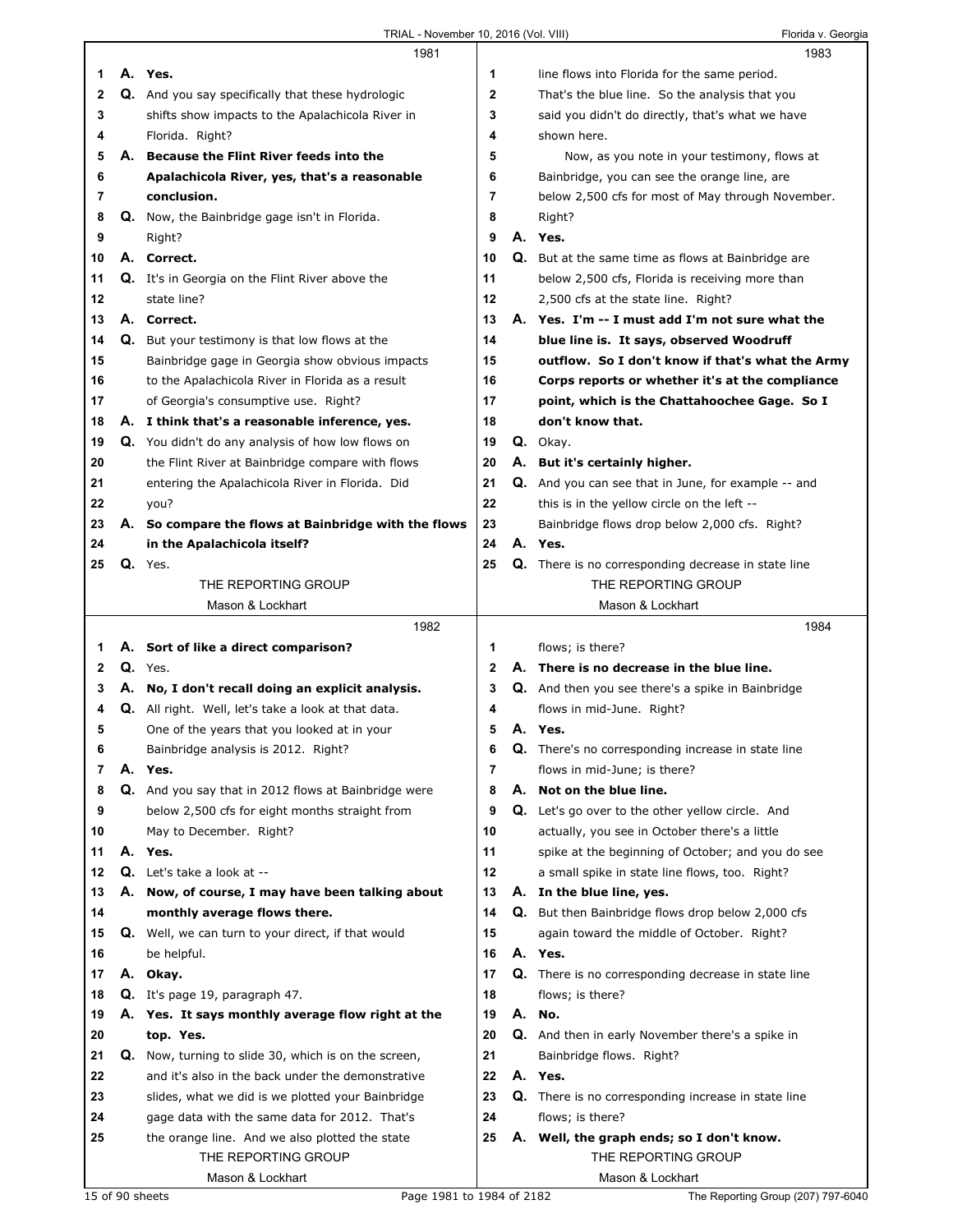|    |    | 1981                                                     |                |    | 1983                                                       |  |
|----|----|----------------------------------------------------------|----------------|----|------------------------------------------------------------|--|
| 1. |    | A. Yes.                                                  | 1              |    | line flows into Florida for the same period.               |  |
| 2  |    | Q. And you say specifically that these hydrologic        | $\mathbf{2}$   |    | That's the blue line. So the analysis that you             |  |
| 3  |    | shifts show impacts to the Apalachicola River in         | 3              |    | said you didn't do directly, that's what we have           |  |
| 4  |    | Florida. Right?                                          | 4              |    | shown here.                                                |  |
| 5  | А. | <b>Because the Flint River feeds into the</b>            | 5              |    | Now, as you note in your testimony, flows at               |  |
| 6  |    | Apalachicola River, yes, that's a reasonable             | 6              |    | Bainbridge, you can see the orange line, are               |  |
| 7  |    | conclusion.                                              | $\overline{7}$ |    | below 2,500 cfs for most of May through November.          |  |
| 8  |    | Q. Now, the Bainbridge gage isn't in Florida.            | 8              |    |                                                            |  |
|    |    |                                                          |                |    | Right?                                                     |  |
| 9  |    | Right?                                                   | 9              |    | A. Yes.                                                    |  |
| 10 |    | A. Correct.                                              | 10             |    | <b>Q.</b> But at the same time as flows at Bainbridge are  |  |
| 11 |    | <b>Q.</b> It's in Georgia on the Flint River above the   | 11             |    | below 2,500 cfs, Florida is receiving more than            |  |
| 12 |    | state line?                                              | 12             |    | 2,500 cfs at the state line. Right?                        |  |
| 13 |    | A. Correct.                                              | 13             |    | A. Yes. I'm -- I must add I'm not sure what the            |  |
| 14 | Q. | But your testimony is that low flows at the              | 14             |    | blue line is. It says, observed Woodruff                   |  |
| 15 |    | Bainbridge gage in Georgia show obvious impacts          | 15             |    | outflow. So I don't know if that's what the Army           |  |
| 16 |    | to the Apalachicola River in Florida as a result         | 16             |    | Corps reports or whether it's at the compliance            |  |
| 17 |    | of Georgia's consumptive use. Right?                     | 17             |    | point, which is the Chattahoochee Gage. So I               |  |
| 18 |    | A. I think that's a reasonable inference, yes.           | 18             |    | don't know that.                                           |  |
| 19 |    | <b>Q.</b> You didn't do any analysis of how low flows on | 19             |    | Q. Okay.                                                   |  |
| 20 |    | the Flint River at Bainbridge compare with flows         | 20             |    | A. But it's certainly higher.                              |  |
| 21 |    | entering the Apalachicola River in Florida. Did          | 21             |    |                                                            |  |
|    |    |                                                          | 22             |    | <b>Q.</b> And you can see that in June, for example -- and |  |
| 22 |    | you?                                                     |                |    | this is in the yellow circle on the left --                |  |
| 23 | А. | So compare the flows at Bainbridge with the flows        | 23             |    | Bainbridge flows drop below 2,000 cfs. Right?              |  |
| 24 |    | in the Apalachicola itself?                              | 24             |    | A. Yes.                                                    |  |
| 25 |    | Q. Yes.                                                  | 25             |    | <b>Q.</b> There is no corresponding decrease in state line |  |
|    |    | THE REPORTING GROUP                                      |                |    | THE REPORTING GROUP                                        |  |
|    |    | Mason & Lockhart                                         |                |    | Mason & Lockhart                                           |  |
|    |    |                                                          |                |    |                                                            |  |
|    |    | 1982                                                     |                |    | 1984                                                       |  |
| 1. |    | A. Sort of like a direct comparison?                     | 1              |    | flows; is there?                                           |  |
| 2  |    | $Q.$ Yes.                                                | $\mathbf{2}$   |    | A. There is no decrease in the blue line.                  |  |
| 3  |    | A. No, I don't recall doing an explicit analysis.        | 3              |    | Q. And then you see there's a spike in Bainbridge          |  |
| 4  |    | Q. All right. Well, let's take a look at that data.      | 4              |    | flows in mid-June. Right?                                  |  |
| 5  |    |                                                          | 5              |    | A. Yes.                                                    |  |
|    |    | One of the years that you looked at in your              |                |    |                                                            |  |
| 6  |    | Bainbridge analysis is 2012. Right?                      | 6              | Q. | There's no corresponding increase in state line            |  |
| 7  |    | A. Yes.                                                  | 7              |    | flows in mid-June; is there?                               |  |
| 8  |    | Q. And you say that in 2012 flows at Bainbridge were     | 8              |    | A. Not on the blue line.                                   |  |
| 9  |    | below 2,500 cfs for eight months straight from           | 9              |    | <b>Q.</b> Let's go over to the other yellow circle. And    |  |
| 10 |    | May to December. Right?                                  | 10             |    | actually, you see in October there's a little              |  |
| 11 |    | A. Yes.                                                  | 11             |    | spike at the beginning of October; and you do see          |  |
| 12 |    | Q. Let's take a look at --                               | 12             |    | a small spike in state line flows, too. Right?             |  |
| 13 | А. | Now, of course, I may have been talking about            | 13             |    | A. In the blue line, yes.                                  |  |
| 14 |    | monthly average flows there.                             | 14             |    | <b>Q.</b> But then Bainbridge flows drop below 2,000 cfs   |  |
| 15 |    | Q. Well, we can turn to your direct, if that would       | 15             |    | again toward the middle of October. Right?                 |  |
| 16 |    | be helpful.                                              | 16             |    | A. Yes.                                                    |  |
| 17 |    | A. Okay.                                                 | 17             |    | Q. There is no corresponding decrease in state line        |  |
| 18 |    | Q. It's page 19, paragraph 47.                           | 18             |    | flows; is there?                                           |  |
| 19 |    | A. Yes. It says monthly average flow right at the        | 19             |    | A. No.                                                     |  |
| 20 |    | top. Yes.                                                | 20             |    | <b>Q.</b> And then in early November there's a spike in    |  |
| 21 |    |                                                          | 21             |    |                                                            |  |
|    |    | Q. Now, turning to slide 30, which is on the screen,     |                |    | Bainbridge flows. Right?                                   |  |
| 22 |    | and it's also in the back under the demonstrative        | 22             |    | A. Yes.                                                    |  |
| 23 |    | slides, what we did is we plotted your Bainbridge        | 23             |    | Q. There is no corresponding increase in state line        |  |
| 24 |    | gage data with the same data for 2012. That's            | 24             |    | flows; is there?                                           |  |
| 25 |    | the orange line. And we also plotted the state           | 25             |    | A. Well, the graph ends; so I don't know.                  |  |
|    |    | THE REPORTING GROUP<br>Mason & Lockhart                  |                |    | THE REPORTING GROUP<br>Mason & Lockhart                    |  |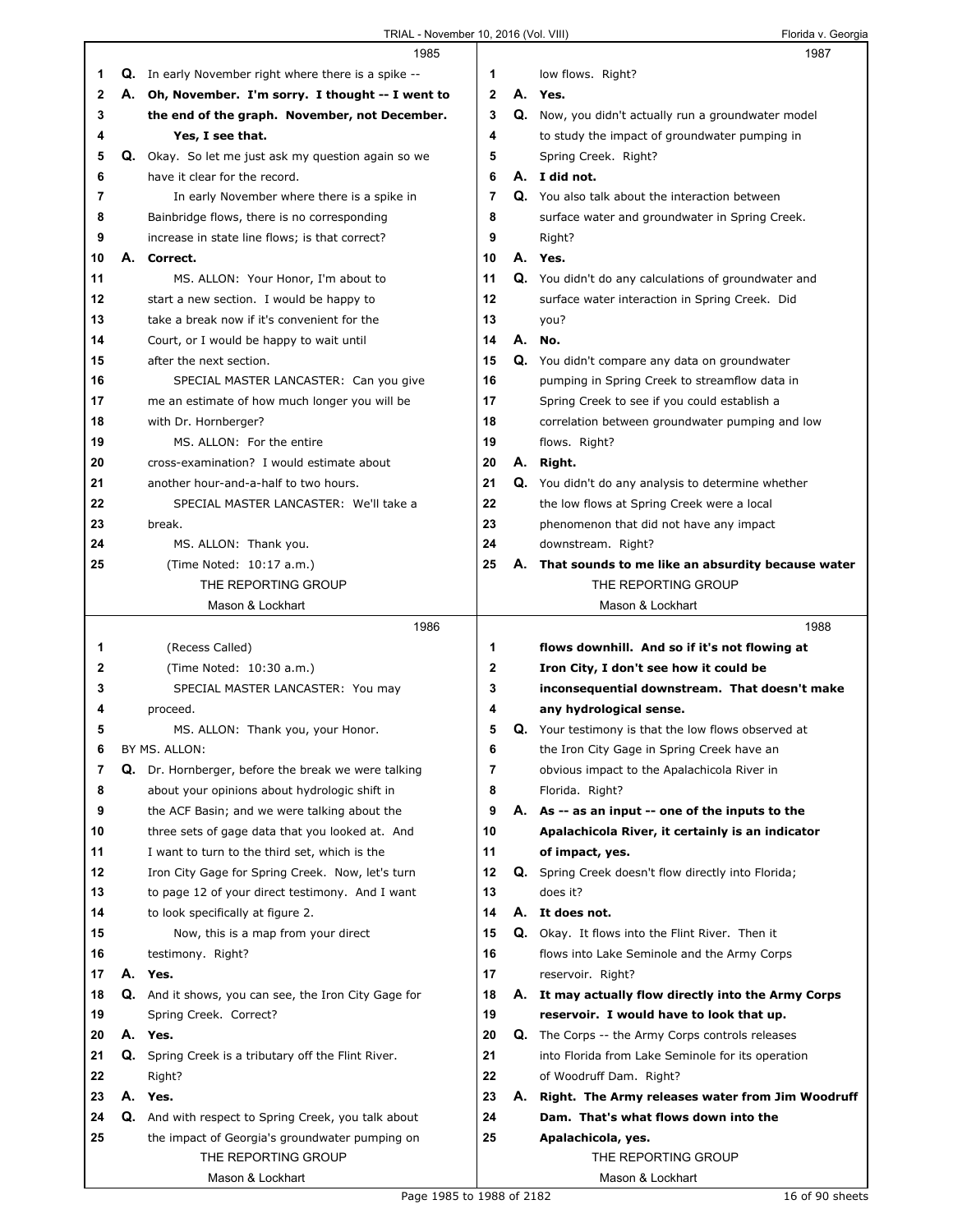|    |    | 1985                                                        |              |    | 1987                                                       |
|----|----|-------------------------------------------------------------|--------------|----|------------------------------------------------------------|
| 1  |    | <b>Q.</b> In early November right where there is a spike -- | 1            |    | low flows. Right?                                          |
| 2  | А. | Oh, November. I'm sorry. I thought -- I went to             | $\mathbf{2}$ |    | A. Yes.                                                    |
| 3  |    | the end of the graph. November, not December.               | 3            |    | Q. Now, you didn't actually run a groundwater model        |
| 4  |    | Yes, I see that.                                            | 4            |    | to study the impact of groundwater pumping in              |
| 5  |    | Q. Okay. So let me just ask my question again so we         | 5            |    | Spring Creek. Right?                                       |
| 6  |    | have it clear for the record.                               | 6            |    | A. I did not.                                              |
| 7  |    | In early November where there is a spike in                 | 7            |    | Q. You also talk about the interaction between             |
| 8  |    | Bainbridge flows, there is no corresponding                 | 8            |    | surface water and groundwater in Spring Creek.             |
| 9  |    | increase in state line flows; is that correct?              | 9            |    | Right?                                                     |
| 10 | А. | Correct.                                                    | 10           |    | A. Yes.                                                    |
| 11 |    | MS. ALLON: Your Honor, I'm about to                         | 11           |    | Q. You didn't do any calculations of groundwater and       |
| 12 |    | start a new section. I would be happy to                    | 12           |    | surface water interaction in Spring Creek. Did             |
| 13 |    | take a break now if it's convenient for the                 | 13           |    | you?                                                       |
| 14 |    | Court, or I would be happy to wait until                    | 14           |    | A. No.                                                     |
| 15 |    | after the next section.                                     | 15           |    | Q. You didn't compare any data on groundwater              |
| 16 |    | SPECIAL MASTER LANCASTER: Can you give                      | 16           |    | pumping in Spring Creek to streamflow data in              |
| 17 |    | me an estimate of how much longer you will be               | 17           |    | Spring Creek to see if you could establish a               |
| 18 |    | with Dr. Hornberger?                                        | 18           |    | correlation between groundwater pumping and low            |
| 19 |    | MS. ALLON: For the entire                                   | 19           |    | flows. Right?                                              |
| 20 |    | cross-examination? I would estimate about                   | 20           |    | A. Right.                                                  |
| 21 |    | another hour-and-a-half to two hours.                       | 21           |    | Q. You didn't do any analysis to determine whether         |
| 22 |    | SPECIAL MASTER LANCASTER: We'll take a                      | 22           |    | the low flows at Spring Creek were a local                 |
| 23 |    | break.                                                      | 23           |    | phenomenon that did not have any impact                    |
| 24 |    | MS. ALLON: Thank you.                                       | 24           |    | downstream. Right?                                         |
| 25 |    | (Time Noted: 10:17 a.m.)                                    | 25           | А. | That sounds to me like an absurdity because water          |
|    |    | THE REPORTING GROUP                                         |              |    | THE REPORTING GROUP                                        |
|    |    | Mason & Lockhart                                            |              |    | Mason & Lockhart                                           |
|    |    |                                                             |              |    |                                                            |
|    |    | 1986                                                        |              |    | 1988                                                       |
| 1  |    | (Recess Called)                                             | 1            |    | flows downhill. And so if it's not flowing at              |
| 2  |    | (Time Noted: 10:30 a.m.)                                    | 2            |    | Iron City, I don't see how it could be                     |
| 3  |    | SPECIAL MASTER LANCASTER: You may                           | 3            |    | inconsequential downstream. That doesn't make              |
| 4  |    | proceed.                                                    | 4            |    | any hydrological sense.                                    |
| 5  |    | MS. ALLON: Thank you, your Honor.                           | 5            |    | <b>Q.</b> Your testimony is that the low flows observed at |
| 6  |    | BY MS. ALLON:                                               | 6            |    | the Iron City Gage in Spring Creek have an                 |
| 7  |    | Q. Dr. Hornberger, before the break we were talking         | 7            |    | obvious impact to the Apalachicola River in                |
| 8  |    | about your opinions about hydrologic shift in               | 8            |    | Florida. Right?                                            |
| 9  |    | the ACF Basin; and we were talking about the                | 9            |    | A. As -- as an input -- one of the inputs to the           |
| 10 |    | three sets of gage data that you looked at. And             | 10           |    | Apalachicola River, it certainly is an indicator           |
| 11 |    | I want to turn to the third set, which is the               | 11           |    | of impact, yes.                                            |
| 12 |    | Iron City Gage for Spring Creek. Now, let's turn            | 12           |    | Q. Spring Creek doesn't flow directly into Florida;        |
| 13 |    | to page 12 of your direct testimony. And I want             | 13           |    | does it?                                                   |
| 14 |    | to look specifically at figure 2.                           | 14           |    | A. It does not.                                            |
| 15 |    | Now, this is a map from your direct                         | 15           |    | Q. Okay. It flows into the Flint River. Then it            |
| 16 |    | testimony. Right?                                           | 16           |    | flows into Lake Seminole and the Army Corps                |
| 17 |    | A. Yes.                                                     | 17           |    | reservoir. Right?                                          |
| 18 |    | Q. And it shows, you can see, the Iron City Gage for        | 18           |    | A. It may actually flow directly into the Army Corps       |
| 19 |    | Spring Creek. Correct?                                      | 19           |    | reservoir. I would have to look that up.                   |
| 20 |    | A. Yes.                                                     | 20           | Q. | The Corps -- the Army Corps controls releases              |
| 21 |    | Q. Spring Creek is a tributary off the Flint River.         | 21           |    | into Florida from Lake Seminole for its operation          |
| 22 |    | Right?                                                      | 22           |    | of Woodruff Dam. Right?                                    |
| 23 |    | A. Yes.                                                     | 23           |    | A. Right. The Army releases water from Jim Woodruff        |
| 24 |    | Q. And with respect to Spring Creek, you talk about         | 24           |    | Dam. That's what flows down into the                       |
| 25 |    | the impact of Georgia's groundwater pumping on              | 25           |    | Apalachicola, yes.                                         |
|    |    | THE REPORTING GROUP                                         |              |    | THE REPORTING GROUP                                        |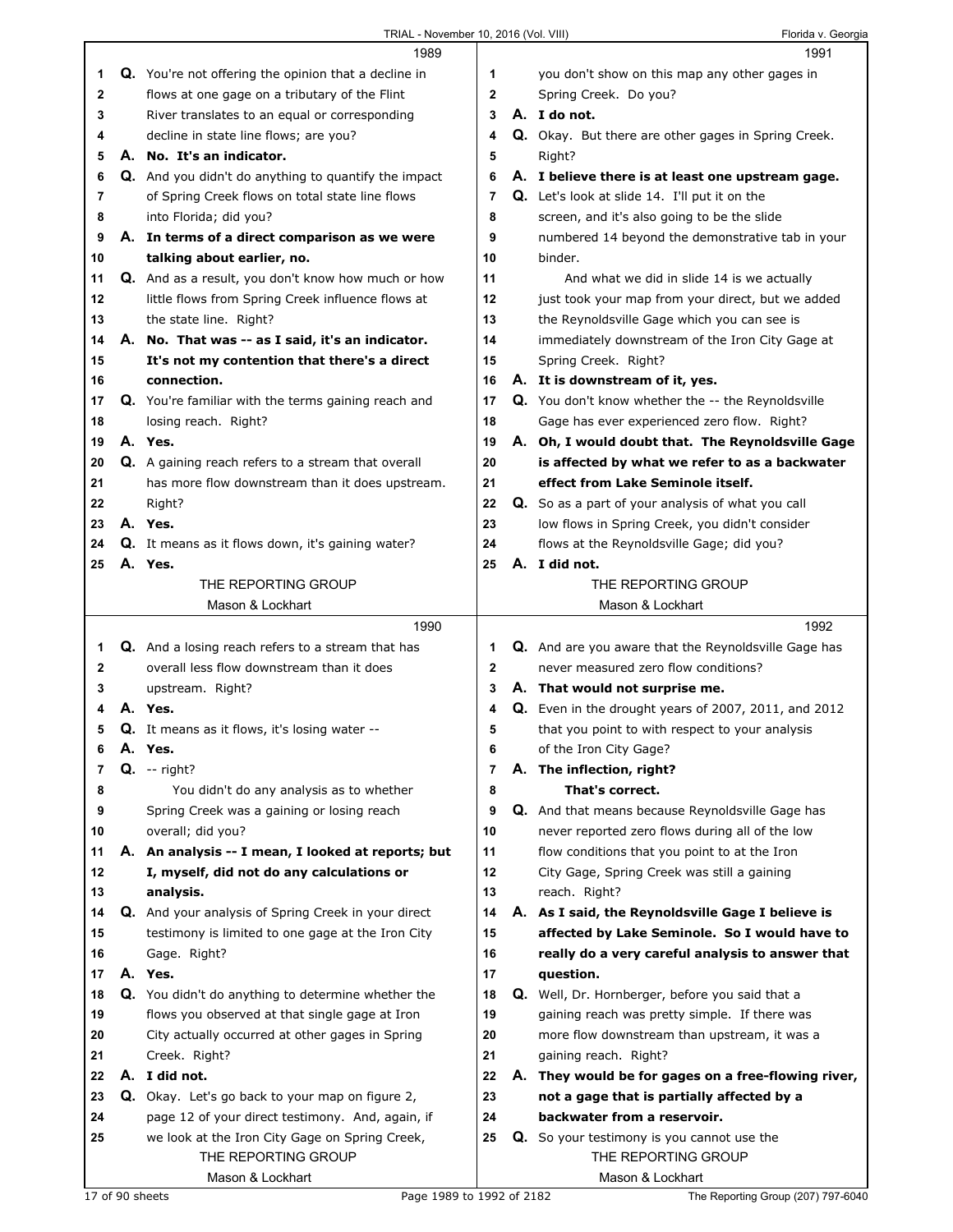|              |    | 1989                                                                                                 |              | 1991                                                                                             |
|--------------|----|------------------------------------------------------------------------------------------------------|--------------|--------------------------------------------------------------------------------------------------|
| 1            |    | <b>Q.</b> You're not offering the opinion that a decline in                                          | 1            | you don't show on this map any other gages in                                                    |
| 2            |    | flows at one gage on a tributary of the Flint                                                        | $\mathbf{2}$ | Spring Creek. Do you?                                                                            |
| 3            |    | River translates to an equal or corresponding                                                        | 3            | A. I do not.                                                                                     |
| 4            |    | decline in state line flows; are you?                                                                | 4            | Q. Okay. But there are other gages in Spring Creek.                                              |
| 5            |    | A. No. It's an indicator.                                                                            | 5            | Right?                                                                                           |
| 6            |    | <b>Q.</b> And you didn't do anything to quantify the impact                                          | 6            | A. I believe there is at least one upstream gage.                                                |
| 7            |    | of Spring Creek flows on total state line flows                                                      | 7            | <b>Q.</b> Let's look at slide 14. I'll put it on the                                             |
| 8            |    | into Florida; did you?                                                                               | 8            | screen, and it's also going to be the slide                                                      |
| 9            |    | A. In terms of a direct comparison as we were                                                        | 9            | numbered 14 beyond the demonstrative tab in your                                                 |
| 10           |    | talking about earlier, no.                                                                           | 10           | binder.                                                                                          |
| 11           |    | Q. And as a result, you don't know how much or how                                                   | 11           | And what we did in slide 14 is we actually                                                       |
| 12           |    | little flows from Spring Creek influence flows at                                                    | 12           | just took your map from your direct, but we added                                                |
| 13           |    | the state line. Right?                                                                               | 13           | the Reynoldsville Gage which you can see is                                                      |
| 14           |    | A. No. That was -- as I said, it's an indicator.                                                     | 14           | immediately downstream of the Iron City Gage at                                                  |
| 15           |    | It's not my contention that there's a direct                                                         | 15           | Spring Creek. Right?                                                                             |
| 16           |    | connection.                                                                                          | 16           | A. It is downstream of it, yes.                                                                  |
| 17           |    | Q. You're familiar with the terms gaining reach and                                                  | 17           | Q. You don't know whether the -- the Reynoldsville                                               |
| 18           |    | losing reach. Right?                                                                                 | 18           | Gage has ever experienced zero flow. Right?                                                      |
| 19           |    | A. Yes.                                                                                              | 19           | A. Oh, I would doubt that. The Reynoldsville Gage                                                |
| 20           |    | <b>Q.</b> A gaining reach refers to a stream that overall                                            | 20           | is affected by what we refer to as a backwater                                                   |
| 21           |    | has more flow downstream than it does upstream.                                                      | 21           | effect from Lake Seminole itself.                                                                |
| 22           |    | Right?                                                                                               | 22           | Q. So as a part of your analysis of what you call                                                |
| 23           |    | A. Yes.                                                                                              | 23           | low flows in Spring Creek, you didn't consider                                                   |
| 24           |    | Q. It means as it flows down, it's gaining water?                                                    | 24           | flows at the Reynoldsville Gage; did you?                                                        |
| 25           |    | A. Yes.                                                                                              | 25           | A. I did not.                                                                                    |
|              |    | THE REPORTING GROUP                                                                                  |              | THE REPORTING GROUP                                                                              |
|              |    | Mason & Lockhart                                                                                     |              | Mason & Lockhart                                                                                 |
|              |    |                                                                                                      |              |                                                                                                  |
|              |    |                                                                                                      |              |                                                                                                  |
|              |    | 1990                                                                                                 |              | 1992                                                                                             |
| 1            |    | <b>Q.</b> And a losing reach refers to a stream that has                                             | 1            | Q. And are you aware that the Reynoldsville Gage has                                             |
| $\mathbf{2}$ |    | overall less flow downstream than it does                                                            | $\mathbf{2}$ | never measured zero flow conditions?                                                             |
| 3            |    | upstream. Right?                                                                                     | 3            | A. That would not surprise me.                                                                   |
| 4            |    | A. Yes.                                                                                              | 4            | Q. Even in the drought years of 2007, 2011, and 2012                                             |
| 5            |    | Q. It means as it flows, it's losing water --                                                        | 5            | that you point to with respect to your analysis                                                  |
| 6            | Α. | Yes.                                                                                                 | 6            | of the Iron City Gage?                                                                           |
| 7            |    | <b>Q.</b> -- right?                                                                                  | 7            | A. The inflection, right?                                                                        |
| 8            |    | You didn't do any analysis as to whether                                                             | 8<br>9       | That's correct.                                                                                  |
| 9            |    | Spring Creek was a gaining or losing reach                                                           |              | Q. And that means because Reynoldsville Gage has                                                 |
| 10           |    | overall; did you?                                                                                    | 10           | never reported zero flows during all of the low                                                  |
| 11<br>12     |    | A. An analysis -- I mean, I looked at reports; but                                                   | 11<br>12     | flow conditions that you point to at the Iron                                                    |
| 13           |    | I, myself, did not do any calculations or                                                            |              | City Gage, Spring Creek was still a gaining                                                      |
| 14           |    | analysis.                                                                                            | 13<br>14     | reach. Right?                                                                                    |
| 15           |    | Q. And your analysis of Spring Creek in your direct                                                  | 15           | A. As I said, the Reynoldsville Gage I believe is                                                |
| 16           |    | testimony is limited to one gage at the Iron City                                                    | 16           | affected by Lake Seminole. So I would have to                                                    |
| 17           |    | Gage. Right?<br>A. Yes.                                                                              | 17           | really do a very careful analysis to answer that                                                 |
| 18           |    |                                                                                                      | 18           | question.                                                                                        |
| 19           |    | Q. You didn't do anything to determine whether the<br>flows you observed at that single gage at Iron | 19           | Q. Well, Dr. Hornberger, before you said that a<br>gaining reach was pretty simple. If there was |
| 20           |    | City actually occurred at other gages in Spring                                                      | 20           | more flow downstream than upstream, it was a                                                     |
| 21           |    | Creek. Right?                                                                                        | 21           |                                                                                                  |
| 22           |    | A. I did not.                                                                                        | 22           | gaining reach. Right?                                                                            |
| 23           |    |                                                                                                      | 23           | A. They would be for gages on a free-flowing river,                                              |
| 24           |    | Q. Okay. Let's go back to your map on figure 2,<br>page 12 of your direct testimony. And, again, if  | 24           | not a gage that is partially affected by a<br>backwater from a reservoir.                        |
| 25           |    |                                                                                                      | 25           |                                                                                                  |
|              |    | we look at the Iron City Gage on Spring Creek,<br>THE REPORTING GROUP                                |              | Q. So your testimony is you cannot use the<br>THE REPORTING GROUP                                |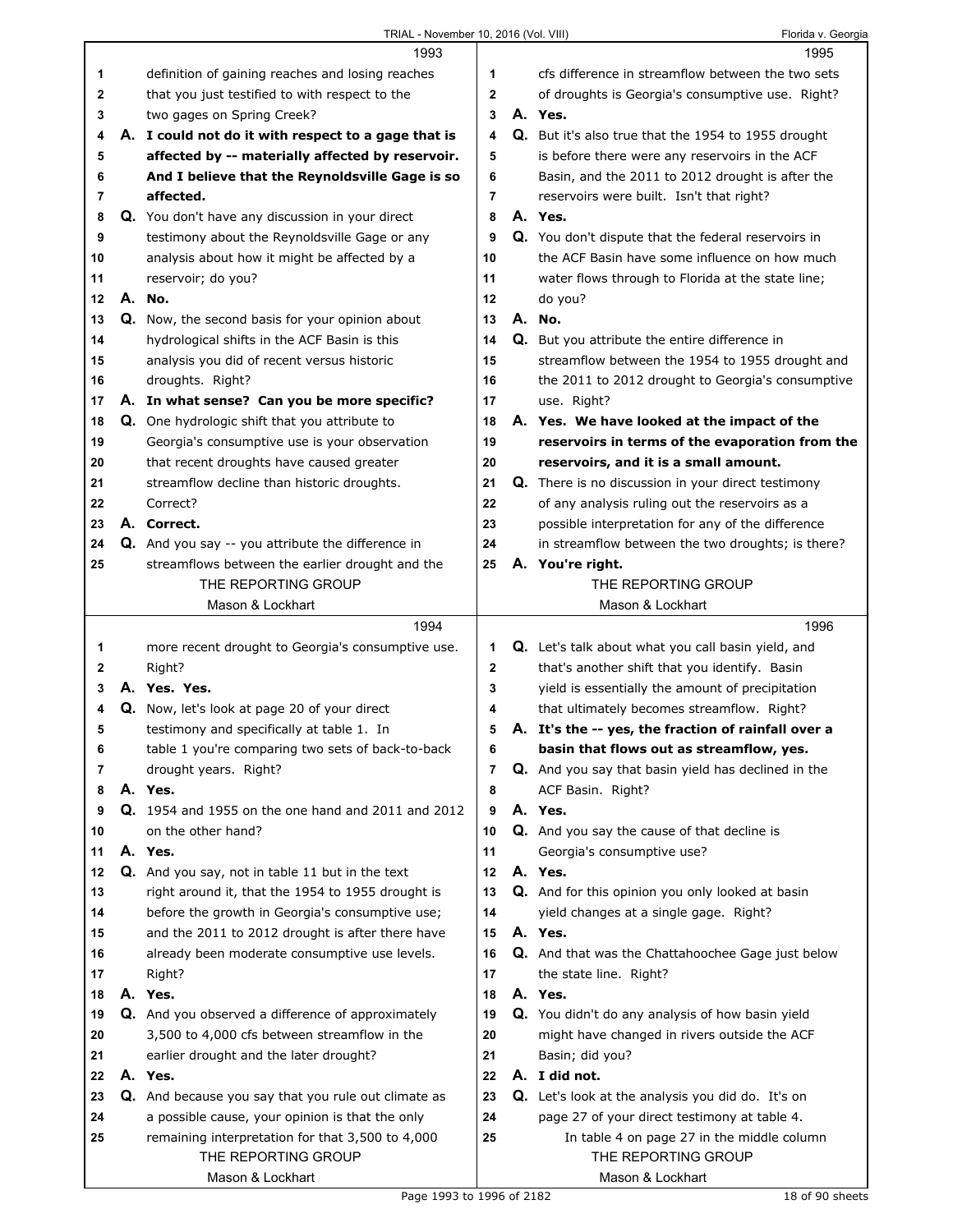| TRIAL - November 10, 2016 (Vol. VIII) | Florida v. Georgia |
|---------------------------------------|--------------------|
|                                       |                    |

|              | 1993                                                     |              | 1995                                                     |
|--------------|----------------------------------------------------------|--------------|----------------------------------------------------------|
| 1            | definition of gaining reaches and losing reaches         | 1            | cfs difference in streamflow between the two sets        |
| $\mathbf{2}$ | that you just testified to with respect to the           | $\mathbf{2}$ | of droughts is Georgia's consumptive use. Right?         |
| 3            | two gages on Spring Creek?                               | 3            | A. Yes.                                                  |
| 4            | A. I could not do it with respect to a gage that is      | 4            | Q. But it's also true that the 1954 to 1955 drought      |
| 5            | affected by -- materially affected by reservoir.         | 5            | is before there were any reservoirs in the ACF           |
| 6            | And I believe that the Reynoldsville Gage is so          | 6            | Basin, and the 2011 to 2012 drought is after the         |
| 7            | affected.                                                | 7            | reservoirs were built. Isn't that right?                 |
| 8            | Q. You don't have any discussion in your direct          | 8            | A. Yes.                                                  |
| 9            | testimony about the Reynoldsville Gage or any            | 9            | Q. You don't dispute that the federal reservoirs in      |
| 10           | analysis about how it might be affected by a             | 10           | the ACF Basin have some influence on how much            |
| 11           | reservoir; do you?                                       | 11           | water flows through to Florida at the state line;        |
| 12           | A. No.                                                   | 12           | do you?                                                  |
| 13           | Q. Now, the second basis for your opinion about          | 13           | A. No.                                                   |
| 14           | hydrological shifts in the ACF Basin is this             | 14           | Q. But you attribute the entire difference in            |
| 15           | analysis you did of recent versus historic               | 15           | streamflow between the 1954 to 1955 drought and          |
| 16           | droughts. Right?                                         | 16           | the 2011 to 2012 drought to Georgia's consumptive        |
| 17           | A. In what sense? Can you be more specific?              | 17           | use. Right?                                              |
| 18           | <b>Q.</b> One hydrologic shift that you attribute to     | 18           | A. Yes. We have looked at the impact of the              |
| 19           | Georgia's consumptive use is your observation            | 19           | reservoirs in terms of the evaporation from the          |
| 20           | that recent droughts have caused greater                 | 20           | reservoirs, and it is a small amount.                    |
| 21           | streamflow decline than historic droughts.               | 21           | Q. There is no discussion in your direct testimony       |
| 22           | Correct?                                                 | 22           | of any analysis ruling out the reservoirs as a           |
| 23           | A. Correct.                                              | 23           | possible interpretation for any of the difference        |
| 24           | <b>Q.</b> And you say -- you attribute the difference in | 24           | in streamflow between the two droughts; is there?        |
| 25           | streamflows between the earlier drought and the          | 25           | A. You're right.                                         |
|              | THE REPORTING GROUP                                      |              | THE REPORTING GROUP                                      |
|              | Mason & Lockhart                                         |              | Mason & Lockhart                                         |
|              |                                                          |              |                                                          |
|              | 1994                                                     |              | 1996                                                     |
| 1            | more recent drought to Georgia's consumptive use.        | 1            | Q. Let's talk about what you call basin yield, and       |
| 2            | Right?                                                   | $\mathbf 2$  | that's another shift that you identify. Basin            |
| 3            | A. Yes. Yes.                                             | 3            | yield is essentially the amount of precipitation         |
| 4            | Q. Now, let's look at page 20 of your direct             | 4            | that ultimately becomes streamflow. Right?               |
| 5            | testimony and specifically at table 1. In                | 5            | A. It's the -- yes, the fraction of rainfall over a      |
| 6            | table 1 you're comparing two sets of back-to-back        | 6            | basin that flows out as streamflow, yes.                 |
| 7            | drought years. Right?                                    | 7            | Q. And you say that basin yield has declined in the      |
| 8            | A. Yes.                                                  | 8            | ACF Basin. Right?                                        |
| 9            | Q. 1954 and 1955 on the one hand and 2011 and 2012       | 9            | A. Yes.                                                  |
| 10           | on the other hand?                                       | 10           | Q. And you say the cause of that decline is              |
| 11           | A. Yes.                                                  | 11           | Georgia's consumptive use?                               |
| 12           | Q. And you say, not in table 11 but in the text          | 12           | A. Yes.                                                  |
| 13           | right around it, that the 1954 to 1955 drought is        | 13           | Q. And for this opinion you only looked at basin         |
| 14           | before the growth in Georgia's consumptive use;          | 14           | yield changes at a single gage. Right?                   |
| 15           | and the 2011 to 2012 drought is after there have         | 15           | A. Yes.                                                  |
| 16           | already been moderate consumptive use levels.            | 16           | <b>Q.</b> And that was the Chattahoochee Gage just below |
| 17           | Right?                                                   | 17           | the state line. Right?                                   |
| 18           | A. Yes.                                                  | 18           | A. Yes.                                                  |
| 19           | Q. And you observed a difference of approximately        | 19           | Q. You didn't do any analysis of how basin yield         |
| 20           | 3,500 to 4,000 cfs between streamflow in the             | 20           | might have changed in rivers outside the ACF             |
| 21           | earlier drought and the later drought?                   | 21           | Basin; did you?                                          |
| 22           | A. Yes.                                                  | 22           | A. I did not.                                            |
| 23           | Q. And because you say that you rule out climate as      | 23           | Q. Let's look at the analysis you did do. It's on        |
| 24           | a possible cause, your opinion is that the only          | 24           | page 27 of your direct testimony at table 4.             |
| 25           | remaining interpretation for that 3,500 to 4,000         | 25           | In table 4 on page 27 in the middle column               |
|              | THE REPORTING GROUP<br>Mason & Lockhart                  |              | THE REPORTING GROUP<br>Mason & Lockhart                  |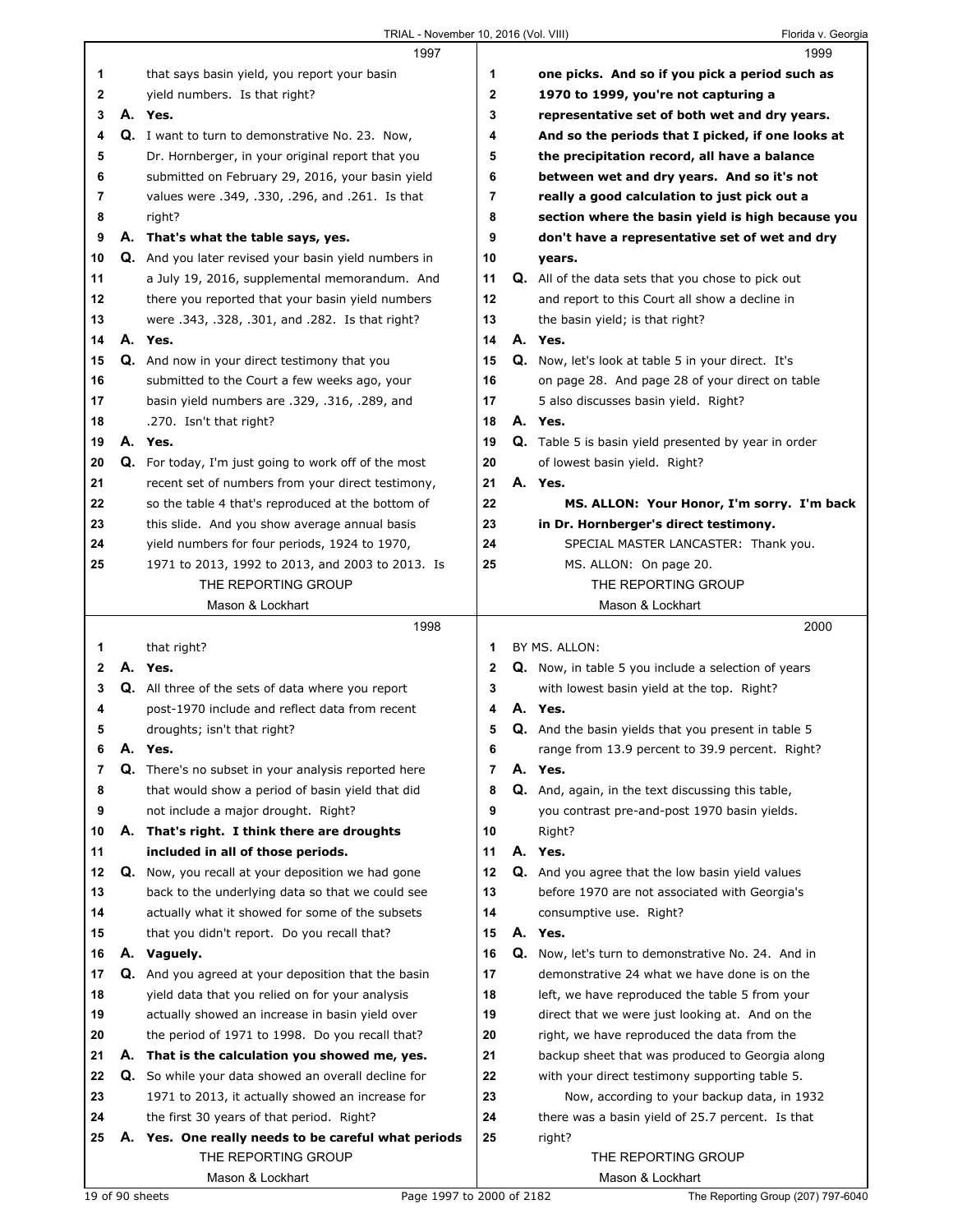|    |    | 1997                                                                     |    | 1999                                                        |
|----|----|--------------------------------------------------------------------------|----|-------------------------------------------------------------|
| 1  |    | that says basin yield, you report your basin                             | 1  | one picks. And so if you pick a period such as              |
| 2  |    | yield numbers. Is that right?                                            | 2  | 1970 to 1999, you're not capturing a                        |
| 3  |    | A. Yes.                                                                  | 3  | representative set of both wet and dry years.               |
| 4  |    | Q. I want to turn to demonstrative No. 23. Now,                          | 4  | And so the periods that I picked, if one looks at           |
| 5  |    | Dr. Hornberger, in your original report that you                         | 5  | the precipitation record, all have a balance                |
| 6  |    | submitted on February 29, 2016, your basin yield                         | 6  | between wet and dry years. And so it's not                  |
| 7  |    | values were .349, .330, .296, and .261. Is that                          | 7  | really a good calculation to just pick out a                |
| 8  |    | right?                                                                   | 8  | section where the basin yield is high because you           |
| 9  |    | A. That's what the table says, yes.                                      | 9  | don't have a representative set of wet and dry              |
| 10 |    | Q. And you later revised your basin yield numbers in                     | 10 | years.                                                      |
| 11 |    | a July 19, 2016, supplemental memorandum. And                            | 11 | <b>Q.</b> All of the data sets that you chose to pick out   |
| 12 |    | there you reported that your basin yield numbers                         | 12 | and report to this Court all show a decline in              |
| 13 |    | were .343, .328, .301, and .282. Is that right?                          | 13 | the basin yield; is that right?                             |
| 14 |    | A. Yes.                                                                  | 14 | A. Yes.                                                     |
| 15 |    | Q. And now in your direct testimony that you                             | 15 | <b>Q.</b> Now, let's look at table 5 in your direct. It's   |
| 16 |    | submitted to the Court a few weeks ago, your                             | 16 | on page 28. And page 28 of your direct on table             |
| 17 |    |                                                                          | 17 |                                                             |
|    |    | basin yield numbers are .329, .316, .289, and<br>.270. Isn't that right? | 18 | 5 also discusses basin yield. Right?<br>A. Yes.             |
| 18 |    |                                                                          |    |                                                             |
| 19 |    | A. Yes.                                                                  | 19 | <b>Q.</b> Table 5 is basin yield presented by year in order |
| 20 |    | Q. For today, I'm just going to work off of the most                     | 20 | of lowest basin yield. Right?                               |
| 21 |    | recent set of numbers from your direct testimony,                        | 21 | A. Yes.                                                     |
| 22 |    | so the table 4 that's reproduced at the bottom of                        | 22 | MS. ALLON: Your Honor, I'm sorry. I'm back                  |
| 23 |    | this slide. And you show average annual basis                            | 23 | in Dr. Hornberger's direct testimony.                       |
| 24 |    | yield numbers for four periods, 1924 to 1970,                            | 24 | SPECIAL MASTER LANCASTER: Thank you.                        |
| 25 |    | 1971 to 2013, 1992 to 2013, and 2003 to 2013. Is                         | 25 | MS. ALLON: On page 20.                                      |
|    |    | THE REPORTING GROUP                                                      |    | THE REPORTING GROUP                                         |
|    |    | Mason & Lockhart                                                         |    | Mason & Lockhart                                            |
|    |    |                                                                          |    |                                                             |
|    |    | 1998                                                                     |    | 2000                                                        |
| 1  |    | that right?                                                              | 1  | BY MS. ALLON:                                               |
| 2  |    | A. Yes.                                                                  | 2  | <b>Q.</b> Now, in table 5 you include a selection of years  |
| 3  |    | <b>Q.</b> All three of the sets of data where you report                 | 3  | with lowest basin yield at the top. Right?                  |
| 4  |    | post-1970 include and reflect data from recent                           | 4  | A. Yes.                                                     |
| 5  |    | droughts; isn't that right?                                              | 5  | <b>Q.</b> And the basin yields that you present in table 5  |
| 6  | Α. | Yes.                                                                     | 6  | range from 13.9 percent to 39.9 percent. Right?             |
| 7  | Q. | There's no subset in your analysis reported here                         | 7  | A. Yes.                                                     |
| 8  |    | that would show a period of basin yield that did                         | 8  | Q. And, again, in the text discussing this table,           |
| 9  |    | not include a major drought. Right?                                      | 9  | you contrast pre-and-post 1970 basin yields.                |
| 10 |    | A. That's right. I think there are droughts                              | 10 | Right?                                                      |
| 11 |    | included in all of those periods.                                        | 11 | A. Yes.                                                     |
| 12 | Q. | Now, you recall at your deposition we had gone                           | 12 | Q. And you agree that the low basin yield values            |
| 13 |    | back to the underlying data so that we could see                         | 13 | before 1970 are not associated with Georgia's               |
| 14 |    | actually what it showed for some of the subsets                          | 14 | consumptive use. Right?                                     |
| 15 |    | that you didn't report. Do you recall that?                              | 15 | A. Yes.                                                     |
| 16 |    | A. Vaguely.                                                              | 16 | Q. Now, let's turn to demonstrative No. 24. And in          |
| 17 |    | Q. And you agreed at your deposition that the basin                      | 17 | demonstrative 24 what we have done is on the                |
| 18 |    | yield data that you relied on for your analysis                          | 18 | left, we have reproduced the table 5 from your              |
| 19 |    | actually showed an increase in basin yield over                          | 19 | direct that we were just looking at. And on the             |
| 20 |    | the period of 1971 to 1998. Do you recall that?                          | 20 | right, we have reproduced the data from the                 |
| 21 | Α. | That is the calculation you showed me, yes.                              | 21 | backup sheet that was produced to Georgia along             |
| 22 |    | Q. So while your data showed an overall decline for                      | 22 | with your direct testimony supporting table 5.              |
| 23 |    | 1971 to 2013, it actually showed an increase for                         | 23 | Now, according to your backup data, in 1932                 |
| 24 |    | the first 30 years of that period. Right?                                | 24 | there was a basin yield of 25.7 percent. Is that            |
| 25 | Α. | Yes. One really needs to be careful what periods                         | 25 | right?                                                      |
|    |    | THE REPORTING GROUP                                                      |    | THE REPORTING GROUP                                         |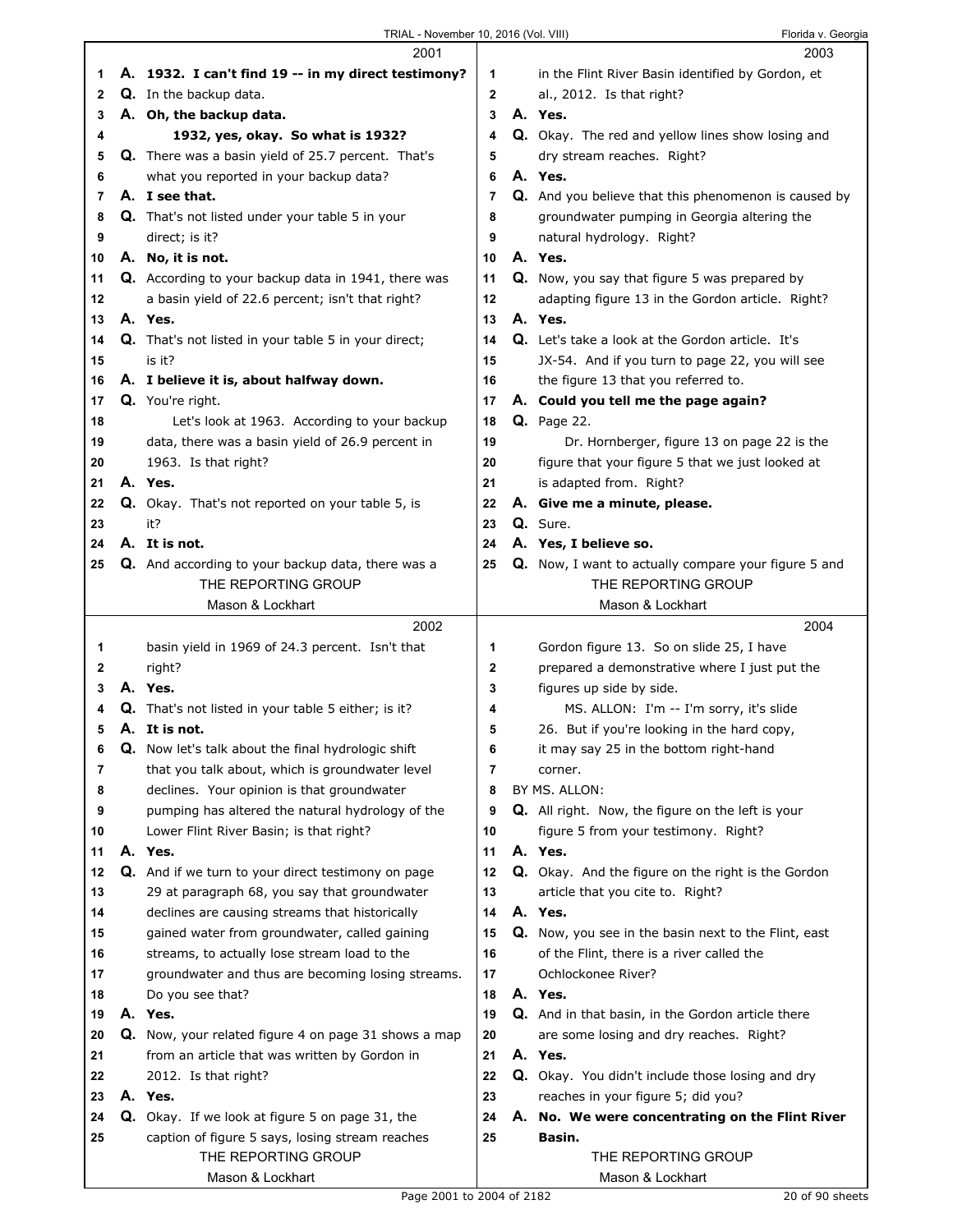$\Gamma$ 

|        | 2001                                                                 |                     | 2003                                                     |
|--------|----------------------------------------------------------------------|---------------------|----------------------------------------------------------|
| 1      | A. 1932. I can't find 19 -- in my direct testimony?                  | 1                   | in the Flint River Basin identified by Gordon, et        |
| 2      | Q. In the backup data.                                               | 2                   | al., 2012. Is that right?                                |
| 3      | A. Oh, the backup data.                                              | 3                   | A. Yes.                                                  |
| 4      | 1932, yes, okay. So what is 1932?                                    | 4                   | Q. Okay. The red and yellow lines show losing and        |
| 5      | <b>Q.</b> There was a basin yield of 25.7 percent. That's            | 5                   | dry stream reaches. Right?                               |
| 6      | what you reported in your backup data?                               | 6                   | A. Yes.                                                  |
| 7      | A. I see that.                                                       | 7                   | Q. And you believe that this phenomenon is caused by     |
| 8      | <b>Q.</b> That's not listed under your table 5 in your               | 8                   | groundwater pumping in Georgia altering the              |
| 9      | direct; is it?                                                       | 9                   | natural hydrology. Right?                                |
| 10     | A. No, it is not.                                                    | 10                  | A. Yes.                                                  |
| 11     | Q. According to your backup data in 1941, there was                  | 11                  | <b>Q.</b> Now, you say that figure 5 was prepared by     |
| 12     | a basin yield of 22.6 percent; isn't that right?                     | 12                  | adapting figure 13 in the Gordon article. Right?         |
| 13     | A. Yes.                                                              | 13                  | A. Yes.                                                  |
| 14     | Q. That's not listed in your table 5 in your direct;                 | 14                  | <b>Q.</b> Let's take a look at the Gordon article. It's  |
| 15     | is it?                                                               | 15                  | JX-54. And if you turn to page 22, you will see          |
| 16     | A. I believe it is, about halfway down.                              | 16                  | the figure 13 that you referred to.                      |
| 17     | Q. You're right.                                                     | 17                  | A. Could you tell me the page again?                     |
| 18     | Let's look at 1963. According to your backup                         | 18                  | <b>Q.</b> Page 22.                                       |
| 19     | data, there was a basin yield of 26.9 percent in                     | 19                  | Dr. Hornberger, figure 13 on page 22 is the              |
| 20     | 1963. Is that right?                                                 | 20                  | figure that your figure 5 that we just looked at         |
| 21     | A. Yes.                                                              | 21                  | is adapted from. Right?                                  |
| 22     | <b>Q.</b> Okay. That's not reported on your table 5, is              | 22                  | A. Give me a minute, please.                             |
| 23     | it?                                                                  | 23                  | Q. Sure.                                                 |
| 24     | A. It is not.                                                        | 24                  | A. Yes, I believe so.                                    |
| 25     | Q. And according to your backup data, there was a                    | 25                  | Q. Now, I want to actually compare your figure 5 and     |
|        | THE REPORTING GROUP                                                  |                     | THE REPORTING GROUP                                      |
|        | Mason & Lockhart                                                     |                     | Mason & Lockhart                                         |
|        | 2002                                                                 |                     | 2004                                                     |
|        |                                                                      |                     |                                                          |
|        |                                                                      |                     |                                                          |
| 1<br>2 | basin yield in 1969 of 24.3 percent. Isn't that                      | 1<br>2              | Gordon figure 13. So on slide 25, I have                 |
| 3      | right?<br>A. Yes.                                                    | 3                   | prepared a demonstrative where I just put the            |
| 4      |                                                                      | 4                   | figures up side by side.                                 |
| 5      | Q. That's not listed in your table 5 either; is it?<br>A. It is not. |                     | MS. ALLON: I'm -- I'm sorry, it's slide                  |
|        |                                                                      | 5                   | 26. But if you're looking in the hard copy,              |
| 6      | <b>Q.</b> Now let's talk about the final hydrologic shift            | 6<br>$\overline{7}$ | it may say 25 in the bottom right-hand                   |
| 7      | that you talk about, which is groundwater level                      |                     | corner.                                                  |
| 8      | declines. Your opinion is that groundwater                           | 8                   | BY MS. ALLON:                                            |
| 9      | pumping has altered the natural hydrology of the                     | 9                   | <b>Q.</b> All right. Now, the figure on the left is your |
| 10     | Lower Flint River Basin; is that right?                              | 10                  | figure 5 from your testimony. Right?                     |
| 11     | A. Yes.                                                              | 11                  | A. Yes.                                                  |
| 12     | Q. And if we turn to your direct testimony on page                   | 12                  | Q. Okay. And the figure on the right is the Gordon       |
| 13     | 29 at paragraph 68, you say that groundwater                         | 13                  | article that you cite to. Right?                         |
| 14     | declines are causing streams that historically                       | 14                  | A. Yes.                                                  |
| 15     | gained water from groundwater, called gaining                        | 15                  | Q. Now, you see in the basin next to the Flint, east     |
| 16     | streams, to actually lose stream load to the                         | 16                  | of the Flint, there is a river called the                |
| 17     | groundwater and thus are becoming losing streams.                    | 17                  | Ochlockonee River?                                       |
| 18     | Do you see that?                                                     | 18                  | A. Yes.                                                  |
| 19     | A. Yes.                                                              | 19                  | Q. And in that basin, in the Gordon article there        |
| 20     | Q. Now, your related figure 4 on page 31 shows a map                 | 20                  | are some losing and dry reaches. Right?                  |
| 21     | from an article that was written by Gordon in                        | 21                  | A. Yes.                                                  |
| 22     | 2012. Is that right?                                                 | 22                  | Q. Okay. You didn't include those losing and dry         |
| 23     | A. Yes.                                                              | 23                  | reaches in your figure 5; did you?                       |
| 24     | Q. Okay. If we look at figure 5 on page 31, the                      | 24                  | A. No. We were concentrating on the Flint River          |
| 25     | caption of figure 5 says, losing stream reaches                      | 25                  | Basin.                                                   |
|        | THE REPORTING GROUP<br>Mason & Lockhart                              |                     | THE REPORTING GROUP<br>Mason & Lockhart                  |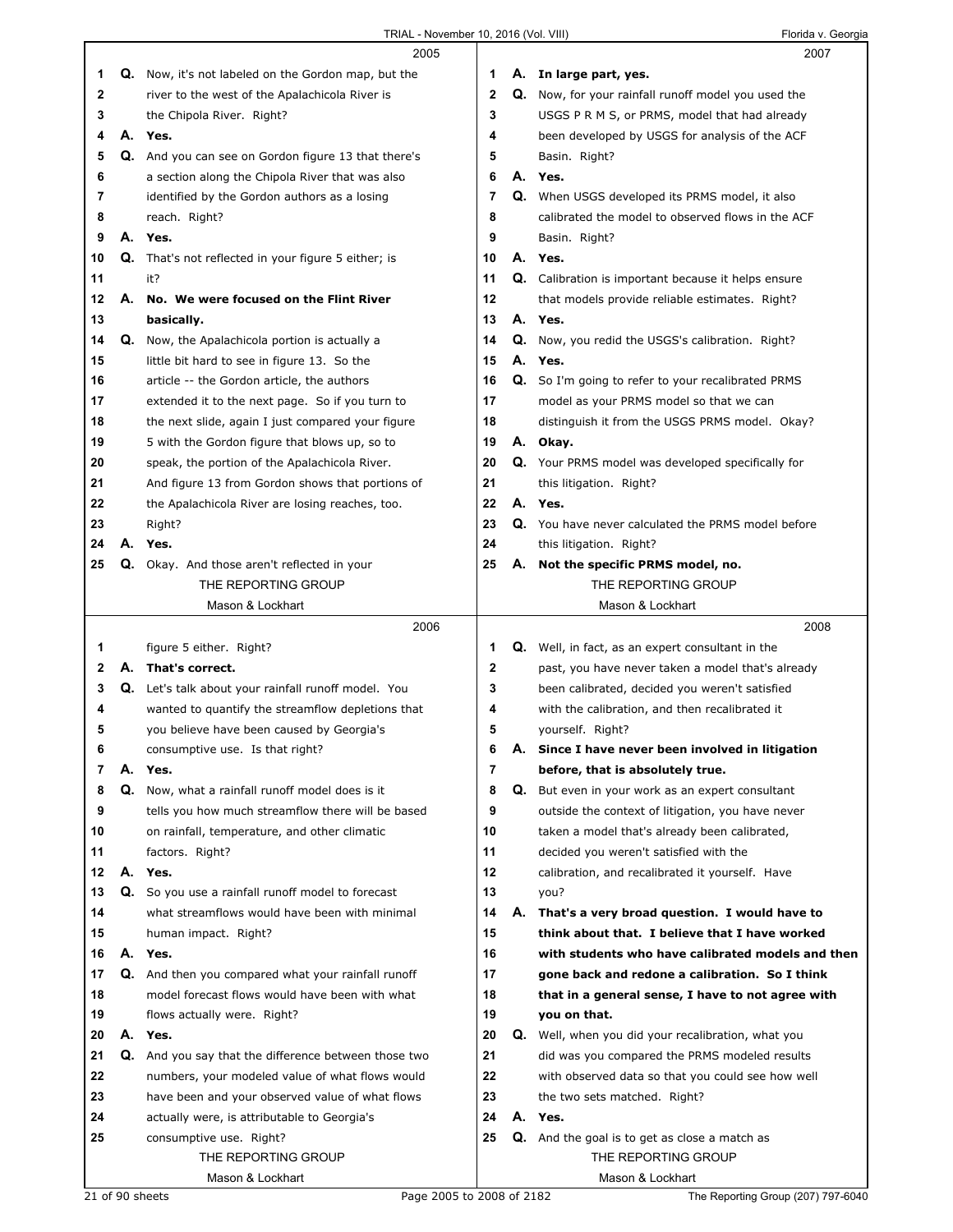|    |    | 2005                                                               |    |    | 2007                                                       |
|----|----|--------------------------------------------------------------------|----|----|------------------------------------------------------------|
| 1  |    | <b>Q.</b> Now, it's not labeled on the Gordon map, but the         | 1  |    | A. In large part, yes.                                     |
| 2  |    | river to the west of the Apalachicola River is                     | 2  |    | <b>Q.</b> Now, for your rainfall runoff model you used the |
| 3  |    | the Chipola River. Right?                                          | 3  |    | USGS P R M S, or PRMS, model that had already              |
| 4  | А. | Yes.                                                               | 4  |    | been developed by USGS for analysis of the ACF             |
| 5  | Q. | And you can see on Gordon figure 13 that there's                   | 5  |    | Basin. Right?                                              |
| 6  |    | a section along the Chipola River that was also                    | 6  |    | A. Yes.                                                    |
| 7  |    | identified by the Gordon authors as a losing                       | 7  | Q. | When USGS developed its PRMS model, it also                |
| 8  |    | reach. Right?                                                      | 8  |    | calibrated the model to observed flows in the ACF          |
| 9  | А. | Yes.                                                               | 9  |    | Basin. Right?                                              |
| 10 | Q. | That's not reflected in your figure 5 either; is                   | 10 | А. | Yes.                                                       |
| 11 |    | it?                                                                | 11 |    | <b>Q.</b> Calibration is important because it helps ensure |
| 12 |    | A. No. We were focused on the Flint River                          | 12 |    | that models provide reliable estimates. Right?             |
| 13 |    | basically.                                                         | 13 | А. | Yes.                                                       |
| 14 | Q. | Now, the Apalachicola portion is actually a                        | 14 |    | <b>Q.</b> Now, you redid the USGS's calibration. Right?    |
| 15 |    | little bit hard to see in figure 13. So the                        | 15 | А. | Yes.                                                       |
| 16 |    | article -- the Gordon article, the authors                         | 16 | Q. | So I'm going to refer to your recalibrated PRMS            |
| 17 |    | extended it to the next page. So if you turn to                    | 17 |    | model as your PRMS model so that we can                    |
| 18 |    | the next slide, again I just compared your figure                  | 18 |    | distinguish it from the USGS PRMS model. Okay?             |
| 19 |    | 5 with the Gordon figure that blows up, so to                      | 19 |    | A. Okay.                                                   |
| 20 |    | speak, the portion of the Apalachicola River.                      | 20 |    | <b>Q.</b> Your PRMS model was developed specifically for   |
| 21 |    | And figure 13 from Gordon shows that portions of                   | 21 |    | this litigation. Right?                                    |
| 22 |    | the Apalachicola River are losing reaches, too.                    | 22 |    | A. Yes.                                                    |
| 23 |    |                                                                    | 23 | Q. | You have never calculated the PRMS model before            |
| 24 | А. | Right?<br>Yes.                                                     | 24 |    | this litigation. Right?                                    |
| 25 |    |                                                                    | 25 |    | A. Not the specific PRMS model, no.                        |
|    |    | Q. Okay. And those aren't reflected in your<br>THE REPORTING GROUP |    |    | THE REPORTING GROUP                                        |
|    |    | Mason & Lockhart                                                   |    |    | Mason & Lockhart                                           |
|    |    |                                                                    |    |    |                                                            |
|    |    |                                                                    |    |    |                                                            |
|    |    | 2006                                                               |    |    | 2008                                                       |
| 1  |    | figure 5 either. Right?                                            | 1  |    | <b>Q.</b> Well, in fact, as an expert consultant in the    |
| 2  | А. | That's correct.                                                    | 2  |    | past, you have never taken a model that's already          |
| 3  |    | Q. Let's talk about your rainfall runoff model. You                | 3  |    | been calibrated, decided you weren't satisfied             |
| 4  |    | wanted to quantify the streamflow depletions that                  | 4  |    | with the calibration, and then recalibrated it             |
| 5  |    | you believe have been caused by Georgia's                          | 5  |    | yourself. Right?                                           |
| 6  |    | consumptive use. Is that right?                                    | 6  |    | Since I have never been involved in litigation             |
| 7  | А. | Yes.                                                               | 7  |    | before, that is absolutely true.                           |
| 8  | Q. | Now, what a rainfall runoff model does is it                       | 8  | Q. | But even in your work as an expert consultant              |
| 9  |    | tells you how much streamflow there will be based                  | 9  |    | outside the context of litigation, you have never          |
| 10 |    | on rainfall, temperature, and other climatic                       | 10 |    | taken a model that's already been calibrated,              |
| 11 |    | factors. Right?                                                    | 11 |    | decided you weren't satisfied with the                     |
| 12 | А. | Yes.                                                               | 12 |    | calibration, and recalibrated it yourself. Have            |
| 13 | Q. | So you use a rainfall runoff model to forecast                     | 13 |    | you?                                                       |
| 14 |    | what streamflows would have been with minimal                      | 14 | А. | That's a very broad question. I would have to              |
| 15 |    | human impact. Right?                                               | 15 |    | think about that. I believe that I have worked             |
| 16 |    | A. Yes.                                                            | 16 |    | with students who have calibrated models and then          |
| 17 |    | Q. And then you compared what your rainfall runoff                 | 17 |    | gone back and redone a calibration. So I think             |
| 18 |    | model forecast flows would have been with what                     | 18 |    | that in a general sense, I have to not agree with          |
| 19 |    | flows actually were. Right?                                        | 19 |    | you on that.                                               |
| 20 |    | A. Yes.                                                            | 20 | Q. | Well, when you did your recalibration, what you            |
| 21 | Q. | And you say that the difference between those two                  | 21 |    | did was you compared the PRMS modeled results              |
| 22 |    | numbers, your modeled value of what flows would                    | 22 |    | with observed data so that you could see how well          |
| 23 |    | have been and your observed value of what flows                    | 23 |    | the two sets matched. Right?                               |
| 24 |    | actually were, is attributable to Georgia's                        | 24 |    | A. Yes.                                                    |
| 25 |    | consumptive use. Right?                                            | 25 |    | <b>Q.</b> And the goal is to get as close a match as       |
|    |    | THE REPORTING GROUP<br>Mason & Lockhart                            |    |    | THE REPORTING GROUP<br>Mason & Lockhart                    |

21 of 90 sheets mass... a Location Page 2005 to 2008 of 2182 The Reporting Group (207) 797-6040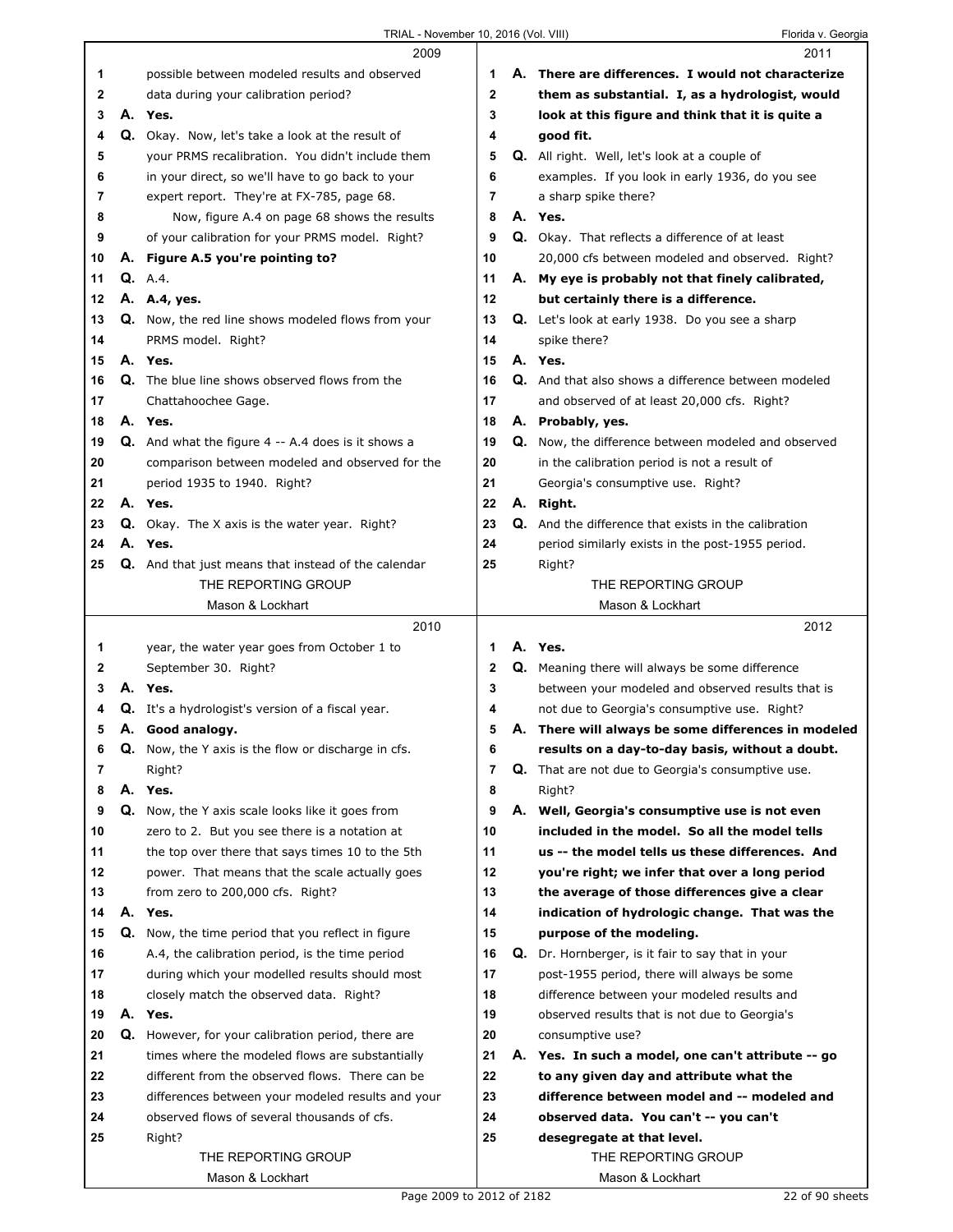|    |    | 2009                                                      |                | 2011                                                     |
|----|----|-----------------------------------------------------------|----------------|----------------------------------------------------------|
| 1  |    | possible between modeled results and observed             | 1              | A. There are differences. I would not characterize       |
| 2  |    | data during your calibration period?                      | 2              | them as substantial. I, as a hydrologist, would          |
| 3  |    | A. Yes.                                                   | 3              | look at this figure and think that it is quite a         |
| 4  |    | Q. Okay. Now, let's take a look at the result of          | 4              | good fit.                                                |
| 5  |    | your PRMS recalibration. You didn't include them          | 5              | <b>Q.</b> All right. Well, let's look at a couple of     |
| 6  |    | in your direct, so we'll have to go back to your          | 6              | examples. If you look in early 1936, do you see          |
| 7  |    | expert report. They're at FX-785, page 68.                | 7              | a sharp spike there?                                     |
| 8  |    | Now, figure A.4 on page 68 shows the results              | 8              | A. Yes.                                                  |
|    |    |                                                           |                |                                                          |
| 9  |    | of your calibration for your PRMS model. Right?           | 9              | Q. Okay. That reflects a difference of at least          |
| 10 |    | A. Figure A.5 you're pointing to?                         | 10             | 20,000 cfs between modeled and observed. Right?          |
| 11 |    | <b>Q.</b> A.4.                                            | 11             | A. My eye is probably not that finely calibrated,        |
| 12 |    | A. A.4, yes.                                              | 12             | but certainly there is a difference.                     |
| 13 |    | <b>Q.</b> Now, the red line shows modeled flows from your | 13             | Q. Let's look at early 1938. Do you see a sharp          |
| 14 |    | PRMS model. Right?                                        | 14             | spike there?                                             |
| 15 |    | A. Yes.                                                   | 15             | A. Yes.                                                  |
| 16 |    | Q. The blue line shows observed flows from the            | 16             | Q. And that also shows a difference between modeled      |
| 17 |    | Chattahoochee Gage.                                       | 17             | and observed of at least 20,000 cfs. Right?              |
| 18 |    | A. Yes.                                                   | 18             | A. Probably, yes.                                        |
| 19 |    | <b>Q.</b> And what the figure 4 -- A.4 does is it shows a | 19             | Q. Now, the difference between modeled and observed      |
| 20 |    | comparison between modeled and observed for the           | 20             | in the calibration period is not a result of             |
| 21 |    | period 1935 to 1940. Right?                               | 21             | Georgia's consumptive use. Right?                        |
| 22 |    | A. Yes.                                                   | 22             | A. Right.                                                |
| 23 |    | <b>Q.</b> Okay. The X axis is the water year. Right?      | 23             | Q. And the difference that exists in the calibration     |
| 24 |    | A. Yes.                                                   | 24             | period similarly exists in the post-1955 period.         |
| 25 |    | Q. And that just means that instead of the calendar       | 25             | Right?                                                   |
|    |    | THE REPORTING GROUP                                       |                | THE REPORTING GROUP                                      |
|    |    | Mason & Lockhart                                          |                | Mason & Lockhart                                         |
|    |    |                                                           |                |                                                          |
|    |    |                                                           |                |                                                          |
|    |    | 2010                                                      |                | 2012                                                     |
| 1  |    | year, the water year goes from October 1 to               | 1              | A. Yes.                                                  |
| 2  |    | September 30. Right?                                      | 2              | Q. Meaning there will always be some difference          |
| 3  |    | A. Yes.                                                   | 3              | between your modeled and observed results that is        |
| 4  |    | <b>Q.</b> It's a hydrologist's version of a fiscal year.  | 4              | not due to Georgia's consumptive use. Right?             |
| 5  |    | A. Good analogy.                                          | 5              | A. There will always be some differences in modeled      |
| 6  | Q. | Now, the Y axis is the flow or discharge in cfs.          | 6              | results on a day-to-day basis, without a doubt.          |
| 7  |    | Right?                                                    | $\overline{7}$ | <b>Q.</b> That are not due to Georgia's consumptive use. |
| 8  |    | A. Yes.                                                   | 8              | Right?                                                   |
| 9  |    | Q. Now, the Y axis scale looks like it goes from          | 9              | A. Well, Georgia's consumptive use is not even           |
| 10 |    | zero to 2. But you see there is a notation at             | 10             | included in the model. So all the model tells            |
| 11 |    | the top over there that says times 10 to the 5th          | 11             | us -- the model tells us these differences. And          |
| 12 |    | power. That means that the scale actually goes            | 12             | you're right; we infer that over a long period           |
| 13 |    | from zero to 200,000 cfs. Right?                          | 13             | the average of those differences give a clear            |
| 14 |    | A. Yes.                                                   | 14             | indication of hydrologic change. That was the            |
| 15 |    | Q. Now, the time period that you reflect in figure        | 15             | purpose of the modeling.                                 |
| 16 |    | A.4, the calibration period, is the time period           | 16             | Q. Dr. Hornberger, is it fair to say that in your        |
| 17 |    | during which your modelled results should most            | 17             | post-1955 period, there will always be some              |
| 18 |    | closely match the observed data. Right?                   | 18             | difference between your modeled results and              |
| 19 |    | A. Yes.                                                   | 19             | observed results that is not due to Georgia's            |
| 20 |    | <b>Q.</b> However, for your calibration period, there are | 20             | consumptive use?                                         |
| 21 |    | times where the modeled flows are substantially           | 21             | A. Yes. In such a model, one can't attribute -- go       |
| 22 |    | different from the observed flows. There can be           | 22             | to any given day and attribute what the                  |
|    |    |                                                           |                |                                                          |
| 23 |    | differences between your modeled results and your         | 23             | difference between model and -- modeled and              |
| 24 |    | observed flows of several thousands of cfs.               | 24             | observed data. You can't -- you can't                    |
| 25 |    | Right?                                                    | 25             | desegregate at that level.                               |
|    |    | THE REPORTING GROUP<br>Mason & Lockhart                   |                | THE REPORTING GROUP<br>Mason & Lockhart                  |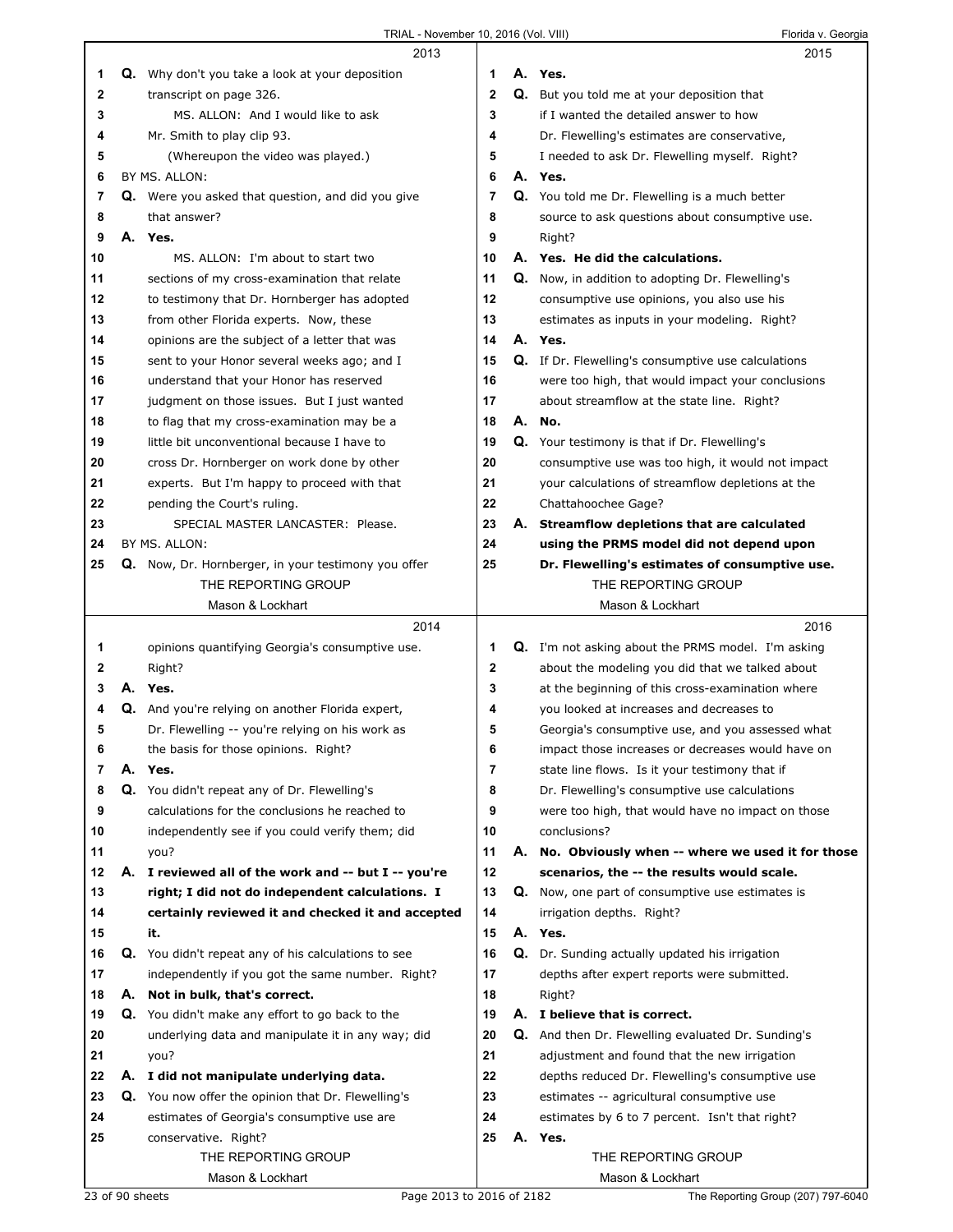|    |    | 2013                                                       |              |    | 2015                                                      |
|----|----|------------------------------------------------------------|--------------|----|-----------------------------------------------------------|
| 1  |    | Q. Why don't you take a look at your deposition            | 1            |    | A. Yes.                                                   |
| 2  |    | transcript on page 326.                                    | $\mathbf{2}$ | Q. | But you told me at your deposition that                   |
| 3  |    | MS. ALLON: And I would like to ask                         | 3            |    | if I wanted the detailed answer to how                    |
| 4  |    | Mr. Smith to play clip 93.                                 | 4            |    | Dr. Flewelling's estimates are conservative,              |
| 5  |    | (Whereupon the video was played.)                          | 5            |    | I needed to ask Dr. Flewelling myself. Right?             |
| 6  |    | BY MS. ALLON:                                              | 6            |    | A. Yes.                                                   |
| 7  |    | Q. Were you asked that question, and did you give          | 7            |    | Q. You told me Dr. Flewelling is a much better            |
| 8  |    | that answer?                                               | 8            |    | source to ask questions about consumptive use.            |
| 9  |    | A. Yes.                                                    | 9            |    | Right?                                                    |
| 10 |    | MS. ALLON: I'm about to start two                          | 10           |    | A. Yes. He did the calculations.                          |
| 11 |    | sections of my cross-examination that relate               | 11           |    | <b>Q.</b> Now, in addition to adopting Dr. Flewelling's   |
| 12 |    | to testimony that Dr. Hornberger has adopted               | 12           |    | consumptive use opinions, you also use his                |
| 13 |    | from other Florida experts. Now, these                     | 13           |    | estimates as inputs in your modeling. Right?              |
| 14 |    | opinions are the subject of a letter that was              | 14           |    | A. Yes.                                                   |
| 15 |    | sent to your Honor several weeks ago; and I                | 15           |    | Q. If Dr. Flewelling's consumptive use calculations       |
| 16 |    | understand that your Honor has reserved                    | 16           |    | were too high, that would impact your conclusions         |
| 17 |    | judgment on those issues. But I just wanted                | 17           |    | about streamflow at the state line. Right?                |
| 18 |    | to flag that my cross-examination may be a                 | 18           |    | A. No.                                                    |
| 19 |    | little bit unconventional because I have to                | 19           |    | Q. Your testimony is that if Dr. Flewelling's             |
| 20 |    | cross Dr. Hornberger on work done by other                 | 20           |    | consumptive use was too high, it would not impact         |
| 21 |    | experts. But I'm happy to proceed with that                | 21           |    | your calculations of streamflow depletions at the         |
| 22 |    | pending the Court's ruling.                                | 22           |    | Chattahoochee Gage?                                       |
| 23 |    | SPECIAL MASTER LANCASTER: Please.                          | 23           |    | A. Streamflow depletions that are calculated              |
| 24 |    | BY MS. ALLON:                                              | 24           |    | using the PRMS model did not depend upon                  |
| 25 |    | Q. Now, Dr. Hornberger, in your testimony you offer        | 25           |    | Dr. Flewelling's estimates of consumptive use.            |
|    |    | THE REPORTING GROUP                                        |              |    | THE REPORTING GROUP                                       |
|    |    | Mason & Lockhart                                           |              |    | Mason & Lockhart                                          |
|    |    |                                                            |              |    |                                                           |
|    |    | 2014                                                       |              |    | 2016                                                      |
| 1  |    | opinions quantifying Georgia's consumptive use.            | 1            |    | <b>Q.</b> I'm not asking about the PRMS model. I'm asking |
| 2  |    | Right?                                                     | 2            |    | about the modeling you did that we talked about           |
| 3  |    | A. Yes.                                                    | 3            |    | at the beginning of this cross-examination where          |
| 4  |    | Q. And you're relying on another Florida expert,           | 4            |    | you looked at increases and decreases to                  |
| 5  |    | Dr. Flewelling -- you're relying on his work as            | 5            |    | Georgia's consumptive use, and you assessed what          |
| 6  |    | the basis for those opinions. Right?                       | 6            |    | impact those increases or decreases would have on         |
| 7  | А. | Yes.                                                       | 7            |    | state line flows. Is it your testimony that if            |
| 8  |    | Q. You didn't repeat any of Dr. Flewelling's               | 8            |    | Dr. Flewelling's consumptive use calculations             |
| 9  |    | calculations for the conclusions he reached to             | 9            |    | were too high, that would have no impact on those         |
| 10 |    | independently see if you could verify them; did            | 10           |    | conclusions?                                              |
| 11 |    | you?                                                       | 11           |    | A. No. Obviously when -- where we used it for those       |
| 12 |    | A. I reviewed all of the work and -- but I -- you're       | 12           |    | scenarios, the -- the results would scale.                |
| 13 |    | right; I did not do independent calculations. I            | 13           |    | Q. Now, one part of consumptive use estimates is          |
| 14 |    | certainly reviewed it and checked it and accepted          | 14           |    | irrigation depths. Right?                                 |
| 15 |    | it.                                                        | 15           |    | A. Yes.                                                   |
| 16 |    | <b>Q.</b> You didn't repeat any of his calculations to see | 16           |    | Q. Dr. Sunding actually updated his irrigation            |
| 17 |    | independently if you got the same number. Right?           | 17           |    | depths after expert reports were submitted.               |
| 18 |    | A. Not in bulk, that's correct.                            | 18           |    | Right?                                                    |
| 19 |    | <b>Q.</b> You didn't make any effort to go back to the     | 19           |    | A. I believe that is correct.                             |
| 20 |    | underlying data and manipulate it in any way; did          | 20           |    | Q. And then Dr. Flewelling evaluated Dr. Sunding's        |
| 21 |    | you?                                                       | 21           |    | adjustment and found that the new irrigation              |
| 22 |    | A. I did not manipulate underlying data.                   | 22           |    | depths reduced Dr. Flewelling's consumptive use           |
| 23 |    | <b>Q.</b> You now offer the opinion that Dr. Flewelling's  | 23           |    | estimates -- agricultural consumptive use                 |
| 24 |    | estimates of Georgia's consumptive use are                 | 24           |    | estimates by 6 to 7 percent. Isn't that right?            |
| 25 |    | conservative. Right?                                       | 25           | А. | Yes.                                                      |
|    |    | THE REPORTING GROUP<br>Mason & Lockhart                    |              |    | THE REPORTING GROUP<br>Mason & Lockhart                   |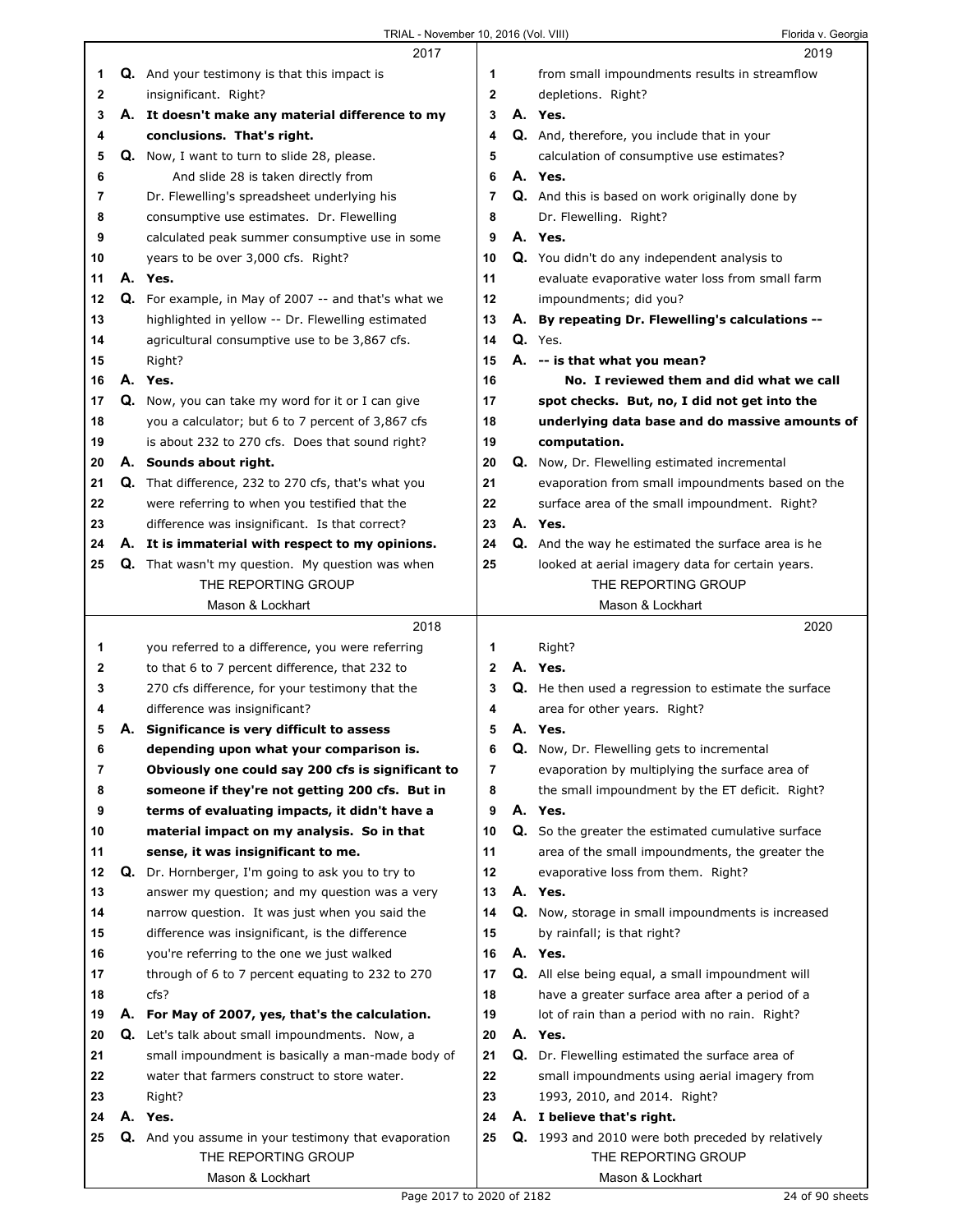|    |    | 2017                                                                                |              | 2019                                                                                 |
|----|----|-------------------------------------------------------------------------------------|--------------|--------------------------------------------------------------------------------------|
| 1  |    | <b>Q.</b> And your testimony is that this impact is                                 | 1            | from small impoundments results in streamflow                                        |
| 2  |    | insignificant. Right?                                                               | 2            | depletions. Right?                                                                   |
| 3  |    | A. It doesn't make any material difference to my                                    | 3            | A. Yes.                                                                              |
| 4  |    | conclusions. That's right.                                                          | 4            | <b>Q.</b> And, therefore, you include that in your                                   |
| 5  |    | Q. Now, I want to turn to slide 28, please.                                         | 5            | calculation of consumptive use estimates?                                            |
|    |    |                                                                                     | 6            | A. Yes.                                                                              |
| 6  |    | And slide 28 is taken directly from                                                 |              |                                                                                      |
| 7  |    | Dr. Flewelling's spreadsheet underlying his                                         | 7            | <b>Q.</b> And this is based on work originally done by                               |
| 8  |    | consumptive use estimates. Dr. Flewelling                                           | 8            | Dr. Flewelling. Right?                                                               |
| 9  |    | calculated peak summer consumptive use in some                                      | 9            | A. Yes.                                                                              |
| 10 |    | years to be over 3,000 cfs. Right?                                                  | 10           | Q. You didn't do any independent analysis to                                         |
| 11 |    | A. Yes.                                                                             | 11           | evaluate evaporative water loss from small farm                                      |
| 12 |    | Q. For example, in May of 2007 -- and that's what we                                | 12           | impoundments; did you?                                                               |
| 13 |    | highlighted in yellow -- Dr. Flewelling estimated                                   | 13           | A. By repeating Dr. Flewelling's calculations --                                     |
| 14 |    | agricultural consumptive use to be 3,867 cfs.                                       | 14           | Q. Yes.                                                                              |
| 15 |    | Right?                                                                              | 15           | A. -- is that what you mean?                                                         |
| 16 |    | A. Yes.                                                                             | 16           | No. I reviewed them and did what we call                                             |
| 17 |    | Q. Now, you can take my word for it or I can give                                   | 17           | spot checks. But, no, I did not get into the                                         |
|    |    |                                                                                     |              |                                                                                      |
| 18 |    | you a calculator; but 6 to 7 percent of 3,867 cfs                                   | 18           | underlying data base and do massive amounts of                                       |
| 19 |    | is about 232 to 270 cfs. Does that sound right?                                     | 19           | computation.                                                                         |
| 20 |    | A. Sounds about right.                                                              | 20           | <b>Q.</b> Now, Dr. Flewelling estimated incremental                                  |
| 21 |    | <b>Q.</b> That difference, 232 to 270 cfs, that's what you                          | 21           | evaporation from small impoundments based on the                                     |
| 22 |    | were referring to when you testified that the                                       | 22           | surface area of the small impoundment. Right?                                        |
| 23 |    | difference was insignificant. Is that correct?                                      | 23           | A. Yes.                                                                              |
| 24 |    | A. It is immaterial with respect to my opinions.                                    | 24           | Q. And the way he estimated the surface area is he                                   |
| 25 |    | <b>Q.</b> That wasn't my question. My question was when                             | 25           | looked at aerial imagery data for certain years.                                     |
|    |    | THE REPORTING GROUP                                                                 |              | THE REPORTING GROUP                                                                  |
|    |    | Mason & Lockhart                                                                    |              | Mason & Lockhart                                                                     |
|    |    |                                                                                     |              |                                                                                      |
|    |    | 2018                                                                                |              | 2020                                                                                 |
| 1  |    | you referred to a difference, you were referring                                    | 1            | Right?                                                                               |
| 2  |    | to that 6 to 7 percent difference, that 232 to                                      | $\mathbf{2}$ | A. Yes.                                                                              |
| 3  |    | 270 cfs difference, for your testimony that the                                     | 3            |                                                                                      |
| 4  |    | difference was insignificant?                                                       | 4            | Q. He then used a regression to estimate the surface<br>area for other years. Right? |
| 5  | А. |                                                                                     | 5            | A. Yes.                                                                              |
| 6  |    | Significance is very difficult to assess<br>depending upon what your comparison is. | 6            | <b>Q.</b> Now, Dr. Flewelling gets to incremental                                    |
| 7  |    | Obviously one could say 200 cfs is significant to                                   | 7            | evaporation by multiplying the surface area of                                       |
|    |    |                                                                                     |              |                                                                                      |
| 8  |    | someone if they're not getting 200 cfs. But in                                      | 8<br>9       | the small impoundment by the ET deficit. Right?<br>A. Yes.                           |
| 9  |    | terms of evaluating impacts, it didn't have a                                       |              |                                                                                      |
| 10 |    | material impact on my analysis. So in that                                          | 10           | <b>Q.</b> So the greater the estimated cumulative surface                            |
| 11 |    | sense, it was insignificant to me.                                                  | 11           | area of the small impoundments, the greater the                                      |
| 12 | Q. | Dr. Hornberger, I'm going to ask you to try to                                      | 12           | evaporative loss from them. Right?                                                   |
| 13 |    | answer my question; and my question was a very                                      | 13           | A. Yes.                                                                              |
| 14 |    | narrow question. It was just when you said the                                      | 14           | Q. Now, storage in small impoundments is increased                                   |
| 15 |    | difference was insignificant, is the difference                                     | 15           | by rainfall; is that right?                                                          |
| 16 |    | you're referring to the one we just walked                                          | 16           | A. Yes.                                                                              |
| 17 |    | through of 6 to 7 percent equating to 232 to 270                                    | 17           | <b>Q.</b> All else being equal, a small impoundment will                             |
| 18 |    | cfs?                                                                                | 18           | have a greater surface area after a period of a                                      |
| 19 |    | A. For May of 2007, yes, that's the calculation.                                    | 19           | lot of rain than a period with no rain. Right?                                       |
| 20 |    | <b>Q.</b> Let's talk about small impoundments. Now, a                               | 20           | A. Yes.                                                                              |
| 21 |    | small impoundment is basically a man-made body of                                   | 21           | Q. Dr. Flewelling estimated the surface area of                                      |
| 22 |    | water that farmers construct to store water.                                        | 22           | small impoundments using aerial imagery from                                         |
| 23 |    | Right?                                                                              | 23           | 1993, 2010, and 2014. Right?                                                         |
| 24 |    | A. Yes.                                                                             | 24           | A. I believe that's right.                                                           |
| 25 |    | Q. And you assume in your testimony that evaporation                                | 25           | <b>Q.</b> 1993 and 2010 were both preceded by relatively                             |
|    |    | THE REPORTING GROUP<br>Mason & Lockhart                                             |              | THE REPORTING GROUP<br>Mason & Lockhart                                              |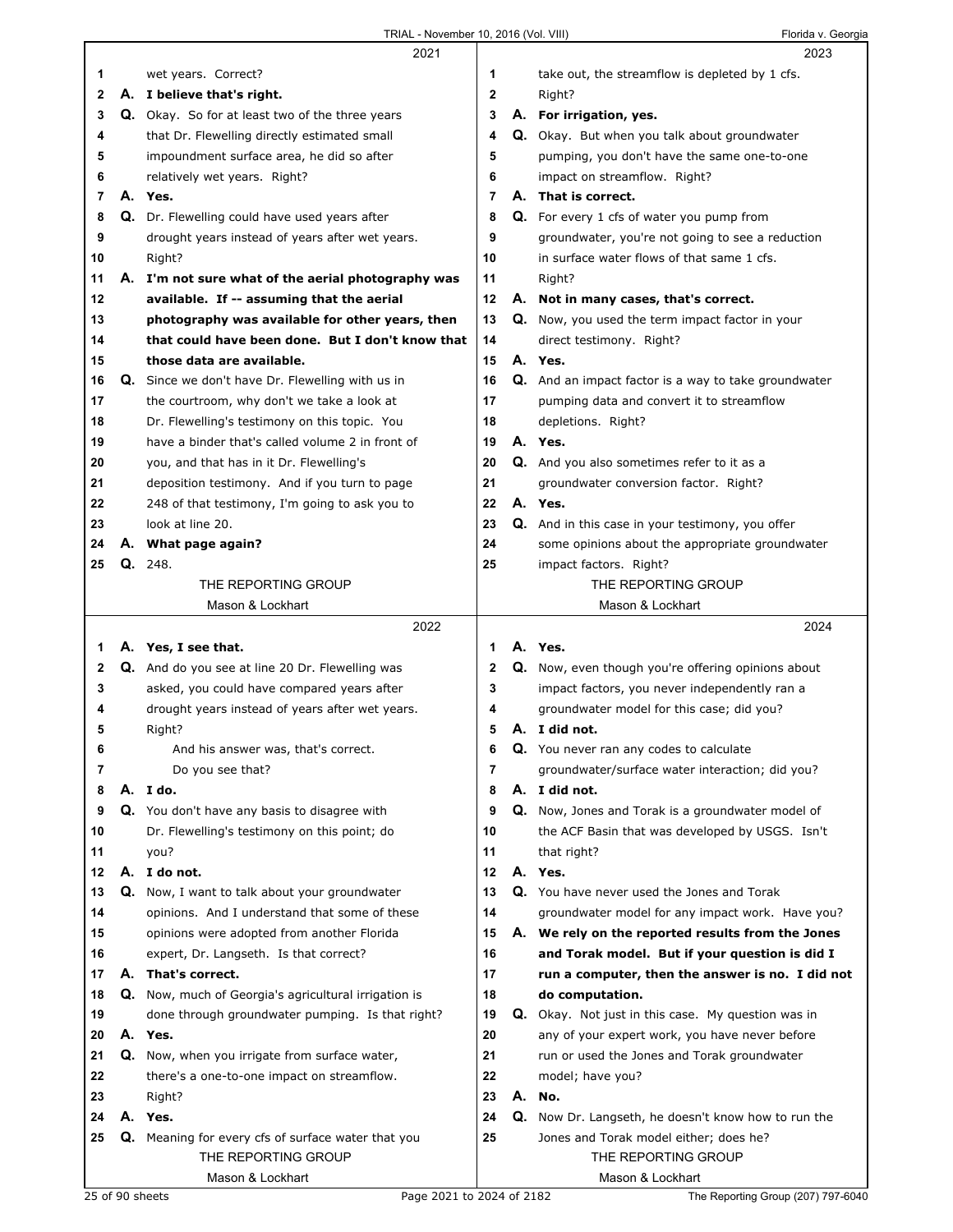|    |    | 2021                                                    |                |    | 2023                                                      |
|----|----|---------------------------------------------------------|----------------|----|-----------------------------------------------------------|
| 1  |    | wet years. Correct?                                     | 1              |    | take out, the streamflow is depleted by 1 cfs.            |
| 2  |    | A. I believe that's right.                              | $\mathbf{2}$   |    | Right?                                                    |
| 3  |    | Q. Okay. So for at least two of the three years         | 3              |    | A. For irrigation, yes.                                   |
| 4  |    | that Dr. Flewelling directly estimated small            | 4              |    | Q. Okay. But when you talk about groundwater              |
| 5  |    | impoundment surface area, he did so after               | 5              |    | pumping, you don't have the same one-to-one               |
| 6  |    | relatively wet years. Right?                            | 6              |    | impact on streamflow. Right?                              |
| 7  |    | A. Yes.                                                 | $\overline{7}$ |    | A. That is correct.                                       |
| 8  |    | <b>Q.</b> Dr. Flewelling could have used years after    | 8              |    | <b>Q.</b> For every 1 cfs of water you pump from          |
| 9  |    | drought years instead of years after wet years.         | 9              |    | groundwater, you're not going to see a reduction          |
| 10 |    | Right?                                                  | 10             |    | in surface water flows of that same 1 cfs.                |
| 11 |    | A. I'm not sure what of the aerial photography was      | 11             |    | Right?                                                    |
| 12 |    | available. If -- assuming that the aerial               | 12             |    | A. Not in many cases, that's correct.                     |
| 13 |    | photography was available for other years, then         | 13             |    | Q. Now, you used the term impact factor in your           |
| 14 |    | that could have been done. But I don't know that        | 14             |    | direct testimony. Right?                                  |
| 15 |    | those data are available.                               | 15             |    | A. Yes.                                                   |
| 16 |    | <b>Q.</b> Since we don't have Dr. Flewelling with us in | 16             |    | Q. And an impact factor is a way to take groundwater      |
| 17 |    | the courtroom, why don't we take a look at              | 17             |    | pumping data and convert it to streamflow                 |
| 18 |    | Dr. Flewelling's testimony on this topic. You           | 18             |    | depletions. Right?                                        |
| 19 |    | have a binder that's called volume 2 in front of        | 19             |    | A. Yes.                                                   |
| 20 |    | you, and that has in it Dr. Flewelling's                | 20             |    | Q. And you also sometimes refer to it as a                |
| 21 |    | deposition testimony. And if you turn to page           | 21             |    | groundwater conversion factor. Right?                     |
| 22 |    | 248 of that testimony, I'm going to ask you to          | 22             |    | A. Yes.                                                   |
| 23 |    | look at line 20.                                        | 23             |    | Q. And in this case in your testimony, you offer          |
| 24 |    | A. What page again?                                     | 24             |    | some opinions about the appropriate groundwater           |
| 25 | Q. | 248.                                                    | 25             |    | impact factors. Right?                                    |
|    |    | THE REPORTING GROUP                                     |                |    | THE REPORTING GROUP                                       |
|    |    | Mason & Lockhart                                        |                |    | Mason & Lockhart                                          |
|    |    |                                                         |                |    |                                                           |
|    |    | 2022                                                    |                |    | 2024                                                      |
| 1  |    | A. Yes, I see that.                                     | 1              |    | A. Yes.                                                   |
| 2  |    | Q. And do you see at line 20 Dr. Flewelling was         | 2              |    | <b>Q.</b> Now, even though you're offering opinions about |
| 3  |    | asked, you could have compared years after              | 3              |    | impact factors, you never independently ran a             |
| 4  |    | drought years instead of years after wet years.         | 4              |    | groundwater model for this case; did you?                 |
| 5  |    | Right?                                                  | 5              |    | A. I did not.                                             |
| 6  |    | And his answer was, that's correct.                     | 6              |    | Q. You never ran any codes to calculate                   |
| 7  |    | Do you see that?                                        | 7              |    | groundwater/surface water interaction; did you?           |
| 8  |    | A. I do.                                                | 8              |    | A. I did not.                                             |
| 9  |    | Q. You don't have any basis to disagree with            | 9              |    | Q. Now, Jones and Torak is a groundwater model of         |
| 10 |    | Dr. Flewelling's testimony on this point; do            | 10             |    | the ACF Basin that was developed by USGS. Isn't           |
| 11 |    | you?                                                    | 11             |    | that right?                                               |
| 12 |    | A. I do not.                                            | 12             |    | A. Yes.                                                   |
| 13 |    | Q. Now, I want to talk about your groundwater           | 13             |    | Q. You have never used the Jones and Torak                |
| 14 |    | opinions. And I understand that some of these           | 14             |    | groundwater model for any impact work. Have you?          |
| 15 |    | opinions were adopted from another Florida              | 15             | А. | We rely on the reported results from the Jones            |
| 16 |    | expert, Dr. Langseth. Is that correct?                  | 16             |    | and Torak model. But if your question is did I            |
| 17 |    | A. That's correct.                                      | 17             |    | run a computer, then the answer is no. I did not          |
| 18 |    | Q. Now, much of Georgia's agricultural irrigation is    | 18             |    | do computation.                                           |
| 19 |    | done through groundwater pumping. Is that right?        | 19             |    | <b>Q.</b> Okay. Not just in this case. My question was in |
| 20 |    | A. Yes.                                                 | 20             |    | any of your expert work, you have never before            |
| 21 |    | Q. Now, when you irrigate from surface water,           | 21             |    | run or used the Jones and Torak groundwater               |
| 22 |    | there's a one-to-one impact on streamflow.              | 22             |    | model; have you?                                          |
| 23 |    | Right?                                                  | 23             |    | A. No.                                                    |
| 24 |    | A. Yes.                                                 | 24             |    | Q. Now Dr. Langseth, he doesn't know how to run the       |
| 25 |    | Q. Meaning for every cfs of surface water that you      | 25             |    | Jones and Torak model either; does he?                    |
|    |    | THE REPORTING GROUP<br>Mason & Lockhart                 |                |    | THE REPORTING GROUP<br>Mason & Lockhart                   |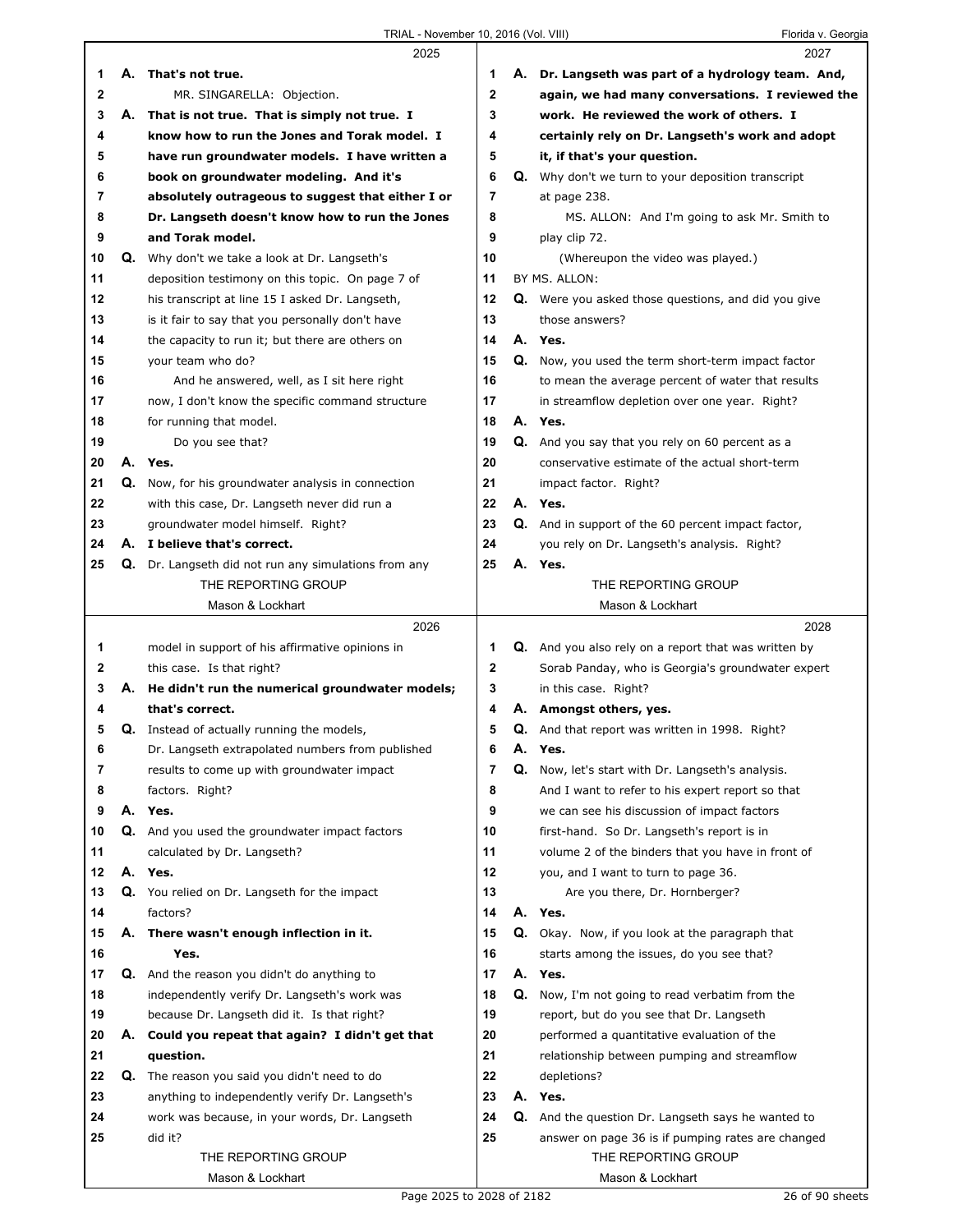|        |    | 2025                                                  |                         |    | 2027                                                      |
|--------|----|-------------------------------------------------------|-------------------------|----|-----------------------------------------------------------|
| 1      |    | A. That's not true.                                   | 1                       |    | A. Dr. Langseth was part of a hydrology team. And,        |
| 2      |    | MR. SINGARELLA: Objection.                            | $\boldsymbol{2}$        |    | again, we had many conversations. I reviewed the          |
| 3      | А. | That is not true. That is simply not true. I          | 3                       |    | work. He reviewed the work of others. I                   |
| 4      |    | know how to run the Jones and Torak model. I          | 4                       |    | certainly rely on Dr. Langseth's work and adopt           |
| 5      |    | have run groundwater models. I have written a         | 5                       |    | it, if that's your question.                              |
| 6      |    | book on groundwater modeling. And it's                | 6                       |    | <b>Q.</b> Why don't we turn to your deposition transcript |
| 7      |    | absolutely outrageous to suggest that either I or     | 7                       |    | at page 238.                                              |
| 8      |    | Dr. Langseth doesn't know how to run the Jones        | 8                       |    | MS. ALLON: And I'm going to ask Mr. Smith to              |
| 9      |    | and Torak model.                                      | 9                       |    | play clip 72.                                             |
| 10     | Q. | Why don't we take a look at Dr. Langseth's            | 10                      |    | (Whereupon the video was played.)                         |
| 11     |    | deposition testimony on this topic. On page 7 of      | 11                      |    | BY MS. ALLON:                                             |
| 12     |    | his transcript at line 15 I asked Dr. Langseth,       | 12                      |    | Q. Were you asked those questions, and did you give       |
| 13     |    |                                                       | 13                      |    | those answers?                                            |
|        |    | is it fair to say that you personally don't have      |                         |    |                                                           |
| 14     |    | the capacity to run it; but there are others on       | 14                      |    | A. Yes.                                                   |
| 15     |    | your team who do?                                     | 15                      | Q. | Now, you used the term short-term impact factor           |
| 16     |    | And he answered, well, as I sit here right            | 16                      |    | to mean the average percent of water that results         |
| 17     |    | now, I don't know the specific command structure      | 17                      |    | in streamflow depletion over one year. Right?             |
| 18     |    | for running that model.                               | 18                      |    | A. Yes.                                                   |
| 19     |    | Do you see that?                                      | 19                      |    | Q. And you say that you rely on 60 percent as a           |
| 20     | А. | Yes.                                                  | 20                      |    | conservative estimate of the actual short-term            |
| 21     |    | Q. Now, for his groundwater analysis in connection    | 21                      |    | impact factor. Right?                                     |
| 22     |    | with this case, Dr. Langseth never did run a          | 22                      |    | A. Yes.                                                   |
| 23     |    | groundwater model himself. Right?                     | 23                      |    | Q. And in support of the 60 percent impact factor,        |
| 24     |    | A. I believe that's correct.                          | 24                      |    | you rely on Dr. Langseth's analysis. Right?               |
| 25     |    | Q. Dr. Langseth did not run any simulations from any  | 25                      |    | A. Yes.                                                   |
|        |    | THE REPORTING GROUP                                   |                         |    | THE REPORTING GROUP                                       |
|        |    | Mason & Lockhart                                      |                         |    | Mason & Lockhart                                          |
|        |    |                                                       |                         |    |                                                           |
|        |    | 2026                                                  |                         |    | 2028                                                      |
|        |    |                                                       | 1                       |    |                                                           |
| 1<br>2 |    | model in support of his affirmative opinions in       | $\mathbf{2}$            |    | Q. And you also rely on a report that was written by      |
| 3      |    | this case. Is that right?                             |                         |    | Sorab Panday, who is Georgia's groundwater expert         |
| 4      |    | A. He didn't run the numerical groundwater models;    | 3                       |    | in this case. Right?                                      |
|        |    | that's correct.                                       | 4                       |    | A. Amongst others, yes.                                   |
| 5      |    | <b>Q.</b> Instead of actually running the models,     | 5                       |    | <b>Q.</b> And that report was written in 1998. Right?     |
| b      |    | Dr. Langseth extrapolated numbers from published      | 6                       | А. | Yes.                                                      |
| 7      |    | results to come up with groundwater impact            | $\overline{\mathbf{r}}$ | Q. | Now, let's start with Dr. Langseth's analysis.            |
| 8      |    | factors. Right?                                       | 8                       |    | And I want to refer to his expert report so that          |
| 9      |    | A. Yes.                                               | 9                       |    | we can see his discussion of impact factors               |
| 10     |    | <b>Q.</b> And you used the groundwater impact factors | 10                      |    | first-hand. So Dr. Langseth's report is in                |
| 11     |    | calculated by Dr. Langseth?                           | 11                      |    | volume 2 of the binders that you have in front of         |
| 12     |    | A. Yes.                                               | 12                      |    | you, and I want to turn to page 36.                       |
| 13     |    | Q. You relied on Dr. Langseth for the impact          | 13                      |    | Are you there, Dr. Hornberger?                            |
| 14     |    | factors?                                              | 14                      |    | A. Yes.                                                   |
| 15     | А. | There wasn't enough inflection in it.                 | 15                      | Q. | Okay. Now, if you look at the paragraph that              |
| 16     |    | Yes.                                                  | 16                      |    | starts among the issues, do you see that?                 |
| 17     |    | Q. And the reason you didn't do anything to           | 17                      |    | A. Yes.                                                   |
| 18     |    | independently verify Dr. Langseth's work was          | 18                      | Q. | Now, I'm not going to read verbatim from the              |
| 19     |    | because Dr. Langseth did it. Is that right?           | 19                      |    | report, but do you see that Dr. Langseth                  |
| 20     |    | A. Could you repeat that again? I didn't get that     | 20                      |    | performed a quantitative evaluation of the                |
| 21     |    | question.                                             | 21                      |    | relationship between pumping and streamflow               |
| 22     |    | Q. The reason you said you didn't need to do          | 22                      |    | depletions?                                               |
| 23     |    | anything to independently verify Dr. Langseth's       | 23                      |    | A. Yes.                                                   |
| 24     |    | work was because, in your words, Dr. Langseth         | 24                      |    | Q. And the question Dr. Langseth says he wanted to        |
| 25     |    | did it?                                               | 25                      |    | answer on page 36 is if pumping rates are changed         |
|        |    | THE REPORTING GROUP                                   |                         |    | THE REPORTING GROUP                                       |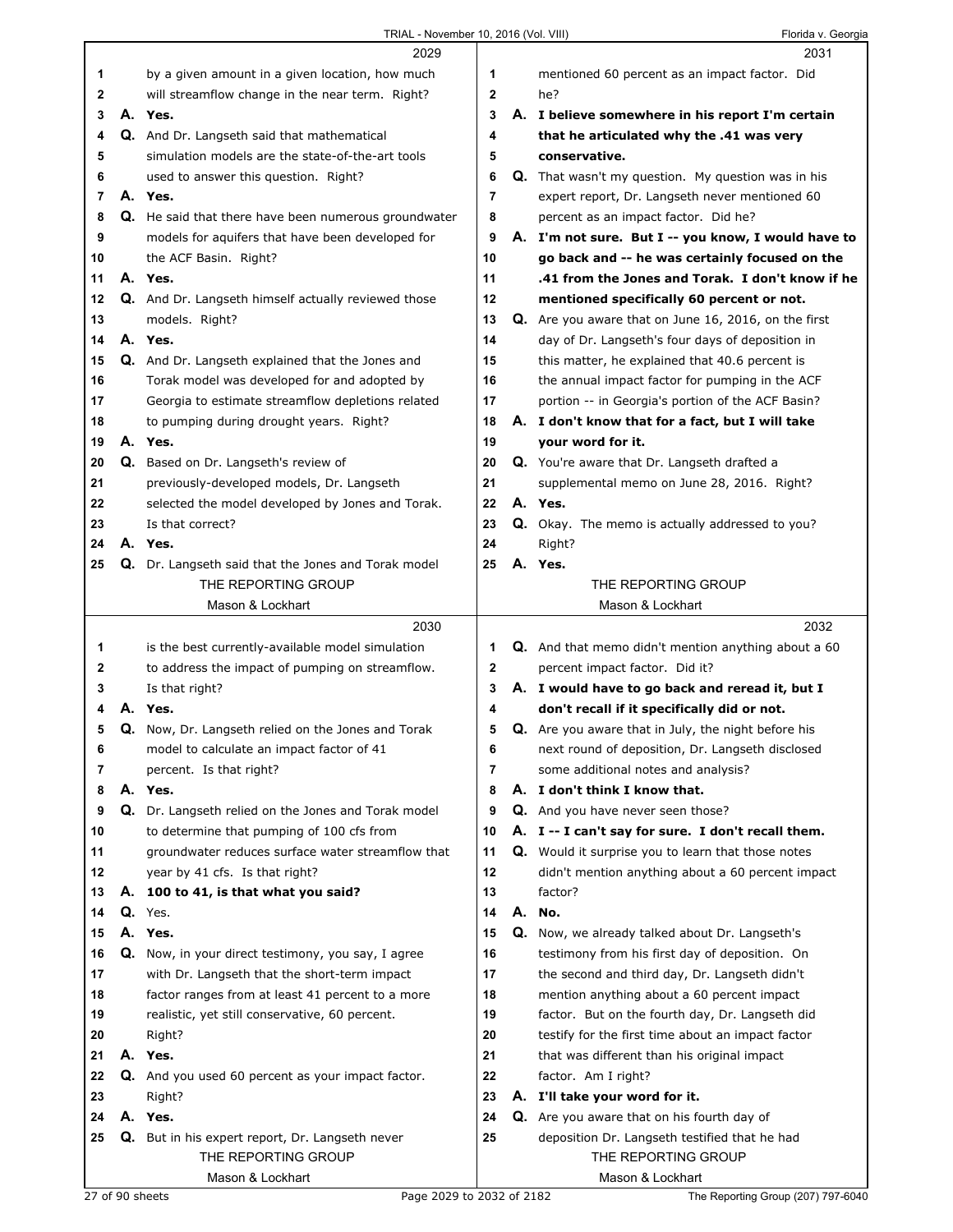|    |    | 2029                                                                                               |             | 2031                                                                                             |
|----|----|----------------------------------------------------------------------------------------------------|-------------|--------------------------------------------------------------------------------------------------|
| 1  |    | by a given amount in a given location, how much                                                    | 1           | mentioned 60 percent as an impact factor. Did                                                    |
| 2  |    | will streamflow change in the near term. Right?                                                    | $\mathbf 2$ | he?                                                                                              |
| 3  |    | A. Yes.                                                                                            | 3           | A. I believe somewhere in his report I'm certain                                                 |
| 4  |    | Q. And Dr. Langseth said that mathematical                                                         | 4           | that he articulated why the .41 was very                                                         |
| 5  |    | simulation models are the state-of-the-art tools                                                   | 5           | conservative.                                                                                    |
| 6  |    | used to answer this question. Right?                                                               | 6           | <b>Q.</b> That wasn't my question. My question was in his                                        |
| 7  |    | A. Yes.                                                                                            | 7           | expert report, Dr. Langseth never mentioned 60                                                   |
| 8  |    | Q. He said that there have been numerous groundwater                                               | 8           | percent as an impact factor. Did he?                                                             |
| 9  |    | models for aquifers that have been developed for                                                   | 9           | A. I'm not sure. But I -- you know, I would have to                                              |
| 10 |    | the ACF Basin. Right?                                                                              | 10          | go back and -- he was certainly focused on the                                                   |
| 11 |    | A. Yes.                                                                                            | 11          | .41 from the Jones and Torak. I don't know if he                                                 |
| 12 |    | Q. And Dr. Langseth himself actually reviewed those                                                | 12          | mentioned specifically 60 percent or not.                                                        |
| 13 |    | models. Right?                                                                                     | 13          | Q. Are you aware that on June 16, 2016, on the first                                             |
| 14 |    | A. Yes.                                                                                            | 14          | day of Dr. Langseth's four days of deposition in                                                 |
| 15 |    | Q. And Dr. Langseth explained that the Jones and                                                   | 15          | this matter, he explained that 40.6 percent is                                                   |
| 16 |    | Torak model was developed for and adopted by                                                       | 16          | the annual impact factor for pumping in the ACF                                                  |
| 17 |    | Georgia to estimate streamflow depletions related                                                  | 17          | portion -- in Georgia's portion of the ACF Basin?                                                |
| 18 |    | to pumping during drought years. Right?                                                            | 18          | A. I don't know that for a fact, but I will take                                                 |
| 19 |    | A. Yes.                                                                                            | 19          | your word for it.                                                                                |
| 20 |    | <b>Q.</b> Based on Dr. Langseth's review of                                                        | 20          | Q. You're aware that Dr. Langseth drafted a                                                      |
| 21 |    | previously-developed models, Dr. Langseth                                                          | 21          | supplemental memo on June 28, 2016. Right?                                                       |
| 22 |    | selected the model developed by Jones and Torak.                                                   | 22          | A. Yes.                                                                                          |
| 23 |    | Is that correct?                                                                                   | 23          | Q. Okay. The memo is actually addressed to you?                                                  |
| 24 |    | A. Yes.                                                                                            | 24          | Right?                                                                                           |
| 25 |    | Q. Dr. Langseth said that the Jones and Torak model                                                | 25          | A. Yes.                                                                                          |
|    |    | THE REPORTING GROUP                                                                                |             | THE REPORTING GROUP                                                                              |
|    |    | Mason & Lockhart                                                                                   |             | Mason & Lockhart                                                                                 |
|    |    |                                                                                                    |             |                                                                                                  |
|    |    | 2030                                                                                               |             | 2032                                                                                             |
| 1  |    | is the best currently-available model simulation                                                   | 1           | <b>Q.</b> And that memo didn't mention anything about a 60                                       |
| 2  |    | to address the impact of pumping on streamflow.                                                    | 2           | percent impact factor. Did it?                                                                   |
| 3  |    | Is that right?                                                                                     | 3           | A. I would have to go back and reread it, but I                                                  |
| 4  | А. | Yes.                                                                                               | 4           | don't recall if it specifically did or not.                                                      |
| 5  |    | Q. Now, Dr. Langseth relied on the Jones and Torak                                                 | 5           | Q. Are you aware that in July, the night before his                                              |
| 6  |    | model to calculate an impact factor of 41                                                          | 6           | next round of deposition, Dr. Langseth disclosed                                                 |
| 7  |    | percent. Is that right?                                                                            | 7           | some additional notes and analysis?                                                              |
| 8  |    | A. Yes.                                                                                            | 8           | A. I don't think I know that.                                                                    |
| 9  |    | Q. Dr. Langseth relied on the Jones and Torak model                                                | 9           | Q. And you have never seen those?                                                                |
| 10 |    | to determine that pumping of 100 cfs from                                                          | 10          | A. I -- I can't say for sure. I don't recall them.                                               |
| 11 |    | groundwater reduces surface water streamflow that                                                  | 11          | Q. Would it surprise you to learn that those notes                                               |
| 12 |    | year by 41 cfs. Is that right?                                                                     | 12          | didn't mention anything about a 60 percent impact                                                |
| 13 |    | A. 100 to 41, is that what you said?                                                               | 13          | factor?                                                                                          |
| 14 |    | Q. Yes.                                                                                            | 14          | A. No.                                                                                           |
| 15 |    | A. Yes.                                                                                            | 15          |                                                                                                  |
| 16 |    |                                                                                                    | 16          | Q. Now, we already talked about Dr. Langseth's<br>testimony from his first day of deposition. On |
| 17 |    | Q. Now, in your direct testimony, you say, I agree<br>with Dr. Langseth that the short-term impact | 17          | the second and third day, Dr. Langseth didn't                                                    |
| 18 |    | factor ranges from at least 41 percent to a more                                                   | 18          | mention anything about a 60 percent impact                                                       |
| 19 |    | realistic, yet still conservative, 60 percent.                                                     | 19          | factor. But on the fourth day, Dr. Langseth did                                                  |
| 20 |    | Right?                                                                                             | 20          | testify for the first time about an impact factor                                                |
| 21 |    | A. Yes.                                                                                            | 21          | that was different than his original impact                                                      |
| 22 |    | Q. And you used 60 percent as your impact factor.                                                  | 22          | factor. Am I right?                                                                              |
| 23 |    | Right?                                                                                             | 23          | A. I'll take your word for it.                                                                   |
| 24 |    | A. Yes.                                                                                            | 24          | <b>Q.</b> Are you aware that on his fourth day of                                                |
| 25 |    | Q. But in his expert report, Dr. Langseth never                                                    | 25          | deposition Dr. Langseth testified that he had                                                    |
|    |    | THE REPORTING GROUP                                                                                |             | THE REPORTING GROUP                                                                              |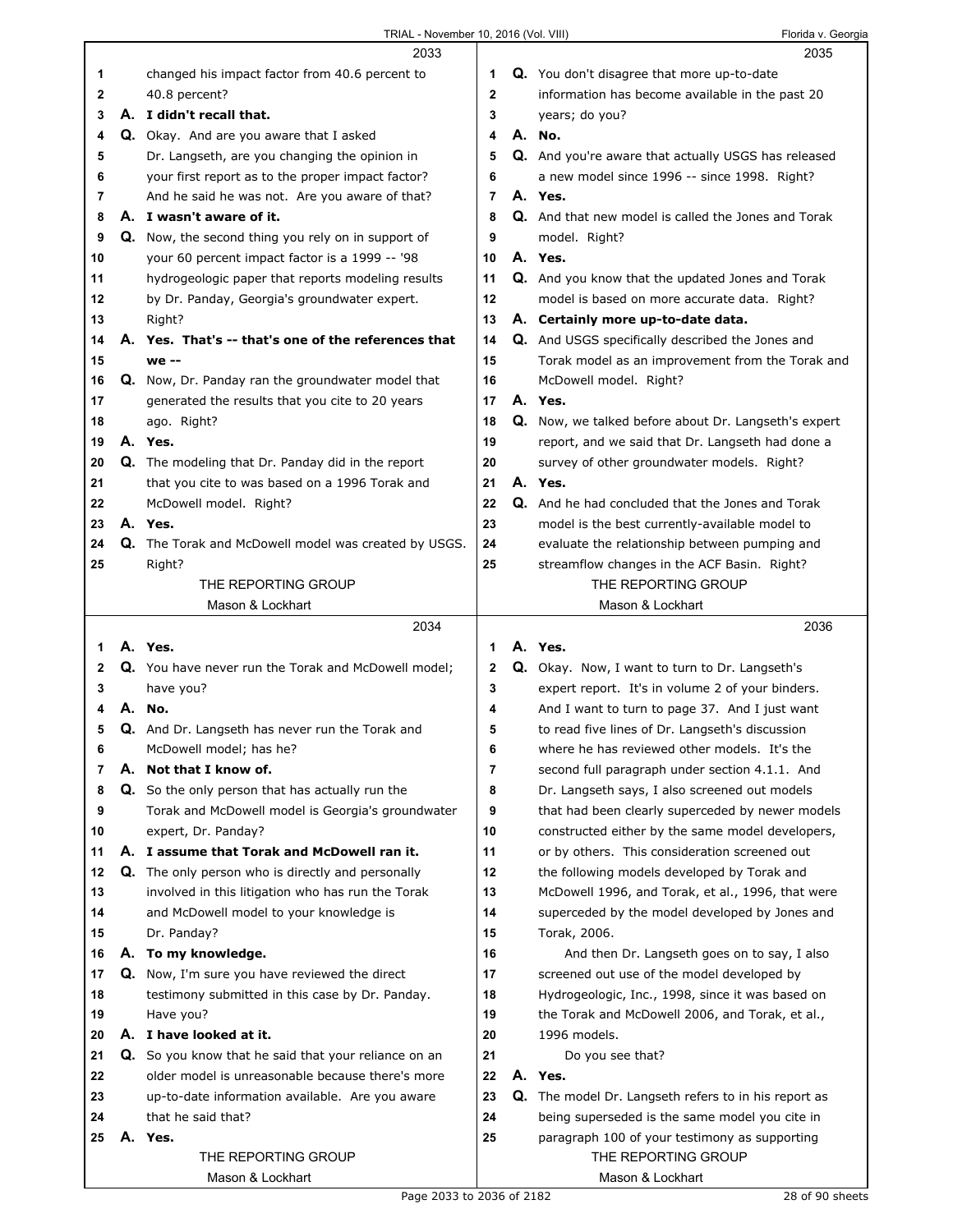|    |    | 2033                                                     |              | 2035                                                        |
|----|----|----------------------------------------------------------|--------------|-------------------------------------------------------------|
| 1  |    | changed his impact factor from 40.6 percent to           | 1            | Q. You don't disagree that more up-to-date                  |
| 2  |    | 40.8 percent?                                            | $\mathbf{2}$ | information has become available in the past 20             |
| 3  |    | A. I didn't recall that.                                 | 3            | years; do you?                                              |
| 4  |    | Q. Okay. And are you aware that I asked                  | 4            | A. No.                                                      |
| 5  |    | Dr. Langseth, are you changing the opinion in            | 5            | Q. And you're aware that actually USGS has released         |
| 6  |    | your first report as to the proper impact factor?        | 6            | a new model since 1996 -- since 1998. Right?                |
| 7  |    | And he said he was not. Are you aware of that?           | 7            | A. Yes.                                                     |
| 8  |    | A. I wasn't aware of it.                                 | 8            | Q. And that new model is called the Jones and Torak         |
|    |    |                                                          |              |                                                             |
| 9  |    | Q. Now, the second thing you rely on in support of       | 9            | model. Right?                                               |
| 10 |    | your 60 percent impact factor is a 1999 -- '98           | 10           | A. Yes.                                                     |
| 11 |    | hydrogeologic paper that reports modeling results        | 11           | <b>Q.</b> And you know that the updated Jones and Torak     |
| 12 |    | by Dr. Panday, Georgia's groundwater expert.             | 12           | model is based on more accurate data. Right?                |
| 13 |    | Right?                                                   | 13           | A. Certainly more up-to-date data.                          |
| 14 |    | A. Yes. That's -- that's one of the references that      | 14           | Q. And USGS specifically described the Jones and            |
| 15 |    | we --                                                    | 15           | Torak model as an improvement from the Torak and            |
| 16 |    | Q. Now, Dr. Panday ran the groundwater model that        | 16           | McDowell model. Right?                                      |
| 17 |    | generated the results that you cite to 20 years          | 17           | A. Yes.                                                     |
| 18 |    | ago. Right?                                              | 18           | <b>Q.</b> Now, we talked before about Dr. Langseth's expert |
| 19 |    | A. Yes.                                                  | 19           | report, and we said that Dr. Langseth had done a            |
| 20 |    | <b>Q.</b> The modeling that Dr. Panday did in the report | 20           | survey of other groundwater models. Right?                  |
| 21 |    | that you cite to was based on a 1996 Torak and           | 21           | A. Yes.                                                     |
| 22 |    | McDowell model. Right?                                   | 22           | Q. And he had concluded that the Jones and Torak            |
| 23 |    | A. Yes.                                                  | 23           | model is the best currently-available model to              |
| 24 |    |                                                          | 24           |                                                             |
|    |    | Q. The Torak and McDowell model was created by USGS.     |              | evaluate the relationship between pumping and               |
| 25 |    | Right?                                                   | 25           | streamflow changes in the ACF Basin. Right?                 |
|    |    | THE REPORTING GROUP                                      |              | THE REPORTING GROUP                                         |
|    |    | Mason & Lockhart                                         |              | Mason & Lockhart                                            |
|    |    |                                                          |              |                                                             |
|    |    | 2034                                                     |              | 2036                                                        |
| 1  |    | A. Yes.                                                  | 1            | A. Yes.                                                     |
| 2  |    | Q. You have never run the Torak and McDowell model;      | 2            | <b>Q.</b> Okay. Now, I want to turn to Dr. Langseth's       |
| 3  |    | have you?                                                | 3            | expert report. It's in volume 2 of your binders.            |
| 4  |    | A. No.                                                   | 4            | And I want to turn to page 37. And I just want              |
| 5  |    | Q. And Dr. Langseth has never run the Torak and          | 5            | to read five lines of Dr. Langseth's discussion             |
| 6  |    | McDowell model; has he?                                  | 6            | where he has reviewed other models. It's the                |
| 7  | А. | Not that I know of.                                      | 7            | second full paragraph under section 4.1.1. And              |
| 8  |    | Q. So the only person that has actually run the          | 8            | Dr. Langseth says, I also screened out models               |
| 9  |    | Torak and McDowell model is Georgia's groundwater        | 9            | that had been clearly superceded by newer models            |
| 10 |    | expert, Dr. Panday?                                      | 10           | constructed either by the same model developers,            |
| 11 |    | A. I assume that Torak and McDowell ran it.              | 11           |                                                             |
|    |    |                                                          |              | or by others. This consideration screened out               |
| 12 |    | <b>Q.</b> The only person who is directly and personally | 12           | the following models developed by Torak and                 |
| 13 |    | involved in this litigation who has run the Torak        | 13           | McDowell 1996, and Torak, et al., 1996, that were           |
| 14 |    | and McDowell model to your knowledge is                  | 14           | superceded by the model developed by Jones and              |
| 15 |    | Dr. Panday?                                              | 15           | Torak, 2006.                                                |
| 16 |    | A. To my knowledge.                                      | 16           | And then Dr. Langseth goes on to say, I also                |
| 17 |    | Q. Now, I'm sure you have reviewed the direct            | 17           | screened out use of the model developed by                  |
| 18 |    | testimony submitted in this case by Dr. Panday.          | 18           | Hydrogeologic, Inc., 1998, since it was based on            |
| 19 |    | Have you?                                                | 19           | the Torak and McDowell 2006, and Torak, et al.,             |
| 20 |    | A. I have looked at it.                                  | 20           | 1996 models.                                                |
| 21 |    | Q. So you know that he said that your reliance on an     | 21           | Do you see that?                                            |
| 22 |    | older model is unreasonable because there's more         | 22           | A. Yes.                                                     |
| 23 |    | up-to-date information available. Are you aware          | 23           | <b>Q.</b> The model Dr. Langseth refers to in his report as |
| 24 |    | that he said that?                                       | 24           | being superseded is the same model you cite in              |
| 25 | А. | Yes.                                                     | 25           | paragraph 100 of your testimony as supporting               |
|    |    | THE REPORTING GROUP                                      |              | THE REPORTING GROUP                                         |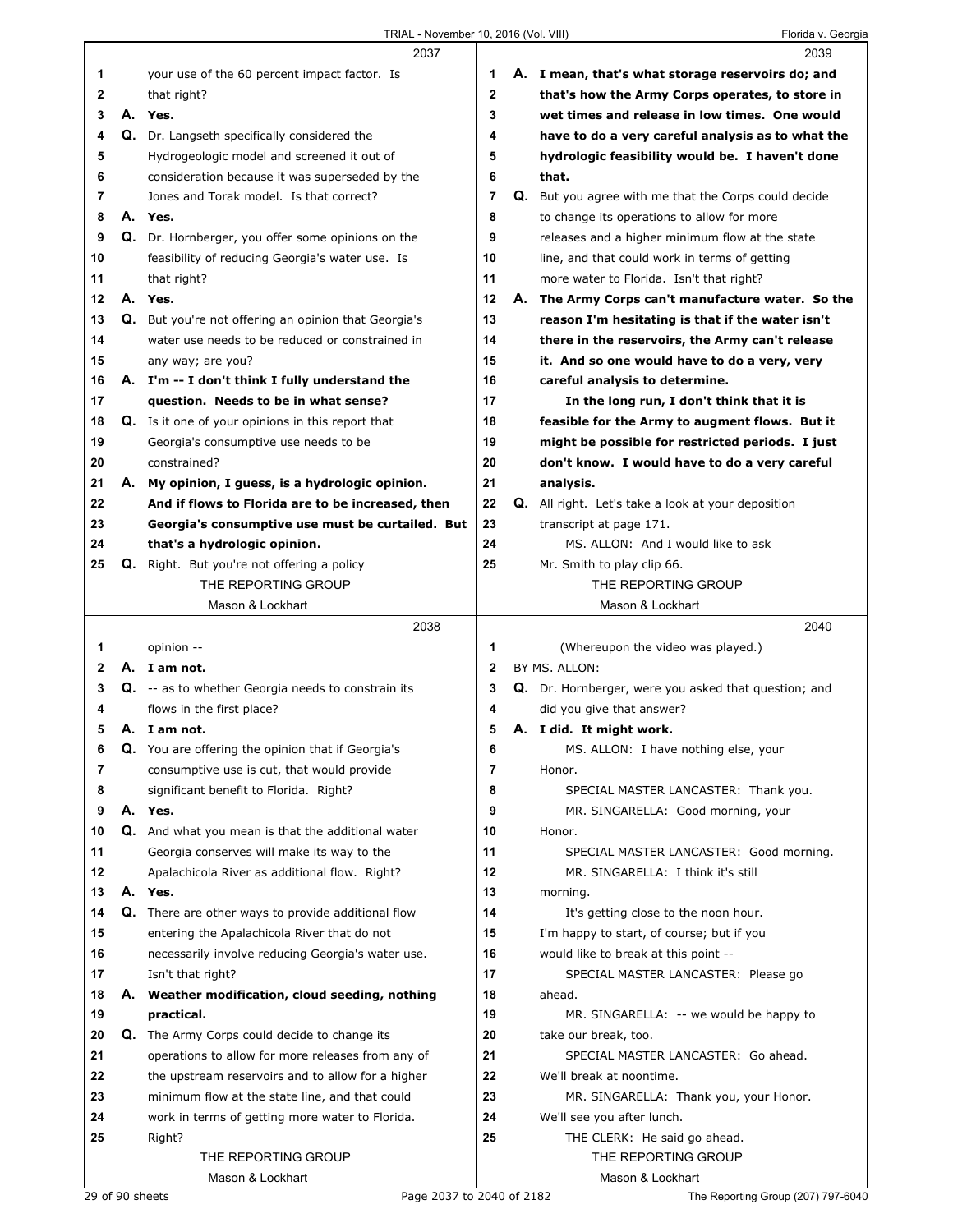|    |    |                                                          |                |    | <b>I</b> IVIIVA V. OCUIYIC                                |
|----|----|----------------------------------------------------------|----------------|----|-----------------------------------------------------------|
|    |    | 2037                                                     |                |    | 2039                                                      |
| 1  |    | your use of the 60 percent impact factor. Is             | 1              |    | A. I mean, that's what storage reservoirs do; and         |
| 2  |    | that right?                                              | 2              |    | that's how the Army Corps operates, to store in           |
| 3  |    | A. Yes.                                                  | 3              |    | wet times and release in low times. One would             |
| 4  |    | Q. Dr. Langseth specifically considered the              | 4              |    | have to do a very careful analysis as to what the         |
| 5  |    | Hydrogeologic model and screened it out of               | 5              |    | hydrologic feasibility would be. I haven't done           |
| 6  |    | consideration because it was superseded by the           | 6              |    | that.                                                     |
| 7  |    | Jones and Torak model. Is that correct?                  | 7              | Q. | But you agree with me that the Corps could decide         |
| 8  |    | A. Yes.                                                  | 8              |    | to change its operations to allow for more                |
| 9  |    | Q. Dr. Hornberger, you offer some opinions on the        | 9              |    | releases and a higher minimum flow at the state           |
| 10 |    | feasibility of reducing Georgia's water use. Is          | 10             |    | line, and that could work in terms of getting             |
| 11 |    | that right?                                              | 11             |    | more water to Florida. Isn't that right?                  |
| 12 |    | A. Yes.                                                  | 12             | А. | The Army Corps can't manufacture water. So the            |
| 13 |    | Q. But you're not offering an opinion that Georgia's     | 13             |    | reason I'm hesitating is that if the water isn't          |
| 14 |    | water use needs to be reduced or constrained in          | 14             |    | there in the reservoirs, the Army can't release           |
| 15 |    | any way; are you?                                        | 15             |    | it. And so one would have to do a very, very              |
| 16 |    | A. I'm -- I don't think I fully understand the           | 16             |    | careful analysis to determine.                            |
| 17 |    | question. Needs to be in what sense?                     | 17             |    | In the long run, I don't think that it is                 |
| 18 |    | <b>Q.</b> Is it one of your opinions in this report that | 18             |    | feasible for the Army to augment flows. But it            |
| 19 |    | Georgia's consumptive use needs to be                    | 19             |    | might be possible for restricted periods. I just          |
| 20 |    | constrained?                                             | 20             |    | don't know. I would have to do a very careful             |
| 21 |    | A. My opinion, I guess, is a hydrologic opinion.         | 21             |    | analysis.                                                 |
| 22 |    | And if flows to Florida are to be increased, then        | 22             |    | <b>Q.</b> All right. Let's take a look at your deposition |
| 23 |    | Georgia's consumptive use must be curtailed. But         | 23             |    | transcript at page 171.                                   |
| 24 |    | that's a hydrologic opinion.                             | 24             |    | MS. ALLON: And I would like to ask                        |
| 25 |    | <b>Q.</b> Right. But you're not offering a policy        | 25             |    | Mr. Smith to play clip 66.                                |
|    |    | THE REPORTING GROUP                                      |                |    | THE REPORTING GROUP                                       |
|    |    | Mason & Lockhart                                         |                |    | Mason & Lockhart                                          |
|    |    | 2038                                                     |                |    | 2040                                                      |
| 1  |    | opinion --                                               | 1              |    | (Whereupon the video was played.)                         |
| 2  |    | A. I am not.                                             | 2              |    | BY MS. ALLON:                                             |
| 3  |    | Q. -- as to whether Georgia needs to constrain its       | 3              |    | Q. Dr. Hornberger, were you asked that question; and      |
| 4  |    | flows in the first place?                                | 4              |    | did you give that answer?                                 |
| 5  |    | A. I am not.                                             | 5              |    | A. I did. It might work.                                  |
| 6  |    | Q. You are offering the opinion that if Georgia's        | 6              |    | MS. ALLON: I have nothing else, your                      |
| 7  |    | consumptive use is cut, that would provide               | $\overline{7}$ |    |                                                           |
| 8  |    |                                                          |                |    | Honor.                                                    |
| 9  |    | significant benefit to Florida. Right?                   | 8              |    | SPECIAL MASTER LANCASTER: Thank you.                      |
|    |    | A. Yes.                                                  | 9              |    | MR. SINGARELLA: Good morning, your                        |
| 10 |    | Q. And what you mean is that the additional water        | 10             |    | Honor.                                                    |
| 11 |    | Georgia conserves will make its way to the               | 11             |    | SPECIAL MASTER LANCASTER: Good morning.                   |
| 12 |    | Apalachicola River as additional flow. Right?            | 12             |    | MR. SINGARELLA: I think it's still                        |
| 13 |    | A. Yes.                                                  | 13             |    | morning.                                                  |
| 14 |    | Q. There are other ways to provide additional flow       | 14             |    | It's getting close to the noon hour.                      |
| 15 |    | entering the Apalachicola River that do not              | 15             |    | I'm happy to start, of course; but if you                 |
| 16 |    | necessarily involve reducing Georgia's water use.        | 16             |    | would like to break at this point --                      |
| 17 |    | Isn't that right?                                        | 17             |    | SPECIAL MASTER LANCASTER: Please go                       |
| 18 | А. | Weather modification, cloud seeding, nothing             | 18             |    | ahead.                                                    |
| 19 |    | practical.                                               | 19             |    | MR. SINGARELLA: -- we would be happy to                   |
| 20 |    | <b>Q.</b> The Army Corps could decide to change its      | 20             |    | take our break, too.                                      |
| 21 |    | operations to allow for more releases from any of        | 21             |    | SPECIAL MASTER LANCASTER: Go ahead.                       |
| 22 |    | the upstream reservoirs and to allow for a higher        | 22             |    | We'll break at noontime.                                  |
| 23 |    | minimum flow at the state line, and that could           | 23             |    | MR. SINGARELLA: Thank you, your Honor.                    |
| 24 |    | work in terms of getting more water to Florida.          | 24             |    | We'll see you after lunch.                                |
| 25 |    | Right?                                                   | 25             |    | THE CLERK: He said go ahead.                              |
|    |    | THE REPORTING GROUP<br>Mason & Lockhart                  |                |    | THE REPORTING GROUP<br>Mason & Lockhart                   |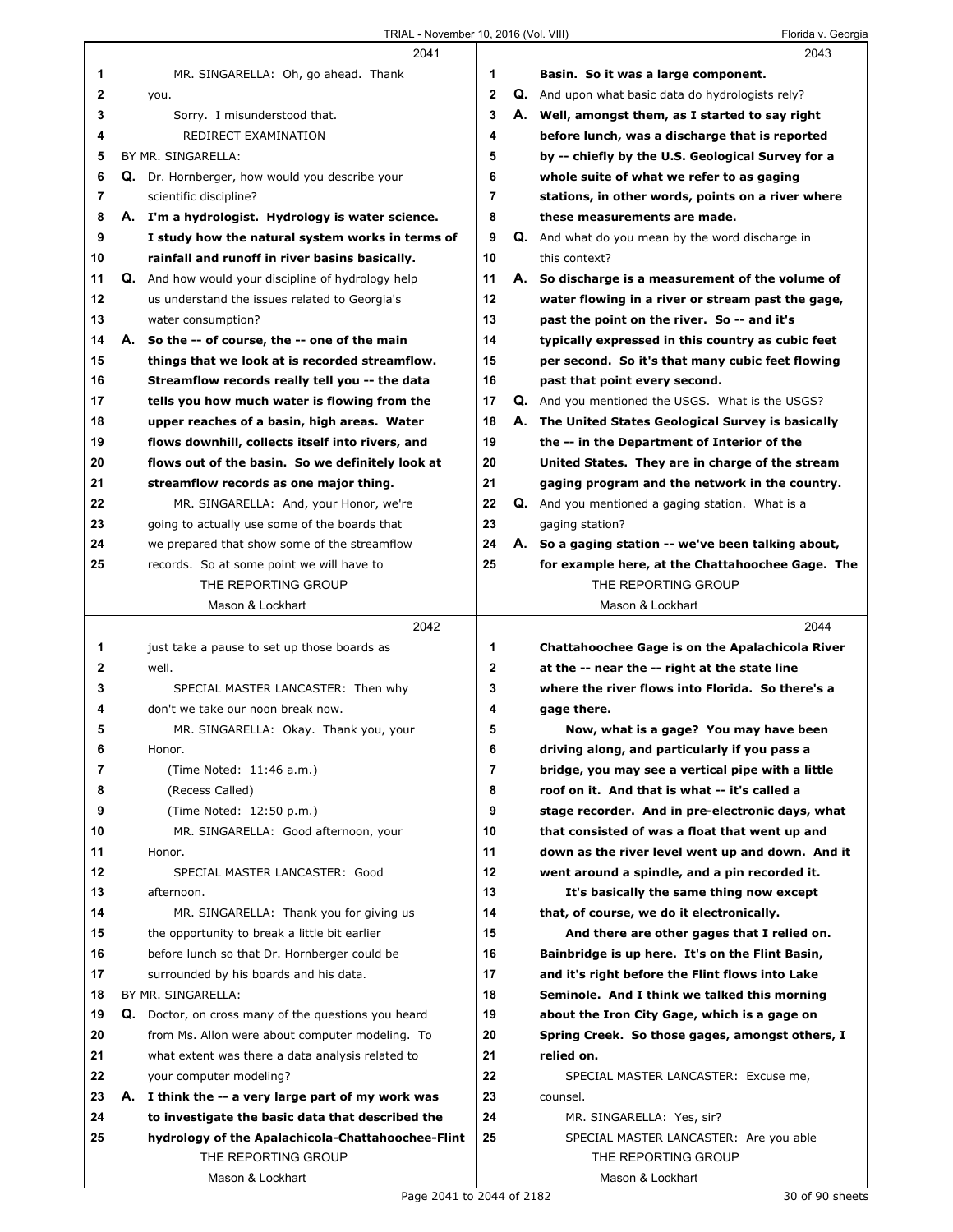|                | 2041                                                      |              | 2043                                                     |
|----------------|-----------------------------------------------------------|--------------|----------------------------------------------------------|
| 1              | MR. SINGARELLA: Oh, go ahead. Thank                       | 1            | Basin. So it was a large component.                      |
| $\mathbf{2}$   | you.                                                      | $\mathbf{2}$ | <b>Q.</b> And upon what basic data do hydrologists rely? |
| 3              | Sorry. I misunderstood that.                              | 3            | A. Well, amongst them, as I started to say right         |
| 4              | REDIRECT EXAMINATION                                      | 4            | before lunch, was a discharge that is reported           |
| 5              | BY MR. SINGARELLA:                                        | 5            | by -- chiefly by the U.S. Geological Survey for a        |
| 6              | Q. Dr. Hornberger, how would you describe your            | 6            | whole suite of what we refer to as gaging                |
| $\overline{7}$ | scientific discipline?                                    | 7            | stations, in other words, points on a river where        |
| 8              | A. I'm a hydrologist. Hydrology is water science.         | 8            | these measurements are made.                             |
| 9              | I study how the natural system works in terms of          | 9            | <b>Q.</b> And what do you mean by the word discharge in  |
| 10             | rainfall and runoff in river basins basically.            | 10           | this context?                                            |
| 11             | <b>Q.</b> And how would your discipline of hydrology help | 11           | A. So discharge is a measurement of the volume of        |
| 12             | us understand the issues related to Georgia's             | 12           | water flowing in a river or stream past the gage,        |
| 13             | water consumption?                                        | 13           | past the point on the river. So -- and it's              |
| 14             | A. So the -- of course, the -- one of the main            | 14           | typically expressed in this country as cubic feet        |
| 15             | things that we look at is recorded streamflow.            | 15           | per second. So it's that many cubic feet flowing         |
| 16             | Streamflow records really tell you -- the data            | 16           | past that point every second.                            |
| 17             | tells you how much water is flowing from the              | 17           | <b>Q.</b> And you mentioned the USGS. What is the USGS?  |
| 18             | upper reaches of a basin, high areas. Water               | 18           | A. The United States Geological Survey is basically      |
| 19             | flows downhill, collects itself into rivers, and          | 19           | the -- in the Department of Interior of the              |
| 20             | flows out of the basin. So we definitely look at          | 20           | United States. They are in charge of the stream          |
| 21             | streamflow records as one major thing.                    | 21           | gaging program and the network in the country.           |
| 22             | MR. SINGARELLA: And, your Honor, we're                    | 22           | <b>Q.</b> And you mentioned a gaging station. What is a  |
| 23             | going to actually use some of the boards that             | 23           | gaging station?                                          |
| 24             | we prepared that show some of the streamflow              | 24           | A. So a gaging station -- we've been talking about,      |
| 25             | records. So at some point we will have to                 | 25           | for example here, at the Chattahoochee Gage. The         |
|                | THE REPORTING GROUP                                       |              | THE REPORTING GROUP                                      |
|                | Mason & Lockhart                                          |              | Mason & Lockhart                                         |
|                | 2042                                                      |              | 2044                                                     |
| 1              | just take a pause to set up those boards as               | 1            | Chattahoochee Gage is on the Apalachicola River          |
| $\mathbf{2}$   | well.                                                     | $\mathbf{2}$ | at the -- near the -- right at the state line            |
| 3              | SPECIAL MASTER LANCASTER: Then why                        | 3            | where the river flows into Florida. So there's a         |
| 4              | don't we take our noon break now.                         | 4            | gage there.                                              |
| 5              | MR. SINGARELLA: Okay. Thank you, your                     | 5            | Now, what is a gage? You may have been                   |
| 6              | Honor.                                                    | 6            | driving along, and particularly if you pass a            |
| 7              | (Time Noted: 11:46 a.m.)                                  | 7            | bridge, you may see a vertical pipe with a little        |
| 8              | (Recess Called)                                           | 8            | roof on it. And that is what -- it's called a            |
| 9              | (Time Noted: 12:50 p.m.)                                  | 9            | stage recorder. And in pre-electronic days, what         |
| 10             | MR. SINGARELLA: Good afternoon, your                      | 10           | that consisted of was a float that went up and           |
| 11             | Honor.                                                    | 11           | down as the river level went up and down. And it         |
| 12             | SPECIAL MASTER LANCASTER: Good                            | 12           | went around a spindle, and a pin recorded it.            |
| 13             | afternoon.                                                | 13           | It's basically the same thing now except                 |
| 14             | MR. SINGARELLA: Thank you for giving us                   | 14           | that, of course, we do it electronically.                |
| 15             | the opportunity to break a little bit earlier             | 15           | And there are other gages that I relied on.              |
| 16             | before lunch so that Dr. Hornberger could be              | 16           | Bainbridge is up here. It's on the Flint Basin,          |
| 17             | surrounded by his boards and his data.                    | 17           | and it's right before the Flint flows into Lake          |
| 18             | BY MR. SINGARELLA:                                        | 18           | Seminole. And I think we talked this morning             |
| 19             | Q. Doctor, on cross many of the questions you heard       | 19           | about the Iron City Gage, which is a gage on             |
| 20             | from Ms. Allon were about computer modeling. To           | 20           | Spring Creek. So those gages, amongst others, I          |
| 21             |                                                           | 21           | relied on.                                               |
|                | what extent was there a data analysis related to          | 22           |                                                          |
| 22             | your computer modeling?                                   |              | SPECIAL MASTER LANCASTER: Excuse me,                     |
| 23             | A. I think the -- a very large part of my work was        | 23           | counsel.                                                 |
| 24             | to investigate the basic data that described the          | 24           | MR. SINGARELLA: Yes, sir?                                |
| 25             | hydrology of the Apalachicola-Chattahoochee-Flint         | 25           | SPECIAL MASTER LANCASTER: Are you able                   |
|                | THE REPORTING GROUP<br>Mason & Lockhart                   |              | THE REPORTING GROUP<br>Mason & Lockhart                  |
|                |                                                           |              |                                                          |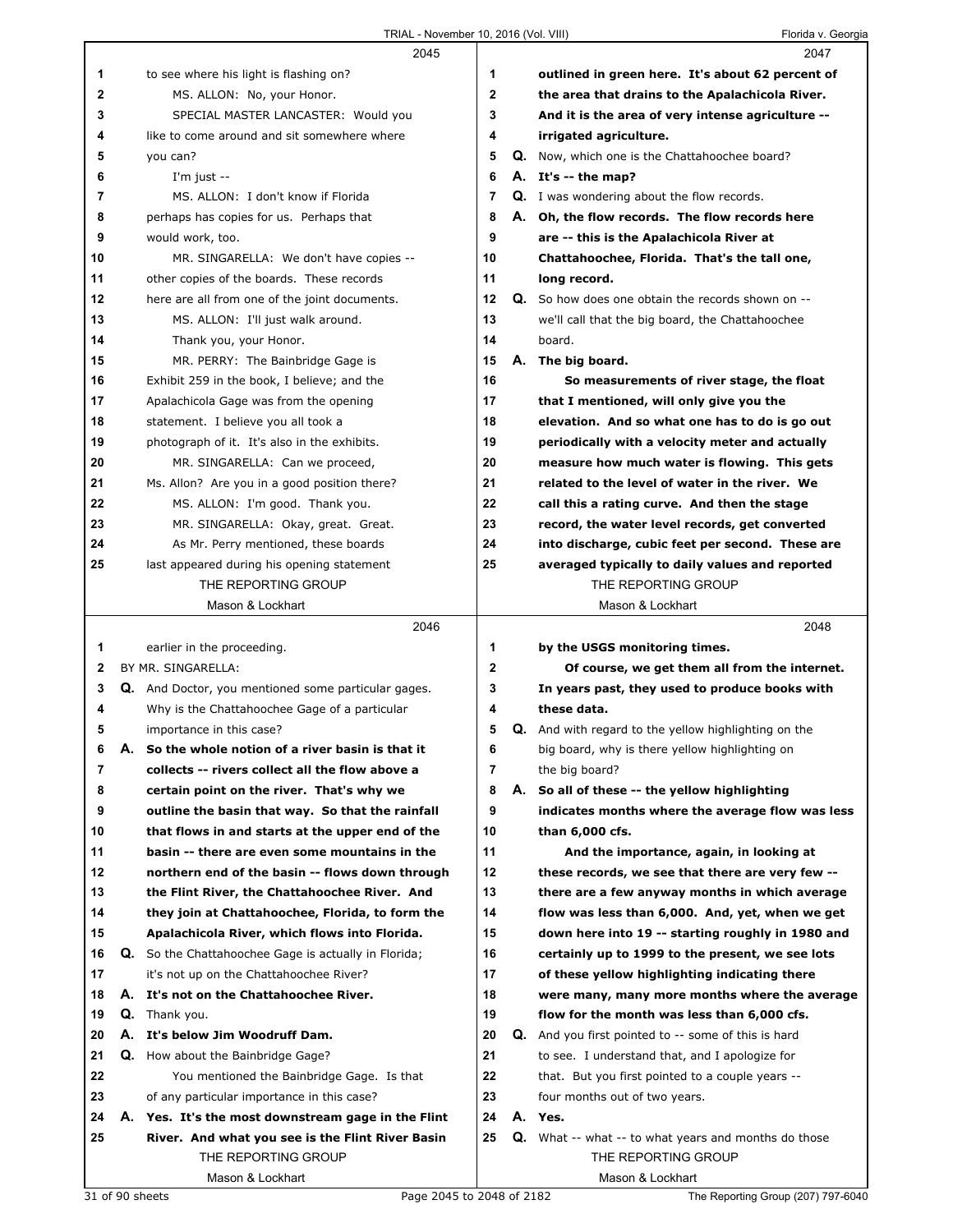|              |                 | 2045                                                              |              | 2047                                                                   |
|--------------|-----------------|-------------------------------------------------------------------|--------------|------------------------------------------------------------------------|
| 1            |                 | to see where his light is flashing on?                            | 1            | outlined in green here. It's about 62 percent of                       |
| $\mathbf{2}$ |                 | MS. ALLON: No, your Honor.                                        | $\mathbf{2}$ | the area that drains to the Apalachicola River.                        |
| 3            |                 | SPECIAL MASTER LANCASTER: Would you                               | 3            | And it is the area of very intense agriculture --                      |
| 4            |                 | like to come around and sit somewhere where                       | 4            | irrigated agriculture.                                                 |
| 5            |                 | you can?                                                          | 5            | Q. Now, which one is the Chattahoochee board?                          |
| 6            |                 | I'm just $-$                                                      | 6            | A. It's -- the map?                                                    |
| 7            |                 | MS. ALLON: I don't know if Florida                                | 7            | <b>Q.</b> I was wondering about the flow records.                      |
| 8            |                 | perhaps has copies for us. Perhaps that                           | 8            | A. Oh, the flow records. The flow records here                         |
| 9            |                 | would work, too.                                                  | 9            | are -- this is the Apalachicola River at                               |
| 10           |                 | MR. SINGARELLA: We don't have copies --                           | 10           | Chattahoochee, Florida. That's the tall one,                           |
| 11           |                 | other copies of the boards. These records                         | 11           | long record.                                                           |
| 12           |                 | here are all from one of the joint documents.                     | 12           | Q. So how does one obtain the records shown on --                      |
| 13           |                 | MS. ALLON: I'll just walk around.                                 | 13           | we'll call that the big board, the Chattahoochee                       |
| 14           |                 | Thank you, your Honor.                                            | 14           | board.                                                                 |
| 15           |                 | MR. PERRY: The Bainbridge Gage is                                 | 15           | A. The big board.                                                      |
| 16           |                 | Exhibit 259 in the book, I believe; and the                       | 16           | So measurements of river stage, the float                              |
| 17           |                 | Apalachicola Gage was from the opening                            | 17           | that I mentioned, will only give you the                               |
| 18           |                 | statement. I believe you all took a                               | 18           | elevation. And so what one has to do is go out                         |
| 19           |                 | photograph of it. It's also in the exhibits.                      | 19           | periodically with a velocity meter and actually                        |
| 20           |                 | MR. SINGARELLA: Can we proceed,                                   | 20           | measure how much water is flowing. This gets                           |
| 21           |                 | Ms. Allon? Are you in a good position there?                      | 21           | related to the level of water in the river. We                         |
| 22           |                 | MS. ALLON: I'm good. Thank you.                                   | 22           | call this a rating curve. And then the stage                           |
| 23           |                 | MR. SINGARELLA: Okay, great. Great.                               | 23           | record, the water level records, get converted                         |
| 24           |                 | As Mr. Perry mentioned, these boards                              | 24           | into discharge, cubic feet per second. These are                       |
| 25           |                 | last appeared during his opening statement<br>THE REPORTING GROUP | 25           | averaged typically to daily values and reported<br>THE REPORTING GROUP |
|              |                 | Mason & Lockhart                                                  |              | Mason & Lockhart                                                       |
|              |                 | 2046                                                              |              | 2048                                                                   |
| 1.           |                 | earlier in the proceeding.                                        | 1            | by the USGS monitoring times.                                          |
| 2            |                 | BY MR. SINGARELLA:                                                | $\mathbf{2}$ | Of course, we get them all from the internet.                          |
| 3            |                 | Q. And Doctor, you mentioned some particular gages.               | 3            | In years past, they used to produce books with                         |
| 4            |                 | Why is the Chattahoochee Gage of a particular                     | 4            | these data.                                                            |
| 5            |                 | importance in this case?                                          | 5            | Q. And with regard to the yellow highlighting on the                   |
| 6            | А.              | So the whole notion of a river basin is that it                   | 6            | big board, why is there yellow highlighting on                         |
| 7            |                 | collects -- rivers collect all the flow above a                   | 7            | the big board?                                                         |
| 8            |                 | certain point on the river. That's why we                         | 8            | A. So all of these -- the yellow highlighting                          |
| 9            |                 | outline the basin that way. So that the rainfall                  | 9            | indicates months where the average flow was less                       |
| 10           |                 | that flows in and starts at the upper end of the                  | 10           | than 6,000 cfs.                                                        |
| 11           |                 | basin -- there are even some mountains in the                     | 11           | And the importance, again, in looking at                               |
| 12           |                 | northern end of the basin -- flows down through                   | 12           | these records, we see that there are very few --                       |
| 13           |                 | the Flint River, the Chattahoochee River. And                     | 13           | there are a few anyway months in which average                         |
| 14           |                 | they join at Chattahoochee, Florida, to form the                  | 14           | flow was less than 6,000. And, yet, when we get                        |
| 15           |                 | Apalachicola River, which flows into Florida.                     | 15           | down here into 19 -- starting roughly in 1980 and                      |
| 16           |                 | <b>Q.</b> So the Chattahoochee Gage is actually in Florida;       | 16           | certainly up to 1999 to the present, we see lots                       |
| 17           |                 | it's not up on the Chattahoochee River?                           | 17           | of these yellow highlighting indicating there                          |
| 18           |                 | A. It's not on the Chattahoochee River.                           | 18           | were many, many more months where the average                          |
| 19           |                 | Q. Thank you.                                                     | 19           | flow for the month was less than 6,000 cfs.                            |
| 20           |                 |                                                                   | 20           | <b>Q.</b> And you first pointed to -- some of this is hard             |
|              |                 | A. It's below Jim Woodruff Dam.                                   |              |                                                                        |
| 21           | Q.              | How about the Bainbridge Gage?                                    | 21           | to see. I understand that, and I apologize for                         |
| 22           |                 | You mentioned the Bainbridge Gage. Is that                        | 22           | that. But you first pointed to a couple years --                       |
| 23           |                 | of any particular importance in this case?                        | 23           | four months out of two years.                                          |
| 24           |                 | A. Yes. It's the most downstream gage in the Flint                | 24           | A. Yes.                                                                |
| 25           |                 | River. And what you see is the Flint River Basin                  | 25           | <b>Q.</b> What -- what -- to what years and months do those            |
|              |                 | THE REPORTING GROUP                                               |              | THE REPORTING GROUP                                                    |
|              | 31 of 90 sheets | Mason & Lockhart<br>Page 2045 to 2048 of 2182                     |              | Mason & Lockhart<br>The Reporting Group (207) 797-6040                 |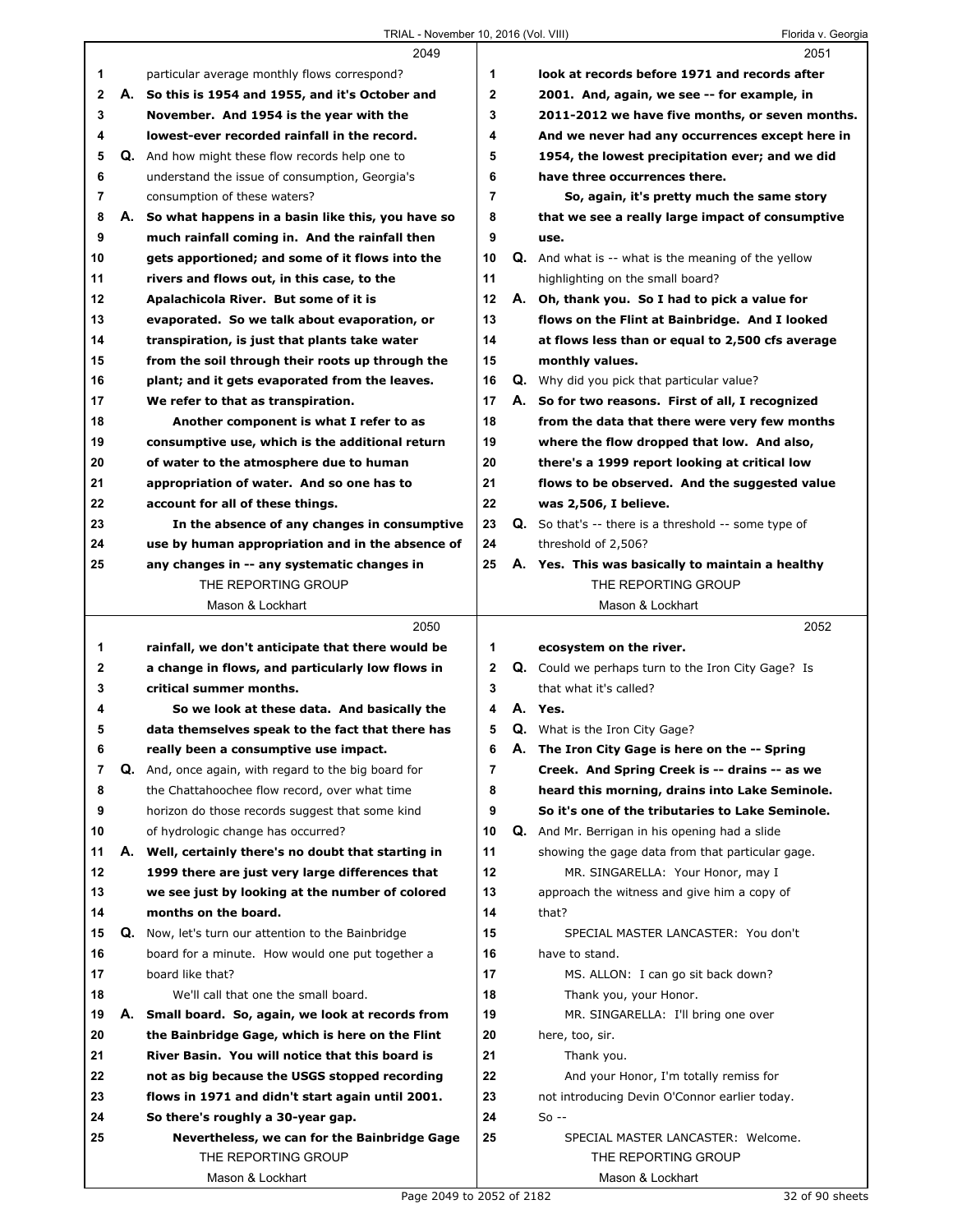|    |    | 2049                                                 |                |    | 2051                                                        |
|----|----|------------------------------------------------------|----------------|----|-------------------------------------------------------------|
| 1  |    | particular average monthly flows correspond?         | 1              |    | look at records before 1971 and records after               |
| 2  |    | A. So this is 1954 and 1955, and it's October and    | 2              |    | 2001. And, again, we see -- for example, in                 |
| 3  |    | November. And 1954 is the year with the              | 3              |    | 2011-2012 we have five months, or seven months.             |
| 4  |    | lowest-ever recorded rainfall in the record.         | 4              |    | And we never had any occurrences except here in             |
| 5  | Q. | And how might these flow records help one to         | 5              |    | 1954, the lowest precipitation ever; and we did             |
| 6  |    | understand the issue of consumption, Georgia's       | 6              |    | have three occurrences there.                               |
| 7  |    | consumption of these waters?                         | $\overline{7}$ |    | So, again, it's pretty much the same story                  |
| 8  |    | A. So what happens in a basin like this, you have so | 8              |    | that we see a really large impact of consumptive            |
| 9  |    | much rainfall coming in. And the rainfall then       | 9              |    | use.                                                        |
| 10 |    | gets apportioned; and some of it flows into the      | 10             |    | <b>Q.</b> And what is -- what is the meaning of the yellow  |
| 11 |    | rivers and flows out, in this case, to the           | 11             |    | highlighting on the small board?                            |
| 12 |    | Apalachicola River. But some of it is                | 12             |    | A. Oh, thank you. So I had to pick a value for              |
| 13 |    | evaporated. So we talk about evaporation, or         | 13             |    | flows on the Flint at Bainbridge. And I looked              |
| 14 |    | transpiration, is just that plants take water        | 14             |    | at flows less than or equal to 2,500 cfs average            |
| 15 |    | from the soil through their roots up through the     | 15             |    | monthly values.                                             |
| 16 |    | plant; and it gets evaporated from the leaves.       | 16             |    | <b>Q.</b> Why did you pick that particular value?           |
| 17 |    | We refer to that as transpiration.                   | 17             |    | A. So for two reasons. First of all, I recognized           |
| 18 |    | Another component is what I refer to as              | 18             |    | from the data that there were very few months               |
| 19 |    | consumptive use, which is the additional return      | 19             |    | where the flow dropped that low. And also,                  |
| 20 |    | of water to the atmosphere due to human              | 20             |    | there's a 1999 report looking at critical low               |
| 21 |    | appropriation of water. And so one has to            | 21             |    | flows to be observed. And the suggested value               |
| 22 |    | account for all of these things.                     | 22             |    | was 2,506, I believe.                                       |
| 23 |    | In the absence of any changes in consumptive         | 23             |    | <b>Q.</b> So that's -- there is a threshold -- some type of |
| 24 |    | use by human appropriation and in the absence of     | 24             |    | threshold of 2,506?                                         |
| 25 |    | any changes in -- any systematic changes in          | 25             |    | A. Yes. This was basically to maintain a healthy            |
|    |    | THE REPORTING GROUP                                  |                |    | THE REPORTING GROUP                                         |
|    |    | Mason & Lockhart                                     |                |    | Mason & Lockhart                                            |
|    |    | 2050                                                 |                |    | 2052                                                        |
| 1  |    | rainfall, we don't anticipate that there would be    | 1              |    | ecosystem on the river.                                     |
| 2  |    | a change in flows, and particularly low flows in     | 2              |    | Q. Could we perhaps turn to the Iron City Gage? Is          |
| 3  |    | critical summer months.                              | 3              |    | that what it's called?                                      |
| 4  |    | So we look at these data. And basically the          | 4              |    | A. Yes.                                                     |
| 5  |    | data themselves speak to the fact that there has     | 5              |    | <b>Q.</b> What is the Iron City Gage?                       |
| 6  |    | really been a consumptive use impact.                | 6              | А. | The Iron City Gage is here on the -- Spring                 |
| 7  |    | Q. And, once again, with regard to the big board for | 7              |    | Creek. And Spring Creek is -- drains -- as we               |
| 8  |    | the Chattahoochee flow record, over what time        | 8              |    | heard this morning, drains into Lake Seminole.              |
| 9  |    | horizon do those records suggest that some kind      | 9              |    | So it's one of the tributaries to Lake Seminole.            |
| 10 |    | of hydrologic change has occurred?                   | 10             |    | Q. And Mr. Berrigan in his opening had a slide              |
| 11 |    | A. Well, certainly there's no doubt that starting in | 11             |    | showing the gage data from that particular gage.            |
| 12 |    | 1999 there are just very large differences that      | 12             |    | MR. SINGARELLA: Your Honor, may I                           |
| 13 |    | we see just by looking at the number of colored      | 13             |    | approach the witness and give him a copy of                 |
| 14 |    | months on the board.                                 | 14             |    | that?                                                       |
| 15 | Q. | Now, let's turn our attention to the Bainbridge      | 15             |    | SPECIAL MASTER LANCASTER: You don't                         |
| 16 |    | board for a minute. How would one put together a     | 16             |    | have to stand.                                              |
| 17 |    | board like that?                                     | 17             |    | MS. ALLON: I can go sit back down?                          |
| 18 |    | We'll call that one the small board.                 | 18             |    | Thank you, your Honor.                                      |
| 19 | А. | Small board. So, again, we look at records from      | 19             |    | MR. SINGARELLA: I'll bring one over                         |
| 20 |    | the Bainbridge Gage, which is here on the Flint      | 20             |    | here, too, sir.                                             |
| 21 |    | River Basin. You will notice that this board is      | 21             |    | Thank you.                                                  |
| 22 |    | not as big because the USGS stopped recording        | 22             |    | And your Honor, I'm totally remiss for                      |
| 23 |    | flows in 1971 and didn't start again until 2001.     | 23             |    | not introducing Devin O'Connor earlier today.               |
| 24 |    | So there's roughly a 30-year gap.                    | 24             |    | $So -$                                                      |
| 25 |    | Nevertheless, we can for the Bainbridge Gage         | 25             |    | SPECIAL MASTER LANCASTER: Welcome.                          |
|    |    | THE REPORTING GROUP                                  |                |    | THE REPORTING GROUP                                         |
|    |    | Mason & Lockhart                                     |                |    | Mason & Lockhart                                            |
|    |    |                                                      |                |    |                                                             |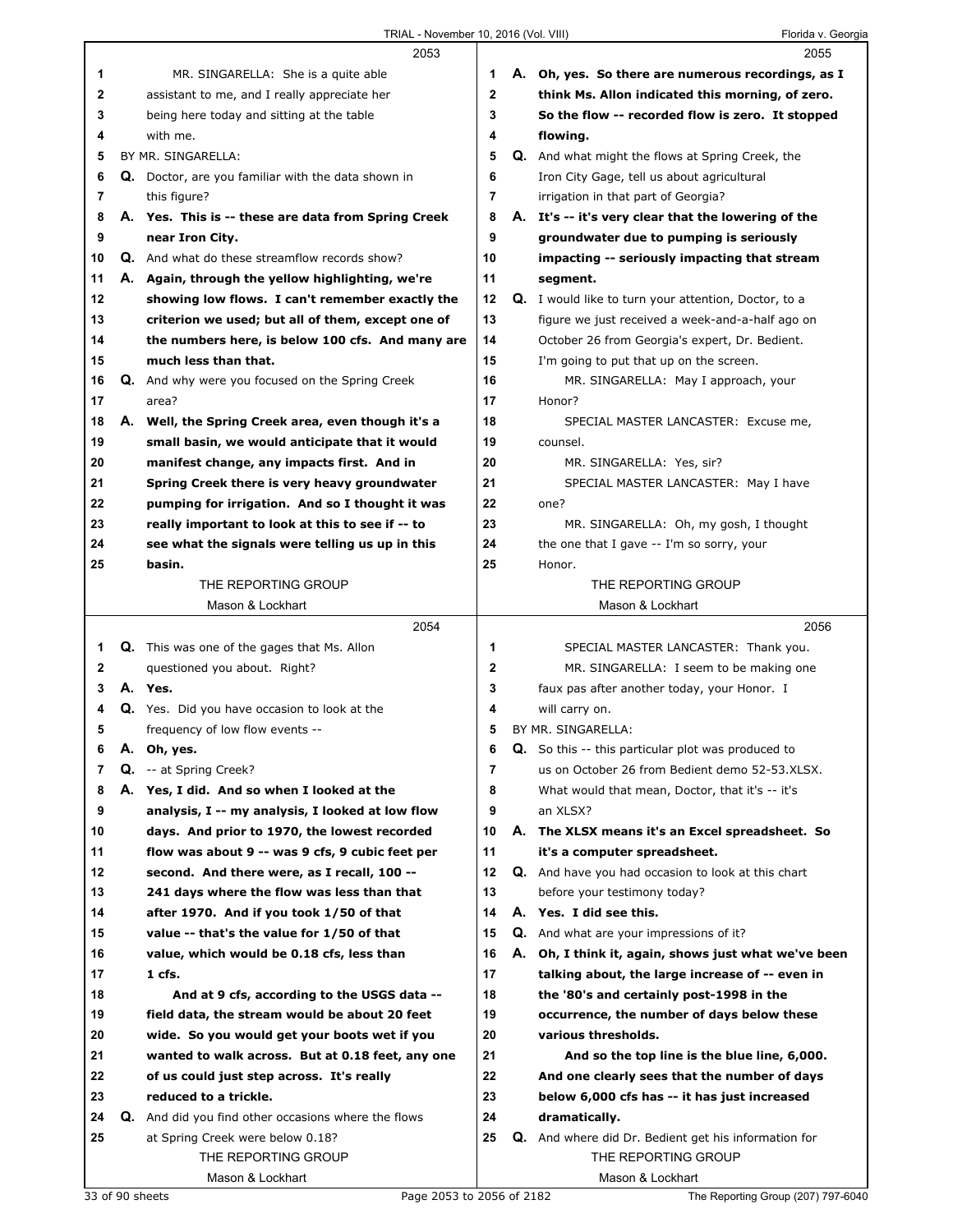|    | 2053                                                       |              | 2055                                                      |
|----|------------------------------------------------------------|--------------|-----------------------------------------------------------|
| 1  | MR. SINGARELLA: She is a quite able                        | 1            | A. Oh, yes. So there are numerous recordings, as I        |
| 2  | assistant to me, and I really appreciate her               | $\mathbf 2$  | think Ms. Allon indicated this morning, of zero.          |
| 3  | being here today and sitting at the table                  | 3            | So the flow -- recorded flow is zero. It stopped          |
| 4  | with me.                                                   | 4            | flowing.                                                  |
| 5  | BY MR. SINGARELLA:                                         | 5            | Q. And what might the flows at Spring Creek, the          |
| 6  | Q. Doctor, are you familiar with the data shown in         | 6            | Iron City Gage, tell us about agricultural                |
| 7  | this figure?                                               | 7            | irrigation in that part of Georgia?                       |
| 8  | A. Yes. This is -- these are data from Spring Creek        | 8            | A. It's -- it's very clear that the lowering of the       |
| 9  | near Iron City.                                            | 9            | groundwater due to pumping is seriously                   |
| 10 | <b>Q.</b> And what do these streamflow records show?       | 10           | impacting -- seriously impacting that stream              |
| 11 | A. Again, through the yellow highlighting, we're           | 11           | segment.                                                  |
| 12 | showing low flows. I can't remember exactly the            | 12           | Q. I would like to turn your attention, Doctor, to a      |
| 13 | criterion we used; but all of them, except one of          | 13           | figure we just received a week-and-a-half ago on          |
| 14 | the numbers here, is below 100 cfs. And many are           | 14           | October 26 from Georgia's expert, Dr. Bedient.            |
| 15 | much less than that.                                       | 15           | I'm going to put that up on the screen.                   |
| 16 | Q. And why were you focused on the Spring Creek            | 16           | MR. SINGARELLA: May I approach, your                      |
| 17 | area?                                                      | 17           | Honor?                                                    |
| 18 | A. Well, the Spring Creek area, even though it's a         | 18           | SPECIAL MASTER LANCASTER: Excuse me,                      |
| 19 | small basin, we would anticipate that it would             | 19           | counsel.                                                  |
| 20 | manifest change, any impacts first. And in                 | 20           | MR. SINGARELLA: Yes, sir?                                 |
| 21 | Spring Creek there is very heavy groundwater               | 21           | SPECIAL MASTER LANCASTER: May I have                      |
| 22 | pumping for irrigation. And so I thought it was            | 22           | one?                                                      |
| 23 | really important to look at this to see if -- to           | 23           | MR. SINGARELLA: Oh, my gosh, I thought                    |
| 24 |                                                            | 24           |                                                           |
| 25 | see what the signals were telling us up in this<br>basin.  | 25           | the one that I gave -- I'm so sorry, your                 |
|    | THE REPORTING GROUP                                        |              | Honor.<br>THE REPORTING GROUP                             |
|    | Mason & Lockhart                                           |              | Mason & Lockhart                                          |
|    |                                                            |              |                                                           |
|    |                                                            |              |                                                           |
|    | 2054                                                       |              | 2056                                                      |
| 1  | <b>Q.</b> This was one of the gages that Ms. Allon         | 1            | SPECIAL MASTER LANCASTER: Thank you.                      |
| 2  | questioned you about. Right?                               | $\mathbf{2}$ | MR. SINGARELLA: I seem to be making one                   |
| 3  | A. Yes.                                                    | 3            | faux pas after another today, your Honor. I               |
| 4  | Q. Yes. Did you have occasion to look at the               | 4            | will carry on.                                            |
| 5  | frequency of low flow events --                            | 5            | BY MR. SINGARELLA:                                        |
| 6  | A. Oh, yes.                                                | 6            | <b>Q.</b> So this -- this particular plot was produced to |
| 7  | <b>Q.</b> -- at Spring Creek?                              | 7            | us on October 26 from Bedient demo 52-53.XLSX.            |
| 8  | A. Yes, I did. And so when I looked at the                 | 8            | What would that mean, Doctor, that it's -- it's           |
| 9  | analysis, I -- my analysis, I looked at low flow           | 9            | an XLSX?                                                  |
| 10 | days. And prior to 1970, the lowest recorded               | 10           | A. The XLSX means it's an Excel spreadsheet. So           |
| 11 | flow was about 9 -- was 9 cfs, 9 cubic feet per            | 11           | it's a computer spreadsheet.                              |
| 12 | second. And there were, as I recall, 100 --                | 12           | Q. And have you had occasion to look at this chart        |
| 13 | 241 days where the flow was less than that                 | 13           | before your testimony today?                              |
| 14 | after 1970. And if you took 1/50 of that                   | 14           | A. Yes. I did see this.                                   |
| 15 | value -- that's the value for 1/50 of that                 | 15           | <b>Q.</b> And what are your impressions of it?            |
| 16 | value, which would be 0.18 cfs, less than                  | 16           | A. Oh, I think it, again, shows just what we've been      |
| 17 | 1 cfs.                                                     | 17           | talking about, the large increase of -- even in           |
| 18 | And at 9 cfs, according to the USGS data --                | 18           | the '80's and certainly post-1998 in the                  |
| 19 | field data, the stream would be about 20 feet              | 19           | occurrence, the number of days below these                |
| 20 | wide. So you would get your boots wet if you               | 20           | various thresholds.                                       |
| 21 | wanted to walk across. But at 0.18 feet, any one           | 21           | And so the top line is the blue line, 6,000.              |
| 22 | of us could just step across. It's really                  | 22           | And one clearly sees that the number of days              |
| 23 | reduced to a trickle.                                      | 23           | below 6,000 cfs has -- it has just increased              |
| 24 | <b>Q.</b> And did you find other occasions where the flows | 24           | dramatically.                                             |
| 25 | at Spring Creek were below 0.18?                           | 25           | Q. And where did Dr. Bedient get his information for      |
|    | THE REPORTING GROUP<br>Mason & Lockhart                    |              | THE REPORTING GROUP<br>Mason & Lockhart                   |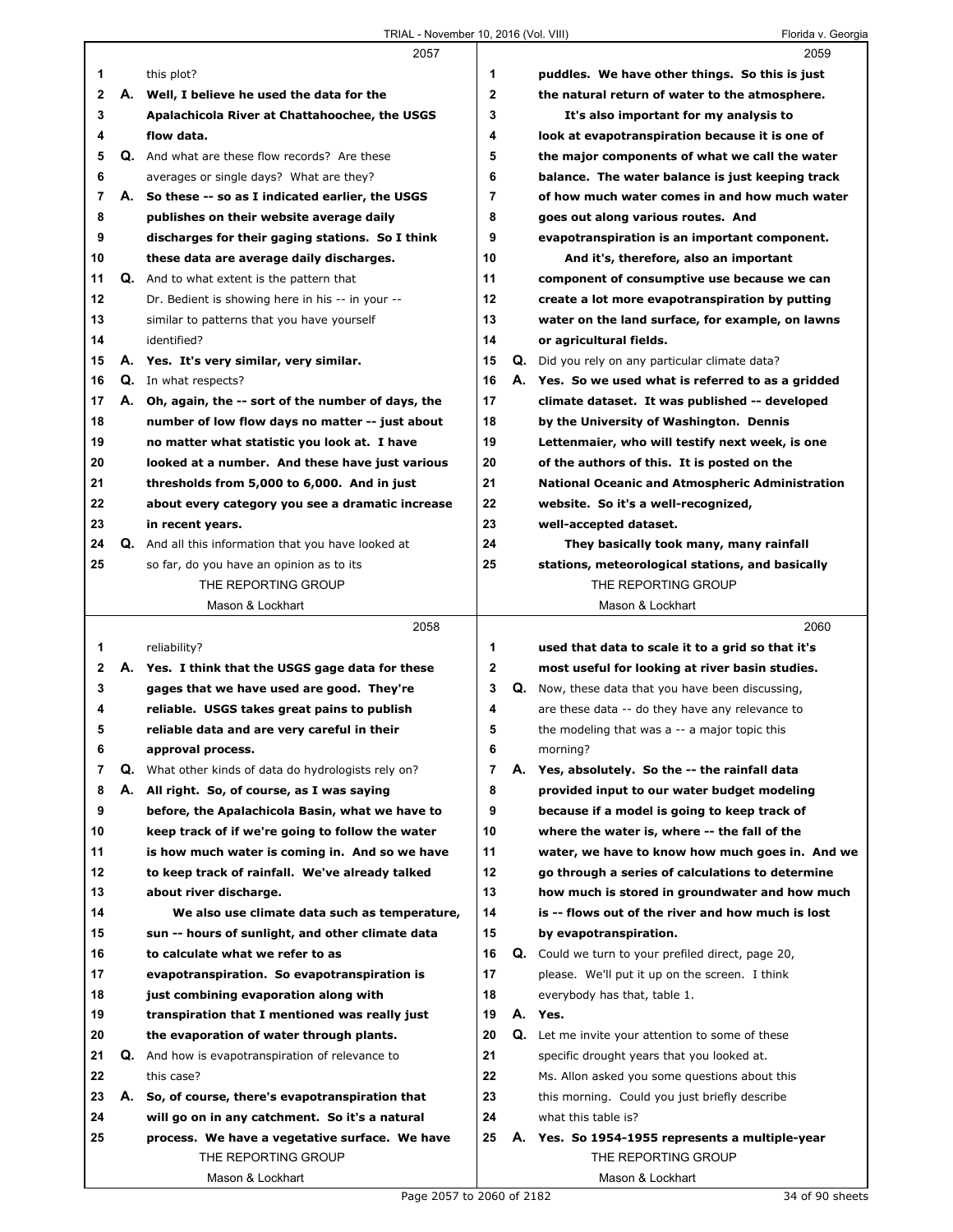|              |    | 2057                                                    |                |    | 2059                                                     |
|--------------|----|---------------------------------------------------------|----------------|----|----------------------------------------------------------|
| 1            |    | this plot?                                              | 1              |    | puddles. We have other things. So this is just           |
| 2            |    | A. Well, I believe he used the data for the             | $\mathbf{2}$   |    | the natural return of water to the atmosphere.           |
| 3            |    | Apalachicola River at Chattahoochee, the USGS           | 3              |    | It's also important for my analysis to                   |
| 4            |    | flow data.                                              | 4              |    | look at evapotranspiration because it is one of          |
| 5            |    | Q. And what are these flow records? Are these           | 5              |    | the major components of what we call the water           |
| 6            |    | averages or single days? What are they?                 | 6              |    | balance. The water balance is just keeping track         |
| 7            |    | A. So these -- so as I indicated earlier, the USGS      | $\overline{7}$ |    | of how much water comes in and how much water            |
| 8            |    | publishes on their website average daily                | 8              |    | goes out along various routes. And                       |
| 9            |    | discharges for their gaging stations. So I think        | 9              |    | evapotranspiration is an important component.            |
| 10           |    | these data are average daily discharges.                | 10             |    | And it's, therefore, also an important                   |
| 11           |    | <b>Q.</b> And to what extent is the pattern that        | 11             |    | component of consumptive use because we can              |
| 12           |    | Dr. Bedient is showing here in his -- in your --        | 12             |    | create a lot more evapotranspiration by putting          |
| 13           |    | similar to patterns that you have yourself              | 13             |    | water on the land surface, for example, on lawns         |
| 14           |    | identified?                                             | 14             |    | or agricultural fields.                                  |
| 15           |    | A. Yes. It's very similar, very similar.                | 15             |    | Q. Did you rely on any particular climate data?          |
| 16           |    | Q. In what respects?                                    | 16             |    | A. Yes. So we used what is referred to as a gridded      |
| 17           |    | A. Oh, again, the -- sort of the number of days, the    | 17             |    | climate dataset. It was published -- developed           |
| 18           |    | number of low flow days no matter -- just about         | 18             |    | by the University of Washington. Dennis                  |
| 19           |    | no matter what statistic you look at. I have            | 19             |    | Lettenmaier, who will testify next week, is one          |
| 20           |    | looked at a number. And these have just various         | 20             |    | of the authors of this. It is posted on the              |
| 21           |    | thresholds from 5,000 to 6,000. And in just             | 21             |    | <b>National Oceanic and Atmospheric Administration</b>   |
| 22           |    | about every category you see a dramatic increase        | 22             |    | website. So it's a well-recognized,                      |
| 23           |    | in recent years.                                        | 23             |    | well-accepted dataset.                                   |
| 24           |    | Q. And all this information that you have looked at     | 24             |    | They basically took many, many rainfall                  |
| 25           |    | so far, do you have an opinion as to its                | 25             |    | stations, meteorological stations, and basically         |
|              |    | THE REPORTING GROUP                                     |                |    | THE REPORTING GROUP                                      |
|              |    | Mason & Lockhart                                        |                |    | Mason & Lockhart                                         |
|              |    | 2058                                                    |                |    | 2060                                                     |
|              |    |                                                         |                |    |                                                          |
|              |    |                                                         |                |    |                                                          |
| 1            |    | reliability?                                            | 1              |    | used that data to scale it to a grid so that it's        |
| $\mathbf{2}$ |    | A. Yes. I think that the USGS gage data for these       | $\mathbf 2$    |    | most useful for looking at river basin studies.          |
| 3            |    | gages that we have used are good. They're               | 3              |    | <b>Q.</b> Now, these data that you have been discussing, |
| 4            |    | reliable. USGS takes great pains to publish             | 4              |    | are these data -- do they have any relevance to          |
| 5            |    | reliable data and are very careful in their             | 5              |    | the modeling that was a -- a major topic this            |
| 6            |    | approval process.                                       | 6              |    | morning?                                                 |
| 7            | Q. | What other kinds of data do hydrologists rely on?       | 7              | А. | Yes, absolutely. So the -- the rainfall data             |
| 8            | А. | All right. So, of course, as I was saving               | 8              |    | provided input to our water budget modeling              |
| 9            |    | before, the Apalachicola Basin, what we have to         | 9              |    | because if a model is going to keep track of             |
| 10           |    | keep track of if we're going to follow the water        | 10             |    | where the water is, where -- the fall of the             |
| 11           |    | is how much water is coming in. And so we have          | 11             |    | water, we have to know how much goes in. And we          |
| 12           |    | to keep track of rainfall. We've already talked         | 12             |    | go through a series of calculations to determine         |
| 13           |    | about river discharge.                                  | 13             |    | how much is stored in groundwater and how much           |
| 14           |    | We also use climate data such as temperature,           | 14             |    | is -- flows out of the river and how much is lost        |
| 15           |    | sun -- hours of sunlight, and other climate data        | 15             |    | by evapotranspiration.                                   |
| 16           |    | to calculate what we refer to as                        | 16             | Q. | Could we turn to your prefiled direct, page 20,          |
| 17           |    | evapotranspiration. So evapotranspiration is            | 17             |    | please. We'll put it up on the screen. I think           |
| 18           |    | just combining evaporation along with                   | 18             |    | everybody has that, table 1.                             |
| 19           |    | transpiration that I mentioned was really just          | 19             |    | A. Yes.                                                  |
| 20           |    | the evaporation of water through plants.                | 20             | Q. | Let me invite your attention to some of these            |
| 21           |    | <b>Q.</b> And how is evapotranspiration of relevance to | 21             |    | specific drought years that you looked at.               |
| 22           |    | this case?                                              | 22             |    | Ms. Allon asked you some questions about this            |
| 23           | А. | So, of course, there's evapotranspiration that          | 23             |    | this morning. Could you just briefly describe            |
| 24           |    | will go on in any catchment. So it's a natural          | 24             |    | what this table is?                                      |
| 25           |    | process. We have a vegetative surface. We have          | 25             |    | A. Yes. So 1954-1955 represents a multiple-year          |
|              |    | THE REPORTING GROUP<br>Mason & Lockhart                 |                |    | THE REPORTING GROUP<br>Mason & Lockhart                  |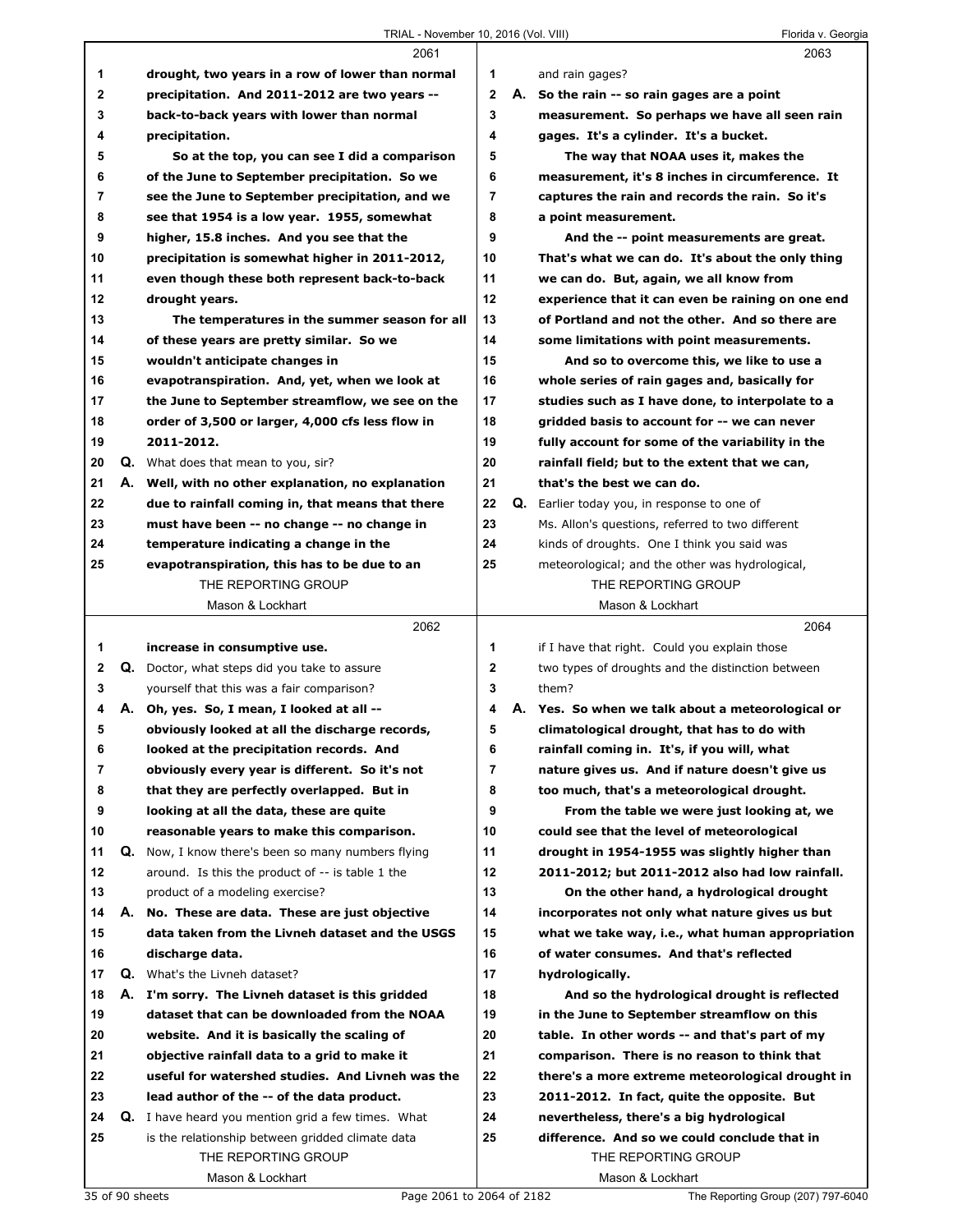|    |    | 2061                                                      |              |    | 2063                                              |
|----|----|-----------------------------------------------------------|--------------|----|---------------------------------------------------|
| 1  |    | drought, two years in a row of lower than normal          | 1            |    | and rain gages?                                   |
| 2  |    | precipitation. And 2011-2012 are two years --             | $\mathbf{2}$ |    | A. So the rain -- so rain gages are a point       |
| 3  |    | back-to-back years with lower than normal                 | 3            |    | measurement. So perhaps we have all seen rain     |
| 4  |    | precipitation.                                            | 4            |    | gages. It's a cylinder. It's a bucket.            |
| 5  |    | So at the top, you can see I did a comparison             | 5            |    | The way that NOAA uses it, makes the              |
| 6  |    | of the June to September precipitation. So we             | 6            |    | measurement, it's 8 inches in circumference. It   |
| 7  |    | see the June to September precipitation, and we           | 7            |    | captures the rain and records the rain. So it's   |
| 8  |    | see that 1954 is a low year. 1955, somewhat               | 8            |    | a point measurement.                              |
| 9  |    | higher, 15.8 inches. And you see that the                 | 9            |    | And the -- point measurements are great.          |
| 10 |    | precipitation is somewhat higher in 2011-2012,            | 10           |    | That's what we can do. It's about the only thing  |
| 11 |    | even though these both represent back-to-back             | 11           |    | we can do. But, again, we all know from           |
| 12 |    | drought years.                                            | 12           |    | experience that it can even be raining on one end |
| 13 |    | The temperatures in the summer season for all             | 13           |    | of Portland and not the other. And so there are   |
| 14 |    | of these years are pretty similar. So we                  | 14           |    | some limitations with point measurements.         |
| 15 |    | wouldn't anticipate changes in                            | 15           |    | And so to overcome this, we like to use a         |
| 16 |    | evapotranspiration. And, yet, when we look at             | 16           |    | whole series of rain gages and, basically for     |
| 17 |    | the June to September streamflow, we see on the           | 17           |    | studies such as I have done, to interpolate to a  |
| 18 |    | order of 3,500 or larger, 4,000 cfs less flow in          | 18           |    | gridded basis to account for -- we can never      |
| 19 |    | 2011-2012.                                                | 19           |    | fully account for some of the variability in the  |
| 20 |    | <b>Q.</b> What does that mean to you, sir?                | 20           |    | rainfall field; but to the extent that we can,    |
| 21 | А. | Well, with no other explanation, no explanation           | 21           |    | that's the best we can do.                        |
| 22 |    | due to rainfall coming in, that means that there          | 22           | Q. | Earlier today you, in response to one of          |
| 23 |    | must have been -- no change -- no change in               | 23           |    | Ms. Allon's questions, referred to two different  |
| 24 |    | temperature indicating a change in the                    | 24           |    | kinds of droughts. One I think you said was       |
| 25 |    | evapotranspiration, this has to be due to an              | 25           |    | meteorological; and the other was hydrological,   |
|    |    | THE REPORTING GROUP                                       |              |    | THE REPORTING GROUP                               |
|    |    | Mason & Lockhart                                          |              |    | Mason & Lockhart                                  |
|    |    | 2062                                                      |              |    | 2064                                              |
| 1  |    | increase in consumptive use.                              | 1            |    | if I have that right. Could you explain those     |
| 2  |    | Q. Doctor, what steps did you take to assure              | $\mathbf 2$  |    | two types of droughts and the distinction between |
| 3  |    | yourself that this was a fair comparison?                 | 3            |    | them?                                             |
| 4  |    | A. Oh, yes. So, I mean, I looked at all --                | 4            |    | A. Yes. So when we talk about a meteorological or |
| 5  |    | obviously looked at all the discharge records,            | 5            |    | climatological drought, that has to do with       |
| 6  |    | looked at the precipitation records. And                  | 6            |    | rainfall coming in. It's, if you will, what       |
| 7  |    | obviously every year is different. So it's not            | 7            |    | nature gives us. And if nature doesn't give us    |
| 8  |    | that they are perfectly overlapped. But in                | 8            |    | too much, that's a meteorological drought.        |
| 9  |    | looking at all the data, these are quite                  | 9            |    | From the table we were just looking at, we        |
| 10 |    | reasonable years to make this comparison.                 | 10           |    | could see that the level of meteorological        |
| 11 |    | <b>Q.</b> Now, I know there's been so many numbers flying | 11           |    | drought in 1954-1955 was slightly higher than     |
| 12 |    | around. Is this the product of -- is table 1 the          | 12           |    | 2011-2012; but 2011-2012 also had low rainfall.   |
| 13 |    | product of a modeling exercise?                           | 13           |    | On the other hand, a hydrological drought         |
| 14 |    | A. No. These are data. These are just objective           | 14           |    | incorporates not only what nature gives us but    |
| 15 |    | data taken from the Livneh dataset and the USGS           | 15           |    | what we take way, i.e., what human appropriation  |
| 16 |    | discharge data.                                           | 16           |    | of water consumes. And that's reflected           |
| 17 |    | <b>Q.</b> What's the Livneh dataset?                      | 17           |    | hydrologically.                                   |
| 18 |    | A. I'm sorry. The Livneh dataset is this gridded          | 18           |    | And so the hydrological drought is reflected      |
| 19 |    | dataset that can be downloaded from the NOAA              | 19           |    | in the June to September streamflow on this       |
| 20 |    | website. And it is basically the scaling of               | 20           |    | table. In other words -- and that's part of my    |
| 21 |    | objective rainfall data to a grid to make it              | 21           |    | comparison. There is no reason to think that      |
| 22 |    | useful for watershed studies. And Livneh was the          | 22           |    | there's a more extreme meteorological drought in  |
| 23 |    | lead author of the -- of the data product.                | 23           |    | 2011-2012. In fact, quite the opposite. But       |
| 24 |    | <b>Q.</b> I have heard you mention grid a few times. What | 24           |    | nevertheless, there's a big hydrological          |
| 25 |    | is the relationship between gridded climate data          | 25           |    | difference. And so we could conclude that in      |
|    |    |                                                           |              |    |                                                   |
|    |    |                                                           |              |    |                                                   |
|    |    | THE REPORTING GROUP<br>Mason & Lockhart                   |              |    | THE REPORTING GROUP<br>Mason & Lockhart           |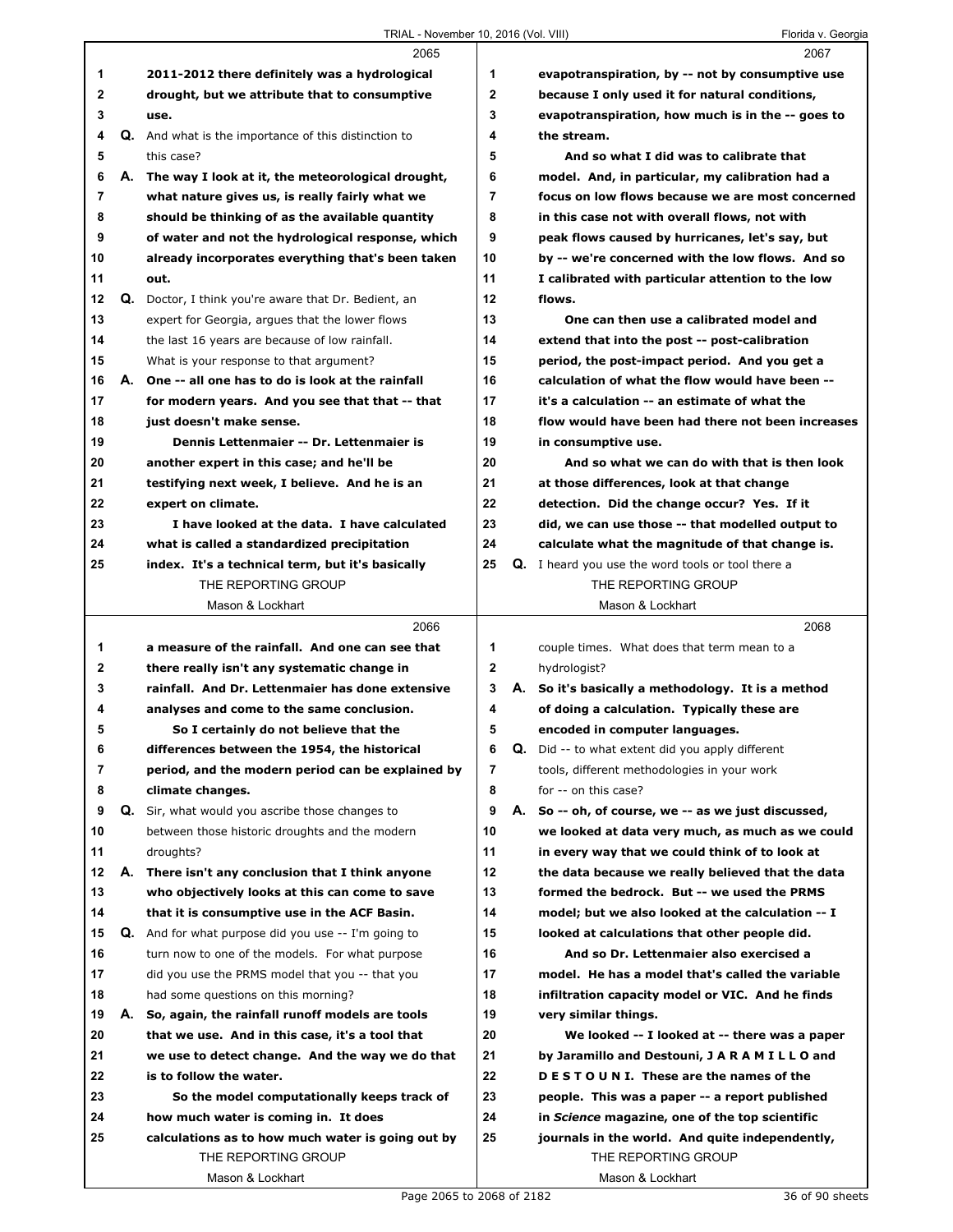|                |    | 2065                                                                                               |                |    | 2067                                                                                                 |
|----------------|----|----------------------------------------------------------------------------------------------------|----------------|----|------------------------------------------------------------------------------------------------------|
| 1              |    | 2011-2012 there definitely was a hydrological                                                      | 1              |    | evapotranspiration, by -- not by consumptive use                                                     |
| $\mathbf 2$    |    | drought, but we attribute that to consumptive                                                      | $\mathbf{2}$   |    | because I only used it for natural conditions,                                                       |
| 3              |    | use.                                                                                               | 3              |    | evapotranspiration, how much is in the -- goes to                                                    |
| 4              |    | Q. And what is the importance of this distinction to                                               | 4              |    | the stream.                                                                                          |
| 5              |    | this case?                                                                                         | 5              |    | And so what I did was to calibrate that                                                              |
| 6              | А. | The way I look at it, the meteorological drought,                                                  | 6              |    | model. And, in particular, my calibration had a                                                      |
| $\overline{7}$ |    | what nature gives us, is really fairly what we                                                     | $\overline{7}$ |    | focus on low flows because we are most concerned                                                     |
| 8              |    | should be thinking of as the available quantity                                                    | 8              |    | in this case not with overall flows, not with                                                        |
| 9              |    | of water and not the hydrological response, which                                                  | 9              |    | peak flows caused by hurricanes, let's say, but                                                      |
| 10             |    | already incorporates everything that's been taken                                                  | 10             |    | by -- we're concerned with the low flows. And so                                                     |
| 11             |    | out.                                                                                               | 11             |    | I calibrated with particular attention to the low                                                    |
| 12             |    | Q. Doctor, I think you're aware that Dr. Bedient, an                                               | 12             |    | flows.                                                                                               |
| 13             |    | expert for Georgia, argues that the lower flows                                                    | 13             |    | One can then use a calibrated model and                                                              |
| 14             |    | the last 16 years are because of low rainfall.                                                     | 14             |    | extend that into the post -- post-calibration                                                        |
| 15             |    | What is your response to that argument?                                                            | 15             |    | period, the post-impact period. And you get a                                                        |
| 16             | А. | One -- all one has to do is look at the rainfall                                                   | 16             |    | calculation of what the flow would have been --                                                      |
| 17             |    | for modern years. And you see that that -- that                                                    | 17             |    | it's a calculation -- an estimate of what the                                                        |
| 18             |    | just doesn't make sense.                                                                           | 18             |    | flow would have been had there not been increases                                                    |
| 19             |    | Dennis Lettenmaier -- Dr. Lettenmaier is                                                           | 19             |    | in consumptive use.                                                                                  |
| 20             |    | another expert in this case; and he'll be                                                          | 20             |    | And so what we can do with that is then look                                                         |
| 21             |    | testifying next week, I believe. And he is an                                                      | 21             |    | at those differences, look at that change                                                            |
| 22             |    | expert on climate.                                                                                 | 22             |    | detection. Did the change occur? Yes. If it                                                          |
| 23             |    | I have looked at the data. I have calculated                                                       | 23             |    | did, we can use those -- that modelled output to                                                     |
| 24             |    | what is called a standardized precipitation                                                        | 24             |    | calculate what the magnitude of that change is.                                                      |
| 25             |    | index. It's a technical term, but it's basically                                                   | 25             |    | <b>Q.</b> I heard you use the word tools or tool there a                                             |
|                |    | THE REPORTING GROUP                                                                                |                |    | THE REPORTING GROUP                                                                                  |
|                |    | Mason & Lockhart                                                                                   |                |    | Mason & Lockhart                                                                                     |
|                |    |                                                                                                    |                |    |                                                                                                      |
|                |    | 2066                                                                                               |                |    | 2068                                                                                                 |
| 1              |    | a measure of the rainfall. And one can see that                                                    | 1              |    |                                                                                                      |
| 2              |    |                                                                                                    | 2              |    | couple times. What does that term mean to a                                                          |
| 3              |    | there really isn't any systematic change in<br>rainfall. And Dr. Lettenmaier has done extensive    | 3              |    | hydrologist?                                                                                         |
| 4              |    | analyses and come to the same conclusion.                                                          | 4              |    | A. So it's basically a methodology. It is a method                                                   |
| 5              |    | So I certainly do not believe that the                                                             | 5              |    | of doing a calculation. Typically these are<br>encoded in computer languages.                        |
| 6              |    |                                                                                                    |                |    |                                                                                                      |
| 7              |    | differences between the 1954, the historical                                                       | 6<br>7         | Q. | Did -- to what extent did you apply different                                                        |
| 8              |    | period, and the modern period can be explained by                                                  | 8              |    | tools, different methodologies in your work<br>for -- on this case?                                  |
| 9              |    | climate changes.<br>Q. Sir, what would you ascribe those changes to                                | 9              | А. |                                                                                                      |
| 10             |    | between those historic droughts and the modern                                                     | 10             |    | So -- oh, of course, we -- as we just discussed,<br>we looked at data very much, as much as we could |
| 11             |    | droughts?                                                                                          | 11             |    |                                                                                                      |
| 12             | А. | There isn't any conclusion that I think anyone                                                     | 12             |    | in every way that we could think of to look at<br>the data because we really believed that the data  |
| 13             |    |                                                                                                    | 13             |    |                                                                                                      |
| 14             |    | who objectively looks at this can come to save                                                     | 14             |    | formed the bedrock. But -- we used the PRMS                                                          |
|                |    | that it is consumptive use in the ACF Basin.                                                       |                |    | model; but we also looked at the calculation -- I                                                    |
| 15             |    | <b>Q.</b> And for what purpose did you use -- I'm going to                                         | 15             |    | looked at calculations that other people did.                                                        |
| 16             |    | turn now to one of the models. For what purpose                                                    | 16             |    | And so Dr. Lettenmaier also exercised a                                                              |
| 17             |    | did you use the PRMS model that you -- that you                                                    | 17             |    | model. He has a model that's called the variable                                                     |
| 18             |    | had some questions on this morning?                                                                | 18             |    | infiltration capacity model or VIC. And he finds                                                     |
| 19<br>20       | А. | So, again, the rainfall runoff models are tools<br>that we use. And in this case, it's a tool that | 19<br>20       |    | very similar things.<br>We looked -- I looked at -- there was a paper                                |
| 21             |    |                                                                                                    |                |    |                                                                                                      |
|                |    | we use to detect change. And the way we do that                                                    | 21             |    | by Jaramillo and Destouni, J A R A M I L L O and                                                     |
| 22             |    | is to follow the water.                                                                            | 22             |    | DESTOUNI. These are the names of the                                                                 |
| 23<br>24       |    | So the model computationally keeps track of                                                        | 23<br>24       |    | people. This was a paper -- a report published                                                       |
| 25             |    | how much water is coming in. It does                                                               | 25             |    | in Science magazine, one of the top scientific                                                       |
|                |    | calculations as to how much water is going out by<br>THE REPORTING GROUP                           |                |    | journals in the world. And quite independently,<br>THE REPORTING GROUP                               |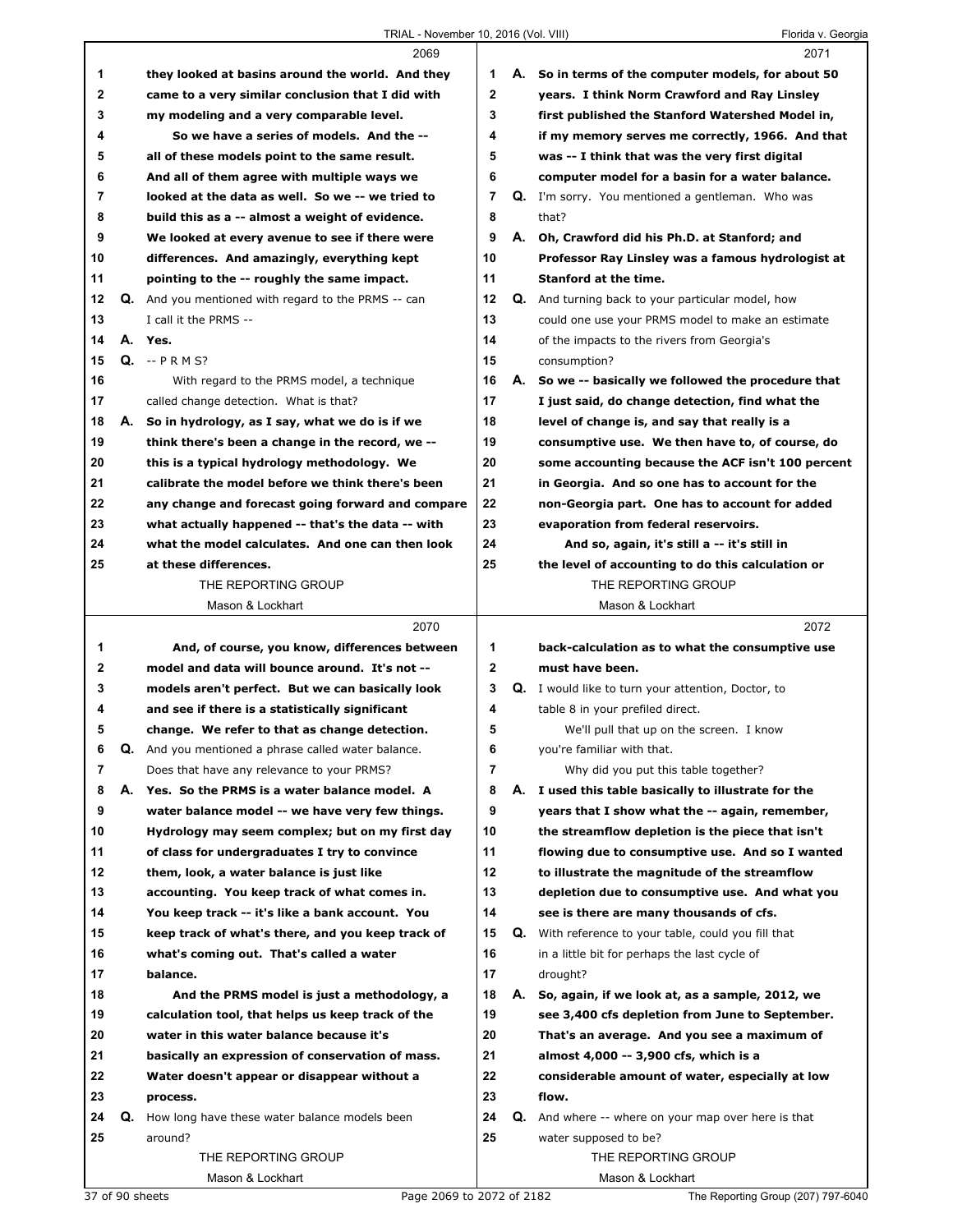|    |    | 2069                                                |                |    | 2071                                                      |
|----|----|-----------------------------------------------------|----------------|----|-----------------------------------------------------------|
| 1  |    | they looked at basins around the world. And they    | 1              |    | A. So in terms of the computer models, for about 50       |
| 2  |    | came to a very similar conclusion that I did with   | $\mathbf{2}$   |    | years. I think Norm Crawford and Ray Linsley              |
| 3  |    | my modeling and a very comparable level.            | 3              |    | first published the Stanford Watershed Model in,          |
| 4  |    | So we have a series of models. And the --           | 4              |    | if my memory serves me correctly, 1966. And that          |
| 5  |    | all of these models point to the same result.       | 5              |    | was -- I think that was the very first digital            |
| 6  |    | And all of them agree with multiple ways we         | 6              |    | computer model for a basin for a water balance.           |
| 7  |    | looked at the data as well. So we -- we tried to    | $\overline{7}$ |    | Q. I'm sorry. You mentioned a gentleman. Who was          |
| 8  |    | build this as a -- almost a weight of evidence.     | 8              |    | that?                                                     |
| 9  |    | We looked at every avenue to see if there were      | 9              |    | A. Oh, Crawford did his Ph.D. at Stanford; and            |
| 10 |    | differences. And amazingly, everything kept         | 10             |    | Professor Ray Linsley was a famous hydrologist at         |
| 11 |    | pointing to the -- roughly the same impact.         | 11             |    | Stanford at the time.                                     |
| 12 |    | Q. And you mentioned with regard to the PRMS -- can | 12             |    | Q. And turning back to your particular model, how         |
| 13 |    | I call it the PRMS --                               | 13             |    | could one use your PRMS model to make an estimate         |
| 14 |    | A. Yes.                                             | 14             |    | of the impacts to the rivers from Georgia's               |
| 15 |    | $Q. - P R M S?$                                     | 15             |    | consumption?                                              |
| 16 |    | With regard to the PRMS model, a technique          | 16             |    | A. So we -- basically we followed the procedure that      |
| 17 |    | called change detection. What is that?              | 17             |    | I just said, do change detection, find what the           |
| 18 |    | A. So in hydrology, as I say, what we do is if we   | 18             |    | level of change is, and say that really is a              |
| 19 |    | think there's been a change in the record, we --    | 19             |    | consumptive use. We then have to, of course, do           |
| 20 |    | this is a typical hydrology methodology. We         | 20             |    | some accounting because the ACF isn't 100 percent         |
| 21 |    | calibrate the model before we think there's been    | 21             |    | in Georgia. And so one has to account for the             |
| 22 |    | any change and forecast going forward and compare   | 22             |    | non-Georgia part. One has to account for added            |
| 23 |    | what actually happened -- that's the data -- with   | 23             |    | evaporation from federal reservoirs.                      |
| 24 |    | what the model calculates. And one can then look    | 24             |    | And so, again, it's still a -- it's still in              |
| 25 |    | at these differences.                               | 25             |    | the level of accounting to do this calculation or         |
|    |    | THE REPORTING GROUP                                 |                |    | THE REPORTING GROUP                                       |
|    |    |                                                     |                |    |                                                           |
|    |    | Mason & Lockhart                                    |                |    | Mason & Lockhart                                          |
|    |    | 2070                                                |                |    | 2072                                                      |
| 1  |    | And, of course, you know, differences between       | 1              |    | back-calculation as to what the consumptive use           |
| 2  |    | model and data will bounce around. It's not --      | $\mathbf{2}$   |    | must have been.                                           |
| 3  |    | models aren't perfect. But we can basically look    | 3              |    | <b>Q.</b> I would like to turn your attention, Doctor, to |
| 4  |    | and see if there is a statistically significant     | 4              |    | table 8 in your prefiled direct.                          |
| 5  |    | change. We refer to that as change detection.       | 5              |    | We'll pull that up on the screen. I know                  |
| 6  | Q. | And you mentioned a phrase called water balance.    | 6              |    | you're familiar with that.                                |
| 7  |    | Does that have any relevance to your PRMS?          | 7              |    | Why did you put this table together?                      |
| 8  |    | A. Yes. So the PRMS is a water balance model. A     | 8              | А. | I used this table basically to illustrate for the         |
| 9  |    | water balance model -- we have very few things.     | 9              |    | years that I show what the -- again, remember,            |
| 10 |    | Hydrology may seem complex; but on my first day     | 10             |    | the streamflow depletion is the piece that isn't          |
| 11 |    | of class for undergraduates I try to convince       | 11             |    | flowing due to consumptive use. And so I wanted           |
| 12 |    | them, look, a water balance is just like            | 12             |    | to illustrate the magnitude of the streamflow             |
| 13 |    | accounting. You keep track of what comes in.        | 13             |    | depletion due to consumptive use. And what you            |
| 14 |    | You keep track -- it's like a bank account. You     | 14             |    | see is there are many thousands of cfs.                   |
| 15 |    | keep track of what's there, and you keep track of   | 15             | Q. | With reference to your table, could you fill that         |
| 16 |    | what's coming out. That's called a water            | 16             |    | in a little bit for perhaps the last cycle of             |
| 17 |    | balance.                                            | 17             |    | drought?                                                  |
| 18 |    | And the PRMS model is just a methodology, a         | 18             | А. | So, again, if we look at, as a sample, 2012, we           |
| 19 |    | calculation tool, that helps us keep track of the   | 19             |    | see 3,400 cfs depletion from June to September.           |
| 20 |    | water in this water balance because it's            | 20             |    | That's an average. And you see a maximum of               |
| 21 |    | basically an expression of conservation of mass.    | 21             |    | almost 4,000 -- 3,900 cfs, which is a                     |
| 22 |    | Water doesn't appear or disappear without a         | 22             |    | considerable amount of water, especially at low           |
| 23 |    | process.                                            | 23             |    | flow.                                                     |
| 24 | Q. | How long have these water balance models been       | 24             | Q. | And where -- where on your map over here is that          |
| 25 |    | around?                                             | 25             |    | water supposed to be?                                     |
|    |    | THE REPORTING GROUP                                 |                |    | THE REPORTING GROUP                                       |

37 of 90 sheets Page 2069 to 2072 of 2182 The Reporting Group (207) 797-6040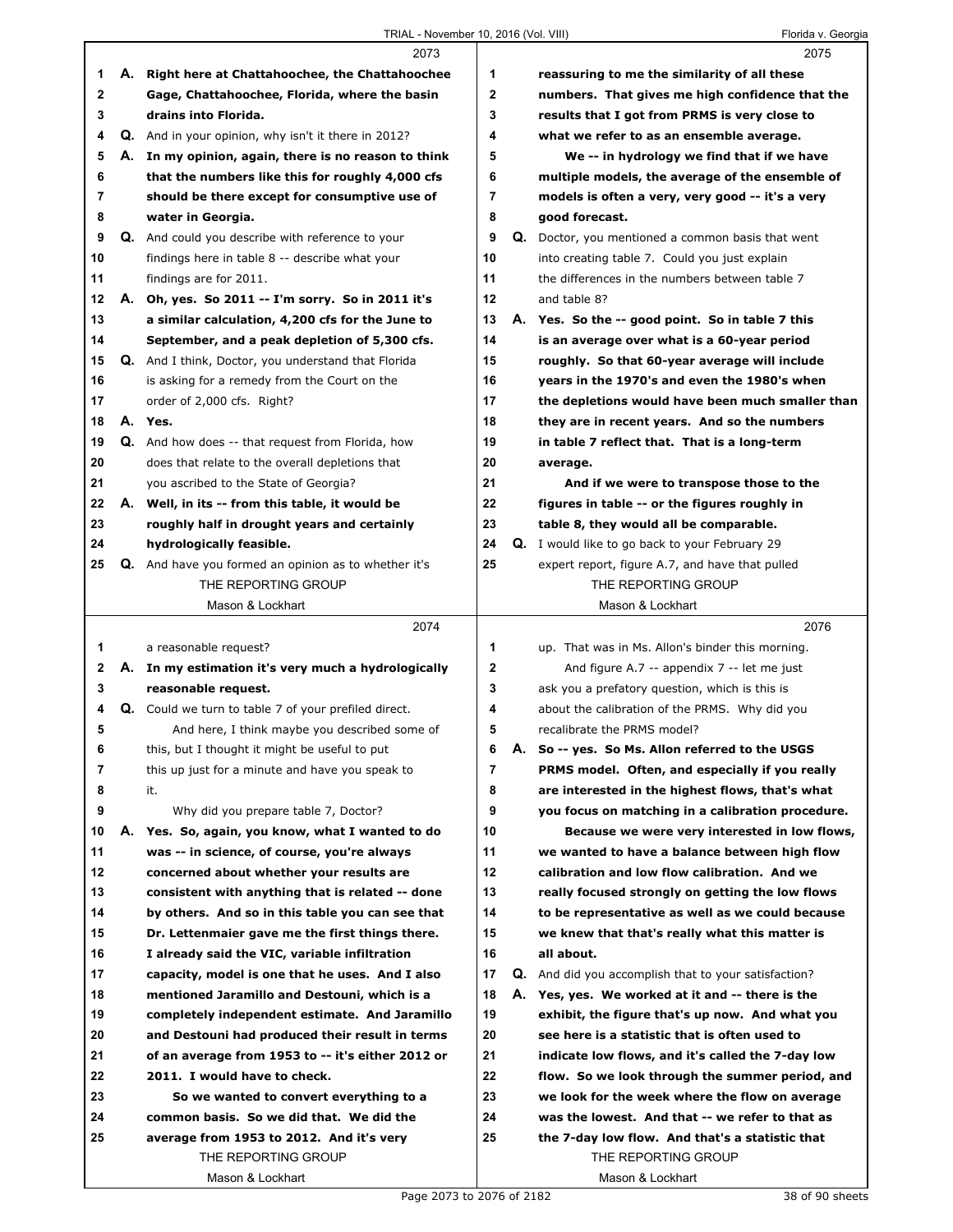$\Gamma$ 

|             |    | 2073                                                        |              |    | 2075                                                  |
|-------------|----|-------------------------------------------------------------|--------------|----|-------------------------------------------------------|
| 1           |    | A. Right here at Chattahoochee, the Chattahoochee           | 1            |    | reassuring to me the similarity of all these          |
| $\mathbf 2$ |    | Gage, Chattahoochee, Florida, where the basin               | $\mathbf 2$  |    | numbers. That gives me high confidence that the       |
| 3           |    | drains into Florida.                                        | 3            |    | results that I got from PRMS is very close to         |
| 4           |    | <b>Q.</b> And in your opinion, why isn't it there in 2012?  | 4            |    | what we refer to as an ensemble average.              |
| 5           |    | A. In my opinion, again, there is no reason to think        | 5            |    | We -- in hydrology we find that if we have            |
| 6           |    | that the numbers like this for roughly 4,000 cfs            | 6            |    | multiple models, the average of the ensemble of       |
| 7           |    | should be there except for consumptive use of               | 7            |    | models is often a very, very good -- it's a very      |
| 8           |    | water in Georgia.                                           | 8            |    | good forecast.                                        |
| 9           |    | <b>Q.</b> And could you describe with reference to your     | 9            |    | Q. Doctor, you mentioned a common basis that went     |
| 10          |    | findings here in table 8 -- describe what your              | 10           |    | into creating table 7. Could you just explain         |
| 11          |    | findings are for 2011.                                      | 11           |    | the differences in the numbers between table 7        |
| 12          |    | A. Oh, yes. So 2011 -- I'm sorry. So in 2011 it's           | 12           |    | and table 8?                                          |
| 13          |    | a similar calculation, 4,200 cfs for the June to            | 13           |    | A. Yes. So the -- good point. So in table 7 this      |
| 14          |    | September, and a peak depletion of 5,300 cfs.               | 14           |    | is an average over what is a 60-year period           |
| 15          |    | Q. And I think, Doctor, you understand that Florida         | 15           |    | roughly. So that 60-year average will include         |
| 16          |    | is asking for a remedy from the Court on the                | 16           |    | years in the 1970's and even the 1980's when          |
| 17          |    | order of 2,000 cfs. Right?                                  | 17           |    | the depletions would have been much smaller than      |
| 18          |    | A. Yes.                                                     | 18           |    | they are in recent years. And so the numbers          |
| 19          |    | <b>Q.</b> And how does -- that request from Florida, how    | 19           |    | in table 7 reflect that. That is a long-term          |
| 20          |    | does that relate to the overall depletions that             | 20           |    | average.                                              |
| 21          |    | you ascribed to the State of Georgia?                       | 21           |    | And if we were to transpose those to the              |
| 22          |    | A. Well, in its -- from this table, it would be             | 22           |    | figures in table -- or the figures roughly in         |
| 23          |    | roughly half in drought years and certainly                 | 23           |    | table 8, they would all be comparable.                |
| 24          |    | hydrologically feasible.                                    | 24           |    | <b>Q.</b> I would like to go back to your February 29 |
| 25          |    | Q. And have you formed an opinion as to whether it's        | 25           |    | expert report, figure A.7, and have that pulled       |
|             |    | THE REPORTING GROUP                                         |              |    | THE REPORTING GROUP                                   |
|             |    | Mason & Lockhart                                            |              |    | Mason & Lockhart                                      |
|             |    |                                                             |              |    |                                                       |
|             |    | 2074                                                        |              |    | 2076                                                  |
| 1           |    | a reasonable request?                                       | 1            |    | up. That was in Ms. Allon's binder this morning.      |
| 2           |    | A. In my estimation it's very much a hydrologically         | $\mathbf{2}$ |    | And figure A.7 -- appendix $7 -$ let me just          |
| 3           |    | reasonable request.                                         | 3            |    | ask you a prefatory question, which is this is        |
| 4           |    | <b>Q.</b> Could we turn to table 7 of your prefiled direct. | 4            |    | about the calibration of the PRMS. Why did you        |
| 5           |    | And here, I think maybe you described some of               | 5            |    | recalibrate the PRMS model?                           |
| 6           |    | this, but I thought it might be useful to put               | 6            |    | A. So -- yes. So Ms. Allon referred to the USGS       |
| 7           |    | this up just for a minute and have you speak to             | 7            |    | PRMS model. Often, and especially if you really       |
| 8           |    | it.                                                         | 8            |    | are interested in the highest flows, that's what      |
| 9           |    | Why did you prepare table 7, Doctor?                        | 9            |    | you focus on matching in a calibration procedure.     |
| 10          | А. | Yes. So, again, you know, what I wanted to do               | 10           |    | Because we were very interested in low flows,         |
| 11          |    | was -- in science, of course, you're always                 | 11           |    | we wanted to have a balance between high flow         |
| 12          |    | concerned about whether your results are                    | 12           |    | calibration and low flow calibration. And we          |
| 13          |    | consistent with anything that is related -- done            | 13           |    | really focused strongly on getting the low flows      |
| 14          |    | by others. And so in this table you can see that            | 14           |    | to be representative as well as we could because      |
| 15          |    | Dr. Lettenmaier gave me the first things there.             | 15           |    | we knew that that's really what this matter is        |
| 16          |    | I already said the VIC, variable infiltration               | 16           |    | all about.                                            |
| 17          |    | capacity, model is one that he uses. And I also             | 17           | Q. | And did you accomplish that to your satisfaction?     |
| 18          |    | mentioned Jaramillo and Destouni, which is a                | 18           |    | A. Yes, yes. We worked at it and -- there is the      |
| 19          |    | completely independent estimate. And Jaramillo              | 19           |    | exhibit, the figure that's up now. And what you       |
| 20          |    | and Destouni had produced their result in terms             | 20           |    | see here is a statistic that is often used to         |
| 21          |    | of an average from 1953 to -- it's either 2012 or           | 21           |    | indicate low flows, and it's called the 7-day low     |
| 22          |    | 2011. I would have to check.                                | 22           |    | flow. So we look through the summer period, and       |
| 23          |    | So we wanted to convert everything to a                     | 23           |    | we look for the week where the flow on average        |
| 24          |    | common basis. So we did that. We did the                    | 24           |    | was the lowest. And that -- we refer to that as       |
| 25          |    | average from 1953 to 2012. And it's very                    | 25           |    | the 7-day low flow. And that's a statistic that       |
|             |    | THE REPORTING GROUP<br>Mason & Lockhart                     |              |    | THE REPORTING GROUP<br>Mason & Lockhart               |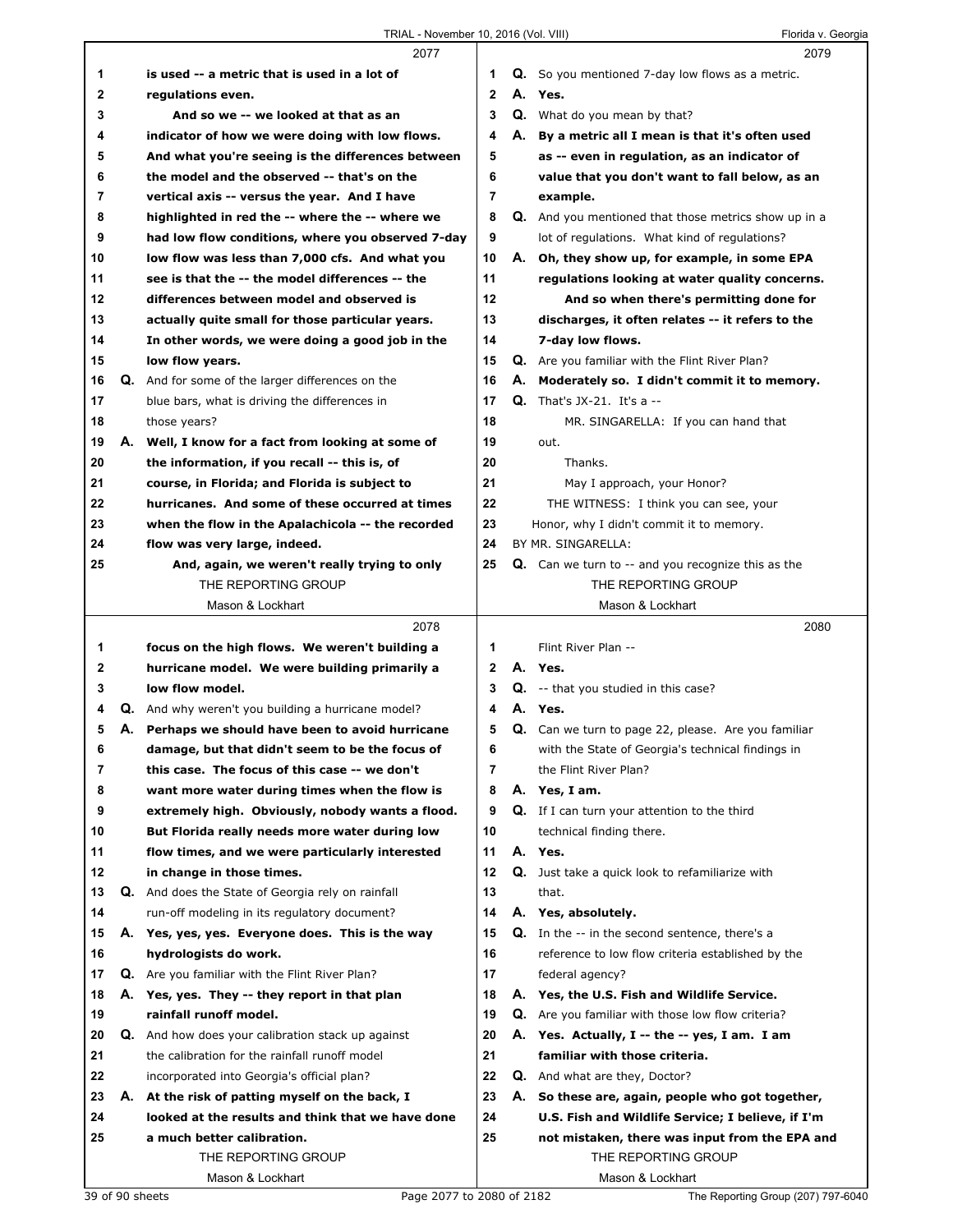|              | 2077                                                                |                |    | 2079                                                                             |
|--------------|---------------------------------------------------------------------|----------------|----|----------------------------------------------------------------------------------|
| 1            | is used -- a metric that is used in a lot of                        | 1              |    | <b>Q.</b> So you mentioned 7-day low flows as a metric.                          |
| 2            | regulations even.                                                   | $\mathbf{2}$   |    | A. Yes.                                                                          |
| 3            | And so we -- we looked at that as an                                | 3              |    | <b>Q.</b> What do you mean by that?                                              |
| 4            | indicator of how we were doing with low flows.                      | 4              |    | A. By a metric all I mean is that it's often used                                |
| 5            | And what you're seeing is the differences between                   | 5              |    | as -- even in regulation, as an indicator of                                     |
| 6            | the model and the observed -- that's on the                         | 6              |    | value that you don't want to fall below, as an                                   |
| 7            | vertical axis -- versus the year. And I have                        | $\overline{7}$ |    | example.                                                                         |
| 8            | highlighted in red the -- where the -- where we                     | 8              |    | Q. And you mentioned that those metrics show up in a                             |
| 9            | had low flow conditions, where you observed 7-day                   | 9              |    | lot of regulations. What kind of regulations?                                    |
| 10           | low flow was less than 7,000 cfs. And what you                      | 10             |    | A. Oh, they show up, for example, in some EPA                                    |
| 11           | see is that the -- the model differences -- the                     | 11             |    | regulations looking at water quality concerns.                                   |
| 12           | differences between model and observed is                           | 12             |    | And so when there's permitting done for                                          |
| 13           | actually quite small for those particular years.                    | 13             |    | discharges, it often relates -- it refers to the                                 |
| 14           | In other words, we were doing a good job in the                     | 14             |    | 7-day low flows.                                                                 |
| 15           | low flow years.                                                     | 15             |    | Q. Are you familiar with the Flint River Plan?                                   |
| 16           | Q. And for some of the larger differences on the                    | 16             |    | A. Moderately so. I didn't commit it to memory.                                  |
| 17           | blue bars, what is driving the differences in                       | 17             |    | <b>Q.</b> That's $JX-21$ . It's a --                                             |
| 18           | those years?                                                        | 18             |    | MR. SINGARELLA: If you can hand that                                             |
| 19           | A. Well, I know for a fact from looking at some of                  | 19             |    | out.                                                                             |
| 20           | the information, if you recall -- this is, of                       | 20             |    | Thanks.                                                                          |
| 21           | course, in Florida; and Florida is subject to                       | 21             |    | May I approach, your Honor?                                                      |
| 22           | hurricanes. And some of these occurred at times                     | 22             |    | THE WITNESS: I think you can see, your                                           |
| 23           |                                                                     | 23             |    | Honor, why I didn't commit it to memory.                                         |
| 24           | when the flow in the Apalachicola -- the recorded                   | 24             |    | BY MR. SINGARELLA:                                                               |
|              | flow was very large, indeed.                                        | 25             |    |                                                                                  |
| 25           | And, again, we weren't really trying to only<br>THE REPORTING GROUP |                |    | <b>Q.</b> Can we turn to -- and you recognize this as the<br>THE REPORTING GROUP |
|              |                                                                     |                |    |                                                                                  |
|              | Mason & Lockhart                                                    |                |    | Mason & Lockhart                                                                 |
|              |                                                                     |                |    |                                                                                  |
|              | 2078                                                                |                |    | 2080                                                                             |
| 1            | focus on the high flows. We weren't building a                      | 1              |    | Flint River Plan --                                                              |
| $\mathbf{2}$ | hurricane model. We were building primarily a                       | $\mathbf{2}$   |    | A. Yes.                                                                          |
| 3            | low flow model.                                                     | 3              |    | <b>Q.</b> -- that you studied in this case?                                      |
| 4            | Q. And why weren't you building a hurricane model?                  | 4              |    | A. Yes.                                                                          |
| 5            | A. Perhaps we should have been to avoid hurricane                   | 5              |    | Q. Can we turn to page 22, please. Are you familiar                              |
| 6            | damage, but that didn't seem to be the focus of                     | 6              |    | with the State of Georgia's technical findings in                                |
| 7            | this case. The focus of this case -- we don't                       | $\overline{7}$ |    | the Flint River Plan?                                                            |
| 8            | want more water during times when the flow is                       | 8              |    | A. Yes, I am.                                                                    |
| 9            | extremely high. Obviously, nobody wants a flood.                    | 9              |    | <b>Q.</b> If I can turn your attention to the third                              |
| 10           | But Florida really needs more water during low                      | 10             |    | technical finding there.                                                         |
| 11           | flow times, and we were particularly interested                     | 11             |    | A. Yes.                                                                          |
| 12           | in change in those times.                                           | 12             | Q. | Just take a quick look to refamiliarize with                                     |
| 13           | Q. And does the State of Georgia rely on rainfall                   | 13             |    | that.                                                                            |
| 14           | run-off modeling in its regulatory document?                        | 14             |    | A. Yes, absolutely.                                                              |
| 15           | A. Yes, yes, yes. Everyone does. This is the way                    | 15             |    | <b>Q.</b> In the -- in the second sentence, there's a                            |
| 16           | hydrologists do work.                                               | 16             |    | reference to low flow criteria established by the                                |
| 17           | Q. Are you familiar with the Flint River Plan?                      | 17             |    | federal agency?                                                                  |
| 18           | A. Yes, yes. They -- they report in that plan                       | 18             |    | A. Yes, the U.S. Fish and Wildlife Service.                                      |
| 19           | rainfall runoff model.                                              | 19             |    | <b>Q.</b> Are you familiar with those low flow criteria?                         |
| 20           | <b>Q.</b> And how does your calibration stack up against            | 20             |    | A. Yes. Actually, I -- the -- yes, I am. I am                                    |
| 21           | the calibration for the rainfall runoff model                       | 21             |    | familiar with those criteria.                                                    |
| 22           | incorporated into Georgia's official plan?                          | 22             |    | <b>Q.</b> And what are they, Doctor?                                             |
| 23           | A. At the risk of patting myself on the back, I                     | 23             |    | A. So these are, again, people who got together,                                 |
| 24           | looked at the results and think that we have done                   | 24             |    | U.S. Fish and Wildlife Service; I believe, if I'm                                |
| 25           | a much better calibration.                                          | 25             |    | not mistaken, there was input from the EPA and                                   |
|              | THE REPORTING GROUP                                                 |                |    | THE REPORTING GROUP                                                              |

39 of 90 sheets Page 2077 to 2080 of 2182 The Reporting Group (207) 797-6040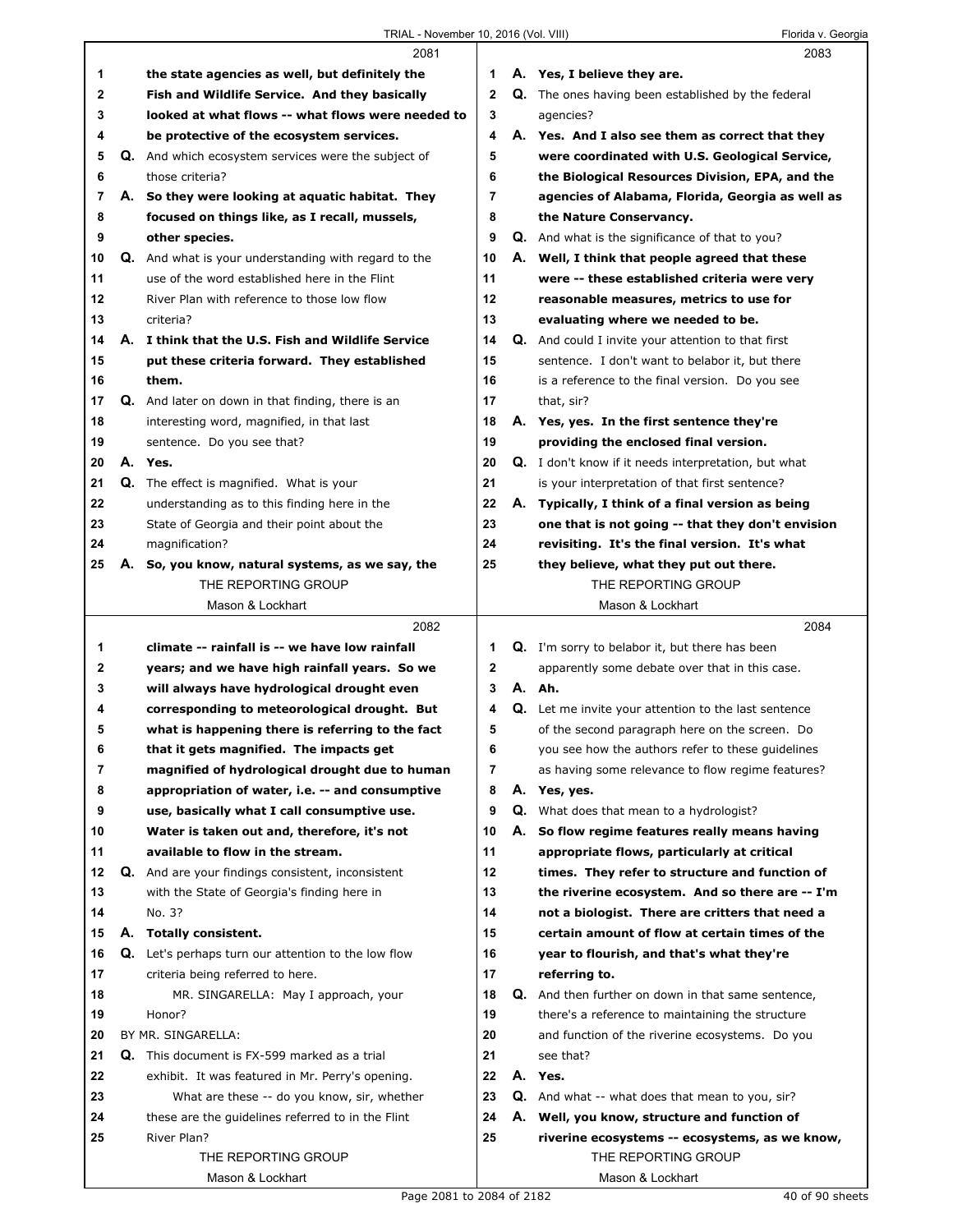Г

|          |    | 2081                                                                     |              |    | 2083                                                                |
|----------|----|--------------------------------------------------------------------------|--------------|----|---------------------------------------------------------------------|
| 1        |    | the state agencies as well, but definitely the                           | 1            |    | A. Yes, I believe they are.                                         |
| 2        |    | Fish and Wildlife Service. And they basically                            | $\mathbf{2}$ |    | Q. The ones having been established by the federal                  |
| 3        |    | looked at what flows -- what flows were needed to                        | 3            |    | agencies?                                                           |
| 4        |    | be protective of the ecosystem services.                                 | 4            |    | A. Yes. And I also see them as correct that they                    |
| 5        |    | Q. And which ecosystem services were the subject of                      | 5            |    | were coordinated with U.S. Geological Service,                      |
| 6        |    | those criteria?                                                          | 6            |    | the Biological Resources Division, EPA, and the                     |
| 7        |    | A. So they were looking at aquatic habitat. They                         | 7            |    | agencies of Alabama, Florida, Georgia as well as                    |
| 8        |    | focused on things like, as I recall, mussels,                            | 8            |    | the Nature Conservancy.                                             |
| 9        |    | other species.                                                           | 9            |    | <b>Q.</b> And what is the significance of that to you?              |
| 10       | Q. | And what is your understanding with regard to the                        | 10           |    | A. Well, I think that people agreed that these                      |
| 11       |    | use of the word established here in the Flint                            | 11           |    | were -- these established criteria were very                        |
| 12       |    | River Plan with reference to those low flow                              | 12           |    | reasonable measures, metrics to use for                             |
| 13       |    | criteria?                                                                | 13           |    | evaluating where we needed to be.                                   |
| 14       |    | A. I think that the U.S. Fish and Wildlife Service                       | 14           |    | <b>Q.</b> And could I invite your attention to that first           |
| 15       |    | put these criteria forward. They established                             | 15           |    | sentence. I don't want to belabor it, but there                     |
| 16       |    | them.                                                                    | 16           |    | is a reference to the final version. Do you see                     |
| 17       |    | Q. And later on down in that finding, there is an                        | 17           |    | that, sir?                                                          |
| 18       |    | interesting word, magnified, in that last                                | 18           |    | A. Yes, yes. In the first sentence they're                          |
| 19       |    | sentence. Do you see that?                                               | 19           |    | providing the enclosed final version.                               |
| 20       |    | A. Yes.                                                                  | 20           |    | <b>Q.</b> I don't know if it needs interpretation, but what         |
| 21       |    | <b>Q.</b> The effect is magnified. What is your                          | 21           |    | is your interpretation of that first sentence?                      |
| 22       |    | understanding as to this finding here in the                             | 22           |    | A. Typically, I think of a final version as being                   |
| 23       |    | State of Georgia and their point about the                               | 23           |    | one that is not going -- that they don't envision                   |
| 24       |    | magnification?                                                           | 24           |    | revisiting. It's the final version. It's what                       |
| 25       | А. | So, you know, natural systems, as we say, the                            | 25           |    | they believe, what they put out there.                              |
|          |    | THE REPORTING GROUP                                                      |              |    | THE REPORTING GROUP                                                 |
|          |    | Mason & Lockhart                                                         |              |    | Mason & Lockhart                                                    |
|          |    | 2082                                                                     |              |    | 2084                                                                |
| 1        |    | climate -- rainfall is -- we have low rainfall                           | 1            |    | <b>Q.</b> I'm sorry to belabor it, but there has been               |
| 2        |    | years; and we have high rainfall years. So we                            | 2            |    | apparently some debate over that in this case.                      |
| 3        |    | will always have hydrological drought even                               | 3            |    | A. Ah.                                                              |
| 4        |    | corresponding to meteorological drought. But                             | 4            |    | <b>Q.</b> Let me invite your attention to the last sentence         |
| 5        |    | what is happening there is referring to the fact                         | 5            |    | of the second paragraph here on the screen. Do                      |
| 6        |    | that it gets magnified. The impacts get                                  | 6            |    | you see how the authors refer to these guidelines                   |
| 7        |    | magnified of hydrological drought due to human                           | 7            |    | as having some relevance to flow regime features?                   |
| 8        |    | appropriation of water, i.e. -- and consumptive                          | 8            |    | A. Yes, yes.                                                        |
| 9        |    | use, basically what I call consumptive use.                              | 9            |    | <b>Q.</b> What does that mean to a hydrologist?                     |
| 10       |    | Water is taken out and, therefore, it's not                              | 10           | А. | So flow regime features really means having                         |
| 11       |    | available to flow in the stream.                                         | 11           |    | appropriate flows, particularly at critical                         |
| 12       |    | Q. And are your findings consistent, inconsistent                        | 12           |    | times. They refer to structure and function of                      |
| 13       |    | with the State of Georgia's finding here in                              | 13           |    | the riverine ecosystem. And so there are -- I'm                     |
| 14       |    | No. 3?                                                                   | 14<br>15     |    | not a biologist. There are critters that need a                     |
| 15<br>16 |    | A. Totally consistent.                                                   | 16           |    | certain amount of flow at certain times of the                      |
| 17       |    | <b>Q.</b> Let's perhaps turn our attention to the low flow               | 17           |    | year to flourish, and that's what they're                           |
| 18       |    | criteria being referred to here.<br>MR. SINGARELLA: May I approach, your | 18           |    | referring to.<br>Q. And then further on down in that same sentence, |
| 19       |    | Honor?                                                                   | 19           |    | there's a reference to maintaining the structure                    |
| 20       |    | BY MR. SINGARELLA:                                                       | 20           |    | and function of the riverine ecosystems. Do you                     |
| 21       |    | <b>Q.</b> This document is FX-599 marked as a trial                      | 21           |    | see that?                                                           |
| 22       |    | exhibit. It was featured in Mr. Perry's opening.                         | 22           |    | A. Yes.                                                             |
| 23       |    | What are these -- do you know, sir, whether                              | 23           |    | Q. And what -- what does that mean to you, sir?                     |
| 24       |    | these are the guidelines referred to in the Flint                        | 24           |    | A. Well, you know, structure and function of                        |
| 25       |    | River Plan?                                                              | 25           |    | riverine ecosystems -- ecosystems, as we know,                      |
|          |    |                                                                          |              |    |                                                                     |
|          |    |                                                                          |              |    |                                                                     |
|          |    | THE REPORTING GROUP<br>Mason & Lockhart                                  |              |    | THE REPORTING GROUP<br>Mason & Lockhart                             |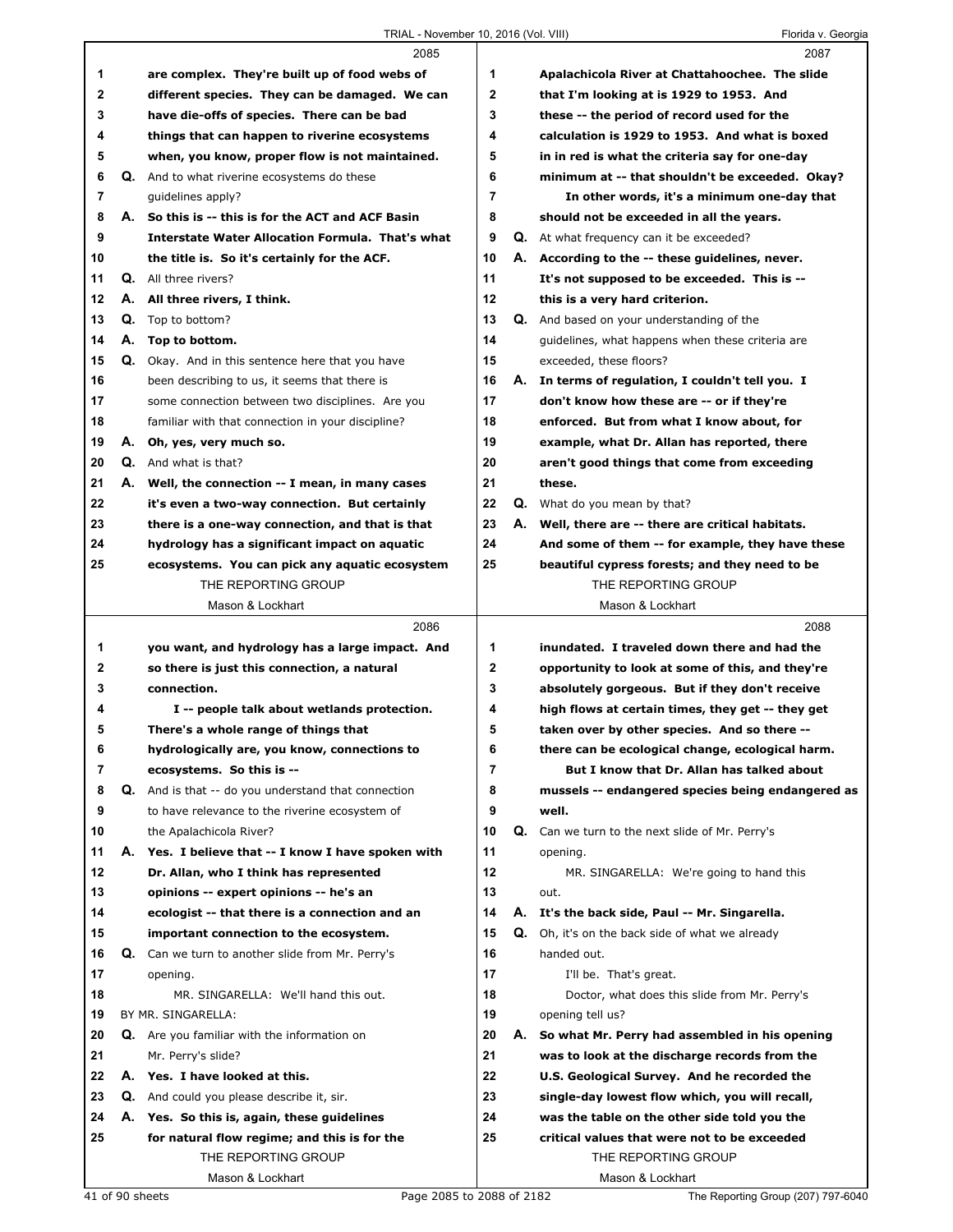|              |    | 2085                                                       |              |    | 2087                                                                                         |
|--------------|----|------------------------------------------------------------|--------------|----|----------------------------------------------------------------------------------------------|
| 1            |    | are complex. They're built up of food webs of              | 1            |    | Apalachicola River at Chattahoochee. The slide                                               |
| $\mathbf{2}$ |    | different species. They can be damaged. We can             | $\mathbf{2}$ |    | that I'm looking at is 1929 to 1953. And                                                     |
| 3            |    | have die-offs of species. There can be bad                 | 3            |    | these -- the period of record used for the                                                   |
| 4            |    | things that can happen to riverine ecosystems              | 4            |    | calculation is 1929 to 1953. And what is boxed                                               |
| 5            |    | when, you know, proper flow is not maintained.             | 5            |    | in in red is what the criteria say for one-day                                               |
| 6            |    | Q. And to what riverine ecosystems do these                | 6            |    | minimum at -- that shouldn't be exceeded. Okay?                                              |
| 7            |    | guidelines apply?                                          | 7            |    | In other words, it's a minimum one-day that                                                  |
| 8            |    | A. So this is -- this is for the ACT and ACF Basin         | 8            |    | should not be exceeded in all the years.                                                     |
| 9            |    | <b>Interstate Water Allocation Formula. That's what</b>    | 9            |    | <b>Q.</b> At what frequency can it be exceeded?                                              |
| 10           |    | the title is. So it's certainly for the ACF.               | 10           |    | A. According to the -- these guidelines, never.                                              |
| 11           |    | <b>Q.</b> All three rivers?                                | 11           |    | It's not supposed to be exceeded. This is --                                                 |
| 12           |    | A. All three rivers, I think.                              | 12           |    | this is a very hard criterion.                                                               |
| 13           |    | <b>Q.</b> Top to bottom?                                   | 13           |    | <b>Q.</b> And based on your understanding of the                                             |
| 14           |    | A. Top to bottom.                                          | 14           |    | guidelines, what happens when these criteria are                                             |
| 15           |    | Q. Okay. And in this sentence here that you have           | 15           |    | exceeded, these floors?                                                                      |
| 16           |    | been describing to us, it seems that there is              | 16           |    | A. In terms of regulation, I couldn't tell you. I                                            |
| 17           |    | some connection between two disciplines. Are you           | 17           |    | don't know how these are -- or if they're                                                    |
| 18           |    | familiar with that connection in your discipline?          | 18           |    | enforced. But from what I know about, for                                                    |
| 19           |    | A. Oh, yes, very much so.                                  | 19           |    | example, what Dr. Allan has reported, there                                                  |
| 20           |    | <b>Q.</b> And what is that?                                | 20           |    | aren't good things that come from exceeding                                                  |
| 21           |    | A. Well, the connection -- I mean, in many cases           | 21           |    | these.                                                                                       |
| 22           |    | it's even a two-way connection. But certainly              | 22           |    | Q. What do you mean by that?                                                                 |
| 23           |    | there is a one-way connection, and that is that            | 23           |    | A. Well, there are -- there are critical habitats.                                           |
| 24           |    | hydrology has a significant impact on aquatic              | 24           |    | And some of them -- for example, they have these                                             |
| 25           |    | ecosystems. You can pick any aquatic ecosystem             | 25           |    | beautiful cypress forests; and they need to be                                               |
|              |    | THE REPORTING GROUP                                        |              |    | THE REPORTING GROUP                                                                          |
|              |    | Mason & Lockhart                                           |              |    | Mason & Lockhart                                                                             |
|              |    | 2086                                                       |              |    | 2088                                                                                         |
|              |    |                                                            |              |    |                                                                                              |
| 1            |    | you want, and hydrology has a large impact. And            | 1            |    | inundated. I traveled down there and had the                                                 |
| 2            |    | so there is just this connection, a natural                | 2            |    | opportunity to look at some of this, and they're                                             |
| 3            |    | connection.                                                | 3            |    | absolutely gorgeous. But if they don't receive                                               |
| 4            |    | I -- people talk about wetlands protection.                | 4            |    | high flows at certain times, they get -- they get                                            |
| 5            |    | There's a whole range of things that                       | 5            |    | taken over by other species. And so there --                                                 |
| 6            |    | hydrologically are, you know, connections to               | 6            |    | there can be ecological change, ecological harm.                                             |
| 7            |    | ecosystems. So this is --                                  | 7            |    | But I know that Dr. Allan has talked about                                                   |
| 8            |    | <b>Q.</b> And is that -- do you understand that connection | 8            |    | mussels -- endangered species being endangered as                                            |
| 9            |    | to have relevance to the riverine ecosystem of             | 9            |    | well.                                                                                        |
| 10           |    | the Apalachicola River?                                    | 10           |    | Q. Can we turn to the next slide of Mr. Perry's                                              |
| 11           | А. | Yes. I believe that -- I know I have spoken with           | 11           |    | opening.                                                                                     |
| 12           |    | Dr. Allan, who I think has represented                     | 12           |    | MR. SINGARELLA: We're going to hand this                                                     |
| 13           |    | opinions -- expert opinions -- he's an                     | 13           |    | out.                                                                                         |
| 14           |    | ecologist -- that there is a connection and an             | 14           |    | A. It's the back side, Paul -- Mr. Singarella.                                               |
| 15           |    | important connection to the ecosystem.                     | 15           | Q. | Oh, it's on the back side of what we already                                                 |
| 16           |    | Q. Can we turn to another slide from Mr. Perry's           | 16           |    | handed out.                                                                                  |
| 17           |    | opening.                                                   | 17           |    | I'll be. That's great.                                                                       |
| 18           |    | MR. SINGARELLA: We'll hand this out.                       | 18           |    | Doctor, what does this slide from Mr. Perry's                                                |
| 19<br>20     |    | BY MR. SINGARELLA:                                         | 19           |    | opening tell us?                                                                             |
| 21           |    | Q. Are you familiar with the information on                | 20<br>21     |    | A. So what Mr. Perry had assembled in his opening                                            |
| 22           |    | Mr. Perry's slide?<br>A. Yes. I have looked at this.       | 22           |    | was to look at the discharge records from the<br>U.S. Geological Survey. And he recorded the |
| 23           |    | Q. And could you please describe it, sir.                  | 23           |    | single-day lowest flow which, you will recall,                                               |
| 24           |    | A. Yes. So this is, again, these guidelines                | 24           |    | was the table on the other side told you the                                                 |
| 25           |    | for natural flow regime; and this is for the               | 25           |    | critical values that were not to be exceeded                                                 |
|              |    | THE REPORTING GROUP                                        |              |    | THE REPORTING GROUP                                                                          |
|              |    | Mason & Lockhart                                           |              |    | Mason & Lockhart                                                                             |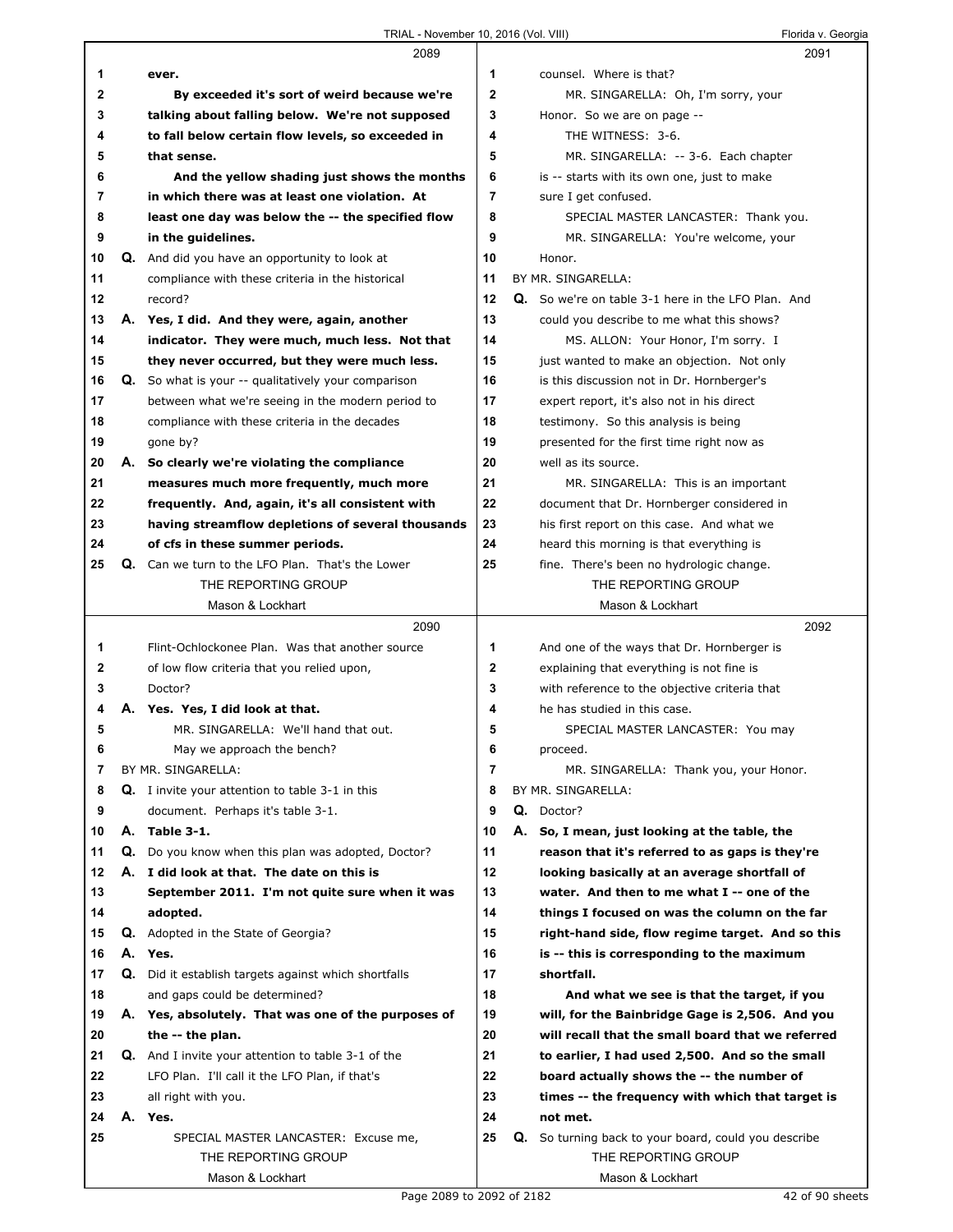Г

|    |    | 2089                                                        |    | 2091                                                 |
|----|----|-------------------------------------------------------------|----|------------------------------------------------------|
| 1  |    | ever.                                                       | 1  | counsel. Where is that?                              |
| 2  |    | By exceeded it's sort of weird because we're                | 2  | MR. SINGARELLA: Oh, I'm sorry, your                  |
| 3  |    | talking about falling below. We're not supposed             | 3  | Honor. So we are on page --                          |
| 4  |    | to fall below certain flow levels, so exceeded in           | 4  | THE WITNESS: 3-6.                                    |
| 5  |    | that sense.                                                 | 5  | MR. SINGARELLA: -- 3-6. Each chapter                 |
|    |    |                                                             | 6  |                                                      |
| 6  |    | And the yellow shading just shows the months                |    | is -- starts with its own one, just to make          |
| 7  |    | in which there was at least one violation. At               | 7  | sure I get confused.                                 |
| 8  |    | least one day was below the -- the specified flow           | 8  | SPECIAL MASTER LANCASTER: Thank you.                 |
| 9  |    | in the guidelines.                                          | 9  | MR. SINGARELLA: You're welcome, your                 |
| 10 |    | Q. And did you have an opportunity to look at               | 10 | Honor.                                               |
| 11 |    | compliance with these criteria in the historical            | 11 | BY MR. SINGARELLA:                                   |
| 12 |    | record?                                                     | 12 | Q. So we're on table 3-1 here in the LFO Plan. And   |
| 13 |    | A. Yes, I did. And they were, again, another                | 13 | could you describe to me what this shows?            |
| 14 |    | indicator. They were much, much less. Not that              | 14 | MS. ALLON: Your Honor, I'm sorry. I                  |
| 15 |    | they never occurred, but they were much less.               | 15 | just wanted to make an objection. Not only           |
| 16 |    | <b>Q.</b> So what is your -- qualitatively your comparison  | 16 | is this discussion not in Dr. Hornberger's           |
| 17 |    | between what we're seeing in the modern period to           | 17 | expert report, it's also not in his direct           |
| 18 |    | compliance with these criteria in the decades               | 18 | testimony. So this analysis is being                 |
| 19 |    | gone by?                                                    | 19 | presented for the first time right now as            |
| 20 |    | A. So clearly we're violating the compliance                | 20 | well as its source.                                  |
| 21 |    | measures much more frequently, much more                    | 21 | MR. SINGARELLA: This is an important                 |
| 22 |    | frequently. And, again, it's all consistent with            | 22 | document that Dr. Hornberger considered in           |
| 23 |    | having streamflow depletions of several thousands           | 23 | his first report on this case. And what we           |
| 24 |    |                                                             | 24 |                                                      |
|    |    | of cfs in these summer periods.                             | 25 | heard this morning is that everything is             |
| 25 |    | Q. Can we turn to the LFO Plan. That's the Lower            |    | fine. There's been no hydrologic change.             |
|    |    | THE REPORTING GROUP                                         |    | THE REPORTING GROUP                                  |
|    |    | Mason & Lockhart                                            |    | Mason & Lockhart                                     |
|    |    | 2090                                                        |    | 2092                                                 |
| 1  |    | Flint-Ochlockonee Plan. Was that another source             | 1  | And one of the ways that Dr. Hornberger is           |
| 2  |    | of low flow criteria that you relied upon,                  | 2  | explaining that everything is not fine is            |
| 3  |    | Doctor?                                                     | 3  | with reference to the objective criteria that        |
| 4  |    | A. Yes. Yes, I did look at that.                            | 4  | he has studied in this case.                         |
| 5  |    | MR. SINGARELLA: We'll hand that out.                        | 5  | SPECIAL MASTER LANCASTER: You may                    |
| 6  |    | May we approach the bench?                                  | 6  | proceed.                                             |
| 7  |    | BY MR. SINGARELLA:                                          | 7  | MR. SINGARELLA: Thank you, your Honor.               |
| 8  |    | <b>Q.</b> I invite your attention to table 3-1 in this      | 8  | BY MR. SINGARELLA:                                   |
| 9  |    | document. Perhaps it's table 3-1.                           | 9  | Q. Doctor?                                           |
| 10 | А. | Table 3-1.                                                  | 10 | A. So, I mean, just looking at the table, the        |
| 11 |    | <b>Q.</b> Do you know when this plan was adopted, Doctor?   | 11 | reason that it's referred to as gaps is they're      |
| 12 |    | A. I did look at that. The date on this is                  | 12 | looking basically at an average shortfall of         |
| 13 |    | September 2011. I'm not quite sure when it was              | 13 | water. And then to me what I -- one of the           |
| 14 |    | adopted.                                                    | 14 | things I focused on was the column on the far        |
| 15 | Q. | Adopted in the State of Georgia?                            | 15 | right-hand side, flow regime target. And so this     |
| 16 |    | A. Yes.                                                     | 16 | is -- this is corresponding to the maximum           |
| 17 |    | Q. Did it establish targets against which shortfalls        | 17 | shortfall.                                           |
| 18 |    | and gaps could be determined?                               | 18 | And what we see is that the target, if you           |
| 19 |    | A. Yes, absolutely. That was one of the purposes of         | 19 | will, for the Bainbridge Gage is 2,506. And you      |
| 20 |    | the -- the plan.                                            | 20 | will recall that the small board that we referred    |
| 21 |    | <b>Q.</b> And I invite your attention to table 3-1 of the   | 21 | to earlier, I had used 2,500. And so the small       |
| 22 |    | LFO Plan. I'll call it the LFO Plan, if that's              | 22 | board actually shows the -- the number of            |
|    |    |                                                             |    |                                                      |
| 23 |    | all right with you.                                         | 23 | times -- the frequency with which that target is     |
| 24 |    | A. Yes.                                                     | 24 | not met.                                             |
| 25 |    |                                                             | 25 | Q. So turning back to your board, could you describe |
|    |    | SPECIAL MASTER LANCASTER: Excuse me,<br>THE REPORTING GROUP |    | THE REPORTING GROUP                                  |
|    |    | Mason & Lockhart                                            |    | Mason & Lockhart                                     |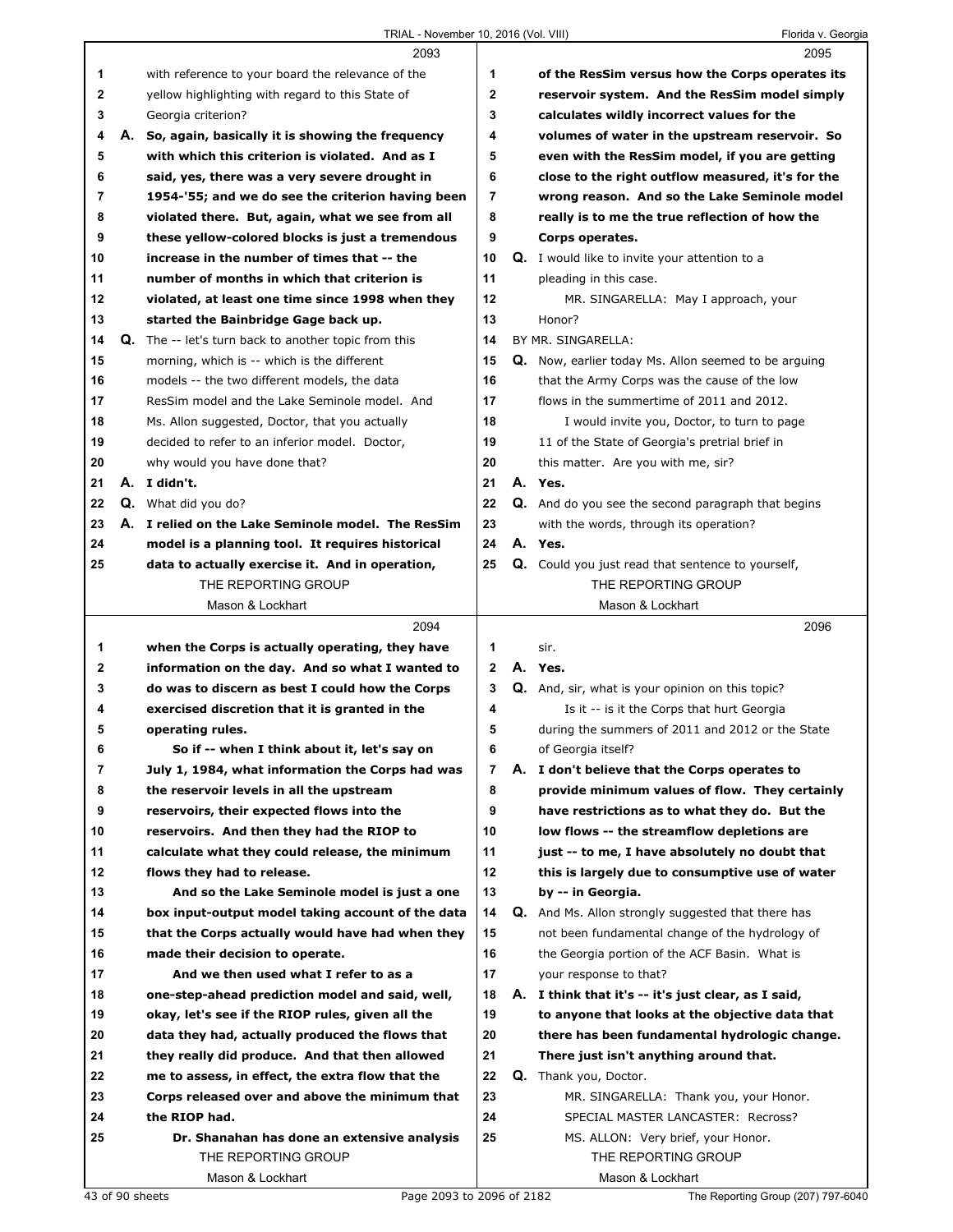|    | 2093                                                                                                   |    |    | 2095                                                        |
|----|--------------------------------------------------------------------------------------------------------|----|----|-------------------------------------------------------------|
| 1  | with reference to your board the relevance of the                                                      | 1  |    | of the ResSim versus how the Corps operates its             |
| 2  | yellow highlighting with regard to this State of                                                       | 2  |    | reservoir system. And the ResSim model simply               |
| 3  | Georgia criterion?                                                                                     | 3  |    | calculates wildly incorrect values for the                  |
| 4  | A. So, again, basically it is showing the frequency                                                    | 4  |    | volumes of water in the upstream reservoir. So              |
| 5  | with which this criterion is violated. And as I                                                        | 5  |    | even with the ResSim model, if you are getting              |
| 6  | said, yes, there was a very severe drought in                                                          | 6  |    | close to the right outflow measured, it's for the           |
| 7  | 1954-'55; and we do see the criterion having been                                                      | 7  |    | wrong reason. And so the Lake Seminole model                |
| 8  | violated there. But, again, what we see from all                                                       | 8  |    | really is to me the true reflection of how the              |
| 9  | these yellow-colored blocks is just a tremendous                                                       | 9  |    | Corps operates.                                             |
| 10 | increase in the number of times that -- the                                                            | 10 |    | <b>Q.</b> I would like to invite your attention to a        |
| 11 | number of months in which that criterion is                                                            | 11 |    | pleading in this case.                                      |
| 12 | violated, at least one time since 1998 when they                                                       | 12 |    | MR. SINGARELLA: May I approach, your                        |
| 13 | started the Bainbridge Gage back up.                                                                   | 13 |    | Honor?                                                      |
| 14 | <b>Q.</b> The -- let's turn back to another topic from this                                            | 14 |    | BY MR. SINGARELLA:                                          |
| 15 | morning, which is -- which is the different                                                            | 15 |    | <b>Q.</b> Now, earlier today Ms. Allon seemed to be arguing |
| 16 | models -- the two different models, the data                                                           | 16 |    | that the Army Corps was the cause of the low                |
| 17 | ResSim model and the Lake Seminole model. And                                                          | 17 |    | flows in the summertime of 2011 and 2012.                   |
| 18 | Ms. Allon suggested, Doctor, that you actually                                                         | 18 |    | I would invite you, Doctor, to turn to page                 |
| 19 | decided to refer to an inferior model. Doctor,                                                         | 19 |    | 11 of the State of Georgia's pretrial brief in              |
| 20 | why would you have done that?                                                                          | 20 |    | this matter. Are you with me, sir?                          |
| 21 | A. I didn't.                                                                                           | 21 |    | A. Yes.                                                     |
| 22 | <b>Q.</b> What did you do?                                                                             | 22 |    | <b>Q.</b> And do you see the second paragraph that begins   |
| 23 |                                                                                                        | 23 |    |                                                             |
| 24 | A. I relied on the Lake Seminole model. The ResSim<br>model is a planning tool. It requires historical | 24 |    | with the words, through its operation?<br>A. Yes.           |
| 25 | data to actually exercise it. And in operation,                                                        | 25 |    | Q. Could you just read that sentence to yourself,           |
|    | THE REPORTING GROUP                                                                                    |    |    | THE REPORTING GROUP                                         |
|    | Mason & Lockhart                                                                                       |    |    |                                                             |
|    |                                                                                                        |    |    |                                                             |
|    |                                                                                                        |    |    | Mason & Lockhart                                            |
|    | 2094                                                                                                   |    |    | 2096                                                        |
| 1  | when the Corps is actually operating, they have                                                        | 1  |    | sir.                                                        |
| 2  | information on the day. And so what I wanted to                                                        | 2  |    | A. Yes.                                                     |
| 3  | do was to discern as best I could how the Corps                                                        | 3  |    | <b>Q.</b> And, sir, what is your opinion on this topic?     |
| 4  | exercised discretion that it is granted in the                                                         | 4  |    | Is it -- is it the Corps that hurt Georgia                  |
| 5  | operating rules.                                                                                       | 5  |    | during the summers of 2011 and 2012 or the State            |
| 6  | So if -- when I think about it, let's say on                                                           | 6  |    | of Georgia itself?                                          |
| 7  | July 1, 1984, what information the Corps had was                                                       | 7  |    | A. I don't believe that the Corps operates to               |
| 8  | the reservoir levels in all the upstream                                                               | 8  |    | provide minimum values of flow. They certainly              |
| 9  | reservoirs, their expected flows into the                                                              | 9  |    | have restrictions as to what they do. But the               |
| 10 | reservoirs. And then they had the RIOP to                                                              | 10 |    | low flows -- the streamflow depletions are                  |
| 11 | calculate what they could release, the minimum                                                         | 11 |    | just -- to me, I have absolutely no doubt that              |
| 12 | flows they had to release.                                                                             | 12 |    | this is largely due to consumptive use of water             |
| 13 | And so the Lake Seminole model is just a one                                                           | 13 |    | by -- in Georgia.                                           |
| 14 | box input-output model taking account of the data                                                      | 14 |    | <b>Q.</b> And Ms. Allon strongly suggested that there has   |
| 15 | that the Corps actually would have had when they                                                       | 15 |    | not been fundamental change of the hydrology of             |
| 16 | made their decision to operate.                                                                        | 16 |    | the Georgia portion of the ACF Basin. What is               |
| 17 | And we then used what I refer to as a                                                                  | 17 |    | your response to that?                                      |
| 18 | one-step-ahead prediction model and said, well,                                                        | 18 |    | A. I think that it's -- it's just clear, as I said,         |
| 19 | okay, let's see if the RIOP rules, given all the                                                       | 19 |    | to anyone that looks at the objective data that             |
| 20 | data they had, actually produced the flows that                                                        | 20 |    | there has been fundamental hydrologic change.               |
| 21 | they really did produce. And that then allowed                                                         | 21 |    | There just isn't anything around that.                      |
| 22 | me to assess, in effect, the extra flow that the                                                       | 22 | Q. | Thank you, Doctor.                                          |
| 23 | Corps released over and above the minimum that                                                         | 23 |    | MR. SINGARELLA: Thank you, your Honor.                      |
| 24 | the RIOP had.                                                                                          | 24 |    | SPECIAL MASTER LANCASTER: Recross?                          |
| 25 | Dr. Shanahan has done an extensive analysis                                                            | 25 |    | MS. ALLON: Very brief, your Honor.                          |
|    | THE REPORTING GROUP<br>Mason & Lockhart                                                                |    |    | THE REPORTING GROUP<br>Mason & Lockhart                     |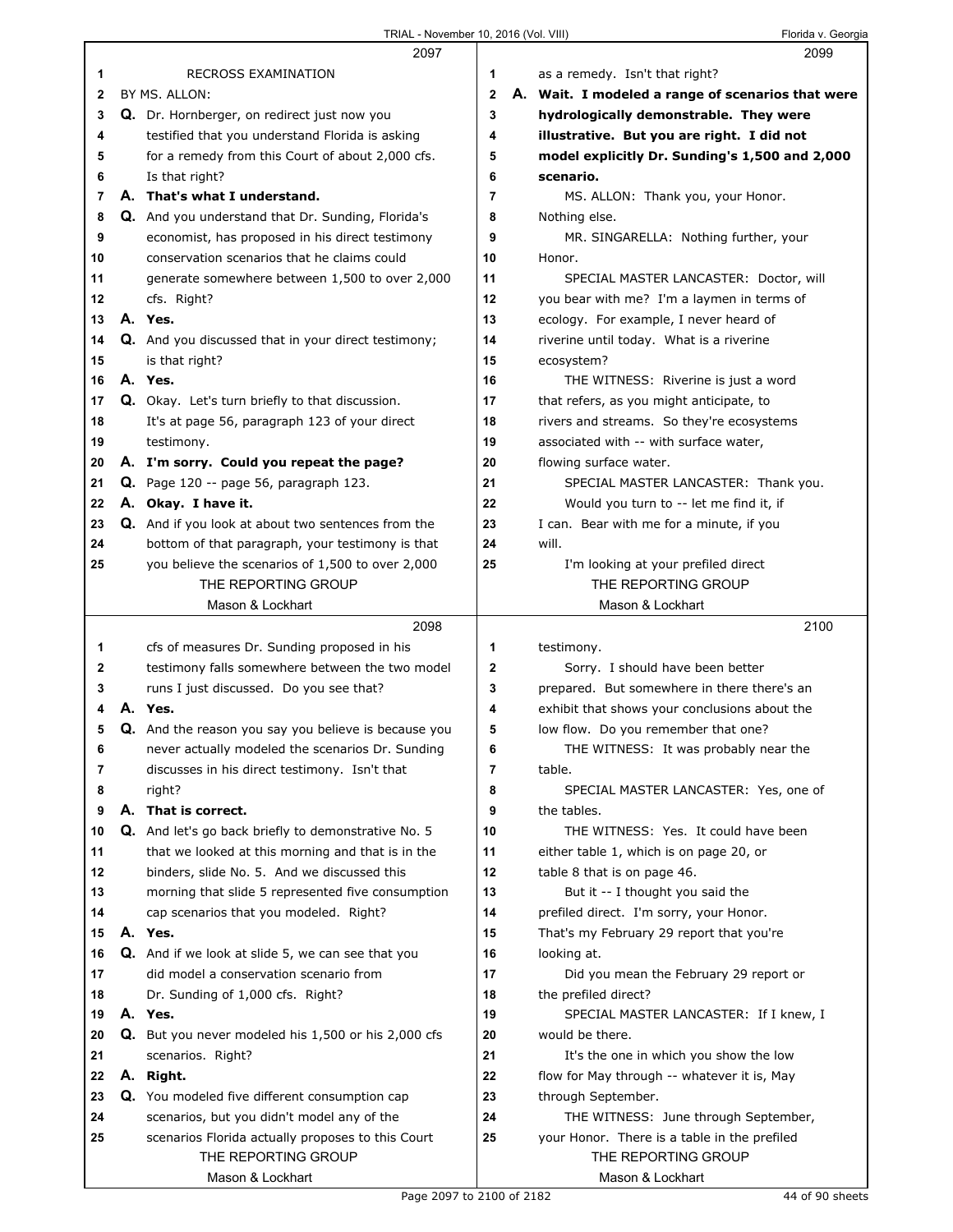|              | 2097                                                       |              | 2099                                              |
|--------------|------------------------------------------------------------|--------------|---------------------------------------------------|
| 1            | <b>RECROSS EXAMINATION</b>                                 | 1            | as a remedy. Isn't that right?                    |
| $\mathbf{2}$ | BY MS. ALLON:                                              | $\mathbf{2}$ | A. Wait. I modeled a range of scenarios that were |
| 3            | Q. Dr. Hornberger, on redirect just now you                | 3            | hydrologically demonstrable. They were            |
| 4            | testified that you understand Florida is asking            | 4            | illustrative. But you are right. I did not        |
| 5            | for a remedy from this Court of about 2,000 cfs.           | 5            | model explicitly Dr. Sunding's 1,500 and 2,000    |
| 6            | Is that right?                                             | 6            | scenario.                                         |
| 7            | A. That's what I understand.                               | 7            | MS. ALLON: Thank you, your Honor.                 |
| 8            | Q. And you understand that Dr. Sunding, Florida's          | 8            | Nothing else.                                     |
| 9            | economist, has proposed in his direct testimony            | 9            | MR. SINGARELLA: Nothing further, your             |
| 10           | conservation scenarios that he claims could                | 10           | Honor.                                            |
| 11           | generate somewhere between 1,500 to over 2,000             | 11           | SPECIAL MASTER LANCASTER: Doctor, will            |
| 12           | cfs. Right?                                                | 12           | you bear with me? I'm a laymen in terms of        |
| 13           | A. Yes.                                                    | 13           | ecology. For example, I never heard of            |
| 14           |                                                            |              |                                                   |
|              | Q. And you discussed that in your direct testimony;        | 14           | riverine until today. What is a riverine          |
| 15           | is that right?                                             | 15           | ecosystem?                                        |
| 16           | A. Yes.                                                    | 16           | THE WITNESS: Riverine is just a word              |
| 17           | Q. Okay. Let's turn briefly to that discussion.            | 17           | that refers, as you might anticipate, to          |
| 18           | It's at page 56, paragraph 123 of your direct              | 18           | rivers and streams. So they're ecosystems         |
| 19           | testimony.                                                 | 19           | associated with -- with surface water,            |
| 20           | A. I'm sorry. Could you repeat the page?                   | 20           | flowing surface water.                            |
| 21           | <b>Q.</b> Page 120 -- page 56, paragraph 123.              | 21           | SPECIAL MASTER LANCASTER: Thank you.              |
| 22           | A. Okay. I have it.                                        | 22           | Would you turn to -- let me find it, if           |
| 23           | Q. And if you look at about two sentences from the         | 23           | I can. Bear with me for a minute, if you          |
| 24           | bottom of that paragraph, your testimony is that           | 24           | will.                                             |
| 25           | you believe the scenarios of 1,500 to over 2,000           | 25           | I'm looking at your prefiled direct               |
|              | THE REPORTING GROUP                                        |              | THE REPORTING GROUP                               |
|              | Mason & Lockhart                                           |              | Mason & Lockhart                                  |
|              |                                                            |              |                                                   |
|              | 2098                                                       |              | 2100                                              |
| 1            | cfs of measures Dr. Sunding proposed in his                | 1            | testimony.                                        |
| 2            | testimony falls somewhere between the two model            | 2            | Sorry. I should have been better                  |
| 3            | runs I just discussed. Do you see that?                    | 3            | prepared. But somewhere in there there's an       |
| 4            | A. Yes.                                                    | 4            | exhibit that shows your conclusions about the     |
| 5            | Q. And the reason you say you believe is because you       | 5            | low flow. Do you remember that one?               |
| 6            | never actually modeled the scenarios Dr. Sunding           | 6            | THE WITNESS: It was probably near the             |
| 7            | discusses in his direct testimony. Isn't that              | 7            | table.                                            |
| 8            | right?                                                     | 8            | SPECIAL MASTER LANCASTER: Yes, one of             |
| 9            | A. That is correct.                                        | 9            | the tables.                                       |
| 10           | Q. And let's go back briefly to demonstrative No. 5        | 10           | THE WITNESS: Yes. It could have been              |
| 11           | that we looked at this morning and that is in the          | 11           | either table 1, which is on page 20, or           |
| 12           | binders, slide No. 5. And we discussed this                | 12           | table 8 that is on page 46.                       |
| 13           | morning that slide 5 represented five consumption          | 13           | But it -- I thought you said the                  |
| 14           | cap scenarios that you modeled. Right?                     | 14           | prefiled direct. I'm sorry, your Honor.           |
| 15           | A. Yes.                                                    | 15           | That's my February 29 report that you're          |
| 16           | Q. And if we look at slide 5, we can see that you          | 16           | looking at.                                       |
| 17           | did model a conservation scenario from                     | 17           | Did you mean the February 29 report or            |
| 18           | Dr. Sunding of 1,000 cfs. Right?                           | 18           | the prefiled direct?                              |
| 19           | A. Yes.                                                    | 19           | SPECIAL MASTER LANCASTER: If I knew, I            |
| 20           | <b>Q.</b> But you never modeled his 1,500 or his 2,000 cfs | 20           | would be there.                                   |
| 21           | scenarios. Right?                                          | 21           | It's the one in which you show the low            |
| 22           | A. Right.                                                  | 22           | flow for May through -- whatever it is, May       |
| 23           | <b>Q.</b> You modeled five different consumption cap       | 23           | through September.                                |
| 24           | scenarios, but you didn't model any of the                 | 24           | THE WITNESS: June through September,              |
| 25           | scenarios Florida actually proposes to this Court          | 25           | your Honor. There is a table in the prefiled      |
|              | THE REPORTING GROUP                                        |              | THE REPORTING GROUP                               |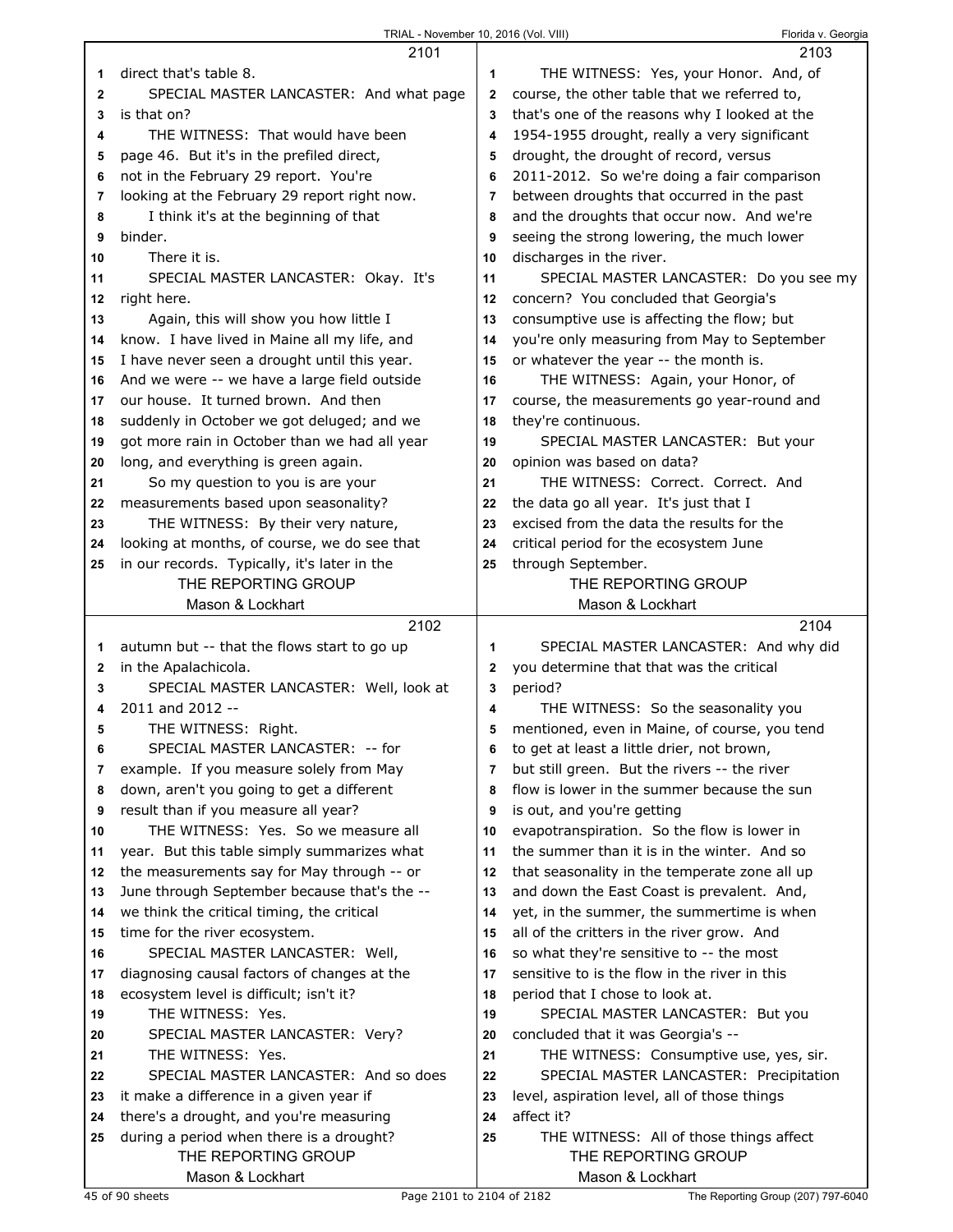|              | 2101                                          |              | 2103                                          |
|--------------|-----------------------------------------------|--------------|-----------------------------------------------|
| 1            | direct that's table 8.                        | 1            | THE WITNESS: Yes, your Honor. And, of         |
| $\mathbf{2}$ | SPECIAL MASTER LANCASTER: And what page       | $\mathbf{2}$ | course, the other table that we referred to,  |
| 3            | is that on?                                   | 3            | that's one of the reasons why I looked at the |
|              | THE WITNESS: That would have been             |              |                                               |
| 4            |                                               | 4            | 1954-1955 drought, really a very significant  |
| 5            | page 46. But it's in the prefiled direct,     | 5            | drought, the drought of record, versus        |
| 6            | not in the February 29 report. You're         | 6            | 2011-2012. So we're doing a fair comparison   |
| 7            | looking at the February 29 report right now.  | 7            | between droughts that occurred in the past    |
| 8            | I think it's at the beginning of that         | 8            | and the droughts that occur now. And we're    |
| 9            | binder.                                       | 9            | seeing the strong lowering, the much lower    |
| 10           | There it is.                                  | 10           | discharges in the river.                      |
| 11           | SPECIAL MASTER LANCASTER: Okay. It's          | 11           | SPECIAL MASTER LANCASTER: Do you see my       |
| 12           | right here.                                   | 12           | concern? You concluded that Georgia's         |
| 13           | Again, this will show you how little I        | 13           | consumptive use is affecting the flow; but    |
| 14           | know. I have lived in Maine all my life, and  | 14           | you're only measuring from May to September   |
| 15           | I have never seen a drought until this year.  | 15           | or whatever the year -- the month is.         |
| 16           | And we were -- we have a large field outside  | 16           | THE WITNESS: Again, your Honor, of            |
| 17           | our house. It turned brown. And then          | 17           | course, the measurements go year-round and    |
| 18           | suddenly in October we got deluged; and we    | 18           | they're continuous.                           |
| 19           | got more rain in October than we had all year | 19           | SPECIAL MASTER LANCASTER: But your            |
| 20           | long, and everything is green again.          | 20           | opinion was based on data?                    |
|              | So my question to you is are your             | 21           | THE WITNESS: Correct. Correct. And            |
| 21           | measurements based upon seasonality?          |              | the data go all year. It's just that I        |
| 22           |                                               | 22           |                                               |
| 23           | THE WITNESS: By their very nature,            | 23           | excised from the data the results for the     |
| 24           | looking at months, of course, we do see that  | 24           | critical period for the ecosystem June        |
| 25           | in our records. Typically, it's later in the  | 25           | through September.                            |
|              | THE REPORTING GROUP                           |              | THE REPORTING GROUP                           |
|              | Mason & Lockhart                              |              | Mason & Lockhart                              |
|              |                                               |              |                                               |
|              | 2102                                          |              | 2104                                          |
| 1            | autumn but -- that the flows start to go up   | 1            | SPECIAL MASTER LANCASTER: And why did         |
| $\mathbf{2}$ | in the Apalachicola.                          | $\mathbf{2}$ | you determine that that was the critical      |
| 3            | SPECIAL MASTER LANCASTER: Well, look at       | 3            | period?                                       |
| 4            | 2011 and 2012 --                              | 4            | THE WITNESS: So the seasonality you           |
| 5            | THE WITNESS: Right.                           | 5            | mentioned, even in Maine, of course, you tend |
| 6            | SPECIAL MASTER LANCASTER: -- for              | 6            | to get at least a little drier, not brown,    |
| 7            | example. If you measure solely from May       | 7            | but still green. But the rivers -- the river  |
| 8            | down, aren't you going to get a different     | 8            | flow is lower in the summer because the sun   |
| 9            | result than if you measure all year?          | 9            | is out, and you're getting                    |
| 10           | THE WITNESS: Yes. So we measure all           | 10           | evapotranspiration. So the flow is lower in   |
| 11           |                                               | 11           | the summer than it is in the winter. And so   |
| 12           | year. But this table simply summarizes what   | 12           |                                               |
| 13           | the measurements say for May through -- or    | 13           | that seasonality in the temperate zone all up |
|              | June through September because that's the --  | 14           | and down the East Coast is prevalent. And,    |
| 14           | we think the critical timing, the critical    |              | yet, in the summer, the summertime is when    |
| 15           | time for the river ecosystem.                 | 15           | all of the critters in the river grow. And    |
| 16           | SPECIAL MASTER LANCASTER: Well,               | 16           | so what they're sensitive to -- the most      |
| 17           | diagnosing causal factors of changes at the   | 17           | sensitive to is the flow in the river in this |
| 18           | ecosystem level is difficult; isn't it?       | 18           | period that I chose to look at.               |
| 19           | THE WITNESS: Yes.                             | 19           | SPECIAL MASTER LANCASTER: But you             |
| 20           | SPECIAL MASTER LANCASTER: Very?               | 20           | concluded that it was Georgia's --            |
| 21           | THE WITNESS: Yes.                             | 21           | THE WITNESS: Consumptive use, yes, sir.       |
| 22           | SPECIAL MASTER LANCASTER: And so does         | 22           | SPECIAL MASTER LANCASTER: Precipitation       |
| 23           | it make a difference in a given year if       | 23           | level, aspiration level, all of those things  |
| 24           | there's a drought, and you're measuring       | 24           | affect it?                                    |
| 25           | during a period when there is a drought?      | 25           | THE WITNESS: All of those things affect       |
|              | THE REPORTING GROUP<br>Mason & Lockhart       |              | THE REPORTING GROUP<br>Mason & Lockhart       |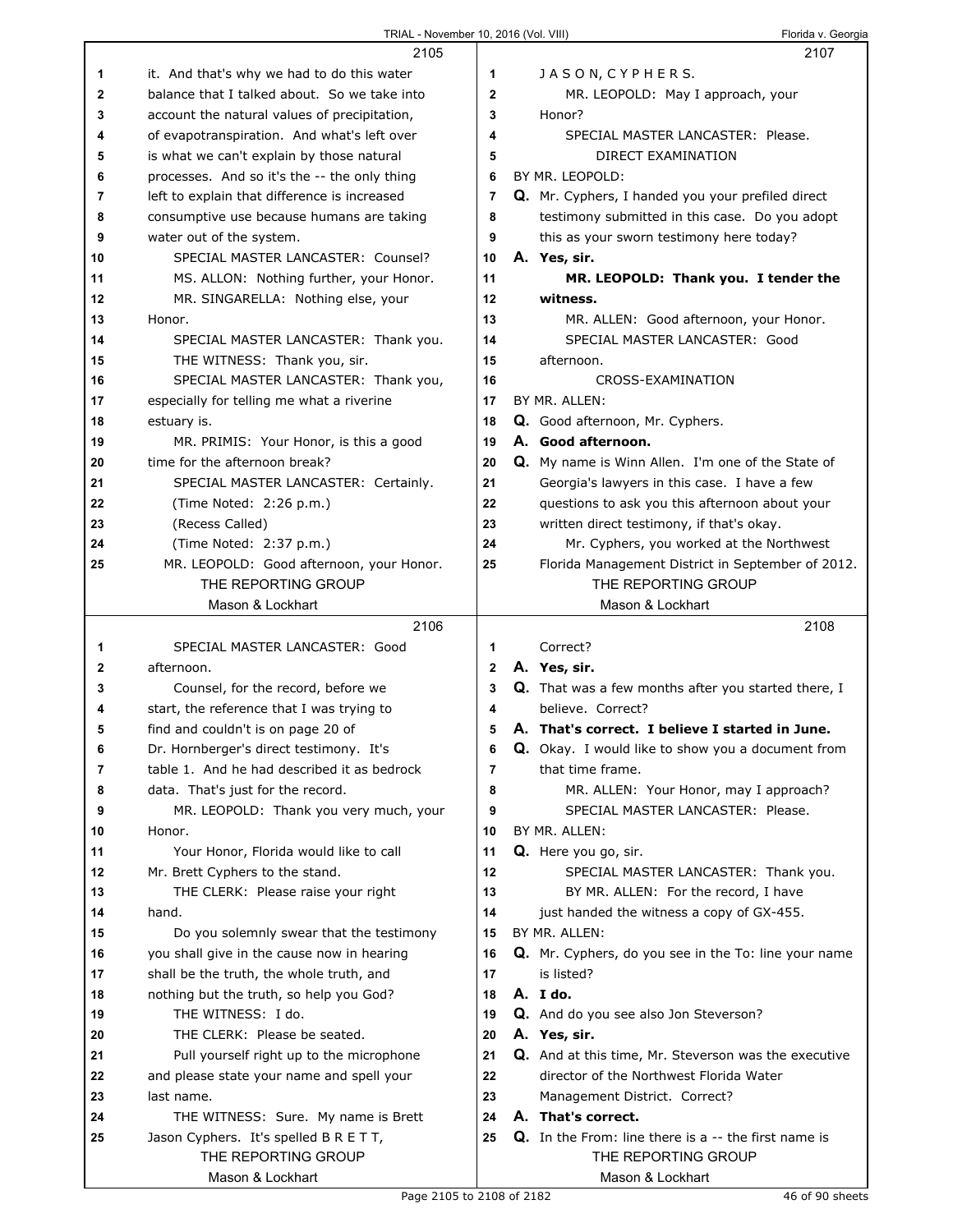I

|    | 2105                                                          |              | 2107                                                                                                   |
|----|---------------------------------------------------------------|--------------|--------------------------------------------------------------------------------------------------------|
| 1  | it. And that's why we had to do this water                    | 1            | JASON, CYPHERS.                                                                                        |
| 2  | balance that I talked about. So we take into                  | $\mathbf{2}$ | MR. LEOPOLD: May I approach, your                                                                      |
| 3  | account the natural values of precipitation,                  | 3            | Honor?                                                                                                 |
| 4  | of evapotranspiration. And what's left over                   | 4            | SPECIAL MASTER LANCASTER: Please.                                                                      |
| 5  | is what we can't explain by those natural                     | 5            | DIRECT EXAMINATION                                                                                     |
| 6  | processes. And so it's the -- the only thing                  | 6            | BY MR. LEOPOLD:                                                                                        |
| 7  | left to explain that difference is increased                  | 7            | Q. Mr. Cyphers, I handed you your prefiled direct                                                      |
| 8  | consumptive use because humans are taking                     | 8            | testimony submitted in this case. Do you adopt                                                         |
| 9  | water out of the system.                                      | 9            | this as your sworn testimony here today?                                                               |
| 10 | SPECIAL MASTER LANCASTER: Counsel?                            | 10           | A. Yes, sir.                                                                                           |
| 11 | MS. ALLON: Nothing further, your Honor.                       | 11           | MR. LEOPOLD: Thank you. I tender the                                                                   |
|    |                                                               | 12           | witness.                                                                                               |
| 12 | MR. SINGARELLA: Nothing else, your                            |              |                                                                                                        |
| 13 | Honor.                                                        | 13           | MR. ALLEN: Good afternoon, your Honor.                                                                 |
| 14 | SPECIAL MASTER LANCASTER: Thank you.                          | 14           | SPECIAL MASTER LANCASTER: Good                                                                         |
| 15 | THE WITNESS: Thank you, sir.                                  | 15           | afternoon.                                                                                             |
| 16 | SPECIAL MASTER LANCASTER: Thank you,                          | 16           | CROSS-EXAMINATION                                                                                      |
| 17 | especially for telling me what a riverine                     | 17           | BY MR. ALLEN:                                                                                          |
| 18 | estuary is.                                                   | 18           | Q. Good afternoon, Mr. Cyphers.                                                                        |
| 19 | MR. PRIMIS: Your Honor, is this a good                        | 19           | A. Good afternoon.                                                                                     |
| 20 | time for the afternoon break?                                 | 20           | Q. My name is Winn Allen. I'm one of the State of                                                      |
| 21 | SPECIAL MASTER LANCASTER: Certainly.                          | 21           | Georgia's lawyers in this case. I have a few                                                           |
| 22 | (Time Noted: 2:26 p.m.)                                       | 22           | questions to ask you this afternoon about your                                                         |
| 23 | (Recess Called)                                               | 23           | written direct testimony, if that's okay.                                                              |
| 24 | (Time Noted: 2:37 p.m.)                                       | 24           | Mr. Cyphers, you worked at the Northwest                                                               |
| 25 | MR. LEOPOLD: Good afternoon, your Honor.                      | 25           | Florida Management District in September of 2012.                                                      |
|    | THE REPORTING GROUP                                           |              | THE REPORTING GROUP                                                                                    |
|    | Mason & Lockhart                                              |              | Mason & Lockhart                                                                                       |
|    |                                                               |              |                                                                                                        |
|    | 2106                                                          |              | 2108                                                                                                   |
| 1  | SPECIAL MASTER LANCASTER: Good                                | 1            | Correct?                                                                                               |
| 2  | afternoon.                                                    | 2            | A. Yes, sir.                                                                                           |
| 3  | Counsel, for the record, before we                            | 3            | <b>Q.</b> That was a few months after you started there, I                                             |
| 4  | start, the reference that I was trying to                     | 4            | believe. Correct?                                                                                      |
| 5  | find and couldn't is on page 20 of                            | 5            | A. That's correct. I believe I started in June.                                                        |
| 6  | Dr. Hornberger's direct testimony. It's                       | 6            | Q. Okay. I would like to show you a document from                                                      |
| 7  | table 1. And he had described it as bedrock                   | 7            | that time frame.                                                                                       |
| 8  | data. That's just for the record.                             | 8            | MR. ALLEN: Your Honor, may I approach?                                                                 |
| 9  | MR. LEOPOLD: Thank you very much, your                        | 9            | SPECIAL MASTER LANCASTER: Please.                                                                      |
| 10 | Honor.                                                        | 10           | BY MR. ALLEN:                                                                                          |
| 11 | Your Honor, Florida would like to call                        | 11           | Q. Here you go, sir.                                                                                   |
| 12 | Mr. Brett Cyphers to the stand.                               | 12           | SPECIAL MASTER LANCASTER: Thank you.                                                                   |
| 13 | THE CLERK: Please raise your right                            | 13           | BY MR. ALLEN: For the record, I have                                                                   |
| 14 | hand.                                                         | 14           | just handed the witness a copy of GX-455.                                                              |
| 15 | Do you solemnly swear that the testimony                      | 15           | BY MR. ALLEN:                                                                                          |
| 16 |                                                               | 16           |                                                                                                        |
| 17 | you shall give in the cause now in hearing                    | 17           | Q. Mr. Cyphers, do you see in the To: line your name<br>is listed?                                     |
| 18 | shall be the truth, the whole truth, and                      | 18           | A. I do.                                                                                               |
| 19 | nothing but the truth, so help you God?<br>THE WITNESS: I do. | 19           |                                                                                                        |
| 20 | THE CLERK: Please be seated.                                  | 20           | Q. And do you see also Jon Steverson?                                                                  |
| 21 |                                                               | 21           | A. Yes, sir.                                                                                           |
| 22 | Pull yourself right up to the microphone                      | 22           | <b>Q.</b> And at this time, Mr. Steverson was the executive<br>director of the Northwest Florida Water |
|    | and please state your name and spell your                     |              |                                                                                                        |
| 23 | last name.                                                    | 23           | Management District. Correct?                                                                          |
| 24 | THE WITNESS: Sure. My name is Brett                           | 24           | A. That's correct.                                                                                     |
| 25 | Jason Cyphers. It's spelled B R E T T,                        | 25           | <b>Q.</b> In the From: line there is a $-$ the first name is                                           |
|    | THE REPORTING GROUP<br>Mason & Lockhart                       |              | THE REPORTING GROUP<br>Mason & Lockhart                                                                |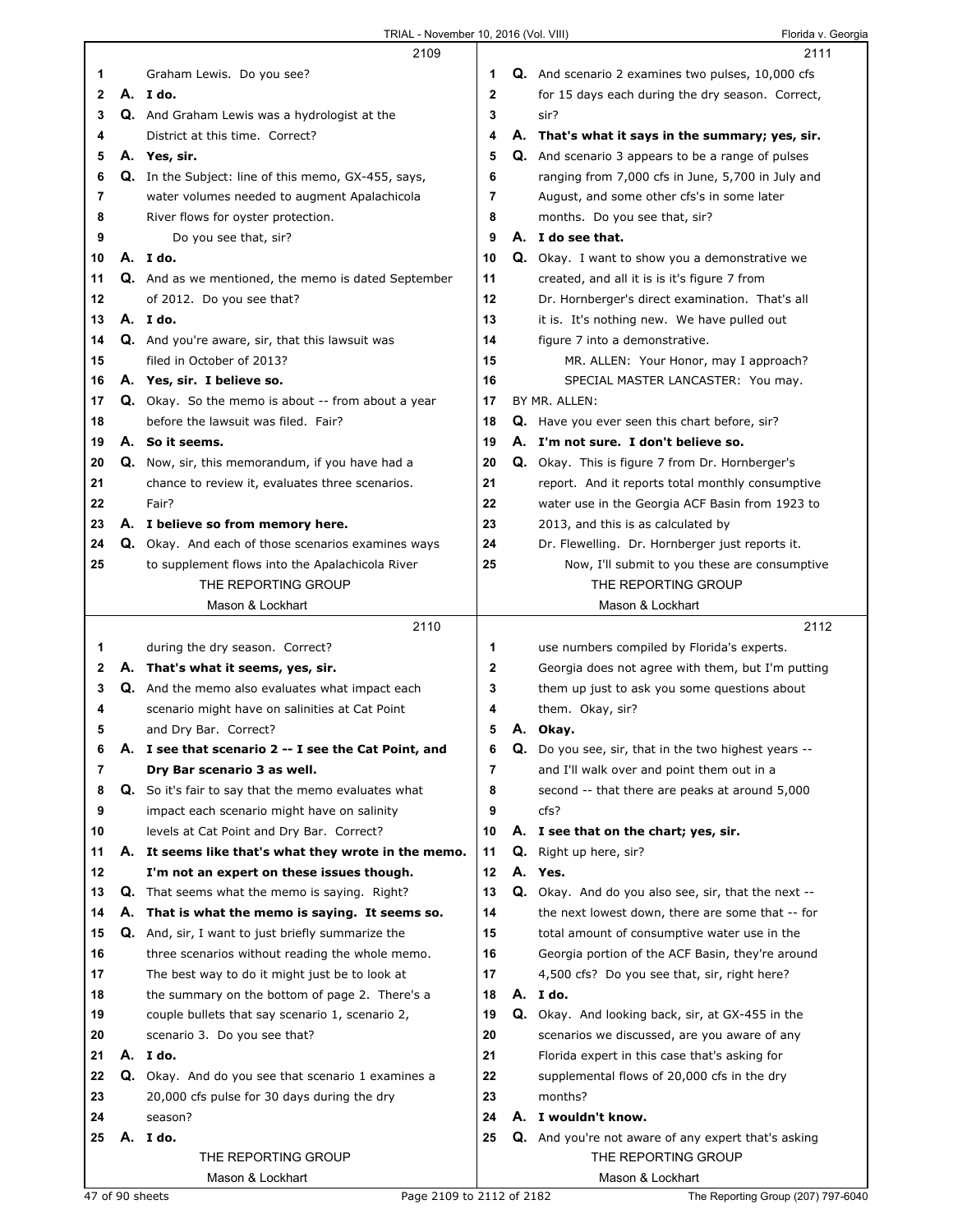|    |    | 2109                                                       |             |    | 2111                                                     |  |
|----|----|------------------------------------------------------------|-------------|----|----------------------------------------------------------|--|
| 1  |    | Graham Lewis. Do you see?                                  | 1.          |    | Q. And scenario 2 examines two pulses, 10,000 cfs        |  |
| 2  |    | A. Ido.                                                    | $\mathbf 2$ |    | for 15 days each during the dry season. Correct,         |  |
| 3  |    | Q. And Graham Lewis was a hydrologist at the               | 3           |    | sir?                                                     |  |
| 4  |    | District at this time. Correct?                            | 4           |    | A. That's what it says in the summary; yes, sir.         |  |
| 5  |    | A. Yes, sir.                                               | 5           |    | <b>Q.</b> And scenario 3 appears to be a range of pulses |  |
| 6  |    | Q. In the Subject: line of this memo, GX-455, says,        | 6           |    | ranging from 7,000 cfs in June, 5,700 in July and        |  |
| 7  |    | water volumes needed to augment Apalachicola               | 7           |    | August, and some other cfs's in some later               |  |
| 8  |    | River flows for oyster protection.                         | 8           |    | months. Do you see that, sir?                            |  |
| 9  |    | Do you see that, sir?                                      | 9           |    | A. I do see that.                                        |  |
| 10 |    | A. Ido.                                                    | 10          |    | Q. Okay. I want to show you a demonstrative we           |  |
| 11 |    | <b>Q.</b> And as we mentioned, the memo is dated September | 11          |    | created, and all it is is it's figure 7 from             |  |
| 12 |    | of 2012. Do you see that?                                  | 12          |    | Dr. Hornberger's direct examination. That's all          |  |
| 13 |    | A. I do.                                                   | 13          |    | it is. It's nothing new. We have pulled out              |  |
| 14 |    | Q. And you're aware, sir, that this lawsuit was            | 14          |    | figure 7 into a demonstrative.                           |  |
| 15 |    | filed in October of 2013?                                  | 15          |    | MR. ALLEN: Your Honor, may I approach?                   |  |
| 16 |    | A. Yes, sir. I believe so.                                 | 16          |    | SPECIAL MASTER LANCASTER: You may.                       |  |
| 17 |    | Q. Okay. So the memo is about -- from about a year         | 17          |    | BY MR. ALLEN:                                            |  |
| 18 |    | before the lawsuit was filed. Fair?                        | 18          |    | Q. Have you ever seen this chart before, sir?            |  |
| 19 |    | A. So it seems.                                            | 19          |    | A. I'm not sure. I don't believe so.                     |  |
| 20 |    | Q. Now, sir, this memorandum, if you have had a            | 20          |    | <b>Q.</b> Okay. This is figure 7 from Dr. Hornberger's   |  |
| 21 |    | chance to review it, evaluates three scenarios.            | 21          |    | report. And it reports total monthly consumptive         |  |
| 22 |    | Fair?                                                      | 22          |    | water use in the Georgia ACF Basin from 1923 to          |  |
| 23 |    | A. I believe so from memory here.                          | 23          |    | 2013, and this is as calculated by                       |  |
| 24 |    | Q. Okay. And each of those scenarios examines ways         | 24          |    | Dr. Flewelling. Dr. Hornberger just reports it.          |  |
| 25 |    | to supplement flows into the Apalachicola River            | 25          |    | Now, I'll submit to you these are consumptive            |  |
|    |    | THE REPORTING GROUP                                        |             |    | THE REPORTING GROUP                                      |  |
|    |    | Mason & Lockhart                                           |             |    | Mason & Lockhart                                         |  |
|    |    |                                                            |             |    |                                                          |  |
|    |    | 2110                                                       |             |    | 2112                                                     |  |
| 1  |    | during the dry season. Correct?                            | 1           |    | use numbers compiled by Florida's experts.               |  |
| 2  |    | A. That's what it seems, yes, sir.                         | 2           |    | Georgia does not agree with them, but I'm putting        |  |
| 3  |    | <b>Q.</b> And the memo also evaluates what impact each     | 3           |    | them up just to ask you some questions about             |  |
| 4  |    | scenario might have on salinities at Cat Point             | 4           |    | them. Okay, sir?                                         |  |
| 5  |    | and Dry Bar. Correct?                                      | 5           |    | A. Okay.                                                 |  |
| 6  | Α. | I see that scenario 2 -- I see the Cat Point, and          | 6           | Q. | Do you see, sir, that in the two highest years --        |  |
| 7  |    | Dry Bar scenario 3 as well.                                | 7           |    | and I'll walk over and point them out in a               |  |
| 8  |    | Q. So it's fair to say that the memo evaluates what        | 8           |    | second -- that there are peaks at around 5,000           |  |
| 9  |    | impact each scenario might have on salinity                | 9           |    | cfs?                                                     |  |
| 10 |    | levels at Cat Point and Dry Bar. Correct?                  | 10          |    | A. I see that on the chart; yes, sir.                    |  |
| 11 | А. | It seems like that's what they wrote in the memo.          | 11          |    | Q. Right up here, sir?                                   |  |
| 12 |    | I'm not an expert on these issues though.                  | 12          |    | A. Yes.                                                  |  |
| 13 |    | <b>Q.</b> That seems what the memo is saying. Right?       | 13          |    | Q. Okay. And do you also see, sir, that the next --      |  |
| 14 | А. | That is what the memo is saying. It seems so.              | 14          |    | the next lowest down, there are some that -- for         |  |
| 15 |    | <b>Q.</b> And, sir, I want to just briefly summarize the   | 15          |    | total amount of consumptive water use in the             |  |
| 16 |    | three scenarios without reading the whole memo.            | 16          |    | Georgia portion of the ACF Basin, they're around         |  |
| 17 |    | The best way to do it might just be to look at             | 17          |    | 4,500 cfs? Do you see that, sir, right here?             |  |
| 18 |    | the summary on the bottom of page 2. There's a             | 18          |    | A. I do.                                                 |  |
| 19 |    | couple bullets that say scenario 1, scenario 2,            | 19          |    | <b>Q.</b> Okay. And looking back, sir, at GX-455 in the  |  |
| 20 |    | scenario 3. Do you see that?                               | 20          |    | scenarios we discussed, are you aware of any             |  |
| 21 |    | A. I do.                                                   | 21          |    | Florida expert in this case that's asking for            |  |
| 22 |    | Q. Okay. And do you see that scenario 1 examines a         | 22          |    | supplemental flows of 20,000 cfs in the dry              |  |
| 23 |    | 20,000 cfs pulse for 30 days during the dry                | 23          |    | months?                                                  |  |
| 24 |    | season?                                                    | 24          |    | A. I wouldn't know.                                      |  |
| 25 |    | A. I do.                                                   | 25          |    | Q. And you're not aware of any expert that's asking      |  |
|    |    | THE REPORTING GROUP                                        |             |    | THE REPORTING GROUP                                      |  |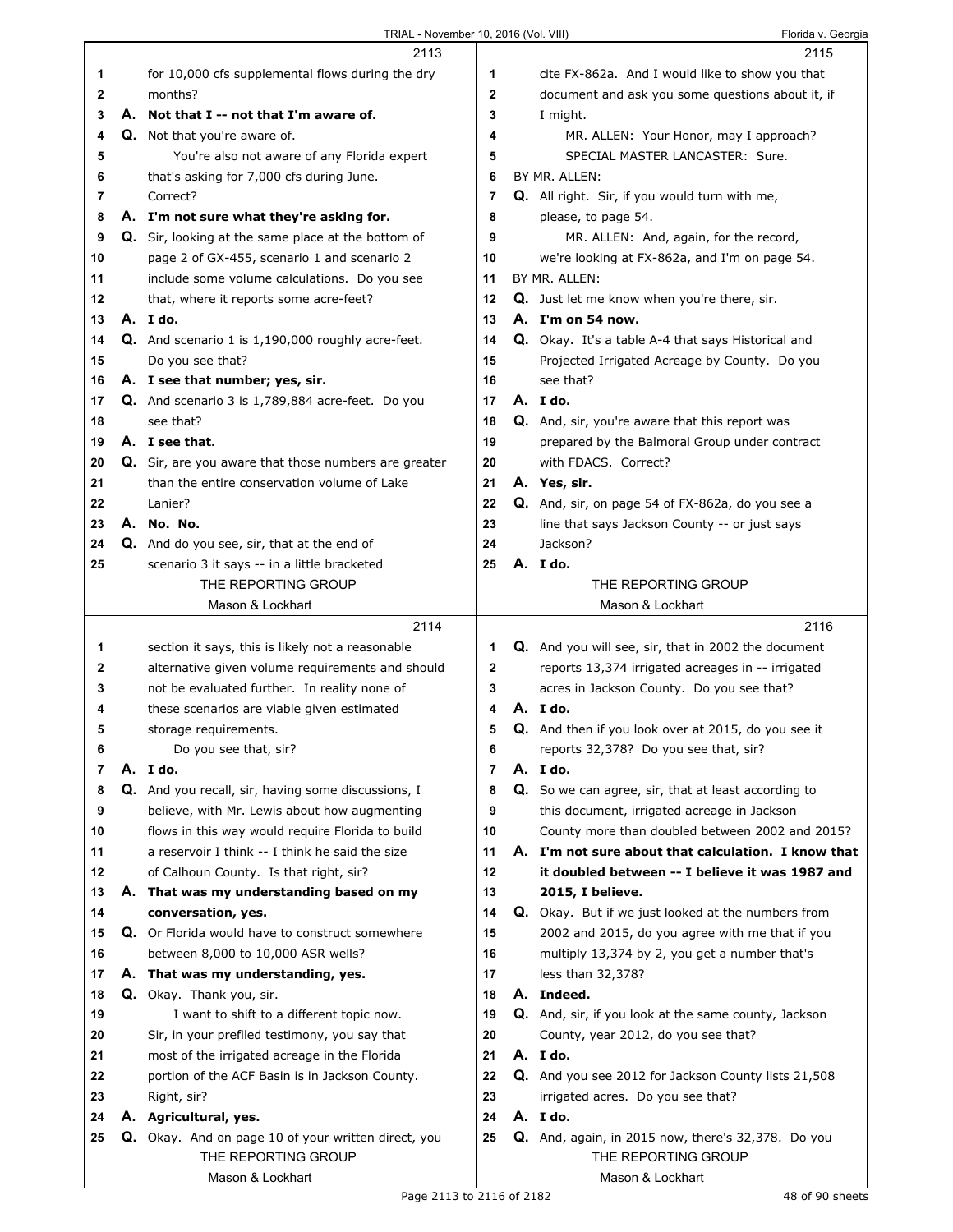|    | 2113                                                                       |                | 2115                                                                      |
|----|----------------------------------------------------------------------------|----------------|---------------------------------------------------------------------------|
| 1  | for 10,000 cfs supplemental flows during the dry                           | 1              | cite FX-862a. And I would like to show you that                           |
| 2  | months?                                                                    | $\mathbf{2}$   | document and ask you some questions about it, if                          |
| 3  | A. Not that I -- not that I'm aware of.                                    | 3              | I might.                                                                  |
| 4  | <b>Q.</b> Not that you're aware of.                                        | 4              | MR. ALLEN: Your Honor, may I approach?                                    |
| 5  | You're also not aware of any Florida expert                                | 5              | SPECIAL MASTER LANCASTER: Sure.                                           |
| 6  | that's asking for 7,000 cfs during June.                                   | 6              | BY MR. ALLEN:                                                             |
| 7  | Correct?                                                                   | 7              | Q. All right. Sir, if you would turn with me,                             |
| 8  | A. I'm not sure what they're asking for.                                   | 8              | please, to page 54.                                                       |
| 9  | Q. Sir, looking at the same place at the bottom of                         | 9              | MR. ALLEN: And, again, for the record,                                    |
| 10 | page 2 of GX-455, scenario 1 and scenario 2                                | 10             | we're looking at FX-862a, and I'm on page 54.                             |
| 11 | include some volume calculations. Do you see                               | 11             | BY MR. ALLEN:                                                             |
| 12 | that, where it reports some acre-feet?                                     | 12             | Q. Just let me know when you're there, sir.                               |
| 13 | A. I do.                                                                   | 13             | A. I'm on 54 now.                                                         |
| 14 | Q. And scenario 1 is 1,190,000 roughly acre-feet.                          | 14             | Q. Okay. It's a table A-4 that says Historical and                        |
| 15 | Do you see that?                                                           | 15             | Projected Irrigated Acreage by County. Do you                             |
| 16 | A. I see that number; yes, sir.                                            | 16             | see that?                                                                 |
| 17 | Q. And scenario 3 is 1,789,884 acre-feet. Do you                           | 17             | A. I do.                                                                  |
| 18 | see that?                                                                  | 18             | Q. And, sir, you're aware that this report was                            |
| 19 | A. I see that.                                                             | 19             | prepared by the Balmoral Group under contract                             |
| 20 | Q. Sir, are you aware that those numbers are greater                       | 20             | with FDACS. Correct?                                                      |
| 21 | than the entire conservation volume of Lake                                | 21             | A. Yes, sir.                                                              |
| 22 | Lanier?                                                                    | 22             | Q. And, sir, on page 54 of FX-862a, do you see a                          |
| 23 | A. No. No.                                                                 | 23             | line that says Jackson County -- or just says                             |
| 24 | Q. And do you see, sir, that at the end of                                 | 24             | Jackson?                                                                  |
| 25 | scenario 3 it says -- in a little bracketed                                | 25             | A. I do.                                                                  |
|    | THE REPORTING GROUP                                                        |                | THE REPORTING GROUP                                                       |
|    | Mason & Lockhart                                                           |                | Mason & Lockhart                                                          |
|    |                                                                            |                |                                                                           |
|    |                                                                            |                |                                                                           |
|    | 2114                                                                       |                | 2116                                                                      |
| 1  | section it says, this is likely not a reasonable                           | 1              | Q. And you will see, sir, that in 2002 the document                       |
| 2  | alternative given volume requirements and should                           | 2              | reports 13,374 irrigated acreages in -- irrigated                         |
| 3  | not be evaluated further. In reality none of                               | 3<br>4         | acres in Jackson County. Do you see that?                                 |
| 4  | these scenarios are viable given estimated                                 |                | A. Ido.                                                                   |
| 5  | storage requirements.                                                      | 5              | Q. And then if you look over at 2015, do you see it                       |
| 6  | Do you see that, sir?                                                      | 6              | reports 32,378? Do you see that, sir?                                     |
| 7  | A. I do.                                                                   | $\overline{7}$ | A. I do.                                                                  |
| 8  | Q. And you recall, sir, having some discussions, I                         | 8              | Q. So we can agree, sir, that at least according to                       |
| 9  | believe, with Mr. Lewis about how augmenting                               | 9              | this document, irrigated acreage in Jackson                               |
| 10 | flows in this way would require Florida to build                           | 10             | County more than doubled between 2002 and 2015?                           |
| 11 | a reservoir I think -- I think he said the size                            | 11             | A. I'm not sure about that calculation. I know that                       |
| 12 | of Calhoun County. Is that right, sir?                                     | 12             | it doubled between -- I believe it was 1987 and                           |
| 13 | A. That was my understanding based on my                                   | 13             | 2015, I believe.                                                          |
| 14 | conversation, yes.                                                         | 14             | Q. Okay. But if we just looked at the numbers from                        |
| 15 | Q. Or Florida would have to construct somewhere                            | 15             | 2002 and 2015, do you agree with me that if you                           |
| 16 | between 8,000 to 10,000 ASR wells?                                         | 16             | multiply 13,374 by 2, you get a number that's                             |
| 17 | A. That was my understanding, yes.                                         | 17             | less than 32,378?                                                         |
| 18 | Q. Okay. Thank you, sir.                                                   | 18             | A. Indeed.                                                                |
| 19 | I want to shift to a different topic now.                                  | 19             | Q. And, sir, if you look at the same county, Jackson                      |
| 20 | Sir, in your prefiled testimony, you say that                              | 20             | County, year 2012, do you see that?                                       |
| 21 | most of the irrigated acreage in the Florida                               | 21             | A. I do.                                                                  |
| 22 | portion of the ACF Basin is in Jackson County.                             | 22             | Q. And you see 2012 for Jackson County lists 21,508                       |
| 23 | Right, sir?                                                                | 23             | irrigated acres. Do you see that?                                         |
| 24 | A. Agricultural, yes.                                                      | 24             | A. I do.                                                                  |
| 25 | Q. Okay. And on page 10 of your written direct, you<br>THE REPORTING GROUP | 25             | Q. And, again, in 2015 now, there's 32,378. Do you<br>THE REPORTING GROUP |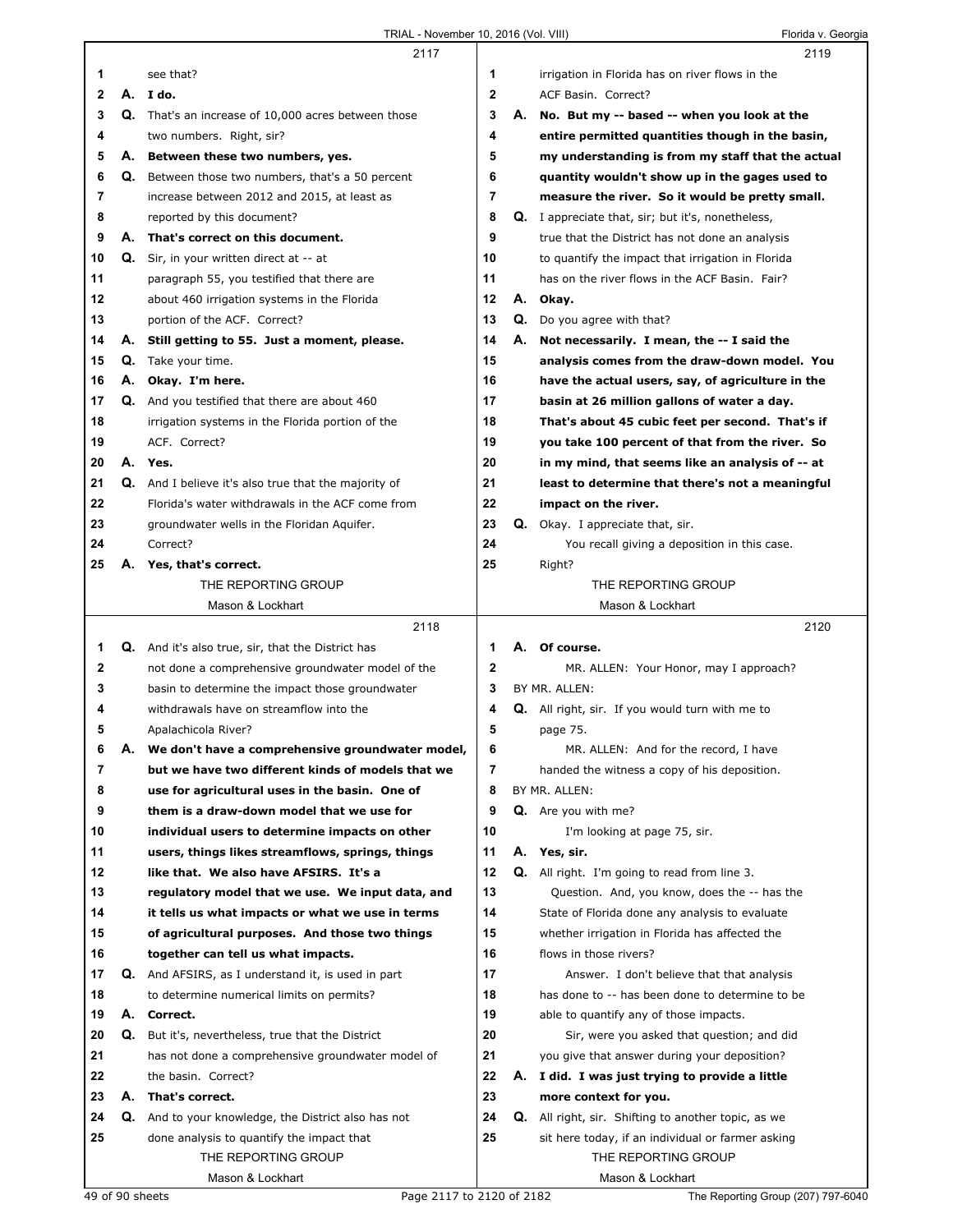|    |    | 2117                                                        |    |    | 2119                                                      |  |
|----|----|-------------------------------------------------------------|----|----|-----------------------------------------------------------|--|
| 1  |    | see that?                                                   | 1  |    | irrigation in Florida has on river flows in the           |  |
| 2  | А. | I do.                                                       | 2  |    | ACF Basin. Correct?                                       |  |
| 3  |    | Q. That's an increase of 10,000 acres between those         | 3  | А. | No. But my -- based -- when you look at the               |  |
| 4  |    | two numbers. Right, sir?                                    | 4  |    | entire permitted quantities though in the basin,          |  |
| 5  | А. | Between these two numbers, yes.                             | 5  |    | my understanding is from my staff that the actual         |  |
| 6  |    | <b>Q.</b> Between those two numbers, that's a 50 percent    | 6  |    | quantity wouldn't show up in the gages used to            |  |
| 7  |    | increase between 2012 and 2015, at least as                 | 7  |    | measure the river. So it would be pretty small.           |  |
| 8  |    | reported by this document?                                  | 8  |    | <b>Q.</b> I appreciate that, sir; but it's, nonetheless,  |  |
| 9  |    | A. That's correct on this document.                         | 9  |    | true that the District has not done an analysis           |  |
| 10 |    | <b>Q.</b> Sir, in your written direct at -- at              | 10 |    |                                                           |  |
|    |    |                                                             | 11 |    | to quantify the impact that irrigation in Florida         |  |
| 11 |    | paragraph 55, you testified that there are                  | 12 |    | has on the river flows in the ACF Basin. Fair?            |  |
| 12 |    | about 460 irrigation systems in the Florida                 |    | А. | Okay.                                                     |  |
| 13 |    | portion of the ACF. Correct?                                | 13 |    | Q. Do you agree with that?                                |  |
| 14 | А. | Still getting to 55. Just a moment, please.                 | 14 | А. | Not necessarily. I mean, the -- I said the                |  |
| 15 | Q. | Take your time.                                             | 15 |    | analysis comes from the draw-down model. You              |  |
| 16 | А. | Okay. I'm here.                                             | 16 |    | have the actual users, say, of agriculture in the         |  |
| 17 |    | <b>Q.</b> And you testified that there are about 460        | 17 |    | basin at 26 million gallons of water a day.               |  |
| 18 |    | irrigation systems in the Florida portion of the            | 18 |    | That's about 45 cubic feet per second. That's if          |  |
| 19 |    | ACF. Correct?                                               | 19 |    | you take 100 percent of that from the river. So           |  |
| 20 |    | A. Yes.                                                     | 20 |    | in my mind, that seems like an analysis of -- at          |  |
| 21 |    | <b>Q.</b> And I believe it's also true that the majority of | 21 |    | least to determine that there's not a meaningful          |  |
| 22 |    | Florida's water withdrawals in the ACF come from            | 22 |    | impact on the river.                                      |  |
| 23 |    | groundwater wells in the Floridan Aquifer.                  | 23 |    | Q. Okay. I appreciate that, sir.                          |  |
| 24 |    | Correct?                                                    | 24 |    | You recall giving a deposition in this case.              |  |
| 25 | Α. | Yes, that's correct.                                        | 25 |    | Right?                                                    |  |
|    |    | THE REPORTING GROUP                                         |    |    | THE REPORTING GROUP                                       |  |
|    |    | Mason & Lockhart                                            |    |    | Mason & Lockhart                                          |  |
|    |    |                                                             |    |    |                                                           |  |
|    |    | 2118                                                        |    |    | 2120                                                      |  |
| 1  |    | Q. And it's also true, sir, that the District has           | 1  |    | A. Of course.                                             |  |
| 2  |    | not done a comprehensive groundwater model of the           | 2  |    | MR. ALLEN: Your Honor, may I approach?                    |  |
| 3  |    | basin to determine the impact those groundwater             | 3  |    | BY MR. ALLEN:                                             |  |
| 4  |    | withdrawals have on streamflow into the                     | 4  |    | <b>Q.</b> All right, sir. If you would turn with me to    |  |
| 5  |    | Apalachicola River?                                         | 5  |    | page 75.                                                  |  |
| 6  | Α. | We don't have a comprehensive groundwater model,            | 6  |    | MR. ALLEN: And for the record, I have                     |  |
| 7  |    | but we have two different kinds of models that we           | 7  |    | handed the witness a copy of his deposition.              |  |
| 8  |    | use for agricultural uses in the basin. One of              | 8  |    | BY MR. ALLEN:                                             |  |
| 9  |    | them is a draw-down model that we use for                   | 9  |    | <b>Q.</b> Are you with me?                                |  |
| 10 |    | individual users to determine impacts on other              | 10 |    | I'm looking at page 75, sir.                              |  |
| 11 |    | users, things likes streamflows, springs, things            | 11 | А. |                                                           |  |
| 12 |    | like that. We also have AFSIRS. It's a                      | 12 |    | Yes, sir.<br>Q. All right. I'm going to read from line 3. |  |
| 13 |    | regulatory model that we use. We input data, and            | 13 |    | Question. And, you know, does the -- has the              |  |
| 14 |    |                                                             | 14 |    |                                                           |  |
|    |    | it tells us what impacts or what we use in terms            | 15 |    | State of Florida done any analysis to evaluate            |  |
| 15 |    | of agricultural purposes. And those two things              |    |    | whether irrigation in Florida has affected the            |  |
| 16 |    | together can tell us what impacts.                          | 16 |    | flows in those rivers?                                    |  |
| 17 |    | Q. And AFSIRS, as I understand it, is used in part          | 17 |    | Answer. I don't believe that that analysis                |  |
| 18 |    | to determine numerical limits on permits?                   | 18 |    | has done to -- has been done to determine to be           |  |
| 19 | А. | Correct.                                                    | 19 |    | able to quantify any of those impacts.                    |  |
| 20 | Q. | But it's, nevertheless, true that the District              | 20 |    | Sir, were you asked that question; and did                |  |
| 21 |    | has not done a comprehensive groundwater model of           | 21 |    | you give that answer during your deposition?              |  |
| 22 |    | the basin. Correct?                                         | 22 | А. | I did. I was just trying to provide a little              |  |
| 23 | А. | That's correct.                                             | 23 |    | more context for you.                                     |  |
| 24 | Q. | And to your knowledge, the District also has not            | 24 |    | Q. All right, sir. Shifting to another topic, as we       |  |
| 25 |    | done analysis to quantify the impact that                   | 25 |    | sit here today, if an individual or farmer asking         |  |
|    |    | THE REPORTING GROUP<br>Mason & Lockhart                     |    |    | THE REPORTING GROUP<br>Mason & Lockhart                   |  |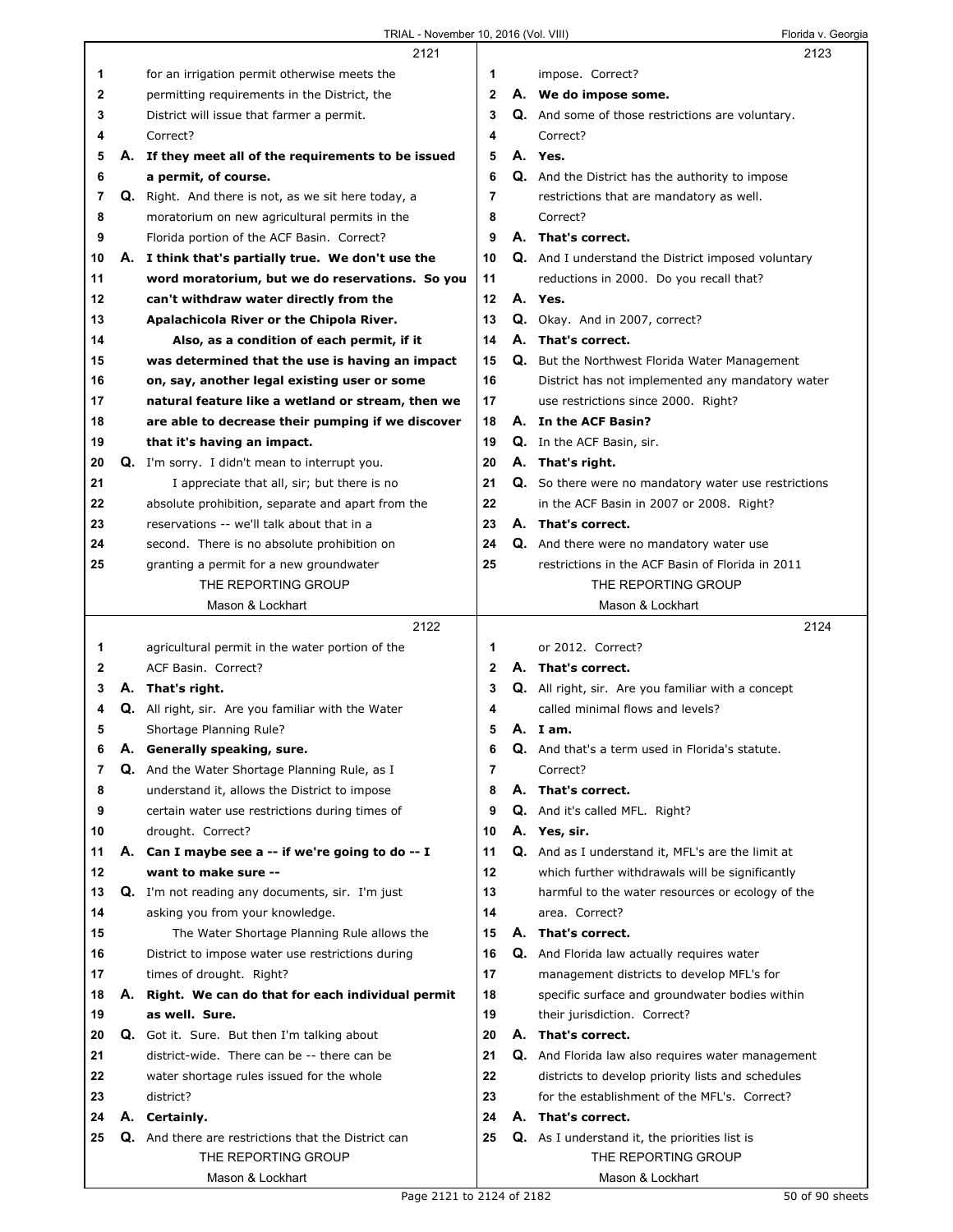|    |    | 2121                                                       |              |    | 2123                                                      |  |
|----|----|------------------------------------------------------------|--------------|----|-----------------------------------------------------------|--|
| 1  |    | for an irrigation permit otherwise meets the               | 1.           |    | impose. Correct?                                          |  |
| 2  |    | permitting requirements in the District, the               | $\mathbf{2}$ |    | A. We do impose some.                                     |  |
| 3  |    | District will issue that farmer a permit.                  | 3            |    | <b>Q.</b> And some of those restrictions are voluntary.   |  |
| 4  |    | Correct?                                                   | 4            |    | Correct?                                                  |  |
| 5  |    | A. If they meet all of the requirements to be issued       | 5            |    | A. Yes.                                                   |  |
| 6  |    | a permit, of course.                                       | 6            |    | Q. And the District has the authority to impose           |  |
| 7  |    | Q. Right. And there is not, as we sit here today, a        | 7            |    | restrictions that are mandatory as well.                  |  |
| 8  |    | moratorium on new agricultural permits in the              | 8            |    | Correct?                                                  |  |
| 9  |    | Florida portion of the ACF Basin. Correct?                 | 9            |    | A. That's correct.                                        |  |
| 10 |    | A. I think that's partially true. We don't use the         | 10           |    | <b>Q.</b> And I understand the District imposed voluntary |  |
| 11 |    | word moratorium, but we do reservations. So you            | 11           |    | reductions in 2000. Do you recall that?                   |  |
| 12 |    | can't withdraw water directly from the                     | 12           |    | A. Yes.                                                   |  |
| 13 |    | Apalachicola River or the Chipola River.                   | 13           |    | Q. Okay. And in 2007, correct?                            |  |
| 14 |    | Also, as a condition of each permit, if it                 | 14           |    | A. That's correct.                                        |  |
| 15 |    | was determined that the use is having an impact            | 15           |    | Q. But the Northwest Florida Water Management             |  |
| 16 |    | on, say, another legal existing user or some               | 16           |    | District has not implemented any mandatory water          |  |
| 17 |    | natural feature like a wetland or stream, then we          | 17           |    | use restrictions since 2000. Right?                       |  |
| 18 |    | are able to decrease their pumping if we discover          | 18           |    | A. In the ACF Basin?                                      |  |
| 19 |    | that it's having an impact.                                | 19           |    | Q. In the ACF Basin, sir.                                 |  |
| 20 |    | Q. I'm sorry. I didn't mean to interrupt you.              | 20           |    | A. That's right.                                          |  |
| 21 |    | I appreciate that all, sir; but there is no                | 21           |    | Q. So there were no mandatory water use restrictions      |  |
| 22 |    | absolute prohibition, separate and apart from the          | 22           |    | in the ACF Basin in 2007 or 2008. Right?                  |  |
| 23 |    | reservations -- we'll talk about that in a                 | 23           |    | A. That's correct.                                        |  |
| 24 |    | second. There is no absolute prohibition on                | 24           |    | <b>Q.</b> And there were no mandatory water use           |  |
| 25 |    | granting a permit for a new groundwater                    | 25           |    | restrictions in the ACF Basin of Florida in 2011          |  |
|    |    | THE REPORTING GROUP                                        |              |    | THE REPORTING GROUP                                       |  |
|    |    | Mason & Lockhart                                           |              |    | Mason & Lockhart                                          |  |
|    |    |                                                            |              |    |                                                           |  |
|    |    |                                                            |              |    |                                                           |  |
|    |    | 2122                                                       |              |    | 2124                                                      |  |
| 1  |    | agricultural permit in the water portion of the            | 1            |    | or 2012. Correct?                                         |  |
| 2  |    | ACF Basin. Correct?                                        | $\mathbf{2}$ |    | A. That's correct.                                        |  |
| 3  |    | A. That's right.                                           | 3            |    | <b>Q.</b> All right, sir. Are you familiar with a concept |  |
| 4  |    | Q. All right, sir. Are you familiar with the Water         | 4            |    | called minimal flows and levels?                          |  |
| 5  |    | Shortage Planning Rule?                                    | 5            |    | A. Iam.                                                   |  |
| 6  |    | A. Generally speaking, sure.                               | 6            |    | <b>Q.</b> And that's a term used in Florida's statute.    |  |
| 7  |    | <b>Q.</b> And the Water Shortage Planning Rule, as I       | 7            |    | Correct?                                                  |  |
| 8  |    | understand it, allows the District to impose               | 8            |    | A. That's correct.                                        |  |
| 9  |    | certain water use restrictions during times of             | 9            |    | <b>Q.</b> And it's called MFL. Right?                     |  |
| 10 |    | drought. Correct?                                          | 10           |    | A. Yes, sir.                                              |  |
| 11 | А. | Can I maybe see a -- if we're going to do -- I             | 11           |    | Q. And as I understand it, MFL's are the limit at         |  |
| 12 |    | want to make sure --                                       | 12           |    | which further withdrawals will be significantly           |  |
| 13 |    | <b>Q.</b> I'm not reading any documents, sir. I'm just     | 13           |    | harmful to the water resources or ecology of the          |  |
| 14 |    | asking you from your knowledge.                            | 14           |    | area. Correct?                                            |  |
| 15 |    | The Water Shortage Planning Rule allows the                | 15           |    | A. That's correct.                                        |  |
| 16 |    | District to impose water use restrictions during           | 16           | Q. | And Florida law actually requires water                   |  |
| 17 |    | times of drought. Right?                                   | 17           |    | management districts to develop MFL's for                 |  |
| 18 |    | A. Right. We can do that for each individual permit        | 18           |    | specific surface and groundwater bodies within            |  |
| 19 |    | as well. Sure.                                             | 19           |    | their jurisdiction. Correct?                              |  |
| 20 |    | Q. Got it. Sure. But then I'm talking about                | 20           |    | A. That's correct.                                        |  |
| 21 |    | district-wide. There can be -- there can be                | 21           |    | Q. And Florida law also requires water management         |  |
| 22 |    | water shortage rules issued for the whole                  | 22           |    | districts to develop priority lists and schedules         |  |
| 23 |    | district?                                                  | 23           |    | for the establishment of the MFL's. Correct?              |  |
| 24 | А. | Certainly.                                                 | 24           |    | A. That's correct.                                        |  |
| 25 |    | <b>Q.</b> And there are restrictions that the District can | 25           |    | <b>Q.</b> As I understand it, the priorities list is      |  |
|    |    | THE REPORTING GROUP<br>Mason & Lockhart                    |              |    | THE REPORTING GROUP<br>Mason & Lockhart                   |  |

ı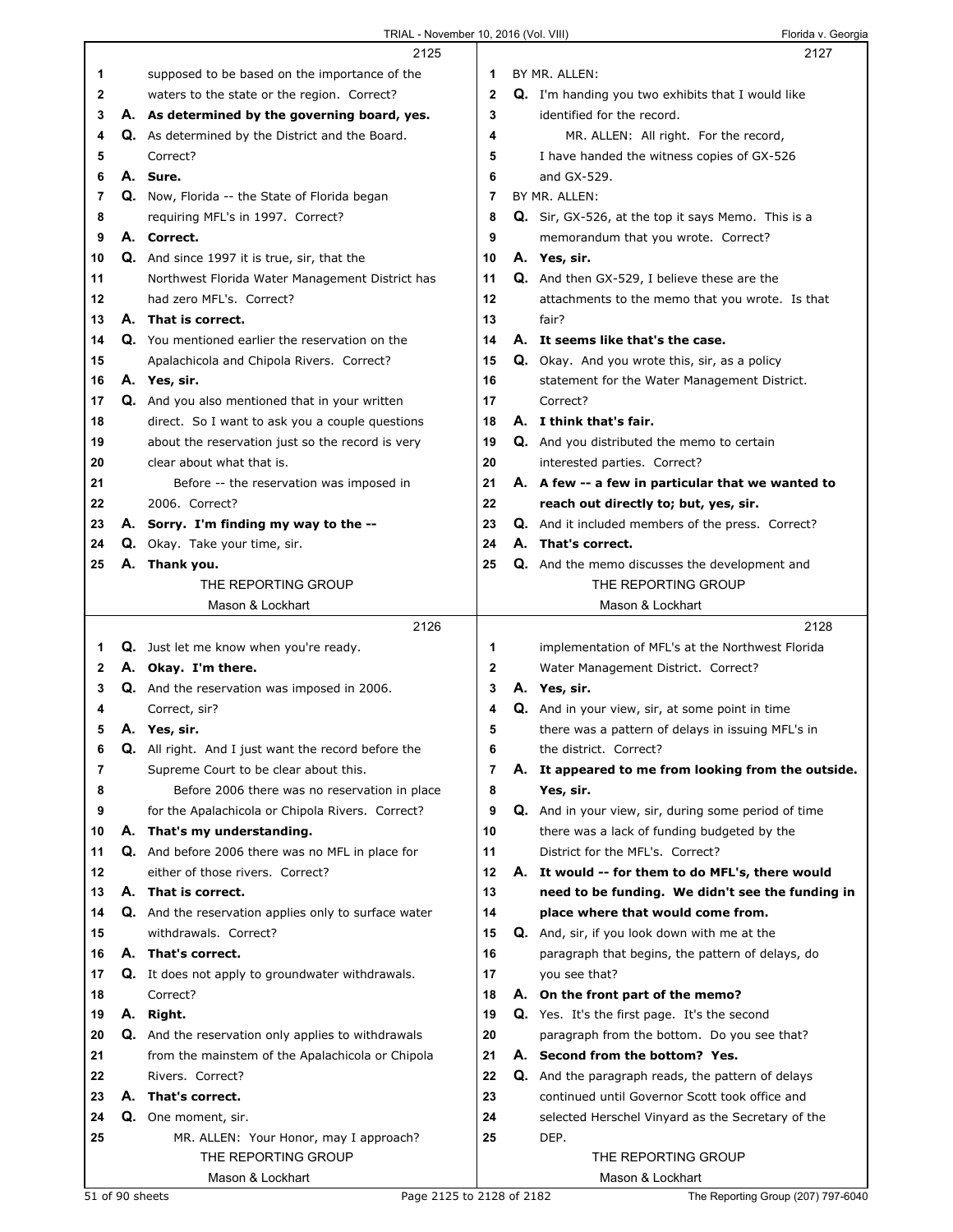|          |    | TRIAL - November 10, 2016 (Vol. VIII)                       |              | Florida v. Georgia                                       |
|----------|----|-------------------------------------------------------------|--------------|----------------------------------------------------------|
|          |    | 2125                                                        |              | 2127                                                     |
| 1        |    | supposed to be based on the importance of the               | 1            | BY MR. ALLEN:                                            |
| 2        |    | waters to the state or the region. Correct?                 | $\mathbf{2}$ | <b>Q.</b> I'm handing you two exhibits that I would like |
| 3        |    | A. As determined by the governing board, yes.               | 3            | identified for the record.                               |
| 4        |    | <b>Q.</b> As determined by the District and the Board.      | 4            | MR. ALLEN: All right. For the record,                    |
| 5        |    | Correct?                                                    | 5            | I have handed the witness copies of GX-526               |
| 6        |    | A. Sure.                                                    | 6            | and GX-529.                                              |
| 7        |    | Q. Now, Florida -- the State of Florida began               | 7            | BY MR. ALLEN:                                            |
| 8        |    | requiring MFL's in 1997. Correct?                           | 8            | Q. Sir, GX-526, at the top it says Memo. This is a       |
| 9        |    | A. Correct.                                                 | 9            |                                                          |
|          |    |                                                             | 10           | memorandum that you wrote. Correct?                      |
| 10<br>11 |    | <b>Q.</b> And since 1997 it is true, sir, that the          | 11           | A. Yes, sir.                                             |
|          |    | Northwest Florida Water Management District has             |              | Q. And then GX-529, I believe these are the              |
| 12       |    | had zero MFL's. Correct?                                    | 12           | attachments to the memo that you wrote. Is that          |
| 13       |    | A. That is correct.                                         | 13           | fair?                                                    |
| 14       |    | Q. You mentioned earlier the reservation on the             | 14           | A. It seems like that's the case.                        |
| 15       |    | Apalachicola and Chipola Rivers. Correct?                   | 15           | Q. Okay. And you wrote this, sir, as a policy            |
| 16       |    | A. Yes, sir.                                                | 16           | statement for the Water Management District.             |
| 17       |    | Q. And you also mentioned that in your written              | 17           | Correct?                                                 |
| 18       |    | direct. So I want to ask you a couple questions             | 18           | A. I think that's fair.                                  |
| 19       |    | about the reservation just so the record is very            | 19           | Q. And you distributed the memo to certain               |
| 20       |    | clear about what that is.                                   | 20           | interested parties. Correct?                             |
| 21       |    | Before -- the reservation was imposed in                    | 21           | A. A few -- a few in particular that we wanted to        |
| 22       |    | 2006. Correct?                                              | 22           | reach out directly to; but, yes, sir.                    |
| 23       |    | A. Sorry. I'm finding my way to the --                      | 23           | Q. And it included members of the press. Correct?        |
| 24       |    | Q. Okay. Take your time, sir.                               | 24           | A. That's correct.                                       |
| 25       |    | A. Thank you.                                               | 25           | Q. And the memo discusses the development and            |
|          |    | THE REPORTING GROUP                                         |              | THE REPORTING GROUP                                      |
|          |    | Mason & Lockhart                                            |              | Mason & Lockhart                                         |
|          |    | 2126                                                        |              | 2128                                                     |
| 1        |    | Q. Just let me know when you're ready.                      | 1            | implementation of MFL's at the Northwest Florida         |
| 2        |    | A. Okay. I'm there.                                         | $\mathbf{2}$ | Water Management District. Correct?                      |
| 3        |    | Q. And the reservation was imposed in 2006.                 | 3            | A. Yes, sir.                                             |
| 4        |    | Correct, sir?                                               | 4            | Q. And in your view, sir, at some point in time          |
| 5        | А. | Yes, sir.                                                   | 5            | there was a pattern of delays in issuing MFL's in        |
| 6        |    | <b>Q.</b> All right. And I just want the record before the  | 6            | the district. Correct?                                   |
| 7        |    | Supreme Court to be clear about this.                       | 7            | A. It appeared to me from looking from the outside.      |
| 8        |    | Before 2006 there was no reservation in place               | 8            | Yes, sir.                                                |
| 9        |    | for the Apalachicola or Chipola Rivers. Correct?            | 9            | Q. And in your view, sir, during some period of time     |
| 10       |    | A. That's my understanding.                                 | 10           | there was a lack of funding budgeted by the              |
| 11       |    | Q. And before 2006 there was no MFL in place for            | 11           | District for the MFL's. Correct?                         |
| 12       |    | either of those rivers. Correct?                            | 12           | A. It would -- for them to do MFL's, there would         |
| 13       |    | A. That is correct.                                         | 13           | need to be funding. We didn't see the funding in         |
| 14       |    | <b>Q.</b> And the reservation applies only to surface water | 14           | place where that would come from.                        |
| 15       |    | withdrawals. Correct?                                       | 15           | <b>Q.</b> And, sir, if you look down with me at the      |
| 16       |    | A. That's correct.                                          | 16           | paragraph that begins, the pattern of delays, do         |
| 17       |    | <b>Q.</b> It does not apply to groundwater withdrawals.     | 17           | you see that?                                            |
| 18       |    | Correct?                                                    | 18           | A. On the front part of the memo?                        |
| 19       |    | A. Right.                                                   | 19           | Q. Yes. It's the first page. It's the second             |
| 20       |    | <b>Q.</b> And the reservation only applies to withdrawals   | 20           | paragraph from the bottom. Do you see that?              |
| 21       |    | from the mainstem of the Apalachicola or Chipola            | 21           | A. Second from the bottom? Yes.                          |
| 22       |    | Rivers. Correct?                                            | 22           | Q. And the paragraph reads, the pattern of delays        |
| 23       |    | A. That's correct.                                          | 23           | continued until Governor Scott took office and           |
| 24       |    | Q. One moment, sir.                                         | 24           | selected Herschel Vinyard as the Secretary of the        |
| 25       |    | MR. ALLEN: Your Honor, may I approach?                      | 25           | DEP.                                                     |
|          |    | THE REPORTING GROUP                                         |              | THE REPORTING GROUP                                      |
|          |    | Mason & Lockhart                                            |              | Mason & Lockhart                                         |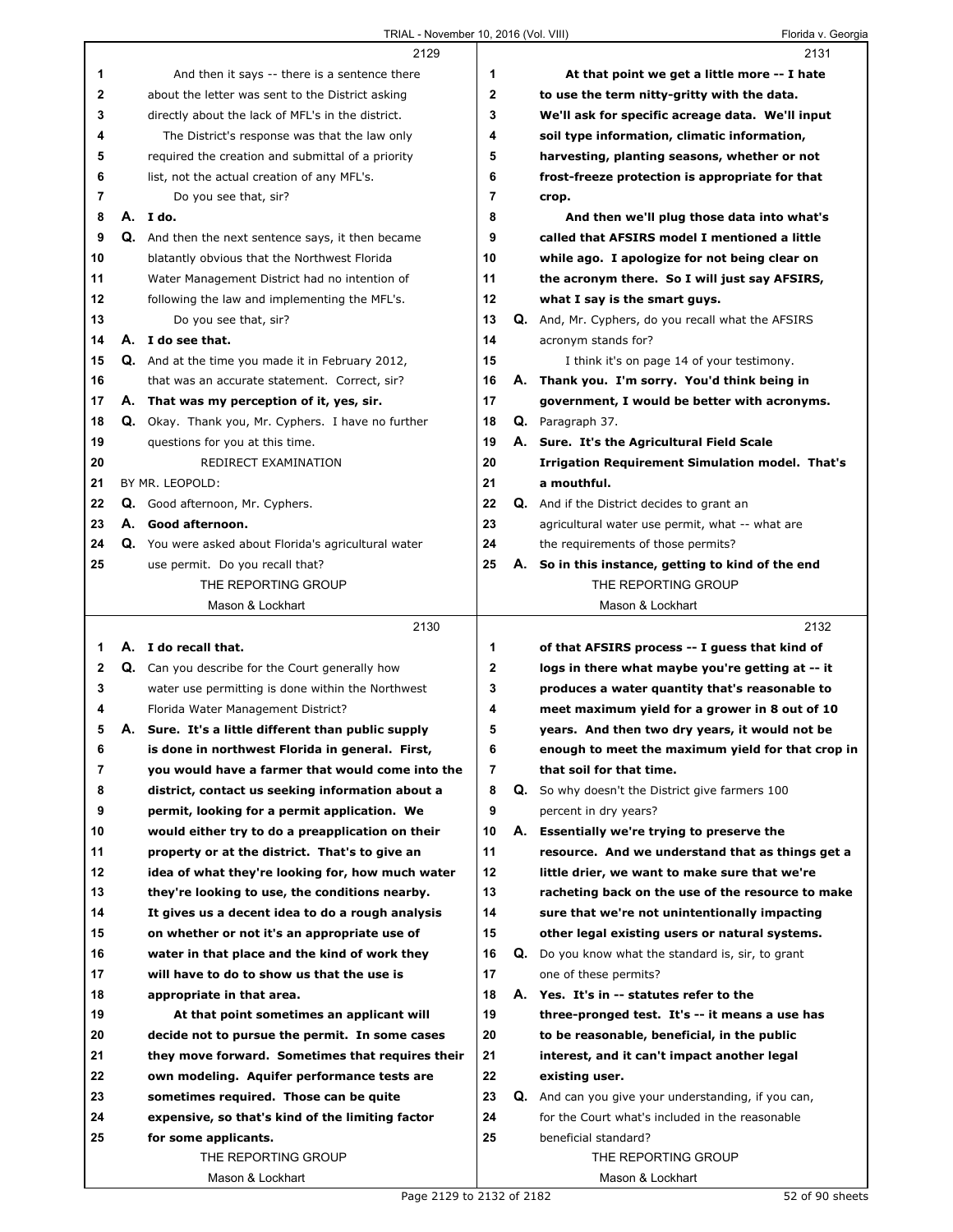|              | 2129                                                                                                 |              |    | 2131                                                                            |
|--------------|------------------------------------------------------------------------------------------------------|--------------|----|---------------------------------------------------------------------------------|
| 1            | And then it says -- there is a sentence there                                                        | 1            |    | At that point we get a little more -- I hate                                    |
| 2            | about the letter was sent to the District asking                                                     | $\mathbf{2}$ |    | to use the term nitty-gritty with the data.                                     |
| 3            | directly about the lack of MFL's in the district.                                                    | 3            |    | We'll ask for specific acreage data. We'll input                                |
| 4            | The District's response was that the law only                                                        | 4            |    | soil type information, climatic information,                                    |
| 5            | required the creation and submittal of a priority                                                    | 5            |    | harvesting, planting seasons, whether or not                                    |
| 6            | list, not the actual creation of any MFL's.                                                          | 6            |    | frost-freeze protection is appropriate for that                                 |
| 7            | Do you see that, sir?                                                                                | 7            |    | crop.                                                                           |
| 8            | A. I do.                                                                                             | 8            |    | And then we'll plug those data into what's                                      |
| 9            | Q. And then the next sentence says, it then became                                                   | 9            |    | called that AFSIRS model I mentioned a little                                   |
| 10           | blatantly obvious that the Northwest Florida                                                         | 10           |    | while ago. I apologize for not being clear on                                   |
| 11           | Water Management District had no intention of                                                        | 11           |    | the acronym there. So I will just say AFSIRS,                                   |
| 12           | following the law and implementing the MFL's.                                                        | 12           |    | what I say is the smart guys.                                                   |
| 13           | Do you see that, sir?                                                                                | 13           |    | Q. And, Mr. Cyphers, do you recall what the AFSIRS                              |
| 14           | A. I do see that.                                                                                    | 14           |    | acronym stands for?                                                             |
| 15           | Q. And at the time you made it in February 2012,                                                     | 15           |    | I think it's on page 14 of your testimony.                                      |
| 16           | that was an accurate statement. Correct, sir?                                                        | 16           | А. | Thank you. I'm sorry. You'd think being in                                      |
| 17           | A. That was my perception of it, yes, sir.                                                           | 17           |    | government, I would be better with acronyms.                                    |
| 18           | Q. Okay. Thank you, Mr. Cyphers. I have no further                                                   | 18           |    | Q. Paragraph 37.                                                                |
| 19           | questions for you at this time.                                                                      | 19           |    | A. Sure. It's the Agricultural Field Scale                                      |
| 20           | REDIRECT EXAMINATION                                                                                 | 20           |    | <b>Irrigation Requirement Simulation model. That's</b>                          |
| 21           | BY MR. LEOPOLD:                                                                                      | 21           |    | a mouthful.                                                                     |
| 22           | Q. Good afternoon, Mr. Cyphers.                                                                      | 22           |    | <b>Q.</b> And if the District decides to grant an                               |
| 23           | A. Good afternoon.                                                                                   | 23           |    | agricultural water use permit, what -- what are                                 |
| 24           | Q. You were asked about Florida's agricultural water                                                 | 24           |    | the requirements of those permits?                                              |
| 25           | use permit. Do you recall that?                                                                      | 25           |    | A. So in this instance, getting to kind of the end                              |
|              | THE REPORTING GROUP                                                                                  |              |    | THE REPORTING GROUP                                                             |
|              | Mason & Lockhart                                                                                     |              |    | Mason & Lockhart                                                                |
|              |                                                                                                      |              |    |                                                                                 |
|              |                                                                                                      |              |    |                                                                                 |
|              | 2130                                                                                                 |              |    | 2132                                                                            |
| 1            | A. I do recall that.                                                                                 | 1            |    | of that AFSIRS process -- I guess that kind of                                  |
| $\mathbf{2}$ | Q. Can you describe for the Court generally how                                                      | $\mathbf{2}$ |    | logs in there what maybe you're getting at -- it                                |
| 3<br>4       | water use permitting is done within the Northwest                                                    | 3<br>4       |    | produces a water quantity that's reasonable to                                  |
| 5            | Florida Water Management District?                                                                   | 5            |    | meet maximum yield for a grower in 8 out of 10                                  |
|              | A. Sure. It's a little different than public supply                                                  |              |    | years. And then two dry years, it would not be                                  |
| 6<br>7       | is done in northwest Florida in general. First,                                                      | 6<br>7       |    | enough to meet the maximum yield for that crop in<br>that soil for that time.   |
|              | you would have a farmer that would come into the<br>district, contact us seeking information about a | 8            |    |                                                                                 |
| 8<br>9       | permit, looking for a permit application. We                                                         | 9            |    | <b>Q.</b> So why doesn't the District give farmers 100<br>percent in dry years? |
| 10           | would either try to do a preapplication on their                                                     | 10           | А. | Essentially we're trying to preserve the                                        |
| 11           | property or at the district. That's to give an                                                       | 11           |    | resource. And we understand that as things get a                                |
| 12           | idea of what they're looking for, how much water                                                     | 12           |    | little drier, we want to make sure that we're                                   |
| 13           | they're looking to use, the conditions nearby.                                                       | 13           |    | racheting back on the use of the resource to make                               |
| 14           | It gives us a decent idea to do a rough analysis                                                     | 14           |    | sure that we're not unintentionally impacting                                   |
| 15           | on whether or not it's an appropriate use of                                                         | 15           |    | other legal existing users or natural systems.                                  |
| 16           | water in that place and the kind of work they                                                        | 16           |    | <b>Q.</b> Do you know what the standard is, sir, to grant                       |
| 17           | will have to do to show us that the use is                                                           | 17           |    | one of these permits?                                                           |
| 18           | appropriate in that area.                                                                            | 18           |    | A. Yes. It's in -- statutes refer to the                                        |
| 19           | At that point sometimes an applicant will                                                            | 19           |    | three-pronged test. It's -- it means a use has                                  |
| 20           | decide not to pursue the permit. In some cases                                                       | 20           |    | to be reasonable, beneficial, in the public                                     |
| 21           | they move forward. Sometimes that requires their                                                     | 21           |    | interest, and it can't impact another legal                                     |
| 22           | own modeling. Aquifer performance tests are                                                          | 22           |    | existing user.                                                                  |
| 23           | sometimes required. Those can be quite                                                               | 23           |    | Q. And can you give your understanding, if you can,                             |
| 24           | expensive, so that's kind of the limiting factor                                                     | 24           |    | for the Court what's included in the reasonable                                 |
| 25           | for some applicants.                                                                                 | 25           |    | beneficial standard?                                                            |
|              | THE REPORTING GROUP                                                                                  |              |    | THE REPORTING GROUP                                                             |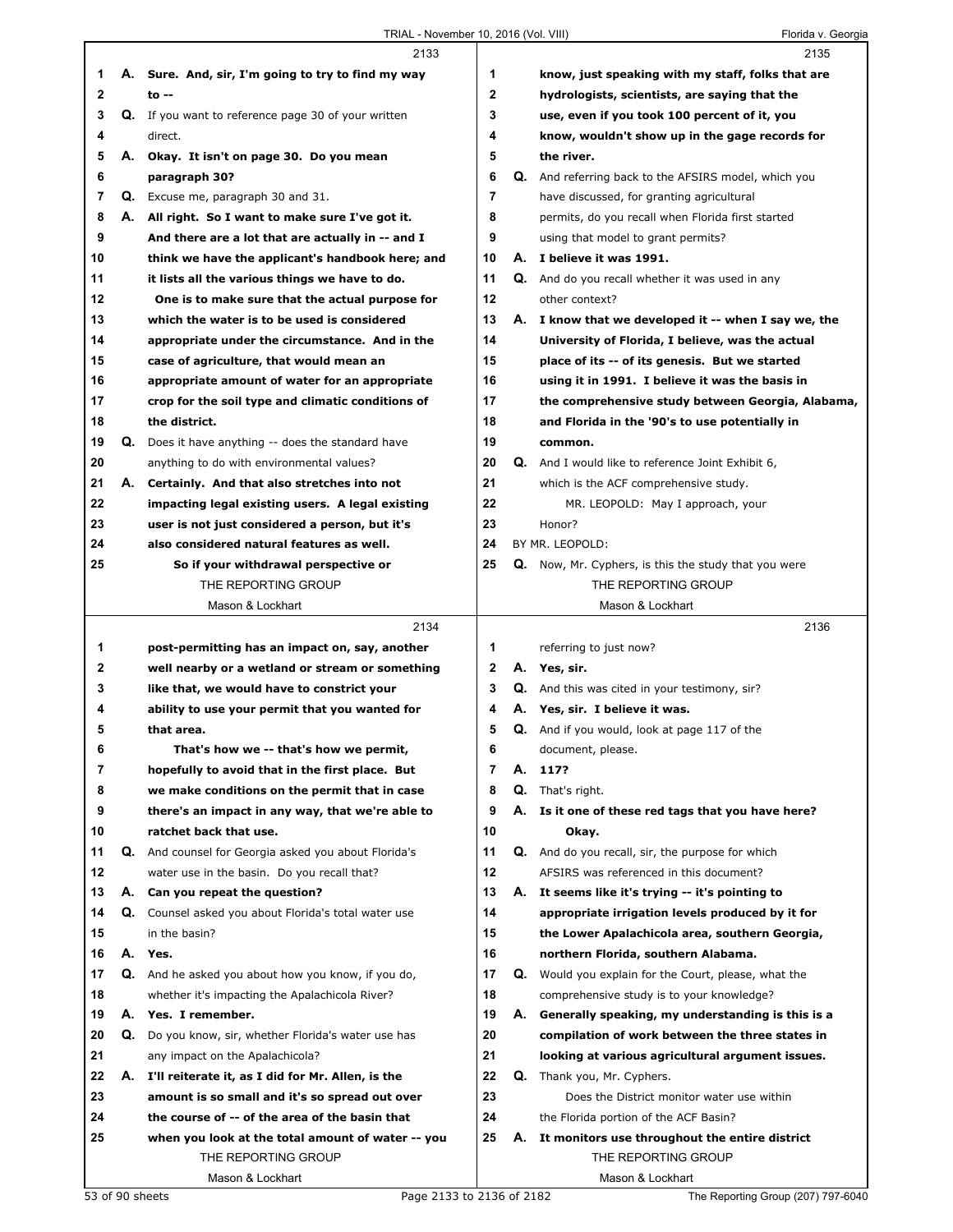|              |    | 2133                                                       |              |    | 2135                                                        |
|--------------|----|------------------------------------------------------------|--------------|----|-------------------------------------------------------------|
| 1            |    | A. Sure. And, sir, I'm going to try to find my way         | 1            |    | know, just speaking with my staff, folks that are           |
| $\mathbf 2$  |    | $to -$                                                     | $\mathbf{2}$ |    | hydrologists, scientists, are saying that the               |
| 3            |    | <b>Q.</b> If you want to reference page 30 of your written | 3            |    | use, even if you took 100 percent of it, you                |
| 4            |    | direct.                                                    | 4            |    | know, wouldn't show up in the gage records for              |
| 5            |    | A. Okay. It isn't on page 30. Do you mean                  | 5            |    | the river.                                                  |
| 6            |    | paragraph 30?                                              | 6            |    | <b>Q.</b> And referring back to the AFSIRS model, which you |
| 7            |    | Q. Excuse me, paragraph 30 and 31.                         | 7            |    | have discussed, for granting agricultural                   |
| 8            |    | A. All right. So I want to make sure I've got it.          | 8            |    | permits, do you recall when Florida first started           |
| 9            |    | And there are a lot that are actually in -- and I          | 9            |    | using that model to grant permits?                          |
| 10           |    | think we have the applicant's handbook here; and           | 10           |    | A. I believe it was 1991.                                   |
| 11           |    | it lists all the various things we have to do.             | 11           |    | <b>Q.</b> And do you recall whether it was used in any      |
| 12           |    | One is to make sure that the actual purpose for            | 12           |    | other context?                                              |
| 13           |    | which the water is to be used is considered                | 13           |    | A. I know that we developed it -- when I say we, the        |
| 14           |    | appropriate under the circumstance. And in the             | 14           |    | University of Florida, I believe, was the actual            |
| 15           |    | case of agriculture, that would mean an                    | 15           |    | place of its -- of its genesis. But we started              |
| 16           |    | appropriate amount of water for an appropriate             | 16           |    | using it in 1991. I believe it was the basis in             |
| 17           |    | crop for the soil type and climatic conditions of          | 17           |    | the comprehensive study between Georgia, Alabama,           |
| 18           |    | the district.                                              | 18           |    | and Florida in the '90's to use potentially in              |
| 19           |    | Q. Does it have anything -- does the standard have         | 19           |    | common.                                                     |
| 20           |    | anything to do with environmental values?                  | 20           |    | Q. And I would like to reference Joint Exhibit 6,           |
| 21           | А. | Certainly. And that also stretches into not                | 21           |    | which is the ACF comprehensive study.                       |
| 22           |    | impacting legal existing users. A legal existing           | 22           |    | MR. LEOPOLD: May I approach, your                           |
| 23           |    | user is not just considered a person, but it's             | 23           |    | Honor?                                                      |
| 24           |    | also considered natural features as well.                  | 24           |    | BY MR. LEOPOLD:                                             |
| 25           |    | So if your withdrawal perspective or                       | 25           |    | <b>Q.</b> Now, Mr. Cyphers, is this the study that you were |
|              |    | THE REPORTING GROUP                                        |              |    | THE REPORTING GROUP                                         |
|              |    | Mason & Lockhart<br>2134                                   |              |    | Mason & Lockhart<br>2136                                    |
| 1            |    | post-permitting has an impact on, say, another             | 1            |    | referring to just now?                                      |
| $\mathbf{2}$ |    | well nearby or a wetland or stream or something            | $\mathbf{2}$ |    | A. Yes, sir.                                                |
| 3            |    | like that, we would have to constrict your                 | 3            |    | Q. And this was cited in your testimony, sir?               |
| 4            |    | ability to use your permit that you wanted for             | 4            |    | A. Yes, sir. I believe it was.                              |
| 5            |    | that area.                                                 | 5            |    | Q. And if you would, look at page 117 of the                |
| 6            |    | That's how we -- that's how we permit,                     | 6            |    | document, please.                                           |
| 7            |    | hopefully to avoid that in the first place. But            | 7            | А. | 117?                                                        |
| 8            |    | we make conditions on the permit that in case              | 8            |    | Q. That's right.                                            |
| 9            |    | there's an impact in any way, that we're able to           | 9            | А. | Is it one of these red tags that you have here?             |
| 10           |    | ratchet back that use.                                     | 10           |    | Okay.                                                       |
| 11           |    | Q. And counsel for Georgia asked you about Florida's       | 11           |    | Q. And do you recall, sir, the purpose for which            |
| 12           |    | water use in the basin. Do you recall that?                | 12           |    | AFSIRS was referenced in this document?                     |
| 13           | А. | Can you repeat the question?                               | 13           |    | A. It seems like it's trying -- it's pointing to            |
| 14           |    | Q. Counsel asked you about Florida's total water use       | 14           |    | appropriate irrigation levels produced by it for            |
| 15           |    | in the basin?                                              | 15           |    | the Lower Apalachicola area, southern Georgia,              |
| 16           |    | A. Yes.                                                    | 16           |    | northern Florida, southern Alabama.                         |
| 17           |    | Q. And he asked you about how you know, if you do,         | 17           |    | Q. Would you explain for the Court, please, what the        |
| 18           |    | whether it's impacting the Apalachicola River?             | 18           |    | comprehensive study is to your knowledge?                   |
| 19           | А. | Yes. I remember.                                           | 19           | А. | Generally speaking, my understanding is this is a           |
| 20           | Q. | Do you know, sir, whether Florida's water use has          | 20           |    | compilation of work between the three states in             |
| 21           |    | any impact on the Apalachicola?                            | 21           |    | looking at various agricultural argument issues.            |
| 22           | А. | I'll reiterate it, as I did for Mr. Allen, is the          | 22           |    | Q. Thank you, Mr. Cyphers.                                  |
| 23           |    | amount is so small and it's so spread out over             | 23           |    | Does the District monitor water use within                  |
| 24           |    | the course of -- of the area of the basin that             | 24           |    | the Florida portion of the ACF Basin?                       |
| 25           |    | when you look at the total amount of water -- you          | 25           | А. | It monitors use throughout the entire district              |
|              |    | THE REPORTING GROUP                                        |              |    | THE REPORTING GROUP                                         |
|              |    | Mason & Lockhart                                           |              |    | Mason & Lockhart                                            |
|              |    | 53 of 90 sheets<br>Page 2133 to 2136 of 2182               |              |    | The Reporting Group (207) 797-6040                          |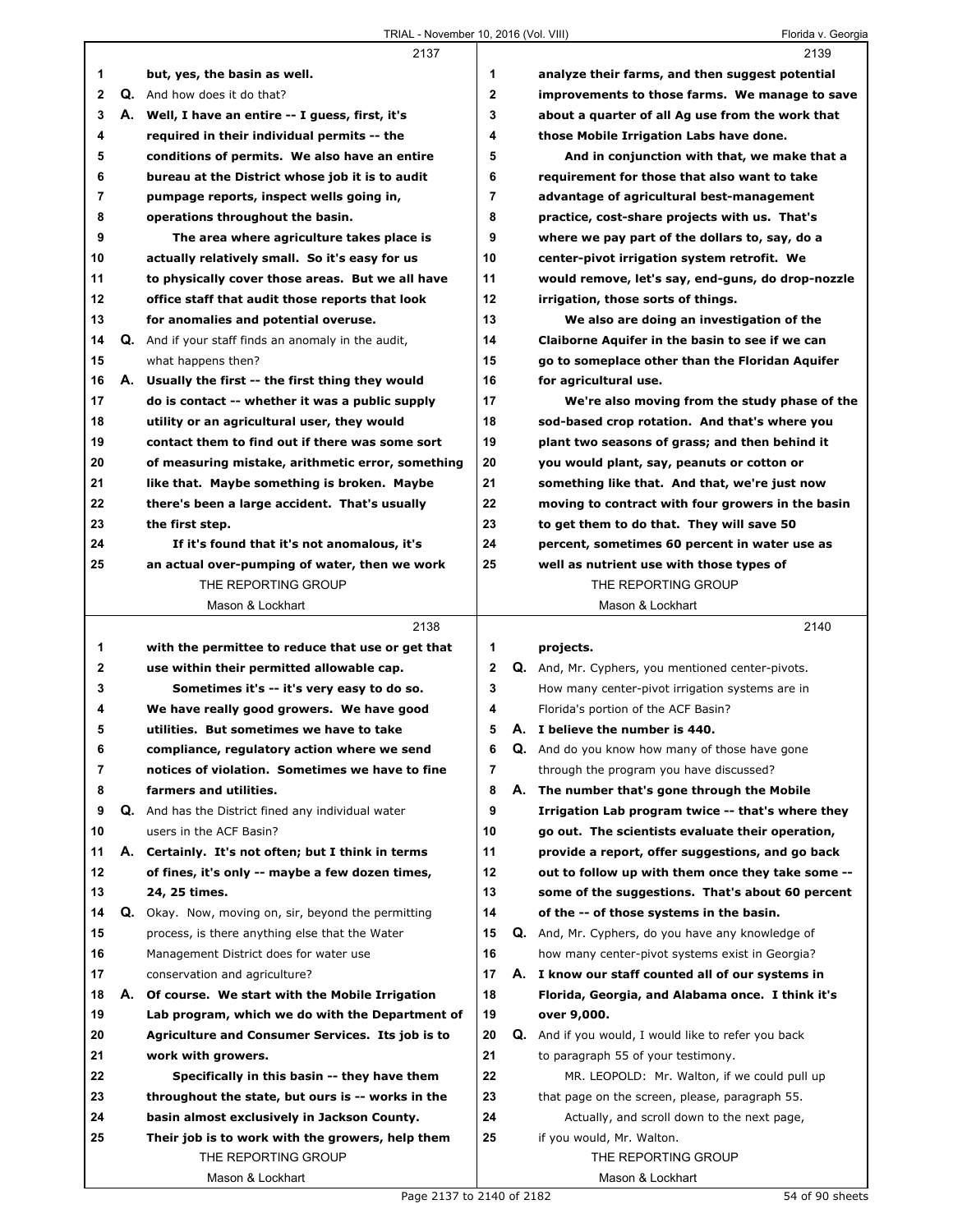|              |    | 2137                                                |                | 2139                                                |
|--------------|----|-----------------------------------------------------|----------------|-----------------------------------------------------|
| 1            |    | but, yes, the basin as well.                        | 1              | analyze their farms, and then suggest potential     |
| $\mathbf{2}$ |    | Q. And how does it do that?                         | $\mathbf{2}$   | improvements to those farms. We manage to save      |
| 3            |    | A. Well, I have an entire -- I guess, first, it's   | 3              | about a quarter of all Ag use from the work that    |
| 4            |    | required in their individual permits -- the         | 4              | those Mobile Irrigation Labs have done.             |
| 5            |    | conditions of permits. We also have an entire       | 5              | And in conjunction with that, we make that a        |
| 6            |    | bureau at the District whose job it is to audit     | 6              | requirement for those that also want to take        |
| 7            |    | pumpage reports, inspect wells going in,            | $\overline{7}$ | advantage of agricultural best-management           |
| 8            |    | operations throughout the basin.                    | 8              | practice, cost-share projects with us. That's       |
| 9            |    | The area where agriculture takes place is           | 9              | where we pay part of the dollars to, say, do a      |
| 10           |    | actually relatively small. So it's easy for us      | 10             | center-pivot irrigation system retrofit. We         |
| 11           |    | to physically cover those areas. But we all have    | 11             | would remove, let's say, end-guns, do drop-nozzle   |
| 12           |    | office staff that audit those reports that look     | 12             | irrigation, those sorts of things.                  |
| 13           |    | for anomalies and potential overuse.                | 13             | We also are doing an investigation of the           |
| 14           |    | Q. And if your staff finds an anomaly in the audit, | 14             | Claiborne Aquifer in the basin to see if we can     |
| 15           |    | what happens then?                                  | 15             | go to someplace other than the Floridan Aquifer     |
| 16           |    | A. Usually the first -- the first thing they would  | 16             | for agricultural use.                               |
| 17           |    | do is contact -- whether it was a public supply     | 17             | We're also moving from the study phase of the       |
| 18           |    | utility or an agricultural user, they would         | 18             | sod-based crop rotation. And that's where you       |
| 19           |    | contact them to find out if there was some sort     | 19             | plant two seasons of grass; and then behind it      |
| 20           |    | of measuring mistake, arithmetic error, something   | 20             | you would plant, say, peanuts or cotton or          |
| 21           |    | like that. Maybe something is broken. Maybe         | 21             | something like that. And that, we're just now       |
| 22           |    | there's been a large accident. That's usually       | 22             | moving to contract with four growers in the basin   |
| 23           |    | the first step.                                     | 23             | to get them to do that. They will save 50           |
| 24           |    | If it's found that it's not anomalous, it's         | 24             | percent, sometimes 60 percent in water use as       |
| 25           |    | an actual over-pumping of water, then we work       | 25             | well as nutrient use with those types of            |
|              |    | THE REPORTING GROUP                                 |                | THE REPORTING GROUP                                 |
|              |    | Mason & Lockhart                                    |                | Mason & Lockhart                                    |
|              |    |                                                     |                |                                                     |
|              |    | 2138                                                |                | 2140                                                |
| 1            |    | with the permittee to reduce that use or get that   | 1              | projects.                                           |
| 2            |    | use within their permitted allowable cap.           | $\mathbf{2}$   | Q. And, Mr. Cyphers, you mentioned center-pivots.   |
| 3            |    | Sometimes it's -- it's very easy to do so.          | 3              | How many center-pivot irrigation systems are in     |
| 4            |    | We have really good growers. We have good           | 4              | Florida's portion of the ACF Basin?                 |
| 5            |    | utilities. But sometimes we have to take            | 5              | A. I believe the number is 440.                     |
| 6            |    | compliance, regulatory action where we send         | 6              | Q. And do you know how many of those have gone      |
| 7            |    | notices of violation. Sometimes we have to fine     | 7              | through the program you have discussed?             |
| 8            |    | farmers and utilities.                              | 8              | A. The number that's gone through the Mobile        |
| 9            |    | Q. And has the District fined any individual water  | 9              | Irrigation Lab program twice -- that's where they   |
| 10           |    | users in the ACF Basin?                             | 10             | go out. The scientists evaluate their operation,    |
| 11           | А. | Certainly. It's not often; but I think in terms     | 11             | provide a report, offer suggestions, and go back    |
| 12           |    | of fines, it's only -- maybe a few dozen times,     | 12             | out to follow up with them once they take some --   |
| 13           |    | 24, 25 times.                                       | 13             | some of the suggestions. That's about 60 percent    |
| 14           | Q. | Okay. Now, moving on, sir, beyond the permitting    | 14             | of the -- of those systems in the basin.            |
| 15           |    | process, is there anything else that the Water      | 15             | Q. And, Mr. Cyphers, do you have any knowledge of   |
| 16           |    | Management District does for water use              | 16             | how many center-pivot systems exist in Georgia?     |
| 17           |    | conservation and agriculture?                       | 17             | A. I know our staff counted all of our systems in   |
| 18           | А. | Of course. We start with the Mobile Irrigation      | 18             | Florida, Georgia, and Alabama once. I think it's    |
| 19           |    | Lab program, which we do with the Department of     | 19             | over 9,000.                                         |
| 20           |    | Agriculture and Consumer Services. Its job is to    | 20             | Q. And if you would, I would like to refer you back |
| 21           |    | work with growers.                                  | 21             | to paragraph 55 of your testimony.                  |
| 22           |    | Specifically in this basin -- they have them        | 22             | MR. LEOPOLD: Mr. Walton, if we could pull up        |
| 23           |    | throughout the state, but ours is -- works in the   | 23             | that page on the screen, please, paragraph 55.      |
| 24           |    | basin almost exclusively in Jackson County.         | 24             | Actually, and scroll down to the next page,         |
| 25           |    | Their job is to work with the growers, help them    | 25             | if you would, Mr. Walton.                           |
|              |    | THE REPORTING GROUP<br>Mason & Lockhart             |                | THE REPORTING GROUP<br>Mason & Lockhart             |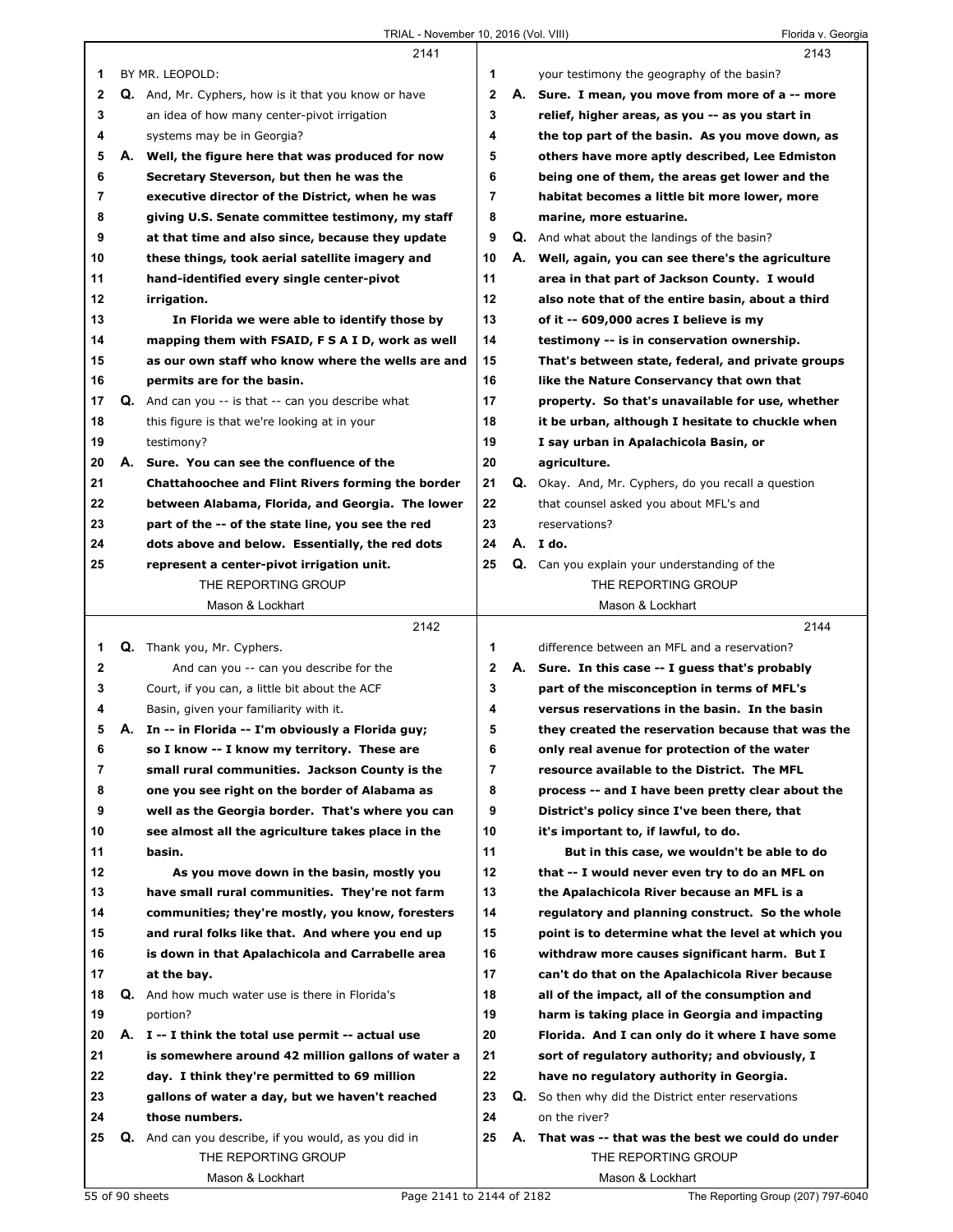|              |    | 2141                                                        |                |    | 2143                                                       |
|--------------|----|-------------------------------------------------------------|----------------|----|------------------------------------------------------------|
| 1            |    | BY MR. LEOPOLD:                                             | 1              |    | your testimony the geography of the basin?                 |
| $\mathbf{2}$ |    | <b>Q.</b> And, Mr. Cyphers, how is it that you know or have | $\overline{2}$ | А. | Sure. I mean, you move from more of a -- more              |
| 3            |    | an idea of how many center-pivot irrigation                 | 3              |    | relief, higher areas, as you -- as you start in            |
| 4            |    | systems may be in Georgia?                                  | 4              |    | the top part of the basin. As you move down, as            |
| 5            |    | A. Well, the figure here that was produced for now          | 5              |    | others have more aptly described, Lee Edmiston             |
| 6            |    | Secretary Steverson, but then he was the                    | 6              |    | being one of them, the areas get lower and the             |
| 7            |    | executive director of the District, when he was             | 7              |    | habitat becomes a little bit more lower, more              |
| 8            |    | giving U.S. Senate committee testimony, my staff            | 8              |    | marine, more estuarine.                                    |
| 9            |    | at that time and also since, because they update            | 9              |    | <b>Q.</b> And what about the landings of the basin?        |
| 10           |    | these things, took aerial satellite imagery and             | 10             |    | A. Well, again, you can see there's the agriculture        |
| 11           |    | hand-identified every single center-pivot                   | 11             |    | area in that part of Jackson County. I would               |
| 12           |    | irrigation.                                                 | 12             |    | also note that of the entire basin, about a third          |
| 13           |    | In Florida we were able to identify those by                | 13             |    | of it -- 609,000 acres I believe is my                     |
| 14           |    | mapping them with FSAID, F S A I D, work as well            | 14             |    | testimony -- is in conservation ownership.                 |
| 15           |    | as our own staff who know where the wells are and           | 15             |    | That's between state, federal, and private groups          |
| 16           |    | permits are for the basin.                                  | 16             |    | like the Nature Conservancy that own that                  |
| 17           |    | Q. And can you -- is that -- can you describe what          | 17             |    | property. So that's unavailable for use, whether           |
| 18           |    | this figure is that we're looking at in your                | 18             |    | it be urban, although I hesitate to chuckle when           |
| 19           |    | testimony?                                                  | 19             |    | I say urban in Apalachicola Basin, or                      |
| 20           |    | A. Sure. You can see the confluence of the                  | 20             |    | agriculture.                                               |
| 21           |    | <b>Chattahoochee and Flint Rivers forming the border</b>    | 21             |    | <b>Q.</b> Okay. And, Mr. Cyphers, do you recall a question |
| 22           |    | between Alabama, Florida, and Georgia. The lower            | 22             |    | that counsel asked you about MFL's and                     |
| 23           |    | part of the -- of the state line, you see the red           | 23             |    | reservations?                                              |
| 24           |    | dots above and below. Essentially, the red dots             | 24             |    | A. Ido.                                                    |
| 25           |    | represent a center-pivot irrigation unit.                   | 25             |    | <b>Q.</b> Can you explain your understanding of the        |
|              |    | THE REPORTING GROUP                                         |                |    | THE REPORTING GROUP                                        |
|              |    |                                                             |                |    |                                                            |
|              |    | Mason & Lockhart                                            |                |    | Mason & Lockhart                                           |
|              |    | 2142                                                        |                |    | 2144                                                       |
| 1            |    | Q. Thank you, Mr. Cyphers.                                  | 1              |    | difference between an MFL and a reservation?               |
| 2            |    | And can you -- can you describe for the                     | 2              |    | A. Sure. In this case -- I quess that's probably           |
| 3            |    | Court, if you can, a little bit about the ACF               | 3              |    | part of the misconception in terms of MFL's                |
| 4            |    | Basin, given your familiarity with it.                      | 4              |    | versus reservations in the basin. In the basin             |
| 5            | А. | In -- in Florida -- I'm obviously a Florida guy;            | 5              |    | they created the reservation because that was the          |
| 6            |    | so I know -- I know my territory. These are                 | 6              |    | only real avenue for protection of the water               |
| 7            |    | small rural communities. Jackson County is the              | 7              |    | resource available to the District. The MFL                |
| 8            |    | one you see right on the border of Alabama as               | 8              |    | process -- and I have been pretty clear about the          |
| 9            |    | well as the Georgia border. That's where you can            | 9              |    | District's policy since I've been there, that              |
| 10           |    | see almost all the agriculture takes place in the           | 10             |    | it's important to, if lawful, to do.                       |
| 11           |    | basin.                                                      | 11             |    | But in this case, we wouldn't be able to do                |
| 12           |    | As you move down in the basin, mostly you                   | 12             |    | that -- I would never even try to do an MFL on             |
| 13           |    | have small rural communities. They're not farm              | 13             |    | the Apalachicola River because an MFL is a                 |
| 14           |    | communities; they're mostly, you know, foresters            | 14             |    | regulatory and planning construct. So the whole            |
| 15           |    | and rural folks like that. And where you end up             | 15             |    | point is to determine what the level at which you          |
| 16           |    | is down in that Apalachicola and Carrabelle area            | 16             |    | withdraw more causes significant harm. But I               |
| 17           |    | at the bay.                                                 | 17             |    | can't do that on the Apalachicola River because            |
| 18           |    | Q. And how much water use is there in Florida's             | 18             |    | all of the impact, all of the consumption and              |
| 19           |    | portion?                                                    | 19             |    | harm is taking place in Georgia and impacting              |
| 20           |    | A. I -- I think the total use permit -- actual use          | 20             |    | Florida. And I can only do it where I have some            |
| 21           |    | is somewhere around 42 million gallons of water a           | 21             |    | sort of regulatory authority; and obviously, I             |
| 22           |    | day. I think they're permitted to 69 million                | 22             |    | have no regulatory authority in Georgia.                   |
| 23           |    | gallons of water a day, but we haven't reached              | 23             | Q. | So then why did the District enter reservations            |
| 24           |    | those numbers.                                              | 24             |    | on the river?                                              |
| 25           |    | Q. And can you describe, if you would, as you did in        | 25             |    | A. That was -- that was the best we could do under         |
|              |    | THE REPORTING GROUP<br>Mason & Lockhart                     |                |    | THE REPORTING GROUP<br>Mason & Lockhart                    |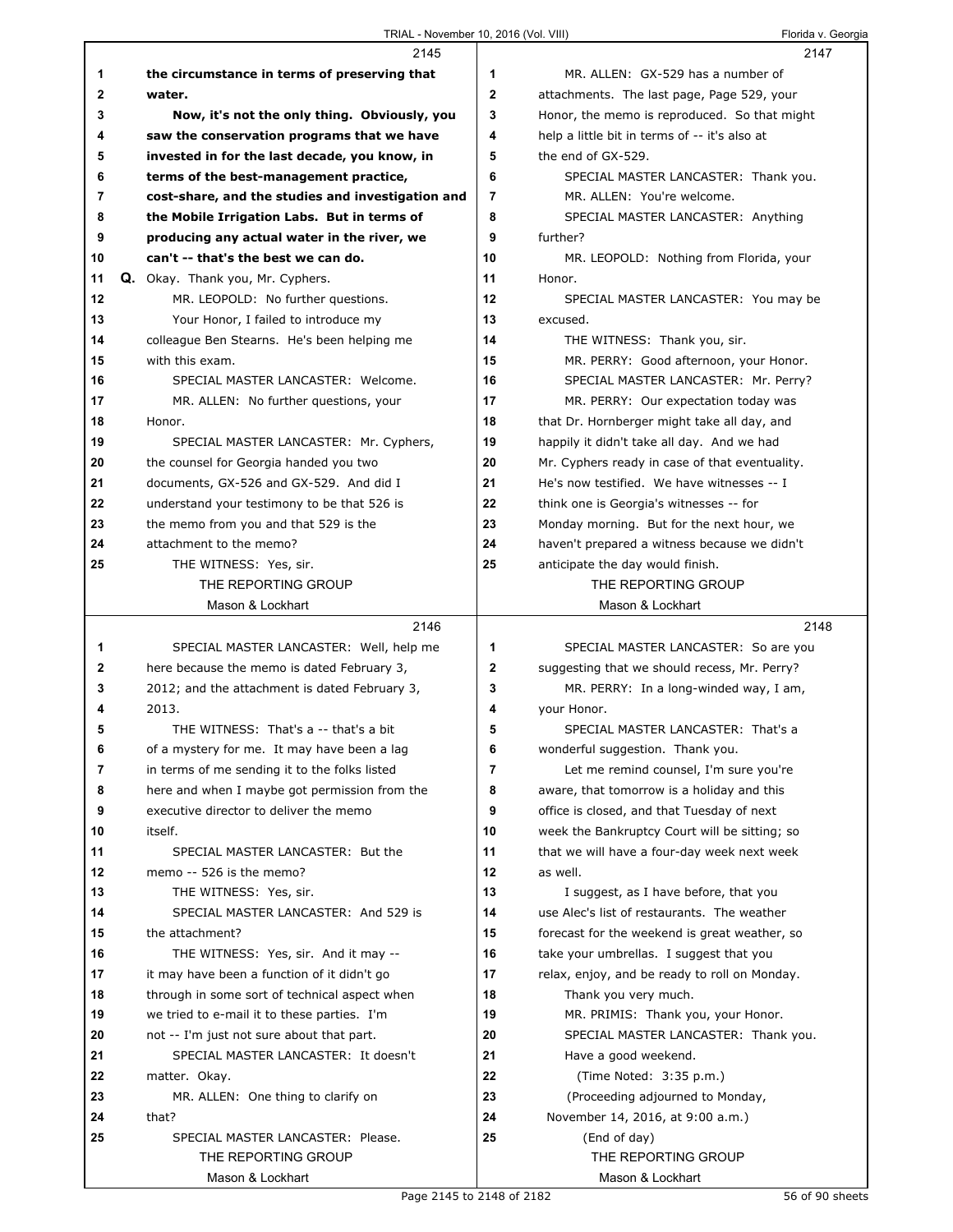|    | 2145                                              |                | 2147                                           |
|----|---------------------------------------------------|----------------|------------------------------------------------|
| 1  | the circumstance in terms of preserving that      | 1              | MR. ALLEN: GX-529 has a number of              |
| 2  | water.                                            | $\mathbf{2}$   | attachments. The last page, Page 529, your     |
| 3  | Now, it's not the only thing. Obviously, you      | 3              | Honor, the memo is reproduced. So that might   |
| 4  | saw the conservation programs that we have        | 4              | help a little bit in terms of -- it's also at  |
| 5  | invested in for the last decade, you know, in     | 5              | the end of GX-529.                             |
| 6  | terms of the best-management practice,            | 6              | SPECIAL MASTER LANCASTER: Thank you.           |
| 7  | cost-share, and the studies and investigation and | $\overline{7}$ | MR. ALLEN: You're welcome.                     |
| 8  | the Mobile Irrigation Labs. But in terms of       | 8              | SPECIAL MASTER LANCASTER: Anything             |
| 9  | producing any actual water in the river, we       | 9              | further?                                       |
| 10 | can't -- that's the best we can do.               | 10             | MR. LEOPOLD: Nothing from Florida, your        |
| 11 | Q. Okay. Thank you, Mr. Cyphers.                  | 11             | Honor.                                         |
| 12 | MR. LEOPOLD: No further questions.                | 12             | SPECIAL MASTER LANCASTER: You may be           |
| 13 | Your Honor, I failed to introduce my              | 13             | excused.                                       |
| 14 | colleague Ben Stearns. He's been helping me       | 14             | THE WITNESS: Thank you, sir.                   |
| 15 | with this exam.                                   | 15             | MR. PERRY: Good afternoon, your Honor.         |
| 16 | SPECIAL MASTER LANCASTER: Welcome.                | 16             | SPECIAL MASTER LANCASTER: Mr. Perry?           |
| 17 | MR. ALLEN: No further questions, your             | 17             | MR. PERRY: Our expectation today was           |
| 18 | Honor.                                            | 18             | that Dr. Hornberger might take all day, and    |
| 19 | SPECIAL MASTER LANCASTER: Mr. Cyphers,            | 19             | happily it didn't take all day. And we had     |
| 20 | the counsel for Georgia handed you two            | 20             | Mr. Cyphers ready in case of that eventuality. |
| 21 | documents, GX-526 and GX-529. And did I           | 21             | He's now testified. We have witnesses -- I     |
| 22 | understand your testimony to be that 526 is       | 22             | think one is Georgia's witnesses -- for        |
| 23 | the memo from you and that 529 is the             | 23             | Monday morning. But for the next hour, we      |
| 24 | attachment to the memo?                           | 24             | haven't prepared a witness because we didn't   |
| 25 |                                                   | 25             | anticipate the day would finish.               |
|    | THE WITNESS: Yes, sir.<br>THE REPORTING GROUP     |                | THE REPORTING GROUP                            |
|    | Mason & Lockhart                                  |                | Mason & Lockhart                               |
|    |                                                   |                |                                                |
|    |                                                   |                |                                                |
|    | 2146                                              |                | 2148                                           |
| 1  | SPECIAL MASTER LANCASTER: Well, help me           | 1              | SPECIAL MASTER LANCASTER: So are you           |
| 2  | here because the memo is dated February 3,        | 2              | suggesting that we should recess, Mr. Perry?   |
| 3  | 2012; and the attachment is dated February 3,     | 3              | MR. PERRY: In a long-winded way, I am,         |
| 4  | 2013.                                             | 4              | your Honor.                                    |
| 5  | THE WITNESS: That's a -- that's a bit             | 5              | SPECIAL MASTER LANCASTER: That's a             |
| 6  | of a mystery for me. It may have been a lag       | 6              | wonderful suggestion. Thank you.               |
| 7  | in terms of me sending it to the folks listed     | 7              | Let me remind counsel, I'm sure you're         |
| 8  | here and when I maybe got permission from the     | 8              | aware, that tomorrow is a holiday and this     |
| 9  | executive director to deliver the memo            | 9              | office is closed, and that Tuesday of next     |
| 10 | itself.                                           | 10             | week the Bankruptcy Court will be sitting; so  |
| 11 | SPECIAL MASTER LANCASTER: But the                 | 11             | that we will have a four-day week next week    |
| 12 | memo -- 526 is the memo?                          | 12             | as well.                                       |
| 13 | THE WITNESS: Yes, sir.                            | 13             | I suggest, as I have before, that you          |
| 14 | SPECIAL MASTER LANCASTER: And 529 is              | 14             | use Alec's list of restaurants. The weather    |
| 15 | the attachment?                                   | 15             | forecast for the weekend is great weather, so  |
| 16 | THE WITNESS: Yes, sir. And it may --              | 16             | take your umbrellas. I suggest that you        |
| 17 | it may have been a function of it didn't go       | 17             | relax, enjoy, and be ready to roll on Monday.  |
| 18 | through in some sort of technical aspect when     | 18             | Thank you very much.                           |
| 19 | we tried to e-mail it to these parties. I'm       | 19             | MR. PRIMIS: Thank you, your Honor.             |
| 20 | not -- I'm just not sure about that part.         | 20             | SPECIAL MASTER LANCASTER: Thank you.           |
| 21 | SPECIAL MASTER LANCASTER: It doesn't              | 21             | Have a good weekend.                           |
| 22 | matter. Okay.                                     | 22             | (Time Noted: 3:35 p.m.)                        |
| 23 | MR. ALLEN: One thing to clarify on                | 23             | (Proceeding adjourned to Monday,               |
| 24 | that?                                             | 24             | November 14, 2016, at 9:00 a.m.)               |
| 25 | SPECIAL MASTER LANCASTER: Please.                 | 25             | (End of day)                                   |
|    | THE REPORTING GROUP                               |                | THE REPORTING GROUP                            |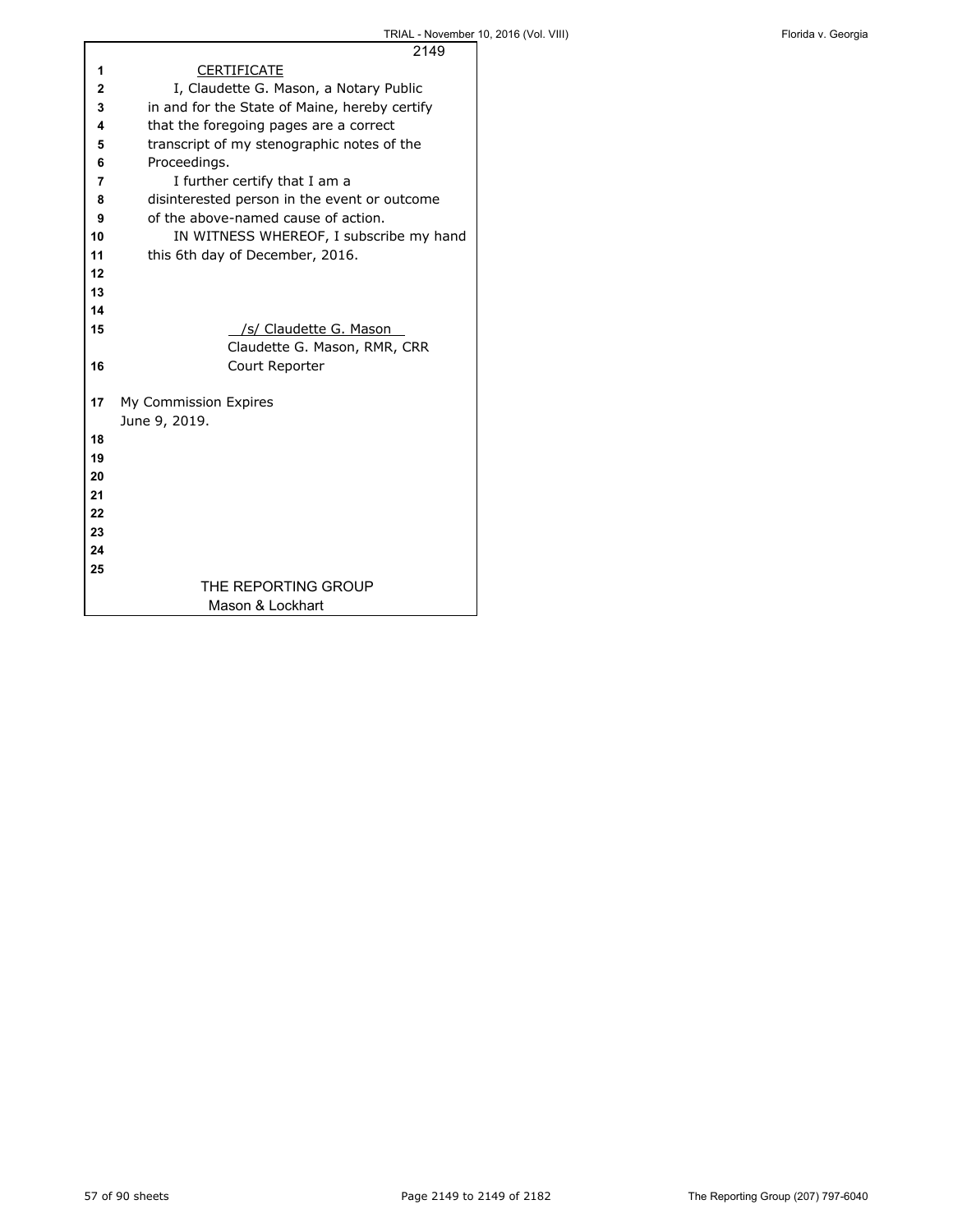|    | 2149                                          |
|----|-----------------------------------------------|
| 1  | <b>CERTIFICATE</b>                            |
| 2  | I, Claudette G. Mason, a Notary Public        |
| 3  | in and for the State of Maine, hereby certify |
| 4  | that the foregoing pages are a correct        |
| 5  | transcript of my stenographic notes of the    |
| 6  | Proceedings.                                  |
| 7  | I further certify that I am a                 |
| 8  | disinterested person in the event or outcome  |
| 9  | of the above-named cause of action.           |
| 10 | IN WITNESS WHEREOF, I subscribe my hand       |
| 11 | this 6th day of December, 2016.               |
| 12 |                                               |
| 13 |                                               |
| 14 |                                               |
| 15 | /s/ Claudette G. Mason                        |
|    | Claudette G. Mason, RMR, CRR                  |
| 16 | Court Reporter                                |
|    |                                               |
| 17 | My Commission Expires                         |
|    | June 9, 2019.                                 |
| 18 |                                               |
| 19 |                                               |
| 20 |                                               |
| 21 |                                               |
| 22 |                                               |
| 23 |                                               |
| 24 |                                               |
| 25 |                                               |
|    | THE REPORTING GROUP                           |
|    | Mason & Lockhart                              |

Г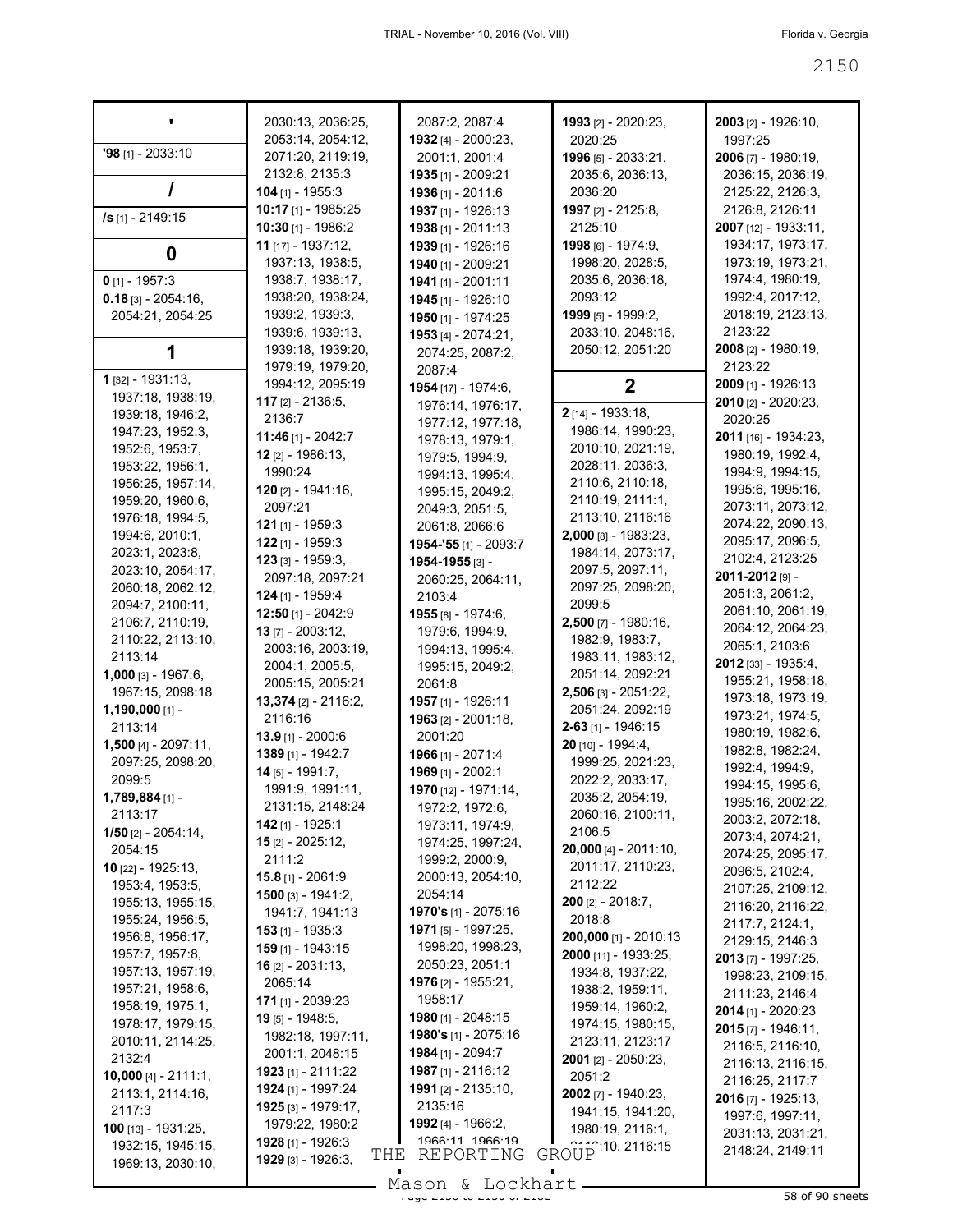|                                    | 2030:13, 2036:25,                     | 2087:2, 2087:4                                    | 1993 [2] - 2020:23,                      | 2003 [2] - 1926:10,                     |
|------------------------------------|---------------------------------------|---------------------------------------------------|------------------------------------------|-----------------------------------------|
|                                    | 2053:14, 2054:12,                     | <b>1932</b> [4] - 2000:23,                        | 2020:25                                  | 1997:25                                 |
| $'98$ [1] - 2033:10                | 2071:20, 2119:19,                     | 2001:1, 2001:4                                    | 1996 [5] - 2033:21,                      | 2006 [7] - 1980:19,                     |
|                                    | 2132:8, 2135:3                        | 1935 [1] - 2009:21                                | 2035:6, 2036:13,                         | 2036:15, 2036:19,                       |
|                                    | $104$ [1] - 1955:3                    | 1936 [1] - 2011:6                                 | 2036:20                                  | 2125:22, 2126:3,                        |
| /s [1] - 2149:15                   | 10:17 [1] - 1985:25                   | 1937 [1] - 1926:13                                | 1997 [2] - 2125:8,                       | 2126:8, 2126:11                         |
|                                    | $10:30$ [1] - 1986:2                  | 1938 [1] - 2011:13                                | 2125:10                                  | 2007 [12] - 1933:11,                    |
| 0                                  | 11 $[17] - 1937:12$                   | 1939 [1] - 1926:16                                | 1998 [6] - 1974:9,                       | 1934:17, 1973:17,                       |
|                                    | 1937:13, 1938:5,                      | 1940 [1] - 2009:21                                | 1998:20, 2028:5,                         | 1973:19, 1973:21,                       |
| $0$ [1] - 1957:3                   | 1938:7, 1938:17,                      | 1941 [1] - 2001:11                                | 2035:6, 2036:18,                         | 1974:4, 1980:19,                        |
| $0.18$ [3] - 2054:16,              | 1938:20, 1938:24,                     | 1945 [1] - 1926:10                                | 2093:12                                  | 1992:4, 2017:12,                        |
| 2054:21, 2054:25                   | 1939:2, 1939:3,<br>1939:6, 1939:13,   | 1950 [1] - 1974:25                                | 1999 [5] - 1999:2,<br>2033:10, 2048:16,  | 2018:19, 2123:13,<br>2123:22            |
|                                    | 1939:18, 1939:20,                     | 1953 [4] - 2074:21,                               | 2050:12, 2051:20                         | <b>2008</b> [2] - 1980:19,              |
|                                    | 1979:19, 1979:20,                     | 2074:25, 2087:2,                                  |                                          | 2123:22                                 |
| 1 [32] - 1931:13,                  | 1994:12, 2095:19                      | 2087:4                                            | 2                                        | 2009 [1] - 1926:13                      |
| 1937:18, 1938:19,                  | <b>117</b> [2] - 2136:5,              | <b>1954</b> [17] - 1974:6,<br>1976:14, 1976:17,   |                                          | 2010 [2] - 2020:23,                     |
| 1939:18, 1946:2,                   | 2136:7                                | 1977:12, 1977:18,                                 | 2 [14] - 1933:18,                        | 2020:25                                 |
| 1947:23, 1952:3,                   | 11:46 [1] - 2042:7                    | 1978:13, 1979:1,                                  | 1986:14, 1990:23,                        | 2011 [16] - 1934:23,                    |
| 1952:6, 1953:7,                    | $12$ [2] - 1986:13,                   | 1979:5, 1994:9,                                   | 2010:10, 2021:19,                        | 1980:19, 1992:4,                        |
| 1953:22, 1956:1,                   | 1990:24                               | 1994:13, 1995:4,                                  | 2028:11, 2036:3,                         | 1994: 9, 1994: 15,                      |
| 1956:25, 1957:14,                  | $120$ [2] - 1941:16,                  | 1995:15, 2049:2,                                  | 2110.6, 2110:18,                         | 1995:6, 1995:16,                        |
| 1959:20, 1960:6,                   | 2097:21                               | 2049:3, 2051:5,                                   | 2110:19, 2111:1,                         | 2073:11, 2073:12,                       |
| 1976:18, 1994:5,                   | 121 [1] - 1959:3                      | 2061:8, 2066:6                                    | 2113:10, 2116:16<br>2,000 [8] - 1983:23, | 2074:22, 2090:13,                       |
| 1994:6, 2010:1,<br>2023:1, 2023:8, | 122 [1] - 1959:3                      | 1954-'55 [1] - 2093:7                             | 1984:14, 2073:17,                        | 2095:17, 2096:5,                        |
| 2023:10, 2054:17,                  | $123$ [3] - 1959:3,                   | 1954-1955 [3] -                                   | 2097:5, 2097:11,                         | 2102:4, 2123:25                         |
| 2060:18, 2062:12,                  | 2097:18, 2097:21                      | 2060:25, 2064:11,                                 | 2097:25, 2098:20,                        | 2011-2012 [9] -                         |
| 2094:7, 2100:11,                   | $124$ [1] - 1959:4                    | 2103:4                                            | 2099:5                                   | 2051:3, 2061:2,                         |
| 2106:7, 2110:19,                   | 12:50 [1] - 2042:9                    | 1955 [8] - 1974:6,                                | $2,500$ [7] - 1980:16,                   | 2061:10, 2061:19,                       |
| 2110:22, 2113:10,                  | 13 [7] - 2003:12,                     | 1979:6, 1994:9,                                   | 1982:9, 1983:7,                          | 2064:12, 2064:23,                       |
| 2113:14                            | 2003:16, 2003:19,                     | 1994:13, 1995:4,                                  | 1983:11, 1983:12,                        | 2065:1, 2103:6<br>$2012$ [33] - 1935:4, |
| 1,000 [3] - 1967:6,                | 2004:1, 2005:5,                       | 1995:15, 2049:2,                                  | 2051:14, 2092:21                         | 1955:21, 1958:18,                       |
| 1967:15, 2098:18                   | 2005:15, 2005:21                      | 2061:8                                            | 2,506 [3] - 2051:22,                     | 1973:18, 1973:19,                       |
| $1,190,000$ [1] -                  | 13,374 [2] - 2116:2,<br>2116:16       | 1957 [1] - 1926:11<br>1963 [2] - 2001:18,         | 2051:24, 2092:19                         | 1973:21, 1974:5,                        |
| 2113:14                            | <b>13.9</b> [1] - 2000:6              | 2001:20                                           | 2-63 [1] - 1946:15                       | 1980:19, 1982:6,                        |
| $1,500$ [4] - 2097:11,             | 1389 [1] - 1942:7                     | 1966 [1] - 2071:4                                 | 20 [10] - 1994:4,                        | 1982:8, 1982:24,                        |
| 2097:25, 2098:20,                  | 14 [5] - 1991:7.                      | 1969 [1] - 2002:1                                 | 1999:25, 2021:23,                        | 1992:4, 1994:9,                         |
| 2099:5                             | 1991:9, 1991:11,                      | 1970 [12] - 1971:14,                              | 2022:2, 2033:17,                         | 1994:15, 1995:6,                        |
| $1,789,884$ [1] -                  | 2131:15, 2148:24                      | 1972:2, 1972:6,                                   | 2035:2, 2054:19,                         | 1995:16, 2002:22,                       |
| 2113:17                            | $142$ [1] - 1925:1                    | 1973:11, 1974:9,                                  | 2060:16, 2100:11,<br>2106:5              | 2003:2, 2072:18,                        |
| $1/50$ [2] - 2054:14,<br>2054:15   | $15$ [2] - 2025:12,                   | 1974:25, 1997:24,                                 | 20,000 [4] - 2011:10,                    | 2073:4, 2074:21,                        |
| 10 [22] - 1925:13,                 | 2111:2                                | 1999:2, 2000:9,                                   | 2011:17, 2110:23,                        | 2074:25, 2095:17,                       |
| 1953:4, 1953:5,                    | $15.8$ [1] - 2061:9                   | 2000:13, 2054:10,                                 | 2112:22                                  | 2096:5, 2102:4,                         |
| 1955:13, 1955:15,                  | 1500 [3] - 1941:2,                    | 2054:14                                           | $200$ [2] - 2018:7,                      | 2107:25, 2109:12,<br>2116:20, 2116:22,  |
| 1955:24, 1956:5,                   | 1941:7, 1941:13                       | 1970's [1] - 2075:16                              | 2018:8                                   | 2117:7, 2124:1,                         |
| 1956:8, 1956:17,                   | $153$ [1] - 1935:3                    | 1971 [5] - 1997:25,                               | 200,000 [1] - 2010:13                    | 2129:15, 2146:3                         |
| 1957:7, 1957:8,                    | $159$ [1] - 1943:15                   | 1998:20, 1998:23,                                 | 2000 [11] - 1933:25,                     | 2013 [7] - 1997:25,                     |
| 1957:13, 1957:19,                  | <b>16</b> $[2] - 2031:13$             | 2050:23, 2051:1                                   | 1934:8, 1937:22,                         | 1998:23, 2109:15,                       |
| 1957:21, 1958:6,                   | 2065:14                               | <b>1976</b> [2] - 1955:21,<br>1958:17             | 1938:2, 1959:11,                         | 2111:23, 2146:4                         |
| 1958:19, 1975:1,                   | 171 [1] - 2039:23                     |                                                   | 1959:14, 1960:2,                         | 2014 [1] - 2020:23                      |
| 1978:17, 1979:15,                  | 19 [5] - 1948:5,<br>1982:18, 1997:11, | 1980 [1] - 2048:15<br><b>1980's</b> [1] - 2075:16 | 1974:15, 1980:15,                        | $2015$ [7] - 1946:11,                   |
| 2010:11, 2114:25,                  | 2001:1, 2048:15                       | 1984 [1] - 2094:7                                 | 2123:11, 2123:17                         | 2116:5, 2116:10,                        |
| 2132:4                             | 1923 [1] - 2111:22                    | <b>1987</b> [1] - 2116:12                         | 2001 [2] - 2050:23,                      | 2116:13, 2116:15,                       |
| <b>10,000</b> [4] - 2111:1,        | 1924 [1] - 1997:24                    | <b>1991</b> [2] - 2135:10,                        | 2051:2                                   | 2116:25, 2117:7                         |
| 2113:1, 2114:16,<br>2117:3         | 1925 [3] - 1979:17,                   | 2135:16                                           | 2002 [7] - 1940:23,                      | 2016 [7] - 1925:13,                     |
| 100 [13] - 1931:25,                | 1979:22, 1980:2                       | 1992 [4] - 1966:2,                                | 1941:15, 1941:20,                        | 1997:6, 1997:11,                        |
| 1932:15, 1945:15,                  | 1928 [1] - 1926:3                     | 1966:11 1966:19                                   | 1980:19, 2116:1,                         | 2031:13, 2031:21,                       |
| 1969:13, 2030:10,                  | THE<br>1929 [3] - 1926:3,             | REPORTING                                         | GROUP 10, 2116:15                        | 2148:24, 2149:11                        |
|                                    |                                       |                                                   |                                          |                                         |

Mason & Lockhart <u>entity</u> 2008 of 90 sheets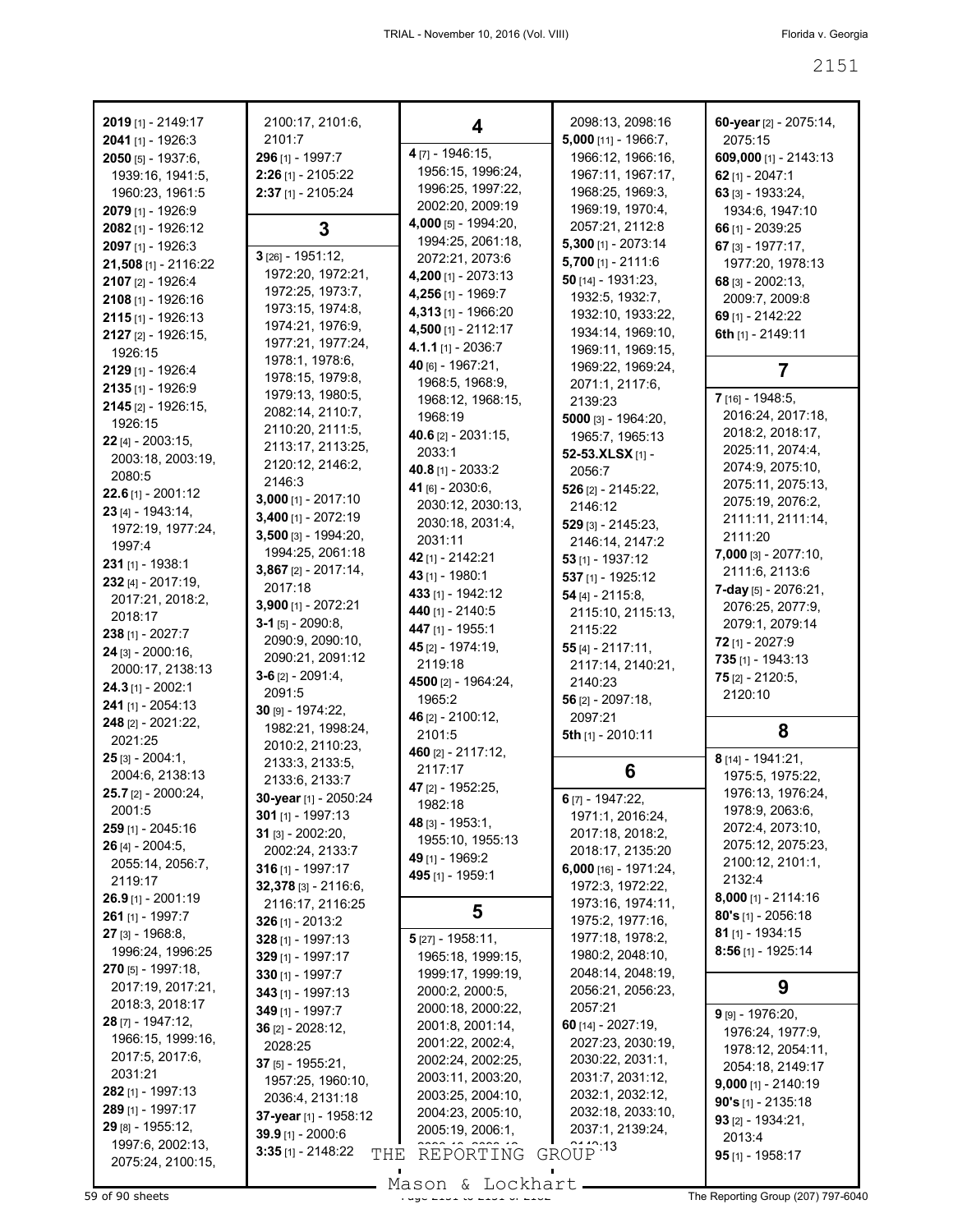| 2019 [1] - 2149:17            | 2100:17, 2101:6,                          | 4                                     | 2098:13, 2098:16                      | 60-year [2] - 2075:14,                |
|-------------------------------|-------------------------------------------|---------------------------------------|---------------------------------------|---------------------------------------|
| 2041 [1] - 1926:3             | 2101:7                                    |                                       | 5,000 [11] - 1966:7,                  | 2075:15                               |
| 2050 [5] - 1937:6,            | 296 [1] - 1997:7                          | 4 [7] - 1946:15,                      | 1966:12, 1966:16,                     | 609,000 [1] - 2143:13                 |
| 1939:16, 1941:5,              | 2:26 [1] - 2105:22                        | 1956:15, 1996:24,                     | 1967:11, 1967:17,                     | 62 $[1] - 2047:1$                     |
| 1960:23, 1961:5               | 2:37 [1] - 2105:24                        | 1996:25, 1997:22,                     | 1968:25, 1969:3,                      | 63 [3] - 1933:24,                     |
| 2079 [1] - 1926:9             |                                           | 2002:20, 2009:19                      | 1969:19, 1970:4,                      | 1934:6, 1947:10                       |
| 2082 [1] - 1926:12            | 3                                         | 4,000 [5] - 1994:20,                  | 2057:21, 2112:8                       | 66 [1] - 2039:25                      |
| 2097 [1] - 1926:3             | $3$ [26] - 1951:12,                       | 1994:25, 2061:18,                     | $5,300$ [1] - 2073:14                 | 67 [3] - 1977:17,                     |
| 21,508 [1] - 2116:22          | 1972:20, 1972:21,                         | 2072:21, 2073:6                       | $5,700$ [1] - 2111:6                  | 1977:20, 1978:13                      |
| 2107 [2] - 1926:4             | 1972:25, 1973:7,                          | 4,200 [1] - 2073:13                   | $50$ [14] - 1931:23,                  | 68 $[3] - 2002:13$                    |
| 2108 [1] - 1926:16            | 1973:15, 1974:8,                          | 4,256 [1] - 1969:7                    | 1932:5, 1932:7,                       | 2009:7, 2009:8                        |
| $2115$ [1] - 1926:13          | 1974:21, 1976:9,                          | 4,313 [1] - 1966:20                   | 1932:10, 1933:22,                     | 69 [1] - 2142:22                      |
| 2127 [2] - 1926:15,           | 1977:21, 1977:24,                         | 4,500 [1] - 2112:17                   | 1934:14, 1969:10,                     | 6th [1] - 2149:11                     |
| 1926:15                       | 1978:1, 1978:6,                           | 4.1.1 [1] - 2036:7                    | 1969:11, 1969:15,                     |                                       |
| 2129 [1] - 1926:4             | 1978:15, 1979:8,                          | 40 [6] - 1967:21,                     | 1969:22, 1969:24,                     | 7                                     |
| 2135 [1] - 1926:9             | 1979:13, 1980:5,                          | 1968:5, 1968:9,                       | 2071:1, 2117:6,                       | 7 [16] - 1948:5,                      |
| 2145 [2] - 1926:15,           | 2082:14, 2110:7,                          | 1968:12, 1968:15,                     | 2139:23                               | 2016:24, 2017:18,                     |
| 1926:15                       | 2110:20, 2111:5,                          | 1968:19                               | 5000 $[3] - 1964:20,$                 | 2018:2, 2018:17,                      |
| 22 [4] - 2003:15,             | 2113:17, 2113:25,                         | 40.6 [2] - 2031:15,                   | 1965:7, 1965:13                       | 2025:11, 2074:4,                      |
| 2003:18, 2003:19,             | 2120:12, 2146:2,                          | 2033:1                                | 52-53.XLSX [1] -                      | 2074:9, 2075:10,                      |
| 2080:5                        | 2146:3                                    | 40.8 [1] - 2033:2                     | 2056:7                                | 2075:11, 2075:13,                     |
| $22.6$ [1] - 2001:12          | $3,000$ [1] - 2017:10                     | 41 [6] - 2030:6,                      | 526 [2] - 2145:22,                    | 2075:19, 2076:2,                      |
| 23 [4] - 1943:14,             | $3,400$ [1] - 2072:19                     | 2030:12, 2030:13,                     | 2146:12                               | 2111:11, 2111:14,                     |
| 1972:19, 1977:24,             | 3,500 [3] - 1994:20,                      | 2030:18, 2031:4,                      | $529$ [3] - 2145:23,                  | 2111:20                               |
| 1997:4                        | 1994:25, 2061:18                          | 2031:11                               | 2146:14, 2147:2                       | 7,000 [3] - 2077:10,                  |
| $231$ [1] - 1938:1            | $3,867$ [2] - 2017:14,                    | 42 [1] - 2142:21                      | $53$ [1] - 1937:12                    | 2111:6, 2113:6                        |
| $232$ [4] - 2017:19,          | 2017:18                                   | 43 [1] - 1980:1                       | 537 [1] - 1925:12                     | <b>7-day</b> [5] - $2076:21$ ,        |
| 2017:21, 2018:2,              | 3,900 [1] - 2072:21                       | 433 [1] - 1942:12                     | $54$ [4] - 2115:8,                    | 2076:25, 2077:9,                      |
| 2018:17                       | $3-1$ [5] - 2090:8,                       | 440 [1] - 2140:5                      | 2115:10, 2115:13,                     | 2079:1, 2079:14                       |
| 238 [1] - 2027:7              | 2090:9, 2090:10,                          | 447 [1] - 1955:1<br>45 [2] - 1974:19, | 2115:22                               | $72$ [1] - 2027:9                     |
| 24 [3] - 2000:16,             | 2090:21, 2091:12                          | 2119:18                               | $55$ [4] - 2117:11,                   | 735 [1] - 1943:13                     |
| 2000:17, 2138:13              | $3-6$ [2] - 2091:4,                       | 4500 [2] - 1964:24,                   | 2117:14, 2140:21,<br>2140:23          | $75$ [2] - 2120:5,                    |
| $24.3$ [1] - 2002:1           | 2091:5                                    | 1965:2                                | 56 $[2] - 2097:18$ ,                  | 2120:10                               |
| 241 [1] - 2054:13             | $30$ [9] - 1974:22,                       | 46 [2] - 2100:12,                     | 2097:21                               |                                       |
| 248 [2] - 2021:22,            | 1982:21, 1998:24,                         | 2101:5                                | 5th [1] - 2010:11                     | 8                                     |
| 2021:25                       | 2010:2, 2110:23,                          | 460 [2] - 2117:12,                    |                                       |                                       |
| $25$ [3] - 2004:1,            | 2133:3, 2133:5,                           | 2117:17                               | 6                                     | 8 [14] - 1941:21,                     |
| 2004:6, 2138:13               | 2133:6, 2133:7                            | 47 [2] - 1952:25,                     |                                       | 1975:5, 1975:22,                      |
| 25.7 [2] - 2000:24,<br>2001:5 | 30-year [1] - 2050:24                     | 1982:18                               | 6 [7] - 1947:22,                      | 1976:13, 1976:24,                     |
|                               | $301$ [1] - 1997:13                       | 48 [3] - 1953:1,                      | 1971:1, 2016:24,                      | 1978:9, 2063:6,                       |
| 259 [1] - 2045:16             | $31$ [3] - 2002:20,                       | 1955:10, 1955:13                      | 2017:18, 2018:2,                      | 2072:4, 2073:10,                      |
| 26 [4] - 2004:5,              | 2002:24, 2133:7                           | 49 [1] - 1969:2                       | 2018:17, 2135:20                      | 2075:12, 2075:23,<br>2100:12, 2101:1, |
| 2055:14, 2056:7,<br>2119:17   | $316$ [1] - 1997:17                       | 495 [1] - 1959:1                      | 6,000 [16] - 1971:24,                 | 2132:4                                |
| $26.9$ [1] - 2001:19          | 32,378 [3] - 2116:6,                      |                                       | 1972:3, 1972:22,                      | <b>8,000</b> [1] - 2114:16            |
| 261 [1] - 1997:7              | 2116:17, 2116:25                          | 5                                     | 1973:16, 1974:11,                     | <b>80's</b> [1] - 2056:18             |
| $27$ [3] - 1968:8,            | $326$ [1] - 2013:2                        |                                       | 1975:2, 1977:16,                      | 81 $[1]$ - 1934:15                    |
| 1996:24, 1996:25              | 328 [1] - 1997:13                         | $5$ [27] - 1958:11,                   | 1977:18, 1978:2,                      | $8:56$ [1] - 1925:14                  |
| <b>270</b> [5] - 1997:18,     | $329$ [1] - 1997:17                       | 1965:18, 1999:15,                     | 1980:2, 2048:10,<br>2048:14, 2048:19, |                                       |
| 2017:19, 2017:21,             | $330$ [1] - 1997:7                        | 1999:17, 1999:19,                     | 2056:21, 2056:23,                     | 9                                     |
| 2018:3, 2018:17               | $343$ [1] - 1997:13                       | 2000:2, 2000:5,<br>2000:18, 2000:22,  | 2057:21                               |                                       |
| $28$ [7] - 1947:12,           | 349 [1] - 1997:7                          | 2001:8, 2001:14,                      | 60 $[14] - 2027:19$ ,                 | $9$ [9] - 1976:20,                    |
| 1966:15, 1999:16,             | $36$ [2] - 2028:12,                       | 2001:22, 2002:4,                      | 2027:23, 2030:19,                     | 1976:24, 1977:9,                      |
| 2017:5, 2017:6,               | 2028:25                                   | 2002:24, 2002:25,                     | 2030:22, 2031:1,                      | 1978:12, 2054:11,                     |
| 2031:21                       | $37$ [5] - 1955:21,                       | 2003:11, 2003:20,                     | 2031:7, 2031:12,                      | 2054:18, 2149:17                      |
| 282 [1] - 1997:13             | 1957:25, 1960:10,                         | 2003:25, 2004:10,                     | 2032:1, 2032:12,                      | $9,000$ [1] - 2140:19                 |
| 289 [1] - 1997:17             | 2036:4, 2131:18                           | 2004:23, 2005:10,                     | 2032:18, 2033:10,                     | 90's $[1]$ - 2135:18                  |
| 29 [8] - 1955:12,             | 37-year [1] - 1958:12                     | 2005:19, 2006:1,                      | 2037:1, 2139:24,                      | 93 $[2] - 1934:21$ ,                  |
| 1997:6, 2002:13,              | 39.9 [1] - 2000:6<br>$3:35$ [1] - 2148:22 |                                       | GROUP <sup>13</sup>                   | 2013:4                                |
| 2075:24, 2100:15,             | THE                                       | REPORTING                             |                                       | $95$ [1] - 1958:17                    |

Mason & Lockhart

 $\frac{39}{100}$  Sheets The Reporting Group (207) 797-6040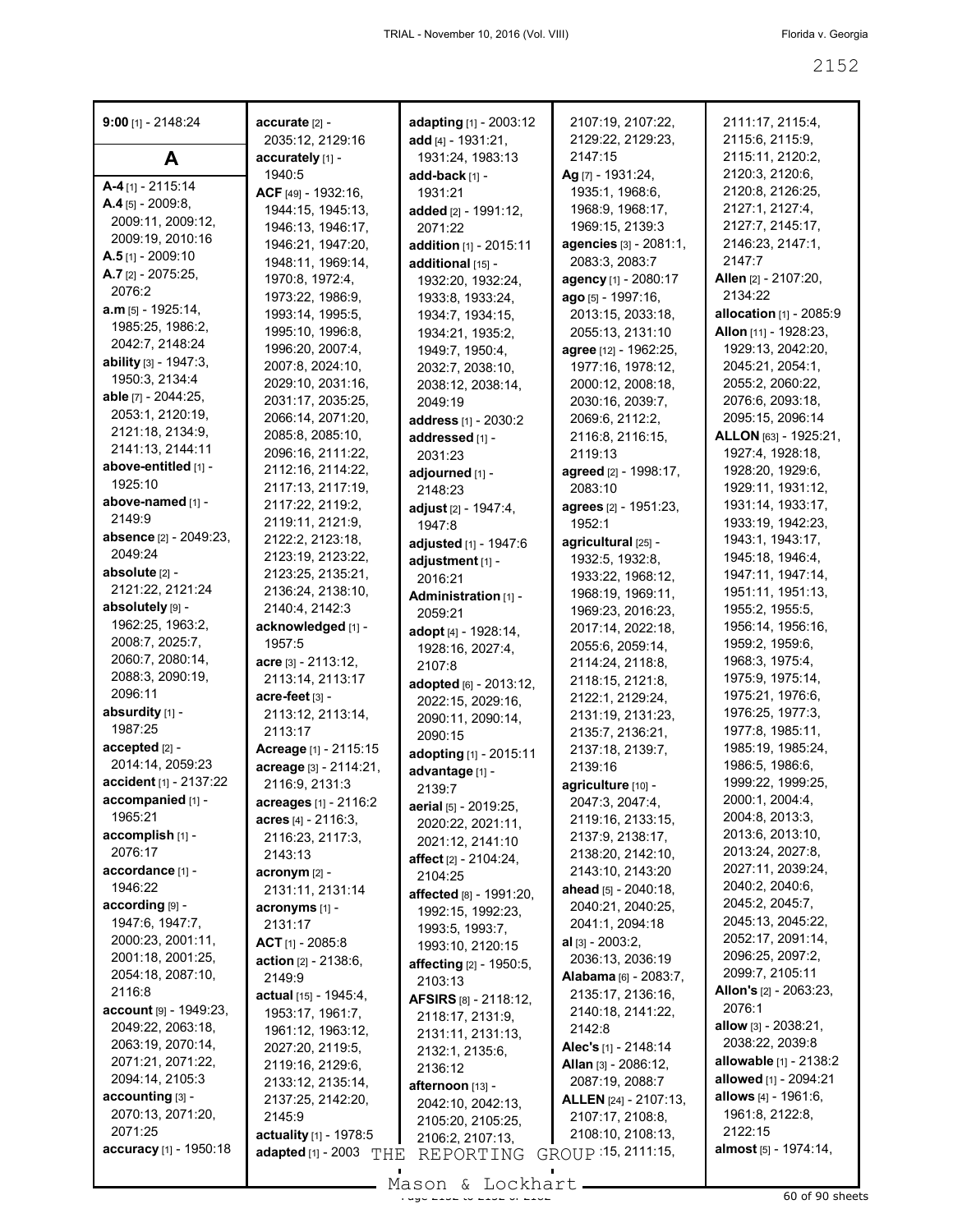| $9:00$ [1] - 2148:24          | accurate [2] -<br>2035:12, 2129:16 | adapting [1] - 2003:12<br>add $[4] - 1931:21$ , | 2107:19, 2107:22,<br>2129:22, 2129:23, | 2111:17, 2115:4,<br>2115:6, 2115:9, |
|-------------------------------|------------------------------------|-------------------------------------------------|----------------------------------------|-------------------------------------|
| A                             | accurately [1] -                   | 1931:24, 1983:13                                | 2147:15                                | 2115:11, 2120:2,                    |
|                               | 1940:5                             | add-back [1] -                                  | Ag [7] - 1931:24,                      | 2120:3, 2120:6,                     |
| $A-4$ [1] - 2115:14           | ACF [49] - 1932:16,                | 1931:21                                         | 1935:1, 1968:6,                        | 2120:8, 2126:25,                    |
| $A.4$ [5] - 2009:8,           | 1944:15, 1945:13,                  | added [2] - 1991:12,                            | 1968:9, 1968:17,                       | 2127:1, 2127:4,                     |
| 2009:11, 2009:12,             | 1946:13, 1946:17,                  | 2071:22                                         | 1969:15, 2139:3                        | 2127:7, 2145:17,                    |
| 2009:19, 2010:16              | 1946:21, 1947:20,                  | addition [1] - 2015:11                          | <b>agencies</b> [3] - 2081:1,          | 2146:23, 2147:1,                    |
| $A.5$ [1] - 2009:10           | 1948:11, 1969:14,                  | additional [15] -                               | 2083:3, 2083:7                         | 2147:7                              |
| $A.7$ [2] - 2075:25,          | 1970:8, 1972:4,                    | 1932:20, 1932:24,                               | agency [1] - 2080:17                   | Allen [2] - 2107:20,                |
| 2076:2                        | 1973:22, 1986:9,                   | 1933:8, 1933:24,                                | ago [5] - 1997:16,                     | 2134:22                             |
| $a.m$ [5] - 1925:14,          | 1993:14, 1995:5,                   | 1934:7, 1934:15,                                | 2013:15, 2033:18,                      | <b>allocation</b> [1] - 2085:9      |
| 1985:25, 1986:2,              | 1995:10, 1996:8,                   | 1934:21, 1935:2,                                | 2055:13, 2131:10                       | Allon [11] - 1928:23,               |
| 2042:7, 2148:24               | 1996:20, 2007:4,                   | 1949:7, 1950:4,                                 | agree [12] - 1962:25,                  | 1929:13, 2042:20,                   |
| ability [3] - 1947:3,         | 2007:8, 2024:10,                   | 2032:7, 2038:10,                                | 1977:16, 1978:12,                      | 2045:21, 2054:1,                    |
| 1950:3, 2134:4                | 2029:10, 2031:16,                  | 2038:12, 2038:14,                               | 2000:12, 2008:18,                      | 2055:2, 2060:22,                    |
| able [7] - 2044:25,           | 2031:17, 2035:25,                  | 2049:19                                         | 2030:16, 2039:7,                       | 2076:6, 2093:18,                    |
| 2053:1, 2120:19,              | 2066:14, 2071:20,                  | address [1] - 2030:2                            | 2069:6, 2112:2,                        | 2095:15, 2096:14                    |
| 2121:18, 2134:9,              | 2085:8, 2085:10,                   | addressed [1] -                                 | 2116:8, 2116:15,                       | ALLON [63] - 1925:21,               |
| 2141:13, 2144:11              | 2096:16, 2111:22,                  | 2031:23                                         | 2119:13                                | 1927:4, 1928:18,                    |
| above-entitled [1] -          | 2112:16, 2114:22,                  | adjourned [1] -                                 | agreed [2] - 1998:17,                  | 1928:20, 1929:6,                    |
| 1925:10                       | 2117:13, 2117:19,                  | 2148:23                                         | 2083:10                                | 1929:11, 1931:12,                   |
| above-named [1] -             | 2117:22, 2119:2,                   | adjust [2] - 1947:4,                            | agrees [2] - 1951:23,                  | 1931:14, 1933:17,                   |
| 2149:9                        | 2119:11, 2121:9,                   | 1947:8                                          | 1952:1                                 | 1933:19, 1942:23,                   |
| absence [2] - 2049:23,        | 2122:2, 2123:18,                   | adjusted [1] - 1947:6                           | agricultural [25] -                    | 1943:1, 1943:17,                    |
| 2049:24                       | 2123:19, 2123:22,                  | adjustment [1] -                                | 1932:5, 1932:8,                        | 1945:18, 1946:4,                    |
| absolute [2] -                | 2123:25, 2135:21,                  | 2016:21                                         | 1933:22, 1968:12,                      | 1947:11, 1947:14,                   |
| 2121:22, 2121:24              | 2136:24, 2138:10,                  | Administration [1] -                            | 1968:19, 1969:11,                      | 1951:11, 1951:13,                   |
| absolutely [9] -              | 2140:4, 2142:3                     | 2059:21                                         | 1969:23, 2016:23,                      | 1955:2, 1955:5,                     |
| 1962:25, 1963:2,              | acknowledged [1] -                 | adopt [4] - 1928:14,                            | 2017:14, 2022:18,                      | 1956:14, 1956:16,                   |
| 2008:7, 2025:7,               | 1957:5                             | 1928:16, 2027:4,                                | 2055:6, 2059:14,                       | 1959:2, 1959:6,                     |
| 2060:7, 2080:14,              | acre [3] - 2113:12,                | 2107:8                                          | 2114:24, 2118:8,                       | 1968:3, 1975:4,                     |
| 2088:3, 2090:19,              | 2113:14, 2113:17                   | adopted [6] - 2013:12,                          | 2118:15, 2121:8,                       | 1975:9, 1975:14,                    |
| 2096:11                       | acre-feet [3] -                    | 2022:15, 2029:16,                               | 2122:1, 2129:24,                       | 1975:21, 1976:6,                    |
| absurdity [1] -               | 2113:12, 2113:14,                  | 2090:11, 2090:14,                               | 2131:19, 2131:23,                      | 1976:25, 1977:3,                    |
| 1987:25                       | 2113:17                            | 2090:15                                         | 2135:7, 2136:21,                       | 1977:8, 1985:11,                    |
| accepted [2] -                | Acreage [1] - 2115:15              | adopting [1] - 2015:11                          | 2137:18, 2139:7,                       | 1985:19, 1985:24,                   |
| 2014:14, 2059:23              | acreage [3] - 2114:21,             | advantage [1] -                                 | 2139:16                                | 1986:5, 1986:6,                     |
| accident [1] - 2137:22        | 2116:9, 2131:3                     | 2139:7                                          | agriculture [10] -                     | 1999:22, 1999:25,                   |
| accompanied [1] -             | <b>acreages</b> [1] - 2116:2       | aerial [5] - 2019:25,                           | 2047:3, 2047:4,                        | 2000:1, 2004:4,                     |
| 1965:21                       | acres $[4]$ - 2116:3,              | 2020:22, 2021:11,                               | 2119:16, 2133:15,                      | 2004:8, 2013:3,                     |
| accomplish [1] -              | 2116:23, 2117:3,                   | 2021:12, 2141:10                                | 2137:9, 2138:17,                       | 2013:6, 2013:10,                    |
| 2076:17                       | 2143:13                            | affect [2] - 2104:24,                           | 2138:20, 2142:10,                      | 2013:24, 2027:8,                    |
| accordance [1] -              | $\arcsin(m$ [2] -                  | 2104:25                                         | 2143:10, 2143:20                       | 2027:11, 2039:24,                   |
| 1946:22                       | 2131:11, 2131:14                   | affected [8] - 1991:20.                         | ahead [5] - 2040:18,                   | 2040:2, 2040:6,                     |
| according [9] -               | acronyms [1] -                     | 1992:15, 1992:23,                               | 2040:21, 2040:25,                      | 2045:2, 2045:7,                     |
| 1947:6, 1947:7,               | 2131:17                            | 1993:5, 1993:7,                                 | 2041:1, 2094:18                        | 2045:13, 2045:22,                   |
| 2000:23, 2001:11,             | $ACT$ [1] - 2085:8                 | 1993:10, 2120:15                                | al $[3] - 2003:2$ ,                    | 2052:17, 2091:14,                   |
| 2001:18, 2001:25,             | <b>action</b> $[2] - 2138:6$ ,     | <b>affecting</b> [2] - 1950:5,                  | 2036:13, 2036:19                       | 2096:25, 2097:2,                    |
| 2054:18, 2087:10,             | 2149:9                             | 2103:13                                         | Alabama [6] - 2083:7,                  | 2099:7, 2105:11                     |
| 2116:8                        | actual [15] - 1945:4,              | <b>AFSIRS</b> [8] - 2118:12,                    | 2135:17, 2136:16,                      | <b>Allon's</b> [2] - 2063:23,       |
| $account$ [9] - 1949:23,      | 1953:17, 1961:7,                   | 2118:17, 2131:9,                                | 2140:18, 2141:22,                      | 2076:1                              |
| 2049:22, 2063:18,             | 1961:12, 1963:12,                  | 2131:11, 2131:13,                               | 2142:8                                 | allow $[3] - 2038:21$ ,             |
| 2063:19, 2070:14,             | 2027:20, 2119:5,                   | 2132:1, 2135:6,                                 | Alec's [1] - 2148:14                   | 2038:22, 2039:8                     |
| 2071:21, 2071:22,             | 2119:16, 2129:6,                   | 2136:12                                         | Allan [3] - 2086:12,                   | <b>allowable</b> [1] - 2138:2       |
| 2094:14, 2105:3               | 2133:12, 2135:14,                  | afternoon [13] -                                | 2087:19, 2088:7                        | allowed [1] - 2094:21               |
| accounting [3] -              | 2137:25, 2142:20,                  | 2042:10, 2042:13,                               | ALLEN [24] - 2107:13,                  | allows $[4] - 1961:6$ ,             |
| 2070:13, 2071:20,             | 2145:9                             | 2105:20, 2105:25,                               | 2107:17, 2108:8,                       | 1961:8, 2122:8,                     |
| 2071:25                       | actuality [1] - 1978:5             | 2106:2, 2107:13,                                | 2108:10, 2108:13,                      | 2122:15                             |
| <b>accuracy</b> [1] - 1950:18 | <b>adapted</b> $[1] - 2003$<br>THE | REPORTING                                       | GROUP : 15, 2111:15,                   | almost [5] - 1974:14,               |

 $\frac{200011}{200011}$   $\frac{21000111}{200011}$   $\frac{21000111}{200011}$   $\frac{2100011}{200011}$   $\frac{2100011}{200011}$   $\frac{2100011}{200011}$   $\frac{2100011}{200011}$ Mason & Lockhart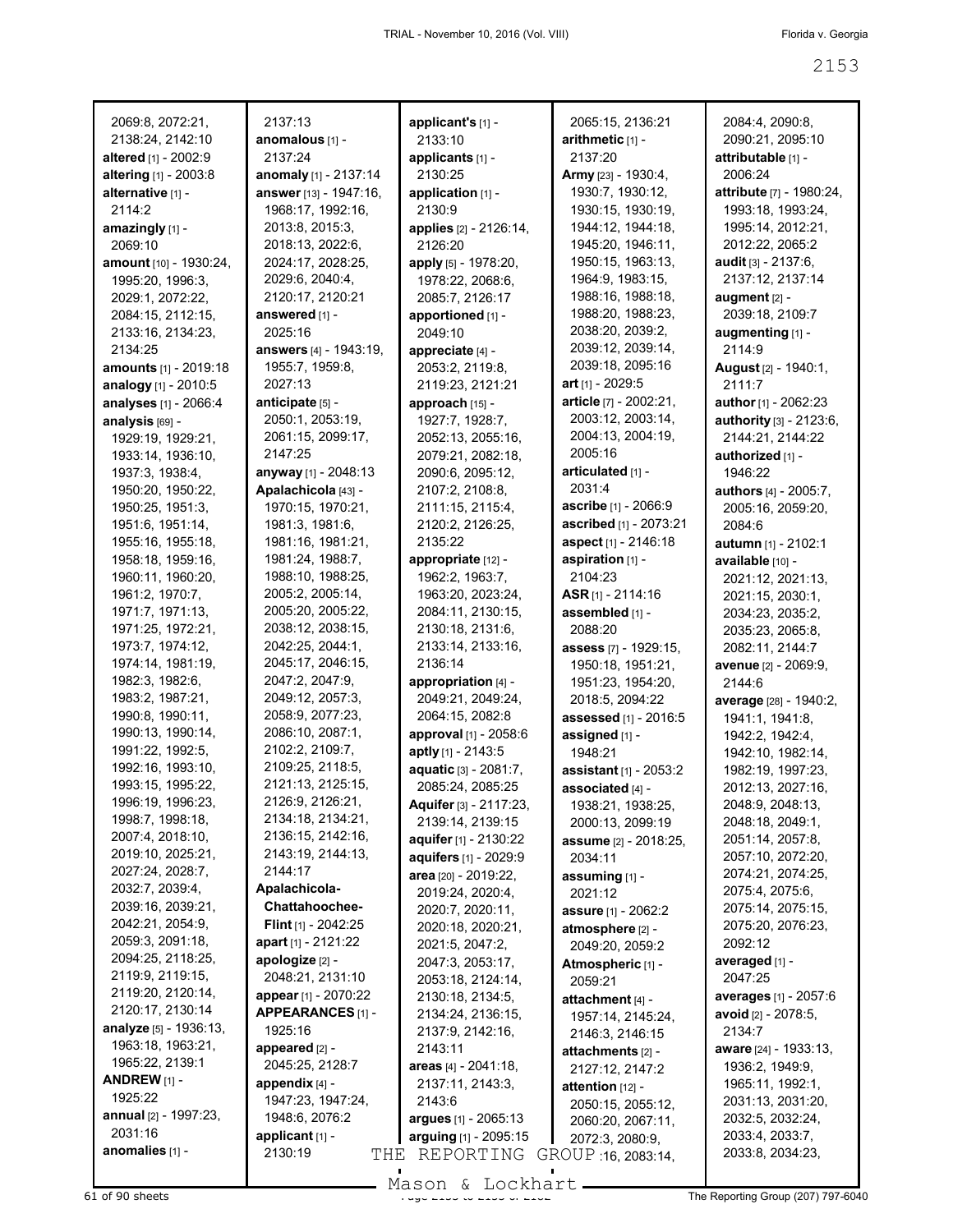|                                        | 2137:13                               |                                               |                                      | 2084:4, 2090:8,                        |
|----------------------------------------|---------------------------------------|-----------------------------------------------|--------------------------------------|----------------------------------------|
| 2069:8, 2072:21,<br>2138:24, 2142:10   | anomalous [1] -                       | applicant's [1] -<br>2133:10                  | 2065:15, 2136:21<br>arithmetic [1] - | 2090:21, 2095:10                       |
| altered [1] - 2002:9                   | 2137:24                               | applicants [1] -                              | 2137:20                              | attributable [1] -                     |
| altering [1] - 2003:8                  | anomaly [1] - 2137:14                 | 2130:25                                       | Army [23] - 1930:4,                  | 2006:24                                |
| alternative [1] -                      | answer [13] - 1947:16,                | application [1] -                             | 1930:7, 1930:12,                     | attribute [7] - 1980:24,               |
| 2114:2                                 | 1968:17, 1992:16,                     | 2130:9                                        | 1930:15, 1930:19,                    | 1993:18, 1993:24,                      |
| amazingly [1] -                        | 2013:8, 2015:3,                       | applies [2] - 2126:14,                        | 1944:12, 1944:18,                    | 1995:14, 2012:21,                      |
| 2069:10                                | 2018:13, 2022:6,                      | 2126:20                                       | 1945:20, 1946:11,                    | 2012:22, 2065:2                        |
| <b>amount</b> [10] - 1930:24,          | 2024:17, 2028:25,                     | apply [5] - 1978:20,                          | 1950:15, 1963:13,                    | <b>audit</b> [3] - 2137:6,             |
| 1995:20, 1996:3,                       | 2029:6, 2040:4,                       | 1978:22, 2068:6,                              | 1964:9, 1983:15,                     | 2137:12, 2137:14                       |
| 2029:1, 2072:22,                       | 2120:17, 2120:21                      | 2085:7, 2126:17                               | 1988:16, 1988:18,                    | augment [2] -                          |
| 2084:15, 2112:15,                      | answered [1] -                        | apportioned [1] -                             | 1988:20, 1988:23,                    | 2039:18, 2109:7                        |
| 2133:16, 2134:23,                      | 2025:16                               | 2049:10                                       | 2038:20, 2039:2,                     | augmenting [1] -                       |
| 2134:25                                | answers [4] - 1943:19,                | appreciate [4] -                              | 2039:12, 2039:14,                    | 2114:9                                 |
| amounts [1] - 2019:18                  | 1955:7, 1959:8,                       | 2053:2, 2119:8,                               | 2039:18, 2095:16                     | August [2] - 1940:1,                   |
| analogy [1] - 2010:5                   | 2027:13                               | 2119:23, 2121:21                              | art $[1] - 2029:5$                   | 2111:7                                 |
| analyses [1] - 2066:4                  | anticipate [5] -                      | approach [15] -                               | article [7] - 2002:21,               | <b>author</b> [1] - 2062:23            |
| analysis [69] -                        | 2050:1, 2053:19,                      | 1927:7, 1928:7,                               | 2003:12, 2003:14,                    | <b>authority</b> [3] - 2123:6,         |
| 1929:19, 1929:21,                      | 2061:15, 2099:17,                     | 2052:13, 2055:16,                             | 2004:13, 2004:19,                    | 2144:21, 2144:22                       |
| 1933:14, 1936:10,                      | 2147:25                               | 2079:21, 2082:18,                             | 2005:16                              | authorized [1] -                       |
| 1937:3, 1938:4,                        | anyway [1] - 2048:13                  | 2090:6, 2095:12,                              | articulated [1] -                    | 1946:22                                |
| 1950:20, 1950:22,                      | Apalachicola [43] -                   | 2107:2, 2108:8,                               | 2031:4                               | <b>authors</b> [4] - 2005:7,           |
| 1950:25, 1951:3,                       | 1970:15, 1970:21,                     | 2111:15, 2115:4,                              | ascribe [1] - 2066:9                 | 2005:16, 2059:20,                      |
| 1951:6, 1951:14,                       | 1981:3, 1981:6,                       | 2120:2, 2126:25,                              | ascribed [1] - 2073:21               | 2084:6                                 |
| 1955:16, 1955:18,                      | 1981:16, 1981:21,                     | 2135:22                                       | aspect [1] - 2146:18                 | autumn [1] - 2102:1                    |
| 1958:18, 1959:16,                      | 1981:24, 1988:7,                      | appropriate [12] -                            | aspiration [1] -                     | available [10] -                       |
| 1960:11, 1960:20,                      | 1988:10, 1988:25,                     | 1962:2, 1963:7,                               | 2104:23                              | 2021:12, 2021:13,                      |
| 1961:2, 1970:7,                        | 2005:2, 2005:14,                      | 1963:20, 2023:24,                             | $ASR$ [1] - 2114:16                  | 2021:15, 2030:1,                       |
| 1971:7, 1971:13,                       | 2005:20, 2005:22,                     | 2084:11, 2130:15,                             | assembled [1] -                      | 2034:23, 2035:2,                       |
| 1971:25, 1972:21,                      | 2038:12, 2038:15,                     | 2130:18, 2131:6,                              | 2088:20                              | 2035:23, 2065:8,                       |
| 1973:7, 1974:12,                       | 2042:25, 2044:1,                      | 2133:14, 2133:16,                             | assess [7] - 1929:15,                | 2082:11, 2144:7                        |
| 1974:14, 1981:19,                      | 2045:17, 2046:15,                     | 2136:14                                       | 1950:18, 1951:21,                    | avenue [2] - 2069:9,                   |
| 1982:3, 1982:6,                        | 2047:2, 2047:9,                       | appropriation [4] -                           | 1951:23, 1954:20,                    | 2144:6                                 |
| 1983:2, 1987:21,                       | 2049:12, 2057:3,                      | 2049:21, 2049:24,                             | 2018:5, 2094:22                      | average [28] - 1940:2,                 |
| 1990:8, 1990:11,                       | 2058:9, 2077:23,                      | 2064:15, 2082:8                               | assessed [1] - 2016:5                | 1941:1, 1941:8,                        |
| 1990:13, 1990:14,                      | 2086:10, 2087:1,                      | approval [1] - 2058:6                         | assigned [1] -                       | 1942:2, 1942:4,                        |
| 1991:22, 1992:5,                       | 2102:2, 2109:7,                       | aptly [1] - 2143:5                            | 1948:21                              | 1942:10, 1982:14,                      |
| 1992:16, 1993:10,<br>1993:15, 1995:22, | 2109:25, 2118:5,<br>2121:13, 2125:15, | aquatic [3] - 2081:7,                         | assistant [1] - 2053:2               | 1982:19, 1997:23,                      |
|                                        | 2126:9, 2126:21,                      | 2085:24, 2085:25                              | associated [4] -                     | 2012:13, 2027:16,                      |
| 1996:19, 1996:23,<br>1998:7, 1998:18,  | 2134:18, 2134:21,                     | Aquifer [3] - 2117:23,                        | 1938:21, 1938:25,                    | 2048:9, 2048:13,                       |
| 2007:4, 2018:10,                       | 2136:15, 2142:16,                     | 2139:14, 2139:15                              | 2000:13, 2099:19                     | 2048:18, 2049:1,                       |
| 2019:10, 2025:21,                      | 2143:19, 2144:13,                     | aquifer [1] - 2130:22                         | assume [2] - 2018:25,                | 2051:14, 2057:8,                       |
| 2027:24, 2028:7,                       | 2144:17                               | aquifers [1] - 2029:9<br>area [20] - 2019:22, | 2034:11                              | 2057:10, 2072:20,<br>2074:21, 2074:25, |
| 2032:7, 2039:4,                        | Apalachicola-                         | 2019:24, 2020:4,                              | assuming [1] -                       | 2075:4, 2075:6,                        |
| 2039:16, 2039:21,                      | Chattahoochee-                        | 2020:7, 2020:11,                              | 2021:12                              | 2075:14, 2075:15,                      |
| 2042:21, 2054:9,                       | Flint [1] - 2042:25                   | 2020:18, 2020:21,                             | assure [1] - 2062:2                  | 2075:20, 2076:23,                      |
| 2059:3, 2091:18,                       | apart [1] - 2121:22                   | 2021:5, 2047:2,                               | atmosphere [2] -<br>2049:20, 2059:2  | 2092:12                                |
| 2094:25, 2118:25,                      | apologize [2] -                       | 2047:3, 2053:17,                              | Atmospheric [1] -                    | averaged [1] -                         |
| 2119:9, 2119:15,                       | 2048:21, 2131:10                      | 2053:18, 2124:14,                             | 2059:21                              | 2047:25                                |
| 2119:20, 2120:14,                      | appear [1] - 2070:22                  | 2130:18, 2134:5,                              | attachment [4] -                     | <b>averages</b> [1] - 2057:6           |
| 2120:17, 2130:14                       | APPEARANCES [1] -                     | 2134:24, 2136:15,                             | 1957:14, 2145:24,                    | avoid [2] - 2078:5,                    |
| analyze [5] - 1936:13,                 | 1925:16                               | 2137:9, 2142:16,                              | 2146:3, 2146:15                      | 2134:7                                 |
| 1963:18, 1963:21,                      | appeared [2] -                        | 2143:11                                       | attachments [2] -                    | aware [24] - 1933:13,                  |
| 1965:22, 2139:1                        | 2045:25, 2128:7                       | areas $[4] - 2041:18$ ,                       | 2127:12, 2147:2                      | 1936:2, 1949:9,                        |
| ANDREW $[1]$ -                         | appendix $[4]$ -                      | 2137:11, 2143:3,                              | attention [12] -                     | 1965:11, 1992:1,                       |
| 1925:22                                | 1947:23, 1947:24,                     | 2143:6                                        | 2050:15, 2055:12,                    | 2031:13, 2031:20,                      |
| annual [2] - 1997:23,                  | 1948:6, 2076:2                        | argues [1] - 2065:13                          | 2060:20, 2067:11,                    | 2032:5, 2032:24,                       |
| 2031:16                                | applicant [1] -                       | arguing [1] - 2095:15                         | 2072:3, 2080:9,                      | 2033:4, 2033:7,                        |
| anomalies [1] -                        | 2130:19<br>THE                        | REPORTING                                     | GROUP 16, 2083:14,                   | 2033:8, 2034:23,                       |
|                                        |                                       |                                               |                                      |                                        |

Mason & Lockhart

 $\overline{61}$  of 90 sheets  $\overline{61}$  of 90 sheets  $\overline{1333}$  of  $\overline{215}$  of  $\overline{215}$  The Reporting Group (207) 797-6040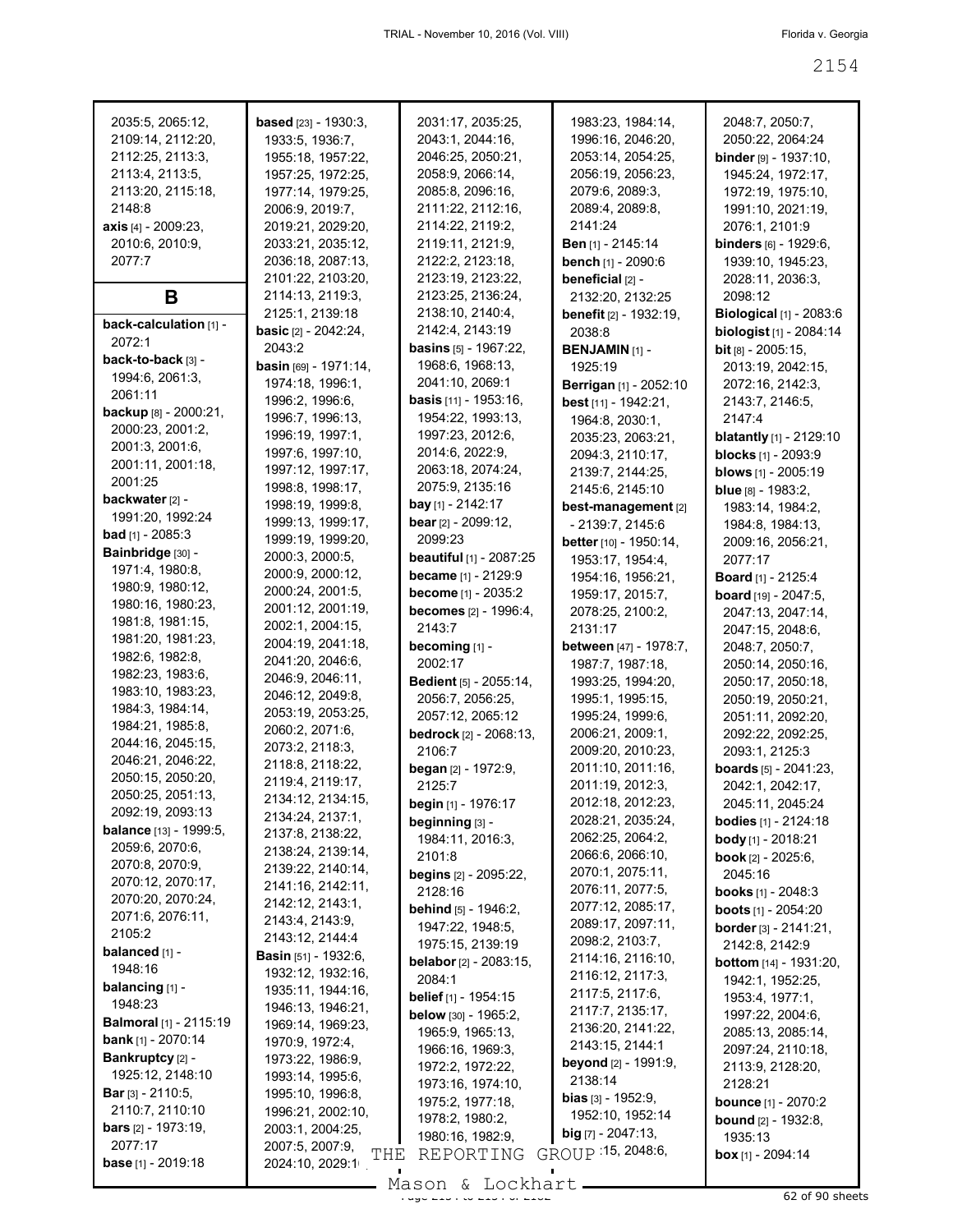| 2035:5, 2065:12,              | <b>based</b> [23] - 1930:3,    | 2031:17, 2035:25,                | 1983:23, 1984:14,             | 2048:7, 2050:7,                  |
|-------------------------------|--------------------------------|----------------------------------|-------------------------------|----------------------------------|
| 2109:14, 2112:20,             | 1933:5, 1936:7,                | 2043:1, 2044:16,                 | 1996:16, 2046:20,             | 2050:22, 2064:24                 |
| 2112:25, 2113:3,              | 1955:18, 1957:22,              | 2046:25, 2050:21,                | 2053:14, 2054:25,             | <b>binder</b> [9] - $1937:10$ ,  |
|                               |                                |                                  |                               |                                  |
| 2113:4, 2113:5,               | 1957:25, 1972:25,              | 2058:9, 2066:14,                 | 2056:19, 2056:23,             | 1945:24, 1972:17,                |
| 2113:20, 2115:18,             | 1977:14, 1979:25,              | 2085:8, 2096:16,                 | 2079:6, 2089:3,               | 1972:19, 1975:10,                |
| 2148:8                        | 2006:9, 2019:7,                | 2111:22, 2112:16,                | 2089:4, 2089:8,               | 1991:10, 2021:19,                |
| <b>axis</b> [4] - 2009:23,    | 2019:21, 2029:20,              | 2114:22, 2119:2,                 | 2141:24                       | 2076:1, 2101:9                   |
| 2010:6, 2010:9,               | 2033:21, 2035:12,              | 2119:11, 2121:9,                 | <b>Ben</b> [1] - 2145:14      | <b>binders</b> [6] - 1929:6,     |
| 2077:7                        | 2036:18, 2087:13,              | 2122:2, 2123:18,                 | <b>bench</b> [1] - 2090:6     | 1939:10, 1945:23,                |
|                               | 2101:22, 2103:20,              | 2123:19, 2123:22,                | beneficial [2] -              | 2028:11, 2036:3,                 |
| Β                             | 2114:13, 2119:3,               | 2123:25, 2136:24,                | 2132:20, 2132:25              | 2098:12                          |
|                               |                                |                                  |                               |                                  |
| back-calculation [1] -        | 2125:1, 2139:18                | 2138:10, 2140:4,                 | <b>benefit</b> [2] - 1932:19, | Biological $[1]$ - 2083:6        |
| 2072:1                        | <b>basic</b> $[2] - 2042:24$ , | 2142:4, 2143:19                  | 2038:8                        | <b>biologist</b> $[1]$ - 2084:14 |
| back-to-back [3] -            | 2043:2                         | <b>basins</b> $[5]$ - 1967:22,   | <b>BENJAMIN [1] -</b>         | <b>bit</b> $[8] - 2005:15$ ,     |
|                               | <b>basin</b> [69] - 1971:14,   | 1968:6, 1968:13,                 | 1925:19                       | 2013:19, 2042:15,                |
| 1994:6, 2061:3,               | 1974:18, 1996:1,               | 2041:10, 2069:1                  | Berrigan [1] - 2052:10        | 2072:16, 2142:3,                 |
| 2061:11                       | 1996:2, 1996:6,                | <b>basis</b> [11] - 1953:16,     | best $[11] - 1942:21$ ,       | 2143:7, 2146:5,                  |
| backup [8] - 2000:21,         | 1996:7, 1996:13,               | 1954:22, 1993:13,                | 1964:8, 2030:1,               | 2147:4                           |
| 2000:23, 2001:2,              | 1996:19, 1997:1,               | 1997:23, 2012:6,                 | 2035:23, 2063:21,             | <b>blatantly</b> $[1]$ - 2129:10 |
| 2001:3, 2001:6,               | 1997:6, 1997:10,               | 2014:6, 2022:9,                  |                               |                                  |
| 2001:11, 2001:18,             |                                |                                  | 2094:3, 2110:17,              | <b>blocks</b> [1] - 2093:9       |
| 2001:25                       | 1997:12, 1997:17,              | 2063:18, 2074:24,                | 2139:7, 2144:25,              | blows [1] - 2005:19              |
| backwater [2] -               | 1998:8, 1998:17,               | 2075:9, 2135:16                  | 2145:6, 2145:10               | <b>blue</b> $[8] - 1983:2$       |
|                               | 1998:19, 1999:8,               | bay [1] - 2142:17                | best-management [2]           | 1983:14, 1984:2,                 |
| 1991:20, 1992:24              | 1999:13, 1999:17,              | bear [2] - 2099:12,              | - 2139:7, 2145:6              | 1984:8, 1984:13,                 |
| <b>bad</b> [1] - 2085:3       | 1999:19, 1999:20,              | 2099:23                          | better [10] - 1950:14,        | 2009:16, 2056:21,                |
| Bainbridge [30] -             | 2000:3, 2000:5,                | <b>beautiful</b> [1] - 2087:25   | 1953:17, 1954:4,              | 2077:17                          |
| 1971:4, 1980:8,               | 2000:9, 2000:12,               | <b>became</b> [1] - 2129:9       | 1954:16, 1956:21,             | Board [1] - 2125:4               |
| 1980:9, 1980:12,              | 2000:24, 2001:5,               | become [1] - 2035:2              |                               |                                  |
| 1980:16, 1980:23,             | 2001:12, 2001:19,              |                                  | 1959:17, 2015:7,              | <b>board</b> [19] - 2047:5,      |
| 1981:8, 1981:15,              |                                | <b>becomes</b> [2] - 1996:4,     | 2078:25, 2100:2,              | 2047:13, 2047:14,                |
| 1981:20, 1981:23,             | 2002:1, 2004:15,               | 2143:7                           | 2131:17                       | 2047:15, 2048:6,                 |
|                               | 2004:19, 2041:18,              | becoming [1] -                   | <b>between</b> [47] - 1978:7, | 2048:7, 2050:7,                  |
| 1982:6, 1982:8,               | 2041:20, 2046:6,               | 2002:17                          | 1987:7, 1987:18,              | 2050:14, 2050:16,                |
| 1982:23, 1983:6,              | 2046:9, 2046:11,               | Bedient [5] - 2055:14,           | 1993:25, 1994:20,             | 2050:17, 2050:18,                |
| 1983:10, 1983:23,             | 2046:12, 2049:8,               | 2056:7, 2056:25,                 | 1995:1, 1995:15,              | 2050:19, 2050:21,                |
| 1984:3, 1984:14,              | 2053:19, 2053:25,              | 2057:12, 2065:12                 | 1995:24, 1999:6,              | 2051:11, 2092:20,                |
| 1984:21, 1985:8,              | 2060:2, 2071:6,                | <b>bedrock</b> [2] - 2068:13,    | 2006:21, 2009:1,              | 2092:22, 2092:25,                |
| 2044:16, 2045:15,             | 2073:2, 2118:3,                | 2106:7                           |                               |                                  |
| 2046:21, 2046:22,             | 2118:8, 2118:22,               |                                  | 2009:20, 2010:23,             | 2093:1, 2125:3                   |
| 2050:15, 2050:20,             | 2119:4, 2119:17,               | <b>began</b> $[2] - 1972:9$      | 2011:10, 2011:16,             | boards [5] - 2041:23,            |
| 2050:25, 2051:13,             |                                | 2125:7                           | 2011:19, 2012:3,              | 2042:1, 2042:17,                 |
| 2092:19, 2093:13              | 2134:12, 2134:15,              | begin [1] - 1976:17              | 2012:18, 2012:23,             | 2045:11, 2045:24                 |
|                               | 2134:24, 2137:1,               | beginning [3] -                  | 2028:21, 2035:24,             | <b>bodies</b> $[1] - 2124:18$    |
| <b>balance</b> [13] - 1999:5, | 2137:8, 2138:22,               | 1984:11, 2016:3,                 | 2062:25, 2064:2,              | body [1] - 2018:21               |
| 2059:6, 2070:6,               | 2138:24, 2139:14,              | 2101:8                           | 2066:6, 2066:10,              | <b>book</b> $[2] - 2025:6$       |
| 2070:8, 2070:9,               | 2139:22, 2140:14,              | <b>begins</b> [2] - 2095:22,     | 2070:1, 2075:11,              | 2045:16                          |
| 2070:12, 2070:17,             | 2141:16, 2142:11,              | 2128:16                          | 2076:11, 2077:5,              | <b>books</b> $[1]$ - 2048:3      |
| 2070:20, 2070:24,             | 2142:12, 2143:1,               |                                  | 2077:12, 2085:17,             |                                  |
| 2071:6, 2076:11,              | 2143:4, 2143:9,                | <b>behind</b> [5] - 1946:2,      | 2089:17, 2097:11,             | <b>boots</b> [1] - 2054:20       |
| 2105:2                        | 2143:12, 2144:4                | 1947:22, 1948:5,                 |                               | <b>border</b> $[3] - 2141:21$ ,  |
| balanced [1] -                |                                | 1975:15, 2139:19                 | 2098:2, 2103:7,               | 2142:8, 2142:9                   |
| 1948:16                       | <b>Basin</b> [51] - 1932:6,    | <b>belabor</b> [2] - $2083:15$ , | 2114:16, 2116:10,             | <b>bottom</b> [14] - 1931:20,    |
|                               | 1932:12, 1932:16,              | 2084:1                           | 2116:12, 2117:3,              | 1942:1, 1952:25,                 |
| balancing [1] -               | 1935:11, 1944:16,              | belief [1] - 1954:15             | 2117:5, 2117:6,               | 1953:4, 1977:1,                  |
| 1948:23                       | 1946:13, 1946:21,              | <b>below</b> $[30] - 1965:2$     | 2117:7, 2135:17,              | 1997:22, 2004:6,                 |
| <b>Balmoral</b> [1] - 2115:19 | 1969:14, 1969:23,              | 1965:9, 1965:13,                 | 2136:20, 2141:22,             | 2085:13, 2085:14,                |
| <b>bank</b> [1] - $2070:14$   | 1970:9, 1972:4,                | 1966:16, 1969:3,                 | 2143:15, 2144:1               | 2097:24, 2110:18,                |
| Bankruptcy [2] -              | 1973:22, 1986:9,               |                                  | <b>beyond</b> [2] - 1991:9,   |                                  |
| 1925:12, 2148:10              | 1993:14, 1995:6,               | 1972:2, 1972:22,                 | 2138:14                       | 2113:9, 2128:20,                 |
| <b>Bar</b> [3] - $2110:5$ ,   | 1995:10, 1996:8,               | 1973:16, 1974:10,                |                               | 2128:21                          |
| 2110:7, 2110:10               | 1996:21, 2002:10,              | 1975:2, 1977:18,                 | <b>bias</b> $[3] - 1952:9$ ,  | <b>bounce</b> [1] - 2070:2       |
| <b>bars</b> $[2] - 1973:19$ , |                                | 1978:2, 1980:2,                  | 1952:10, 1952:14              | <b>bound</b> $[2] - 1932:8$ ,    |
|                               | 2003:1, 2004:25,               | 1980:16, 1982:9,                 | $big$ [7] - 2047:13,          | 1935:13                          |
| 2077:17                       | 2007:5, 2007:9,                |                                  | GROUP 15, 2048:6,             | <b>box</b> $[1] - 2094:14$       |
| <b>base</b> [1] - 2019:18     | THE<br>2024:10, 2029:1         | REPORTING                        |                               |                                  |

Mason & Lockhart 11, 1998 of 90 sheets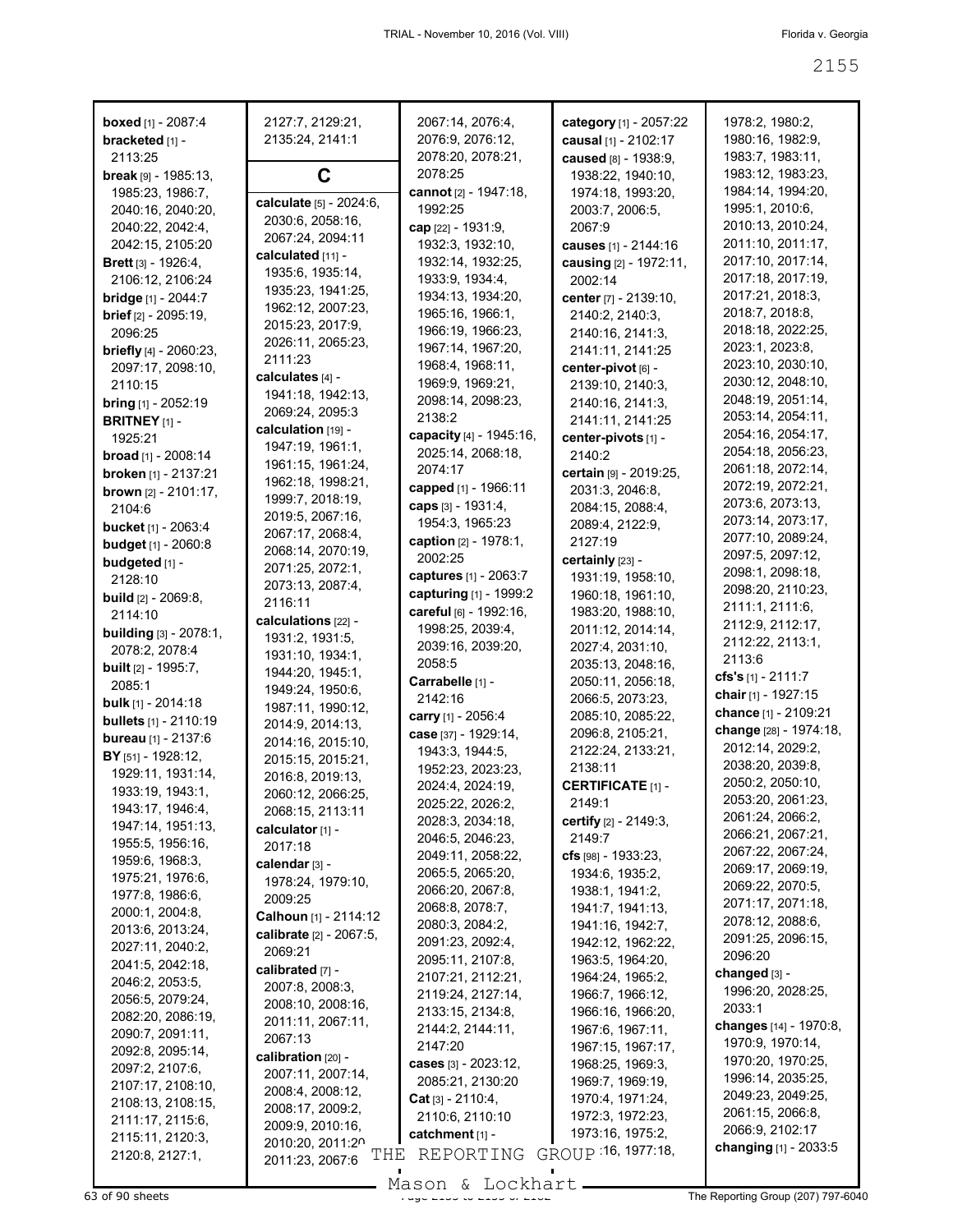| <b>boxed</b> [1] - 2087:4<br>bracketed [1] - | 2127:7, 2129:21,<br>2135:24, 2141:1   | 2067:14, 2076:4,<br>2076:9, 2076:12, | category [1] - 2057:22<br>causal [1] - 2102:17 | 1978:2, 1980:2,<br>1980:16, 1982:9, |
|----------------------------------------------|---------------------------------------|--------------------------------------|------------------------------------------------|-------------------------------------|
| 2113:25                                      |                                       | 2078:20, 2078:21,                    | caused [8] - 1938:9,                           | 1983:7, 1983:11,                    |
| <b>break</b> $[9] - 1985:13$ ,               | C                                     | 2078:25                              | 1938:22, 1940:10,                              | 1983:12, 1983:23,                   |
| 1985:23, 1986:7,                             | calculate [5] - 2024:6,               | cannot [2] - 1947:18,                | 1974:18, 1993:20,                              | 1984:14, 1994:20,                   |
| 2040:16, 2040:20,                            | 2030:6, 2058:16,                      | 1992:25                              | 2003:7, 2006:5,                                | 1995:1, 2010:6,                     |
| 2040:22, 2042:4,                             | 2067:24, 2094:11                      | cap [22] - 1931:9,                   | 2067:9                                         | 2010:13, 2010:24,                   |
| 2042:15, 2105:20                             | calculated [11] -                     | 1932:3, 1932:10,                     | causes [1] - 2144:16                           | 2011:10, 2011:17,                   |
| <b>Brett</b> [3] - 1926:4,                   | 1935:6, 1935:14,                      | 1932:14, 1932:25,                    | causing [2] - 1972:11,                         | 2017:10, 2017:14,                   |
| 2106:12, 2106:24                             |                                       | 1933:9, 1934:4,                      | 2002:14                                        | 2017:18, 2017:19,                   |
| <b>bridge</b> [1] - 2044:7                   | 1935:23, 1941:25,                     | 1934:13, 1934:20,                    | center [7] - 2139:10,                          | 2017:21, 2018:3,                    |
| brief [2] - 2095:19,                         | 1962:12, 2007:23,<br>2015:23, 2017:9, | 1965:16, 1966:1,                     | 2140:2, 2140:3,                                | 2018:7, 2018:8,                     |
| 2096:25                                      |                                       | 1966:19, 1966:23,                    | 2140:16, 2141:3,                               | 2018:18, 2022:25,                   |
| <b>briefly</b> $[4]$ - 2060:23,              | 2026:11, 2065:23,<br>2111:23          | 1967:14, 1967:20,                    | 2141:11, 2141:25                               | 2023:1, 2023:8,                     |
| 2097:17, 2098:10,                            |                                       | 1968:4, 1968:11,                     | center-pivot [6] -                             | 2023:10, 2030:10,                   |
| 2110:15                                      | calculates [4] -                      | 1969:9, 1969:21,                     | 2139:10, 2140:3,                               | 2030:12, 2048:10,                   |
| <b>bring</b> $[1]$ - 2052:19                 | 1941:18, 1942:13,                     | 2098:14, 2098:23,                    | 2140:16, 2141:3,                               | 2048:19, 2051:14,                   |
| <b>BRITNEY</b> $[1]$ -                       | 2069:24, 2095:3                       | 2138:2                               | 2141:11, 2141:25                               | 2053:14, 2054:11,                   |
| 1925:21                                      | calculation [19] -                    | capacity [4] - 1945:16,              | center-pivots [1] -                            | 2054:16, 2054:17,                   |
| <b>broad</b> [1] - 2008:14                   | 1947:19, 1961:1,                      | 2025:14, 2068:18,                    | 2140:2                                         | 2054:18, 2056:23,                   |
| broken [1] - 2137:21                         | 1961:15, 1961:24,                     | 2074:17                              | certain [9] - 2019:25,                         | 2061:18, 2072:14,                   |
| <b>brown</b> $[2] - 2101:17$ ,               | 1962:18, 1998:21,                     | capped [1] - 1966:11                 | 2031:3, 2046:8,                                | 2072:19, 2072:21,                   |
| 2104:6                                       | 1999:7, 2018:19,                      | caps [3] - 1931:4,                   | 2084:15, 2088:4,                               | 2073:6, 2073:13,                    |
| <b>bucket</b> [1] - 2063:4                   | 2019:5, 2067:16,                      | 1954:3, 1965:23                      | 2089:4, 2122:9,                                | 2073:14, 2073:17,                   |
| <b>budget</b> [1] - 2060:8                   | 2067:17, 2068:4,                      | caption [2] - 1978:1,                | 2127:19                                        | 2077:10, 2089:24,                   |
| budgeted [1] -                               | 2068:14, 2070:19,                     | 2002:25                              | certainly [23] -                               | 2097:5, 2097:12,                    |
| 2128:10                                      | 2071:25, 2072:1,                      | captures [1] - 2063:7                | 1931:19, 1958:10,                              | 2098:1, 2098:18,                    |
| <b>build</b> $[2] - 2069.8$ ,                | 2073:13, 2087:4,                      | capturing [1] - 1999:2               | 1960:18, 1961:10,                              | 2098:20, 2110:23,                   |
| 2114:10                                      | 2116:11                               | careful [6] - 1992:16,               | 1983:20, 1988:10,                              | 2111:1, 2111:6,                     |
| <b>building</b> [3] - 2078:1,                | calculations [22] -                   | 1998:25, 2039:4,                     | 2011:12, 2014:14,                              | 2112:9, 2112:17,                    |
| 2078:2, 2078:4                               | 1931:2, 1931:5,                       | 2039:16, 2039:20,                    | 2027:4, 2031:10,                               | 2112:22, 2113:1,                    |
| <b>built</b> $[2] - 1995:7$ ,                | 1931:10, 1934:1,                      | 2058:5                               | 2035:13, 2048:16,                              | 2113:6                              |
| 2085:1                                       | 1944:20, 1945:1,                      | Carrabelle [1] -                     | 2050:11, 2056:18,                              | cfs's $[1]$ - 2111:7                |
| <b>bulk</b> [1] - 2014:18                    | 1949:24, 1950:6,                      | 2142:16                              | 2066:5, 2073:23,                               | chair $[1]$ - 1927:15               |
| <b>bullets</b> [1] - 2110:19                 | 1987:11, 1990:12,                     | carry [1] - 2056:4                   | 2085:10, 2085:22,                              | chance [1] - 2109:21                |
| <b>bureau</b> [1] - 2137:6                   | 2014:9, 2014:13,                      | case [37] - 1929:14,                 | 2096:8, 2105:21,                               | change [28] - 1974:18,              |
| BY [51] - 1928:12,                           | 2014:16, 2015:10,                     | 1943:3, 1944:5,                      | 2122:24, 2133:21,                              | 2012:14, 2029:2,                    |
| 1929:11, 1931:14,                            | 2015:15, 2015:21,                     | 1952:23, 2023:23,                    | 2138:11                                        | 2038:20, 2039:8,                    |
| 1933:19, 1943:1,                             | 2016:8, 2019:13,                      | 2024:4, 2024:19,                     | <b>CERTIFICATE [1] -</b>                       | 2050:2, 2050:10,                    |
| 1943:17, 1946:4,                             | 2060:12, 2066:25,                     | 2025:22, 2026:2,                     | 2149:1                                         | 2053:20, 2061:23,                   |
| 1947:14, 1951:13,                            | 2068:15, 2113:11                      | 2028:3, 2034:18,                     | certify $[2] - 2149.3$ ,                       | 2061:24, 2066:2,                    |
| 1955:5, 1956:16,                             | calculator [1] -                      | 2046:5, 2046:23,                     | 2149:7                                         | 2066:21, 2067:21,                   |
| 1959:6, 1968:3,                              | 2017:18                               | 2049:11, 2058:22,                    | cfs [98] - 1933:23.                            | 2067:22, 2067:24,                   |
| 1975:21, 1976:6,                             | calendar [3] -                        | 2065:5, 2065:20,                     | 1934:6, 1935:2,                                | 2069:17, 2069:19,                   |
| 1977:8, 1986:6,                              | 1978:24, 1979:10,                     | 2066:20, 2067:8,                     | 1938:1, 1941:2,                                | 2069:22, 2070:5,                    |
| 2000:1, 2004:8,                              | 2009:25                               | 2068:8, 2078:7,                      | 1941:7, 1941:13,                               | 2071:17, 2071:18,                   |
| 2013:6, 2013:24,                             | Calhoun [1] - 2114:12                 | 2080:3, 2084:2,                      | 1941:16, 1942:7,                               | 2078:12, 2088:6,                    |
| 2027:11, 2040:2,                             | calibrate [2] - 2067:5,               | 2091:23, 2092:4,                     | 1942:12, 1962:22,                              | 2091:25, 2096:15,                   |
| 2041:5, 2042:18,                             | 2069:21                               | 2095:11, 2107:8,                     | 1963:5, 1964:20,                               | 2096:20                             |
| 2046:2, 2053:5,                              | calibrated [7] -                      | 2107:21, 2112:21,                    | 1964:24, 1965:2,                               | changed [3] -                       |
| 2056:5, 2079:24,                             | 2007:8, 2008:3,                       | 2119:24, 2127:14,                    | 1966:7, 1966:12,                               | 1996:20, 2028:25,                   |
| 2082:20, 2086:19,                            | 2008:10, 2008:16,                     | 2133:15, 2134:8,                     | 1966:16, 1966:20,                              | 2033:1                              |
| 2090:7, 2091:11,                             | 2011:11, 2067:11,                     | 2144:2, 2144:11,                     | 1967:6, 1967:11,                               | changes [14] - 1970:8,              |
| 2092:8, 2095:14,                             | 2067:13                               | 2147:20                              | 1967:15, 1967:17,                              | 1970:9, 1970:14,                    |
| 2097:2, 2107:6,                              | calibration [20] -                    | cases [3] - 2023:12,                 | 1968:25, 1969:3,                               | 1970:20, 1970:25,                   |
| 2107:17, 2108:10,                            | 2007:11, 2007:14,                     | 2085:21, 2130:20                     | 1969:7, 1969:19,                               | 1996:14, 2035:25,                   |
| 2108:13, 2108:15,                            | 2008:4, 2008:12,                      | <b>Cat</b> $[3] - 2110:4$ ,          | 1970:4, 1971:24,                               | 2049:23, 2049:25,                   |
| 2111:17, 2115:6,                             | 2008:17, 2009:2,                      | 2110:6, 2110:10                      | 1972:3, 1972:23,                               | 2061:15, 2066:8,                    |
| 2115:11, 2120:3,                             | 2009:9, 2010:16,                      | catchment [1] -                      | 1973:16, 1975:2,                               | 2066:9, 2102:17                     |
| 2120:8, 2127:1,                              | 2010:20, 2011:20<br>THE               | REPORTING                            | GROUP 16, 1977:18,                             | changing [1] - 2033:5               |
|                                              | 2011:23, 2067:6                       |                                      |                                                |                                     |

 $\frac{3}{5}$  of 90 sheets  $\frac{3}{5}$  of 90 sheets  $\frac{3}{5}$  of 90 sheets  $\frac{3}{5}$  The Reporting Group (207) 797-6040 Mason & Lockhart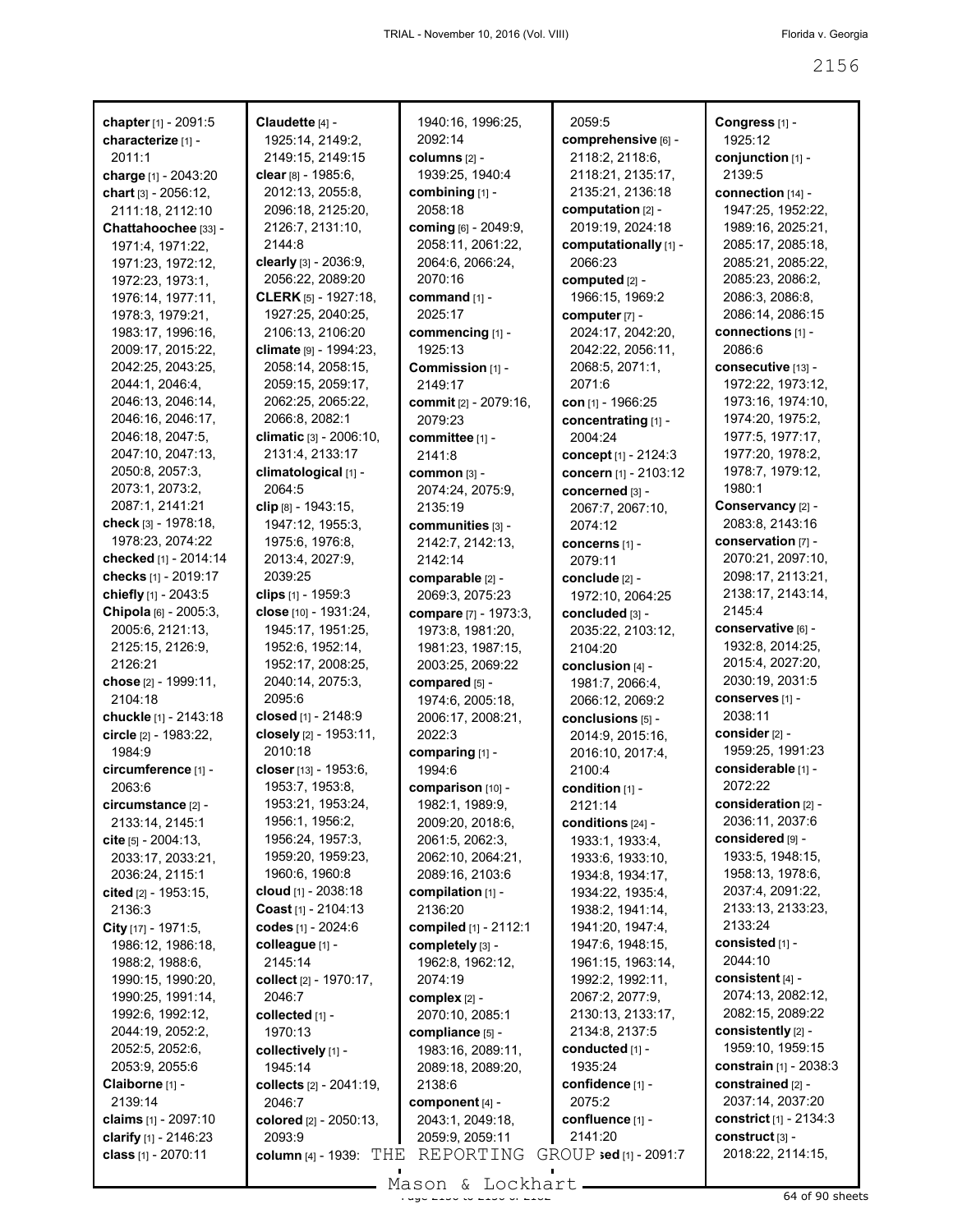| chapter [1] - 2091:5          | Claudette [4] -                     | 1940:16, 1996:25,                    | 2059:5                 | Congress [1] -                |
|-------------------------------|-------------------------------------|--------------------------------------|------------------------|-------------------------------|
| characterize [1] -            | 1925:14, 2149:2,                    | 2092:14                              | comprehensive [6] -    | 1925:12                       |
| 2011:1                        | 2149:15, 2149:15                    | columns $[2]$ -                      | 2118:2, 2118:6,        | conjunction [1] -             |
| charge [1] - 2043:20          | clear [8] - 1985:6,                 | 1939:25, 1940:4                      | 2118:21, 2135:17,      | 2139:5                        |
| chart $[3] - 2056:12$ ,       | 2012:13, 2055:8,                    | combining [1] -                      | 2135:21, 2136:18       | connection [14] -             |
| 2111:18, 2112:10              | 2096:18, 2125:20,                   | 2058:18                              | computation [2] -      | 1947:25, 1952:22,             |
| Chattahoochee [33] -          | 2126:7, 2131:10,                    | coming [6] - 2049:9,                 | 2019:19, 2024:18       | 1989:16, 2025:21,             |
| 1971:4, 1971:22,              | 2144:8                              | 2058:11, 2061:22,                    | computationally [1] -  | 2085:17, 2085:18,             |
| 1971:23, 1972:12,             | clearly [3] - 2036:9,               | 2064:6, 2066:24,                     | 2066:23                | 2085:21, 2085:22,             |
| 1972:23, 1973:1,              | 2056:22, 2089:20                    | 2070:16                              | computed [2] -         | 2085:23, 2086:2,              |
| 1976:14, 1977:11,             | <b>CLERK</b> [5] - 1927:18,         | command [1] -                        | 1966:15, 1969:2        | 2086:3, 2086:8,               |
| 1978:3, 1979:21,              | 1927:25, 2040:25,                   | 2025:17                              | computer [7] -         | 2086:14, 2086:15              |
| 1983:17, 1996:16,             | 2106:13, 2106:20                    | commencing [1] -                     | 2024:17, 2042:20,      | connections [1] -             |
| 2009:17, 2015:22,             | climate [9] - 1994:23,              | 1925:13                              | 2042:22, 2056:11,      | 2086:6                        |
| 2042:25, 2043:25,             | 2058:14, 2058:15,                   | Commission [1] -                     | 2068:5, 2071:1,        | consecutive [13] -            |
| 2044:1, 2046:4,               | 2059:15, 2059:17,                   | 2149:17                              | 2071:6                 | 1972:22, 1973:12,             |
| 2046:13, 2046:14,             | 2062:25, 2065:22,                   | commit [2] - 2079:16,                | con $[1]$ - 1966:25    | 1973:16, 1974:10,             |
| 2046:16, 2046:17,             | 2066:8, 2082:1                      | 2079:23                              | concentrating [1] -    | 1974:20, 1975:2,              |
| 2046:18, 2047:5,              | climatic $[3] - 2006:10$ ,          | committee [1] -                      | 2004:24                | 1977:5, 1977:17,              |
| 2047:10, 2047:13,             | 2131:4, 2133:17                     | 2141:8                               | concept [1] - 2124:3   | 1977:20, 1978:2,              |
| 2050:8, 2057:3,               | climatological [1] -                | COMMON [3] -                         | concern [1] - 2103:12  | 1978:7, 1979:12,              |
| 2073:1, 2073:2,               | 2064:5                              | 2074:24, 2075:9,                     | concerned [3] -        | 1980:1                        |
| 2087:1, 2141:21               | clip [8] - 1943:15,                 | 2135:19                              | 2067:7, 2067:10,       | Conservancy [2] -             |
| check [3] - 1978:18,          | 1947:12, 1955:3,                    | communities [3] -                    | 2074:12                | 2083:8, 2143:16               |
| 1978:23, 2074:22              | 1975:6, 1976:8,                     | 2142:7, 2142:13,                     | concerns [1] -         | conservation [7] -            |
| checked [1] - 2014:14         | 2013:4, 2027:9,                     | 2142:14                              | 2079:11                | 2070:21, 2097:10,             |
| checks [1] - 2019:17          | 2039:25                             | comparable [2] -                     | conclude [2] -         | 2098:17, 2113:21,             |
| chiefly [1] - 2043:5          | clips $[1]$ - 1959:3                | 2069:3, 2075:23                      | 1972:10, 2064:25       | 2138:17, 2143:14,             |
| Chipola [6] - 2005:3,         | close $[10] - 1931:24$ ,            | compare [7] - 1973:3,                | concluded [3] -        | 2145:4                        |
| 2005:6, 2121:13,              | 1945:17, 1951:25,                   | 1973:8, 1981:20,                     | 2035:22, 2103:12,      | conservative թ] -             |
| 2125:15, 2126:9,              | 1952:6, 1952:14,                    | 1981:23, 1987:15,                    | 2104:20                | 1932:8, 2014:25,              |
| 2126:21                       | 1952:17, 2008:25,                   | 2003:25, 2069:22                     | conclusion [4] -       | 2015:4, 2027:20,              |
| chose [2] - 1999:11,          | 2040:14, 2075:3,                    | compared [5] -                       | 1981:7, 2066:4,        | 2030:19, 2031:5               |
| 2104:18                       | 2095:6                              | 1974:6, 2005:18,                     | 2066:12, 2069:2        | conserves [1] -               |
| chuckle [1] - 2143:18         | closed [1] - 2148:9                 | 2006:17, 2008:21,                    | conclusions [5] -      | 2038:11                       |
| circle [2] - 1983:22,         | closely $[2] - 1953:11$ ,           | 2022:3                               | 2014:9, 2015:16,       | consider <sub>[2]</sub> -     |
| 1984:9                        | 2010:18                             |                                      |                        | 1959:25, 1991:23              |
|                               | closer [13] - 1953:6,               | comparing [1] -<br>1994:6            | 2016:10, 2017:4,       | considerable [1] -            |
| circumference [1] -<br>2063:6 | 1953:7, 1953:8,                     |                                      | 2100:4                 | 2072:22                       |
|                               | 1953:21, 1953:24,                   | comparison [10] -                    | condition [1] -        | consideration [2] -           |
| circumstance [2] -            | 1956:1, 1956:2,                     | 1982:1, 1989:9,                      | 2121:14                | 2036:11, 2037:6               |
| 2133:14, 2145:1               |                                     | 2009:20, 2018:6,                     | conditions [24] -      | considered [9] -              |
| cite $[5] - 2004:13$ ,        | 1956:24, 1957:3,                    | 2061:5, 2062:3,                      | 1933:1, 1933:4,        | 1933:5, 1948:15,              |
| 2033:17, 2033:21,             | 1959:20, 1959:23,<br>1960:6, 1960:8 | 2062:10, 2064:21,                    | 1933:6, 1933:10,       | 1958:13, 1978:6,              |
| 2036:24, 2115:1               |                                     | 2089:16, 2103:6<br>compilation [1] - | 1934:8, 1934:17,       | 2037:4, 2091:22,              |
| cited $[2] - 1953:15$ ,       | cloud $[1]$ - 2038:18               |                                      | 1934:22, 1935:4,       | 2133:13, 2133:23,             |
| 2136:3                        | Coast [1] - 2104:13                 | 2136:20                              | 1938:2, 1941:14,       | 2133:24                       |
| City [17] - 1971:5,           | codes [1] - 2024:6                  | compiled [1] - 2112:1                | 1941:20, 1947:4,       |                               |
| 1986:12, 1986:18,             | colleague [1] -                     | completely [3] -                     | 1947:6, 1948:15,       | consisted [1] -<br>2044:10    |
| 1988:2, 1988:6,               | 2145:14                             | 1962:8, 1962:12,                     | 1961:15, 1963:14,      |                               |
| 1990:15, 1990:20,             | collect [2] - 1970:17,              | 2074:19                              | 1992:2, 1992:11,       | consistent [4] -              |
| 1990:25, 1991:14,             | 2046:7                              | complex [2] -                        | 2067:2, 2077:9,        | 2074:13, 2082:12,             |
| 1992:6, 1992:12,              | collected [1] -                     | 2070:10, 2085:1                      | 2130:13, 2133:17,      | 2082:15, 2089:22              |
| 2044:19, 2052:2,              | 1970:13                             | compliance [5] -                     | 2134:8, 2137:5         | consistently [2] -            |
| 2052:5, 2052:6,               | collectively [1] -                  | 1983:16, 2089:11,                    | conducted [1] -        | 1959:10, 1959:15              |
| 2053:9, 2055:6                | 1945:14                             | 2089:18, 2089:20,                    | 1935:24                | <b>constrain</b> [1] - 2038:3 |
| Claiborne [1] -               | collects [2] - 2041:19,             | 2138:6                               | confidence [1] -       | constrained [2] -             |
| 2139:14                       | 2046:7                              | component $[4]$ -                    | 2075:2                 | 2037:14, 2037:20              |
| claims [1] - 2097:10          | colored [2] - 2050:13,              | 2043:1, 2049:18,                     | confluence [1] -       | constrict [1] - 2134:3        |
| clarify $[1] - 2146:23$       | 2093:9                              | 2059:9, 2059:11                      | 2141:20                | construct [3] -               |
| class [1] - 2070:11           | <b>column</b> [4] - 1939 $THE$      | REPORTING                            | GROUP sed [1] - 2091:7 | 2018:22, 2114:15,             |

 $\frac{1}{2}$ Mason & Lockhart.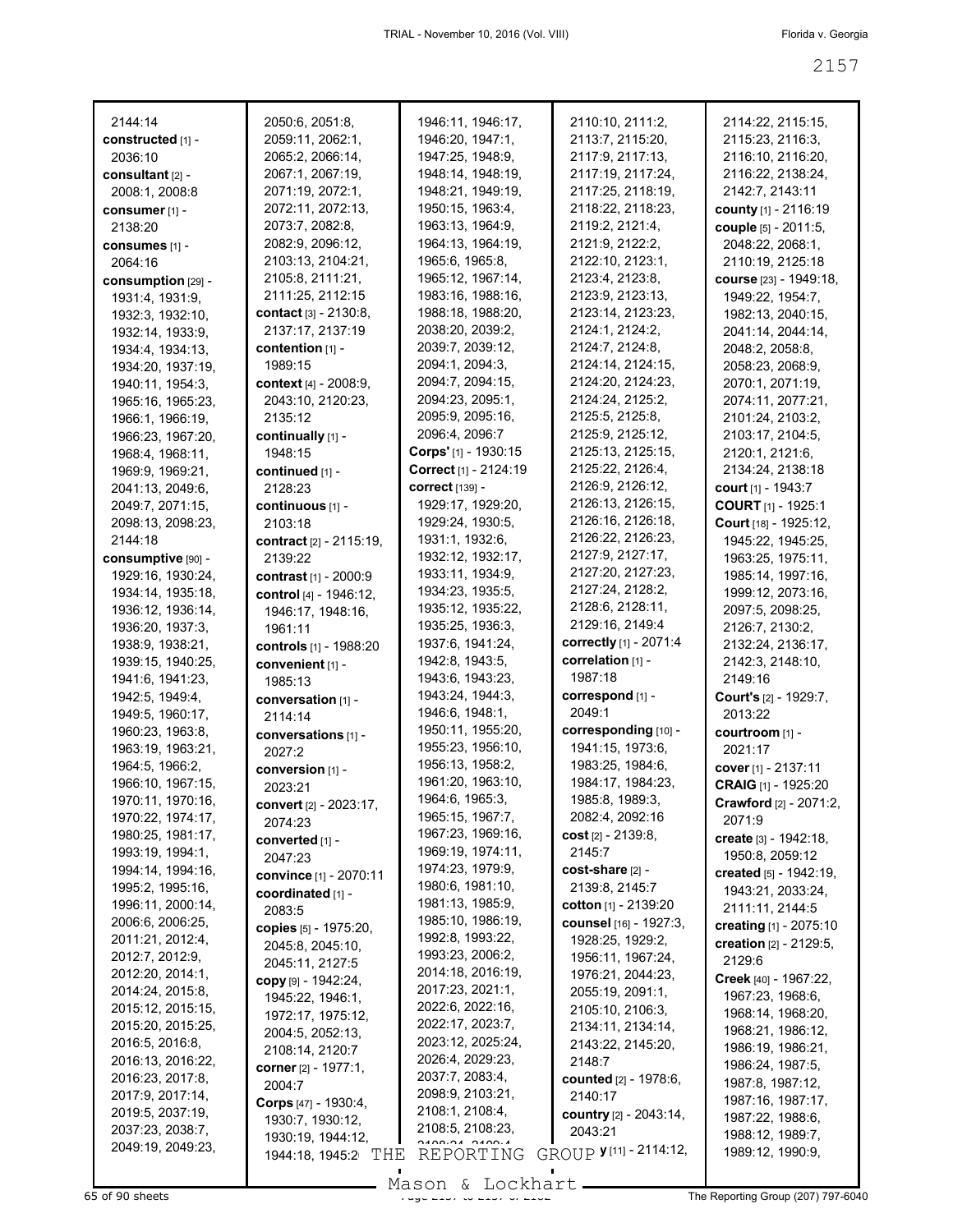| 2144:14            | 2050:6, 2051:8,         | 1946:11, 1946:17,     | 2110:10, 2111:2,                 | 2114:22, 2115:15,              |
|--------------------|-------------------------|-----------------------|----------------------------------|--------------------------------|
| constructed [1] -  | 2059:11, 2062:1,        | 1946:20, 1947:1,      | 2113:7, 2115:20,                 | 2115:23, 2116:3,               |
| 2036:10            | 2065:2, 2066:14,        | 1947:25, 1948:9,      | 2117:9, 2117:13,                 | 2116:10, 2116:20,              |
| consultant [2] -   | 2067:1, 2067:19,        | 1948:14, 1948:19,     | 2117:19, 2117:24,                | 2116:22, 2138:24,              |
| 2008:1, 2008:8     | 2071:19, 2072:1,        | 1948:21, 1949:19,     | 2117:25, 2118:19,                | 2142:7, 2143:11                |
| consumer [1] -     | 2072:11, 2072:13,       | 1950:15, 1963:4,      | 2118:22, 2118:23,                | county [1] - 2116:19           |
| 2138:20            | 2073:7, 2082:8,         | 1963:13, 1964:9,      | 2119:2, 2121:4,                  | couple [5] - 2011:5,           |
| consumes [1] -     | 2082:9, 2096:12,        | 1964:13, 1964:19,     | 2121:9, 2122:2,                  | 2048:22, 2068:1,               |
| 2064:16            | 2103:13, 2104:21,       | 1965:6, 1965:8,       | 2122:10, 2123:1,                 | 2110:19, 2125:18               |
| consumption [29] - | 2105:8, 2111:21,        | 1965:12, 1967:14,     | 2123:4, 2123:8,                  | course [23] - 1949:18,         |
| 1931:4, 1931:9,    | 2111:25, 2112:15        | 1983:16, 1988:16,     | 2123:9, 2123:13,                 | 1949:22, 1954:7,               |
| 1932:3, 1932:10,   | contact [3] - 2130:8,   | 1988:18, 1988:20,     | 2123:14, 2123:23,                | 1982:13, 2040:15,              |
| 1932:14, 1933:9,   | 2137:17, 2137:19        | 2038:20, 2039:2,      | 2124:1, 2124:2,                  | 2041:14, 2044:14,              |
| 1934:4, 1934:13,   | contention [1] -        | 2039:7, 2039:12,      | 2124:7, 2124:8,                  | 2048:2, 2058:8,                |
| 1934:20, 1937:19,  | 1989:15                 | 2094:1, 2094:3,       | 2124:14, 2124:15,                | 2058:23, 2068:9,               |
| 1940:11, 1954:3,   | context [4] - 2008:9,   | 2094:7, 2094:15,      | 2124:20, 2124:23,                | 2070:1, 2071:19,               |
| 1965:16, 1965:23,  | 2043:10, 2120:23,       | 2094:23, 2095:1,      | 2124:24, 2125:2,                 | 2074:11, 2077:21,              |
| 1966:1, 1966:19,   | 2135:12                 | 2095:9, 2095:16,      | 2125:5, 2125:8,                  | 2101:24, 2103:2,               |
| 1966:23, 1967:20,  | continually [1] -       | 2096:4, 2096:7        | 2125:9, 2125:12,                 | 2103:17, 2104:5,               |
| 1968:4, 1968:11,   | 1948:15                 | Corps'[1] - 1930:15   | 2125:13, 2125:15,                | 2120:1, 2121:6,                |
| 1969:9, 1969:21,   | continued [1] -         | Correct [1] - 2124:19 | 2125:22, 2126:4,                 | 2134:24, 2138:18               |
| 2041:13, 2049:6,   | 2128:23                 | correct [139] -       | 2126:9, 2126:12,                 | court [1] - 1943:7             |
| 2049:7, 2071:15,   | continuous [1] -        | 1929:17, 1929:20,     | 2126:13, 2126:15,                | COURT [1] - 1925:1             |
| 2098:13, 2098:23,  | 2103:18                 | 1929:24, 1930:5,      | 2126:16, 2126:18,                | Court [18] - 1925:12,          |
| 2144:18            | contract [2] - 2115:19, | 1931:1, 1932:6,       | 2126:22, 2126:23,                | 1945:22, 1945:25,              |
| consumptive [90] - | 2139:22                 | 1932:12, 1932:17,     | 2127:9, 2127:17,                 | 1963:25, 1975:11,              |
| 1929:16, 1930:24,  | contrast [1] - 2000:9   | 1933:11, 1934:9,      | 2127:20, 2127:23,                | 1985:14, 1997:16,              |
| 1934:14, 1935:18,  | control [4] - 1946:12,  | 1934:23, 1935:5,      | 2127:24, 2128:2,                 | 1999:12, 2073:16,              |
| 1936:12, 1936:14,  | 1946:17, 1948:16,       | 1935:12, 1935:22,     | 2128:6, 2128:11,                 | 2097:5, 2098:25,               |
| 1936:20, 1937:3,   | 1961:11                 | 1935:25, 1936:3,      | 2129:16, 2149:4                  | 2126:7, 2130:2,                |
| 1938:9, 1938:21,   | controls [1] - 1988:20  | 1937:6, 1941:24,      | correctly [1] - 2071:4           | 2132:24, 2136:17,              |
| 1939:15, 1940:25,  | convenient [1] -        | 1942:8, 1943:5,       | correlation [1] -                | 2142:3, 2148:10,               |
| 1941:6, 1941:23,   | 1985:13                 | 1943:6, 1943:23,      | 1987:18                          | 2149:16                        |
| 1942:5, 1949:4,    | conversation [1] -      | 1943:24, 1944:3,      | correspond [1] -                 | <b>Court's</b> [2] - 1929:7,   |
| 1949:5, 1960:17,   | 2114:14                 | 1946:6, 1948:1,       | 2049:1                           | 2013:22                        |
| 1960:23, 1963:8,   | conversations [1] -     | 1950:11, 1955:20,     | corresponding [10] -             | courtroom [1] -                |
| 1963:19, 1963:21,  | 2027:2                  | 1955:23, 1956:10,     | 1941:15, 1973:6,                 | 2021:17                        |
| 1964:5, 1966:2,    | conversion [1] -        | 1956:13, 1958:2,      | 1983:25, 1984:6,                 | cover [1] - 2137:11            |
| 1966:10, 1967:15,  | 2023:21                 | 1961:20, 1963:10,     | 1984:17, 1984:23,                | CRAIG [1] - 1925:20            |
| 1970:11, 1970:16,  | convert [2] - 2023:17,  | 1964:6, 1965:3,       | 1985:8, 1989:3,                  | <b>Crawford</b> $[2] - 2071:2$ |
| 1970:22, 1974:17,  | 2074:23                 | 1965:15, 1967:7,      | 2082:4, 2092:16                  | 2071:9                         |
| 1980:25, 1981:17,  | converted [1] -         | 1967:23, 1969:16,     | cost $[2] - 2139.8$ ,            | create $[3] - 1942:18$ ,       |
| 1993:19, 1994:1,   | 2047:23                 | 1969:19, 1974:11,     | 2145:7                           | 1950:8, 2059:12                |
| 1994:14, 1994:16,  | convince [1] - 2070:11  | 1974:23, 1979:9,      | cost-share [2] -                 | created [5] - 1942:19,         |
| 1995:2, 1995:16,   | coordinated [1] -       | 1980:6, 1981:10,      | 2139:8, 2145:7                   | 1943:21, 2033:24,              |
| 1996:11, 2000:14,  | 2083:5                  | 1981:13, 1985:9,      | cotton [1] - 2139:20             | 2111:11, 2144:5                |
| 2006:6, 2006:25,   | copies [5] - 1975:20,   | 1985:10, 1986:19,     | counsel [16] - 1927:3,           | creating [1] - 2075:10         |
| 2011:21, 2012:4,   | 2045:8, 2045:10,        | 1992:8, 1993:22,      | 1928:25, 1929:2,                 | creation [2] - 2129:5,         |
| 2012:7, 2012:9,    | 2045:11, 2127:5         | 1993:23, 2006:2,      | 1956:11, 1967:24,                | 2129:6                         |
| 2012:20, 2014:1,   | сору [9] - 1942:24,     | 2014:18, 2016:19,     | 1976:21, 2044:23,                | Creek [40] - 1967:22,          |
| 2014:24, 2015:8,   | 1945:22, 1946:1,        | 2017:23, 2021:1,      | 2055:19, 2091:1,                 | 1967:23, 1968:6,               |
| 2015:12, 2015:15,  | 1972:17, 1975:12,       | 2022:6, 2022:16,      | 2105:10, 2106:3,                 | 1968:14, 1968:20,              |
| 2015:20, 2015:25,  | 2004:5, 2052:13,        | 2022:17, 2023:7,      | 2134:11, 2134:14,                | 1968:21, 1986:12,              |
| 2016:5, 2016:8,    | 2108:14, 2120:7         | 2023:12, 2025:24,     | 2143:22, 2145:20,                | 1986:19, 1986:21,              |
| 2016:13, 2016:22,  | corner $[2] - 1977:1$ , | 2026:4, 2029:23,      | 2148:7                           | 1986:24, 1987:5,               |
| 2016:23, 2017:8,   | 2004:7                  | 2037:7, 2083:4,       | counted [2] - 1978:6,            | 1987:8, 1987:12,               |
| 2017:9, 2017:14,   | Corps [47] - 1930:4,    | 2098:9, 2103:21,      | 2140:17                          | 1987:16, 1987:17,              |
| 2019:5, 2037:19,   | 1930:7, 1930:12,        | 2108:1, 2108:4,       | <b>country</b> $[2] - 2043:14$ , | 1987:22, 1988:6,               |
| 2037:23, 2038:7,   |                         |                       |                                  |                                |
|                    | 1930:19, 1944:12,       | 2108:5, 2108:23,      | 2043:21                          | 1988:12, 1989:7,               |
| 2049:19, 2049:23,  | 1944:18, 1945:2 THE     | REPORTING             | GROUP <b>y</b> [11] - 2114:12,   | 1989:12, 1990:9,               |

Mason & Lockhart **Page 2016**<br>65 of 90 sheets **Page 207) 797-6040**<br>Also page 2157 of 2157 of 2157 of 2157 of 2157 of 2157 of 2182 The Reporting Group (207) 797-6040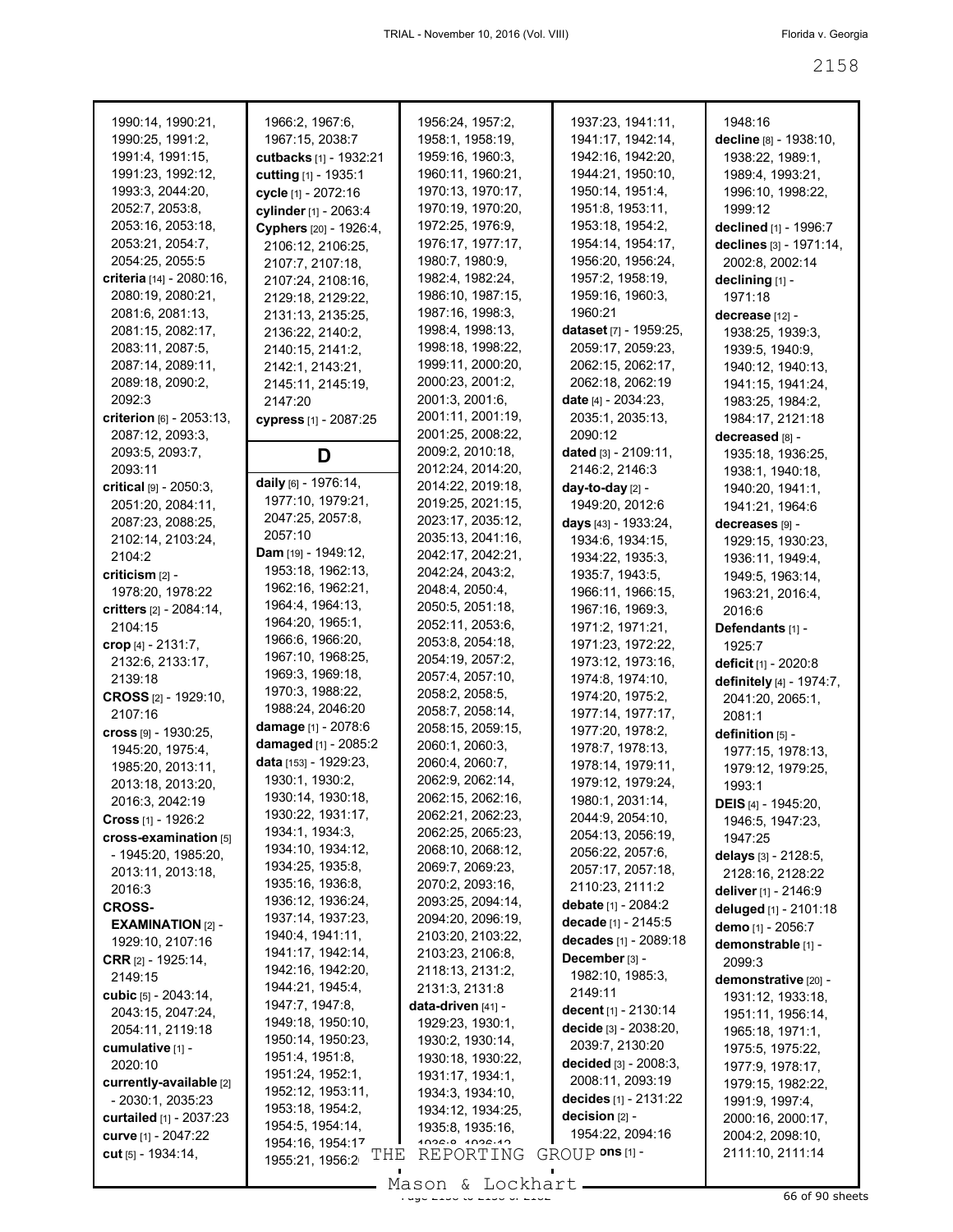| 1990:14, 1990:21,               | 1966:2, 1967:6,            | 1956:24, 1957:2,            | 1937:23, 1941:11,             | 1948:16                    |
|---------------------------------|----------------------------|-----------------------------|-------------------------------|----------------------------|
| 1990:25, 1991:2,                | 1967:15, 2038:7            | 1958:1, 1958:19,            | 1941:17, 1942:14,             | decline [8] - 1938:10,     |
| 1991:4, 1991:15,                | cutbacks [1] - 1932:21     | 1959:16, 1960:3,            | 1942:16, 1942:20,             | 1938:22, 1989:1,           |
| 1991:23, 1992:12,               | cutting [1] - 1935:1       | 1960:11, 1960:21,           | 1944:21, 1950:10,             | 1989:4, 1993:21,           |
| 1993:3, 2044:20,                | cycle [1] - 2072:16        | 1970:13, 1970:17,           | 1950:14, 1951:4,              | 1996:10, 1998:22,          |
| 2052:7, 2053:8,                 | cylinder [1] - 2063:4      | 1970:19, 1970:20,           | 1951:8, 1953:11,              | 1999:12                    |
| 2053:16, 2053:18,               | Cyphers [20] - 1926:4,     | 1972:25, 1976:9,            | 1953:18, 1954:2,              | declined [1] - 1996:7      |
| 2053:21, 2054:7,                | 2106:12, 2106:25,          | 1976:17, 1977:17,           | 1954:14, 1954:17,             | declines [3] - 1971:14,    |
| 2054:25, 2055:5                 | 2107:7, 2107:18,           | 1980:7, 1980:9,             | 1956:20, 1956:24,             | 2002:8, 2002:14            |
| <b>criteria</b> [14] - 2080:16, | 2107:24, 2108:16,          | 1982:4, 1982:24,            | 1957:2, 1958:19,              | declining [1] -            |
| 2080:19, 2080:21,               | 2129:18, 2129:22,          | 1986:10, 1987:15,           | 1959:16, 1960:3,              | 1971:18                    |
| 2081:6, 2081:13,                | 2131:13, 2135:25,          | 1987:16, 1998:3,            | 1960:21                       | decrease [12] -            |
| 2081:15, 2082:17,               | 2136:22, 2140:2,           | 1998:4, 1998:13,            | <b>dataset</b> [7] - 1959:25, | 1938:25, 1939:3,           |
| 2083:11, 2087:5,                | 2140:15, 2141:2,           | 1998:18, 1998:22,           | 2059:17, 2059:23,             | 1939:5, 1940:9,            |
| 2087:14, 2089:11,               | 2142:1, 2143:21,           | 1999:11, 2000:20,           | 2062:15, 2062:17,             | 1940:12, 1940:13,          |
| 2089:18, 2090:2,                | 2145:11, 2145:19,          | 2000:23, 2001:2,            | 2062:18, 2062:19              | 1941:15, 1941:24,          |
| 2092:3                          | 2147:20                    | 2001:3, 2001:6,             | date $[4] - 2034:23$ ,        | 1983:25, 1984:2,           |
| criterion [6] - 2053:13,        | cypress [1] - 2087:25      | 2001:11, 2001:19,           | 2035:1, 2035:13,              | 1984:17, 2121:18           |
| 2087:12, 2093:3,                |                            | 2001:25, 2008:22,           | 2090:12                       | decreased [8] -            |
| 2093:5, 2093:7,                 | D                          | 2009:2, 2010:18,            | dated [3] - 2109:11,          | 1935:18, 1936:25,          |
| 2093:11                         |                            | 2012:24, 2014:20,           | 2146:2, 2146:3                | 1938:1, 1940:18,           |
| critical [9] - 2050:3,          | daily [6] - 1976:14,       | 2014:22, 2019:18,           | day-to-day [2] -              | 1940:20, 1941:1,           |
| 2051:20, 2084:11,               | 1977:10, 1979:21,          | 2019:25, 2021:15,           | 1949:20, 2012:6               | 1941:21, 1964:6            |
| 2087:23, 2088:25,               | 2047:25, 2057:8,           | 2023:17, 2035:12,           | days [43] - 1933:24,          | decreases [9] -            |
| 2102:14, 2103:24,               | 2057:10                    | 2035:13, 2041:16,           | 1934:6, 1934:15,              |                            |
| 2104:2                          | <b>Dam</b> [19] - 1949:12, | 2042:17, 2042:21,           | 1934:22, 1935:3,              | 1929:15, 1930:23,          |
| $criticism$ [2] -               | 1953:18, 1962:13,          | 2042:24, 2043:2,            | 1935:7, 1943:5,               | 1936:11, 1949:4,           |
| 1978:20, 1978:22                | 1962:16, 1962:21,          | 2048:4, 2050:4,             |                               | 1949:5, 1963:14,           |
|                                 | 1964:4, 1964:13,           | 2050:5, 2051:18,            | 1966:11, 1966:15,             | 1963:21, 2016:4,           |
| critters [2] - 2084:14,         | 1964:20, 1965:1,           | 2052:11, 2053:6,            | 1967:16, 1969:3,              | 2016:6                     |
| 2104:15                         | 1966:6, 1966:20,           | 2053:8, 2054:18,            | 1971:2, 1971:21,              | Defendants [1] -           |
| crop $[4] - 2131:7,$            | 1967:10, 1968:25,          | 2054:19, 2057:2,            | 1971:23, 1972:22,             | 1925:7                     |
| 2132:6, 2133:17,                | 1969:3, 1969:18,           | 2057:4, 2057:10,            | 1973:12, 1973:16,             | deficit [1] - 2020:8       |
| 2139:18                         | 1970:3, 1988:22,           | 2058:2, 2058:5,             | 1974:8, 1974:10,              | definitely [4] - 1974:7,   |
| <b>CROSS</b> [2] - 1929:10,     | 1988:24, 2046:20           | 2058:7, 2058:14,            | 1974:20, 1975:2,              | 2041:20, 2065:1,           |
| 2107:16                         | damage [1] - 2078:6        | 2058:15, 2059:15,           | 1977:14, 1977:17,             | 2081:1                     |
| cross [9] - 1930:25,            | damaged [1] - 2085:2       | 2060:1, 2060:3,             | 1977:20, 1978:2,              | definition [5] -           |
| 1945:20, 1975:4,                | data [153] - 1929:23,      | 2060:4, 2060:7,             | 1978:7, 1978:13,              | 1977:15, 1978:13,          |
| 1985:20, 2013:11,               | 1930:1, 1930:2,            | 2062:9, 2062:14,            | 1978:14, 1979:11,             | 1979:12, 1979:25.          |
| 2013:18, 2013:20,               |                            |                             | 1979:12, 1979:24,             | 1993:1                     |
| 2016:3, 2042:19                 | 1930:14, 1930:18,          | 2062:15, 2062:16,           | 1980:1, 2031:14,              | <b>DEIS</b> [4] - 1945:20, |
| <b>Cross</b> [1] - 1926:2       | 1930:22, 1931:17,          | 2062:21, 2062:23,           | 2044:9, 2054:10,              | 1946:5, 1947:23,           |
| cross-examination [5]           | 1934:1, 1934:3,            | 2062:25, 2065:23,           | 2054:13, 2056:19,             | 1947:25                    |
| - 1945:20, 1985:20,             | 1934:10, 1934:12,          | 2068:10, 2068:12,           | 2056:22, 2057:6,              | delays $[3] - 2128.5$ ,    |
| 2013:11, 2013:18,               | 1934:25, 1935:8,           | 2069:7, 2069:23,            | 2057:17, 2057:18,             | 2128:16, 2128:22           |
| 2016:3                          | 1935:16, 1936:8,           | 2070:2, 2093:16,            | 2110:23, 2111:2               | deliver $[1] - 2146.9$     |
| <b>CROSS-</b>                   | 1936:12, 1936:24,          | 2093:25, 2094:14,           | debate [1] - 2084:2           | deluged [1] - 2101:18      |
| <b>EXAMINATION [2] -</b>        | 1937:14, 1937:23,          | 2094:20, 2096:19,           | decade [1] - 2145:5           | demo [1] - 2056:7          |
| 1929:10, 2107:16                | 1940:4, 1941:11,           | 2103:20, 2103:22,           | decades [1] - 2089:18         | demonstrable [1] -         |
| <b>CRR</b> $[2] - 1925:14$ ,    | 1941:17, 1942:14,          | 2103:23, 2106:8,            | December [3] -                | 2099:3                     |
| 2149:15                         | 1942:16, 1942:20,          | 2118:13, 2131:2,            | 1982:10, 1985:3,              | demonstrative [20] -       |
| cubic $[5] - 2043:14$ ,         | 1944:21, 1945:4,           | 2131:3, 2131:8              | 2149:11                       | 1931:12, 1933:18,          |
| 2043:15, 2047:24,               | 1947:7, 1947:8,            | data-driven [41] -          | decent $[1] - 2130:14$        | 1951:11, 1956:14,          |
| 2054:11, 2119:18                | 1949:18, 1950:10,          | 1929:23, 1930:1,            | decide [3] - 2038:20,         | 1965:18, 1971:1,           |
| cumulative [1] -                | 1950:14, 1950:23,          | 1930:2, 1930:14,            | 2039:7, 2130:20               | 1975:5, 1975:22,           |
| 2020:10                         | 1951:4, 1951:8,            | 1930:18, 1930:22,           | decided [3] - 2008:3,         | 1977:9, 1978:17,           |
| currently-available [2]         | 1951:24, 1952:1,           | 1931:17, 1934:1,            | 2008:11, 2093:19              | 1979:15, 1982:22,          |
| $-2030:1, 2035:23$              | 1952:12, 1953:11,          | 1934:3, 1934:10,            | decides [1] - 2131:22         | 1991:9, 1997:4,            |
| <b>curtailed</b> [1] - 2037:23  | 1953:18, 1954:2,           | 1934:12, 1934:25,           | decision $[2]$ -              | 2000:16, 2000:17,          |
| curve [1] - 2047:22             | 1954:5, 1954:14,           | 1935:8, 1935:16,            | 1954:22, 2094:16              | 2004:2, 2098:10,           |
| cut $[5] - 1934:14$ ,           | 1954:16, 1954:17<br>THE    | 1028.0 1028.10<br>REPORTING | $GROUP$ ons $[1]$ -           | 2111:10, 2111:14           |
|                                 | 1955:21, 1956:2            |                             |                               |                            |
|                                 |                            | M <sub>0</sub>              |                               |                            |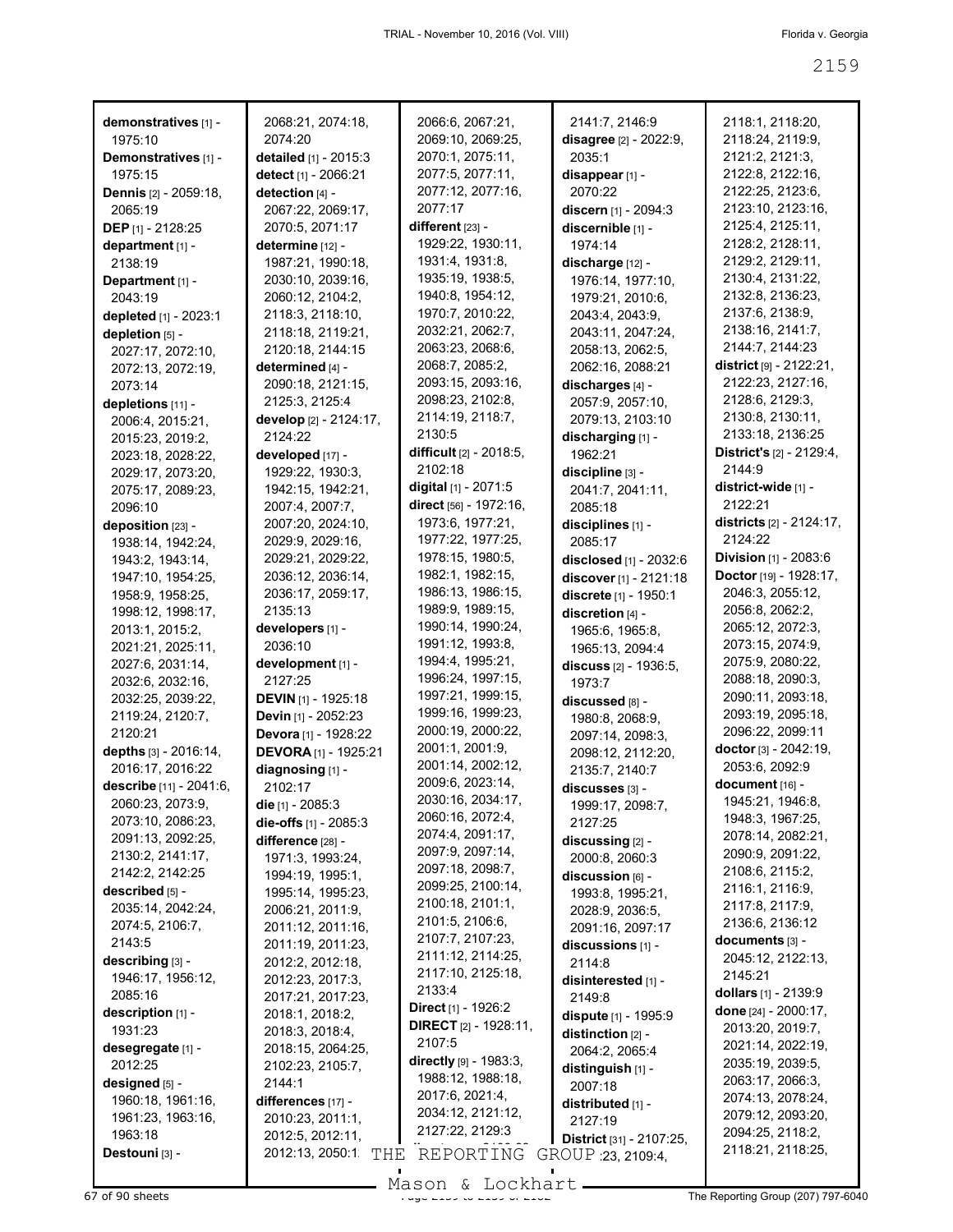|                                    |                                        | 2066:6, 2067:21,                      |                                          |                                              |
|------------------------------------|----------------------------------------|---------------------------------------|------------------------------------------|----------------------------------------------|
| demonstratives [1] -<br>1975:10    | 2068:21, 2074:18,<br>2074:20           | 2069:10, 2069:25,                     | 2141:7, 2146:9<br>disagree [2] - 2022:9, | 2118:1, 2118:20,<br>2118:24, 2119:9,         |
| Demonstratives [1] -               | detailed [1] - 2015:3                  | 2070:1, 2075:11,                      | 2035:1                                   | 2121:2, 2121:3,                              |
| 1975:15                            | detect [1] - 2066:21                   | 2077:5, 2077:11,                      | disappear [1] -                          | 2122:8, 2122:16,                             |
| <b>Dennis</b> [2] - 2059:18,       | detection [4] -                        | 2077:12, 2077:16,                     | 2070:22                                  | 2122:25, 2123:6,                             |
| 2065:19                            | 2067:22, 2069:17,                      | 2077:17                               | discern [1] - 2094:3                     | 2123:10, 2123:16,                            |
| <b>DEP</b> $[1] - 2128:25$         | 2070:5, 2071:17                        | different $[23]$ -                    | discernible [1] -                        | 2125:4, 2125:11,                             |
| department [1] -                   | determine [12] -                       | 1929:22, 1930:11,                     | 1974:14                                  | 2128:2, 2128:11,                             |
| 2138:19                            | 1987:21, 1990:18,                      | 1931:4, 1931:8,                       | discharge [12] -                         | 2129:2, 2129:11,                             |
| Department [1] -                   | 2030:10, 2039:16,                      | 1935:19, 1938:5,                      | 1976:14, 1977:10,                        | 2130:4, 2131:22,                             |
| 2043:19                            | 2060:12, 2104:2,                       | 1940:8, 1954:12,                      | 1979:21, 2010:6,                         | 2132:8, 2136:23,                             |
| depleted [1] - 2023:1              | 2118:3, 2118:10,                       | 1970:7, 2010:22,                      | 2043:4, 2043:9,                          | 2137:6, 2138:9,                              |
| depletion [5] -                    | 2118:18, 2119:21,                      | 2032:21, 2062:7,                      | 2043:11, 2047:24,                        | 2138:16, 2141:7,                             |
| 2027:17, 2072:10,                  | 2120:18, 2144:15                       | 2063:23, 2068:6,                      | 2058:13, 2062:5,                         | 2144:7, 2144:23                              |
| 2072:13, 2072:19,                  | determined [4] -                       | 2068:7, 2085:2,                       | 2062:16, 2088:21                         | district $[9] - 2122:21$ ,                   |
| 2073:14                            | 2090:18, 2121:15,                      | 2093:15, 2093:16,                     | discharges [4] -                         | 2122:23, 2127:16,                            |
| depletions [11] -                  | 2125:3, 2125:4                         | 2098:23, 2102:8,                      | 2057:9, 2057:10,                         | 2128:6, 2129:3,                              |
| 2006:4, 2015:21,                   | develop [2] - 2124:17,                 | 2114:19, 2118:7,                      | 2079:13, 2103:10                         | 2130:8, 2130:11,                             |
| 2015:23, 2019:2,                   | 2124:22                                | 2130:5                                | discharging [1] -                        | 2133:18, 2136:25                             |
| 2023:18, 2028:22,                  | developed [17] -                       | difficult [2] - 2018:5,<br>2102:18    | 1962:21                                  | <b>District's</b> $[2] - 2129:4$ ,<br>2144:9 |
| 2029:17, 2073:20,                  | 1929:22, 1930:3,                       | digital [1] - 2071:5                  | discipline [3] -                         | district-wide [1] -                          |
| 2075:17, 2089:23,                  | 1942:15, 1942:21,                      | direct [56] - 1972:16,                | 2041:7, 2041:11,<br>2085:18              | 2122:21                                      |
| 2096:10<br>deposition [23] -       | 2007:4, 2007:7,<br>2007:20, 2024:10,   | 1973:6, 1977:21,                      | disciplines [1] -                        | districts [2] - 2124:17,                     |
| 1938:14, 1942:24,                  | 2029:9, 2029:16,                       | 1977:22, 1977:25,                     | 2085:17                                  | 2124:22                                      |
| 1943:2, 1943:14,                   | 2029:21, 2029:22,                      | 1978:15, 1980:5,                      | disclosed [1] - 2032:6                   | Division [1] - 2083:6                        |
| 1947:10, 1954:25,                  | 2036:12, 2036:14,                      | 1982:1, 1982:15,                      | discover [1] - 2121:18                   | Doctor [19] - 1928:17,                       |
| 1958:9, 1958:25,                   | 2036:17, 2059:17,                      | 1986:13, 1986:15,                     | discrete [1] - 1950:1                    | 2046:3, 2055:12,                             |
| 1998:12, 1998:17,                  | 2135:13                                | 1989:9, 1989:15,                      | discretion [4] -                         | 2056:8, 2062:2,                              |
| 2013:1, 2015:2,                    | developers [1] -                       | 1990:14, 1990:24,                     | 1965:6, 1965:8,                          | 2065:12, 2072:3,                             |
| 2021:21, 2025:11,                  | 2036:10                                | 1991:12, 1993:8,                      | 1965:13, 2094:4                          | 2073:15, 2074:9,                             |
| 2027:6, 2031:14,                   | development [1] -                      | 1994:4, 1995:21,                      | discuss [2] - 1936:5,                    | 2075:9, 2080:22,                             |
| 2032:6, 2032:16,                   | 2127:25                                | 1996:24, 1997:15,                     | 1973:7                                   | 2088:18, 2090:3,                             |
| 2032:25, 2039:22,                  | DEVIN [1] - 1925:18                    | 1997:21, 1999:15,                     | discussed [8] -                          | 2090:11, 2093:18,                            |
| 2119:24, 2120:7,                   | Devin [1] - 2052:23                    | 1999:16, 1999:23,                     | 1980:8, 2068:9,                          | 2093:19, 2095:18,                            |
| 2120:21                            | Devora [1] - 1928:22                   | 2000:19, 2000:22,                     | 2097:14, 2098:3,                         | 2096:22, 2099:11                             |
| depths [3] - 2016:14,              | <b>DEVORA</b> <sup>[1]</sup> - 1925:21 | 2001:1, 2001:9,                       | 2098:12, 2112:20,                        | doctor [3] - 2042:19,                        |
| 2016:17, 2016:22                   | diagnosing [1] -                       | 2001:14, 2002:12,                     | 2135:7, 2140:7                           | 2053:6, 2092:9                               |
| describe [11] - 2041:6,            | 2102:17                                | 2009:6, 2023:14,                      | discusses [3] -                          | document [16] -                              |
| 2060:23, 2073:9,                   | die [1] - 2085:3                       | 2030:16, 2034:17,<br>2060:16, 2072:4, | 1999:17, 2098:7,                         | 1945:21, 1946:8,                             |
| 2073:10, 2086:23,                  | die-offs [1] - 2085:3                  | 2074:4, 2091:17,                      | 2127:25                                  | 1948:3, 1967:25,                             |
| 2091:13, 2092:25,                  | difference [28] -                      | 2097:9, 2097:14,                      | discussing [2] -                         | 2078:14, 2082:21,<br>2090:9, 2091:22,        |
| 2130:2, 2141:17,                   | 1971:3, 1993:24,                       | 2097:18, 2098:7,                      | 2000:8, 2060:3                           | 2108:6, 2115:2,                              |
| 2142:2, 2142:25<br>described [5] - | 1994:19, 1995:1,                       | 2099:25, 2100:14,                     | discussion [6] -                         | 2116:1, 2116:9,                              |
| 2035:14, 2042:24,                  | 1995:14, 1995:23,                      | 2100:18, 2101:1,                      | 1993:8, 1995:21,                         | 2117:8, 2117:9,                              |
| 2074:5, 2106:7,                    | 2006:21, 2011:9,<br>2011:12, 2011:16,  | 2101:5, 2106:6,                       | 2028:9, 2036:5,<br>2091:16, 2097:17      | 2136:6, 2136:12                              |
| 2143:5                             | 2011:19, 2011:23,                      | 2107:7, 2107:23,                      | discussions [1] -                        | documents [3] -                              |
| describing [3] -                   | 2012:2, 2012:18,                       | 2111:12, 2114:25,                     | 2114:8                                   | 2045:12, 2122:13,                            |
| 1946:17, 1956:12,                  | 2012:23, 2017:3,                       | 2117:10, 2125:18,                     | disinterested [1] -                      | 2145:21                                      |
| 2085:16                            | 2017:21, 2017:23,                      | 2133:4                                | 2149:8                                   | dollars $[1]$ - 2139:9                       |
| description [1] -                  | 2018:1, 2018:2,                        | Direct [1] - 1926:2                   | dispute [1] - 1995:9                     | done [24] - 2000:17,                         |
| 1931:23                            | 2018:3, 2018:4,                        | <b>DIRECT</b> $[2] - 1928:11$ ,       | distinction $[2]$ -                      | 2013:20, 2019:7,                             |
| desegregate [1] -                  | 2018:15, 2064:25,                      | 2107:5                                | 2064:2, 2065:4                           | 2021:14, 2022:19,                            |
| 2012:25                            | 2102:23, 2105:7,                       | directly [9] - 1983:3,                | distinguish [1] -                        | 2035:19, 2039:5,                             |
| designed [5] -                     | 2144:1                                 | 1988:12, 1988:18,                     | 2007:18                                  | 2063:17, 2066:3,                             |
| 1960:18, 1961:16,                  | differences [17] -                     | 2017:6, 2021:4,                       | distributed [1] -                        | 2074:13, 2078:24,                            |
| 1961:23, 1963:16,                  | 2010:23, 2011:1,                       | 2034:12, 2121:12,                     | 2127:19                                  | 2079:12, 2093:20,                            |
| 1963:18                            | 2012:5, 2012:11,                       | 2127:22, 2129:3                       | District [31] - 2107:25,                 | 2094:25, 2118:2,                             |
| Destouni [3] -                     | 2012:13, 2050:1<br>THE                 | REPORTING                             | GROUP 23, 2109.4,                        | 2118:21, 2118:25,                            |
|                                    |                                        |                                       |                                          |                                              |

Mason & Lockhart **Page 2159 of 90** sheets Page 207) 797-6040<br>
Mason & Lockhart **Page 2159 of 2182 The Reporting Group** (207) 797-6040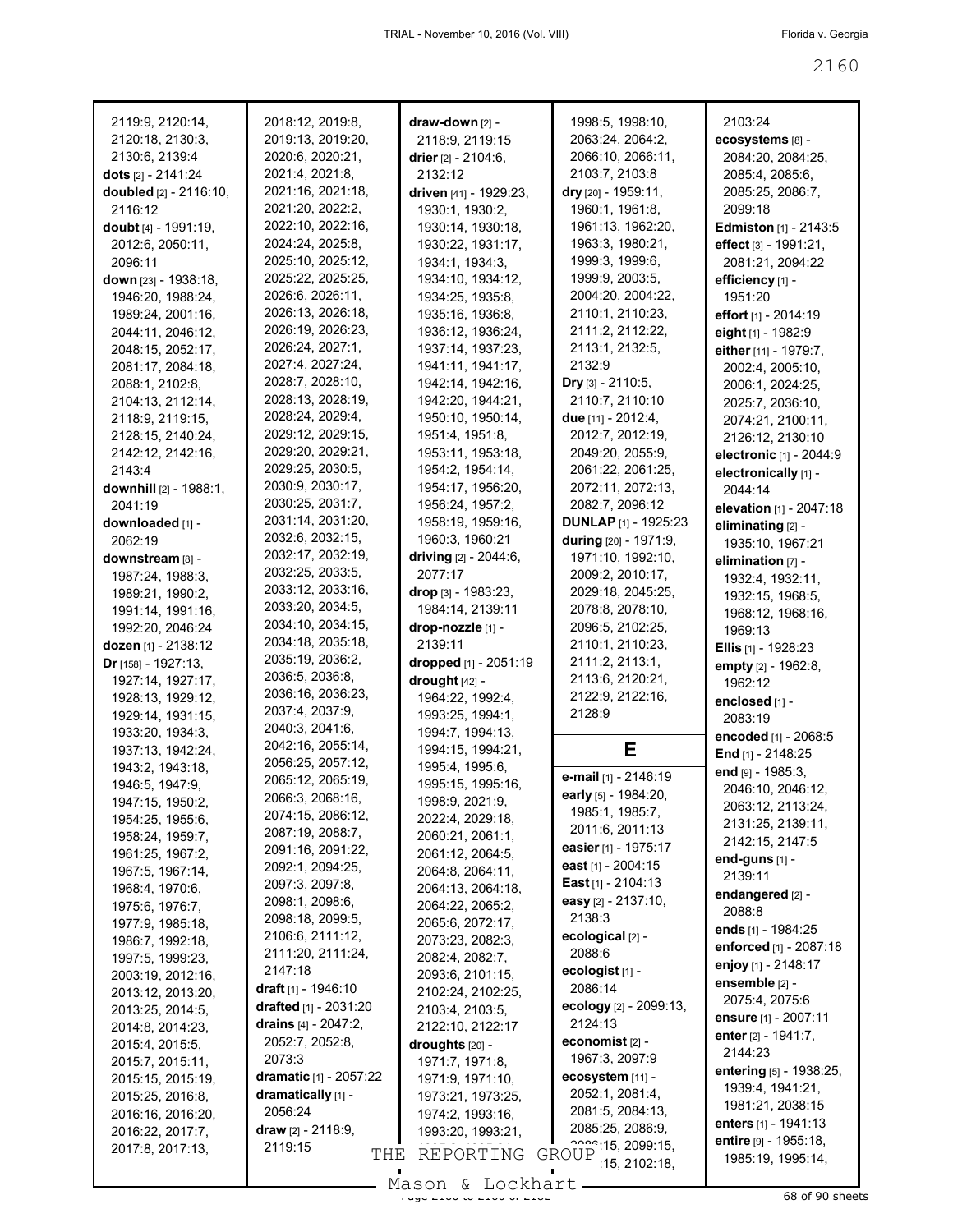| 2119:9, 2120:14,           | 2018:12, 2019:8,                     | draw-down [2] -        | 1998:5, 1998:10,                          | 2103:24                                    |
|----------------------------|--------------------------------------|------------------------|-------------------------------------------|--------------------------------------------|
| 2120:18, 2130:3,           | 2019:13, 2019:20,                    | 2118:9, 2119:15        | 2063:24, 2064:2,                          | ecosystems [8] -                           |
| 2130:6, 2139:4             | 2020:6, 2020:21,                     | drier $[2] - 2104:6$ , | 2066:10, 2066:11,                         | 2084:20, 2084:25,                          |
| dots [2] - 2141:24         | 2021:4, 2021:8,                      | 2132:12                | 2103:7, 2103:8                            | 2085:4, 2085:6,                            |
| doubled [2] - 2116:10,     | 2021:16, 2021:18,                    | driven [41] - 1929:23, | dry [20] - 1959:11,                       | 2085:25, 2086:7,                           |
| 2116:12                    | 2021:20, 2022:2,                     | 1930:1, 1930:2,        | 1960:1, 1961:8,                           | 2099:18                                    |
| doubt [4] - 1991:19,       | 2022:10, 2022:16,                    | 1930:14, 1930:18,      | 1961:13, 1962:20,                         | <b>Edmiston</b> [1] - 2143:5               |
| 2012:6, 2050:11,           | 2024:24, 2025:8,                     | 1930:22, 1931:17,      | 1963:3, 1980:21,                          | effect [3] - 1991:21,                      |
| 2096:11                    | 2025:10, 2025:12,                    | 1934:1, 1934:3,        | 1999:3, 1999:6,                           | 2081:21, 2094:22                           |
|                            | 2025:22, 2025:25,                    | 1934:10, 1934:12,      | 1999:9, 2003:5,                           | efficiency [1] -                           |
| down [23] - 1938:18,       | 2026:6, 2026:11,                     | 1934:25, 1935:8,       | 2004:20, 2004:22,                         | 1951:20                                    |
| 1946:20, 1988:24,          | 2026:13, 2026:18,                    |                        |                                           |                                            |
| 1989:24, 2001:16,          | 2026:19, 2026:23,                    | 1935:16, 1936:8,       | 2110:1, 2110:23,                          | effort $[1] - 2014:19$                     |
| 2044:11, 2046:12,          |                                      | 1936:12, 1936:24,      | 2111:2, 2112:22,                          | eight [1] - 1982:9                         |
| 2048:15, 2052:17,          | 2026:24, 2027:1,                     | 1937:14, 1937:23,      | 2113:1, 2132:5,                           | either [11] - 1979:7,                      |
| 2081:17, 2084:18,          | 2027:4, 2027:24,                     | 1941:11, 1941:17,      | 2132:9                                    | 2002:4, 2005:10,                           |
| 2088:1, 2102:8,            | 2028:7, 2028:10,                     | 1942:14, 1942:16,      | <b>Dry</b> [3] $- 2110:5,$                | 2006:1, 2024:25,                           |
| 2104:13, 2112:14,          | 2028:13, 2028:19,                    | 1942:20, 1944:21,      | 2110:7, 2110:10                           | 2025:7, 2036:10,                           |
| 2118:9, 2119:15,           | 2028:24, 2029:4,                     | 1950:10, 1950:14,      | due [11] - 2012:4,                        | 2074:21, 2100:11,                          |
| 2128:15, 2140:24,          | 2029:12, 2029:15,                    | 1951:4, 1951:8,        | 2012:7, 2012:19,                          | 2126:12, 2130:10                           |
| 2142:12, 2142:16,          | 2029:20, 2029:21,                    | 1953:11, 1953:18,      | 2049:20, 2055:9,                          | electronic [1] - 2044:9                    |
| 2143:4                     | 2029:25, 2030:5,                     | 1954:2, 1954:14,       | 2061:22, 2061:25,                         | electronically [1] -                       |
| downhill [2] - 1988:1,     | 2030:9, 2030:17,                     | 1954:17, 1956:20,      | 2072:11, 2072:13,                         | 2044:14                                    |
| 2041:19                    | 2030:25, 2031:7,                     | 1956:24, 1957:2,       | 2082:7, 2096:12                           | elevation [1] - 2047:18                    |
| downloaded [1] -           | 2031:14, 2031:20,                    | 1958:19, 1959:16,      | <b>DUNLAP [1] - 1925:23</b>               | eliminating [2] -                          |
| 2062:19                    | 2032:6, 2032:15,                     | 1960:3, 1960:21        | during [20] - 1971:9,                     | 1935:10, 1967:21                           |
| downstream [8] -           | 2032:17, 2032:19,                    | driving [2] - 2044:6,  | 1971:10, 1992:10,                         | elimination $[7]$ -                        |
| 1987:24, 1988:3,           | 2032:25, 2033:5,                     | 2077:17                | 2009:2, 2010:17,                          | 1932:4, 1932:11,                           |
| 1989:21, 1990:2,           | 2033:12, 2033:16,                    | $drop$ [3] - 1983:23,  | 2029:18, 2045:25,                         | 1932:15, 1968:5,                           |
| 1991:14, 1991:16,          | 2033:20, 2034:5,                     | 1984:14, 2139:11       | 2078:8, 2078:10,                          | 1968:12, 1968:16,                          |
| 1992:20, 2046:24           | 2034:10, 2034:15,                    | drop-nozzle [1] -      | 2096:5, 2102:25,                          | 1969:13                                    |
| dozen [1] - 2138:12        | 2034:18, 2035:18,                    | 2139:11                | 2110:1, 2110:23,                          | <b>Ellis</b> $[1]$ - 1928:23               |
| <b>Dr</b> [158] - 1927:13, | 2035:19, 2036:2,                     | dropped [1] - 2051:19  | 2111:2, 2113:1,                           | empty [2] - 1962:8,                        |
| 1927:14, 1927:17,          | 2036:5, 2036:8,                      | $\frac{drought}{42}$ - | 2113:6, 2120:21,                          | 1962:12                                    |
|                            |                                      |                        |                                           |                                            |
|                            | 2036:16, 2036:23,                    |                        |                                           |                                            |
| 1928:13, 1929:12,          | 2037:4, 2037:9,                      | 1964:22, 1992:4,       | 2122:9, 2122:16,                          | enclosed [1] -                             |
| 1929:14, 1931:15,          |                                      | 1993:25, 1994:1,       | 2128:9                                    | 2083:19                                    |
| 1933:20, 1934:3,           | 2040:3, 2041:6,<br>2042:16, 2055:14, | 1994:7, 1994:13,       |                                           | encoded [1] - 2068:5                       |
| 1937:13, 1942:24,          |                                      | 1994:15, 1994:21,      | Е                                         | End $[1]$ - 2148:25                        |
| 1943:2, 1943:18,           | 2056:25, 2057:12,                    | 1995:4, 1995:6,        | e-mail [1] - 2146:19                      | end [9] - 1985:3,                          |
| 1946:5, 1947:9,            | 2065:12, 2065:19,                    | 1995:15, 1995:16,      | early [5] - 1984:20,                      | 2046:10, 2046:12,                          |
| 1947:15, 1950:2,           | 2066:3, 2068:16,                     | 1998:9, 2021:9,        | 1985:1, 1985:7,                           | 2063:12, 2113:24,                          |
| 1954:25, 1955:6,           | 2074:15, 2086:12,                    | 2022:4, 2029:18,       | 2011:6, 2011:13                           | 2131:25, 2139:11,                          |
| 1958:24, 1959:7,           | 2087:19, 2088:7,                     | 2060:21, 2061:1,       | easier $[1]$ - 1975:17                    | 2142:15, 2147:5                            |
| 1961:25, 1967:2,           | 2091:16, 2091:22,                    | 2061:12, 2064:5,       | east [1] - 2004:15                        | end-guns [1] -                             |
| 1967:5, 1967:14,           | 2092:1, 2094:25,                     | 2064:8, 2064:11,       | East $[1] - 2104:13$                      | 2139:11                                    |
| 1968:4, 1970:6,            | 2097:3, 2097:8,                      | 2064:13, 2064:18,      |                                           | endangered [2] -                           |
| 1975:6, 1976:7,            | 2098:1, 2098:6,                      | 2064:22, 2065:2,       | easy [2] - 2137:10,                       | 2088:8                                     |
| 1977:9, 1985:18,           | 2098:18, 2099:5,                     | 2065:6, 2072:17,       | 2138:3                                    | ends [1] - 1984:25                         |
| 1986:7, 1992:18,           | 2106:6, 2111:12,                     | 2073:23, 2082:3,       | ecological [2] -                          | enforced [1] - 2087:18                     |
| 1997:5, 1999:23,           | 2111:20, 2111:24,                    | 2082:4, 2082:7,        | 2088:6                                    | enjoy [1] - 2148:17                        |
| 2003:19, 2012:16,          | 2147:18                              | 2093:6, 2101:15,       | ecologist <sub>[1]</sub> -                | ensemble [2] -                             |
| 2013:12, 2013:20,          | draft $[1] - 1946:10$                | 2102:24, 2102:25,      | 2086:14                                   | 2075:4, 2075:6                             |
| 2013:25, 2014:5,           | drafted [1] - 2031:20                | 2103:4, 2103:5,        | ecology [2] - 2099:13,                    | ensure [1] - 2007:11                       |
| 2014:8, 2014:23,           | drains $[4] - 2047:2$ ,              | 2122:10, 2122:17       | 2124:13                                   | enter [2] - 1941:7,                        |
| 2015:4, 2015:5,            | 2052:7, 2052:8,                      | droughts [20] -        | economist $[2]$ -                         | 2144:23                                    |
| 2015:7, 2015:11,           | 2073:3                               | 1971:7, 1971:8,        | 1967:3, 2097:9                            |                                            |
| 2015:15, 2015:19,          | dramatic [1] - 2057:22               | 1971:9, 1971:10,       | ecosystem [11] -                          | entering [5] - 1938:25,                    |
| 2015:25, 2016:8,           | dramatically [1] -                   | 1973:21, 1973:25,      | 2052:1, 2081:4,                           | 1939:4, 1941:21,                           |
| 2016:16, 2016:20,          | 2056:24                              | 1974:2, 1993:16,       | 2081:5, 2084:13,                          | 1981:21, 2038:15                           |
| 2016:22, 2017:7,           | <b>draw</b> $[2] - 2118.9$ ,         | 1993:20, 1993:21,      | 2085:25, 2086:9,                          | enters $[1]$ - 1941:13                     |
| 2017:8, 2017:13,           | 2119:15<br>THE.                      | REPORTING              | 222.15, 2099.15,<br>GROUP<br>15, 2102:18, | entire [9] - 1955:18,<br>1985:19, 1995:14, |

Mason & Lockhart 11, 1998 68 of 90 sheets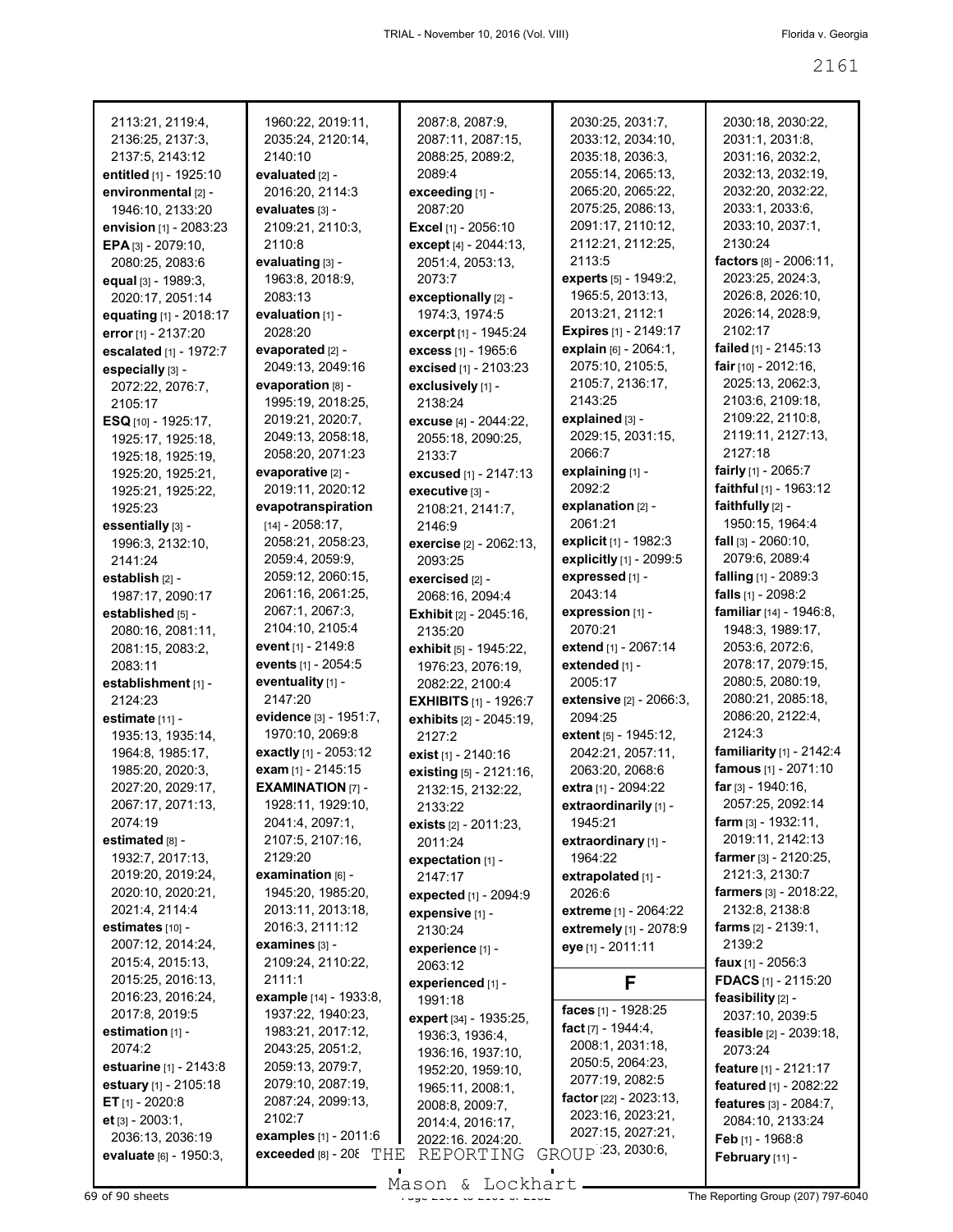| 2113:21, 2119:4,<br>2136:25, 2137:3,<br>2137:5, 2143:12 |   |
|---------------------------------------------------------|---|
| entitled [1] - 1925:10                                  | e |
| environmental [2] -                                     |   |
| 1946:10, 2133:20                                        | e |
| envision [1] - 2083:23                                  |   |
| EPA [3] - 2079:10,                                      |   |
| 2080:25, 2083:6                                         | e |
| equal [3] - 1989:3,                                     |   |
| 2020:17, 2051:14                                        |   |
| equating [1] - 2018:17                                  | e |
| error [1] - 2137:20                                     |   |
| escalated [1] - 1972:7                                  | e |
| especially [3] -                                        |   |
| 2072:22, 2076:7,                                        | e |
| 2105:17<br>ESQ [10] - 1925:17,                          |   |
| 1925:17, 1925:18,                                       |   |
| 1925:18, 1925:19,                                       |   |
| 1925:20, 1925:21,                                       | e |
| 1925:21, 1925:22,                                       |   |
| 1925:23                                                 | e |
| essentially [3] -                                       |   |
| 1996:3, 2132:10,                                        |   |
| 2141:24                                                 |   |
| establish [2] -                                         |   |
| 1987:17, 2090:17                                        |   |
| established [5] -                                       |   |
| 2080:16, 2081:11,                                       |   |
| 2081:15, 2083:2,                                        | e |
| 2083:11                                                 | e |
| establishment [1] -                                     | e |
| 2124:23                                                 |   |
| estimate [11] -                                         | e |
| 1935:13, 1935:14,                                       |   |
| 1964:8, 1985:17,                                        | e |
| 1985:20, 2020:3,                                        | e |
| 2027:20, 2029:17,                                       | E |
| 2067:17, 2071:13,                                       |   |
| 2074:19                                                 |   |
| estimated [8] -<br>1932:7, 2017:13,                     |   |
|                                                         |   |
| 2019:20, 2019:24,<br>2020:10, 2020:21,                  | e |
| 2021:4, 2114:4                                          |   |
| estimates [10] -                                        |   |
| 2007:12, 2014:24,                                       | е |
| 2015:4, 2015:13,                                        |   |
| 2015:25, 2016:13,                                       |   |
| 2016:23, 2016:24,                                       | e |
| 2017:8, 2019:5                                          |   |
| estimation [1] -                                        |   |
| 2074:2                                                  |   |
| estuarine [1] - 2143:8                                  |   |
| estuary [1] - 2105:18                                   |   |
| $ET$ [1] - 2020:8                                       |   |
| et [3] - 2003:1,                                        |   |
| 2036:13, 2036:19                                        | е |
| evaluate [6] - 1950:3,                                  | e |
|                                                         |   |

1960:22, 2019:11, 2035:24, 2120:14, 2140:10 **evaluated** [2] - 2016:20, 2114:3 **evaluates** [3] - 2109:21, 2110:3, 2110:8 **evaluating** [3] - 1963:8, 2018:9, 2083:13 **evaluation** [1] - 2028:20 **evaporated** [2] - 2049:13, 2049:16 **evaporation** [8] - 1995:19, 2018:25, 2019:21, 2020:7, 2049:13, 2058:18, 2058:20, 2071:23 **evaporative** [2] - 2019:11, 2020:12 **evapotranspiration** [14] - 2058:17, 2058:21, 2058:23, 2059:4, 2059:9, 2059:12, 2060:15, 2061:16, 2061:25, 2067:1, 2067:3, 2104:10, 2105:4 **event** [1] - 2149:8 **events** [1] - 2054:5 **eventuality** [1] - 2147:20 **evidence** [3] - 1951:7, 1970:10, 2069:8 **exactly** [1] - 2053:12 **exam** [1] - 2145:15 **EXAMINATION** [7] - 1928:11, 1929:10, 2041:4, 2097:1, 2107:5, 2107:16, 2129:20 **examination** [6] - 1945:20, 1985:20, 2013:11, 2013:18, 2016:3, 2111:12 **examines** [3] - 2109:24, 2110:22, 2111:1 **example** [14] - 1933:8, 1937:22, 1940:23, 1983:21, 2017:12, 2043:25, 2051:2, 2059:13, 2079:7, 2079:10, 2087:19, 2087:24, 2099:13, 2102:7 **examples** [1] - 2011:6  $\epsilon$ **exceeded** [8] - 20 $\epsilon$  THE THE REPORTING GROUP 23, 2030:6,

2087:8, 2087:9, 2087:11, 2087:15, 2088:25, 2089:2, 2089:4 **exceeding** [1] - 2087:20 **Excel** [1] - 2056:10 **except** [4] - 2044:13, 2051:4, 2053:13, 2073:7 **exceptionally** [2] - 1974:3, 1974:5 **excerpt** [1] - 1945:24 **excess** [1] - 1965:6 **excised** [1] - 2103:23 **exclusively** [1] - 2138:24 **excuse** [4] - 2044:22, 2055:18, 2090:25, 2133:7 **excused** [1] - 2147:13 **executive** [3] - 2108:21, 2141:7, 2146:9 **exercise** [2] - 2062:13, 2093:25 **exercised** [2] - 2068:16, 2094:4 **Exhibit** [2] - 2045:16, 2135:20 **exhibit** [5] - 1945:22, 1976:23, 2076:19, 2082:22, 2100:4 **EXHIBITS** [1] - 1926:7 **exhibits** [2] - 2045:19, 2127:2 **exist** [1] - 2140:16 **existing** [5] - 2121:16, 2132:15, 2132:22, 2133:22 **exists** [2] - 2011:23, 2011:24 **expectation** [1] - 2147:17 **expected** [1] - 2094:9 **expensive** [1] - 2130:24 **experience** [1] - 2063:12 **experienced** [1] - 1991:18 **expert** [34] - 1935:25, 1936:3, 1936:4, 1936:16, 1937:10, 1952:20, 1959:10, 1965:11, 2008:1, 2008:8, 2009:7, 2014:4, 2016:17, 2022:16, 2024:20,

2030:25, 2031:7, 2033:12, 2034:10, 2035:18, 2036:3, 2055:14, 2065:13, 2065:20, 2065:22, 2075:25, 2086:13, 2091:17, 2110:12, 2112:21, 2112:25, 2113:5 **experts** [5] - 1949:2, 1965:5, 2013:13, 2013:21, 2112:1 **Expires** [1] - 2149:17 **explain** [6] - 2064:1, 2075:10, 2105:5, 2105:7, 2136:17, 2143:25 **explained** [3] - 2029:15, 2031:15, 2066:7 **explaining** [1] - 2092:2 **explanation** [2] - 2061:21 **explicit** [1] - 1982:3 **explicitly** [1] - 2099:5 **expressed** [1] - 2043:14 **expression** [1] - 2070:21 **extend** [1] - 2067:14 **extended** [1] - 2005:17 **extensive** [2] - 2066:3, 2094:25 **extent** [5] - 1945:12, 2042:21, 2057:11, 2063:20, 2068:6 **extra** [1] - 2094:22 **extraordinarily** [1] - 1945:21 **extraordinary** [1] - 1964:22 **extrapolated** [1] - 2026:6 **extreme** [1] - 2064:22 **extremely** [1] - 2078:9 **eye** [1] - 2011:11 **F faces** [1] - 1928:25 **fact** [7] - 1944:4, 2008:1, 2031:18, 2050:5, 2064:23, 2077:19, 2082:5

> **factor** [22] - 2023:13, 2023:16, 2023:21, 2027:15, 2027:21,

## 2030:18, 2030:22, 2031:1, 2031:8, 2031:16, 2032:2, 2032:13, 2032:19, 2032:20, 2032:22, 2033:1, 2033:6, 2033:10, 2037:1, 2130:24 **factors** [8] - 2006:11, 2023:25, 2024:3, 2026:8, 2026:10, 2026:14, 2028:9, 2102:17 **failed** [1] - 2145:13 **fair** [10] - 2012:16, 2025:13, 2062:3, 2103:6, 2109:18, 2109:22, 2110:8, 2119:11, 2127:13, 2127:18 **fairly** [1] - 2065:7 **faithful** [1] - 1963:12 **faithfully** [2] - 1950:15, 1964:4 **fall** [3] - 2060:10, 2079:6, 2089:4 **falling** [1] - 2089:3 **falls** [1] - 2098:2 **familiar** [14] - 1946:8, 1948:3, 1989:17, 2053:6, 2072:6, 2078:17, 2079:15, 2080:5, 2080:19, 2080:21, 2085:18, 2086:20, 2122:4, 2124:3 **familiarity** [1] - 2142:4 **famous** [1] - 2071:10 **far** [3] - 1940:16, 2057:25, 2092:14 **farm** [3] - 1932:11, 2019:11, 2142:13 **farmer** [3] - 2120:25, 2121:3, 2130:7 **farmers** [3] - 2018:22, 2132:8, 2138:8 **farms** [2] - 2139:1, 2139:2 **faux** [1] - 2056:3 **FDACS** [1] - 2115:20 **feasibility** [2] - 2037:10, 2039:5 **feasible** [2] - 2039:18, 2073:24 **feature** [1] - 2121:17 **featured** [1] - 2082:22 **features** [3] - 2084:7, 2084:10, 2133:24 **Feb** [1] - 1968:8 **February** [11] -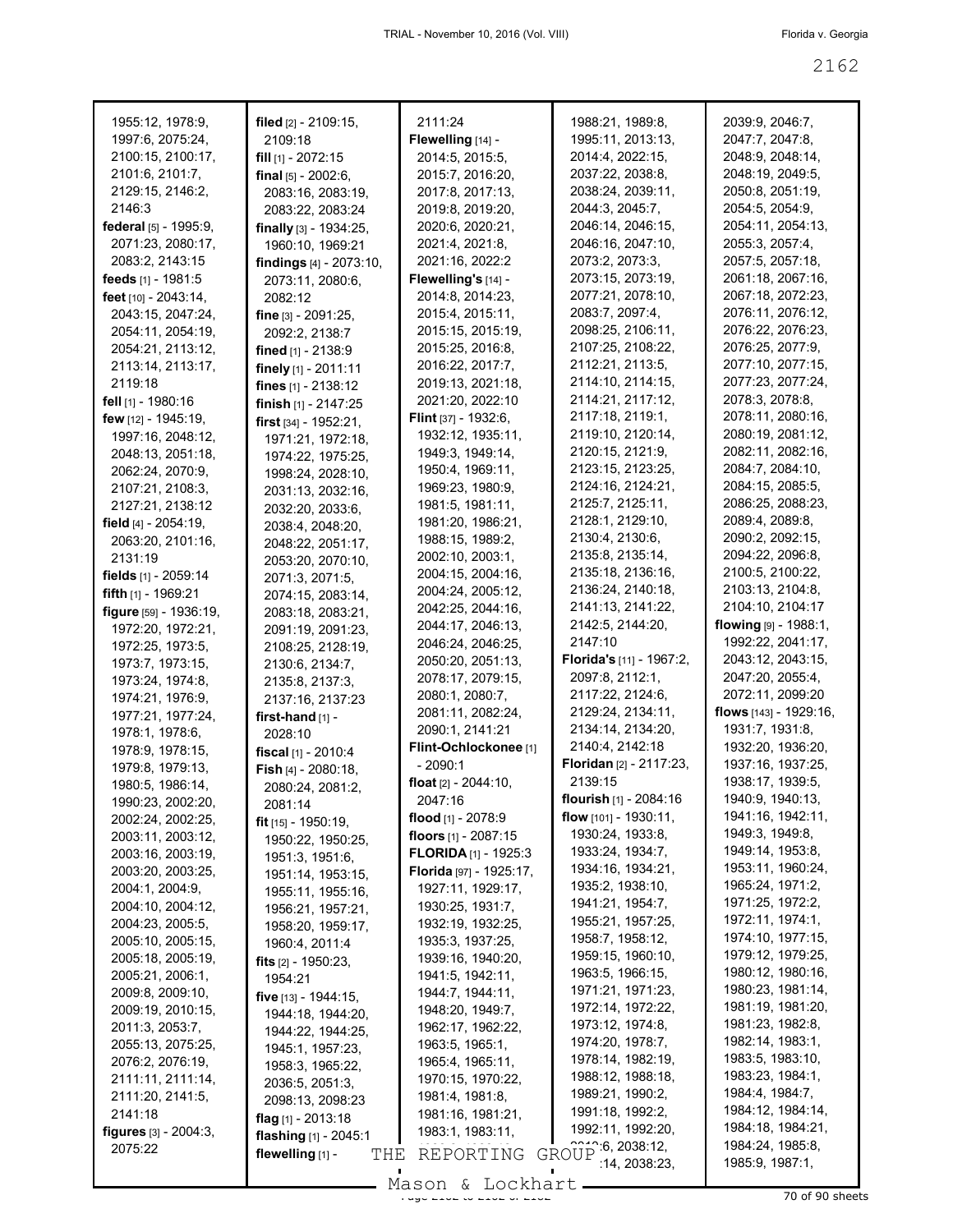| 1955:12, 1978:9,                | filed [2] - 2109:15,          | 2111:24                              | 1988:21, 1989:8,                   | 2039:9, 2046:7,          |
|---------------------------------|-------------------------------|--------------------------------------|------------------------------------|--------------------------|
| 1997:6, 2075:24,                | 2109:18                       | Flewelling [14] -                    | 1995:11, 2013:13,                  | 2047:7, 2047:8,          |
| 2100:15, 2100:17,               | fill [1] - 2072:15            | 2014:5, 2015:5,                      | 2014:4, 2022:15,                   | 2048:9, 2048:14,         |
| 2101:6, 2101:7,                 | final $[5] - 2002:6$ ,        | 2015:7, 2016:20,                     | 2037:22, 2038:8,                   | 2048:19, 2049:5,         |
| 2129:15, 2146:2,                | 2083:16, 2083:19,             | 2017:8, 2017:13,                     | 2038:24, 2039:11,                  | 2050:8, 2051:19,         |
| 2146:3                          | 2083:22, 2083:24              | 2019:8, 2019:20,                     | 2044:3, 2045:7,                    | 2054:5, 2054:9,          |
| federal [5] - 1995:9,           | finally $[3] - 1934:25$ ,     | 2020:6, 2020:21,                     | 2046:14, 2046:15,                  | 2054:11, 2054:13,        |
| 2071:23, 2080:17,               | 1960:10, 1969:21              | 2021:4, 2021:8,                      | 2046:16, 2047:10,                  | 2055:3, 2057:4,          |
| 2083:2, 2143:15                 | findings [4] - 2073:10,       | 2021:16, 2022:2                      | 2073:2, 2073:3,                    | 2057:5, 2057:18,         |
| feeds [1] - 1981:5              | 2073:11, 2080:6,              | Flewelling's [14] -                  | 2073:15, 2073:19,                  | 2061:18, 2067:16.        |
| feet $[10] - 2043:14$ ,         | 2082:12                       | 2014:8, 2014:23,                     | 2077:21, 2078:10,                  | 2067:18, 2072:23,        |
| 2043:15, 2047:24,               | <b>fine</b> $[3] - 2091:25$ , | 2015:4, 2015:11,                     | 2083:7, 2097:4,                    | 2076:11, 2076:12,        |
| 2054:11, 2054:19,               | 2092:2, 2138:7                | 2015:15, 2015:19,                    | 2098:25, 2106:11,                  | 2076:22, 2076:23,        |
| 2054:21, 2113:12,               | <b>fined</b> $[1]$ - 2138:9   | 2015:25, 2016:8,                     | 2107:25, 2108:22,                  | 2076:25, 2077:9,         |
| 2113:14, 2113:17,               | finely $[1]$ - 2011:11        | 2016:22, 2017:7,                     | 2112:21, 2113:5,                   | 2077:10, 2077:15,        |
| 2119:18                         | fines $[1] - 2138:12$         | 2019:13, 2021:18,                    | 2114:10, 2114:15,                  | 2077:23, 2077:24,        |
| fell [1] - 1980:16              |                               | 2021:20, 2022:10                     | 2114:21, 2117:12,                  | 2078:3, 2078:8,          |
| few $[12] - 1945:19$ ,          | finish $[1]$ - 2147:25        | <b>Flint</b> [37] - 1932:6,          | 2117:18, 2119:1,                   | 2078:11, 2080:16,        |
| 1997:16, 2048:12,               | first $[34] - 1952:21$ ,      | 1932:12, 1935:11,                    | 2119:10, 2120:14,                  | 2080:19, 2081:12,        |
|                                 | 1971:21, 1972:18,             |                                      | 2120:15, 2121:9,                   | 2082:11, 2082:16,        |
| 2048:13, 2051:18,               | 1974:22, 1975:25,             | 1949:3, 1949:14,<br>1950:4, 1969:11, | 2123:15, 2123:25,                  | 2084:7, 2084:10,         |
| 2062:24, 2070:9,                | 1998:24, 2028:10,             |                                      | 2124:16, 2124:21,                  | 2084:15, 2085:5,         |
| 2107:21, 2108:3,                | 2031:13, 2032:16,             | 1969:23, 1980:9,                     | 2125:7, 2125:11,                   |                          |
| 2127:21, 2138:12                | 2032:20, 2033:6,              | 1981:5, 1981:11,                     |                                    | 2086:25, 2088:23,        |
| field $[4] - 2054:19$ ,         | 2038:4, 2048:20,              | 1981:20, 1986:21,                    | 2128:1, 2129:10,                   | 2089:4, 2089:8,          |
| 2063:20, 2101:16,               | 2048:22, 2051:17,             | 1988:15, 1989:2,                     | 2130:4, 2130:6,                    | 2090:2, 2092:15,         |
| 2131:19                         | 2053:20, 2070:10,             | 2002:10, 2003:1,                     | 2135:8, 2135:14,                   | 2094:22, 2096:8,         |
| fields $[1]$ - 2059:14          | 2071:3, 2071:5,               | 2004:15, 2004:16,                    | 2135:18, 2136:16,                  | 2100:5, 2100:22,         |
| <b>fifth</b> $[1]$ - 1969:21    | 2074:15, 2083:14,             | 2004:24, 2005:12,                    | 2136:24, 2140:18,                  | 2103:13, 2104:8,         |
| figure $[59] - 1936:19$ ,       | 2083:18, 2083:21,             | 2042:25, 2044:16,                    | 2141:13, 2141:22,                  | 2104:10, 2104:17         |
| 1972:20, 1972:21,               | 2091:19, 2091:23,             | 2044:17, 2046:13,                    | 2142:5, 2144:20,                   | flowing $[9] - 1988.1$ , |
| 1972:25, 1973:5,                | 2108:25, 2128:19,             | 2046:24, 2046:25,                    | 2147:10                            | 1992:22, 2041:17,        |
| 1973:7, 1973:15,                | 2130:6, 2134:7,               | 2050:20, 2051:13,                    | Florida's [11] - 1967:2,           | 2043:12, 2043:15,        |
| 1973:24, 1974:8,                | 2135:8, 2137:3,               | 2078:17, 2079:15,                    | 2097:8, 2112:1,                    | 2047:20, 2055:4,         |
| 1974:21, 1976:9,                | 2137:16, 2137:23              | 2080:1, 2080:7,                      | 2117:22, 2124:6,                   | 2072:11, 2099:20         |
| 1977:21, 1977:24,               | first-hand $[1]$ -            | 2081:11, 2082:24,                    | 2129:24, 2134:11,                  | flows [143] - 1929:16,   |
| 1978:1, 1978:6,                 | 2028:10                       | 2090:1, 2141:21                      | 2134:14, 2134:20,                  | 1931:7, 1931:8,          |
| 1978:9, 1978:15,                | fiscal $[1] - 2010:4$         | Flint-Ochlockonee [1]                | 2140:4, 2142:18                    | 1932:20, 1936:20,        |
| 1979:8, 1979:13,                | Fish [4] - 2080:18,           | - 2090:1                             | Floridan [2] - 2117:23,            | 1937:16, 1937:25,        |
| 1980:5, 1986:14,                | 2080:24, 2081:2,              | float $[2] - 2044:10$ ,              | 2139:15                            | 1938:17, 1939:5,         |
| 1990:23, 2002:20,               | 2081:14                       | 2047:16                              | flourish [1] - 2084:16             | 1940:9, 1940:13,         |
| 2002:24, 2002:25,               | fit [15] - 1950:19,           | flood $[1]$ - 2078:9                 | flow $[101] - 1930:11$ ,           | 1941:16, 1942:11,        |
| 2003:11, 2003:12,               | 1950:22, 1950:25,             | floors $[1] - 2087:15$               | 1930:24, 1933:8,                   | 1949:3, 1949:8,          |
| 2003:16, 2003:19,               | 1951:3, 1951:6,               | <b>FLORIDA</b> $[1]$ - 1925:3        | 1933:24, 1934:7,                   | 1949:14, 1953:8,         |
| 2003:20, 2003:25,               | 1951:14, 1953:15,             | Florida [97] - 1925:17,              | 1934:16, 1934:21,                  | 1953:11, 1960:24,        |
| 2004:1, 2004:9,                 |                               | 1927:11, 1929:17,                    | 1935:2, 1938:10,                   | 1965:24, 1971:2,         |
| 2004:10, 2004:12,               | 1955:11, 1955:16,             | 1930:25, 1931:7,                     | 1941:21, 1954:7,                   | 1971:25, 1972:2,         |
| 2004:23, 2005:5,                | 1956:21, 1957:21,             | 1932:19, 1932:25,                    | 1955:21, 1957:25,                  | 1972:11, 1974:1,         |
| 2005:10, 2005:15,               | 1958:20, 1959:17,             | 1935:3, 1937:25,                     | 1958:7, 1958:12,                   | 1974:10, 1977:15,        |
| 2005:18, 2005:19,               | 1960:4, 2011:4                |                                      | 1959:15, 1960:10,                  | 1979:12, 1979:25,        |
| 2005:21, 2006:1,                | fits $[2] - 1950:23$ ,        | 1939:16, 1940:20,                    | 1963:5, 1966:15,                   | 1980:12, 1980:16,        |
|                                 | 1954:21                       | 1941:5, 1942:11,                     | 1971:21, 1971:23,                  | 1980:23, 1981:14,        |
| 2009:8, 2009:10,                | five $[13] - 1944:15$ ,       | 1944:7, 1944:11,                     | 1972:14, 1972:22,                  | 1981:19, 1981:20,        |
| 2009:19, 2010:15,               | 1944:18, 1944:20,             | 1948:20, 1949:7,                     | 1973:12, 1974:8,                   | 1981:23, 1982:8,         |
| 2011:3, 2053:7,                 | 1944:22, 1944:25,             | 1962:17, 1962:22,                    | 1974:20, 1978:7,                   | 1982:14, 1983:1,         |
| 2055:13, 2075:25,               | 1945:1, 1957:23,              | 1963:5, 1965:1,                      |                                    | 1983:5, 1983:10,         |
| 2076:2, 2076:19,                | 1958:3, 1965:22,              | 1965:4, 1965:11,                     | 1978:14, 1982:19,                  | 1983:23, 1984:1,         |
| 2111:11, 2111:14,               | 2036:5, 2051:3,               | 1970:15, 1970:22,                    | 1988:12, 1988:18,                  |                          |
| 2111:20, 2141:5,                | 2098:13, 2098:23              | 1981:4, 1981:8,                      | 1989:21, 1990:2,                   | 1984:4, 1984:7,          |
| 2141:18                         | flag $[1]$ - 2013:18          | 1981:16, 1981:21,                    | 1991:18, 1992:2,                   | 1984:12, 1984:14,        |
| <b>figures</b> $[3] - 2004:3$ , | flashing [1] - 2045:1         | 1983:1, 1983:11,                     | 1992:11, 1992:20,                  | 1984:18, 1984:21,        |
| 2075:22                         | flewelling [1] -<br>THE       | REPORTING                            | $T_{11}^{22}$ 6, 2038:12,<br>GROUP | 1984:24, 1985:8,         |
|                                 |                               |                                      | 14, 2038.23,                       | 1985:9, 1987:1,          |
|                                 |                               | $Mason$ fockhart                     |                                    |                          |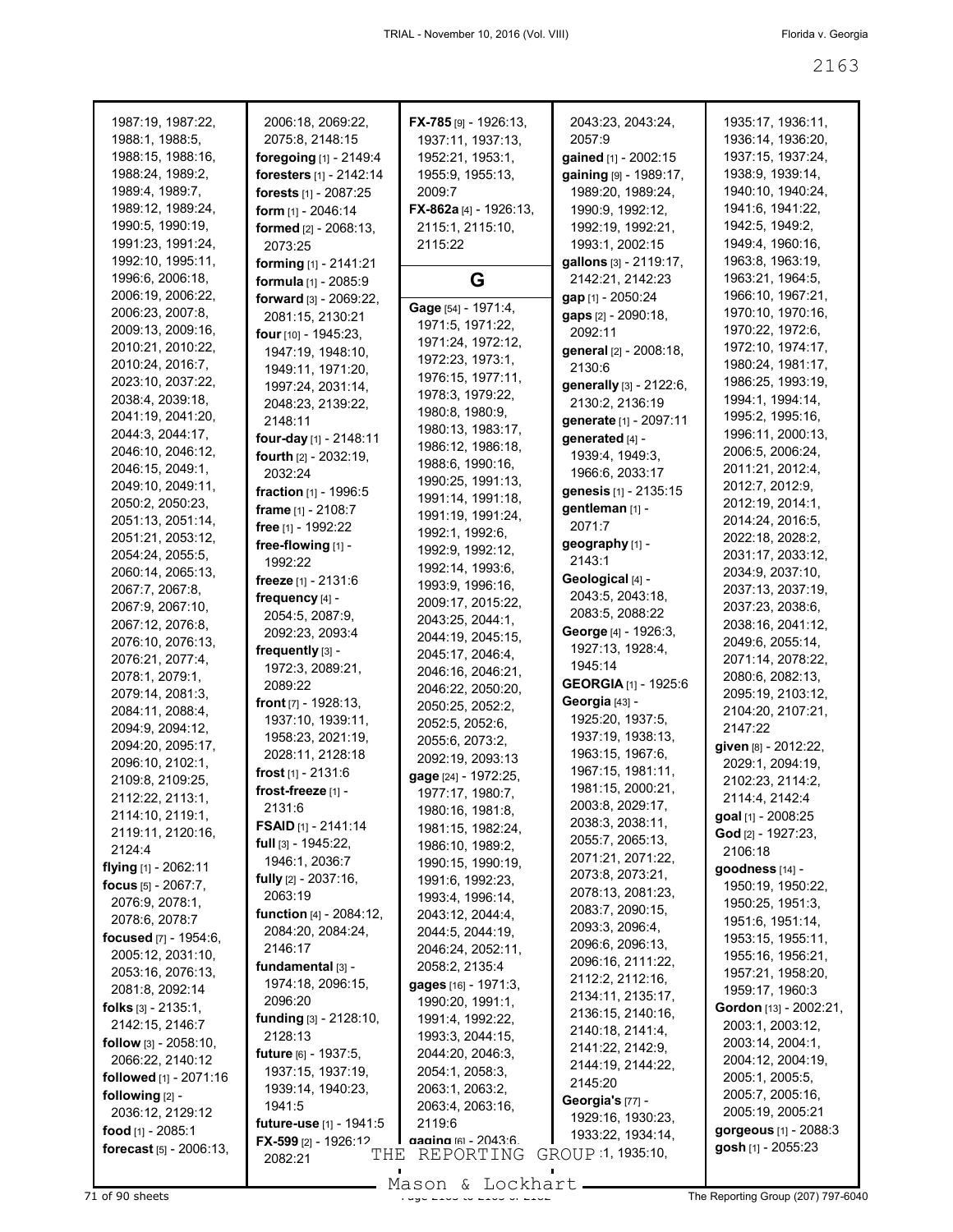| 1987:19, 1987:22,                 | 2006:18, 2069:22,               | $FX-785$ [9] - 1926:13, | 2043:23, 2043:24,           | 1935:17, 1936:11,      |
|-----------------------------------|---------------------------------|-------------------------|-----------------------------|------------------------|
| 1988:1, 1988:5,                   | 2075:8, 2148:15                 | 1937:11, 1937:13,       | 2057:9                      | 1936:14, 1936:20,      |
| 1988:15, 1988:16,                 | foregoing [1] - 2149:4          | 1952:21, 1953:1,        | gained [1] - 2002:15        | 1937:15, 1937:24,      |
| 1988:24, 1989:2,                  | foresters [1] - 2142:14         | 1955:9, 1955:13,        | gaining [9] - 1989:17,      | 1938:9, 1939:14,       |
| 1989:4, 1989:7,                   | forests [1] - 2087:25           | 2009:7                  | 1989:20, 1989:24,           | 1940:10, 1940:24,      |
| 1989:12, 1989:24,                 | form $[1]$ - 2046:14            | FX-862a [4] - 1926:13,  | 1990:9, 1992:12,            | 1941:6, 1941:22,       |
| 1990:5, 1990:19,                  |                                 |                         |                             | 1942:5, 1949:2,        |
|                                   | formed [2] - 2068:13,           | 2115:1, 2115:10,        | 1992:19, 1992:21,           |                        |
| 1991:23, 1991:24,                 | 2073:25                         | 2115:22                 | 1993:1, 2002:15             | 1949:4, 1960:16,       |
| 1992:10, 1995:11,                 | forming [1] - 2141:21           |                         | gallons [3] - 2119:17,      | 1963:8, 1963:19,       |
| 1996:6, 2006:18,                  | <b>formula</b> $[1] - 2085:9$   | G                       | 2142:21, 2142:23            | 1963:21, 1964:5,       |
| 2006:19, 2006:22,                 | forward [3] - 2069:22.          |                         | gap [1] - 2050:24           | 1966:10, 1967:21,      |
| 2006:23, 2007:8,                  | 2081:15, 2130:21                | Gage [54] - 1971:4,     | gaps [2] - 2090:18,         | 1970:10, 1970:16,      |
| 2009:13, 2009:16,                 | four [10] - 1945:23,            | 1971:5, 1971:22,        | 2092:11                     | 1970:22, 1972:6,       |
| 2010:21, 2010:22,                 | 1947:19, 1948:10,               | 1971:24, 1972:12,       | general [2] - 2008:18,      | 1972:10, 1974:17,      |
| 2010:24, 2016:7,                  | 1949:11, 1971:20,               | 1972:23, 1973:1,        | 2130:6                      | 1980:24, 1981:17,      |
| 2023:10, 2037:22,                 | 1997:24, 2031:14,               | 1976:15, 1977:11,       | generally [3] - 2122:6,     | 1986:25, 1993:19,      |
| 2038:4, 2039:18,                  | 2048:23, 2139:22,               | 1978:3, 1979:22,        | 2130:2, 2136:19             | 1994:1, 1994:14,       |
| 2041:19, 2041:20,                 | 2148:11                         | 1980:8, 1980:9,         | generate [1] - 2097:11      | 1995:2, 1995:16,       |
| 2044:3, 2044:17,                  | four-day [1] - 2148:11          | 1980:13, 1983:17,       | generated [4] -             | 1996:11, 2000:13,      |
| 2046:10, 2046:12,                 |                                 | 1986:12, 1986:18,       | 1939:4, 1949:3,             | 2006:5, 2006:24,       |
| 2046:15, 2049:1,                  | <b>fourth</b> $[2] - 2032:19$ , | 1988:6, 1990:16,        |                             | 2011:21, 2012:4,       |
| 2049:10, 2049:11,                 | 2032:24                         | 1990:25, 1991:13,       | 1966:6, 2033:17             | 2012:7, 2012:9,        |
| 2050:2, 2050:23,                  | fraction [1] - 1996:5           | 1991:14, 1991:18,       | genesis [1] - 2135:15       | 2012:19, 2014:1,       |
| 2051:13, 2051:14,                 | frame [1] - 2108:7              | 1991:19, 1991:24,       | gentleman [1] -             | 2014:24, 2016:5,       |
|                                   | free [1] - 1992:22              | 1992:1, 1992:6,         | 2071:7                      |                        |
| 2051:21, 2053:12,                 | free-flowing [1] -              | 1992:9, 1992:12,        | geography [1] -             | 2022:18, 2028:2,       |
| 2054:24, 2055:5,                  | 1992:22                         | 1992:14, 1993:6,        | 2143:1                      | 2031:17, 2033:12,      |
| 2060:14, 2065:13,                 | freeze [1] - 2131:6             | 1993:9, 1996:16,        | Geological [4] -            | 2034:9, 2037:10,       |
| 2067:7, 2067:8,                   | frequency [4] -                 | 2009:17, 2015:22,       | 2043:5, 2043:18,            | 2037:13, 2037:19,      |
| 2067:9, 2067:10,                  | 2054:5, 2087:9,                 | 2043:25, 2044:1,        | 2083:5, 2088:22             | 2037:23, 2038:6,       |
| 2067:12, 2076:8,                  | 2092:23, 2093:4                 |                         | George [4] - 1926:3,        | 2038:16, 2041:12,      |
| 2076:10, 2076:13,                 | frequently [3] -                | 2044:19, 2045:15,       | 1927:13, 1928:4,            | 2049:6, 2055:14,       |
| 2076:21, 2077:4,                  | 1972:3, 2089:21,                | 2045:17, 2046:4,        | 1945:14                     | 2071:14, 2078:22,      |
| 2078:1, 2079:1,                   | 2089:22                         | 2046:16, 2046:21,       | <b>GEORGIA</b> [1] - 1925:6 | 2080:6, 2082:13,       |
| 2079:14, 2081:3,                  | front $[7] - 1928:13$ ,         | 2046:22, 2050:20,       | Georgia [43] -              | 2095:19, 2103:12,      |
| 2084:11, 2088:4,                  |                                 | 2050:25, 2052:2,        | 1925:20, 1937:5,            | 2104:20, 2107:21,      |
| 2094:9, 2094:12,                  | 1937:10, 1939:11,               | 2052:5, 2052:6,         |                             | 2147:22                |
| 2094:20, 2095:17,                 | 1958:23, 2021:19,               | 2055:6, 2073:2,         | 1937:19, 1938:13,           | given [8] - 2012:22,   |
| 2096:10, 2102:1,                  | 2028:11, 2128:18                | 2092:19, 2093:13        | 1963:15, 1967:6,            | 2029:1, 2094:19,       |
| 2109:8, 2109:25,                  | frost $[1] - 2131.6$            | gage [24] - 1972:25,    | 1967:15, 1981:11,           | 2102:23, 2114:2,       |
| 2112:22, 2113:1,                  | frost-freeze [1] -              | 1977:17, 1980:7,        | 1981:15, 2000:21,           | 2114:4, 2142:4         |
| 2114:10, 2119:1,                  | 2131:6                          | 1980:16, 1981:8,        | 2003:8, 2029:17,            | goal [1] - 2008:25     |
| 2119:11, 2120:16,                 | <b>FSAID</b> [1] - 2141:14      | 1981:15, 1982:24,       | 2038:3, 2038:11,            | God [2] - 1927:23,     |
| 2124:4                            | full $[3]$ - 1945:22,           | 1986:10, 1989:2,        | 2055:7, 2065:13,            | 2106:18                |
| flying [1] - 2062:11              | 1946:1, 2036:7                  | 1990:15, 1990:19,       | 2071:21, 2071:22,           | goodness [14] -        |
| focus $[5] - 2067:7,$             | <b>fully</b> $[2] - 2037:16$ ,  | 1991:6, 1992:23,        | 2073:8, 2073:21,            | 1950:19, 1950:22,      |
| 2076:9, 2078:1,                   | 2063:19                         | 1993:4, 1996:14,        | 2078:13, 2081:23,           |                        |
| 2078:6, 2078:7                    | function [4] - 2084:12,         | 2043:12, 2044:4,        | 2083:7, 2090:15,            | 1950:25, 1951:3,       |
|                                   | 2084:20, 2084:24,               | 2044:5, 2044:19,        | 2093:3, 2096:4,             | 1951:6, 1951:14,       |
| <b>focused</b> $[7] - 1954:6$ ,   | 2146:17                         | 2046:24, 2052:11,       | 2096:6, 2096:13,            | 1953:15, 1955:11,      |
| 2005:12, 2031:10,                 | fundamental [3] -               | 2058:2, 2135:4          | 2096:16, 2111:22,           | 1955:16, 1956:21,      |
| 2053:16, 2076:13,                 | 1974:18, 2096:15,               | gages [16] - 1971:3,    | 2112:2, 2112:16,            | 1957:21, 1958:20,      |
| 2081:8, 2092:14                   | 2096:20                         | 1990:20, 1991:1,        | 2134:11, 2135:17,           | 1959:17, 1960:3        |
| folks $[3]$ - 2135:1,             | funding [3] - 2128:10,          | 1991:4, 1992:22,        | 2136:15, 2140:16,           | Gordon [13] - 2002:21, |
| 2142:15, 2146:7                   | 2128:13                         | 1993:3, 2044:15,        | 2140:18, 2141:4,            | 2003:1, 2003:12,       |
| <b>follow</b> [3] $- 2058:10,$    |                                 |                         | 2141:22, 2142:9,            | 2003:14, 2004:1,       |
| 2066:22, 2140:12                  | <b>future</b> [6] - 1937:5,     | 2044:20, 2046:3,        | 2144:19, 2144:22,           | 2004:12, 2004:19,      |
| followed [1] - 2071:16            | 1937:15, 1937:19,               | 2054:1, 2058:3,         | 2145:20                     | 2005:1, 2005:5,        |
| following [2] -                   | 1939:14, 1940:23,               | 2063:1, 2063:2,         | <b>Georgia's</b> [77] -     | 2005:7, 2005:16,       |
| 2036:12, 2129:12                  | 1941:5                          | 2063:4, 2063:16,        | 1929:16, 1930:23,           | 2005:19, 2005:21       |
| food $[1]$ - 2085:1               | future-use [1] - 1941:5         | 2119:6                  | 1933:22, 1934:14,           | gorgeous [1] - 2088:3  |
| <b>forecast</b> $[5] - 2006:13$ , | FX-599 [2] - 1926:12            | aaaina m - 2043 6       | GROUP 1, 1935:10,           | gosh $[1]$ - 2055:23   |
|                                   | THE<br>2082:21                  | REPORTING               |                             |                        |

Mason & Lockhart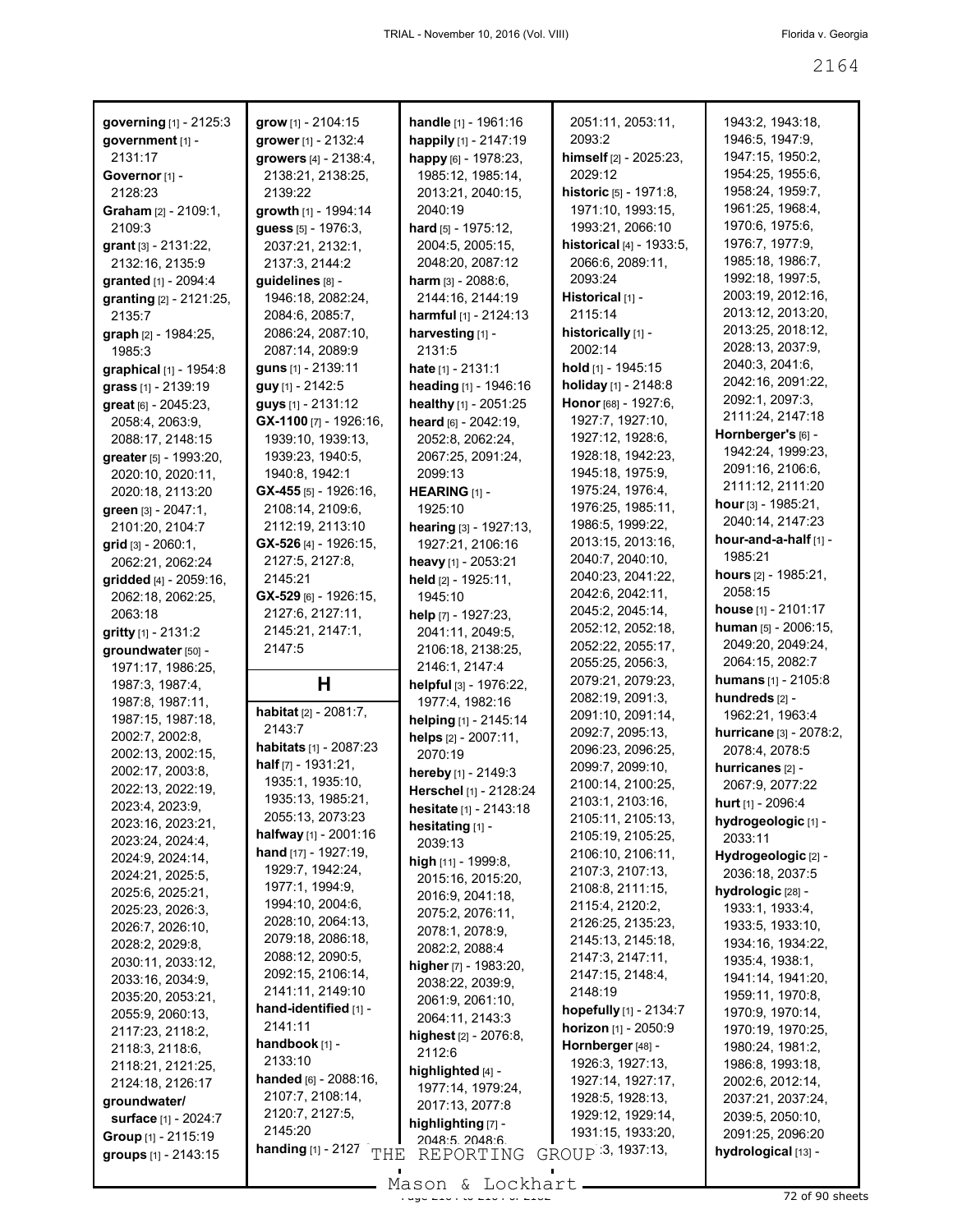| governing [1] - 2125:3                      | grow [1] - 2104:15                 | handle [1] - 1961:16       | 2051:11, 2053:11,                      | 1943:2, 1943:18,                        |
|---------------------------------------------|------------------------------------|----------------------------|----------------------------------------|-----------------------------------------|
| government [1] -                            | grower [1] - 2132:4                | happily [1] - 2147:19      | 2093:2                                 | 1946:5, 1947:9,                         |
| 2131:17                                     | growers [4] - 2138:4,              | happy [6] - 1978:23,       | himself [2] - 2025:23,                 | 1947:15, 1950:2,                        |
|                                             |                                    |                            | 2029:12                                |                                         |
| Governor <sup>[1]</sup> -                   | 2138:21, 2138:25,                  | 1985:12, 1985:14,          |                                        | 1954:25, 1955:6,                        |
| 2128:23                                     | 2139:22                            | 2013:21, 2040:15,          | historic [5] - 1971:8,                 | 1958:24, 1959:7,                        |
| Graham [2] - 2109:1,                        | growth [1] - 1994:14               | 2040:19                    | 1971:10, 1993:15,                      | 1961:25, 1968:4,                        |
| 2109:3                                      | guess [5] - 1976:3,                | hard [5] - 1975:12,        | 1993:21, 2066:10                       | 1970:6, 1975:6,                         |
| grant [3] - 2131:22,                        | 2037:21, 2132:1,                   | 2004:5, 2005:15,           | <b>historical</b> $[4] - 1933.5$ ,     | 1976:7, 1977:9,                         |
| 2132:16, 2135:9                             | 2137:3, 2144:2                     | 2048:20, 2087:12           | 2066:6, 2089:11,                       | 1985:18, 1986:7,                        |
| granted [1] - 2094:4                        | guidelines [8] -                   | harm $[3] - 2088:6,$       | 2093:24                                | 1992:18, 1997:5,                        |
|                                             |                                    |                            | Historical [1] -                       | 2003:19, 2012:16,                       |
| granting [2] - 2121:25,                     | 1946:18, 2082:24,                  | 2144:16, 2144:19           |                                        | 2013:12, 2013:20,                       |
| 2135:7                                      | 2084:6, 2085:7,                    | harmful [1] - 2124:13      | 2115:14                                |                                         |
| graph [2] - 1984:25,                        | 2086:24, 2087:10,                  | harvesting [1] -           | historically [1] -                     | 2013:25, 2018:12,                       |
| 1985:3                                      | 2087:14, 2089:9                    | 2131:5                     | 2002:14                                | 2028:13, 2037:9,                        |
| graphical [1] - 1954:8                      | guns [1] - 2139:11                 | hate $[1] - 2131:1$        | hold [1] - 1945:15                     | 2040:3, 2041:6,                         |
| grass [1] - 2139:19                         | guy [1] - 2142:5                   | heading [1] - 1946:16      | holiday [1] - 2148:8                   | 2042:16, 2091:22,                       |
| great [6] - 2045:23,                        | guys [1] - 2131:12                 | healthy [1] - 2051:25      | Honor [68] - 1927:6,                   | 2092:1, 2097:3,                         |
| 2058:4, 2063:9,                             | $GX-1100$ [7] - 1926:16,           | heard [6] - 2042:19,       | 1927:7, 1927:10,                       | 2111:24, 2147:18                        |
|                                             |                                    |                            |                                        | Hornberger's [6] -                      |
| 2088:17, 2148:15                            | 1939:10, 1939:13,                  | 2052:8, 2062:24,           | 1927:12, 1928:6,                       | 1942:24, 1999:23,                       |
| greater [5] - 1993:20,                      | 1939:23, 1940:5,                   | 2067:25, 2091:24,          | 1928:18, 1942:23,                      |                                         |
| 2020:10, 2020:11,                           | 1940:8, 1942:1                     | 2099:13                    | 1945:18, 1975:9,                       | 2091:16, 2106:6,                        |
| 2020:18, 2113:20                            | $GX-455$ [5] - 1926:16,            | HEARING [1] -              | 1975:24, 1976:4,                       | 2111:12, 2111:20                        |
| green [3] - 2047:1,                         | 2108:14, 2109:6,                   | 1925:10                    | 1976:25, 1985:11,                      | hour $[3] - 1985:21$ ,                  |
| 2101:20, 2104:7                             | 2112:19, 2113:10                   | hearing [3] - 1927:13,     | 1986:5, 1999:22,                       | 2040:14, 2147:23                        |
| $grid$ [3] - 2060:1,                        | GX-526 [4] - 1926:15,              | 1927:21, 2106:16           | 2013:15, 2013:16,                      | hour-and-a-half [1] -                   |
| 2062:21, 2062:24                            | 2127:5, 2127:8,                    | heavy [1] - 2053:21        | 2040:7, 2040:10,                       | 1985:21                                 |
| gridded [4] - 2059:16,                      | 2145:21                            | held [2] - 1925:11,        | 2040:23, 2041:22,                      | <b>hours</b> $[2] - 1985:21$ ,          |
| 2062:18, 2062:25,                           | GX-529 [6] - 1926:15,              | 1945:10                    | 2042:6, 2042:11,                       | 2058:15                                 |
|                                             | 2127:6, 2127:11,                   |                            | 2045:2, 2045:14,                       | house [1] - 2101:17                     |
| 2063:18                                     |                                    | help [7] - 1927:23,        | 2052:12, 2052:18,                      | human [5] - 2006:15,                    |
| gritty [1] - 2131:2                         | 2145:21, 2147:1,                   | 2041:11, 2049:5,           | 2052:22, 2055:17,                      | 2049:20, 2049:24,                       |
| groundwater [50] -                          | 2147:5                             | 2106:18, 2138:25,          | 2055:25, 2056:3,                       | 2064:15, 2082:7                         |
| 1971:17, 1986:25,                           |                                    | 2146:1, 2147:4             |                                        |                                         |
| 1987:3, 1987:4,                             | н                                  | helpful [3] - 1976:22,     | 2079:21, 2079:23,                      | <b>humans</b> [1] - 2105:8              |
| 1987:8, 1987:11,                            | habitat [2] - 2081:7,              | 1977:4, 1982:16            | 2082:19, 2091:3,                       | hundreds [2] -                          |
| 1987:15, 1987:18,                           | 2143:7                             | helping [1] - 2145:14      | 2091:10, 2091:14,                      | 1962:21, 1963:4                         |
| 2002:7, 2002:8,                             |                                    | helps [2] - 2007:11,       | 2092:7, 2095:13,                       | hurricane [3] - 2078:2,                 |
| 2002:13, 2002:15,                           | habitats [1] - 2087:23             | 2070:19                    | 2096:23, 2096:25,                      | 2078:4, 2078:5                          |
| 2002:17, 2003:8,                            | half $[7] - 1931:21$ ,             | hereby [1] - 2149:3        | 2099:7, 2099:10,                       | hurricanes [2] -                        |
| 2022:13, 2022:19,                           | 1935:1, 1935:10,                   | Herschel [1] - 2128:24     | 2100:14, 2100:25,                      | 2067:9, 2077:22                         |
| 2023:4, 2023:9,                             | 1935:13, 1985:21,                  | hesitate [1] - 2143:18     | 2103:1, 2103:16,                       | hurt [1] - 2096:4                       |
| 2023:16, 2023:21,                           | 2055:13, 2073:23                   | hesitating [1] -           | 2105:11, 2105:13,                      | hydrogeologic [1] -                     |
| 2023:24, 2024:4,                            | halfway [1] - 2001:16              |                            | 2105:19, 2105:25,                      | 2033:11                                 |
| 2024:9, 2024:14,                            | <b>hand</b> $[17] - 1927:19$ ,     | 2039:13                    | 2106:10, 2106:11,                      | Hydrogeologic [2] -                     |
| 2024:21, 2025:5,                            | 1929:7, 1942:24,                   | high [11] - 1999:8,        | 2107:3, 2107:13,                       | 2036:18, 2037:5                         |
|                                             | 1977:1, 1994:9,                    | 2015:16, 2015:20,          | 2108:8, 2111:15,                       | hydrologic [28] -                       |
| 2025:6, 2025:21,                            | 1994:10, 2004:6,                   | 2016:9, 2041:18,           | 2115:4, 2120:2,                        | 1933:1, 1933:4,                         |
| 2025:23, 2026:3,                            | 2028:10, 2064:13,                  | 2075:2, 2076:11,           | 2126:25, 2135:23,                      |                                         |
| 2026:7, 2026:10,                            | 2079:18, 2086:18,                  | 2078:1, 2078:9,            | 2145:13, 2145:18,                      | 1933:5, 1933:10,                        |
| 2028:2, 2029:8,                             | 2088:12, 2090:5,                   | 2082:2, 2088:4             |                                        | 1934:16, 1934:22,                       |
| 2030:11, 2033:12,                           | 2092:15, 2106:14,                  | higher $[7] - 1983:20$ ,   | 2147:3, 2147:11,                       | 1935:4, 1938:1,                         |
| 2033:16, 2034:9,                            |                                    |                            | 2147:15, 2148:4,                       | 1941:14, 1941:20,                       |
|                                             |                                    | 2038:22, 2039:9,           |                                        |                                         |
| 2035:20, 2053:21,                           | 2141:11, 2149:10                   | 2061:9, 2061:10,           | 2148:19                                | 1959:11, 1970:8,                        |
| 2055:9, 2060:13,                            | hand-identified [1] -              |                            | hopefully [1] - 2134:7                 | 1970:9, 1970:14,                        |
| 2117:23, 2118:2,                            | 2141:11                            | 2064:11, 2143:3            | horizon [1] - 2050:9                   | 1970:19, 1970:25,                       |
|                                             | handbook [1] -                     | highest [2] - 2076:8,      | Hornberger [48] -                      | 1980:24, 1981:2,                        |
| 2118:3, 2118:6,                             | 2133:10                            | 2112:6                     | 1926:3, 1927:13,                       | 1986:8, 1993:18,                        |
| 2118:21, 2121:25,                           | handed $[6] - 2088:16$ ,           | highlighted [4] -          | 1927:14, 1927:17,                      | 2002:6, 2012:14,                        |
| 2124:18, 2126:17                            | 2107:7, 2108:14,                   | 1977:14, 1979:24,          | 1928:5, 1928:13,                       |                                         |
| groundwater/                                | 2120:7, 2127:5,                    | 2017:13, 2077:8            | 1929:12, 1929:14,                      | 2037:21, 2037:24,                       |
| surface [1] - 2024:7                        | 2145:20                            | highlighting [7] -         |                                        | 2039:5, 2050:10,                        |
| Group [1] - 2115:19<br>groups [1] - 2143:15 | <b>handing</b> $[1]$ - 2127<br>THE | 2048:5 2048:6<br>REPORTING | 1931:15, 1933:20,<br>GROUP 3, 1937:13, | 2091:25, 2096:20<br>hydrological [13] - |

 $\frac{200011}{200011}$  at  $\frac{200111}{200}$  of 90 sheets - Mason & Lockhart -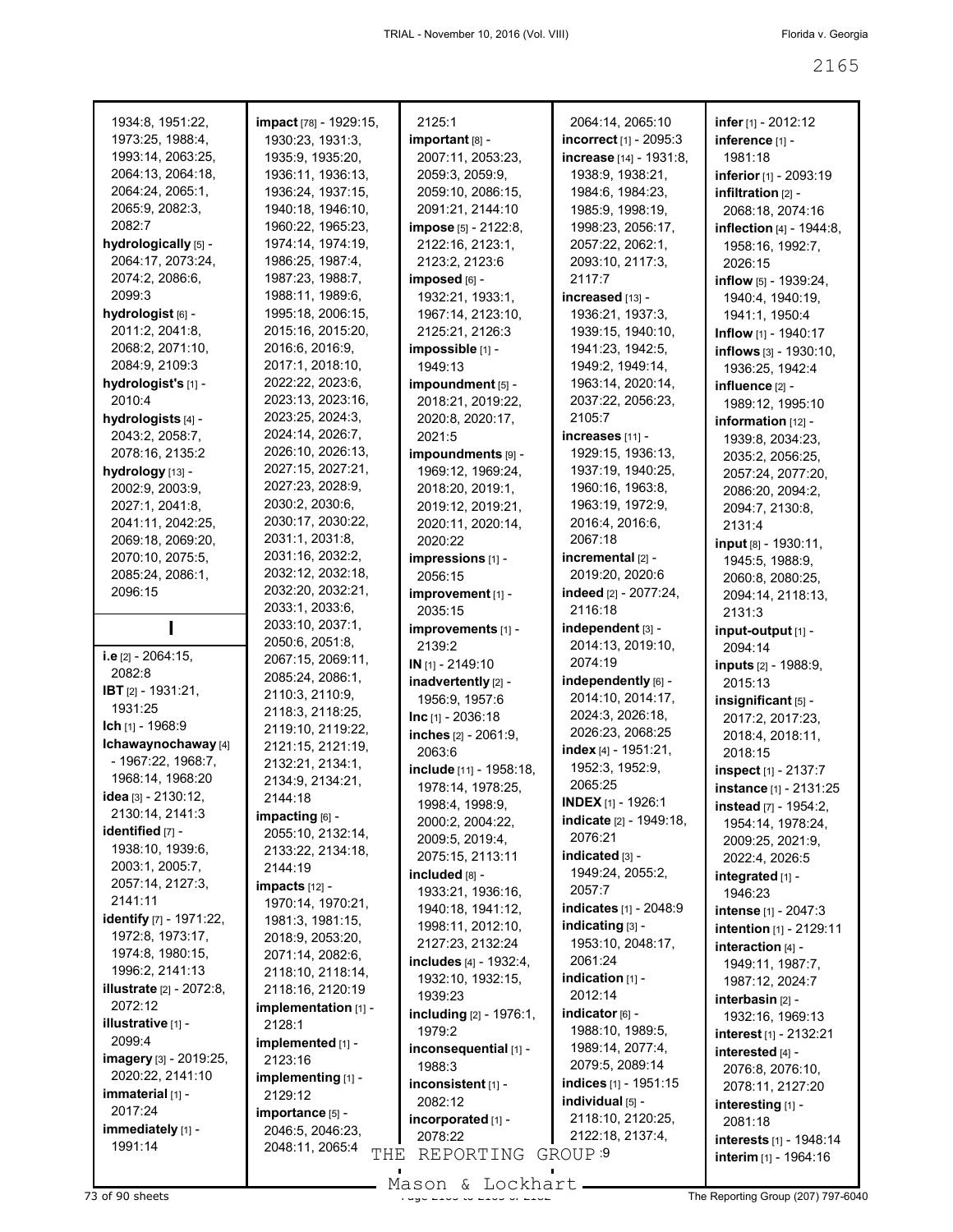| 1934:8, 1951:22,                | impact [78] - 1929:15, | 2125:1                  | 2064:14, 2065:10          | infer $[1] - 2012:12$        |
|---------------------------------|------------------------|-------------------------|---------------------------|------------------------------|
| 1973:25, 1988:4,                | 1930:23, 1931:3,       | important [8] -         | incorrect [1] - 2095:3    | inference [1] -              |
| 1993:14, 2063:25,               | 1935:9, 1935:20,       | 2007:11, 2053:23,       | increase [14] - 1931:8,   | 1981:18                      |
| 2064:13, 2064:18,               | 1936:11, 1936:13,      | 2059:3, 2059:9,         | 1938:9, 1938:21,          | inferior [1] - 2093:19       |
| 2064:24, 2065:1,                | 1936:24, 1937:15,      | 2059:10, 2086:15,       | 1984:6, 1984:23,          | infiltration $[2]$ -         |
| 2065:9, 2082:3,                 | 1940:18, 1946:10,      | 2091:21, 2144:10        | 1985:9, 1998:19,          | 2068:18, 2074:16             |
| 2082:7                          | 1960:22, 1965:23,      | impose [5] - 2122:8,    | 1998:23, 2056:17,         | inflection [4] - 1944:8,     |
| hydrologically [5] -            | 1974:14, 1974:19,      | 2122:16, 2123:1,        | 2057:22, 2062:1,          | 1958:16, 1992:7,             |
| 2064:17, 2073:24,               | 1986:25, 1987:4,       | 2123:2, 2123:6          | 2093:10, 2117:3,          | 2026:15                      |
| 2074:2, 2086:6,                 | 1987:23, 1988:7,       | imposed [6] -           | 2117:7                    | inflow [5] - 1939:24,        |
| 2099:3                          | 1988:11, 1989:6,       | 1932:21, 1933:1,        | increased [13] -          |                              |
| hydrologist [6] -               | 1995:18, 2006:15,      | 1967:14, 2123:10,       | 1936:21, 1937:3,          | 1940:4, 1940:19,             |
| 2011:2, 2041:8,                 | 2015:16, 2015:20,      | 2125:21, 2126:3         | 1939:15, 1940:10,         | 1941:1, 1950:4               |
| 2068:2, 2071:10,                | 2016:6, 2016:9,        | impossible [1] -        | 1941:23, 1942:5,          | Inflow [1] - 1940:17         |
|                                 |                        | 1949:13                 |                           | inflows [3] - 1930:10,       |
| 2084:9, 2109:3                  | 2017:1, 2018:10,       |                         | 1949:2, 1949:14,          | 1936:25, 1942:4              |
| hydrologist's [1] -             | 2022:22, 2023:6,       | impoundment [5] -       | 1963:14, 2020:14,         | influence [2] -              |
| 2010:4                          | 2023:13, 2023:16,      | 2018:21, 2019:22,       | 2037:22, 2056:23,         | 1989:12, 1995:10             |
| hydrologists [4] -              | 2023:25, 2024:3,       | 2020:8, 2020:17,        | 2105:7                    | information $[12]$ -         |
| 2043:2, 2058:7,                 | 2024:14, 2026:7,       | 2021:5                  | increases [11] -          | 1939:8, 2034:23,             |
| 2078:16, 2135:2                 | 2026:10, 2026:13,      | impoundments [9] -      | 1929:15, 1936:13,         | 2035:2, 2056:25,             |
| hydrology [13] -                | 2027:15, 2027:21,      | 1969:12, 1969:24,       | 1937:19, 1940:25,         | 2057:24, 2077:20,            |
| 2002:9, 2003:9,                 | 2027:23, 2028:9,       | 2018:20, 2019:1,        | 1960:16, 1963:8,          | 2086:20, 2094:2,             |
| 2027:1, 2041:8,                 | 2030:2, 2030:6,        | 2019:12, 2019:21,       | 1963:19, 1972:9,          | 2094:7, 2130:8,              |
| 2041:11, 2042:25,               | 2030:17, 2030:22,      | 2020:11, 2020:14,       | 2016:4, 2016:6,           | 2131:4                       |
| 2069:18, 2069:20,               | 2031:1, 2031:8,        | 2020:22                 | 2067:18                   | input [8] - 1930:11,         |
| 2070:10, 2075:5,                | 2031:16, 2032:2,       | impressions [1] -       | incremental [2] -         | 1945:5, 1988:9,              |
| 2085:24, 2086:1,                | 2032:12, 2032:18,      | 2056:15                 | 2019:20, 2020:6           | 2060:8, 2080:25,             |
| 2096:15                         | 2032:20, 2032:21,      | improvement [1] -       | indeed [2] - 2077:24,     | 2094:14, 2118:13,            |
|                                 | 2033:1, 2033:6,        | 2035:15                 | 2116:18                   | 2131:3                       |
|                                 | 2033:10, 2037:1,       | improvements [1] -      | independent [3] -         | input-output [1] -           |
|                                 | 2050:6, 2051:8,        | 2139:2                  | 2014:13, 2019:10,         | 2094:14                      |
| i.e [2] - 2064:15,              | 2067:15, 2069:11,      | IN [1] - 2149:10        | 2074:19                   | <b>inputs</b> [2] - 1988:9,  |
| 2082:8                          | 2085:24, 2086:1,       | inadvertently [2] -     | independently [6] -       | 2015:13                      |
| IBT [2] - 1931:21,              | 2110:3, 2110:9,        | 1956:9, 1957:6          | 2014:10, 2014:17,         | insignificant [5] -          |
| 1931:25                         | 2118:3, 2118:25,       | $Inc$ [1] - 2036:18     | 2024:3, 2026:18,          |                              |
| Ich [1] - 1968:9                | 2119:10, 2119:22,      | inches [2] - 2061:9,    | 2026:23, 2068:25          | 2017:2, 2017:23,             |
| Ichawaynochaway [4]             | 2121:15, 2121:19,      |                         | index [4] - 1951:21,      | 2018:4, 2018:11,             |
| - 1967:22, 1968:7,              | 2132:21, 2134:1,       | 2063:6                  | 1952:3, 1952:9,           | 2018:15                      |
| 1968:14, 1968:20                | 2134:9, 2134:21,       | include [11] - 1958:18, |                           | inspect [1] - 2137:7         |
| idea [3] - 2130:12,             | 2144:18                | 1978:14, 1978:25,       | 2065:25                   | instance [1] - 2131:25       |
| 2130:14, 2141:3                 | impacting [6] -        | 1998:4, 1998:9,         | <b>INDEX</b> [1] - 1926:1 | <b>instead</b> [7] - 1954:2, |
| identified [7] -                | 2055:10, 2132:14,      | 2000:2, 2004:22,        | indicate [2] - 1949:18,   | 1954:14, 1978:24,            |
| 1938:10, 1939:6,                | 2133:22, 2134:18,      | 2009:5, 2019:4,         | 2076:21                   | 2009:25, 2021:9,             |
| 2003:1, 2005:7,                 |                        | 2075:15, 2113:11        | indicated [3] -           | 2022:4, 2026:5               |
| 2057:14, 2127:3,                | 2144:19                | included [8] -          | 1949:24, 2055:2,          | integrated [1] -             |
| 2141:11                         | $impacts$ [12] -       | 1933:21, 1936:16,       | 2057:7                    | 1946:23                      |
| identify [7] - 1971:22,         | 1970:14, 1970:21,      | 1940:18, 1941:12,       | indicates [1] - 2048:9    | <b>intense</b> [1] - 2047:3  |
|                                 | 1981:3, 1981:15,       | 1998:11, 2012:10,       | indicating $[3]$ -        | intention [1] - 2129:11      |
| 1972:8, 1973:17,                | 2018:9, 2053:20,       | 2127:23, 2132:24        | 1953:10, 2048:17,         | interaction [4] -            |
| 1974:8, 1980:15,                | 2071:14, 2082:6,       | includes [4] - 1932:4,  | 2061:24                   | 1949:11, 1987:7,             |
| 1996:2, 2141:13                 | 2118:10, 2118:14,      | 1932:10, 1932:15,       | indication $[1]$ -        | 1987:12, 2024:7              |
| <b>illustrate</b> [2] - 2072:8, | 2118:16, 2120:19       | 1939:23                 | 2012:14                   | interbasin [2] -             |
| 2072:12                         | implementation [1] -   | including [2] - 1976:1, | indicator [6] -           | 1932:16, 1969:13             |
| illustrative [1] -              | 2128:1                 | 1979:2                  | 1988:10, 1989:5,          | interest [1] - 2132:21       |
| 2099:4                          | implemented [1] -      | inconsequential [1] -   | 1989:14, 2077:4,          | interested [4] -             |
| imagery [3] - 2019:25,          | 2123:16                | 1988:3                  | 2079:5, 2089:14           | 2076:8, 2076:10,             |
| 2020:22, 2141:10                | implementing $[1]$ -   | inconsistent [1] -      | indices [1] - 1951:15     | 2078:11, 2127:20             |
| immaterial $[1]$ -              | 2129:12                | 2082:12                 | individual [5] -          |                              |
| 2017:24                         | importance [5] -       | incorporated [1] -      | 2118:10, 2120:25,         | interesting [1] -            |
| immediately [1] -               | 2046:5, 2046:23,       | 2078:22                 | 2122:18, 2137:4,          | 2081:18                      |
| 1991:14                         | 2048:11, 2065:4        |                         |                           | interests [1] - 1948:14      |
|                                 | THE                    | REPORTING               | GROUP <sub>9</sub>        | interim [1] - 1964:16        |

Mason & Lockhart

 $\blacksquare$ 

 $\blacksquare$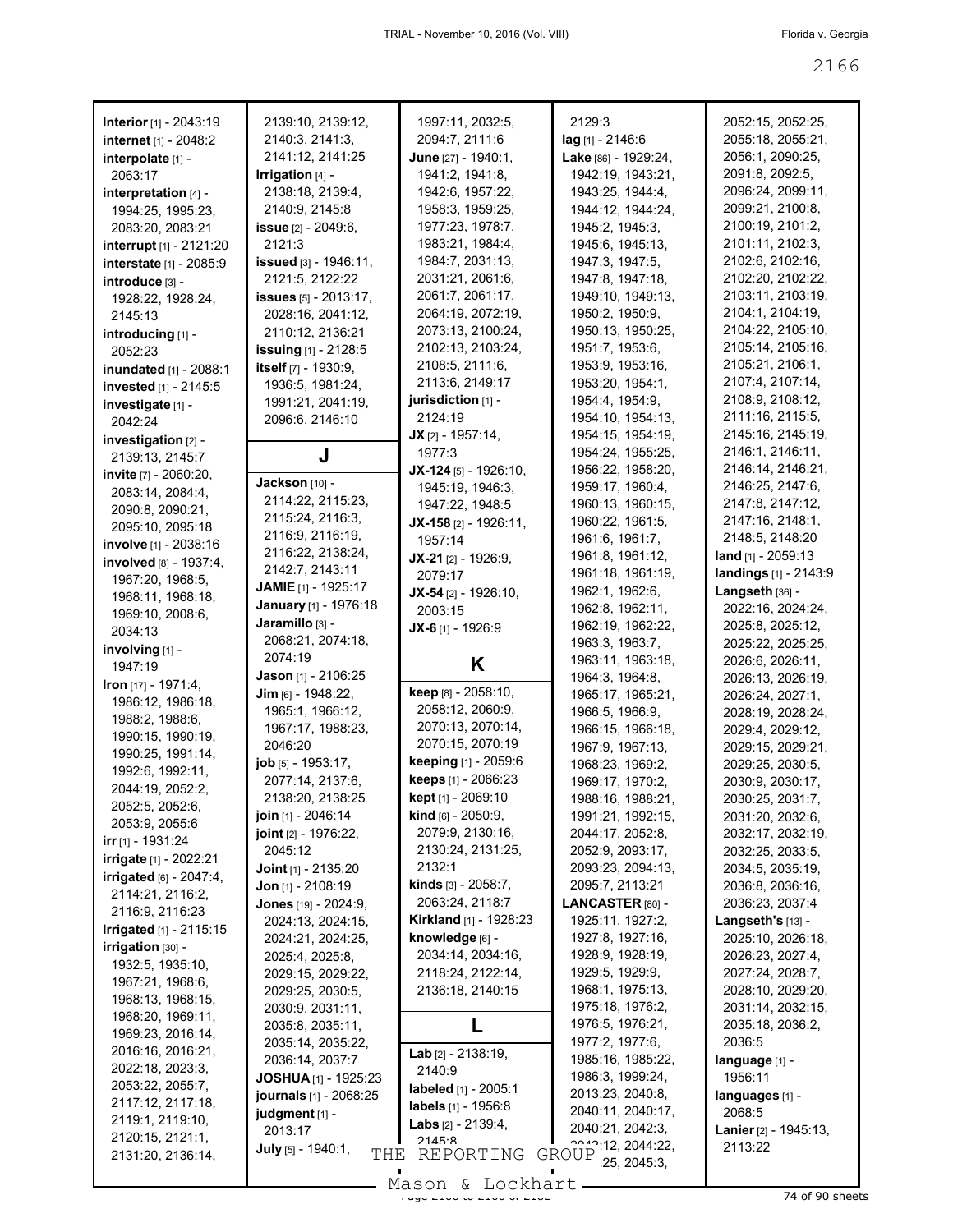| Interior [1] - 2043:19          | 2139:10, 2139:12,               | 1997:11, 2032:5,              | 2129:3                                                   | 2052:15, 2052:25,         |
|---------------------------------|---------------------------------|-------------------------------|----------------------------------------------------------|---------------------------|
| internet [1] - 2048:2           | 2140:3, 2141:3,                 | 2094:7, 2111:6                | lag [1] - 2146:6                                         | 2055:18, 2055:21,         |
| interpolate [1] -               | 2141:12, 2141:25                | June $[27] - 1940:1$ ,        | Lake [86] - 1929:24,                                     | 2056:1, 2090:25,          |
| 2063:17                         | Irrigation $[4]$ -              | 1941:2, 1941:8,               | 1942:19, 1943:21,                                        | 2091:8, 2092:5,           |
| interpretation $[4]$ -          | 2138:18, 2139:4,                | 1942:6, 1957:22,              | 1943:25, 1944:4,                                         | 2096:24, 2099:11,         |
| 1994:25, 1995:23,               | 2140:9, 2145:8                  | 1958:3, 1959:25,              | 1944:12, 1944:24,                                        | 2099:21, 2100:8,          |
| 2083:20, 2083:21                | <b>issue</b> $[2] - 2049:6$ ,   | 1977:23, 1978:7,              | 1945:2, 1945:3,                                          | 2100:19, 2101:2,          |
| interrupt [1] - 2121:20         | 2121:3                          | 1983:21, 1984:4,              | 1945:6, 1945:13,                                         | 2101:11, 2102:3,          |
|                                 | <b>issued</b> [3] - 1946:11,    | 1984:7, 2031:13,              | 1947:3, 1947:5,                                          | 2102:6, 2102:16,          |
| interstate [1] - 2085:9         |                                 | 2031:21, 2061:6,              | 1947:8, 1947:18,                                         | 2102:20, 2102:22,         |
| introduce [3] -                 | 2121:5, 2122:22                 |                               |                                                          | 2103:11, 2103:19,         |
| 1928:22, 1928:24,               | <b>issues</b> $[5] - 2013:17$ , | 2061:7, 2061:17,              | 1949:10, 1949:13,                                        |                           |
| 2145:13                         | 2028:16, 2041:12,               | 2064:19, 2072:19,             | 1950:2, 1950:9,                                          | 2104:1, 2104:19,          |
| introducing [1] -               | 2110:12, 2136:21                | 2073:13, 2100:24,             | 1950:13, 1950:25,                                        | 2104:22, 2105:10,         |
| 2052:23                         | <b>issuing</b> $[1]$ - 2128:5   | 2102:13, 2103:24,             | 1951:7, 1953:6,                                          | 2105:14, 2105:16,         |
| inundated [1] - 2088:1          | itself $[7] - 1930.9$ ,         | 2108:5, 2111:6,               | 1953:9, 1953:16,                                         | 2105:21, 2106:1,          |
| invested [1] - 2145:5           | 1936:5, 1981:24,                | 2113:6, 2149:17               | 1953:20, 1954:1,                                         | 2107:4, 2107:14,          |
| investigate [1] -               | 1991:21, 2041:19,               | jurisdiction $[1]$ -          | 1954:4, 1954:9,                                          | 2108:9, 2108:12,          |
| 2042:24                         | 2096:6, 2146:10                 | 2124:19                       | 1954:10, 1954:13,                                        | 2111:16, 2115:5,          |
| investigation [2] -             |                                 | $JX$ [2] - 1957:14,           | 1954:15, 1954:19,                                        | 2145:16, 2145:19,         |
| 2139:13, 2145:7                 | J                               | 1977:3                        | 1954:24, 1955:25,                                        | 2146:1, 2146:11,          |
| invite [7] - 2060:20,           |                                 | $JX-124$ [5] - 1926:10,       | 1956:22, 1958:20,                                        | 2146:14, 2146:21,         |
|                                 | <b>Jackson</b> [10] -           | 1945:19, 1946:3,              | 1959:17, 1960:4,                                         | 2146:25, 2147:6,          |
| 2083:14, 2084:4,                | 2114:22, 2115:23,               | 1947:22, 1948:5               | 1960:13, 1960:15,                                        | 2147:8, 2147:12,          |
| 2090:8, 2090:21,                | 2115:24, 2116:3,                | JX-158 [2] - 1926:11,         | 1960:22, 1961:5,                                         | 2147:16, 2148:1,          |
| 2095:10, 2095:18                | 2116:9, 2116:19,                |                               | 1961:6, 1961:7,                                          | 2148:5, 2148:20           |
| involve [1] - 2038:16           | 2116:22, 2138:24,               | 1957:14                       |                                                          | <b>land</b> [1] - 2059:13 |
| involved [8] - 1937:4,          | 2142:7, 2143:11                 | JX-21 [2] - 1926:9,           | 1961:8, 1961:12,                                         |                           |
| 1967:20, 1968:5,                | <b>JAMIE</b> [1] - 1925:17      | 2079:17                       | 1961:18, 1961:19,                                        | landings [1] - 2143:9     |
| 1968:11, 1968:18,               | January [1] - 1976:18           | $JX-54$ [2] - 1926:10,        | 1962:1, 1962:6,                                          | Langseth $[36]$ -         |
| 1969:10, 2008:6,                |                                 | 2003:15                       | 1962:8, 1962:11,                                         | 2022:16, 2024:24,         |
| 2034:13                         | Jaramillo [3] -                 | $JX-6$ [1] - 1926:9           | 1962:19, 1962:22,                                        | 2025:8, 2025:12,          |
| involving [1] -                 | 2068:21, 2074:18,               |                               | 1963:3, 1963:7,                                          | 2025:22, 2025:25,         |
|                                 | 2074:19                         |                               |                                                          |                           |
|                                 |                                 |                               | 1963:11, 1963:18,                                        | 2026:6, 2026:11,          |
| 1947:19                         | <b>Jason</b> [1] - 2106:25      | K                             | 1964:3, 1964:8,                                          | 2026:13, 2026:19,         |
| <b>Iron</b> [17] - 1971:4,      | Jim [6] - 1948:22,              | keep [8] - 2058:10,           | 1965:17, 1965:21,                                        | 2026:24, 2027:1,          |
| 1986:12, 1986:18,               | 1965:1, 1966:12,                | 2058:12, 2060:9,              | 1966:5, 1966:9,                                          | 2028:19, 2028:24,         |
| 1988:2, 1988:6,                 | 1967:17, 1988:23,               | 2070:13, 2070:14,             | 1966:15, 1966:18,                                        | 2029:4, 2029:12,          |
| 1990:15, 1990:19,               | 2046:20                         | 2070:15, 2070:19              | 1967:9, 1967:13,                                         | 2029:15, 2029:21,         |
| 1990:25, 1991:14,               | job [5] - 1953:17,              | <b>keeping</b> [1] - 2059:6   | 1968:23, 1969:2,                                         | 2029:25, 2030:5,          |
| 1992:6, 1992:11,                |                                 | keeps [1] - 2066:23           |                                                          |                           |
| 2044:19, 2052:2,                | 2077:14, 2137:6,                | kept [1] - 2069:10            | 1969:17, 1970:2,                                         | 2030:9, 2030:17,          |
| 2052:5, 2052:6,                 | 2138:20, 2138:25                |                               | 1988:16, 1988:21,                                        | 2030:25, 2031:7,          |
| 2053:9, 2055:6                  | join [1] - 2046:14              | <b>kind</b> [6] - $2050:9$ ,  | 1991:21, 1992:15,                                        | 2031:20, 2032:6,          |
| <b>irr</b> [1] - 1931:24        | joint [2] - 1976:22,            | 2079:9, 2130:16,              | 2044:17, 2052:8,                                         | 2032:17, 2032:19,         |
| <b>irrigate</b> $[1]$ - 2022:21 | 2045:12                         | 2130:24, 2131:25,             | 2052:9, 2093:17,                                         | 2032:25, 2033:5,          |
| irrigated [6] - 2047:4,         | <b>Joint</b> [1] - 2135:20      | 2132:1                        | 2093:23, 2094:13,                                        | 2034:5, 2035:19,          |
| 2114:21, 2116:2,                | <b>Jon</b> [1] - 2108:19        | <b>kinds</b> [3] - 2058:7,    | 2095:7, 2113:21                                          | 2036:8, 2036:16,          |
| 2116:9, 2116:23                 | Jones [19] - 2024:9,            | 2063:24, 2118:7               | LANCASTER [80] -                                         | 2036:23, 2037:4           |
| Irrigated [1] - 2115:15         | 2024:13, 2024:15,               | Kirkland [1] - 1928:23        | 1925:11, 1927:2,                                         | Langseth's [13] -         |
| irrigation [30] -               | 2024:21, 2024:25,               | knowledge [6] -               | 1927:8, 1927:16,                                         | 2025:10, 2026:18,         |
|                                 | 2025:4, 2025:8,                 | 2034:14, 2034:16,             | 1928:9, 1928:19,                                         | 2026:23, 2027:4,          |
| 1932:5, 1935:10,                | 2029:15, 2029:22,               | 2118:24, 2122:14,             | 1929:5, 1929:9,                                          | 2027:24, 2028:7,          |
| 1967:21, 1968:6,                | 2029:25, 2030:5,                | 2136:18, 2140:15              | 1968:1, 1975:13,                                         | 2028:10, 2029:20,         |
| 1968:13, 1968:15,               | 2030:9, 2031:11,                |                               | 1975:18, 1976:2,                                         | 2031:14, 2032:15,         |
| 1968:20, 1969:11,               | 2035:8, 2035:11,                | L                             | 1976:5, 1976:21,                                         | 2035:18, 2036:2,          |
| 1969:23, 2016:14,               | 2035:14, 2035:22,               |                               | 1977:2, 1977:6,                                          | 2036:5                    |
| 2016:16, 2016:21,               | 2036:14, 2037:7                 | <b>Lab</b> $[2] - 2138:19$ ,  | 1985:16, 1985:22,                                        | language [1] -            |
| 2022:18, 2023:3,                | <b>JOSHUA</b> [1] - 1925:23     | 2140:9                        | 1986:3, 1999:24,                                         | 1956:11                   |
| 2053:22, 2055:7,                | journals [1] - 2068:25          | <b>labeled</b> $[1] - 2005:1$ | 2013:23, 2040:8,                                         | languages [1] -           |
| 2117:12, 2117:18,               |                                 | <b>labels</b> [1] - 1956:8    | 2040:11, 2040:17,                                        | 2068:5                    |
| 2119:1, 2119:10,                | judgment [1] -                  | <b>Labs</b> $[2] - 2139:4,$   | 2040:21, 2042:3,                                         |                           |
| 2120:15, 2121:1,                | 2013:17                         | 2145.8                        |                                                          | Lanier [2] - 1945:13,     |
| 2131:20, 2136:14,               | July [5] - 1940:1,              | THE REPORTING                 | $22.42 \cdot 12, 2044 \cdot 22,$<br>GROUP<br>25, 2045.3, | 2113:22                   |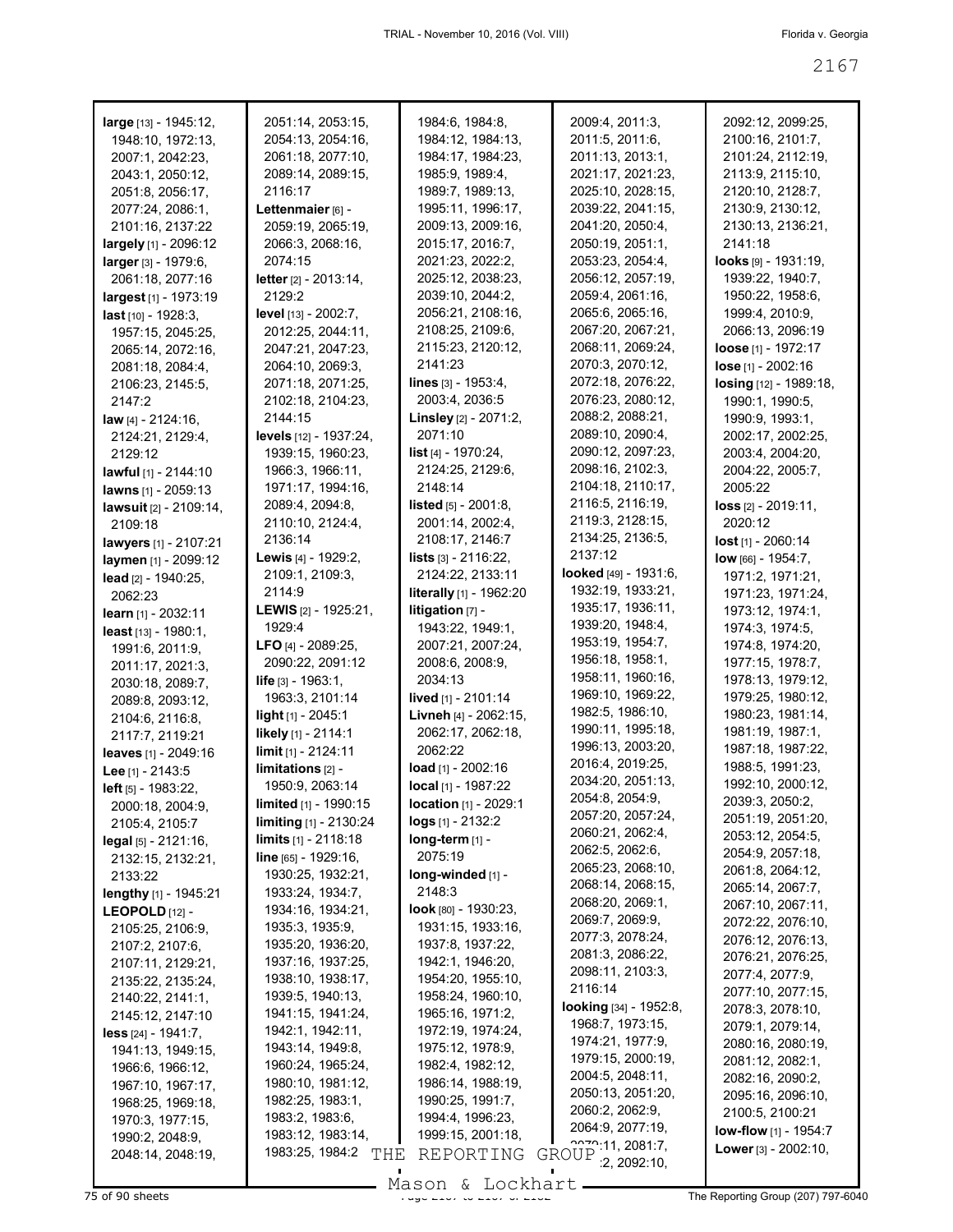| large [13] - 1945:12,          | 2051:14, 2053:15,                    | 1984:6, 1984:8,                       | 2009:4, 2011:3,                       | 2092:12, 2099:25,                    |
|--------------------------------|--------------------------------------|---------------------------------------|---------------------------------------|--------------------------------------|
| 1948:10, 1972:13,              | 2054:13, 2054:16,                    | 1984:12, 1984:13,                     | 2011:5, 2011:6,                       | 2100:16, 2101:7,                     |
| 2007:1, 2042:23,               | 2061:18, 2077:10,                    | 1984:17, 1984:23,                     | 2011:13, 2013:1,                      | 2101:24, 2112:19,                    |
| 2043:1, 2050:12,               | 2089:14, 2089:15,                    | 1985:9, 1989:4,                       | 2021:17, 2021:23,                     | 2113:9, 2115:10,                     |
| 2051:8, 2056:17,               | 2116:17                              | 1989:7, 1989:13,                      | 2025:10, 2028:15,                     | 2120:10, 2128:7,                     |
| 2077:24, 2086:1,               | Lettenmaier [6] -                    | 1995:11, 1996:17,                     | 2039:22, 2041:15,                     | 2130:9, 2130:12,                     |
| 2101:16, 2137:22               | 2059:19, 2065:19,                    | 2009:13, 2009:16,                     | 2041:20, 2050:4,                      | 2130:13, 2136:21,                    |
| largely [1] - 2096:12          | 2066:3, 2068:16,                     | 2015:17, 2016:7,                      | 2050:19, 2051:1,                      | 2141:18                              |
| larger [3] - 1979:6,           | 2074:15                              | 2021:23, 2022:2,                      | 2053:23, 2054:4,                      | $looks$ [9] - 1931:19,               |
| 2061:18, 2077:16               | letter [2] - 2013:14,                | 2025:12, 2038:23,                     | 2056:12, 2057:19,                     | 1939:22, 1940:7,                     |
| largest [1] - 1973:19          | 2129:2                               | 2039:10, 2044:2,                      | 2059:4, 2061:16,                      | 1950:22, 1958:6,                     |
| last [10] - 1928:3,            | <b>level</b> $[13] - 2002:7$ ,       | 2056:21, 2108:16,                     | 2065:6, 2065:16,                      | 1999:4, 2010:9,                      |
| 1957:15, 2045:25,              | 2012:25, 2044:11,                    | 2108:25, 2109:6,                      | 2067:20, 2067:21,                     | 2066:13, 2096:19                     |
| 2065:14, 2072:16,              | 2047:21, 2047:23,                    | 2115:23, 2120:12,                     | 2068:11, 2069:24,                     | <b>loose</b> [1] - 1972:17           |
| 2081:18, 2084:4,               | 2064:10, 2069:3,                     | 2141:23                               | 2070:3, 2070:12,                      | lose [1] - 2002:16                   |
| 2106:23, 2145:5,               | 2071:18, 2071:25,                    | <b>lines</b> $[3] - 1953:4,$          | 2072:18, 2076:22,                     | losing [12] - 1989:18,               |
| 2147:2                         | 2102:18, 2104:23,                    | 2003:4, 2036:5                        | 2076:23, 2080:12,                     | 1990:1, 1990:5,                      |
| <b>law</b> $[4] - 2124:16$ ,   | 2144:15                              | Linsley [2] - 2071:2,                 | 2088:2, 2088:21,                      | 1990:9, 1993:1,                      |
| 2124:21, 2129:4,               | levels [12] - 1937:24,               | 2071:10                               | 2089:10, 2090:4,                      | 2002:17, 2002:25,                    |
| 2129:12                        | 1939:15, 1960:23,                    | <b>list</b> [4] - 1970:24,            | 2090:12, 2097:23,                     | 2003:4, 2004:20,                     |
| lawful [1] - 2144:10           | 1966:3, 1966:11,                     | 2124:25, 2129:6,                      | 2098:16, 2102:3,                      | 2004:22, 2005:7,                     |
| lawns [1] - 2059:13            | 1971:17, 1994:16,                    | 2148:14                               | 2104:18, 2110:17,                     | 2005:22                              |
| <b>lawsuit</b> [2] - 2109:14,  | 2089:4, 2094:8,                      | <b>listed</b> $[5] - 2001:8$ ,        | 2116:5, 2116:19,                      | $loss$ [2] $-$ 2019:11,              |
| 2109:18                        | 2110:10, 2124:4,                     | 2001:14, 2002:4,                      | 2119:3, 2128:15,                      | 2020:12                              |
| <b>lawyers</b> [1] - 2107:21   | 2136:14                              | 2108:17, 2146:7                       | 2134:25, 2136:5,                      | $lost$ <sub>[1]</sub> - 2060:14      |
| laymen [1] - 2099:12           | <b>Lewis</b> $[4]$ - 1929:2,         | <b>lists</b> $[3] - 2116:22$ ,        | 2137:12                               | $low$ [66] - 1954:7,                 |
| lead [2] - 1940:25,            | 2109:1, 2109:3,                      | 2124:22, 2133:11                      | <b>looked</b> $[49] - 1931:6$ ,       | 1971:2, 1971:21,                     |
| 2062:23                        | 2114:9                               | literally [1] - 1962:20               | 1932:19, 1933:21,                     | 1971:23, 1971:24,                    |
| learn $[1] - 2032:11$          | <b>LEWIS</b> [2] - 1925:21,          | <b>litigation</b> $[7]$ -             | 1935:17, 1936:11,                     | 1973:12, 1974:1,                     |
| <b>least</b> $[13] - 1980:1$ , | 1929:4                               | 1943:22, 1949:1,                      | 1939:20, 1948:4,                      | 1974:3, 1974:5,                      |
| 1991:6, 2011:9,                | <b>LFO</b> [4] - 2089:25,            | 2007:21, 2007:24,                     | 1953:19, 1954:7,                      | 1974:8, 1974:20,                     |
| 2011:17, 2021:3,               | 2090:22, 2091:12                     | 2008:6, 2008:9,                       | 1956:18, 1958:1,                      | 1977:15, 1978:7,                     |
| 2030:18, 2089:7,               | <b>life</b> $[3] - 1963:1$ ,         | 2034:13                               | 1958:11, 1960:16,                     | 1978:13, 1979:12,                    |
| 2089:8, 2093:12,               | 1963:3, 2101:14                      | lived [1] - 2101:14                   | 1969:10, 1969:22,                     | 1979:25, 1980:12,                    |
| 2104:6, 2116:8,                | light [1] - 2045:1                   | Livneh [4] - 2062:15,                 | 1982:5, 1986:10,                      | 1980:23, 1981:14,                    |
| 2117:7, 2119:21                | likely [1] - 2114:1                  | 2062:17, 2062:18,                     | 1990:11, 1995:18,                     | 1981:19, 1987:1,                     |
| leaves [1] - 2049:16           | <b>limit</b> [1] - 2124:11           | 2062:22                               | 1996:13, 2003:20,<br>2016:4, 2019:25, | 1987:18, 1987:22,                    |
| Lee [1] - 2143:5               | limitations [2] -                    | <b>load</b> $[1] - 2002:16$           | 2034:20, 2051:13,                     | 1988:5, 1991:23,                     |
| left [5] - 1983:22,            | 1950:9, 2063:14                      | local [1] - 1987:22                   | 2054:8, 2054:9,                       | 1992:10, 2000:12,                    |
| 2000:18, 2004:9,               | limited [1] - 1990:15                | location [1] - 2029:1                 | 2057:20, 2057:24,                     | 2039:3, 2050:2,                      |
| 2105:4, 2105:7                 | limiting [1] - 2130:24               | $\log s$ [1] - 2132:2                 | 2060:21, 2062:4,                      | 2051:19, 2051:20,                    |
| $\text{legal } [5] - 2121:16,$ | <b>limits</b> [1] - 2118:18          | $long-term$ [1] -                     | 2062:5, 2062:6,                       | 2053:12, 2054:5,<br>2054:9, 2057:18, |
| 2132:15, 2132:21,              | line [65] - 1929:16,                 | 2075:19                               | 2065:23, 2068:10,                     | 2061:8, 2064:12,                     |
| 2133:22                        | 1930:25, 1932:21,                    | long-winded [1] -                     | 2068:14, 2068:15,                     | 2065:14, 2067:7,                     |
| lengthy [1] - 1945:21          | 1933:24, 1934:7,                     | 2148:3                                | 2068:20, 2069:1,                      | 2067:10, 2067:11,                    |
| LEOPOLD $[12]$ -               | 1934:16, 1934:21,                    | $look$ [80] - 1930:23,                | 2069:7, 2069:9,                       | 2072:22, 2076:10,                    |
| 2105:25, 2106:9,               | 1935:3, 1935:9,                      | 1931:15, 1933:16,                     | 2077:3, 2078:24,                      | 2076:12, 2076:13,                    |
| 2107:2, 2107:6,                | 1935:20, 1936:20,                    | 1937:8, 1937:22,                      | 2081:3, 2086:22,                      | 2076:21, 2076:25,                    |
| 2107:11, 2129:21,              | 1937:16, 1937:25,                    | 1942:1, 1946:20,                      | 2098:11, 2103:3,                      | 2077:4, 2077:9,                      |
| 2135:22, 2135:24,              | 1938:10, 1938:17,                    | 1954:20, 1955:10,                     | 2116:14                               | 2077:10, 2077:15,                    |
| 2140:22, 2141:1,               | 1939:5, 1940:13,                     | 1958:24, 1960:10,                     | looking [34] - 1952:8,                | 2078:3, 2078:10,                     |
| 2145:12, 2147:10               | 1941:15, 1941:24,                    | 1965:16, 1971:2,                      | 1968:7, 1973:15,                      | 2079:1, 2079:14,                     |
| less [24] - 1941:7,            | 1942:1, 1942:11,                     | 1972:19, 1974:24,                     | 1974:21, 1977:9,                      | 2080:16, 2080:19,                    |
| 1941:13, 1949:15,              | 1943:14, 1949:8,                     | 1975:12, 1978:9,                      | 1979:15, 2000:19,                     | 2081:12, 2082:1,                     |
| 1966:6, 1966:12,               | 1960:24, 1965:24,                    | 1982:4, 1982:12,                      | 2004:5, 2048:11,                      | 2082:16, 2090:2,                     |
| 1967:10, 1967:17,              | 1980:10, 1981:12,                    | 1986:14, 1988:19,                     | 2050:13, 2051:20,                     | 2095:16, 2096:10,                    |
| 1968:25, 1969:18,              | 1982:25, 1983:1,                     | 1990:25, 1991:7,                      | 2060:2, 2062:9,                       | 2100:5, 2100:21                      |
| 1970:3, 1977:15,               | 1983:2, 1983:6,<br>1983:12, 1983:14, | 1994:4, 1996:23,<br>1999:15, 2001:18, | 2064:9, 2077:19,                      | <b>low-flow</b> $[1]$ - 1954:7       |
| 1990:2, 2048:9,                | 1983:25, 1984:2                      |                                       | 2220:11, 2081:7,                      | <b>Lower</b> $[3] - 2002:10$ ,       |
| 2048:14, 2048:19,              | THE                                  | REPORTING                             | GROUP<br>2, 2092:10,                  |                                      |

Mason & Lockhart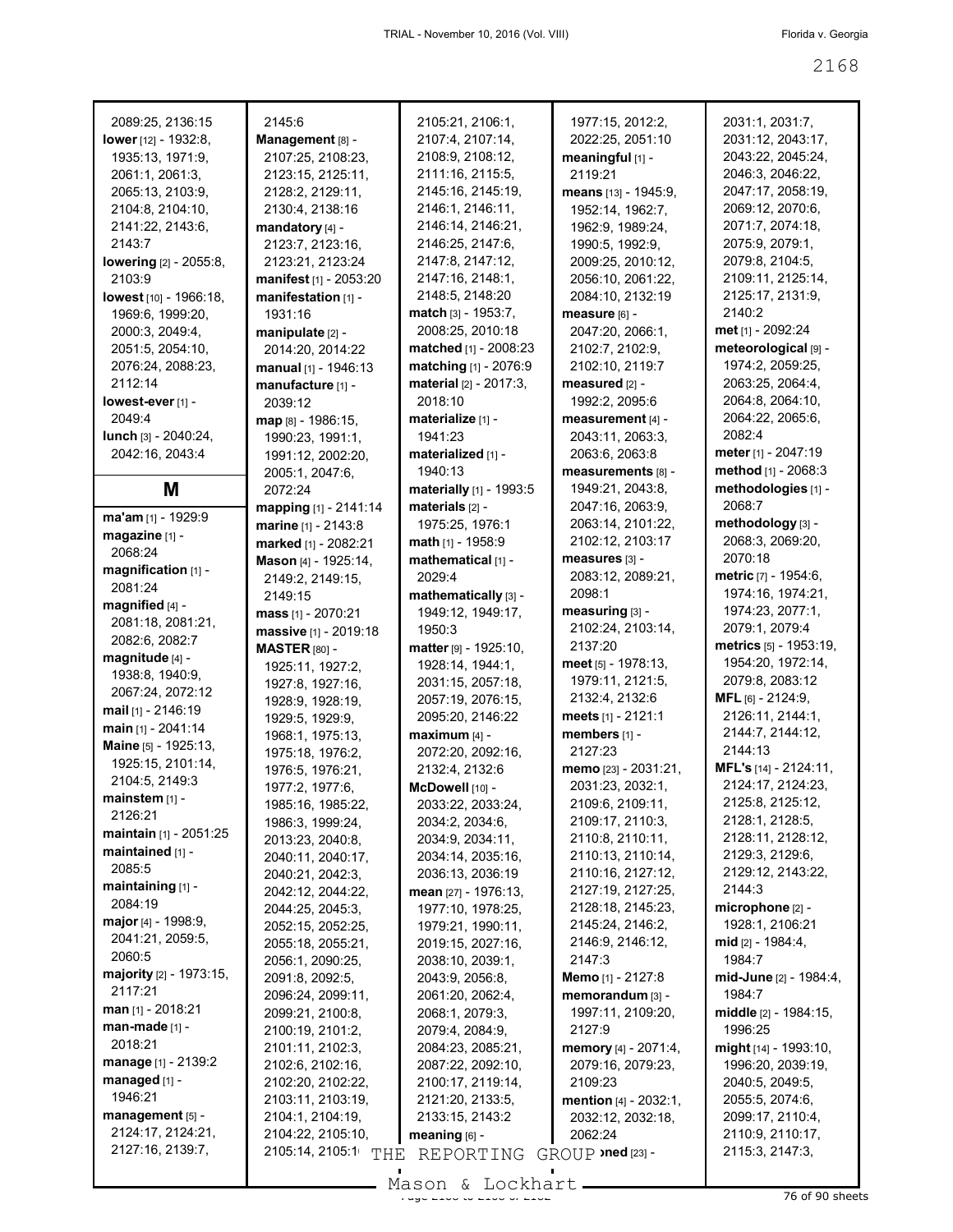| 2089:25, 2136:15                         |
|------------------------------------------|
| lower [12] - 1932:8,                     |
| 1935:13, 1971:9,                         |
| 2061:1, 2061:3,<br>2065:13, 2103:9,      |
| 2104:8, 2104:10,                         |
| 2141:22, 2143:6,                         |
| 2143:7                                   |
| <b>lowering</b> [2] - 2055:8,            |
| 2103:9                                   |
| lowest [10] - 1966:18,                   |
| 1969:6, 1999:20,                         |
| 2000:3, 2049:4,<br>2051:5, 2054:10,      |
| 2076:24, 2088:23,                        |
| 2112:14                                  |
| lowest-ever [1] -                        |
| 2049:4                                   |
| lunch [3] - 2040:24,                     |
| 2042:16, 2043:4                          |
| M                                        |
|                                          |
| ma'am [1] - 1929:9                       |
| magazine [1] -                           |
| 2068:24<br>magnification [1] -           |
| 2081:24                                  |
| magnified [4] -                          |
| 2081:18, 2081:21,                        |
| 2082:6, 2082:7                           |
| magnitude [4] -                          |
| 1938:8, 1940:9,                          |
| 2067:24, 2072:12                         |
| mail [1] - 2146:19<br>main [1] - 2041:14 |
| Maine [5] - 1925:13,                     |
| 1925:15, 2101:14,                        |
| 2104:5, 2149:3                           |
| mainstem [1] -                           |
| 2126:21                                  |
| <b>maintain</b> [1] - 2051:25            |
| maintained [1] -                         |
| 2085:5<br>maintaining [1] -              |
| 2084:19                                  |
| <b>major</b> [4] - 1998:9,               |
| 2041:21, 2059:5,                         |
| 2060:5                                   |
|                                          |
| majority [2] - 1973:15,                  |
| 2117:21                                  |
| <b>man</b> [1] - 2018:21                 |
| man-made [1] -                           |
| 2018:21                                  |
| manage [1] - 2139:2                      |
| managed [1] -                            |
| 1946:21<br>management [5] -              |
| 2124:17, 2124:21,                        |
| 2127:16, 2139:7,                         |

| 2145:6                                   |
|------------------------------------------|
| Management [8] -                         |
| 2107:25, 2108:23,                        |
| 2123:15, 2125:11,                        |
| 2128:2, 2129:11,                         |
| 2130:4, 2138:16<br>mandatory [4] -       |
| 2123:7, 2123:16,                         |
| 2123:21, 2123:24                         |
| <b>manifest</b> [1] - 2053:20            |
| manifestation [1] -                      |
| 1931:16                                  |
| manipulate [2] -                         |
| 2014:20, 2014:22                         |
| manual [1] - 1946:13                     |
| manufacture [1] -                        |
| 2039:12                                  |
| <b>map</b> թ] - 1986:15,                 |
| 1990:23, 1991:1,<br>1991:12, 2002:20,    |
| 2005:1, 2047:6,                          |
| 2072:24                                  |
| mapping [1] - 2141:14                    |
| marine [1] - 2143:8                      |
| <b>marked</b> [1] - 2082:21              |
| Mason [4] - 1925:14,                     |
| 2149:2, 2149:15,                         |
| 2149:15                                  |
| <b>mass</b> [1] - 2070:21                |
| massive [1] - 2019:18                    |
| <b>MASTER</b> [80] -<br>1925:11, 1927:2, |
| 1927:8, 1927:16,                         |
| 1928:9, 1928:19,                         |
| 1929:5, 1929:9,                          |
| 1968:1, 1975:13,                         |
| 1975:18, 1976:2,                         |
| 1976:5, 1976:21,                         |
| 1977:2, 1977:6,                          |
| 1985:16. 1985:22                         |
| 1986:3, 1999:24,                         |
| 2013:23, 2040:8,                         |
| 2040:11, 2040:1 <mark>7</mark> ,         |
| 2040:21, 2042:3,<br>2042:12, 2044:22,    |
| 2044:25, 2045:3,                         |
| 2052:15, 2052:25,                        |
| 2055:18, 2055:21,                        |
| 2056:1, 2090:25,                         |
| 2091:8, 2092:5,                          |
| 2096:24, 2099:11,                        |
| 2099:21, 2100:8,                         |
| 2100:19, 2101:2,                         |
| 2101:11, 2102:3,                         |
| 2102:6, 2102:16,<br>2102:20, 2102:22,    |
| 2103:11, 2103:19,                        |
| 2104:1, 2104:19,                         |
| 2104:22, 2105:10,                        |
| 2105:14, 2105:1<br>THI                   |
|                                          |

| 2105:21, 2106:1,                      | 1977:15, 2012:                            |
|---------------------------------------|-------------------------------------------|
| 2107:4, 2107:14,                      | 2022:25, 2051:                            |
| 2108:9, 2108:12,                      | meaningful [1] -                          |
| 2111:16, 2115:5,<br>2145:16, 2145:19, | 2119:21                                   |
| 2146:1, 2146:11,                      | <b>means</b> [13] - 194<br>1952:14, 1962: |
| 2146:14, 2146:21,                     | 1962:9, 1989:2                            |
| 2146:25, 2147:6,                      | 1990:5, 1992:9                            |
| 2147:8, 2147:12,                      | 2009:25, 2010:                            |
| 2147:16, 2148:1,                      | 2056:10, 2061:                            |
| 2148:5, 2148:20                       | 2084:10, 2132:                            |
| match [3] - 1953:7,                   | measure [6] -                             |
| 2008:25, 2010:18                      | 2047:20, 2066:                            |
| <b>matched</b> [1] - 2008:23          | 2102:7, 2102:9                            |
| matching [1] - 2076:9                 | 2102:10, 2119:                            |
| material [2] - 2017:3,<br>2018:10     | measured [2] -<br>1992:2, 2095:6          |
| materialize [1] -                     | measurement [4                            |
| 1941:23                               | 2043:11, 2063:                            |
| materialized [1] -                    | 2063:6, 2063:8                            |
| 1940:13                               | measurements                              |
| materially [1] - 1993:5               | 1949:21, 2043:                            |
| materials [2] -                       | 2047:16, 2063:                            |
| 1975:25, 1976:1                       | 2063:14, 2101:                            |
| math [1] - 1958:9                     | 2102:12, 2103:                            |
| mathematical [1] -                    | measures [3] -                            |
| 2029:4                                | 2083:12, 2089:                            |
| mathematically [3] -                  | 2098:1                                    |
| 1949:12, 1949:17,<br>1950:3           | measuring [3] -<br>2102:24, 2103:         |
| matter [9] - 1925:10,                 | 2137:20                                   |
| 1928:14, 1944:1,                      | <b>meet</b> [5] - 1978:1                  |
| 2031:15, 2057:18,                     | 1979:11, 2121:                            |
| 2057:19, 2076:15,                     | 2132:4, 2132:6                            |
| 2095:20, 2146:22                      | <b>meets</b> [1] - 2121:                  |
| maximum [4] -                         | members [1] -                             |
| 2072:20, 2092:16,                     | 2127:23                                   |
| 2132:4, 2132:6                        | <b>memo</b> [23] - 2031                   |
| McDowell [10] -                       | 2031:23, 2032:<br>2109:6, 2109:1          |
| 2033:22, 2033:24,                     | 2109:17, 2110:                            |
| 2034:2, 2034:6,<br>2034:9, 2034:11,   | 2110:8, 2110:1                            |
| 2034:14, 2035:16,                     | 2110:13, 2110:                            |
| 2036:13, 2036:19                      | 2110:16, 2127:                            |
| mean [27] - 1976:13,                  | 2127:19, 2127:                            |
| 1977:10, 1978:25,                     | 2128:18, 2145:                            |
| 1979:21, 1990:11,                     | 2145:24, 2146:                            |
| 2019:15, 2027:16,                     | 2146:9, 2146:1                            |
| 2038:10, 2039:1,                      | 2147:3                                    |
| 2043:9, 2056:8,                       | <b>Memo</b> [1] - 2127:                   |
| 2061:20, 2062:4,                      | memorandum <sup>[3</sup>                  |
| 2068:1, 2079:3,<br>2079:4, 2084:9,    | 1997:11, 2109:<br>2127:9                  |
| 2084:23, 2085:21,                     | <b>memory</b> [4] - 207                   |
| 2087:22, 2092:10,                     | 2079:16, 2079:                            |
| 2100:17, 2119:14,                     | 2109:23                                   |
| 2121:20, 2133:5,                      | <b>mention</b> [4] - 203                  |
| 2133:15, 2143:2                       | 2032:12, 2032:                            |
| meaning [6] -                         | 2062:24                                   |
| REPORTING GROUP >ned [23] -<br>Ŧ,     |                                           |

1977:15, 2012:2, 2022:25, 2051:10 **meaningful** [1] - 2119:21 **means** [13] - 1945:9, 1952:14, 1962:7, 1962:9, 1989:24, 1990:5, 1992:9, 2009:25, 2010:12, 2056:10, 2061:22, 2084:10, 2132:19 **measure** [6] - 2047:20, 2066:1, 2102:7, 2102:9, 2102:10, 2119:7 **measured** [2] - 1992:2, 2095:6 **measurement** [4] - 2043:11, 2063:3, 2063:6, 2063:8 **measurements** [8] - 1949:21, 2043:8, 2047:16, 2063:9, 2063:14, 2101:22, 2102:12, 2103:17 **measures** [3] - 2083:12, 2089:21, 2098:1 **measuring** [3] - 2102:24, 2103:14, 2137:20 **meet** [5] - 1978:13, 1979:11, 2121:5, 2132:4, 2132:6 **meets** [1] - 2121:1 **members** [1] - 2127:23 **memo** [23] - 2031:21, 2031:23, 2032:1, 2109:6, 2109:11, 2109:17, 2110:3, 2110:8, 2110:11, 2110:13, 2110:14, 2110:16, 2127:12, 2127:19, 2127:25, 2128:18, 2145:23, 2145:24, 2146:2, 2146:9, 2146:12, 2147:3 **Memo** [1] - 2127:8 **memorandum** [3] - 1997:11, 2109:20, 2127:9 **memory** [4] - 2071:4, 2079:16, 2079:23, 2109:23 **mention** [4] - 2032:1, 2032:12, 2032:18, 2062:24

2031:1, 2031:7, 2031:12, 2043:17, 2043:22, 2045:24, 2046:3, 2046:22, 2047:17, 2058:19, 2069:12, 2070:6, 2071:7, 2074:18, 2075:9, 2079:1, 2079:8, 2104:5, 2109:11, 2125:14, 2125:17, 2131:9, 2140:2 **met** [1] - 2092:24 **meteorological** [9] - 1974:2, 2059:25, 2063:25, 2064:4, 2064:8, 2064:10, 2064:22, 2065:6, 2082:4 **meter** [1] - 2047:19 **method** [1] - 2068:3 **methodologies** [1] - 2068:7 **methodology** [3] - 2068:3, 2069:20, 2070:18 **metric** [7] - 1954:6, 1974:16, 1974:21, 1974:23, 2077:1, 2079:1, 2079:4 **metrics** [5] - 1953:19, 1954:20, 1972:14, 2079:8, 2083:12 **MFL** [6] - 2124:9, 2126:11, 2144:1, 2144:7, 2144:12, 2144:13 **MFL's** [14] - 2124:11, 2124:17, 2124:23, 2125:8, 2125:12, 2128:1, 2128:5, 2128:11, 2128:12, 2129:3, 2129:6, 2129:12, 2143:22, 2144:3 **microphone** [2] - 1928:1, 2106:21 **mid** [2] - 1984:4, 1984:7 **mid-June** [2] - 1984:4, 1984:7 **middle** [2] - 1984:15, 1996:25 **might** [14] - 1993:10, 1996:20, 2039:19, 2040:5, 2049:5, 2055:5, 2074:6, 2099:17, 2110:4, 2110:9, 2110:17, 2115:3, 2147:3,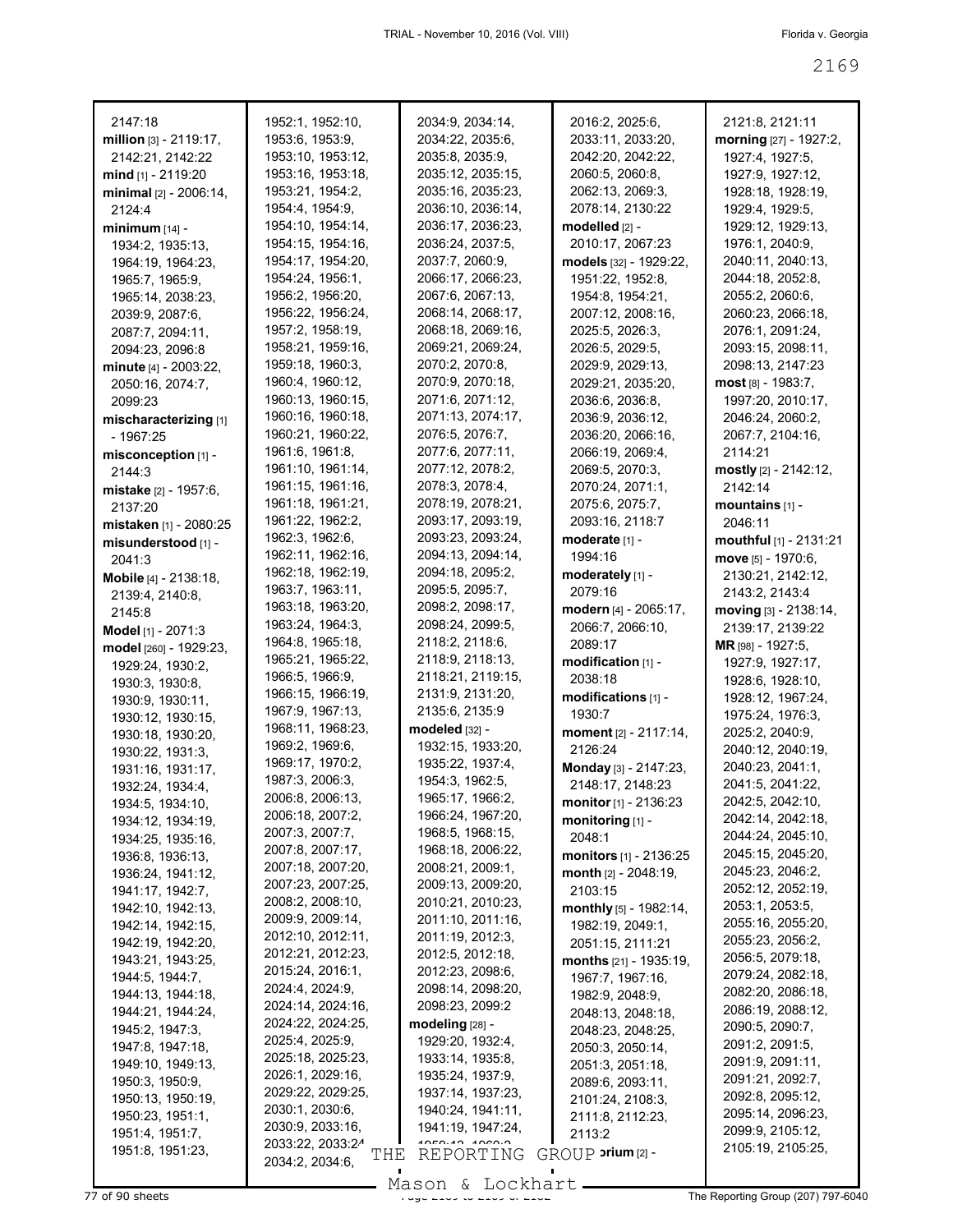| 2147:18                                | 1952:1, 1952:10,                           | 2034:9, 2034:14,                       | 2016:2, 2025:6,                                   | 2121:8, 2121:11          |
|----------------------------------------|--------------------------------------------|----------------------------------------|---------------------------------------------------|--------------------------|
| million $[3] - 2119:17$ ,              | 1953:6, 1953:9,                            | 2034:22, 2035:6,                       | 2033:11, 2033:20,                                 | morning [27] - 1927:2,   |
| 2142:21, 2142:22                       | 1953:10, 1953:12,                          | 2035:8, 2035:9,                        | 2042:20, 2042:22,                                 | 1927:4, 1927:5,          |
| mind $[1]$ - 2119:20                   | 1953:16, 1953:18,                          | 2035:12, 2035:15,                      | 2060:5, 2060:8,                                   | 1927:9, 1927:12,         |
| minimal [2] - 2006:14,                 | 1953:21, 1954:2,                           | 2035:16, 2035:23,                      | 2062:13, 2069:3,                                  | 1928:18, 1928:19,        |
| 2124:4                                 | 1954:4, 1954:9,                            | 2036:10, 2036:14,                      | 2078:14, 2130:22                                  | 1929:4, 1929:5,          |
| $minimum [14] -$                       | 1954:10, 1954:14,                          | 2036:17, 2036:23,                      | modelled [2] -                                    | 1929:12, 1929:13,        |
| 1934:2, 1935:13,                       | 1954:15, 1954:16,                          | 2036:24, 2037:5,                       | 2010:17, 2067:23                                  | 1976:1, 2040:9,          |
| 1964:19, 1964:23,                      | 1954:17, 1954:20,                          | 2037:7, 2060:9,                        | models [32] - 1929:22,                            | 2040:11, 2040:13,        |
| 1965:7, 1965:9,                        | 1954:24, 1956:1,                           | 2066:17, 2066:23,                      | 1951:22, 1952:8,                                  | 2044:18, 2052:8,         |
| 1965:14, 2038:23,                      | 1956:2, 1956:20,                           | 2067:6, 2067:13,                       | 1954:8, 1954:21,                                  | 2055:2, 2060:6,          |
| 2039:9, 2087:6,                        | 1956:22, 1956:24,                          | 2068:14, 2068:17,                      | 2007:12, 2008:16,                                 | 2060:23, 2066:18,        |
| 2087:7, 2094:11,                       | 1957:2, 1958:19,                           | 2068:18, 2069:16,                      | 2025:5, 2026:3,                                   | 2076:1, 2091:24,         |
| 2094:23, 2096:8                        | 1958:21, 1959:16,                          | 2069:21, 2069:24,                      | 2026:5, 2029:5,                                   | 2093:15, 2098:11,        |
| minute $[4] - 2003:22$ ,               | 1959:18, 1960:3,                           | 2070:2, 2070:8,                        | 2029:9, 2029:13,                                  | 2098:13, 2147:23         |
| 2050:16, 2074:7,                       | 1960:4, 1960:12,                           | 2070:9, 2070:18,                       | 2029:21, 2035:20,                                 | $most$ [8] - 1983:7,     |
| 2099:23                                | 1960:13, 1960:15,                          | 2071:6, 2071:12,                       | 2036:6, 2036:8,                                   | 1997:20, 2010:17,        |
| mischaracterizing [1]                  | 1960:16, 1960:18,                          | 2071:13, 2074:17,                      | 2036:9, 2036:12,                                  | 2046:24, 2060:2,         |
| $-1967:25$                             | 1960:21, 1960:22,                          | 2076:5, 2076:7,                        | 2036:20, 2066:16,                                 | 2067:7, 2104:16,         |
|                                        | 1961:6, 1961:8,                            | 2077:6, 2077:11,                       | 2066:19, 2069:4,                                  | 2114:21                  |
| misconception [1] -                    | 1961:10, 1961:14,                          | 2077:12, 2078:2,                       | 2069:5, 2070:3,                                   | mostly $[2] - 2142:12$ , |
| 2144:3                                 | 1961:15, 1961:16,                          | 2078:3, 2078:4,                        | 2070:24, 2071:1,                                  | 2142:14                  |
| <b>mistake</b> [2] - 1957:6,           | 1961:18, 1961:21,                          | 2078:19, 2078:21,                      | 2075:6, 2075:7,                                   | mountains [1] -          |
| 2137:20                                | 1961:22, 1962:2,                           | 2093:17, 2093:19,                      |                                                   |                          |
| mistaken [1] - 2080:25                 | 1962:3, 1962:6,                            |                                        | 2093:16, 2118:7                                   | 2046:11                  |
| misunderstood [1] -                    |                                            | 2093:23, 2093:24,                      | moderate [1] -                                    | mouthful $[1]$ - 2131:21 |
| 2041:3                                 | 1962:11, 1962:16,                          | 2094:13, 2094:14,                      | 1994:16                                           | move [5] - 1970:6,       |
| Mobile [4] - 2138:18,                  | 1962:18, 1962:19,                          | 2094:18, 2095:2,                       | moderately [1] -                                  | 2130:21, 2142:12,        |
| 2139:4, 2140:8,                        | 1963:7, 1963:11,                           | 2095:5, 2095:7,                        | 2079:16                                           | 2143:2, 2143:4           |
| 2145:8                                 | 1963:18, 1963:20,                          | 2098:2, 2098:17,                       | modern [4] - 2065:17,                             | moving $[3] - 2138:14$ , |
| Model [1] - 2071:3                     | 1963:24, 1964:3,                           | 2098:24, 2099:5,                       | 2066:7, 2066:10,                                  | 2139:17, 2139:22         |
| model [260] - 1929:23,                 | 1964:8, 1965:18,                           | 2118:2, 2118:6,                        | 2089:17                                           | MR [98] - 1927:5,        |
| 1929:24, 1930:2,                       | 1965:21, 1965:22,                          | 2118:9, 2118:13,                       | modification [1] -                                | 1927:9, 1927:17,         |
| 1930:3, 1930:8,                        | 1966:5, 1966:9,                            | 2118:21, 2119:15,                      | 2038:18                                           | 1928:6, 1928:10,         |
| 1930:9, 1930:11,                       |                                            |                                        |                                                   |                          |
|                                        | 1966:15, 1966:19,                          | 2131:9, 2131:20,                       | $modifications$ [1] -                             | 1928:12, 1967:24,        |
| 1930:12, 1930:15,                      | 1967:9, 1967:13,                           | 2135:6, 2135:9                         | 1930:7                                            | 1975:24, 1976:3,         |
| 1930:18, 1930:20,                      | 1968:11, 1968:23,                          | modeled [32] -                         | <b>moment</b> [2] - 2117:14,                      | 2025:2, 2040:9,          |
| 1930:22, 1931:3,                       | 1969:2, 1969:6,                            | 1932:15, 1933:20,                      | 2126:24                                           | 2040:12, 2040:19,        |
| 1931:16, 1931:17,                      | 1969:17, 1970:2,                           | 1935:22, 1937:4,                       | Monday [3] - 2147:23,                             | 2040:23, 2041:1,         |
| 1932:24, 1934:4,                       | 1987:3, 2006:3,                            | 1954:3, 1962:5,                        | 2148:17, 2148:23                                  | 2041:5, 2041:22,         |
| 1934:5, 1934:10,                       | 2006:8, 2006:13,                           | 1965:17, 1966:2,                       | monitor [1] - 2136:23                             | 2042:5, 2042:10,         |
|                                        | 2006:18, 2007:2,                           | 1966:24, 1967:20,                      | monitoring [1] -                                  | 2042:14, 2042:18,        |
| 1934:12, 1934:19,<br>1934:25, 1935:16, | 2007:3, 2007:7,                            | 1968:5, 1968:15,                       | 2048:1                                            | 2044:24, 2045:10,        |
| 1936:8, 1936:13,                       | 2007:8, 2007:17,                           | 1968:18, 2006:22,                      |                                                   | 2045:15, 2045:20,        |
| 1936:24, 1941:12,                      | 2007:18, 2007:20,                          | 2008:21, 2009:1,                       | monitors [1] - 2136:25<br>month $[2] - 2048:19$ , | 2045:23, 2046:2,         |
|                                        | 2007:23, 2007:25,                          | 2009:13, 2009:20,                      | 2103:15                                           | 2052:12, 2052:19,        |
| 1941:17, 1942:7,                       | 2008:2, 2008:10,                           | 2010:21, 2010:23,                      |                                                   | 2053:1, 2053:5,          |
| 1942:10, 1942:13,                      | 2009:9, 2009:14,                           | 2011:10, 2011:16,                      | monthly [5] - 1982:14,                            | 2055:16, 2055:20,        |
| 1942:14, 1942:15,                      | 2012:10, 2012:11,                          | 2011:19, 2012:3,                       | 1982:19, 2049:1,                                  | 2055:23, 2056:2,         |
| 1942:19, 1942:20,                      | 2012:21, 2012:23,                          | 2012:5, 2012:18,                       | 2051:15, 2111:21                                  | 2056:5, 2079:18,         |
| 1943:21, 1943:25,                      | 2015:24, 2016:1,                           | 2012:23, 2098:6,                       | months [21] - 1935:19,                            |                          |
| 1944:5, 1944:7,                        | 2024:4, 2024:9,                            | 2098:14, 2098:20,                      | 1967:7, 1967:16,                                  | 2079:24, 2082:18,        |
| 1944:13, 1944:18,                      | 2024:14, 2024:16,                          | 2098:23, 2099:2                        | 1982:9, 2048:9,                                   | 2082:20, 2086:18,        |
| 1944:21, 1944:24,                      | 2024:22, 2024:25,                          | modeling [28] -                        | 2048:13, 2048:18,                                 | 2086:19, 2088:12,        |
| 1945:2, 1947:3,                        | 2025:4, 2025:9,                            | 1929:20, 1932:4,                       | 2048:23, 2048:25,                                 | 2090:5, 2090:7,          |
| 1947:8, 1947:18,                       | 2025:18, 2025:23,                          | 1933:14, 1935:8,                       | 2050:3, 2050:14,                                  | 2091:2, 2091:5,          |
| 1949:10, 1949:13,                      | 2026:1, 2029:16,                           | 1935:24, 1937:9,                       | 2051:3, 2051:18,                                  | 2091:9, 2091:11,         |
| 1950:3, 1950:9,                        | 2029:22, 2029:25,                          | 1937:14, 1937:23,                      | 2089:6, 2093:11,                                  | 2091:21, 2092:7,         |
| 1950:13, 1950:19,                      | 2030:1, 2030:6,                            |                                        | 2101:24, 2108:3,                                  | 2092:8, 2095:12,         |
| 1950:23, 1951:1,                       |                                            | 1940:24, 1941:11,<br>1941:19, 1947:24, | 2111:8, 2112:23,                                  | 2095:14, 2096:23,        |
| 1951:4, 1951:7,                        | 2030:9, 2033:16,                           | 1050.19 1020.9                         | 2113:2                                            | 2099:9, 2105:12,         |
| 1951:8, 1951:23,                       | 2033:22, 2033:24<br>THE<br>2034:2, 2034:6, | REPORTING                              | GROUP orium [2] -<br>П                            | 2105:19, 2105:25,        |

Mason & Lockhart **Page 2169 of 2169 to 2169 to 2169 to 2169 comp**<br>Page 2169 of 2182 to 2169 of 2169 of 2182 The Reporting Group (207) 797-6040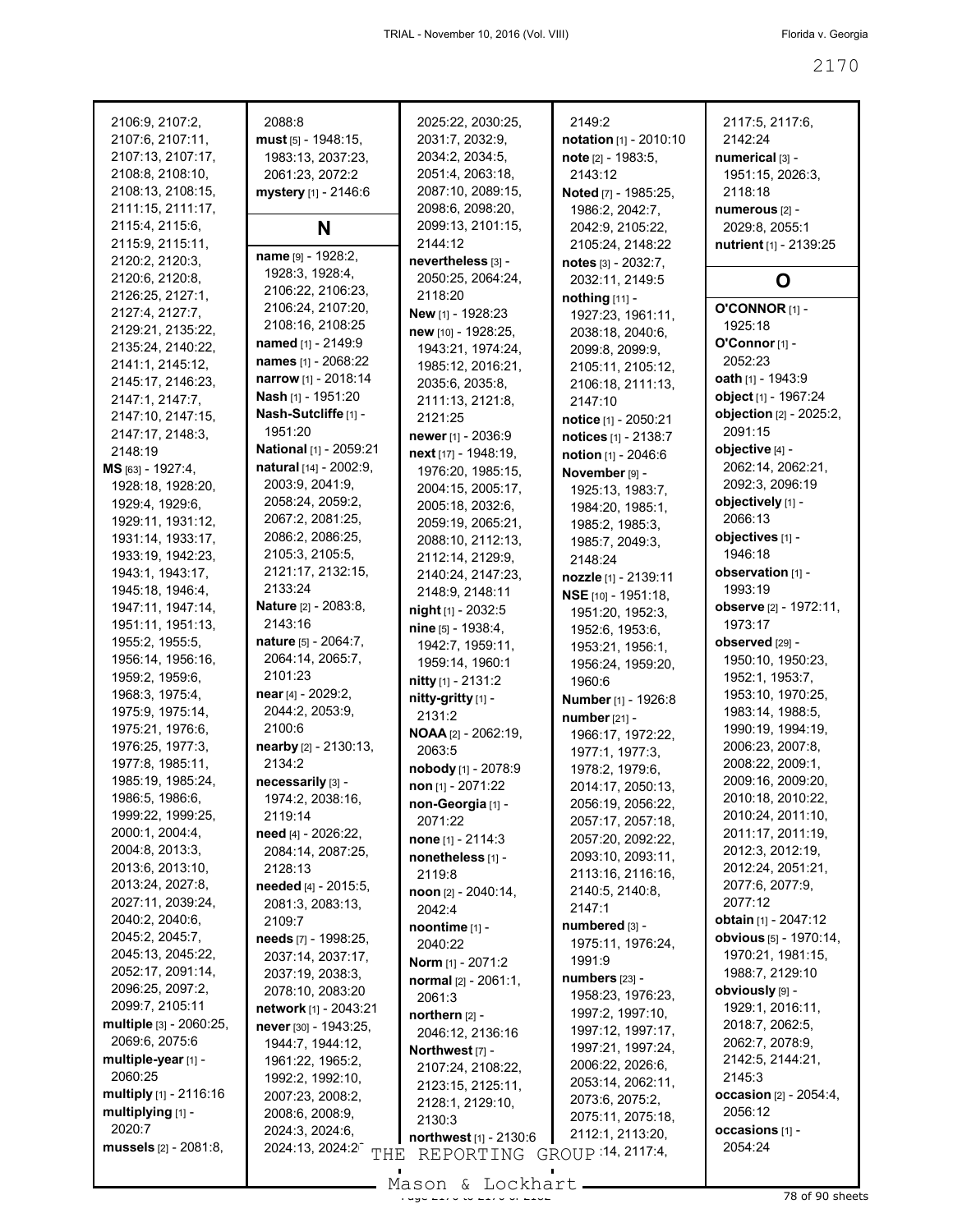| 2106:9, 2107:2,              | 2088:8                           | 2025:22, 2030:25,           | 2149:2                 | 2117:5, 2117:6,               |
|------------------------------|----------------------------------|-----------------------------|------------------------|-------------------------------|
| 2107:6, 2107:11,             | $must$ [5] - 1948:15,            | 2031:7, 2032:9,             | notation [1] - 2010:10 | 2142:24                       |
| 2107:13, 2107:17,            | 1983:13, 2037:23,                | 2034:2, 2034:5,             | note [2] - 1983:5,     | numerical [3] -               |
| 2108:8, 2108:10,             | 2061:23, 2072:2                  | 2051:4, 2063:18,            | 2143:12                | 1951:15, 2026:3,              |
| 2108:13, 2108:15,            | mystery [1] - 2146:6             | 2087:10, 2089:15,           | Noted [7] - 1985:25,   | 2118:18                       |
| 2111:15, 2111:17,            |                                  | 2098:6, 2098:20,            | 1986:2, 2042:7,        | numerous [2] -                |
| 2115:4, 2115:6,              | N                                | 2099:13, 2101:15,           | 2042:9, 2105:22,       | 2029:8, 2055:1                |
| 2115:9, 2115:11,             |                                  | 2144:12                     | 2105:24, 2148:22       | nutrient [1] - 2139:25        |
| 2120:2, 2120:3,              | name [9] - 1928:2,               | nevertheless [3] -          | notes [3] - 2032:7,    |                               |
| 2120:6, 2120:8,              | 1928:3, 1928:4,                  | 2050:25, 2064:24,           | 2032:11, 2149:5        | O                             |
| 2126:25, 2127:1,             | 2106:22, 2106:23,                | 2118:20                     | nothing [11] -         |                               |
| 2127:4, 2127:7,              | 2106:24, 2107:20,                | New [1] - 1928:23           | 1927:23, 1961:11,      | O'CONNOR [1] -                |
| 2129:21, 2135:22,            | 2108:16, 2108:25                 | new [10] - 1928:25,         | 2038:18, 2040:6,       | 1925:18                       |
| 2135:24, 2140:22,            | named [1] - 2149:9               | 1943:21, 1974:24,           | 2099:8, 2099:9,        | O'Connor [1] -                |
| 2141:1, 2145:12,             | names [1] - 2068:22              | 1985:12, 2016:21,           | 2105:11, 2105:12,      | 2052:23                       |
| 2145:17, 2146:23,            | narrow [1] - 2018:14             | 2035:6, 2035:8,             | 2106:18, 2111:13,      | oath [1] - 1943:9             |
| 2147:1, 2147:7,              | Nash [1] - 1951:20               | 2111:13, 2121:8,            | 2147:10                | object [1] - 1967:24          |
| 2147:10, 2147:15,            | Nash-Sutcliffe [1] -             | 2121:25                     | notice [1] - 2050:21   | objection [2] - 2025:2,       |
| 2147:17, 2148:3,             | 1951:20                          | newer [1] - 2036:9          | notices [1] - 2138:7   | 2091:15                       |
| 2148:19                      | National [1] - 2059:21           | next [17] - 1948:19,        |                        | objective [4] -               |
| MS [63] - 1927:4,            | natural [14] - 2002:9,           | 1976:20, 1985:15,           | notion [1] - 2046:6    | 2062:14, 2062:21,             |
| 1928:18, 1928:20,            | 2003:9, 2041:9,                  | 2004:15, 2005:17,           | November [9] -         | 2092:3, 2096:19               |
| 1929:4, 1929:6,              | 2058:24, 2059:2,                 |                             | 1925:13, 1983:7,       | objectively [1] -             |
| 1929:11, 1931:12,            | 2067:2, 2081:25,                 | 2005:18, 2032:6,            | 1984:20, 1985:1,       | 2066:13                       |
| 1931:14, 1933:17,            | 2086:2, 2086:25,                 | 2059:19, 2065:21,           | 1985:2, 1985:3,        | objectives [1] -              |
| 1933:19, 1942:23,            | 2105:3, 2105:5,                  | 2088:10, 2112:13,           | 1985:7, 2049:3,        | 1946:18                       |
|                              | 2121:17, 2132:15,                | 2112:14, 2129:9,            | 2148:24                | observation [1] -             |
| 1943:1, 1943:17,             | 2133:24                          | 2140:24, 2147:23,           | nozzle [1] - 2139:11   |                               |
| 1945:18, 1946:4,             |                                  | 2148:9, 2148:11             | NSE [10] - 1951:18,    | 1993:19                       |
| 1947:11, 1947:14,            | <b>Nature</b> [2] - 2083:8,      | $night[1] - 2032:5$         | 1951:20, 1952:3,       | observe [2] - 1972:11,        |
| 1951:11, 1951:13,            | 2143:16                          | nine [5] - 1938:4,          | 1952:6, 1953:6,        | 1973:17                       |
| 1955:2, 1955:5,              | nature [5] - 2064:7,             | 1942:7, 1959:11,            | 1953:21, 1956:1,       | observed [29] -               |
| 1956:14, 1956:16,            | 2064:14, 2065:7,                 | 1959:14, 1960:1             | 1956:24, 1959:20,      | 1950:10, 1950:23,             |
| 1959:2, 1959:6,              | 2101:23                          | nitty [1] - 2131:2          | 1960:6                 | 1952:1, 1953:7,               |
| 1968:3, 1975:4,              | near [4] - 2029:2,               | nitty-gritty [1] -          | Number [1] - 1926:8    | 1953:10, 1970:25,             |
| 1975:9, 1975:14,             | 2044:2, 2053:9,                  | 2131:2                      | number [21] -          | 1983:14, 1988:5,              |
| 1975:21, 1976:6,             | 2100:6                           | NOAA [2] - 2062:19,         | 1966:17, 1972:22,      | 1990:19, 1994:19,             |
| 1976:25, 1977:3,             | nearby [2] - 2130:13,            | 2063:5                      | 1977:1, 1977:3,        | 2006:23, 2007:8,              |
| 1977:8, 1985:11,             | 2134:2                           | nobody [1] - 2078:9         | 1978:2, 1979:6,        | 2008:22, 2009:1,              |
| 1985:19, 1985:24,            | necessarily [3] -                | non $[1] - 2071:22$         | 2014:17, 2050:13,      | 2009:16, 2009:20,             |
| 1986:5, 1986:6,              | 1974:2, 2038:16,                 | non-Georgia [1] -           | 2056:19, 2056:22,      | 2010:18, 2010:22,             |
| 1999:22, 1999:25,            | 2119:14                          | 2071:22                     | 2057:17, 2057:18,      | 2010:24, 2011:10,             |
| 2000:1, 2004:4,              | need [4] - 2026:22,              | <b>none</b> $[1] - 2114:3$  | 2057:20, 2092:22,      | 2011:17, 2011:19,             |
| 2004:8, 2013:3,              | 2084:14, 2087:25,                | nonetheless [1] -           | 2093:10, 2093:11,      | 2012:3, 2012:19,              |
| 2013:6, 2013:10,             | 2128:13                          | 2119:8                      | 2113:16, 2116:16,      | 2012:24, 2051:21,             |
| 2013:24, 2027:8,             | needed [4] - 2015:5,             | noon [2] - 2040:14,         | 2140:5, 2140:8,        | 2077:6, 2077:9,               |
| 2027:11, 2039:24,            | 2081:3, 2083:13,                 | 2042:4                      | 2147:1                 | 2077:12                       |
| 2040:2, 2040:6,              | 2109:7                           | noontime [1] -              | numbered [3] -         | obtain [1] - 2047:12          |
| 2045:2, 2045:7,              | needs [7] - 1998:25,             | 2040:22                     | 1975:11, 1976:24,      | <b>obvious</b> [5] - 1970:14, |
| 2045:13, 2045:22,            | 2037:14, 2037:17,                | Norm [1] - 2071:2           | 1991:9                 | 1970:21, 1981:15,             |
| 2052:17, 2091:14,            | 2037:19, 2038:3.                 | normal [2] - 2061:1,        | numbers [23] -         | 1988:7, 2129:10               |
| 2096:25, 2097:2,             | 2078:10, 2083:20                 | 2061:3                      | 1958:23, 1976:23,      | obviously [9] -               |
| 2099:7, 2105:11              | network [1] - 2043:21            | northern [2] -              | 1997:2, 1997:10,       | 1929:1, 2016:11,              |
| multiple [3] - 2060:25,      | never [30] - 1943:25,            |                             | 1997:12, 1997:17,      | 2018:7, 2062:5,               |
| 2069:6, 2075:6               | 1944:7, 1944:12,                 | 2046:12, 2136:16            | 1997:21, 1997:24,      | 2062:7, 2078:9,               |
| multiple-year [1] -          | 1961:22, 1965:2,                 | Northwest [7] -             | 2006:22, 2026:6,       | 2142:5, 2144:21,              |
| 2060:25                      | 1992:2, 1992:10,                 | 2107:24, 2108:22,           | 2053:14, 2062:11,      | 2145:3                        |
| multiply [1] - 2116:16       | 2007:23, 2008:2,                 | 2123:15, 2125:11,           | 2073:6, 2075:2,        | <b>occasion</b> [2] - 2054:4, |
| multiplying [1] -            | 2008:6, 2008:9,                  | 2128:1, 2129:10,            | 2075:11, 2075:18,      | 2056:12                       |
| 2020:7                       | 2024:3, 2024:6,                  | 2130:3                      | 2112:1, 2113:20,       | occasions [1] -               |
| <b>mussels</b> [2] - 2081:8, | 2024:13, 2024:2 <sup>-</sup> THE | northwest [1] - 2130:6      |                        | 2054:24                       |
|                              |                                  | REPORTING GROUP 14, 2117:4, |                        |                               |

 $\frac{200011}{2000110}$  of 2170 to 2170 of 210  $\frac{2100011}{2000}$   $\frac{2100011}{2000}$  78 of 90 sheets Mason & Lockhart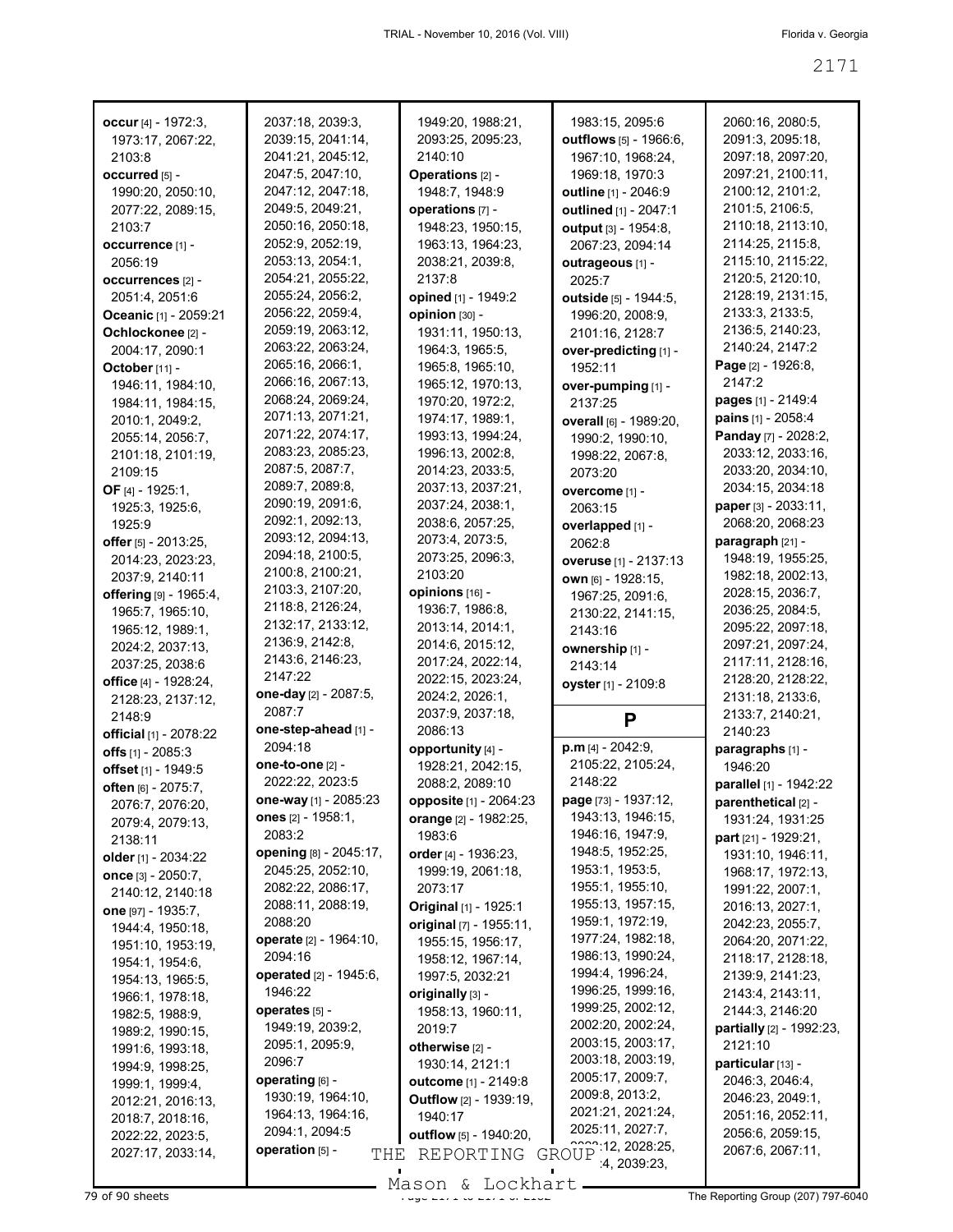| occur $[4] - 1972:3,$          | 2037:18, 2039:3,       | 1949:20, 1988:21,             | 1983:15, 2095:6                                 | 2060:16, 2080:5,         |
|--------------------------------|------------------------|-------------------------------|-------------------------------------------------|--------------------------|
| 1973:17, 2067:22,              | 2039:15, 2041:14,      | 2093:25, 2095:23,             | outflows [5] - 1966:6,                          | 2091:3, 2095:18,         |
| 2103:8                         | 2041:21, 2045:12,      | 2140:10                       |                                                 | 2097:18, 2097:20,        |
|                                |                        |                               | 1967:10, 1968:24,                               |                          |
| occurred [5] -                 | 2047:5, 2047:10,       | Operations [2] -              | 1969:18, 1970:3                                 | 2097:21, 2100:11,        |
| 1990:20, 2050:10,              | 2047:12, 2047:18,      | 1948:7, 1948:9                | outline [1] - 2046:9                            | 2100:12, 2101:2,         |
| 2077:22, 2089:15,              | 2049:5, 2049:21,       | operations [7] -              | outlined [1] - 2047:1                           | 2101:5, 2106:5,          |
| 2103:7                         | 2050:16, 2050:18,      | 1948:23, 1950:15,             | output [3] - 1954:8,                            | 2110:18, 2113:10,        |
|                                | 2052:9, 2052:19,       | 1963:13, 1964:23,             | 2067:23, 2094:14                                | 2114:25, 2115:8,         |
| occurrence [1] -               | 2053:13, 2054:1,       |                               |                                                 | 2115:10, 2115:22,        |
| 2056:19                        |                        | 2038:21, 2039:8,              | outrageous [1] -                                |                          |
| occurrences [2] -              | 2054:21, 2055:22,      | 2137:8                        | 2025:7                                          | 2120:5, 2120:10,         |
| 2051:4, 2051:6                 | 2055:24, 2056:2,       | opined [1] - 1949:2           | outside [5] - 1944:5,                           | 2128:19, 2131:15,        |
| <b>Oceanic</b> [1] - 2059:21   | 2056:22, 2059:4,       | opinion [30] -                | 1996:20, 2008:9,                                | 2133:3, 2133:5,          |
| Ochlockonee [2] -              | 2059:19, 2063:12,      | 1931:11, 1950:13,             | 2101:16, 2128:7                                 | 2136:5, 2140:23,         |
| 2004:17, 2090:1                | 2063:22, 2063:24,      | 1964:3, 1965:5,               |                                                 | 2140:24, 2147:2          |
|                                | 2065:16, 2066:1,       |                               | over-predicting [1] -                           | Page [2] - 1926:8,       |
| October [11] -                 |                        | 1965:8, 1965:10,              | 1952:11                                         |                          |
| 1946:11, 1984:10,              | 2066:16, 2067:13,      | 1965:12, 1970:13,             | over-pumping [1] -                              | 2147:2                   |
| 1984:11, 1984:15,              | 2068:24, 2069:24,      | 1970:20, 1972:2,              | 2137:25                                         | pages [1] - 2149:4       |
| 2010:1, 2049:2,                | 2071:13, 2071:21,      | 1974:17, 1989:1,              | overall [6] - 1989:20,                          | pains [1] - 2058:4       |
| 2055:14, 2056:7,               | 2071:22, 2074:17,      | 1993:13, 1994:24,             | 1990:2, 1990:10,                                | Panday [7] - 2028:2,     |
| 2101:18, 2101:19,              | 2083:23, 2085:23,      | 1996:13, 2002:8,              |                                                 | 2033:12, 2033:16,        |
|                                | 2087:5, 2087:7,        |                               | 1998:22, 2067:8,                                |                          |
| 2109:15                        |                        | 2014:23, 2033:5,              | 2073:20                                         | 2033:20, 2034:10,        |
| OF $[4] - 1925:1$ ,            | 2089:7, 2089:8,        | 2037:13, 2037:21,             | overcome [1] -                                  | 2034:15, 2034:18         |
| 1925:3, 1925:6,                | 2090:19, 2091:6,       | 2037:24, 2038:1,              | 2063:15                                         | paper [3] - 2033:11,     |
| 1925:9                         | 2092:1, 2092:13,       | 2038:6, 2057:25,              | overlapped [1] -                                | 2068:20, 2068:23         |
| offer [5] - 2013:25,           | 2093:12, 2094:13,      | 2073:4, 2073:5,               | 2062:8                                          | paragraph [21] -         |
|                                | 2094:18, 2100:5,       | 2073:25, 2096:3,              |                                                 | 1948:19, 1955:25,        |
| 2014:23, 2023:23,              | 2100:8, 2100:21,       | 2103:20                       | overuse [1] - 2137:13                           |                          |
| 2037:9, 2140:11                |                        |                               | own [6] - 1928:15,                              | 1982:18, 2002:13,        |
| offering [9] - 1965:4,         | 2103:3, 2107:20,       | opinions [16] -               | 1967:25, 2091:6,                                | 2028:15, 2036:7,         |
| 1965:7, 1965:10,               | 2118:8, 2126:24,       | 1936:7, 1986:8,               | 2130:22, 2141:15,                               | 2036:25, 2084:5,         |
| 1965:12, 1989:1,               | 2132:17, 2133:12,      | 2013:14, 2014:1,              | 2143:16                                         | 2095:22, 2097:18,        |
| 2024:2, 2037:13,               | 2136:9, 2142:8,        | 2014:6, 2015:12,              | ownership [1] -                                 | 2097:21, 2097:24,        |
| 2037:25, 2038:6                | 2143:6, 2146:23,       | 2017:24, 2022:14,             | 2143:14                                         | 2117:11, 2128:16,        |
|                                | 2147:22                | 2022:15, 2023:24,             |                                                 | 2128:20, 2128:22,        |
| office [4] - 1928:24,          | one-day [2] - 2087:5,  |                               | oyster [1] - 2109:8                             |                          |
| 2128:23, 2137:12,              |                        | 2024:2, 2026:1,               |                                                 | 2131:18, 2133:6,         |
| 2148:9                         | 2087:7                 | 2037:9, 2037:18,              | P                                               | 2133:7, 2140:21,         |
| <b>official</b> [1] - 2078:22  | one-step-ahead [1] -   | 2086:13                       |                                                 | 2140:23                  |
| offs $[1]$ - 2085:3            | 2094:18                | opportunity [4] -             | $p.m$ [4] - 2042:9,                             | paragraphs [1] -         |
| offset <sub>[1]</sub> - 1949:5 | one-to-one [2] -       | 1928:21, 2042:15,             | 2105:22, 2105:24,                               | 1946:20                  |
| often [6] - 2075:7,            | 2022:22, 2023:5        | 2088:2, 2089:10               | 2148:22                                         | parallel [1] - 1942:22   |
|                                | one-way [1] - 2085:23  | opposite [1] - 2064:23        | page [73] - 1937:12,                            | parenthetical [2] -      |
| 2076:7, 2076:20,               | ones $[2] - 1958:1,$   |                               | 1943:13, 1946:15,                               |                          |
| 2079:4, 2079:13,               |                        | orange [2] - 1982:25,         |                                                 | 1931:24, 1931:25         |
| 2138:11                        | 2083:2                 | 1983:6                        | 1946:16, 1947:9,                                | part [21] - 1929:21,     |
| older [1] - 2034:22            | opening [8] - 2045:17, | order $[4] - 1936:23$ ,       | 1948:5, 1952:25,                                | 1931:10, 1946:11,        |
| once [3] - 2050:7,             | 2045:25, 2052:10,      | 1999:19, 2061:18,             | 1953:1, 1953:5,                                 | 1968: 17, 1972: 13,      |
| 2140:12, 2140:18               | 2082:22, 2086:17,      | 2073:17                       | 1955:1, 1955:10,                                | 1991:22, 2007:1,         |
|                                | 2088:11, 2088:19,      | Original [1] - 1925:1         | 1955:13, 1957:15,                               | 2016:13, 2027:1,         |
| one [97] - 1935:7,             | 2088:20                |                               | 1959:1, 1972:19,                                | 2042:23, 2055:7,         |
| 1944:4, 1950:18,               |                        | original [7] - 1955:11,       | 1977:24, 1982:18,                               |                          |
| 1951:10, 1953:19,              | operate [2] - 1964:10, | 1955:15, 1956:17,             |                                                 | 2064:20, 2071:22,        |
| 1954:1, 1954:6,                | 2094:16                | 1958:12, 1967:14,             | 1986:13, 1990:24,                               | 2118:17, 2128:18,        |
| 1954:13, 1965:5,               | operated [2] - 1945:6, | 1997:5, 2032:21               | 1994:4, 1996:24,                                | 2139:9, 2141:23,         |
| 1966:1, 1978:18,               | 1946:22                | originally [3] -              | 1996:25, 1999:16,                               | 2143:4, 2143:11,         |
| 1982:5, 1988:9,                | operates [5] -         | 1958:13, 1960:11,             | 1999:25, 2002:12,                               | 2144:3, 2146:20          |
|                                | 1949:19, 2039:2,       | 2019:7                        | 2002:20, 2002:24,                               | partially [2] - 1992:23, |
| 1989:2, 1990:15,               |                        |                               | 2003:15, 2003:17,                               |                          |
| 1991:6, 1993:18,               | 2095:1, 2095:9,        | otherwise [2] -               |                                                 | 2121:10                  |
| 1994:9, 1998:25,               | 2096:7                 | 1930:14, 2121:1               | 2003:18, 2003:19,                               | particular [13] -        |
| 1999:1, 1999:4,                | operating [6] -        | <b>outcome</b> $[1] - 2149.8$ | 2005:17, 2009:7,                                | 2046:3, 2046:4,          |
| 2012:21, 2016:13,              | 1930:19, 1964:10,      | Outflow [2] - 1939:19,        | 2009:8, 2013:2,                                 | 2046:23, 2049:1,         |
| 2018:7, 2018:16,               | 1964:13, 1964:16,      | 1940:17                       | 2021:21, 2021:24,                               | 2051:16, 2052:11,        |
| 2022:22, 2023:5,               | 2094:1, 2094:5         | outflow [5] - 1940:20,        | 2025:11, 2027:7,                                | 2056:6, 2059:15,         |
|                                |                        |                               |                                                 |                          |
| 2027:17, 2033:14,              | operation [5] -<br>THE | REPORTING                     | $\frac{2222}{111}$ 12, 2028:25,<br><b>GROUP</b> | 2067:6, 2067:11,         |

79 of 90 sheets **Page 2171 of 2171 to 2171 to 2171 to 2171** to 2171 to 2171 to 2171 to 2171 The Reporting Group (207) 797-6040 Mason & Lockhart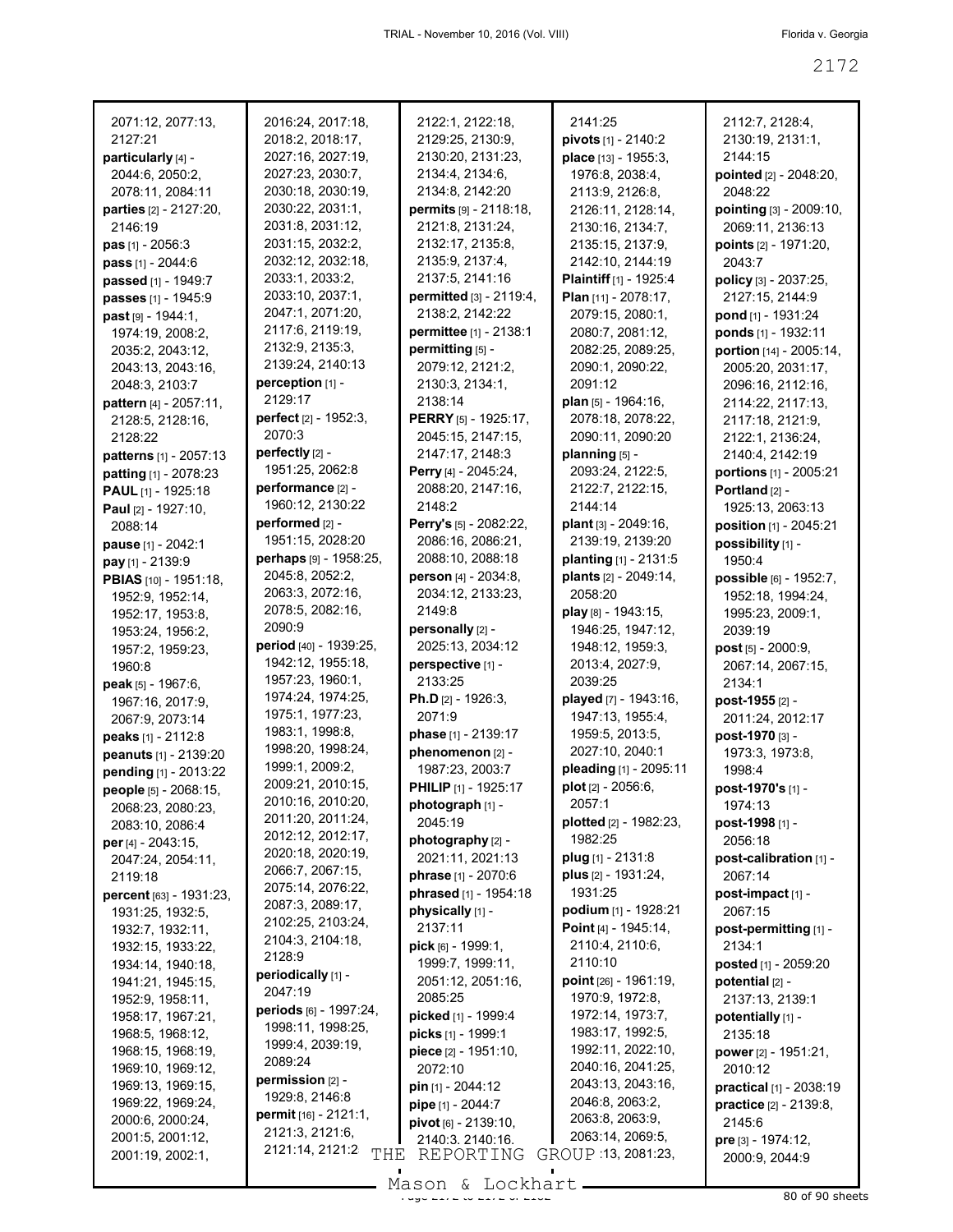| 2071:12, 2077:13,<br>2127:21                | 2016:24, 2017:18,<br>2018:2, 2018:17,   | 2122:1, 2122:18,<br>2129:25, 2130:9,    | 2141:25                                     | 2112:7, 2128:4,<br>2130:19, 2131:1,                 |
|---------------------------------------------|-----------------------------------------|-----------------------------------------|---------------------------------------------|-----------------------------------------------------|
| particularly [4] -                          | 2027:16, 2027:19,                       | 2130:20, 2131:23,                       | pivots [1] - 2140:2<br>place [13] - 1955:3, | 2144:15                                             |
| 2044:6, 2050:2,                             | 2027:23, 2030:7,                        | 2134:4, 2134:6,                         | 1976:8, 2038:4,                             | pointed [2] - 2048:20,                              |
| 2078:11, 2084:11                            | 2030:18, 2030:19,                       | 2134:8, 2142:20                         | 2113:9, 2126:8,                             | 2048:22                                             |
| parties [2] - 2127:20,                      | 2030:22, 2031:1,                        | permits [9] - 2118:18,                  | 2126:11, 2128:14,                           | pointing [3] - 2009:10,                             |
| 2146:19                                     | 2031:8, 2031:12,                        | 2121:8, 2131:24,                        | 2130:16, 2134:7,                            | 2069:11, 2136:13                                    |
| <b>pas</b> $[1] - 2056:3$                   | 2031:15, 2032:2,                        | 2132:17, 2135:8,                        | 2135:15, 2137:9,                            | <b>points</b> $[2] - 1971:20$ ,                     |
| pass [1] - 2044:6                           | 2032:12, 2032:18,                       | 2135:9, 2137:4,                         | 2142:10, 2144:19                            | 2043:7                                              |
| passed [1] - 1949:7                         | 2033:1, 2033:2,                         | 2137:5, 2141:16                         | Plaintiff [1] - 1925:4                      | policy [3] - 2037:25,                               |
| passes [1] - 1945:9                         | 2033:10, 2037:1,                        | permitted [3] - 2119:4,                 | Plan [11] - 2078:17,                        | 2127:15, 2144:9                                     |
| past [9] - 1944:1,                          | 2047:1, 2071:20,                        | 2138:2, 2142:22                         | 2079:15, 2080:1,                            | pond [1] - 1931:24                                  |
| 1974:19, 2008:2,                            | 2117:6, 2119:19,                        | permittee [1] - 2138:1                  | 2080:7, 2081:12,                            | ponds [1] - 1932:11                                 |
| 2035:2, 2043:12,                            | 2132:9, 2135:3,                         | permitting [5] -                        | 2082:25, 2089:25,                           | portion [14] - 2005:14,                             |
| 2043:13, 2043:16,                           | 2139:24, 2140:13                        | 2079:12, 2121:2,                        | 2090:1, 2090:22,                            | 2005:20, 2031:17,                                   |
| 2048:3, 2103:7                              | perception [1] -                        | 2130:3, 2134:1,                         | 2091:12                                     | 2096:16, 2112:16,                                   |
| pattern [4] - 2057:11,                      | 2129:17                                 | 2138:14                                 | <b>plan</b> [5] - 1964:16,                  | 2114:22, 2117:13,                                   |
| 2128:5, 2128:16,                            | <b>perfect</b> $[2] - 1952:3$<br>2070:3 | PERRY [5] - 1925:17,                    | 2078:18, 2078:22,                           | 2117:18, 2121:9,                                    |
| 2128:22                                     | perfectly [2] -                         | 2045:15, 2147:15,<br>2147:17, 2148:3    | 2090:11, 2090:20<br>planning $[5]$ -        | 2122:1, 2136:24,                                    |
| patterns [1] - 2057:13                      | 1951:25, 2062:8                         | Perry [4] - 2045:24,                    | 2093:24, 2122:5,                            | 2140:4, 2142:19                                     |
| patting [1] - 2078:23<br>PAUL [1] - 1925:18 | performance [2] -                       | 2088:20, 2147:16,                       | 2122:7, 2122:15,                            | portions [1] - 2005:21<br>Portland <sub>[2]</sub> - |
| Paul [2] - 1927:10,                         | 1960:12, 2130:22                        | 2148:2                                  | 2144:14                                     | 1925:13, 2063:13                                    |
| 2088:14                                     | performed [2] -                         | Perry's [5] - 2082:22,                  | plant [3] - 2049:16,                        | position [1] - 2045:21                              |
| pause [1] - 2042:1                          | 1951:15, 2028:20                        | 2086:16, 2086:21,                       | 2139:19, 2139:20                            | possibility [1] -                                   |
| pay [1] - 2139:9                            | perhaps [9] - 1958:25,                  | 2088:10, 2088:18                        | planting [1] - 2131:5                       | 1950:4                                              |
| PBIAS [10] - 1951:18,                       | 2045:8, 2052:2,                         | person [4] - 2034:8,                    | plants [2] - 2049:14,                       | possible [6] - 1952:7,                              |
| 1952:9, 1952:14,                            | 2063:3, 2072:16,                        | 2034:12, 2133:23,                       | 2058:20                                     | 1952:18, 1994:24,                                   |
| 1952:17, 1953:8,                            | 2078:5, 2082:16,                        | 2149:8                                  | play [8] - 1943:15,                         | 1995:23, 2009:1,                                    |
| 1953:24, 1956:2,                            | 2090:9                                  | personally [2] -                        | 1946:25, 1947:12,                           | 2039:19                                             |
| 1957:2, 1959:23,                            | period [40] - 1939:25,                  | 2025:13, 2034:12                        | 1948:12, 1959:3,                            | post [5] - 2000:9,                                  |
| 1960:8                                      | 1942:12, 1955:18,                       | perspective [1] -                       | 2013:4, 2027:9,                             | 2067:14, 2067:15,                                   |
| peak [5] - 1967:6,                          | 1957:23, 1960:1,                        | 2133:25                                 | 2039:25                                     | 2134:1                                              |
|                                             |                                         |                                         |                                             |                                                     |
| 1967:16, 2017:9,                            | 1974:24, 1974:25,                       | <b>Ph.D</b> [2] - 1926:3,               | played [7] - 1943:16,                       | post-1955 [2] -                                     |
| 2067:9, 2073:14                             | 1975:1, 1977:23,                        | 2071:9                                  | 1947:13, 1955:4,                            | 2011:24, 2012:17                                    |
| peaks [1] - 2112:8                          | 1983:1, 1998:8,                         | phase [1] - 2139:17                     | 1959:5, 2013:5,                             | post-1970 [3] -                                     |
| peanuts [1] - 2139:20                       | 1998:20, 1998:24,                       | phenomenon [2] -                        | 2027:10, 2040:1                             | 1973:3, 1973:8,                                     |
| pending [1] - 2013:22                       | 1999:1, 2009:2,                         | 1987:23, 2003:7                         | pleading [1] - 2095:11                      | 1998:4                                              |
| people [5] - 2068:15,                       | 2009:21, 2010:15,<br>2010:16, 2010:20,  | PHILIP [1] - 1925:17                    | plot [2] - 2056:6,                          | post-1970's [1] -                                   |
| 2068:23, 2080:23,                           | 2011:20, 2011:24,                       | photograph [1] -                        | 2057:1                                      | 1974:13                                             |
| 2083:10, 2086:4                             | 2012:12, 2012:17,                       | 2045:19                                 | plotted [2] - 1982:23,<br>1982:25           | post-1998 [1] -                                     |
| per [4] - 2043:15.                          | 2020:18, 2020:19,                       | photography [2] -                       | plug [1] - 2131:8                           | 2056:18                                             |
| 2047:24, 2054:11,<br>2119:18                | 2066:7, 2067:15,                        | 2021:11, 2021:13<br>phrase [1] - 2070:6 | plus [2] - 1931:24,                         | post-calibration [1] -<br>2067:14                   |
| percent [63] - 1931:23,                     | 2075:14, 2076:22,                       | phrased [1] - 1954:18                   | 1931:25                                     | post-impact [1] -                                   |
| 1931:25, 1932:5,                            | 2087:3, 2089:17,                        | physically [1] -                        | podium [1] - 1928:21                        | 2067:15                                             |
| 1932:7, 1932:11,                            | 2102:25, 2103:24,                       | 2137:11                                 | Point [4] - 1945:14,                        | post-permitting [1] -                               |
| 1932:15, 1933:22,                           | 2104:3, 2104:18,                        | pick [6] - 1999:1,                      | 2110:4, 2110:6,                             | 2134:1                                              |
| 1934:14, 1940:18,                           | 2128:9                                  | 1999:7, 1999:11,                        | 2110:10                                     | posted [1] - 2059:20                                |
| 1941:21, 1945:15,                           | periodically [1] -                      | 2051:12, 2051:16,                       | point [26] - 1961:19,                       | potential [2] -                                     |
| 1952:9, 1958:11,                            | 2047:19                                 | 2085:25                                 | 1970:9, 1972:8,                             | 2137:13, 2139:1                                     |
| 1958:17, 1967:21,                           | <b>periods</b> [6] - 1997:24,           | picked [1] - 1999:4                     | 1972:14, 1973:7,                            | potentially [1] -                                   |
| 1968:5, 1968:12,                            | 1998:11, 1998:25,<br>1999:4, 2039:19,   | picks [1] - 1999:1                      | 1983:17, 1992:5,                            | 2135:18                                             |
| 1968:15, 1968:19,                           | 2089:24                                 | piece [2] - 1951:10,                    | 1992:11, 2022:10,                           | power [2] - 1951:21,                                |
| 1969:10, 1969:12,                           | permission $[2]$ -                      | 2072:10                                 | 2040:16, 2041:25,                           | 2010:12                                             |
| 1969:13, 1969:15,                           | 1929:8, 2146:8                          | pin [1] - 2044:12                       | 2043:13, 2043:16,                           | practical [1] - 2038:19                             |
| 1969:22, 1969:24,                           | <b>permit</b> $[16] - 2121:1,$          | pipe [1] - 2044:7                       | 2046:8, 2063:2,                             | practice [2] - 2139:8,                              |
| 2000:6, 2000:24,<br>2001:5, 2001:12,        | 2121:3, 2121:6,                         | pivot [6] - 2139:10,                    | 2063:8, 2063:9,<br>2063:14, 2069:5,         | 2145:6                                              |
| 2001:19, 2002:1,                            | 2121:14, 2121:2<br>THE                  | 2140:3. 2140:16.<br>REPORTING           | GROUP 13, 2081:23,                          | pre [3] - 1974:12,<br>2000:9, 2044:9                |

 $\frac{200011}{x}$   $\frac{210001122}{x}$   $\frac{210001122}{x}$  80 of 90 sheets Mason & Lockhart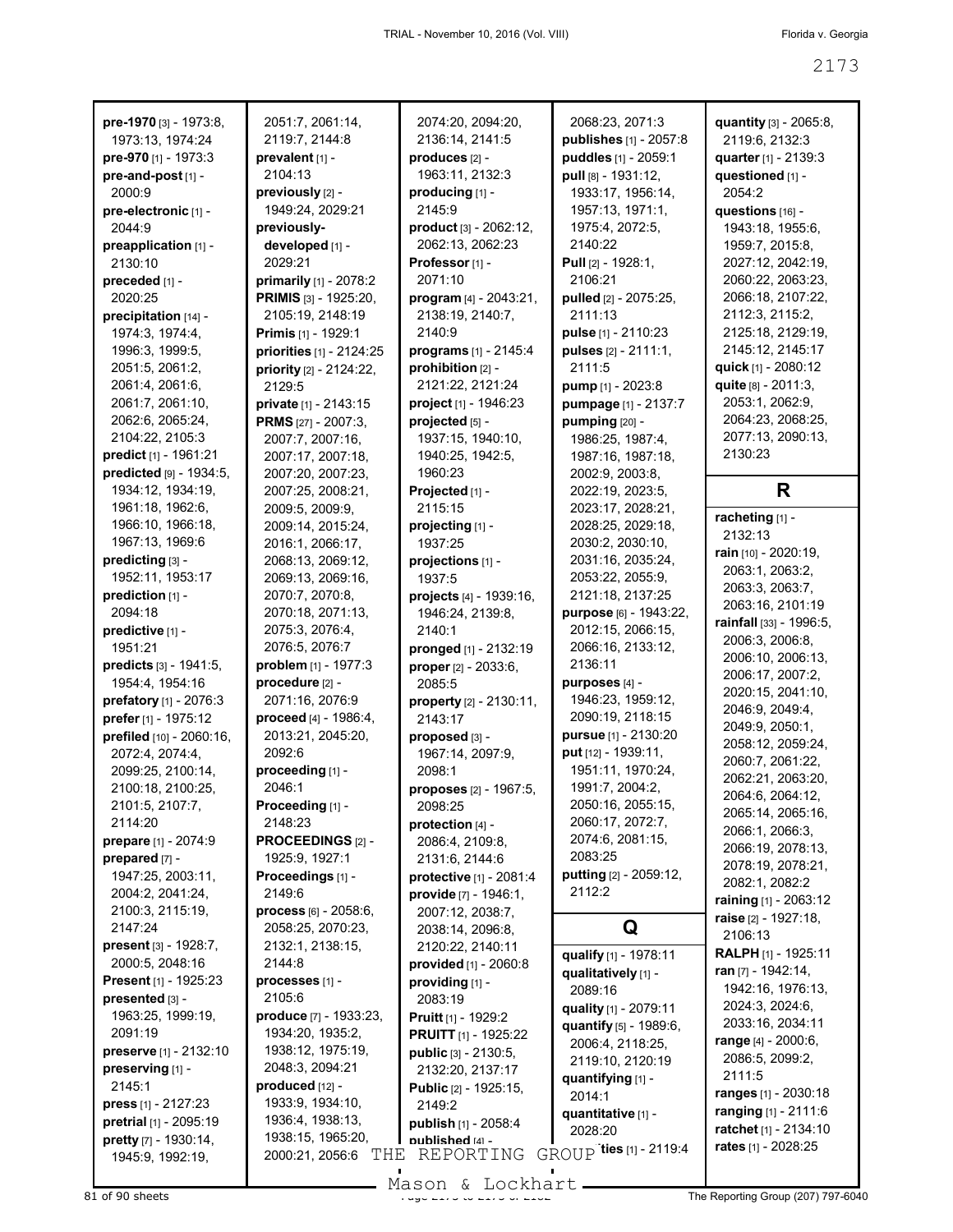| pre-1970 [3] - 1973:8,                   | 2051:7, 2061:14,                      | 2074:20, 2094:20,                               | 2068:23, 2071:3                        | quantity [3] - 2065:8,                |
|------------------------------------------|---------------------------------------|-------------------------------------------------|----------------------------------------|---------------------------------------|
| 1973:13, 1974:24                         | 2119:7, 2144:8                        | 2136:14, 2141:5                                 | publishes [1] - 2057:8                 | 2119:6, 2132:3                        |
| pre-970 [1] - 1973:3                     | prevalent [1] -                       | produces [2] -                                  | puddles [1] - 2059:1                   | quarter [1] - 2139:3                  |
| pre-and-post [1] -                       | 2104:13                               | 1963:11, 2132:3                                 | pull [8] - 1931:12,                    | questioned [1] -                      |
| 2000:9                                   | previously [2] -                      | producing [1] -                                 | 1933:17, 1956:14,                      | 2054:2                                |
| pre-electronic [1] -                     | 1949:24, 2029:21                      | 2145:9                                          | 1957:13, 1971:1,                       | questions [16] -                      |
| 2044:9                                   | previously-                           | product [3] - 2062:12,                          | 1975:4, 2072:5,                        | 1943:18, 1955:6,                      |
| preapplication [1] -                     | developed [1] -                       | 2062:13, 2062:23                                | 2140:22                                | 1959:7, 2015:8,                       |
| 2130:10                                  | 2029:21                               | Professor <sub>[1]</sub> -                      | Pull [2] - 1928:1,                     | 2027:12, 2042:19,                     |
| preceded [1] -                           | primarily [1] - 2078:2                | 2071:10                                         | 2106:21                                | 2060:22, 2063:23,                     |
| 2020:25                                  | PRIMIS [3] - 1925:20,                 | program [4] - 2043:21,                          | pulled [2] - 2075:25,                  | 2066:18, 2107:22,                     |
| precipitation [14] -                     | 2105:19, 2148:19                      | 2138:19, 2140:7,                                | 2111:13                                | 2112:3, 2115:2,                       |
| 1974:3, 1974:4,                          | <b>Primis</b> [1] - 1929:1            | 2140:9                                          | pulse [1] - 2110:23                    | 2125:18, 2129:19,                     |
| 1996:3, 1999:5,                          | priorities [1] - 2124:25              | programs [1] - 2145:4                           | pulses [2] - 2111:1,                   | 2145:12, 2145:17                      |
| 2051:5, 2061:2,                          | priority [2] - 2124:22,               | prohibition [2] -                               | 2111:5                                 | quick $[1]$ - 2080:12                 |
| 2061:4, 2061:6,                          | 2129:5                                | 2121:22, 2121:24                                | <b>pump</b> $[1]$ - 2023:8             | quite [8] - 2011:3,                   |
| 2061:7, 2061:10,                         | private [1] - 2143:15                 | project [1] - 1946:23                           | pumpage [1] - 2137:7                   | 2053:1, 2062:9,                       |
| 2062:6, 2065:24,                         | <b>PRMS</b> [27] - 2007:3,            | projected [5] -                                 | pumping [20] -                         | 2064:23, 2068:25,                     |
| 2104:22, 2105:3                          | 2007:7, 2007:16,                      | 1937:15, 1940:10,                               | 1986:25, 1987:4,                       | 2077:13, 2090:13,<br>2130:23          |
| predict [1] - 1961:21                    | 2007:17, 2007:18,                     | 1940:25, 1942:5,                                | 1987:16, 1987:18,                      |                                       |
| predicted [9] - 1934:5,                  | 2007:20, 2007:23,                     | 1960:23                                         | 2002:9, 2003:8,                        | R                                     |
| 1934:12, 1934:19,<br>1961:18, 1962:6,    | 2007:25, 2008:21,<br>2009:5, 2009:9,  | Projected [1] -<br>2115:15                      | 2022:19, 2023:5,                       |                                       |
| 1966:10, 1966:18,                        |                                       |                                                 | 2023:17, 2028:21,<br>2028:25, 2029:18, | racheting [1] -                       |
| 1967:13, 1969:6                          | 2009:14, 2015:24,<br>2016:1, 2066:17, | projecting [1] -<br>1937:25                     | 2030:2, 2030:10,                       | 2132:13                               |
| predicting [3] -                         | 2068:13, 2069:12,                     | projections [1] -                               | 2031:16, 2035:24,                      | rain $[10] - 2020:19$ ,               |
| 1952:11, 1953:17                         | 2069:13, 2069:16,                     | 1937:5                                          | 2053:22, 2055:9,                       | 2063:1, 2063:2,                       |
| prediction [1] -                         | 2070:7, 2070:8,                       | projects [4] - 1939:16,                         | 2121:18, 2137:25                       | 2063:3, 2063:7,                       |
| 2094:18                                  | 2070:18, 2071:13,                     | 1946:24, 2139:8,                                | purpose [6] - 1943:22,                 | 2063:16, 2101:19                      |
| predictive [1] -                         | 2075:3, 2076:4,                       | 2140:1                                          | 2012:15, 2066:15,                      | rainfall [33] - 1996:5,               |
| 1951:21                                  | 2076:5, 2076:7                        | pronged [1] - 2132:19                           | 2066:16, 2133:12,                      | 2006:3, 2006:8,                       |
| predicts [3] - 1941:5,                   | problem [1] - 1977:3                  | proper [2] - 2033:6,                            | 2136:11                                | 2006:10, 2006:13,                     |
| 1954:4, 1954:16                          | procedure [2] -                       | 2085:5                                          | purposes [4] -                         | 2006:17, 2007:2,                      |
| prefatory [1] - 2076:3                   | 2071:16, 2076:9                       | property [2] - 2130:11,                         | 1946:23, 1959:12,                      | 2020:15, 2041:10,                     |
| prefer [1] - 1975:12                     | proceed [4] - 1986:4,                 | 2143:17                                         | 2090:19, 2118:15                       | 2046:9, 2049:4,                       |
| prefiled [10] - 2060:16,                 | 2013:21, 2045:20,                     | proposed [3] -                                  | pursue [1] - 2130:20                   | 2049.9, 2050:1,                       |
| 2072:4, 2074:4,                          | 2092:6                                | 1967:14, 2097:9,                                | put [12] - 1939:11,                    | 2058:12, 2059:24,<br>2060:7, 2061:22, |
| 2099:25, 2100:14,                        | proceeding [1] -                      | 2098:1                                          | 1951:11, 1970:24,                      | 2062:21, 2063:20,                     |
| 2100:18, 2100:25,                        | 2046:1                                | proposes [2] - 1967:5,                          | 1991:7, 2004:2,                        | 2064:6, 2064:12,                      |
| 2101:5, 2107:7,                          | Proceeding [1] -                      | 2098:25                                         | 2050:16, 2055:15,                      | 2065:14, 2065:16,                     |
| 2114:20                                  | 2148:23                               | protection [4] -                                | 2060:17, 2072:7,                       | 2066:1, 2066:3,                       |
| prepare [1] - 2074:9                     | PROCEEDINGS [2] -                     | 2086:4, 2109:8,                                 | 2074:6, 2081:15,                       | 2066:19, 2078:13,                     |
| prepared [7] -                           | 1925:9, 1927:1                        | 2131:6, 2144:6                                  | 2083:25                                | 2078:19, 2078:21,                     |
| 1947:25, 2003:11,                        | Proceedings [1] -                     | protective [1] - 2081:4                         | putting [2] - 2059:12,                 | 2082:1, 2082:2                        |
| 2004:2, 2041:24,                         | 2149:6                                | provide [7] - 1946:1,                           | 2112:2                                 | raining [1] - 2063:12                 |
| 2100:3, 2115:19,                         | process [6] - 2058:6,                 | 2007:12, 2038:7,                                |                                        | raise [2] - 1927:18,                  |
| 2147:24                                  | 2058:25, 2070:23,                     | 2038:14, 2096:8,                                | Q                                      | 2106:13                               |
| <b>present</b> $[3] - 1928:7$ ,          | 2132:1, 2138:15,                      | 2120:22, 2140:11                                | qualify [1] - 1978:11                  | <b>RALPH</b> [1] - 1925:11            |
| 2000:5, 2048:16<br>Present [1] - 1925:23 | 2144:8                                | provided [1] - 2060:8                           | qualitatively [1] -                    | ran $[7] - 1942:14$ ,                 |
| presented [3] -                          | processes [1] -<br>2105:6             | providing [1] -                                 | 2089:16                                | 1942:16, 1976:13,                     |
|                                          | produce [7] - 1933:23,                | 2083:19                                         | quality [1] - 2079:11                  | 2024:3, 2024:6,                       |
| 1963:25, 1999:19,<br>2091:19             | 1934:20, 1935:2,                      | <b>Pruitt</b> $[1]$ - 1929:2                    | quantify [5] - 1989:6,                 | 2033:16, 2034:11                      |
| preserve [1] - 2132:10                   | 1938:12, 1975:19,                     | <b>PRUITT</b> $[1]$ - 1925:22                   | 2006:4, 2118:25,                       | range $[4] - 2000:6,$                 |
| preserving [1] -                         | 2048:3, 2094:21                       | <b>public</b> [3] - 2130:5,<br>2132:20, 2137:17 | 2119:10, 2120:19                       | 2086:5, 2099:2,                       |
| 2145:1                                   | produced [12] -                       | Public [2] - 1925:15,                           | quantifying [1] -                      | 2111:5                                |
| <b>press</b> $[1] - 2127:23$             | 1933:9, 1934:10,                      | 2149:2                                          | 2014:1                                 | ranges [1] - 2030:18                  |
| pretrial [1] - 2095:19                   | 1936:4, 1938:13,                      | publish [1] - 2058:4                            | quantitative [1] -                     | ranging $[1] - 2111.6$                |
| pretty [7] - 1930:14,                    | 1938:15, 1965:20,                     | nublished [4] -                                 | 2028:20                                | ratchet [1] - 2134:10                 |
| 1945:9, 1992:19,                         | 2000:21, 2056:6<br>THE                | REPORTING                                       | GROUP ties [1] - 2119:4                | rates [1] - 2028:25                   |
|                                          |                                       |                                                 |                                        |                                       |

Mason & Lockhart

 $81$  of 90 sheets  $\frac{31}{20}$  of  $\frac{31}{20}$  of  $\frac{31}{20}$  of  $\frac{31}{20}$  of  $\frac{31}{20}$  of  $\frac{31}{20}$  of  $\frac{31}{20}$  of  $\frac{31}{20}$  of  $\frac{31}{20}$  of  $\frac{31}{20}$  of  $\frac{31}{20}$  of  $\frac{31}{20}$  or  $\frac{31}{20}$  or  $\frac{31}{2$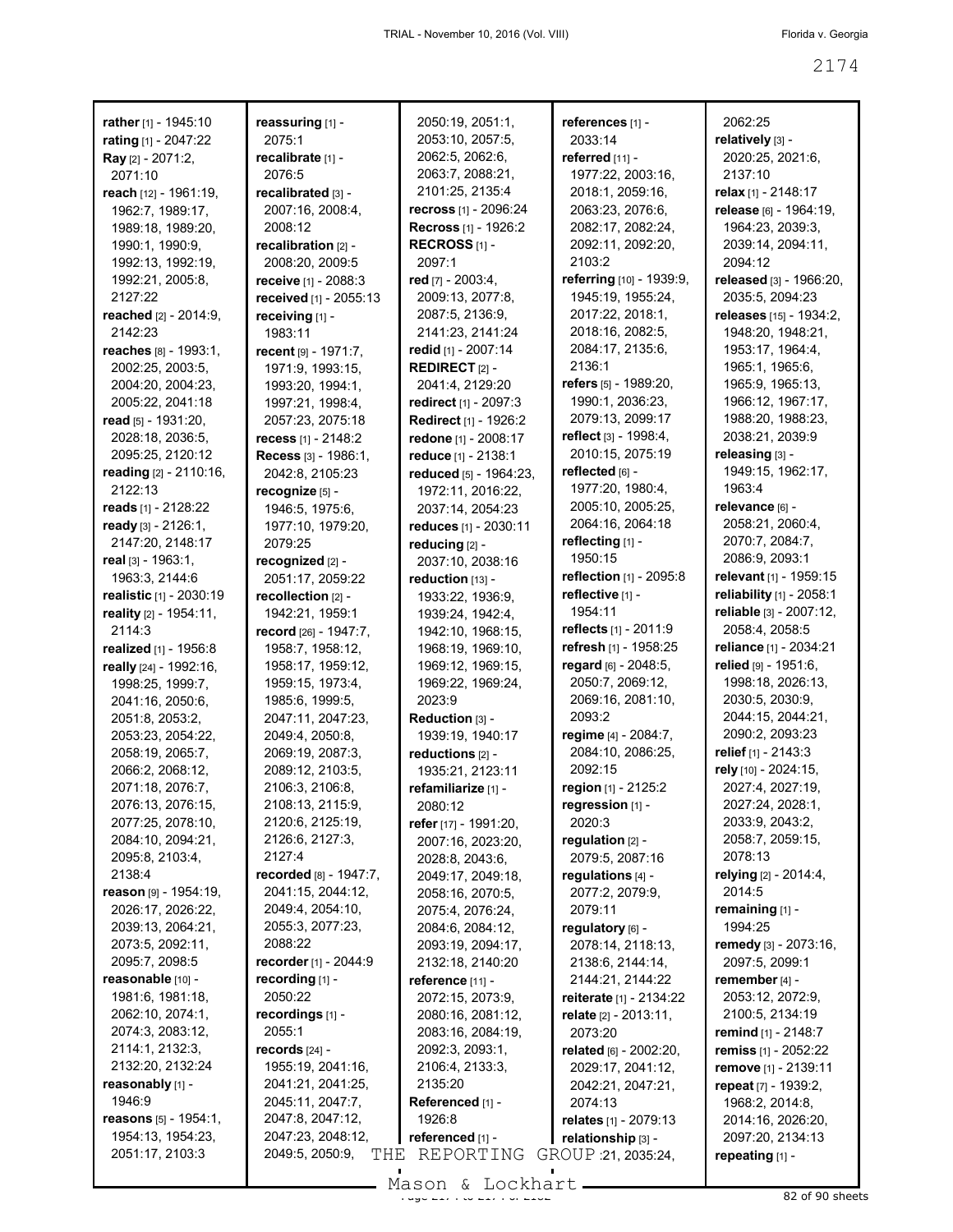| rather [1] - 1945:10     | reassuring [1] -       | 2050:19, 2051:1,                    | references [1] -            | 2062:25                              |
|--------------------------|------------------------|-------------------------------------|-----------------------------|--------------------------------------|
| rating [1] - 2047:22     | 2075:1                 | 2053:10, 2057:5,                    | 2033:14                     | relatively [3] -                     |
| <b>Ray</b> [2] - 2071:2, | recalibrate [1] -      | 2062:5, 2062:6,                     | referred [11] -             | 2020:25, 2021:6,<br>2137:10          |
| 2071:10                  | 2076:5                 | 2063:7, 2088:21,<br>2101:25, 2135:4 | 1977:22, 2003:16,           |                                      |
| reach [12] - 1961:19,    | recalibrated [3] -     |                                     | 2018:1, 2059:16,            | relax [1] - 2148:17                  |
| 1962:7, 1989:17,         | 2007:16, 2008:4,       | <b>recross</b> [1] - 2096:24        | 2063:23, 2076:6,            | release [6] - 1964:19,               |
| 1989:18, 1989:20,        | 2008:12                | <b>Recross</b> [1] - 1926:2         | 2082:17, 2082:24,           | 1964:23, 2039:3,                     |
| 1990:1, 1990:9,          | recalibration [2] -    | RECROSS $[1]$ -<br>2097:1           | 2092:11, 2092:20,<br>2103:2 | 2039:14, 2094:11,<br>2094:12         |
| 1992:13, 1992:19,        | 2008:20, 2009:5        |                                     | referring [10] - 1939:9,    | released [3] - 1966:20,              |
| 1992:21, 2005:8,         | receive [1] - 2088:3   | red [7] - 2003:4,                   |                             |                                      |
| 2127:22                  | received [1] - 2055:13 | 2009:13, 2077:8,                    | 1945:19, 1955:24,           | 2035:5, 2094:23                      |
| reached [2] - 2014:9,    | receiving [1] -        | 2087:5, 2136:9,                     | 2017:22, 2018:1,            | releases [15] - 1934:2,              |
| 2142:23                  | 1983:11                | 2141:23, 2141:24                    | 2018:16, 2082:5,            | 1948:20, 1948:21,                    |
| reaches [8] - 1993:1,    | recent [9] - 1971:7,   | redid [1] - 2007:14                 | 2084:17, 2135:6,<br>2136:1  | 1953:17, 1964:4,                     |
| 2002:25, 2003:5,         | 1971:9, 1993:15,       | <b>REDIRECT</b> $[2]$ -             | refers $[5]$ - 1989:20,     | 1965:1, 1965:6,                      |
| 2004:20, 2004:23,        | 1993:20, 1994:1,       | 2041:4, 2129:20                     |                             | 1965:9, 1965:13,                     |
| 2005:22, 2041:18         | 1997:21, 1998:4,       | redirect $[1] - 2097:3$             | 1990:1, 2036:23,            | 1966: 12, 1967: 17,                  |
| read $[5] - 1931:20$ ,   | 2057:23, 2075:18       | <b>Redirect [1] - 1926:2</b>        | 2079:13, 2099:17            | 1988:20, 1988:23,<br>2038:21, 2039:9 |
| 2028:18, 2036:5,         | recess $[1] - 2148:2$  | redone [1] - 2008:17                | reflect $[3] - 1998.4$ ,    |                                      |
| 2095:25, 2120:12         | Recess [3] - 1986:1,   | reduce [1] - 2138:1                 | 2010:15, 2075:19            | releasing [3] -<br>1949:15, 1962:17, |
| reading [2] - 2110:16,   | 2042:8.2105:23         | reduced [5] - 1964:23,              | reflected [6] -             |                                      |
| 2122:13                  | recognize [5] -        | 1972:11, 2016:22,                   | 1977:20, 1980:4,            | 1963:4                               |
| reads [1] - 2128:22      | 1946:5, 1975:6,        | 2037:14, 2054:23                    | 2005:10, 2005:25,           | relevance [6] -                      |
| ready $[3] - 2126:1$ ,   | 1977:10, 1979:20,      | reduces [1] - 2030:11               | 2064:16, 2064:18            | 2058:21, 2060:4,                     |
| 2147:20, 2148:17         | 2079:25                | reducing [2] -                      | reflecting [1] -            | 2070:7, 2084:7,                      |
| real [3] - 1963:1,       | recognized [2] -       | 2037:10, 2038:16                    | 1950:15                     | 2086:9, 2093:1                       |
| 1963:3, 2144:6           | 2051:17, 2059:22       | reduction [13] -                    | reflection [1] - 2095:8     | relevant [1] - 1959:15               |
| realistic [1] - 2030:19  | recollection [2] -     | 1933:22, 1936:9,                    | reflective [1] -            | reliability [1] - 2058:1             |
| reality [2] - 1954:11,   | 1942:21, 1959:1        | 1939:24, 1942:4,                    | 1954:11                     | reliable [3] - 2007:12,              |
| 2114:3                   | record [26] - 1947:7,  | 1942:10, 1968:15,                   | reflects [1] - 2011:9       | 2058:4, 2058:5                       |
| realized [1] - 1956:8    | 1958:7, 1958:12,       | 1968:19, 1969:10,                   | refresh [1] - 1958:25       | reliance [1] - 2034:21               |
| really [24] - 1992:16,   | 1958:17, 1959:12,      | 1969:12, 1969:15,                   | regard [6] - 2048:5,        | relied [9] - 1951:6,                 |
| 1998:25, 1999:7,         | 1959:15, 1973:4,       | 1969:22, 1969:24,                   | 2050:7, 2069:12,            | 1998:18, 2026:13,                    |
| 2041:16, 2050:6,         | 1985:6, 1999:5,        | 2023:9                              | 2069:16, 2081:10,           | 2030:5, 2030:9,                      |
| 2051:8, 2053:2,          | 2047:11, 2047:23,      | Reduction [3] -                     | 2093:2                      | 2044:15, 2044:21,                    |
| 2053:23, 2054:22,        | 2049:4, 2050:8,        | 1939:19, 1940:17                    | regime [4] - 2084:7,        | 2090:2, 2093:23                      |
| 2058:19, 2065:7,         | 2069:19, 2087:3,       | reductions [2] -                    | 2084:10, 2086:25,           | relief [1] - 2143:3                  |
| 2066:2, 2068:12,         | 2089:12, 2103:5,       | 1935:21, 2123:11                    | 2092:15                     | rely [10] - 2024:15,                 |
| 2071:18, 2076:7,         | 2106:3, 2106:8,        | refamiliarize [1] -                 | region $[1]$ - 2125:2       | 2027:4, 2027:19,                     |
| 2076:13, 2076:15,        | 2108:13, 2115:9,       | 2080:12                             | regression [1] -            | 2027:24, 2028:1,                     |
| 2077:25, 2078:10,        | 2120:6, 2125:19,       | refer [17] - 1991:20,               | 2020:3                      | 2033:9, 2043:2,                      |
| 2084:10, 2094:21,        | 2126:6, 2127:3,        | 2007:16, 2023:20,                   | regulation [2] -            | 2058:7, 2059:15,                     |
| 2095:8, 2103:4,          | 2127:4                 | 2028:8, 2043:6,                     | 2079:5, 2087:16             | 2078:13                              |
| 2138:4                   | recorded [8] - 1947:7, | 2049:17, 2049:18,                   | regulations [4] -           | relying [2] - 2014:4,                |
| reason [9] - 1954:19,    | 2041:15, 2044:12,      | 2058:16, 2070:5,                    | 2077:2, 2079:9,             | 2014:5                               |
| 2026:17, 2026:22,        | 2049:4, 2054:10,       | 2075:4, 2076:24,                    | 2079:11                     | remaining $[1]$ -                    |
| 2039:13, 2064:21,        | 2055:3, 2077:23,       | 2084:6, 2084:12,                    | regulatory [6] -            | 1994:25                              |
| 2073:5, 2092:11,         | 2088:22                | 2093:19, 2094:17,                   | 2078:14, 2118:13,           | remedy [3] - 2073:16,                |
| 2095:7, 2098:5           | recorder [1] - 2044:9  | 2132:18, 2140:20                    | 2138:6, 2144:14,            | 2097:5, 2099:1                       |
| reasonable [10] -        | recording [1] -        | reference [11] -                    | 2144:21, 2144:22            | remember [4] -                       |
| 1981:6, 1981:18,         | 2050:22                | 2072:15, 2073:9,                    | reiterate [1] - 2134:22     | 2053:12, 2072:9,                     |
| 2062:10, 2074:1,         | recordings [1] -       | 2080:16, 2081:12,                   | relate [2] - 2013:11,       | 2100:5, 2134:19                      |
| 2074:3, 2083:12,         | 2055:1                 | 2083:16, 2084:19,                   | 2073:20                     | remind [1] - 2148:7                  |
| 2114:1, 2132:3,          | records $[24]$ -       | 2092:3, 2093:1,                     | related [6] - 2002:20,      | <b>remiss</b> [1] - 2052:22          |
| 2132:20, 2132:24         | 1955:19, 2041:16,      | 2106:4, 2133:3,                     | 2029:17, 2041:12,           | remove [1] - 2139:11                 |
| reasonably [1] -         | 2041:21, 2041:25,      | 2135:20                             | 2042:21, 2047:21,           | repeat [7] - 1939:2,                 |
| 1946:9                   | 2045:11, 2047:7,       | Referenced [1] -                    | 2074:13                     | 1968:2, 2014:8,                      |
| reasons $[5] - 1954:1$ , | 2047:8, 2047:12,       | 1926:8                              | relates [1] - 2079:13       | 2014:16, 2026:20,                    |
| 1954:13, 1954:23,        | 2047:23, 2048:12,      | referenced [1] -                    | relationship [3] -          | 2097:20, 2134:13                     |
| 2051:17, 2103:3          | 2049:5, 2050:9,<br>THE | REPORTING                           | GROUP : 21, 2035:24,        | repeating $[1]$ -                    |
|                          |                        |                                     |                             |                                      |

Mason & Lockhart 2008 and 2174 82 of 90 sheets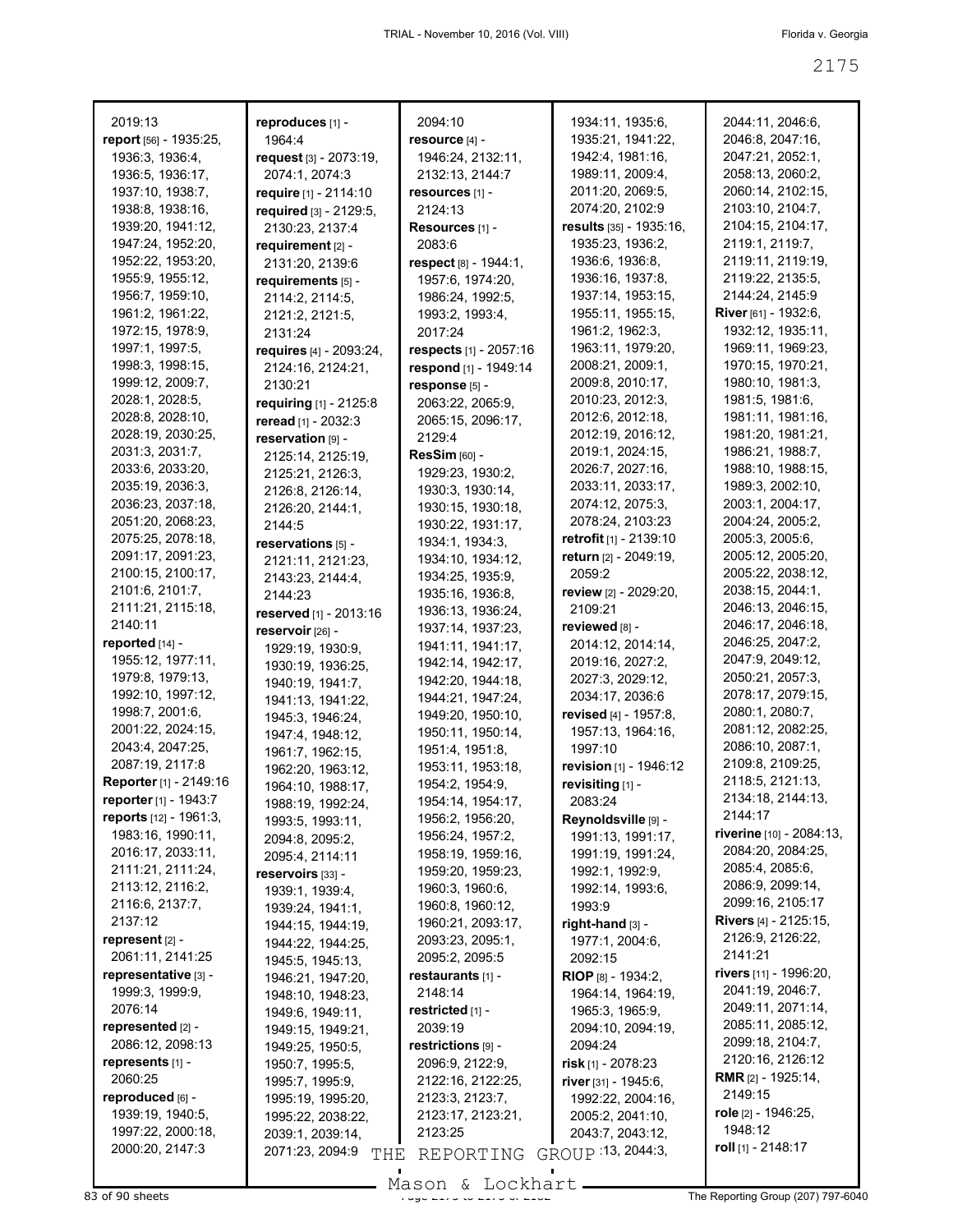| 2019:13                                            | reproduces [1] -        | 2094:10                | 1934:11, 1935:6,          | 2044:11, 2046:6,                |
|----------------------------------------------------|-------------------------|------------------------|---------------------------|---------------------------------|
| report [56] - 1935:25,                             | 1964:4                  | resource [4] -         | 1935:21, 1941:22,         | 2046:8, 2047:16,                |
| 1936:3, 1936:4,                                    | request [3] - 2073:19,  | 1946:24, 2132:11,      | 1942:4, 1981:16,          | 2047:21, 2052:1,                |
| 1936:5, 1936:17,                                   | 2074:1, 2074:3          | 2132:13, 2144:7        | 1989:11, 2009:4,          | 2058:13, 2060:2,                |
| 1937:10, 1938:7,                                   | require [1] - 2114:10   | resources [1] -        | 2011:20, 2069:5,          | 2060:14, 2102:15,               |
| 1938:8, 1938:16,                                   | required [3] - 2129:5,  | 2124:13                | 2074:20, 2102:9           | 2103:10, 2104:7,                |
| 1939:20, 1941:12,                                  | 2130:23, 2137:4         | Resources [1] -        | results [35] - 1935:16,   | 2104:15, 2104:17,               |
| 1947:24, 1952:20,                                  | requirement [2] -       | 2083:6                 | 1935:23, 1936:2,          | 2119:1, 2119:7,                 |
| 1952:22, 1953:20,                                  | 2131:20, 2139:6         | respect [8] - 1944:1,  | 1936:6, 1936:8,           | 2119:11, 2119:19,               |
| 1955:9, 1955:12,                                   | requirements [5] -      | 1957:6, 1974:20,       | 1936:16, 1937:8,          | 2119:22, 2135:5,                |
| 1956:7, 1959:10,                                   | 2114:2, 2114:5,         | 1986:24, 1992:5,       | 1937:14, 1953:15,         | 2144:24, 2145:9                 |
| 1961:2, 1961:22,                                   | 2121:2, 2121:5,         | 1993:2, 1993:4,        | 1955:11, 1955:15,         | <b>River</b> $[61] - 1932:6$ ,  |
| 1972:15, 1978:9,                                   | 2131:24                 | 2017:24                | 1961:2, 1962:3,           | 1932:12, 1935:11,               |
| 1997:1, 1997:5,                                    | requires [4] - 2093:24, | respects [1] - 2057:16 | 1963:11, 1979:20,         | 1969:11, 1969:23,               |
| 1998:3, 1998:15,                                   | 2124:16, 2124:21,       | respond [1] - 1949:14  | 2008:21, 2009:1,          | 1970:15, 1970:21,               |
| 1999:12, 2009:7,                                   | 2130:21                 | response [5] -         | 2009:8, 2010:17,          | 1980:10, 1981:3,                |
| 2028:1, 2028:5,                                    | requiring [1] - 2125:8  | 2063:22, 2065:9,       | 2010:23, 2012:3,          | 1981:5, 1981:6,                 |
| 2028:8, 2028:10,                                   | reread [1] - 2032:3     | 2065:15, 2096:17,      | 2012:6, 2012:18,          | 1981:11, 1981:16,               |
| 2028:19, 2030:25,                                  | reservation [9] -       | 2129:4                 | 2012:19, 2016:12,         | 1981:20, 1981:21,               |
| 2031:3, 2031:7,                                    | 2125:14, 2125:19,       | <b>ResSim [60] -</b>   | 2019:1, 2024:15,          | 1986:21, 1988:7,                |
| 2033:6, 2033:20,                                   | 2125:21, 2126:3,        | 1929:23, 1930:2,       | 2026:7, 2027:16,          | 1988:10, 1988:15,               |
| 2035:19, 2036:3,                                   | 2126:8, 2126:14,        | 1930:3, 1930:14,       | 2033:11, 2033:17,         | 1989:3, 2002:10,                |
| 2036:23, 2037:18,                                  | 2126:20, 2144:1,        | 1930:15, 1930:18,      | 2074:12, 2075:3,          | 2003:1, 2004:17,                |
| 2051:20, 2068:23,                                  | 2144:5                  | 1930:22, 1931:17,      | 2078:24, 2103:23          | 2004:24, 2005:2,                |
| 2075:25, 2078:18,                                  | reservations [5] -      | 1934:1, 1934:3,        | retrofit [1] - 2139:10    | 2005:3, 2005:6,                 |
| 2091:17, 2091:23,                                  | 2121:11, 2121:23,       | 1934:10, 1934:12,      | return [2] - 2049:19,     | 2005:12, 2005:20,               |
| 2100:15, 2100:17,                                  | 2143:23, 2144:4,        | 1934:25, 1935:9,       | 2059:2                    | 2005:22, 2038:12,               |
| 2101:6, 2101:7,                                    | 2144:23                 | 1935:16, 1936:8,       | review [2] - 2029:20,     | 2038:15, 2044:1,                |
| 2111:21, 2115:18,                                  |                         | 1936:13, 1936:24,      | 2109:21                   | 2046:13, 2046:15,               |
| 2140:11                                            | reserved [1] - 2013:16  | 1937:14, 1937:23,      | reviewed [8] -            | 2046:17, 2046:18,               |
| reported [14] -                                    | reservoir [26] -        | 1941:11, 1941:17,      | 2014:12, 2014:14,         | 2046:25, 2047:2,                |
| 1955:12, 1977:11,                                  | 1929:19, 1930:9,        | 1942:14, 1942:17,      | 2019:16, 2027:2,          | 2047:9, 2049:12,                |
| 1979:8, 1979:13,                                   | 1930:19, 1936:25,       | 1942:20, 1944:18,      | 2027:3, 2029:12,          | 2050:21, 2057:3,                |
| 1992:10, 1997:12,                                  | 1940:19, 1941:7,        | 1944:21, 1947:24,      | 2034:17, 2036:6           | 2078:17, 2079:15,               |
| 1998:7, 2001:6,                                    | 1941:13, 1941:22,       | 1949:20, 1950:10,      | revised [4] - 1957:8,     | 2080:1, 2080:7,                 |
| 2001:22, 2024:15,                                  | 1945:3, 1946:24,        | 1950:11, 1950:14,      | 1957:13, 1964:16,         | 2081:12, 2082:25,               |
| 2043:4, 2047:25,                                   | 1947:4, 1948:12,        |                        | 1997:10                   | 2086:10, 2087:1,                |
| 2087:19, 2117:8                                    | 1961:7, 1962:15,        | 1951:4, 1951:8,        |                           | 2109:8, 2109:25,                |
| Reporter [1] - 2149:16                             | 1962:20, 1963:12,       | 1953:11, 1953:18,      | revision [1] - 1946:12    | 2118:5, 2121:13,                |
| reporter [1] - 1943:7                              | 1964:10, 1988:17,       | 1954:2, 1954:9,        | revisiting [1] -          | 2134:18, 2144:13,               |
|                                                    | 1988:19, 1992:24,       | 1954:14.1954:17.       | 2083:24                   | 2144:17                         |
| <b>reports</b> [12] - 1961:3,<br>1983:16, 1990:11, | 1993:5, 1993:11,        | 1956:2, 1956:20,       | Reynoldsville [9] -       | riverine [10] - 2084:13,        |
|                                                    | 2094:8, 2095:2,         | 1956:24, 1957:2,       | 1991:13, 1991:17,         | 2084:20, 2084:25,               |
| 2016:17, 2033:11,                                  | 2095:4, 2114:11         | 1958:19, 1959:16,      | 1991:19, 1991:24,         | 2085:4, 2085:6,                 |
| 2111:21, 2111:24,                                  | reservoirs [33] -       | 1959:20, 1959:23,      | 1992:1, 1992:9,           | 2086:9, 2099:14,                |
| 2113:12, 2116:2,                                   | 1939:1, 1939:4,         | 1960:3, 1960:6,        | 1992:14, 1993:6,          |                                 |
| 2116:6, 2137:7,                                    | 1939:24, 1941:1,        | 1960:8, 1960:12,       | 1993:9                    | 2099:16, 2105:17                |
| 2137:12                                            | 1944:15, 1944:19,       | 1960:21, 2093:17,      | right-hand $[3]$ -        | <b>Rivers</b> $[4] - 2125:15$ , |
| represent [2] -                                    | 1944:22, 1944:25,       | 2093:23, 2095:1,       | 1977:1, 2004:6,           | 2126:9, 2126:22,                |
| 2061:11, 2141:25                                   | 1945:5, 1945:13,        | 2095:2, 2095:5         | 2092:15                   | 2141:21                         |
| representative [3] -                               | 1946:21, 1947:20,       | restaurants [1] -      | <b>RIOP</b> [8] - 1934:2, | rivers [11] - 1996:20,          |
| 1999:3, 1999:9,                                    | 1948:10, 1948:23,       | 2148:14                | 1964:14, 1964:19,         | 2041:19, 2046:7,                |
| 2076:14                                            | 1949:6, 1949:11,        | restricted [1] -       | 1965:3, 1965:9,           | 2049:11, 2071:14,               |
| represented [2] -                                  | 1949:15, 1949:21,       | 2039:19                | 2094:10, 2094:19,         | 2085:11, 2085:12,               |
| 2086:12, 2098:13                                   | 1949:25, 1950:5,        | restrictions [9] -     | 2094:24                   | 2099:18, 2104:7,                |
| represents [1] -                                   | 1950:7, 1995:5,         | 2096:9, 2122:9,        | <b>risk</b> [1] - 2078:23 | 2120:16, 2126:12                |
| 2060:25                                            | 1995:7, 1995:9,         | 2122:16, 2122:25,      | river $[31] - 1945:6$ ,   | <b>RMR</b> $[2] - 1925:14$ ,    |
| reproduced [6] -                                   | 1995:19, 1995:20,       | 2123:3, 2123:7,        | 1992:22, 2004:16,         | 2149:15                         |
| 1939:19, 1940:5,                                   | 1995:22, 2038:22,       | 2123:17, 2123:21,      | 2005:2, 2041:10,          | <b>role</b> [2] - 1946:25,      |
| 1997:22, 2000:18,                                  | 2039:1, 2039:14,        | 2123:25                | 2043:7, 2043:12,          | 1948:12                         |
| 2000:20, 2147:3                                    | 2071:23, 2094:9<br>THE  | REPORTING              | GROUP 13, 2044:3,         | roll $[1]$ - 2148:17            |
|                                                    |                         |                        |                           |                                 |

Mason & Lockhart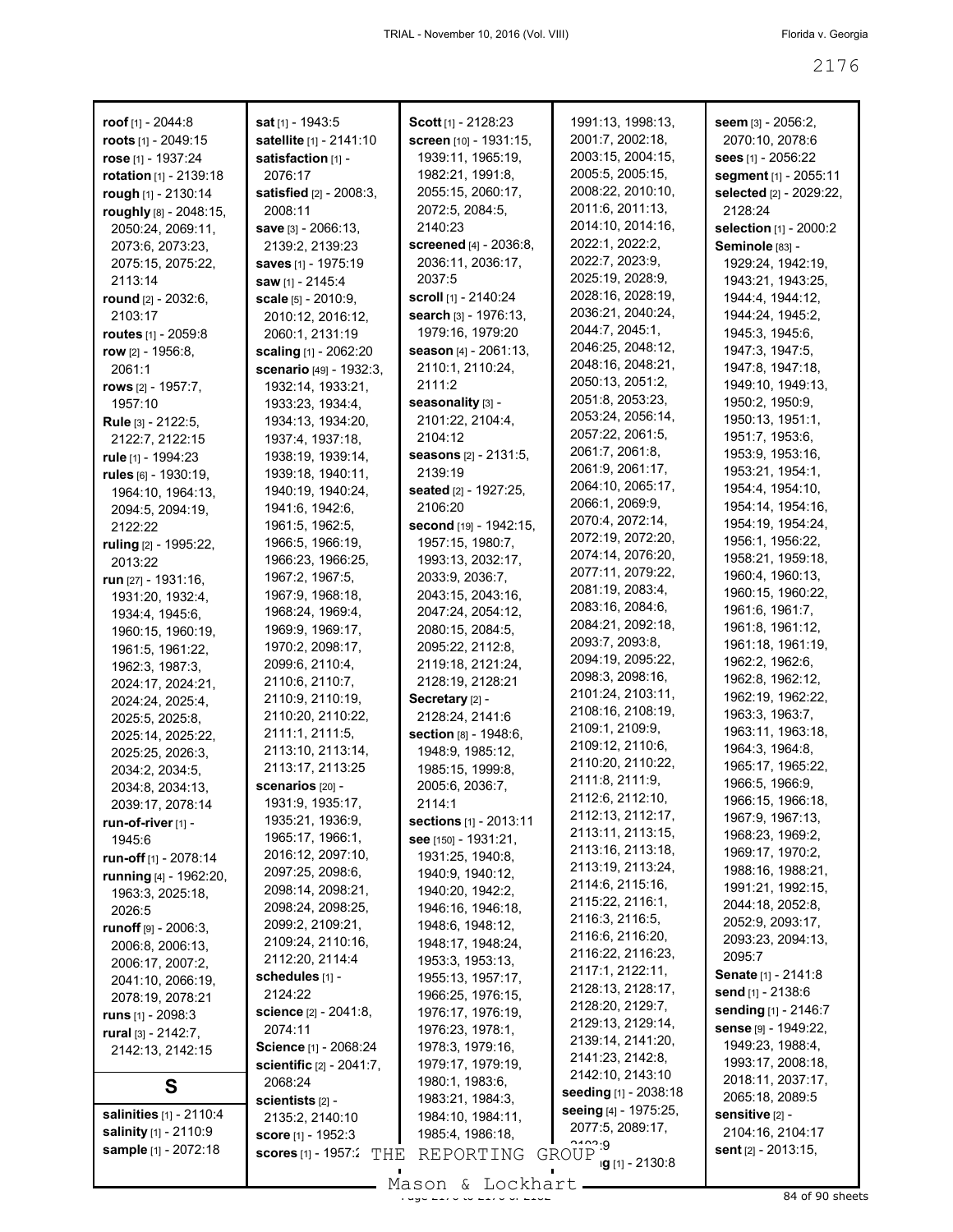| roof $[1]$ - 2044:8                   | <b>sat</b> א1 - 1943:5                | Scott [1] - 2128:23                | 1991:13, 1998:13,                      | seem $[3] - 2056:2,$                  |
|---------------------------------------|---------------------------------------|------------------------------------|----------------------------------------|---------------------------------------|
| roots [1] - 2049:15                   | satellite [1] - 2141:10               | screen [10] - 1931:15,             | 2001:7, 2002:18,                       | 2070:10, 2078:6                       |
| rose [1] - 1937:24                    | satisfaction [1] -                    | 1939:11, 1965:19,                  | 2003:15, 2004:15,                      | <b>sees</b> [1] - 2056:22             |
| rotation [1] - 2139:18                | 2076:17                               | 1982:21, 1991:8,                   | 2005:5, 2005:15,                       | segment [1] - 2055:11                 |
| rough [1] - 2130:14                   | satisfied [2] - 2008:3,               | 2055:15, 2060:17,                  | 2008:22, 2010:10,                      | selected [2] - 2029:22,               |
| roughly [8] - 2048:15,                | 2008:11                               | 2072:5, 2084:5,                    | 2011:6, 2011:13,                       | 2128:24                               |
| 2050:24, 2069:11,                     | save [3] - 2066:13,                   | 2140:23                            | 2014:10, 2014:16,                      | selection [1] - 2000:2                |
| 2073:6, 2073:23,                      | 2139:2, 2139:23                       | screened [4] - 2036:8,             | 2022:1, 2022:2,                        | Seminole [83] -                       |
| 2075:15, 2075:22,                     | saves [1] - 1975:19                   | 2036:11, 2036:17,                  | 2022:7, 2023:9,                        | 1929:24, 1942:19,                     |
| 2113:14                               | saw [1] - 2145:4                      | 2037:5                             | 2025:19, 2028:9,                       | 1943:21, 1943:25,                     |
| round [2] - 2032:6,                   | scale [5] - 2010:9,                   | <b>scroll</b> [1] - 2140:24        | 2028:16, 2028:19,                      | 1944:4, 1944:12,                      |
| 2103:17                               | 2010:12, 2016:12,                     | search [3] - 1976:13,              | 2036:21, 2040:24,                      | 1944:24, 1945:2,                      |
| routes $[1] - 2059.8$                 | 2060:1, 2131:19                       | 1979:16, 1979:20                   | 2044:7, 2045:1,                        | 1945:3, 1945:6,                       |
| row $[2] - 1956.8$ ,                  | scaling [1] - 2062:20                 | season [4] - 2061:13,              | 2046:25, 2048:12,                      | 1947:3, 1947:5,                       |
| 2061:1                                | <b>scenario</b> [49] - 1932:3,        | 2110:1, 2110:24,                   | 2048:16, 2048:21,                      | 1947:8, 1947:18,                      |
| rows $[2] - 1957:7,$                  | 1932:14, 1933:21,                     | 2111:2                             | 2050:13, 2051:2,                       | 1949:10, 1949:13,                     |
| 1957:10                               | 1933:23, 1934:4,                      | seasonality [3] -                  | 2051:8, 2053:23,                       | 1950:2, 1950:9,                       |
| Rule [3] - 2122:5,                    | 1934:13, 1934:20,                     | 2101:22, 2104:4,                   | 2053:24, 2056:14,                      | 1950:13, 1951:1,                      |
| 2122:7, 2122:15                       | 1937:4, 1937:18,                      | 2104:12                            | 2057:22, 2061:5,                       | 1951:7, 1953:6,                       |
| rule [1] - 1994:23                    | 1938:19, 1939:14,                     | seasons [2] - 2131:5,              | 2061:7, 2061:8,                        | 1953:9, 1953:16,                      |
| rules $[6] - 1930:19$ ,               | 1939:18, 1940:11,                     | 2139:19                            | 2061:9, 2061:17,                       | 1953:21, 1954:1,                      |
| 1964:10, 1964:13,                     | 1940:19, 1940:24,                     | <b>seated</b> [2] - 1927:25,       | 2064:10, 2065:17,                      | 1954:4, 1954:10,                      |
| 2094:5, 2094:19,                      | 1941:6, 1942:6,                       | 2106:20                            | 2066:1, 2069:9,                        | 1954:14, 1954:16,                     |
| 2122:22                               | 1961:5, 1962:5,                       | second [19] - 1942:15,             | 2070:4, 2072:14,                       | 1954: 19, 1954: 24,                   |
| ruling [2] - 1995:22,                 | 1966:5, 1966:19,                      | 1957:15, 1980:7,                   | 2072:19, 2072:20,                      | 1956:1, 1956:22,                      |
| 2013:22                               | 1966:23, 1966:25,                     | 1993:13, 2032:17,                  | 2074:14, 2076:20,<br>2077:11, 2079:22, | 1958:21, 1959:18,                     |
| run $[27] - 1931:16$ ,                | 1967:2, 1967:5,                       | 2033:9, 2036:7,                    | 2081:19, 2083:4,                       | 1960:4, 1960:13,                      |
| 1931:20, 1932:4,                      | 1967:9, 1968:18,                      | 2043:15, 2043:16,                  | 2083:16, 2084:6,                       | 1960:15, 1960:22,                     |
| 1934:4, 1945:6,                       | 1968:24, 1969:4,                      | 2047:24, 2054:12,                  | 2084:21, 2092:18,                      | 1961:6, 1961:7,                       |
| 1960:15, 1960:19,                     | 1969:9, 1969:17,                      | 2080:15, 2084:5,                   | 2093:7, 2093:8,                        | 1961:8, 1961:12,<br>1961:18, 1961:19, |
| 1961:5, 1961:22,                      | 1970:2, 2098:17,                      | 2095:22, 2112:8,                   | 2094:19, 2095:22,                      | 1962:2, 1962:6,                       |
| 1962:3, 1987:3,                       | 2099:6, 2110:4,                       | 2119:18, 2121:24,                  | 2098:3, 2098:16,                       | 1962:8, 1962:12,                      |
| 2024:17, 2024:21,                     | 2110:6, 2110:7,                       | 2128:19, 2128:21                   | 2101:24, 2103:11,                      | 1962:19, 1962:22,                     |
| 2024:24, 2025:4,                      | 2110:9, 2110:19,<br>2110:20, 2110:22, | Secretary [2] -<br>2128:24, 2141:6 | 2108:16, 2108:19,                      | 1963:3, 1963:7,                       |
| 2025:5, 2025:8,                       | 2111:1, 2111:5,                       | Section [8] - 1948:6,              | 2109:1, 2109:9,                        | 1963:11, 1963:18,                     |
| 2025:14, 2025:22,<br>2025:25, 2026:3, | 2113:10, 2113:14,                     | 1948:9, 1985:12,                   | 2109:12, 2110:6,                       | 1964:3, 1964:8,                       |
| 2034:2, 2034:5,                       | 2113:17, 2113:25                      | 1985:15, 1999:8,                   | 2110:20, 2110:22,                      | 1965:17, 1965:22,                     |
| 2034:8, 2034:13,                      | <b>scenarios</b> [20] -               | 2005:6, 2036:7,                    | 2111:8, 2111:9,                        | 1966:5, 1966:9,                       |
| 2039:17, 2078:14                      | 1931:9, 1935:17,                      | 2114:1                             | 2112:6, 2112:10,                       | 1966:15, 1966:18,                     |
| run-of-river [1] -                    | 1935:21, 1936:9,                      | sections [1] - 2013:11             | 2112:13, 2112:17,                      | 1967:9, 1967:13,                      |
| 1945:6                                | 1965:17, 1966:1,                      | see [150] - 1931:21,               | 2113:11, 2113:15,                      | 1968:23, 1969:2,                      |
| run-off [1] - 2078:14                 | 2016:12, 2097:10,                     | 1931:25, 1940:8,                   | 2113:16, 2113:18,                      | 1969:17, 1970:2,                      |
| running [4] - 1962:20,                | 2097:25, 2098:6,                      | 1940:9, 1940:12,                   | 2113:19, 2113:24,                      | 1988:16, 1988:21,                     |
| 1963:3, 2025:18,                      | 2098:14, 2098:21,                     | 1940:20, 1942:2,                   | 2114:6, 2115:16,                       | 1991:21, 1992:15,                     |
| 2026:5                                | 2098:24, 2098:25,                     | 1946:16, 1946:18,                  | 2115:22, 2116:1,                       | 2044:18, 2052:8,                      |
| runoff [9] - 2006:3,                  | 2099:2, 2109:21,                      | 1948:6, 1948:12,                   | 2116:3, 2116:5,                        | 2052:9, 2093:17,                      |
| 2006:8, 2006:13,                      | 2109:24, 2110:16,                     | 1948:17, 1948:24,                  | 2116:6, 2116:20,                       | 2093:23, 2094:13,                     |
| 2006:17, 2007:2,                      | 2112:20, 2114:4                       | 1953:3, 1953:13,                   | 2116:22, 2116:23,                      | 2095:7                                |
| 2041:10, 2066:19,                     | schedules [1] -                       | 1955:13, 1957:17,                  | 2117:1, 2122:11,                       | Senate [1] - 2141:8                   |
| 2078:19, 2078:21                      | 2124:22                               | 1966:25, 1976:15,                  | 2128:13, 2128:17,                      | send [1] - 2138:6                     |
| <b>runs</b> $[1] - 2098:3$            | <b>science</b> [2] - 2041:8,          | 1976:17, 1976:19,                  | 2128:20, 2129:7,                       | sending [1] - 2146:7                  |
| rural $[3] - 2142:7$ ,                | 2074:11                               | 1976:23, 1978:1,                   | 2129:13, 2129:14,<br>2139:14, 2141:20, | sense [9] - 1949:22,                  |
| 2142:13, 2142:15                      | Science [1] - 2068:24                 | 1978:3, 1979:16,                   | 2141:23, 2142:8,                       | 1949:23, 1988:4,                      |
|                                       | scientific [2] - 2041:7,              | 1979:17, 1979:19,                  | 2142:10, 2143:10                       | 1993:17, 2008:18,                     |
| S                                     | 2068:24                               | 1980:1, 1983:6,                    | seeding [1] - 2038:18                  | 2018:11, 2037:17,                     |
|                                       | scientists $[2]$ -                    | 1983:21, 1984:3,                   | seeing [4] - 1975:25,                  | 2065:18, 2089:5                       |
| <b>salinities</b> [1] - 2110:4        | 2135:2, 2140:10                       | 1984:10, 1984:11,                  | 2077:5, 2089:17,                       | sensitive [2] -                       |
| salinity [1] - 2110:9                 | <b>score</b> [1] - 1952:3             | 1985:4, 1986:18,                   | 0.0009                                 | 2104:16, 2104:17                      |
| sample [1] - 2072:18                  | scores [1] - 1957:2<br>THE            | REPORTING                          | GROUP<br>ig [1] - 2130:8               | <b>sent</b> [2] - 2013:15,            |
|                                       |                                       | $M$ acon f. Iochbart               |                                        |                                       |

Mason & Lockhart 
1984 of 90 sheets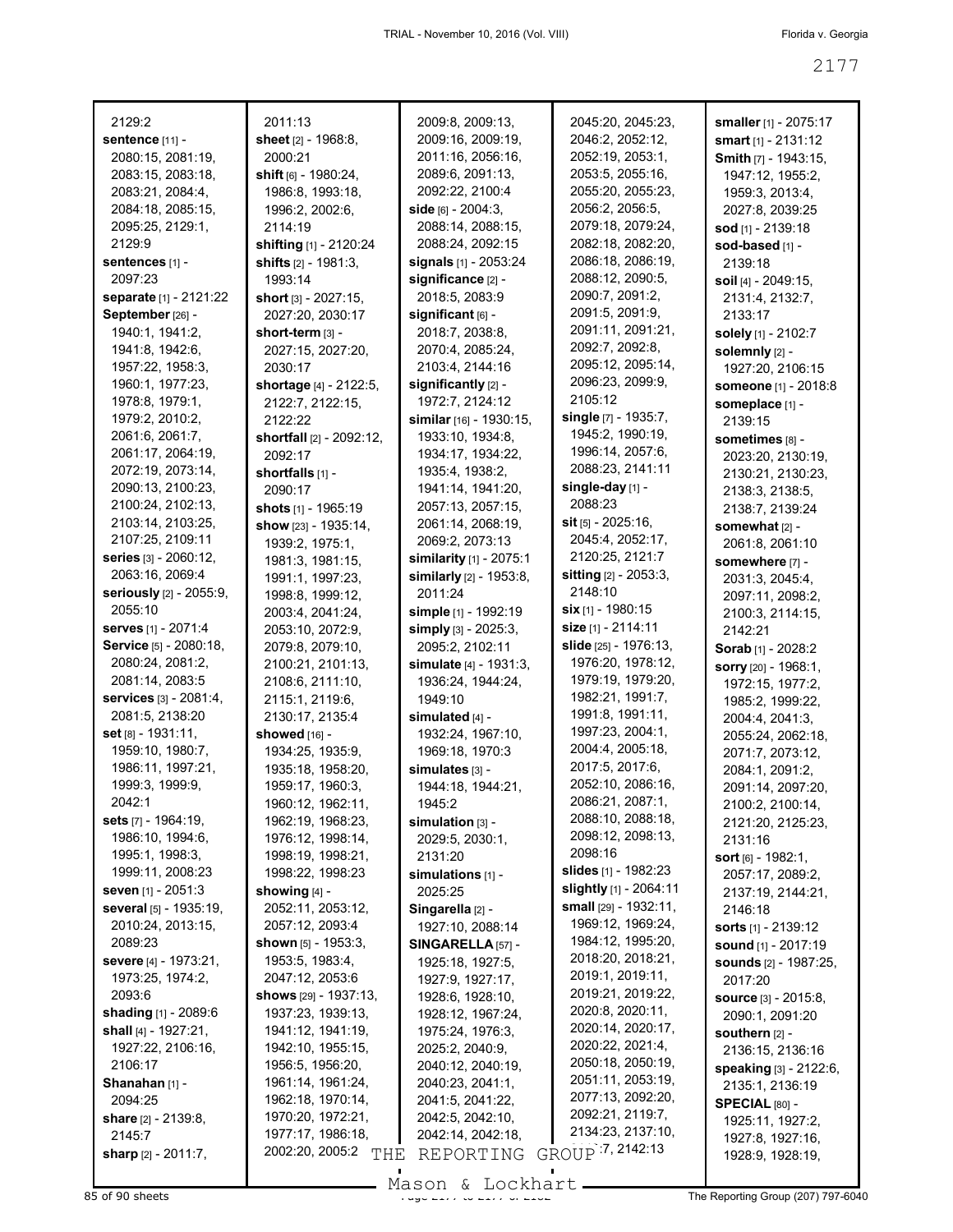| 2129:2                                | 2011:13                              | 2009:8, 2009:13,                      | 2045:20, 2045:23,            | smaller [1] - 2075:17                |
|---------------------------------------|--------------------------------------|---------------------------------------|------------------------------|--------------------------------------|
| sentence [11] -                       | sheet $[2] - 1968.8$ ,               | 2009:16, 2009:19,                     | 2046:2, 2052:12,             | smart $[1] - 2131:12$                |
| 2080:15, 2081:19,                     | 2000:21                              | 2011:16, 2056:16,                     | 2052:19, 2053:1,             | <b>Smith [7] - 1943:15,</b>          |
| 2083:15, 2083:18,                     | shift $[6] - 1980:24$ ,              | 2089:6, 2091:13,                      | 2053:5, 2055:16,             | 1947:12, 1955:2,                     |
| 2083:21, 2084:4,                      | 1986:8, 1993:18,                     | 2092:22, 2100:4                       | 2055:20, 2055:23,            | 1959:3, 2013:4,                      |
| 2084:18, 2085:15,                     | 1996:2, 2002:6,                      | side [6] - 2004:3.                    | 2056:2, 2056:5,              | 2027:8, 2039:25                      |
| 2095:25, 2129:1,                      | 2114:19                              | 2088:14, 2088:15,                     | 2079:18, 2079:24,            | sod [1] - 2139:18                    |
| 2129:9                                | shifting [1] - 2120:24               | 2088:24, 2092:15                      | 2082:18, 2082:20,            | sod-based [1] -                      |
| sentences [1] -                       | shifts $[2] - 1981:3$ ,              | signals [1] - 2053:24                 | 2086:18, 2086:19,            | 2139:18                              |
| 2097:23                               | 1993:14                              | significance [2] -                    | 2088:12, 2090:5,             | soil [4] - 2049:15,                  |
| separate [1] - 2121:22                | short $[3] - 2027:15$ ,              | 2018:5, 2083:9                        | 2090:7, 2091:2,              | 2131:4, 2132:7,                      |
| September [26] -                      | 2027:20, 2030:17                     | significant $[6]$ -                   | 2091:5, 2091:9,              | 2133:17                              |
| 1940:1, 1941:2,                       | short-term [3] -                     | 2018:7, 2038:8,                       | 2091:11, 2091:21,            | solely [1] - 2102:7                  |
| 1941:8, 1942:6,                       | 2027:15, 2027:20,                    | 2070:4, 2085:24,                      | 2092:7, 2092:8,              | solemnly [2] -                       |
| 1957:22, 1958:3,                      | 2030:17                              | 2103:4, 2144:16                       | 2095:12, 2095:14,            | 1927:20, 2106:15                     |
| 1960:1, 1977:23,                      | shortage [4] - 2122:5,               | significantly [2] -                   | 2096:23, 2099:9,             | someone [1] - 2018:8                 |
| 1978:8, 1979:1,                       | 2122:7, 2122:15,                     | 1972:7, 2124:12                       | 2105:12                      | someplace [1] -                      |
| 1979:2, 2010:2,                       | 2122:22                              | similar [16] - 1930:15,               | single [7] - 1935:7,         | 2139:15                              |
| 2061:6, 2061:7,                       | shortfall [2] - 2092:12,             | 1933:10, 1934:8,                      | 1945:2, 1990:19,             | sometimes [8] -                      |
| 2061:17, 2064:19,                     | 2092:17                              | 1934:17, 1934:22,                     | 1996:14, 2057:6,             | 2023:20, 2130:19,                    |
| 2072:19, 2073:14,                     | shortfalls [1] -                     | 1935:4, 1938:2,                       | 2088:23, 2141:11             | 2130:21, 2130:23,                    |
| 2090:13, 2100:23,                     | 2090:17                              | 1941:14, 1941:20,                     | single-day [1] -<br>2088:23  | 2138:3, 2138:5,                      |
| 2100:24, 2102:13,                     | shots $[1]$ - 1965:19                | 2057:13, 2057:15,                     | $s$ it [5] - 2025:16,        | 2138:7, 2139:24                      |
| 2103:14, 2103:25,<br>2107:25, 2109:11 | show [23] - 1935:14,                 | 2061:14, 2068:19,                     | 2045:4, 2052:17,             | somewhat [2] -                       |
| series [3] - 2060:12,                 | 1939:2, 1975:1,                      | 2069:2, 2073:13                       | 2120:25, 2121:7              | 2061:8, 2061:10                      |
| 2063:16, 2069:4                       | 1981:3, 1981:15,                     | similarity [1] - 2075:1               | <b>sitting</b> [2] - 2053:3, | somewhere [7] -                      |
| seriously [2] - 2055:9,               | 1991:1, 1997:23,                     | similarly $[2] - 1953.8$ ,<br>2011:24 | 2148:10                      | 2031:3, 2045:4,                      |
| 2055:10                               | 1998:8, 1999:12,                     | simple [1] - 1992:19                  | six [1] - 1980:15            | 2097:11, 2098:2,                     |
| <b>serves</b> [1] - 2071:4            | 2003:4, 2041:24,<br>2053:10, 2072:9, | simply [3] - 2025:3,                  | size [1] - 2114:11           | 2100:3, 2114:15,                     |
| Service [5] - 2080:18,                | 2079:8, 2079:10,                     | 2095:2, 2102:11                       | slide [25] - 1976:13,        | 2142:21                              |
| 2080:24, 2081:2,                      | 2100:21, 2101:13,                    | simulate $[4] - 1931:3$ ,             | 1976:20, 1978:12,            | Sorab <sup>[1]</sup> - 2028:2        |
| 2081:14, 2083:5                       | 2108:6, 2111:10,                     | 1936:24, 1944:24,                     | 1979:19, 1979:20,            | sorry [20] - 1968:1,                 |
| services [3] - 2081:4,                | 2115:1, 2119:6,                      | 1949:10                               | 1982:21, 1991:7,             | 1972:15, 1977:2,<br>1985:2, 1999:22, |
| 2081:5, 2138:20                       | 2130:17, 2135:4                      | simulated [4] -                       | 1991:8, 1991:11,             | 2004:4, 2041:3,                      |
| set [8] - 1931:11,                    | showed [16] -                        | 1932:24, 1967:10,                     | 1997:23, 2004:1,             | 2055:24, 2062:18,                    |
| 1959:10, 1980:7,                      | 1934:25, 1935:9,                     | 1969:18, 1970:3                       | 2004:4, 2005:18,             | 2071:7, 2073:12,                     |
| 1986:11, 1997:21,                     | 1935:18, 1958:20,                    | simulates [3] -                       | 2017:5, 2017:6,              | 2084:1, 2091:2,                      |
| 1999:3, 1999:9,                       | 1959:17, 1960:3,                     | 1944:18, 1944:21,                     | 2052:10, 2086:16,            | 2091:14, 2097:20,                    |
| 2042:1                                | 1960:12, 1962:11,                    | 1945:2                                | 2086:21, 2087:1,             | 2100:2, 2100:14,                     |
| <b>sets</b> [7] - 1964:19,            | 1962:19, 1968:23,                    | simulation [3] -                      | 2088:10, 2088:18,            | 2121:20, 2125:23,                    |
| 1986:10, 1994:6,                      | 1976:12, 1998:14,                    | 2029:5, 2030:1,                       | 2098:12, 2098:13,            | 2131:16                              |
| 1995:1, 1998:3,                       | 1998:19, 1998:21,                    | 2131:20                               | 2098:16                      | <b>sort</b> $[6] - 1982:1$ ,         |
| 1999:11, 2008:23                      | 1998:22, 1998:23                     | simulations [1] -                     | <b>slides</b> [1] - 1982:23  | 2057:17, 2089:2,                     |
| <b>seven</b> [1] - 2051:3             | showing $[4]$ -                      | 2025:25                               | slightly [1] - 2064:11       | 2137:19, 2144:21,                    |
| several [5] - 1935:19,                | 2052:11, 2053:12,                    | Singarella [2] -                      | small $[29] - 1932:11$ ,     | 2146:18                              |
| 2010:24, 2013:15,                     | 2057:12, 2093:4                      | 1927:10, 2088:14                      | 1969:12, 1969:24,            | <b>sorts</b> $[1]$ - 2139:12         |
| 2089:23                               | <b>shown</b> $[5]$ - 1953:3,         | $SINGARELLA$ [57] -                   | 1984:12, 1995:20,            | <b>sound</b> $[1]$ - 2017:19         |
| <b>severe</b> [4] - 1973:21,          | 1953:5, 1983:4,                      | 1925:18, 1927:5,                      | 2018:20, 2018:21,            | <b>sounds</b> [2] - 1987:25,         |
| 1973:25, 1974:2,                      | 2047:12, 2053:6                      | 1927:9, 1927:17,                      | 2019:1, 2019:11,             | 2017:20                              |
| 2093:6                                | shows $[29] - 1937:13$ ,             | 1928:6, 1928:10,                      | 2019:21, 2019:22,            | <b>source</b> $[3] - 2015.8$ ,       |
| shading [1] - 2089:6                  | 1937:23, 1939:13,                    | 1928:12, 1967:24,                     | 2020:8, 2020:11,             | 2090:1, 2091:20                      |
| shall [4] - 1927:21,                  | 1941:12, 1941:19,                    | 1975:24, 1976:3,                      | 2020:14, 2020:17,            | southern [2] -                       |
| 1927:22, 2106:16,                     | 1942:10, 1955:15,                    | 2025:2, 2040:9,                       | 2020:22, 2021:4,             | 2136:15, 2136:16                     |
| 2106:17                               | 1956:5, 1956:20,                     | 2040:12, 2040:19,                     | 2050:18, 2050:19,            | speaking [3] - 2122:6,               |
| Shanahan [1] -                        | 1961:14, 1961:24,                    | 2040:23, 2041:1,                      | 2051:11, 2053:19,            | 2135:1, 2136:19                      |
| 2094:25                               | 1962:18, 1970:14,                    | 2041:5, 2041:22,                      | 2077:13, 2092:20,            | <b>SPECIAL [80] -</b>                |
| <b>share</b> [2] - 2139:8,            | 1970:20, 1972:21,                    | 2042:5, 2042:10,                      | 2092:21, 2119:7,             | 1925:11, 1927:2,                     |
| 2145:7                                | 1977:17, 1986:18,                    | 2042:14, 2042:18,                     | 2134:23, 2137:10,            | 1927:8, 1927:16,                     |
| sharp [2] - 2011:7,                   | 2002:20, 2005:2<br>THE               | REPORTING                             | GROUP 7, 2142:13             | 1928:9, 1928:19,                     |
|                                       |                                      |                                       |                              |                                      |

Mason & Lockhart **Page 2017 of 2178 Page 2177 to 2178 Contract** Page 2071 797-6040<br>B5 of 90 sheets **Page 207) 797-6040**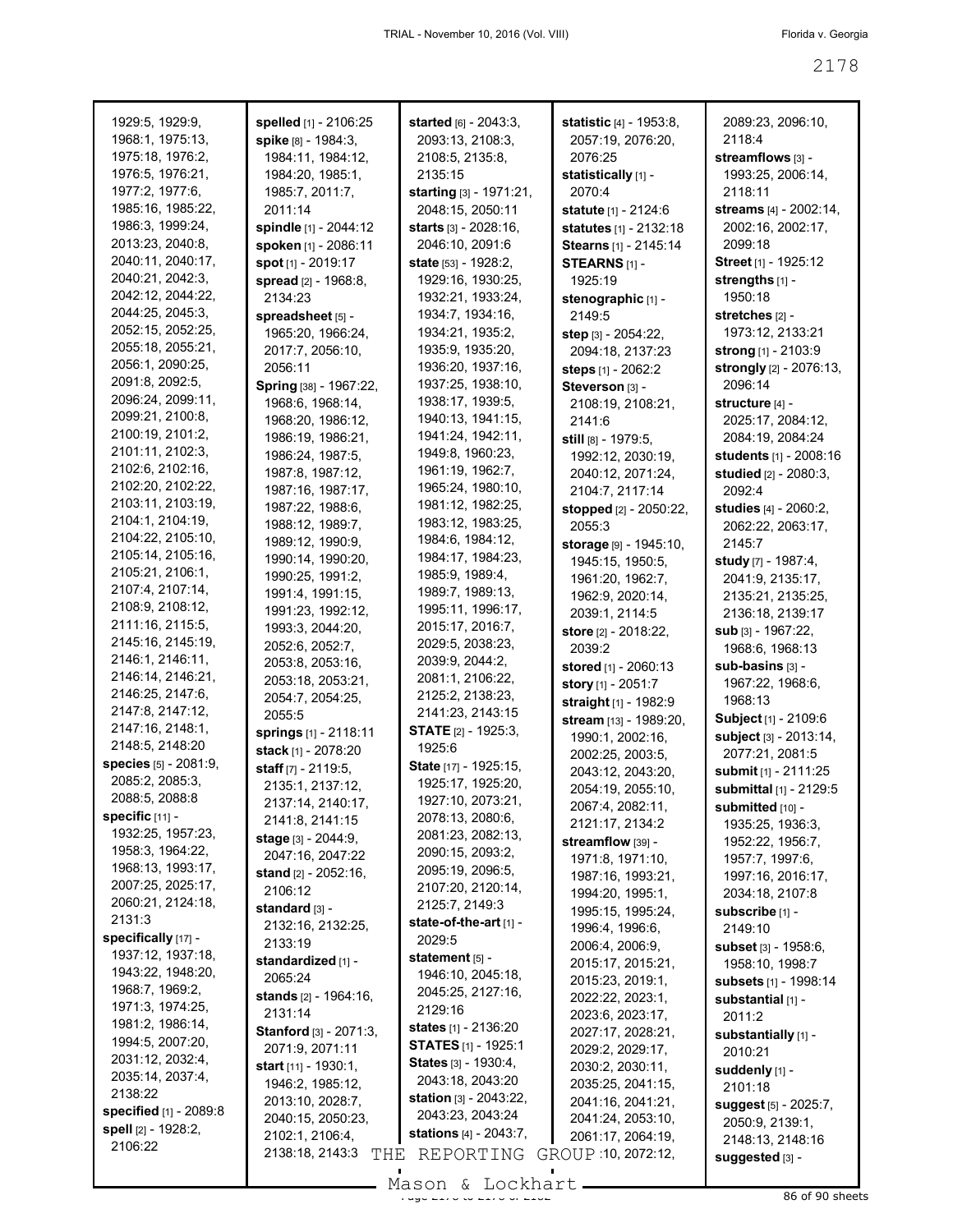| 1929:5, 1929:9,        | spelled [1] - 2106:25          | started [6] - 2043:3,            | <b>statistic</b> [4] - 1953:8, | 2089:23, 2096:10,            |
|------------------------|--------------------------------|----------------------------------|--------------------------------|------------------------------|
| 1968:1, 1975:13,       | spike [8] - 1984:3,            | 2093:13, 2108:3,                 | 2057:19, 2076:20,              | 2118:4                       |
| 1975:18, 1976:2,       | 1984:11, 1984:12,              | 2108:5, 2135:8,                  | 2076:25                        | streamflows [3] -            |
| 1976:5, 1976:21,       | 1984:20, 1985:1,               | 2135:15                          | statistically [1] -            | 1993:25, 2006:14,            |
| 1977:2, 1977:6,        | 1985:7, 2011:7,                | starting [3] - 1971:21,          | 2070:4                         | 2118:11                      |
| 1985:16, 1985:22,      | 2011:14                        | 2048:15, 2050:11                 | statute [1] - 2124:6           | streams [4] - 2002:14,       |
| 1986:3, 1999:24,       | spindle [1] - 2044:12          | <b>starts</b> [3] - 2028:16,     | statutes [1] - 2132:18         | 2002:16, 2002:17,            |
| 2013:23, 2040:8,       | spoken [1] - 2086:11           | 2046:10, 2091:6                  | Stearns [1] - 2145:14          | 2099:18                      |
| 2040:11, 2040:17,      | spot [1] - 2019:17             | <b>state</b> $[53] - 1928:2$     | STEARNS [1] -                  | Street [1] - 1925:12         |
| 2040:21, 2042:3,       | spread [2] - 1968:8,           | 1929:16, 1930:25,                | 1925:19                        | strengths [1] -              |
| 2042:12, 2044:22,      | 2134:23                        | 1932:21, 1933:24,                | stenographic [1] -             | 1950:18                      |
| 2044:25, 2045:3,       | spreadsheet [5] -              | 1934:7, 1934:16,                 | 2149:5                         | stretches [2] -              |
| 2052:15, 2052:25,      | 1965:20, 1966:24,              | 1934:21, 1935:2,                 | step [3] - 2054:22,            | 1973:12, 2133:21             |
| 2055:18, 2055:21,      | 2017:7, 2056:10,               | 1935:9, 1935:20,                 | 2094:18, 2137:23               | strong [1] - 2103:9          |
| 2056:1, 2090:25,       | 2056:11                        | 1936:20, 1937:16,                | steps [1] - 2062:2             | strongly [2] - 2076:13,      |
| 2091:8, 2092:5,        | Spring [38] - 1967:22,         | 1937:25, 1938:10,                | Steverson [3] -                | 2096:14                      |
| 2096:24, 2099:11,      | 1968:6, 1968:14,               | 1938:17, 1939:5,                 | 2108:19, 2108:21,              | structure [4] -              |
| 2099:21, 2100:8,       | 1968:20, 1986:12,              | 1940:13, 1941:15,                | 2141:6                         | 2025:17, 2084:12,            |
| 2100:19, 2101:2,       | 1986:19, 1986:21,              | 1941:24, 1942:11,                | still [8] - 1979:5,            | 2084:19, 2084:24             |
| 2101:11, 2102:3,       | 1986:24, 1987:5,               | 1949:8, 1960:23,                 | 1992:12, 2030:19,              | students [1] - 2008:16       |
| 2102:6, 2102:16,       | 1987:8, 1987:12,               | 1961:19, 1962:7,                 | 2040:12, 2071:24,              | studied [2] - 2080:3,        |
| 2102:20, 2102:22,      | 1987:16, 1987:17,              | 1965:24, 1980:10,                | 2104:7, 2117:14                | 2092:4                       |
| 2103:11, 2103:19,      | 1987:22, 1988:6,               | 1981:12, 1982:25,                | stopped [2] - 2050:22,         | studies [4] - 2060:2,        |
| 2104:1, 2104:19,       | 1988:12, 1989:7,               | 1983:12, 1983:25,                | 2055:3                         | 2062:22, 2063:17,            |
| 2104:22, 2105:10,      | 1989:12, 1990:9,               | 1984:6, 1984:12,                 | storage [9] - 1945:10,         | 2145:7                       |
| 2105:14, 2105:16,      | 1990:14, 1990:20,              | 1984:17, 1984:23,                | 1945:15, 1950:5,               | study [7] - 1987:4,          |
| 2105:21, 2106:1,       | 1990:25, 1991:2,               | 1985:9, 1989:4,                  | 1961:20, 1962:7,               | 2041:9, 2135:17,             |
| 2107:4, 2107:14,       | 1991:4, 1991:15,               | 1989:7, 1989:13,                 | 1962:9, 2020:14,               | 2135:21, 2135:25,            |
| 2108:9, 2108:12,       | 1991:23, 1992:12,              | 1995:11, 1996:17,                | 2039:1, 2114:5                 | 2136:18, 2139:17             |
| 2111:16, 2115:5,       | 1993:3, 2044:20,               | 2015:17, 2016:7,                 | store [2] - 2018:22,           | sub [3] - 1967:22,           |
| 2145:16, 2145:19,      | 2052:6, 2052:7,                | 2029:5, 2038:23,                 | 2039:2                         | 1968:6, 1968:13              |
| 2146:1, 2146:11,       | 2053:8, 2053:16,               | 2039:9, 2044:2,                  |                                | sub-basins [3] -             |
| 2146:14, 2146:21,      | 2053:18, 2053:21,              | 2081:1, 2106:22,                 | stored [1] - 2060:13           |                              |
| 2146:25, 2147:6,       | 2054:7, 2054:25,               | 2125:2, 2138:23,                 | story [1] - 2051:7             | 1967:22, 1968:6,<br>1968:13  |
| 2147:8, 2147:12,       | 2055:5                         | 2141:23, 2143:15                 | straight [1] - 1982:9          |                              |
| 2147:16, 2148:1,       | springs [1] - 2118:11          | <b>STATE</b> $[2] - 1925:3$      | stream [13] - 1989:20,         | <b>Subject</b> [1] - 2109:6  |
| 2148:5, 2148:20        | stack [1] - 2078:20            | 1925:6                           | 1990:1, 2002:16,               | subject [3] - 2013:14,       |
| species [5] - 2081:9,  | <b>staff</b> $[7] - 2119.5$ ,  | State [17] - 1925:15,            | 2002:25, 2003:5,               | 2077:21, 2081:5              |
| 2085:2, 2085:3,        | 2135:1, 2137:12,               | 1925:17, 1925:20,                | 2043:12, 2043:20,              | <b>submit</b> [1] - 2111:25  |
| 2088:5, 2088:8         | 2137:14, 2140:17,              | 1927:10, 2073:21,                | 2054:19, 2055:10,              | submittal [1] - 2129:5       |
| specific [11] -        | 2141:8, 2141:15                | 2078:13, 2080:6,                 | 2067:4, 2082:11,               | submitted [10] -             |
| 1932:25, 1957:23,      | <b>stage</b> [3] - 2044:9,     | 2081:23, 2082:13,                | 2121:17, 2134:2                | 1935:25, 1936:3,             |
| 1958:3, 1964:22,       | 2047:16, 2047:22               | 2090:15, 2093:2,                 | streamflow [39] -              | 1952:22, 1956:7,             |
| 1968:13, 1993:17,      | stand [2] - 2052:16,           | 2095:19, 2096:5,                 | 1971:8, 1971:10,               | 1957:7, 1997:6,              |
| 2007:25, 2025:17,      | 2106:12                        | 2107:20, 2120:14,                | 1987:16, 1993:21,              | 1997:16, 2016:17,            |
| 2060:21, 2124:18,      | standard [3] -                 | 2125:7, 2149:3                   | 1994:20, 1995:1,               | 2034:18, 2107:8              |
| 2131:3                 | 2132:16, 2132:25,              | state-of-the-art [1] -           | 1995:15, 1995:24,              | subscribe [1] -              |
| specifically [17] -    | 2133:19                        | 2029:5                           | 1996:4, 1996:6,                | 2149:10                      |
| 1937:12, 1937:18,      |                                | statement $[5]$ -                | 2006:4, 2006:9,                | subset [3] - 1958:6,         |
| 1943:22, 1948:20,      | standardized [1] -<br>2065:24  | 1946:10, 2045:18,                | 2015:17, 2015:21,              | 1958:10, 1998:7              |
| 1968:7, 1969:2,        |                                | 2045:25, 2127:16,                | 2015:23, 2019:1,               | <b>subsets</b> [1] - 1998:14 |
| 1971:3, 1974:25,       | stands [2] - 1964:16,          | 2129:16                          | 2022:22, 2023:1,               | substantial [1] -            |
| 1981:2, 1986:14,       | 2131:14                        | <b>states</b> $[1] - 2136:20$    | 2023:6, 2023:17,               | 2011:2                       |
| 1994:5, 2007:20,       | Stanford [3] - 2071:3,         | <b>STATES</b> [1] - 1925:1       | 2027:17, 2028:21,              | substantially [1] -          |
| 2031:12, 2032:4,       | 2071:9, 2071:11                | <b>States</b> [3] - 1930:4,      | 2029:2, 2029:17,               | 2010:21                      |
| 2035:14, 2037:4,       | <b>start</b> $[11] - 1930:1$ , | 2043:18, 2043:20                 | 2030:2, 2030:11,               | suddenly [1] -               |
| 2138:22                | 1946:2, 1985:12,               | <b>station</b> $[3] - 2043:22$ , | 2035:25, 2041:15,              | 2101:18                      |
| specified [1] - 2089:8 | 2013:10, 2028:7,               | 2043:23, 2043:24                 | 2041:16, 2041:21,              | suggest [5] - 2025:7,        |
| spell [2] - 1928:2,    | 2040:15, 2050:23,              | <b>stations</b> [4] - 2043:7,    | 2041:24, 2053:10,              | 2050:9, 2139:1,              |
| 2106:22                | 2102:1, 2106:4,                |                                  | 2061:17, 2064:19,              | 2148:13, 2148:16             |
|                        | 2138:18, 2143:3<br>THE         | REPORTING                        | GROUP 10, 2072:12,             | suggested [3] -              |

 $\blacksquare$ 

 $\blacksquare$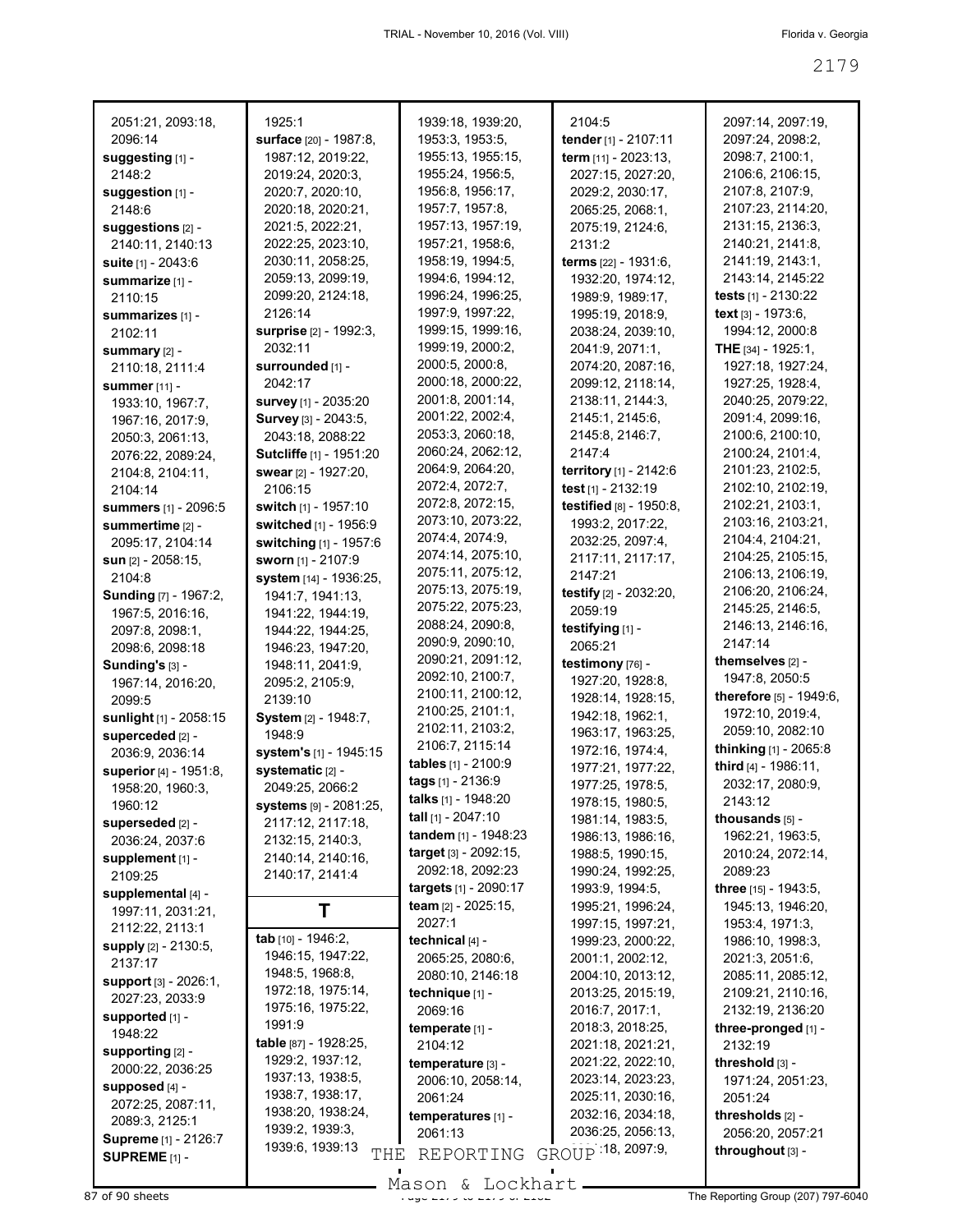| 2051:21, 2093:18,                                | 1925:1                         | 1939:18, 1939:20,             | 2104:5                  | 2097:14, 2097:19,       |
|--------------------------------------------------|--------------------------------|-------------------------------|-------------------------|-------------------------|
| 2096:14                                          | surface [20] - 1987:8,         | 1953:3, 1953:5,               | tender [1] - 2107:11    | 2097:24, 2098:2,        |
| suggesting [1] -                                 | 1987:12, 2019:22,              | 1955:13, 1955:15,             | term [11] - 2023:13,    | 2098:7, 2100:1,         |
| 2148:2                                           | 2019:24, 2020:3,               | 1955:24, 1956:5,              | 2027:15, 2027:20,       | 2106:6, 2106:15,        |
| suggestion [1] -                                 | 2020:7, 2020:10,               | 1956:8, 1956:17,              | 2029:2, 2030:17,        | 2107:8, 2107:9,         |
| 2148:6                                           | 2020:18, 2020:21,              | 1957:7, 1957:8,               | 2065:25, 2068:1,        | 2107:23, 2114:20,       |
| suggestions [2] -                                | 2021:5, 2022:21,               | 1957:13, 1957:19,             | 2075:19, 2124:6,        | 2131:15, 2136:3,        |
| 2140:11, 2140:13                                 | 2022:25, 2023:10,              | 1957:21, 1958:6,              | 2131:2                  | 2140:21, 2141:8,        |
| suite [1] - 2043:6                               | 2030:11, 2058:25,              | 1958:19, 1994:5,              | terms [22] - 1931:6,    | 2141:19, 2143:1,        |
| summarize [1] -                                  | 2059:13, 2099:19,              | 1994:6, 1994:12,              | 1932:20, 1974:12,       | 2143:14, 2145:22        |
| 2110:15                                          | 2099:20, 2124:18,              | 1996:24, 1996:25,             | 1989:9, 1989:17,        | tests $[1] - 2130:22$   |
|                                                  | 2126:14                        | 1997:9, 1997:22,              | 1995:19, 2018:9,        | text [3] - 1973:6,      |
| summarizes [1] -<br>2102:11                      | surprise [2] - 1992:3,         | 1999:15, 1999:16,             | 2038:24, 2039:10,       | 1994:12, 2000:8         |
|                                                  | 2032:11                        | 1999:19, 2000:2,              | 2041:9, 2071:1,         | THE $[34] - 1925:1$ ,   |
| summary [2] -                                    | surrounded [1] -               | 2000:5, 2000:8,               | 2074:20, 2087:16,       | 1927:18, 1927:24,       |
| 2110:18, 2111:4                                  |                                | 2000:18, 2000:22,             |                         |                         |
| <b>summer</b> [11] -                             | 2042:17                        | 2001:8, 2001:14,              | 2099:12, 2118:14,       | 1927:25, 1928:4,        |
| 1933:10, 1967:7,                                 | survey [1] - 2035:20           | 2001:22, 2002:4,              | 2138:11, 2144:3,        | 2040:25, 2079:22,       |
| 1967:16, 2017:9,                                 | Survey [3] - 2043:5,           |                               | 2145:1, 2145:6,         | 2091:4, 2099:16,        |
| 2050:3, 2061:13,                                 | 2043:18, 2088:22               | 2053:3, 2060:18,              | 2145.8, 2146:7,         | 2100:6, 2100:10,        |
| 2076:22, 2089:24,                                | <b>Sutcliffe [1] - 1951:20</b> | 2060:24, 2062:12,             | 2147:4                  | 2100:24, 2101:4,        |
| 2104:8, 2104:11,                                 | swear [2] - 1927:20,           | 2064:9, 2064:20,              | territory [1] - 2142:6  | 2101:23, 2102:5,        |
| 2104:14                                          | 2106:15                        | 2072:4, 2072:7,               | test [1] - 2132:19      | 2102:10, 2102:19,       |
| <b>summers</b> [1] - 2096:5                      | switch [1] - 1957:10           | 2072:8, 2072:15,              | testified [8] - 1950:8, | 2102:21, 2103:1,        |
| summertime [2] -                                 | switched [1] - 1956:9          | 2073:10, 2073:22,             | 1993:2, 2017:22,        | 2103:16, 2103:21,       |
| 2095:17, 2104:14                                 | switching [1] - 1957:6         | 2074:4, 2074:9,               | 2032:25, 2097:4,        | 2104:4, 2104:21,        |
| sun [2] - 2058:15,                               | sworn [1] - 2107:9             | 2074:14, 2075:10,             | 2117:11, 2117:17,       | 2104:25, 2105:15,       |
| 2104:8                                           | system [14] - 1936:25,         | 2075:11, 2075:12,             | 2147:21                 | 2106:13, 2106:19,       |
| <b>Sunding</b> [7] - 1967:2,                     | 1941:7, 1941:13,               | 2075:13, 2075:19,             | testify [2] - 2032:20,  | 2106:20, 2106:24,       |
| 1967:5, 2016:16,                                 | 1941:22, 1944:19,              | 2075:22, 2075:23,             | 2059:19                 | 2145:25, 2146:5,        |
| 2097:8, 2098:1,                                  | 1944:22, 1944:25,              | 2088:24, 2090:8,              | testifying [1] -        | 2146:13, 2146:16,       |
| 2098:6, 2098:18                                  | 1946:23, 1947:20,              | 2090:9, 2090:10,              | 2065:21                 | 2147:14                 |
| Sunding's [3] -                                  | 1948:11, 2041:9,               | 2090:21, 2091:12,             | testimony [76] -        | themselves [2] -        |
| 1967:14, 2016:20,                                | 2095:2, 2105:9,                | 2092:10, 2100:7,              | 1927:20, 1928:8,        | 1947:8, 2050:5          |
| 2099:5                                           | 2139:10                        | 2100:11, 2100:12,             | 1928:14, 1928:15,       | therefore [5] - 1949:6, |
|                                                  | System [2] - 1948:7,           | 2100:25, 2101:1,              | 1942:18, 1962:1,        | 1972:10, 2019:4,        |
| sunlight [1] - 2058:15                           | 1948:9                         | 2102:11, 2103:2,              | 1963:17, 1963:25,       | 2059:10, 2082:10        |
| superceded [2] -                                 |                                | 2106:7, 2115:14               | 1972:16, 1974:4,        | thinking [1] - 2065:8   |
| 2036:9, 2036:14                                  | system's [1] - 1945:15         | tables [1] - 2100:9           | 1977:21, 1977:22,       | third [4] - 1986:11,    |
| superior [4] - 1951:8,                           | systematic [2] -               | tags [1] - 2136:9             | 1977:25, 1978:5,        | 2032:17, 2080:9,        |
| 1958:20, 1960:3,                                 | 2049:25, 2066:2                | talks [1] - 1948:20           | 1978:15, 1980:5,        | 2143:12                 |
| 1960:12                                          | <b>systems</b> [9] - 2081:25,  | <b>tall</b> [1] - $2047:10$   |                         | thousands [5] -         |
| superseded [2] -                                 | 2117:12, 2117:18,              |                               | 1981:14, 1983:5,        |                         |
|                                                  |                                |                               |                         |                         |
| 2036:24, 2037:6                                  | 2132:15, 2140:3,               | tandem [1] - 1948:23          | 1986:13, 1986:16,       | 1962:21, 1963:5,        |
| supplement [1] -                                 | 2140:14, 2140:16,              | target [3] - 2092:15,         | 1988:5, 1990:15,        | 2010:24, 2072:14,       |
| 2109:25                                          | 2140:17, 2141:4                | 2092:18, 2092:23              | 1990:24, 1992:25,       | 2089:23                 |
| supplemental [4] -                               |                                | targets [1] - 2090:17         | 1993:9, 1994:5,         | three [15] - 1943:5,    |
| 1997:11, 2031:21,                                | Т                              | team [2] - 2025:15,           | 1995:21, 1996:24,       | 1945:13, 1946:20,       |
| 2112:22, 2113:1                                  |                                | 2027:1                        | 1997:15, 1997:21,       | 1953:4, 1971:3,         |
| supply [2] - 2130:5,                             | tab [10] - 1946:2,             | technical [4] -               | 1999:23, 2000:22,       | 1986:10, 1998:3,        |
| 2137:17                                          | 1946:15, 1947:22,              | 2065:25, 2080:6,              | 2001:1, 2002:12,        | 2021:3, 2051:6,         |
| support [3] - 2026:1,                            | 1948:5, 1968:8,                | 2080:10, 2146:18              | 2004:10, 2013:12,       | 2085:11, 2085:12,       |
| 2027:23, 2033:9                                  | 1972:18, 1975:14,              | technique [1] -               | 2013:25, 2015:19,       | 2109:21, 2110:16,       |
| supported [1] -                                  | 1975:16, 1975:22,              | 2069:16                       | 2016:7, 2017:1,         | 2132:19, 2136:20        |
|                                                  | 1991:9                         | temperate [1] -               | 2018:3, 2018:25,        | three-pronged [1] -     |
| 1948:22                                          | table [87] - 1928:25,          | 2104:12                       | 2021:18, 2021:21,       | 2132:19                 |
| supporting [2] -                                 | 1929:2, 1937:12,               | temperature [3] -             | 2021:22, 2022:10,       | threshold [3] -         |
| 2000:22, 2036:25                                 | 1937:13, 1938:5,               | 2006:10, 2058:14,             | 2023:14, 2023:23,       | 1971:24, 2051:23,       |
| supposed [4] -                                   | 1938:7, 1938:17,               | 2061:24                       | 2025:11, 2030:16,       | 2051:24                 |
| 2072:25, 2087:11,                                | 1938:20, 1938:24,              |                               | 2032:16, 2034:18,       | thresholds [2] -        |
| 2089:3, 2125:1                                   | 1939:2, 1939:3,                | temperatures [1] -<br>2061:13 | 2036:25, 2056:13,       | 2056:20, 2057:21        |
| Supreme [1] - 2126:7<br>SUPREME <sub>[1]</sub> - | 1939:6, 1939:13<br>THE         | REPORTING                     | GROUP 18, 2097:9,       | throughout [3] -        |

 $87$  of 90 sheets  $\frac{37}{20}$  of 90 sheets  $\frac{37}{20}$  or  $217$  or  $217$  or  $217$  or  $217$  or  $217$  or  $217$  or  $217$  or  $217$  or  $217$  or  $217$  or  $217$  or  $217$  or  $217$  or  $217$  or  $217$  or  $217$  or  $217$  or  $217$  or Mason & Lockhart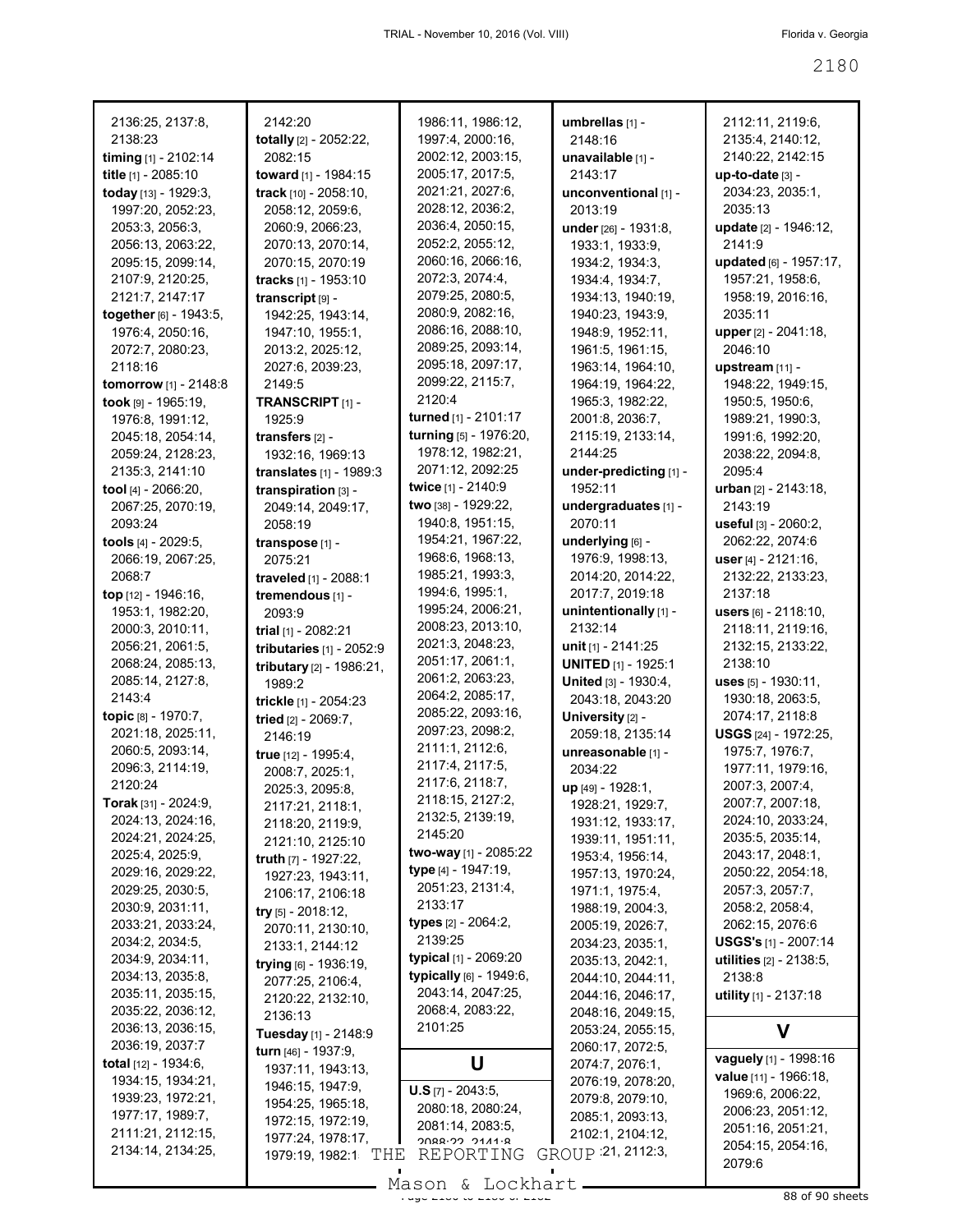| 2136:25, 2137:8,                                                                                                                                                                                                                                                                                                                                                                                                                                                                                                  | 2142:20                                                                                                                                                                                                                                                                                                                                                                                                                                                                                                                        | 1986:11, 1986:12,                                                                                                                                                                                                                                                                                                                                                                                                                                                         | umbrellas [1] -                                                                                                                                                                                                                                                                                                                                                                                                                                                                               | 2112:11, 2119:6,                                                                                                                                                                                                                                                                                                                                                                                                                                                        |
|-------------------------------------------------------------------------------------------------------------------------------------------------------------------------------------------------------------------------------------------------------------------------------------------------------------------------------------------------------------------------------------------------------------------------------------------------------------------------------------------------------------------|--------------------------------------------------------------------------------------------------------------------------------------------------------------------------------------------------------------------------------------------------------------------------------------------------------------------------------------------------------------------------------------------------------------------------------------------------------------------------------------------------------------------------------|---------------------------------------------------------------------------------------------------------------------------------------------------------------------------------------------------------------------------------------------------------------------------------------------------------------------------------------------------------------------------------------------------------------------------------------------------------------------------|-----------------------------------------------------------------------------------------------------------------------------------------------------------------------------------------------------------------------------------------------------------------------------------------------------------------------------------------------------------------------------------------------------------------------------------------------------------------------------------------------|-------------------------------------------------------------------------------------------------------------------------------------------------------------------------------------------------------------------------------------------------------------------------------------------------------------------------------------------------------------------------------------------------------------------------------------------------------------------------|
| 2138:23                                                                                                                                                                                                                                                                                                                                                                                                                                                                                                           | totally [2] - 2052:22,                                                                                                                                                                                                                                                                                                                                                                                                                                                                                                         | 1997:4, 2000:16,                                                                                                                                                                                                                                                                                                                                                                                                                                                          | 2148:16                                                                                                                                                                                                                                                                                                                                                                                                                                                                                       | 2135:4, 2140:12,                                                                                                                                                                                                                                                                                                                                                                                                                                                        |
| timing [1] - 2102:14                                                                                                                                                                                                                                                                                                                                                                                                                                                                                              | 2082:15                                                                                                                                                                                                                                                                                                                                                                                                                                                                                                                        | 2002:12, 2003:15,                                                                                                                                                                                                                                                                                                                                                                                                                                                         | unavailable [1] -                                                                                                                                                                                                                                                                                                                                                                                                                                                                             | 2140:22, 2142:15                                                                                                                                                                                                                                                                                                                                                                                                                                                        |
| title [1] - 2085:10                                                                                                                                                                                                                                                                                                                                                                                                                                                                                               | toward [1] - 1984:15                                                                                                                                                                                                                                                                                                                                                                                                                                                                                                           | 2005:17, 2017:5,                                                                                                                                                                                                                                                                                                                                                                                                                                                          | 2143:17                                                                                                                                                                                                                                                                                                                                                                                                                                                                                       | up-to-date [3] -                                                                                                                                                                                                                                                                                                                                                                                                                                                        |
| today [13] - 1929:3,                                                                                                                                                                                                                                                                                                                                                                                                                                                                                              | track [10] - 2058:10,                                                                                                                                                                                                                                                                                                                                                                                                                                                                                                          | 2021:21, 2027:6,                                                                                                                                                                                                                                                                                                                                                                                                                                                          | unconventional [1] -                                                                                                                                                                                                                                                                                                                                                                                                                                                                          | 2034:23, 2035:1,                                                                                                                                                                                                                                                                                                                                                                                                                                                        |
| 1997:20, 2052:23,                                                                                                                                                                                                                                                                                                                                                                                                                                                                                                 | 2058:12, 2059:6,                                                                                                                                                                                                                                                                                                                                                                                                                                                                                                               | 2028:12, 2036:2,                                                                                                                                                                                                                                                                                                                                                                                                                                                          | 2013:19                                                                                                                                                                                                                                                                                                                                                                                                                                                                                       | 2035:13                                                                                                                                                                                                                                                                                                                                                                                                                                                                 |
| 2053:3, 2056:3,                                                                                                                                                                                                                                                                                                                                                                                                                                                                                                   | 2060:9, 2066:23,                                                                                                                                                                                                                                                                                                                                                                                                                                                                                                               | 2036:4, 2050:15,                                                                                                                                                                                                                                                                                                                                                                                                                                                          | under [26] - 1931:8,                                                                                                                                                                                                                                                                                                                                                                                                                                                                          | update [2] - 1946:12,                                                                                                                                                                                                                                                                                                                                                                                                                                                   |
| 2056:13, 2063:22,                                                                                                                                                                                                                                                                                                                                                                                                                                                                                                 | 2070:13, 2070:14,                                                                                                                                                                                                                                                                                                                                                                                                                                                                                                              | 2052:2, 2055:12,                                                                                                                                                                                                                                                                                                                                                                                                                                                          | 1933:1, 1933:9,                                                                                                                                                                                                                                                                                                                                                                                                                                                                               | 2141:9                                                                                                                                                                                                                                                                                                                                                                                                                                                                  |
| 2095:15, 2099:14,                                                                                                                                                                                                                                                                                                                                                                                                                                                                                                 | 2070:15, 2070:19                                                                                                                                                                                                                                                                                                                                                                                                                                                                                                               | 2060:16, 2066:16,                                                                                                                                                                                                                                                                                                                                                                                                                                                         | 1934:2, 1934:3,                                                                                                                                                                                                                                                                                                                                                                                                                                                                               | updated [6] - 1957:17,                                                                                                                                                                                                                                                                                                                                                                                                                                                  |
| 2107:9, 2120:25,                                                                                                                                                                                                                                                                                                                                                                                                                                                                                                  | tracks [1] - 1953:10                                                                                                                                                                                                                                                                                                                                                                                                                                                                                                           | 2072:3, 2074:4,                                                                                                                                                                                                                                                                                                                                                                                                                                                           | 1934:4, 1934:7,                                                                                                                                                                                                                                                                                                                                                                                                                                                                               | 1957:21, 1958:6,                                                                                                                                                                                                                                                                                                                                                                                                                                                        |
| 2121:7, 2147:17                                                                                                                                                                                                                                                                                                                                                                                                                                                                                                   | transcript [9] -                                                                                                                                                                                                                                                                                                                                                                                                                                                                                                               | 2079:25, 2080:5,                                                                                                                                                                                                                                                                                                                                                                                                                                                          | 1934:13, 1940:19,                                                                                                                                                                                                                                                                                                                                                                                                                                                                             | 1958:19, 2016:16,                                                                                                                                                                                                                                                                                                                                                                                                                                                       |
| together [6] - 1943:5,                                                                                                                                                                                                                                                                                                                                                                                                                                                                                            | 1942:25, 1943:14,                                                                                                                                                                                                                                                                                                                                                                                                                                                                                                              | 2080:9, 2082:16,                                                                                                                                                                                                                                                                                                                                                                                                                                                          | 1940:23, 1943:9,                                                                                                                                                                                                                                                                                                                                                                                                                                                                              | 2035:11                                                                                                                                                                                                                                                                                                                                                                                                                                                                 |
| 1976:4, 2050:16,                                                                                                                                                                                                                                                                                                                                                                                                                                                                                                  | 1947:10, 1955:1,                                                                                                                                                                                                                                                                                                                                                                                                                                                                                                               | 2086:16, 2088:10,                                                                                                                                                                                                                                                                                                                                                                                                                                                         | 1948:9, 1952:11,                                                                                                                                                                                                                                                                                                                                                                                                                                                                              | upper [2] - 2041:18,                                                                                                                                                                                                                                                                                                                                                                                                                                                    |
| 2072:7, 2080:23,                                                                                                                                                                                                                                                                                                                                                                                                                                                                                                  | 2013:2, 2025:12,                                                                                                                                                                                                                                                                                                                                                                                                                                                                                                               | 2089:25, 2093:14,                                                                                                                                                                                                                                                                                                                                                                                                                                                         | 1961:5, 1961:15,                                                                                                                                                                                                                                                                                                                                                                                                                                                                              | 2046:10                                                                                                                                                                                                                                                                                                                                                                                                                                                                 |
| 2118:16                                                                                                                                                                                                                                                                                                                                                                                                                                                                                                           | 2027:6, 2039:23,                                                                                                                                                                                                                                                                                                                                                                                                                                                                                                               | 2095:18, 2097:17,                                                                                                                                                                                                                                                                                                                                                                                                                                                         | 1963:14, 1964:10,                                                                                                                                                                                                                                                                                                                                                                                                                                                                             | upstream [11] -                                                                                                                                                                                                                                                                                                                                                                                                                                                         |
| tomorrow [1] - 2148:8                                                                                                                                                                                                                                                                                                                                                                                                                                                                                             | 2149:5                                                                                                                                                                                                                                                                                                                                                                                                                                                                                                                         | 2099:22, 2115:7,                                                                                                                                                                                                                                                                                                                                                                                                                                                          | 1964:19, 1964:22,                                                                                                                                                                                                                                                                                                                                                                                                                                                                             | 1948:22, 1949:15,                                                                                                                                                                                                                                                                                                                                                                                                                                                       |
| took $[9] - 1965:19$ ,                                                                                                                                                                                                                                                                                                                                                                                                                                                                                            | TRANSCRIPT <sub>[1]</sub> -                                                                                                                                                                                                                                                                                                                                                                                                                                                                                                    | 2120:4                                                                                                                                                                                                                                                                                                                                                                                                                                                                    | 1965:3, 1982:22,                                                                                                                                                                                                                                                                                                                                                                                                                                                                              | 1950:5, 1950:6,                                                                                                                                                                                                                                                                                                                                                                                                                                                         |
| 1976:8, 1991:12,                                                                                                                                                                                                                                                                                                                                                                                                                                                                                                  | 1925:9                                                                                                                                                                                                                                                                                                                                                                                                                                                                                                                         | turned [1] - 2101:17                                                                                                                                                                                                                                                                                                                                                                                                                                                      | 2001:8, 2036:7,                                                                                                                                                                                                                                                                                                                                                                                                                                                                               | 1989:21, 1990:3,                                                                                                                                                                                                                                                                                                                                                                                                                                                        |
| 2045:18, 2054:14,                                                                                                                                                                                                                                                                                                                                                                                                                                                                                                 | transfers $[2]$ -                                                                                                                                                                                                                                                                                                                                                                                                                                                                                                              | turning [5] - 1976:20,                                                                                                                                                                                                                                                                                                                                                                                                                                                    | 2115:19, 2133:14,                                                                                                                                                                                                                                                                                                                                                                                                                                                                             | 1991:6, 1992:20,                                                                                                                                                                                                                                                                                                                                                                                                                                                        |
| 2059:24, 2128:23,                                                                                                                                                                                                                                                                                                                                                                                                                                                                                                 | 1932:16, 1969:13                                                                                                                                                                                                                                                                                                                                                                                                                                                                                                               | 1978:12, 1982:21,                                                                                                                                                                                                                                                                                                                                                                                                                                                         | 2144:25                                                                                                                                                                                                                                                                                                                                                                                                                                                                                       | 2038:22, 2094:8,                                                                                                                                                                                                                                                                                                                                                                                                                                                        |
| 2135:3, 2141:10                                                                                                                                                                                                                                                                                                                                                                                                                                                                                                   | translates [1] - 1989:3                                                                                                                                                                                                                                                                                                                                                                                                                                                                                                        | 2071:12, 2092:25                                                                                                                                                                                                                                                                                                                                                                                                                                                          | under-predicting [1] -                                                                                                                                                                                                                                                                                                                                                                                                                                                                        | 2095:4                                                                                                                                                                                                                                                                                                                                                                                                                                                                  |
| tool $[4] - 2066:20$ ,                                                                                                                                                                                                                                                                                                                                                                                                                                                                                            | transpiration [3] -                                                                                                                                                                                                                                                                                                                                                                                                                                                                                                            | twice [1] - 2140:9                                                                                                                                                                                                                                                                                                                                                                                                                                                        | 1952:11                                                                                                                                                                                                                                                                                                                                                                                                                                                                                       | urban [2] - 2143:18,                                                                                                                                                                                                                                                                                                                                                                                                                                                    |
| 2067:25, 2070:19,                                                                                                                                                                                                                                                                                                                                                                                                                                                                                                 | 2049:14, 2049:17,                                                                                                                                                                                                                                                                                                                                                                                                                                                                                                              | two [38] - 1929:22,                                                                                                                                                                                                                                                                                                                                                                                                                                                       | undergraduates [1] -                                                                                                                                                                                                                                                                                                                                                                                                                                                                          | 2143:19                                                                                                                                                                                                                                                                                                                                                                                                                                                                 |
| 2093:24                                                                                                                                                                                                                                                                                                                                                                                                                                                                                                           | 2058:19                                                                                                                                                                                                                                                                                                                                                                                                                                                                                                                        | 1940:8, 1951:15,                                                                                                                                                                                                                                                                                                                                                                                                                                                          | 2070:11                                                                                                                                                                                                                                                                                                                                                                                                                                                                                       | useful [3] - 2060:2,                                                                                                                                                                                                                                                                                                                                                                                                                                                    |
| tools [4] - 2029:5,                                                                                                                                                                                                                                                                                                                                                                                                                                                                                               | transpose [1] -                                                                                                                                                                                                                                                                                                                                                                                                                                                                                                                | 1954:21, 1967:22,                                                                                                                                                                                                                                                                                                                                                                                                                                                         | underlying [6] -                                                                                                                                                                                                                                                                                                                                                                                                                                                                              | 2062:22, 2074:6                                                                                                                                                                                                                                                                                                                                                                                                                                                         |
| 2066:19, 2067:25,                                                                                                                                                                                                                                                                                                                                                                                                                                                                                                 | 2075:21                                                                                                                                                                                                                                                                                                                                                                                                                                                                                                                        | 1968:6, 1968:13,                                                                                                                                                                                                                                                                                                                                                                                                                                                          | 1976:9, 1998:13,                                                                                                                                                                                                                                                                                                                                                                                                                                                                              | user [4] - 2121:16,                                                                                                                                                                                                                                                                                                                                                                                                                                                     |
| 2068:7                                                                                                                                                                                                                                                                                                                                                                                                                                                                                                            | traveled [1] - 2088:1                                                                                                                                                                                                                                                                                                                                                                                                                                                                                                          | 1985:21, 1993:3,                                                                                                                                                                                                                                                                                                                                                                                                                                                          | 2014:20, 2014:22,                                                                                                                                                                                                                                                                                                                                                                                                                                                                             | 2132:22, 2133:23,                                                                                                                                                                                                                                                                                                                                                                                                                                                       |
| top [12] - 1946:16,                                                                                                                                                                                                                                                                                                                                                                                                                                                                                               | tremendous [1] -                                                                                                                                                                                                                                                                                                                                                                                                                                                                                                               | 1994:6, 1995:1,                                                                                                                                                                                                                                                                                                                                                                                                                                                           | 2017:7, 2019:18                                                                                                                                                                                                                                                                                                                                                                                                                                                                               | 2137:18                                                                                                                                                                                                                                                                                                                                                                                                                                                                 |
| 1953:1, 1982:20,                                                                                                                                                                                                                                                                                                                                                                                                                                                                                                  | 2093:9                                                                                                                                                                                                                                                                                                                                                                                                                                                                                                                         | 1995:24, 2006:21,                                                                                                                                                                                                                                                                                                                                                                                                                                                         | unintentionally [1] -                                                                                                                                                                                                                                                                                                                                                                                                                                                                         | users $[6] - 2118:10,$                                                                                                                                                                                                                                                                                                                                                                                                                                                  |
| 2000:3, 2010:11,                                                                                                                                                                                                                                                                                                                                                                                                                                                                                                  | trial $[1]$ - 2082:21                                                                                                                                                                                                                                                                                                                                                                                                                                                                                                          | 2008:23, 2013:10,                                                                                                                                                                                                                                                                                                                                                                                                                                                         | 2132:14                                                                                                                                                                                                                                                                                                                                                                                                                                                                                       | 2118:11, 2119:16,                                                                                                                                                                                                                                                                                                                                                                                                                                                       |
| 2056:21, 2061:5,                                                                                                                                                                                                                                                                                                                                                                                                                                                                                                  | tributaries [1] - 2052:9                                                                                                                                                                                                                                                                                                                                                                                                                                                                                                       | 2021:3, 2048:23,                                                                                                                                                                                                                                                                                                                                                                                                                                                          | unit [1] - 2141:25                                                                                                                                                                                                                                                                                                                                                                                                                                                                            | 2132:15, 2133:22,                                                                                                                                                                                                                                                                                                                                                                                                                                                       |
| 2068:24, 2085:13,                                                                                                                                                                                                                                                                                                                                                                                                                                                                                                 | tributary [2] - 1986:21,                                                                                                                                                                                                                                                                                                                                                                                                                                                                                                       | 2051:17, 2061:1,                                                                                                                                                                                                                                                                                                                                                                                                                                                          | <b>UNITED</b> [1] - 1925:1                                                                                                                                                                                                                                                                                                                                                                                                                                                                    | 2138:10                                                                                                                                                                                                                                                                                                                                                                                                                                                                 |
| 2085:14, 2127:8,                                                                                                                                                                                                                                                                                                                                                                                                                                                                                                  | 1989:2                                                                                                                                                                                                                                                                                                                                                                                                                                                                                                                         | 2061:2, 2063:23,                                                                                                                                                                                                                                                                                                                                                                                                                                                          | United [3] - 1930:4,                                                                                                                                                                                                                                                                                                                                                                                                                                                                          | uses [5] - 1930:11,                                                                                                                                                                                                                                                                                                                                                                                                                                                     |
| 2143:4                                                                                                                                                                                                                                                                                                                                                                                                                                                                                                            | trickle [1] - 2054:23                                                                                                                                                                                                                                                                                                                                                                                                                                                                                                          | 2064:2, 2085:17,                                                                                                                                                                                                                                                                                                                                                                                                                                                          | 2043:18, 2043:20                                                                                                                                                                                                                                                                                                                                                                                                                                                                              | 1930:18, 2063:5,                                                                                                                                                                                                                                                                                                                                                                                                                                                        |
| topic [8] - 1970:7,                                                                                                                                                                                                                                                                                                                                                                                                                                                                                               | tried [2] - 2069:7,                                                                                                                                                                                                                                                                                                                                                                                                                                                                                                            | 2085:22, 2093:16,                                                                                                                                                                                                                                                                                                                                                                                                                                                         | University [2] -                                                                                                                                                                                                                                                                                                                                                                                                                                                                              | 2074:17, 2118:8                                                                                                                                                                                                                                                                                                                                                                                                                                                         |
| 2021:18, 2025:11,                                                                                                                                                                                                                                                                                                                                                                                                                                                                                                 | 2146:19                                                                                                                                                                                                                                                                                                                                                                                                                                                                                                                        | 2097:23, 2098:2,                                                                                                                                                                                                                                                                                                                                                                                                                                                          | 2059:18, 2135:14                                                                                                                                                                                                                                                                                                                                                                                                                                                                              | USGS [24] - 1972:25,                                                                                                                                                                                                                                                                                                                                                                                                                                                    |
| 2060:5, 2093:14,<br>2096:3, 2114:19,<br>2120:24<br><b>Torak</b> [31] - 2024:9,<br>2024:13, 2024:16,<br>2024:21, 2024:25,<br>2025:4, 2025:9,<br>2029:16, 2029:22,<br>2029:25, 2030:5,<br>2030:9, 2031:11,<br>2033:21, 2033:24,<br>2034:2, 2034:5,<br>2034:9, 2034:11,<br>2034:13, 2035:8,<br>2035:11, 2035:15,<br>2035:22, 2036:12,<br>2036:13, 2036:15,<br>2036:19, 2037:7<br><b>total</b> [12] - 1934:6,<br>1934:15, 1934:21,<br>1939:23, 1972:21,<br>1977:17, 1989:7,<br>2111:21, 2112:15,<br>2134:14, 2134:25, | true [12] - 1995:4,<br>2008:7, 2025:1,<br>2025:3, 2095:8,<br>2117:21, 2118:1,<br>2118:20, 2119:9,<br>2121:10, 2125:10<br><b>truth</b> $[7] - 1927:22,$<br>1927:23, 1943:11,<br>2106:17, 2106:18<br>try $[5] - 2018:12$ ,<br>2070:11, 2130:10,<br>2133:1, 2144:12<br>trying [6] - 1936:19,<br>2077:25, 2106:4,<br>2120:22, 2132:10,<br>2136:13<br>Tuesday [1] - 2148:9<br>turn [46] - 1937:9,<br>1937:11, 1943:13,<br>1946:15, 1947:9,<br>1954:25, 1965:18,<br>1972:15, 1972:19,<br>1977:24, 1978:17,<br>THE<br>1979:19, 1982:1 | 2111:1, 2112:6,<br>2117:4, 2117:5,<br>2117:6, 2118:7,<br>2118:15, 2127:2,<br>2132:5, 2139:19,<br>2145:20<br>two-way [1] - 2085:22<br><b>type</b> [4] - 1947:19,<br>2051:23, 2131:4,<br>2133:17<br><b>types</b> [2] - 2064:2,<br>2139:25<br>typical [1] - 2069:20<br>typically [6] - 1949:6,<br>2043:14, 2047:25,<br>2068:4, 2083:22,<br>2101:25<br>U<br>$U.S$ [7] - 2043:5,<br>2080:18, 2080:24,<br>2081:14, 2083:5,<br>2088-22 2141-8<br>REPORTING<br>$Mason$ & Lockhart | unreasonable [1] -<br>2034:22<br>up [49] - 1928:1,<br>1928:21, 1929:7,<br>1931:12, 1933:17,<br>1939:11, 1951:11,<br>1953:4, 1956:14,<br>1957:13, 1970:24,<br>1971:1, 1975:4,<br>1988:19, 2004:3,<br>2005:19, 2026:7,<br>2034:23, 2035:1,<br>2035:13, 2042:1,<br>2044:10, 2044:11,<br>2044:16, 2046:17,<br>2048:16, 2049:15,<br>2053:24, 2055:15,<br>2060:17, 2072:5,<br>2074:7, 2076:1,<br>2076:19, 2078:20,<br>2079:8, 2079:10,<br>2085:1, 2093:13,<br>2102:1, 2104:12,<br>GROUP 21, 2112:3, | 1975:7, 1976:7,<br>1977:11, 1979:16,<br>2007:3, 2007:4,<br>2007:7, 2007:18,<br>2024:10, 2033:24,<br>2035:5, 2035:14,<br>2043:17, 2048:1,<br>2050:22, 2054:18,<br>2057:3, 2057:7,<br>2058:2, 2058:4,<br>2062:15, 2076:6<br><b>USGS's</b> [1] - 2007:14<br>utilities [2] - 2138:5,<br>2138:8<br>utility [1] - 2137:18<br>V<br>vaguely [1] - 1998:16<br>value [11] - 1966:18,<br>1969:6, 2006:22,<br>2006:23, 2051:12,<br>2051:16, 2051:21,<br>2054:15, 2054:16,<br>2079:6 |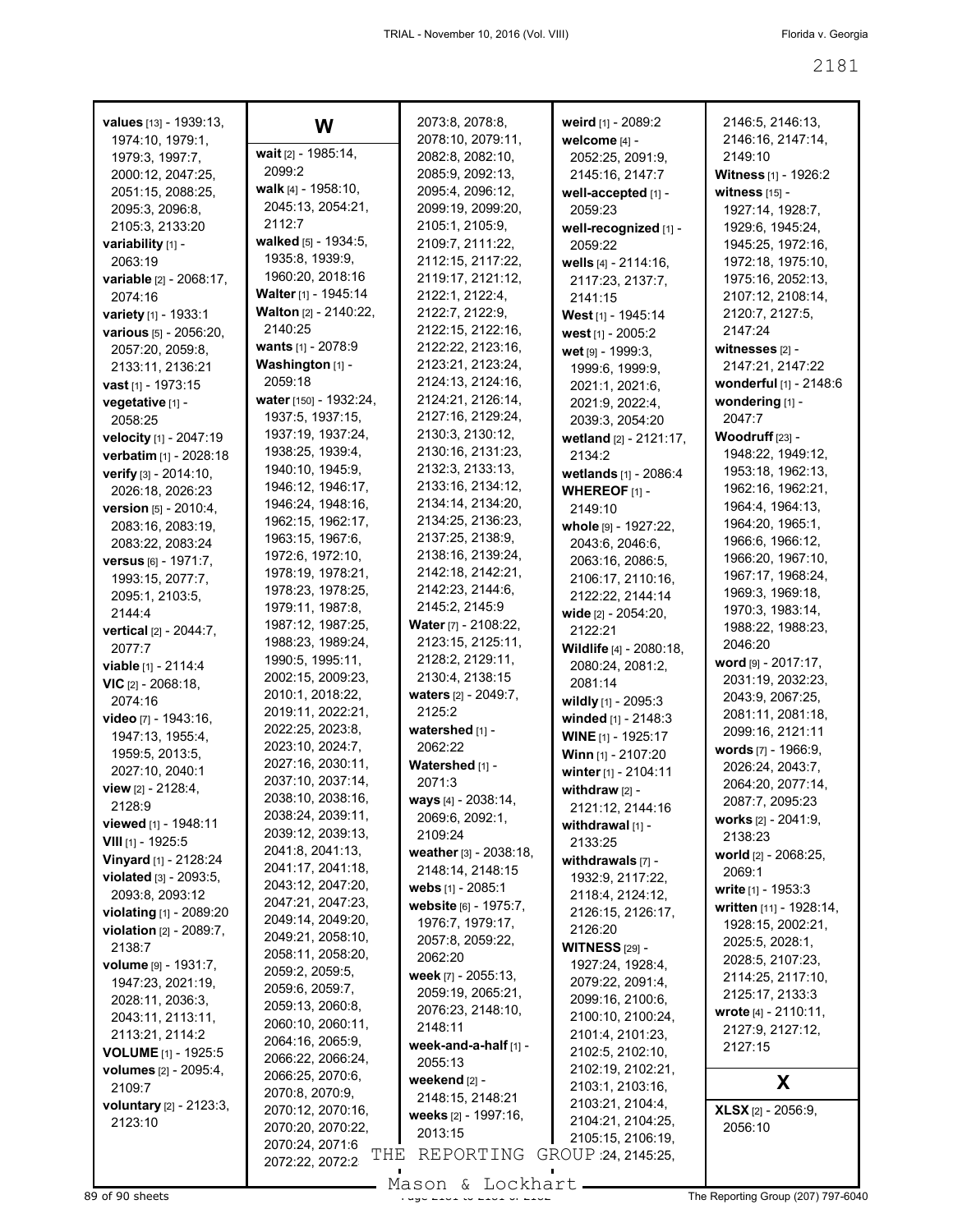| values [13] - 1939:13,                         | W                                       | 2073:8, 2078:8,                      | weird [1] - 2089:2                     | 2146:5, 2146:13,                           |
|------------------------------------------------|-----------------------------------------|--------------------------------------|----------------------------------------|--------------------------------------------|
| 1974:10, 1979:1,                               |                                         | 2078:10, 2079:11,                    | welcome [4] -                          | 2146:16, 2147:14,                          |
| 1979:3, 1997:7,                                | wait [2] - 1985:14,                     | 2082:8, 2082:10,                     | 2052:25, 2091:9,                       | 2149:10                                    |
| 2000:12, 2047:25,                              | 2099:2                                  | 2085:9, 2092:13,                     | 2145:16, 2147:7                        | Witness [1] - 1926:2                       |
| 2051:15, 2088:25,                              | walk [4] - 1958:10,                     | 2095:4, 2096:12,                     | well-accepted [1] -                    | witness [15] -                             |
| 2095:3, 2096:8,                                | 2045:13, 2054:21,                       | 2099:19, 2099:20,                    | 2059:23                                | 1927:14, 1928:7,                           |
| 2105:3, 2133:20                                | 2112:7                                  | 2105:1, 2105:9,                      | well-recognized [1] -                  | 1929:6, 1945:24,                           |
| variability [1] -                              | walked [5] - 1934:5,<br>1935:8, 1939:9, | 2109:7, 2111:22,                     | 2059:22                                | 1945:25, 1972:16,                          |
| 2063:19                                        | 1960:20, 2018:16                        | 2112:15, 2117:22,                    | wells $[4] - 2114:16$ ,                | 1972:18, 1975:10,                          |
| variable [2] - 2068:17,<br>2074:16             | Walter [1] - 1945:14                    | 2119:17, 2121:12,<br>2122:1, 2122:4, | 2117:23, 2137:7,                       | 1975:16, 2052:13,<br>2107:12, 2108:14,     |
|                                                | <b>Walton</b> [2] - 2140:22,            | 2122:7, 2122:9,                      | 2141:15                                | 2120:7, 2127:5,                            |
| variety [1] - 1933:1<br>various [5] - 2056:20, | 2140:25                                 | 2122:15, 2122:16,                    | West [1] - 1945:14                     | 2147:24                                    |
| 2057:20, 2059:8,                               | wants [1] - 2078:9                      | 2122:22, 2123:16,                    | west [1] - 2005:2<br>wet [9] - 1999:3, | witnesses $[2]$ -                          |
| 2133:11, 2136:21                               | Washington [1] -                        | 2123:21, 2123:24,                    | 1999:6, 1999:9,                        | 2147:21, 2147:22                           |
| <b>vast</b> $[1]$ - 1973:15                    | 2059:18                                 | 2124:13, 2124:16,                    | 2021:1, 2021:6,                        | wonderful [1] - 2148:6                     |
| vegetative [1] -                               | water [150] - 1932:24,                  | 2124:21, 2126:14,                    | 2021:9, 2022:4,                        | wondering [1] -                            |
| 2058:25                                        | 1937:5, 1937:15,                        | 2127:16, 2129:24,                    | 2039:3, 2054:20                        | 2047:7                                     |
| velocity [1] - 2047:19                         | 1937:19, 1937:24,                       | 2130:3, 2130:12,                     | wetland [2] - 2121:17,                 | Woodruff <sub>[23]</sub> -                 |
| verbatim [1] - 2028:18                         | 1938:25, 1939:4,                        | 2130:16, 2131:23,                    | 2134:2                                 | 1948:22, 1949:12,                          |
| verify [3] - 2014:10,                          | 1940:10, 1945:9,                        | 2132:3, 2133:13,                     | wetlands [1] - 2086:4                  | 1953:18, 1962:13,                          |
| 2026:18, 2026:23                               | 1946:12, 1946:17,                       | 2133:16, 2134:12,                    | WHEREOF [1] -                          | 1962:16, 1962:21,                          |
| version [5] - 2010:4,                          | 1946:24, 1948:16,                       | 2134:14, 2134:20,                    | 2149:10                                | 1964:4, 1964:13,                           |
| 2083:16, 2083:19,                              | 1962:15, 1962:17,                       | 2134:25, 2136:23,                    | whole [9] - 1927:22,                   | 1964:20, 1965:1,                           |
| 2083:22, 2083:24                               | 1963:15, 1967:6,                        | 2137:25, 2138:9,                     | 2043:6, 2046:6,                        | 1966:6, 1966:12,                           |
| versus [6] - 1971:7,                           | 1972:6, 1972:10,                        | 2138:16, 2139:24,                    | 2063:16, 2086:5,                       | 1966:20, 1967:10,                          |
| 1993:15, 2077:7,                               | 1978:19, 1978:21,                       | 2142:18, 2142:21,                    | 2106:17, 2110:16,                      | 1967:17, 1968:24,                          |
| 2095:1, 2103:5,                                | 1978:23, 1978:25,                       | 2142:23, 2144:6,                     | 2122:22, 2144:14                       | 1969:3, 1969:18,                           |
| 2144:4                                         | 1979:11, 1987:8,                        | 2145:2, 2145:9                       | wide [2] - 2054:20,                    | 1970:3, 1983:14,                           |
| vertical [2] - 2044:7,                         | 1987:12, 1987:25,                       | Water [7] - 2108:22,                 | 2122:21                                | 1988:22, 1988:23,                          |
| 2077:7                                         | 1988:23, 1989:24,                       | 2123:15, 2125:11,                    | Wildlife [4] - 2080:18,                | 2046:20                                    |
| <b>viable</b> $[1] - 2114.4$                   | 1990:5, 1995:11,                        | 2128:2, 2129:11,                     | 2080:24, 2081:2,                       | word [9] - 2017:17,                        |
| $VIC$ [2] - 2068:18,                           | 2002:15, 2009:23,                       | 2130:4, 2138:15                      | 2081:14                                | 2031:19, 2032:23,                          |
| 2074:16                                        | 2010:1, 2018:22,<br>2019:11, 2022:21,   | waters [2] - 2049:7,<br>2125:2       | wildly [1] - 2095:3                    | 2043:9, 2067:25,                           |
| <b>video</b> [7] - 1943:16,                    | 2022:25, 2023:8,                        | watershed [1] -                      | winded [1] - 2148:3                    | 2081:11, 2081:18,                          |
| 1947:13, 1955:4,                               | 2023:10, 2024:7,                        | 2062:22                              | WINE [1] - 1925:17                     | 2099:16, 2121:11<br>words $[7] - 1966.9$ , |
| 1959:5, 2013:5,                                | 2027:16, 2030:11,                       | Watershed [1] -                      | Winn [1] - 2107:20                     | 2026:24, 2043:7,                           |
| 2027:10, 2040:1                                | 2037:10, 2037:14,                       | 2071:3                               | winter [1] - 2104:11                   | 2064:20, 2077:14,                          |
| view [2] - 2128:4,                             | 2038:10, 2038:16,                       | ways [4] - 2038:14,                  | withdraw $[2]$ -                       | 2087:7, 2095:23                            |
| 2128:9                                         | 2038:24, 2039:11,                       | 2069:6, 2092:1,                      | 2121:12, 2144:16                       | works $[2] - 2041:9$ ,                     |
| viewed [1] - 1948:11                           | 2039:12, 2039:13,                       | 2109:24                              | withdrawal [1] -                       | 2138:23                                    |
| VIII $[1]$ - 1925:5<br>Vinyard [1] - 2128:24   | 2041:8, 2041:13,                        | weather [3] - 2038:18,               | 2133:25                                | world [2] - 2068:25,                       |
| violated [3] - 2093:5,                         | 2041:17, 2041:18,                       | 2148:14, 2148:15                     | withdrawals $[7]$ -                    | 2069:1                                     |
| 2093:8, 2093:12                                | 2043:12, 2047:20,                       | webs [1] - 2085:1                    | 1932:9, 2117:22,<br>2118:4, 2124:12,   | write [1] - 1953:3                         |
| violating [1] - 2089:20                        | 2047:21, 2047:23,                       | website [6] - 1975:7,                | 2126:15, 2126:17,                      | written [11] - 1928:14,                    |
| violation [2] - 2089:7,                        | 2049:14, 2049:20,                       | 1976:7, 1979:17,                     | 2126:20                                | 1928:15, 2002:21,                          |
| 2138:7                                         | 2049:21, 2058:10,                       | 2057:8, 2059:22,                     | <b>WITNESS [29] -</b>                  | 2025:5, 2028:1,                            |
| volume [9] - 1931:7,                           | 2058:11, 2058:20,                       | 2062:20                              | 1927:24, 1928:4,                       | 2028:5, 2107:23,                           |
| 1947:23, 2021:19,                              | 2059:2, 2059:5,                         | week [7] - 2055:13,                  | 2079:22, 2091:4,                       | 2114:25, 2117:10,                          |
| 2028:11, 2036:3,                               | 2059:6, 2059:7,<br>2059:13, 2060:8,     | 2059:19, 2065:21,                    | 2099:16, 2100:6,                       | 2125:17, 2133:3                            |
| 2043:11, 2113:11,                              | 2060:10, 2060:11,                       | 2076:23, 2148:10,                    | 2100:10, 2100:24,                      | wrote [4] - 2110:11,                       |
| 2113:21, 2114:2                                | 2064:16, 2065:9,                        | 2148:11                              | 2101:4, 2101:23,                       | 2127:9, 2127:12,                           |
| <b>VOLUME</b> [1] - 1925:5                     | 2066:22, 2066:24,                       | week-and-a-half [1] -                | 2102:5, 2102:10,                       | 2127:15                                    |
| volumes [2] - 2095:4,                          | 2066:25, 2070:6,                        | 2055:13                              | 2102:19, 2102:21,                      |                                            |
| 2109:7                                         | 2070:8, 2070:9,                         | weekend [2] -                        | 2103:1, 2103:16,                       | X                                          |
| voluntary [2] - 2123:3,                        | 2070:12, 2070:16,                       | 2148:15, 2148:21                     | 2103:21, 2104:4,                       | <b>XLSX</b> [2] - 2056:9,                  |
| 2123:10                                        | 2070:20, 2070:22,                       | weeks [2] - 1997:16,<br>2013:15      | 2104:21, 2104:25,                      | 2056:10                                    |
|                                                | 2070:24, 2071:6                         |                                      | 2105:15, 2106:19,                      |                                            |
|                                                | THE<br>2072:22, 2072:2                  | REPORTING                            | GROUP 24, 2145:25,                     |                                            |
|                                                |                                         | Mason & Lockhart.                    |                                        |                                            |
| 89 of 90 sheets                                |                                         |                                      |                                        | The Reporting Group (207) 797-6040         |